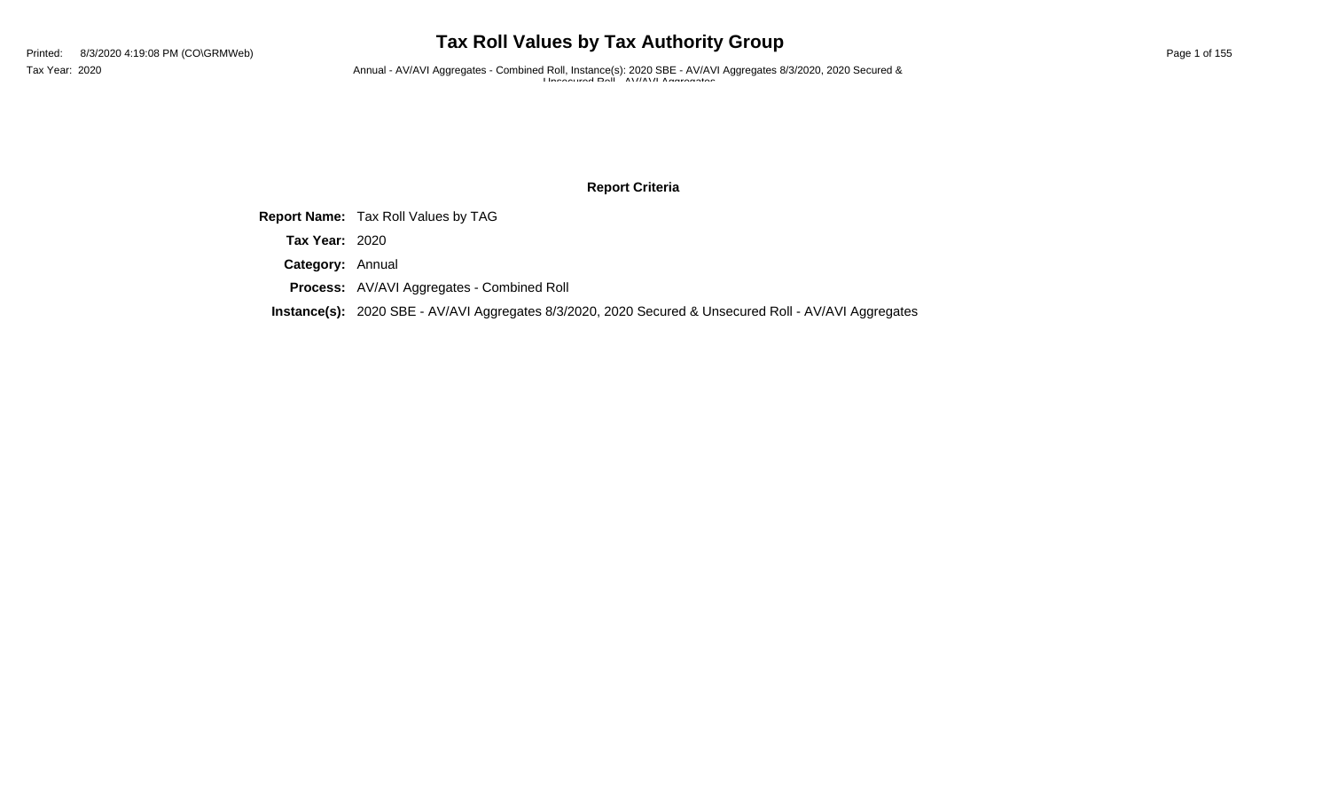# **Tax Roll Values by Tax Authority Group**

Tax Year: 2020 **Annual - AV/AVI Aggregates - Combined Roll**, Instance(s): 2020 SBE - AV/AVI Aggregates 8/3/2020, 2020 Secured & Unsecured Roll - AV/AVI Aggregates

### **Report Criteria**

**Report Name:** Tax Roll Values by TAG

**Tax Year:** 2020

**Category:** Annual

**Process:** AV/AVI Aggregates - Combined Roll

**Instance(s):** 2020 SBE - AV/AVI Aggregates 8/3/2020, 2020 Secured & Unsecured Roll - AV/AVI Aggregates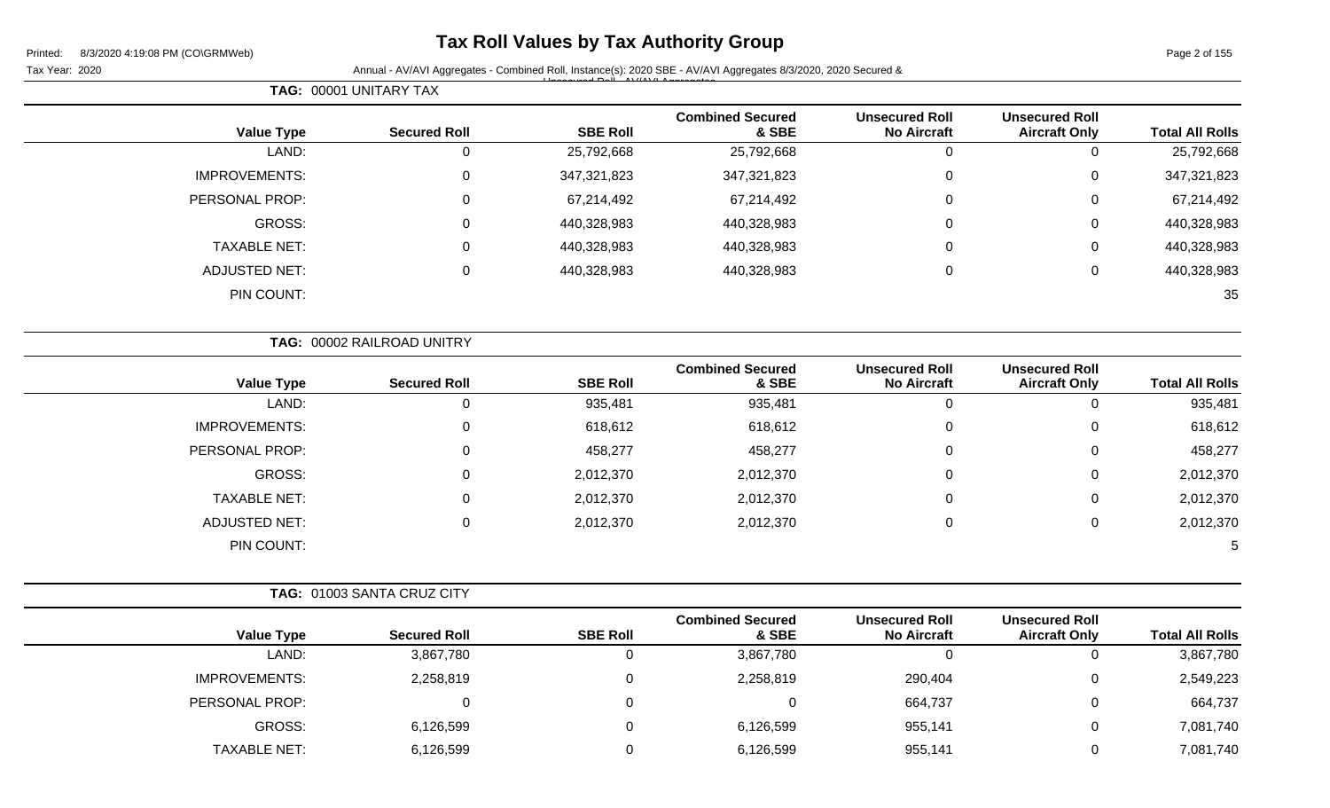## **Tax Roll Values by Tax Authority Group**

Tax Year: 2020 **Annual - AV/AVI Aggregates - Combined Roll**, Instance(s): 2020 SBE - AV/AVI Aggregates 8/3/2020, 2020 Secured & Unsecured Roll - AV/AVI Aggregates

|                        |                                               |                                             |                                  |                 | <b>TAG: 00001 UNITARY TAX</b> |                      |
|------------------------|-----------------------------------------------|---------------------------------------------|----------------------------------|-----------------|-------------------------------|----------------------|
| <b>Total All Rolls</b> | <b>Unsecured Roll</b><br><b>Aircraft Only</b> | <b>Unsecured Roll</b><br><b>No Aircraft</b> | <b>Combined Secured</b><br>& SBE | <b>SBE Roll</b> | <b>Secured Roll</b>           | <b>Value Type</b>    |
| 25,792,668             | 0                                             |                                             | 25,792,668                       | 25,792,668      | 0                             | LAND:                |
| 347,321,823            | 0                                             | 0                                           | 347,321,823                      | 347,321,823     | 0                             | <b>IMPROVEMENTS:</b> |
| 67,214,492             | 0                                             | 0                                           | 67,214,492                       | 67,214,492      | 0                             | PERSONAL PROP:       |
| 440,328,983            | 0                                             | 0                                           | 440,328,983                      | 440,328,983     | 0                             | <b>GROSS:</b>        |
| 440,328,983            | 0                                             | 0                                           | 440,328,983                      | 440,328,983     | 0                             | <b>TAXABLE NET:</b>  |
| 440,328,983            | 0                                             | 0                                           | 440,328,983                      | 440,328,983     | 0                             | <b>ADJUSTED NET:</b> |
| 35                     |                                               |                                             |                                  |                 |                               | PIN COUNT:           |

|                      | TAG: 00002 RAILROAD UNITRY |                 |                                  |                                             |                                               |                        |
|----------------------|----------------------------|-----------------|----------------------------------|---------------------------------------------|-----------------------------------------------|------------------------|
| <b>Value Type</b>    | <b>Secured Roll</b>        | <b>SBE Roll</b> | <b>Combined Secured</b><br>& SBE | <b>Unsecured Roll</b><br><b>No Aircraft</b> | <b>Unsecured Roll</b><br><b>Aircraft Only</b> | <b>Total All Rolls</b> |
| LAND:                | 0                          | 935,481         | 935,481                          | 0                                           |                                               | 935,481                |
| <b>IMPROVEMENTS:</b> | 0                          | 618,612         | 618,612                          | 0                                           | 0                                             | 618,612                |
| PERSONAL PROP:       | 0                          | 458,277         | 458,277                          | 0                                           | $\Omega$                                      | 458,277                |
| GROSS:               | 0                          | 2,012,370       | 2,012,370                        | 0                                           | $\Omega$                                      | 2,012,370              |
| <b>TAXABLE NET:</b>  | 0                          | 2,012,370       | 2,012,370                        | $\mathbf 0$                                 | $\mathbf{0}$                                  | 2,012,370              |
| ADJUSTED NET:        | 0                          | 2,012,370       | 2,012,370                        | $\mathbf 0$                                 | $\mathbf{0}$                                  | 2,012,370              |
| PIN COUNT:           |                            |                 |                                  |                                             |                                               | $\mathbf b$            |

|                      | <b>TAG: 01003 SANTA CRUZ CITY</b> |                 |                                  |                                             |                                               |                        |
|----------------------|-----------------------------------|-----------------|----------------------------------|---------------------------------------------|-----------------------------------------------|------------------------|
| <b>Value Type</b>    | <b>Secured Roll</b>               | <b>SBE Roll</b> | <b>Combined Secured</b><br>& SBE | <b>Unsecured Roll</b><br><b>No Aircraft</b> | <b>Unsecured Roll</b><br><b>Aircraft Only</b> | <b>Total All Rolls</b> |
| LAND:                | 3,867,780                         | $\Omega$        | 3,867,780                        | 0                                           | 0                                             | 3,867,780              |
| <b>IMPROVEMENTS:</b> | 2,258,819                         | $\Omega$        | 2,258,819                        | 290,404                                     | 0                                             | 2,549,223              |
| PERSONAL PROP:       | 0                                 | $\Omega$        |                                  | 664,737                                     | 0                                             | 664,737                |
| GROSS:               | 6,126,599                         | $\Omega$        | 6,126,599                        | 955,141                                     | 0                                             | 7,081,740              |
| <b>TAXABLE NET:</b>  | 6,126,599                         | $\Omega$        | 6,126,599                        | 955,141                                     | 0                                             | 7,081,740              |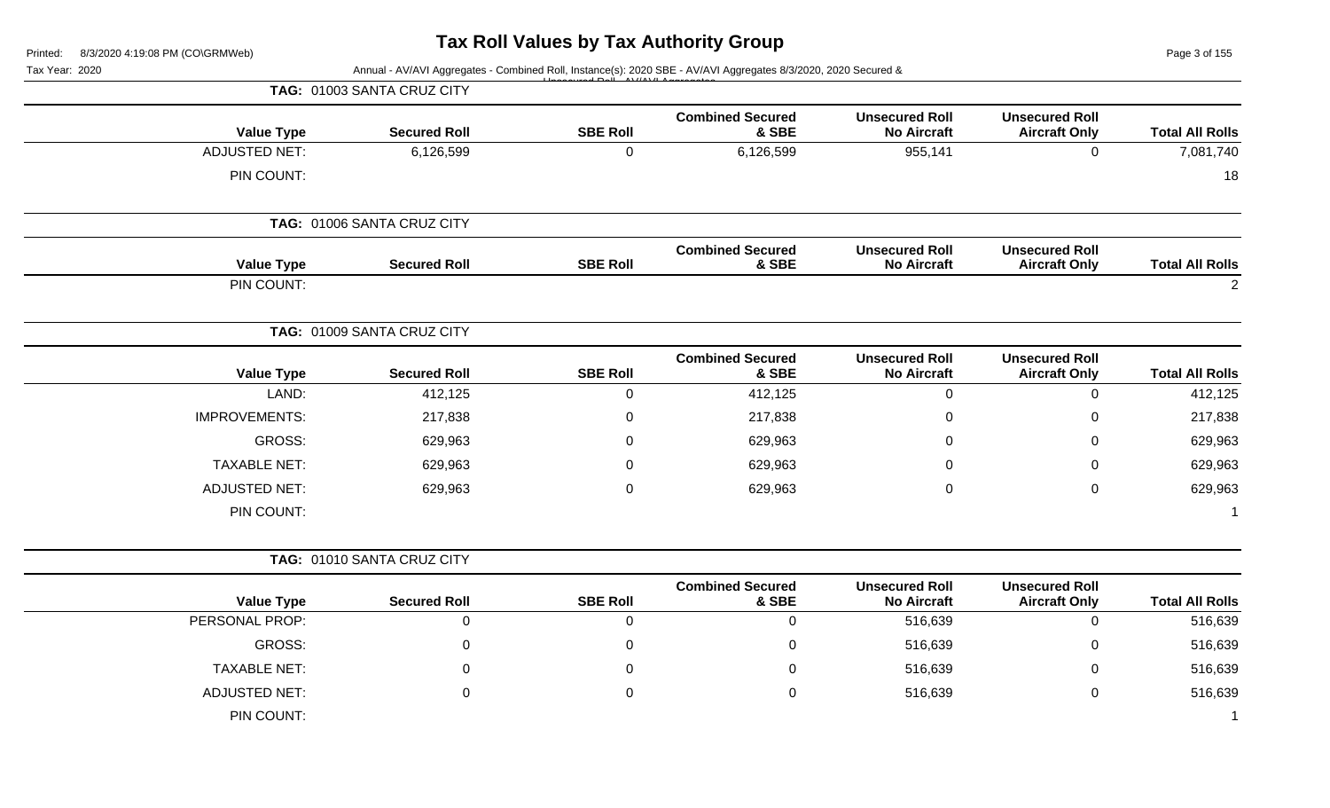Page 3 of 155

|                                                                                                                                                                                                                    |                                               |                                             | Annual - AV/AVI Aggregates - Combined Roll, Instance(s): 2020 SBE - AV/AVI Aggregates 8/3/2020, 2020 Secured & |                 |                            | Tax Year: 2020       |
|--------------------------------------------------------------------------------------------------------------------------------------------------------------------------------------------------------------------|-----------------------------------------------|---------------------------------------------|----------------------------------------------------------------------------------------------------------------|-----------------|----------------------------|----------------------|
|                                                                                                                                                                                                                    |                                               |                                             |                                                                                                                |                 | TAG: 01003 SANTA CRUZ CITY |                      |
|                                                                                                                                                                                                                    | <b>Unsecured Roll</b><br><b>Aircraft Only</b> | <b>Unsecured Roll</b><br><b>No Aircraft</b> | <b>Combined Secured</b><br>& SBE                                                                               | <b>SBE Roll</b> | <b>Secured Roll</b>        | <b>Value Type</b>    |
|                                                                                                                                                                                                                    | $\overline{0}$                                | 955,141                                     | 6,126,599                                                                                                      | $\mathbf 0$     | 6,126,599                  | <b>ADJUSTED NET:</b> |
|                                                                                                                                                                                                                    |                                               |                                             |                                                                                                                |                 |                            | PIN COUNT:           |
|                                                                                                                                                                                                                    |                                               |                                             |                                                                                                                |                 | TAG: 01006 SANTA CRUZ CITY |                      |
|                                                                                                                                                                                                                    | <b>Unsecured Roll</b><br><b>Aircraft Only</b> | <b>Unsecured Roll</b><br><b>No Aircraft</b> | <b>Combined Secured</b><br>& SBE                                                                               | <b>SBE Roll</b> | <b>Secured Roll</b>        | <b>Value Type</b>    |
| <b>Total All Rolls</b><br>7,081,740<br>18<br><b>Total All Rolls</b><br>$\sqrt{2}$<br><b>Total All Rolls</b><br>412,125<br>217,838<br>629,963<br>629,963<br>629,963<br><b>Total All Rolls</b><br>516,639<br>516,639 |                                               |                                             |                                                                                                                |                 |                            | PIN COUNT:           |
|                                                                                                                                                                                                                    |                                               |                                             |                                                                                                                |                 | TAG: 01009 SANTA CRUZ CITY |                      |
|                                                                                                                                                                                                                    | <b>Unsecured Roll</b><br><b>Aircraft Only</b> | <b>Unsecured Roll</b><br><b>No Aircraft</b> | <b>Combined Secured</b><br>& SBE                                                                               | <b>SBE Roll</b> | <b>Secured Roll</b>        | <b>Value Type</b>    |
|                                                                                                                                                                                                                    | $\mathbf 0$                                   | $\boldsymbol{0}$                            | 412,125                                                                                                        | $\mathbf 0$     | 412,125                    | LAND:                |
|                                                                                                                                                                                                                    | $\mathbf 0$                                   | $\mathbf 0$                                 | 217,838                                                                                                        | $\mathbf 0$     | 217,838                    | <b>IMPROVEMENTS:</b> |
|                                                                                                                                                                                                                    | 0                                             | 0                                           | 629,963                                                                                                        | 0               | 629,963                    | GROSS:               |
|                                                                                                                                                                                                                    | $\Omega$                                      | $\mathbf 0$                                 | 629,963                                                                                                        | $\mathbf 0$     | 629,963                    | <b>TAXABLE NET:</b>  |
|                                                                                                                                                                                                                    | $\mathbf 0$                                   | $\mathbf 0$                                 | 629,963                                                                                                        | $\mathbf 0$     | 629,963                    | <b>ADJUSTED NET:</b> |
|                                                                                                                                                                                                                    |                                               |                                             |                                                                                                                |                 |                            | PIN COUNT:           |
|                                                                                                                                                                                                                    |                                               |                                             |                                                                                                                |                 | TAG: 01010 SANTA CRUZ CITY |                      |
|                                                                                                                                                                                                                    | <b>Unsecured Roll</b><br><b>Aircraft Only</b> | <b>Unsecured Roll</b><br><b>No Aircraft</b> | <b>Combined Secured</b><br>& SBE                                                                               | <b>SBE Roll</b> | <b>Secured Roll</b>        | <b>Value Type</b>    |
|                                                                                                                                                                                                                    | $\mathbf 0$                                   | 516,639                                     | $\mathbf 0$                                                                                                    | $\mathbf 0$     | $\mathbf 0$                | PERSONAL PROP:       |
|                                                                                                                                                                                                                    | 0                                             | 516,639                                     | $\mathbf 0$                                                                                                    | 0               | 0                          | GROSS:               |
| 516,639                                                                                                                                                                                                            | $\Omega$                                      | 516,639                                     | $\mathbf 0$                                                                                                    | 0               | $\mathbf 0$                | <b>TAXABLE NET:</b>  |
| 516,639                                                                                                                                                                                                            | $\mathbf 0$                                   | 516,639                                     | $\mathbf 0$                                                                                                    | $\mathbf 0$     | $\mathbf 0$                | <b>ADJUSTED NET:</b> |
|                                                                                                                                                                                                                    |                                               |                                             |                                                                                                                |                 |                            | PIN COUNT:           |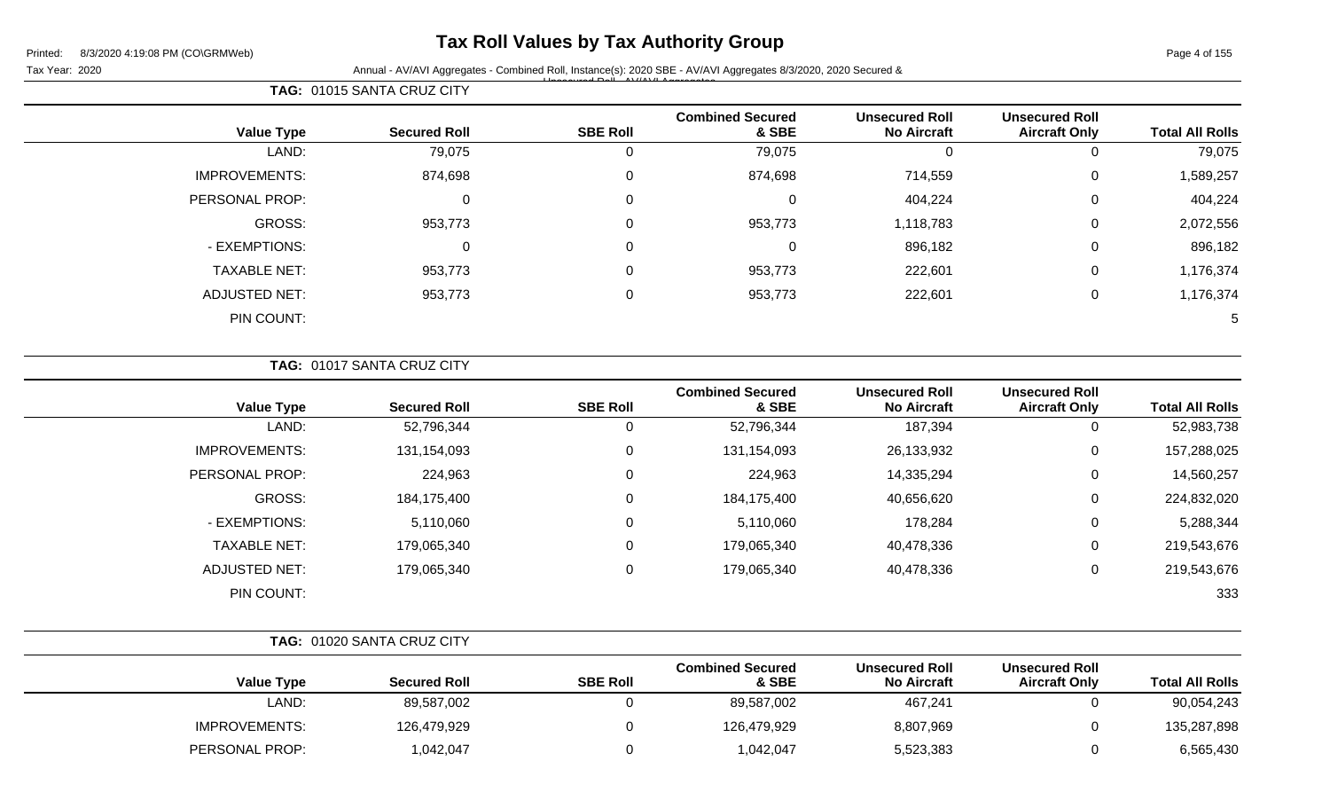## **Tax Roll Values by Tax Authority Group**

Tax Year: 2020 **Annual - AV/AVI Aggregates - Combined Roll**, Instance(s): 2020 SBE - AV/AVI Aggregates 8/3/2020, 2020 Secured & Unsecured Roll - AV/AVI Aggregates

| <b>Total All Rolls</b> | <b>Unsecured Roll</b><br><b>Aircraft Only</b> | <b>Unsecured Roll</b><br><b>No Aircraft</b> | <b>Combined Secured</b><br>& SBE | <b>SBE Roll</b> | <b>Secured Roll</b> | <b>Value Type</b>    |
|------------------------|-----------------------------------------------|---------------------------------------------|----------------------------------|-----------------|---------------------|----------------------|
| 79,075                 |                                               |                                             | 79,075                           |                 | 79,075              | LAND:                |
| 1,589,257              | 0                                             | 714,559                                     | 874,698                          | 0               | 874,698             | <b>IMPROVEMENTS:</b> |
| 404,224                | 0                                             | 404,224                                     | 0                                | 0               | 0                   | PERSONAL PROP:       |
| 2,072,556              | 0                                             | 1,118,783                                   | 953,773                          | $\Omega$        | 953,773             | GROSS:               |
| 896,182                | 0                                             | 896,182                                     | 0                                | 0               | $\Omega$            | - EXEMPTIONS:        |
| 1,176,374              | 0                                             | 222,601                                     | 953,773                          | $\Omega$        | 953,773             | <b>TAXABLE NET:</b>  |
| 1,176,374              | 0                                             | 222,601                                     | 953,773                          | $\Omega$        | 953,773             | <b>ADJUSTED NET:</b> |
| 5                      |                                               |                                             |                                  |                 |                     | PIN COUNT:           |

**TAG:** 01015 SANTA CRUZ CITY

| <b>Value Type</b>    | <b>Secured Roll</b> | <b>SBE Roll</b> | <b>Combined Secured</b><br>& SBE | <b>Unsecured Roll</b><br><b>No Aircraft</b> | <b>Unsecured Roll</b><br><b>Aircraft Only</b> | <b>Total All Rolls</b> |
|----------------------|---------------------|-----------------|----------------------------------|---------------------------------------------|-----------------------------------------------|------------------------|
| LAND:                | 52,796,344          | 0               | 52,796,344                       | 187,394                                     | U                                             | 52,983,738             |
| <b>IMPROVEMENTS:</b> | 131,154,093         | 0               | 131,154,093                      | 26,133,932                                  | U                                             | 157,288,025            |
| PERSONAL PROP:       | 224,963             | 0               | 224,963                          | 14,335,294                                  | 0                                             | 14,560,257             |
| GROSS:               | 184,175,400         | 0               | 184,175,400                      | 40,656,620                                  | 0                                             | 224,832,020            |
| - EXEMPTIONS:        | 5,110,060           | 0               | 5,110,060                        | 178,284                                     | 0                                             | 5,288,344              |
| <b>TAXABLE NET:</b>  | 179,065,340         | 0               | 179,065,340                      | 40,478,336                                  | 0                                             | 219,543,676            |
| <b>ADJUSTED NET:</b> | 179,065,340         | 0               | 179,065,340                      | 40,478,336                                  | U                                             | 219,543,676            |
| PIN COUNT:           |                     |                 |                                  |                                             |                                               | 333                    |

|                        |                                               |                                             |                                  |                 | TAG: 01020 SANTA CRUZ CITY |                      |
|------------------------|-----------------------------------------------|---------------------------------------------|----------------------------------|-----------------|----------------------------|----------------------|
| <b>Total All Rolls</b> | <b>Unsecured Roll</b><br><b>Aircraft Only</b> | <b>Unsecured Roll</b><br><b>No Aircraft</b> | <b>Combined Secured</b><br>& SBE | <b>SBE Roll</b> | <b>Secured Roll</b>        | Value Type           |
| 90,054,243             |                                               | 467,241                                     | 89,587,002                       |                 | 89,587,002                 | LAND:                |
| 135,287,898            |                                               | 8,807,969                                   | 126,479,929                      |                 | 126,479,929                | <b>IMPROVEMENTS:</b> |
| 6,565,430              |                                               | 5,523,383                                   | 1,042,047                        |                 | 1,042,047                  | PERSONAL PROP:       |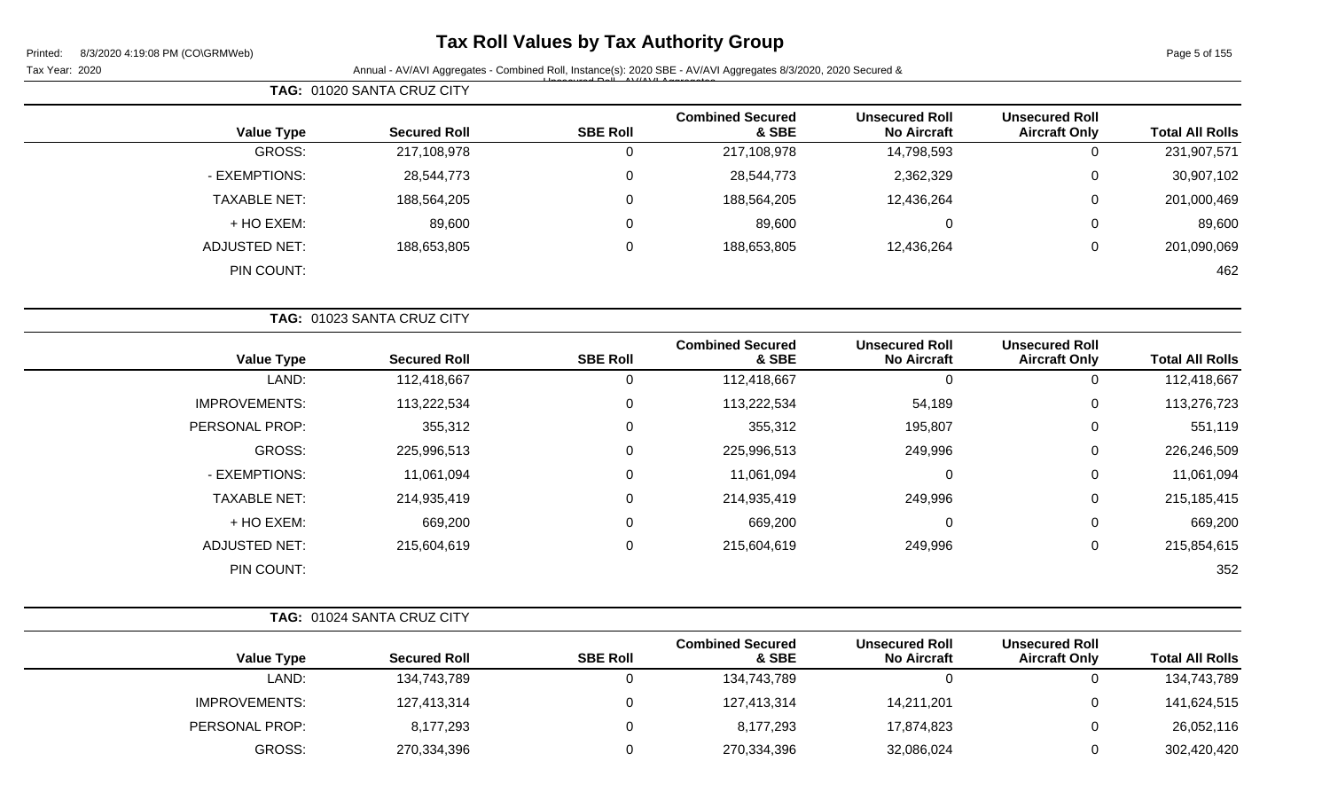## **Tax Roll Values by Tax Authority Group**

Tax Year: 2020 **Annual - AV/AVI Aggregates - Combined Roll**, Instance(s): 2020 SBE - AV/AVI Aggregates 8/3/2020, 2020 Secured & Unsecured Roll - AV/AVI Aggregates

Page 5 of 155

|                        |                                               |                                             |                                  |                 | TAG: 01020 SANTA CRUZ CITY |                      |
|------------------------|-----------------------------------------------|---------------------------------------------|----------------------------------|-----------------|----------------------------|----------------------|
| <b>Total All Rolls</b> | <b>Unsecured Roll</b><br><b>Aircraft Only</b> | <b>Unsecured Roll</b><br><b>No Aircraft</b> | <b>Combined Secured</b><br>& SBE | <b>SBE Roll</b> | <b>Secured Roll</b>        | <b>Value Type</b>    |
| 231,907,571            | 0                                             | 14,798,593                                  | 217,108,978                      | O               | 217,108,978                | GROSS:               |
| 30,907,102             | 0                                             | 2,362,329                                   | 28,544,773                       | $\mathbf 0$     | 28,544,773                 | - EXEMPTIONS:        |
| 201,000,469            | 0                                             | 12,436,264                                  | 188,564,205                      | 0               | 188,564,205                | <b>TAXABLE NET:</b>  |
| 89,600                 | 0                                             | 0                                           | 89,600                           | $\mathbf 0$     | 89,600                     | + HO EXEM:           |
| 201,090,069            | 0                                             | 12,436,264                                  | 188,653,805                      | $\Omega$        | 188,653,805                | <b>ADJUSTED NET:</b> |
| 462                    |                                               |                                             |                                  |                 |                            | PIN COUNT:           |
|                        |                                               |                                             |                                  |                 | TAG: 01023 SANTA CRUZ CITY |                      |
| <b>Total All Rolls</b> | <b>Unsecured Roll</b><br><b>Aircraft Only</b> | <b>Unsecured Roll</b><br><b>No Aircraft</b> | <b>Combined Secured</b><br>& SBE | <b>SBE Roll</b> | <b>Secured Roll</b>        | <b>Value Type</b>    |
| .                      |                                               |                                             | .                                |                 | .                          |                      |

|             |   |         |             |   |             | . .                  |
|-------------|---|---------|-------------|---|-------------|----------------------|
| 112,418,667 | υ | 0       | 112,418,667 | υ | 112,418,667 | LAND:                |
| 113,276,723 | 0 | 54,189  | 113,222,534 | υ | 113,222,534 | <b>IMPROVEMENTS:</b> |
| 551,119     | 0 | 195,807 | 355,312     | 0 | 355,312     | PERSONAL PROP:       |
| 226,246,509 | 0 | 249,996 | 225,996,513 | 0 | 225,996,513 | GROSS:               |
| 11,061,094  | 0 | 0       | 11,061,094  | 0 | 11,061,094  | - EXEMPTIONS:        |
| 215,185,415 | 0 | 249,996 | 214,935,419 | 0 | 214,935,419 | <b>TAXABLE NET:</b>  |
| 669,200     | 0 | 0       | 669,200     | 0 | 669,200     | + HO EXEM:           |
| 215,854,615 | 0 | 249,996 | 215,604,619 | 0 | 215,604,619 | <b>ADJUSTED NET:</b> |
| 352         |   |         |             |   |             | PIN COUNT:           |
|             |   |         |             |   |             |                      |

|                      | <b>TAG: 01024 SANTA CRUZ CITY</b> |                 |                                  |                                             |                                               |                        |
|----------------------|-----------------------------------|-----------------|----------------------------------|---------------------------------------------|-----------------------------------------------|------------------------|
| <b>Value Type</b>    | <b>Secured Roll</b>               | <b>SBE Roll</b> | <b>Combined Secured</b><br>& SBE | <b>Unsecured Roll</b><br><b>No Aircraft</b> | <b>Unsecured Roll</b><br><b>Aircraft Only</b> | <b>Total All Rolls</b> |
| LAND:                | 134,743,789                       |                 | 134,743,789                      | 0                                           | $\cup$                                        | 134,743,789            |
| <b>IMPROVEMENTS:</b> | 127,413,314                       |                 | 127,413,314                      | 14,211,201                                  | 0                                             | 141,624,515            |
| PERSONAL PROP:       | 8,177,293                         |                 | 8,177,293                        | 17,874,823                                  | 0                                             | 26,052,116             |
| GROSS:               | 270,334,396                       |                 | 270,334,396                      | 32,086,024                                  | 0                                             | 302,420,420            |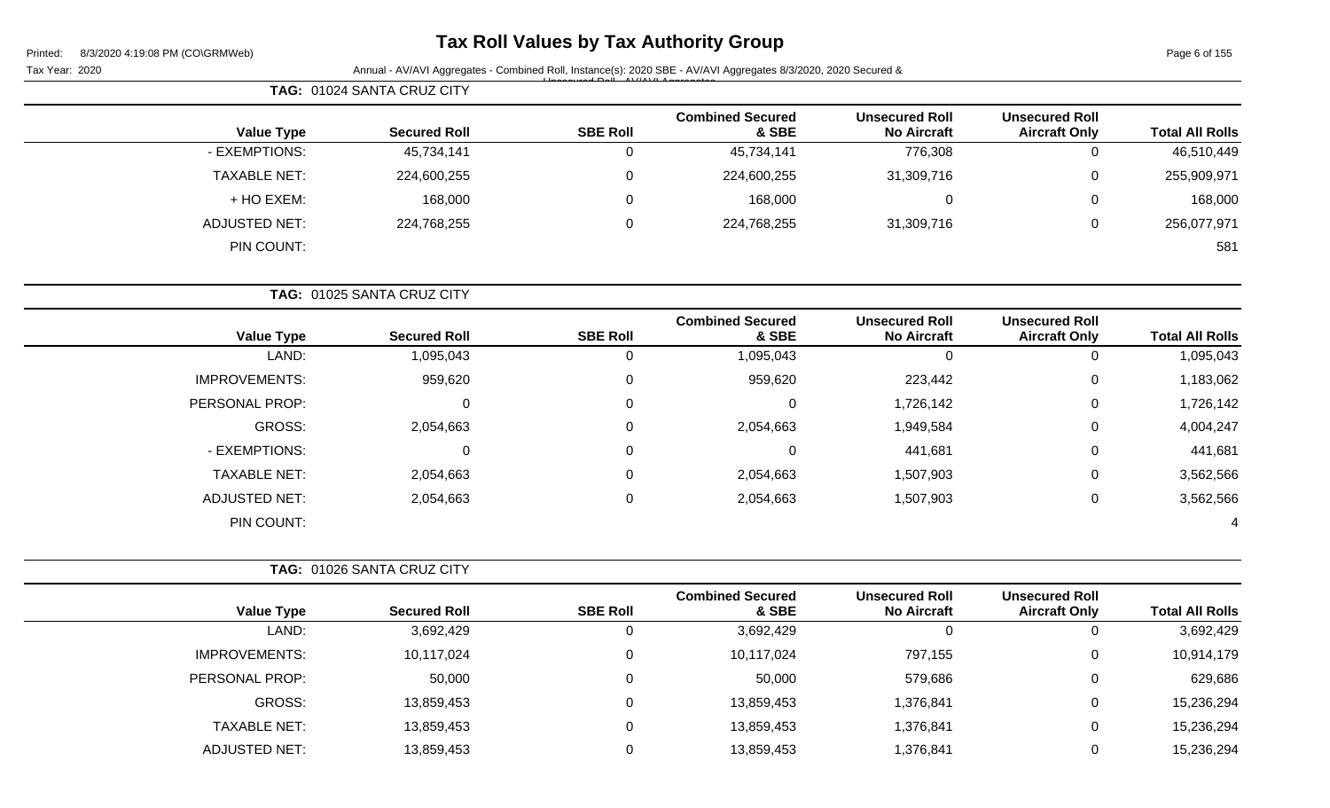# **Tax Roll Values by Tax Authority Group**

Page 6 of 155

|                        |                                               |                                             |                                  |                 | Annual - AV/AVI Aggregates - Combined Roll, Instance(s): 2020 SBE - AV/AVI Aggregates 8/3/2020, 2020 Secured & | Tax Year: 2020       |
|------------------------|-----------------------------------------------|---------------------------------------------|----------------------------------|-----------------|----------------------------------------------------------------------------------------------------------------|----------------------|
|                        |                                               |                                             |                                  |                 | TAG: 01024 SANTA CRUZ CITY                                                                                     |                      |
| <b>Total All Rolls</b> | <b>Unsecured Roll</b><br><b>Aircraft Only</b> | <b>Unsecured Roll</b><br><b>No Aircraft</b> | <b>Combined Secured</b><br>& SBE | <b>SBE Roll</b> | <b>Secured Roll</b>                                                                                            | <b>Value Type</b>    |
| 46,510,449             | 0                                             | 776,308                                     | 45,734,141                       | 0               | 45,734,141                                                                                                     | - EXEMPTIONS:        |
| 255,909,971            | $\Omega$                                      | 31,309,716                                  | 224,600,255                      | 0               | 224,600,255                                                                                                    | <b>TAXABLE NET:</b>  |
| 168,000                | 0                                             | $\mathbf 0$                                 | 168,000                          | 0               | 168,000                                                                                                        | + HO EXEM:           |
| 256,077,971            | 0                                             | 31,309,716                                  | 224,768,255                      | 0               | 224,768,255                                                                                                    | <b>ADJUSTED NET:</b> |
| 581                    |                                               |                                             |                                  |                 |                                                                                                                | PIN COUNT:           |
|                        |                                               |                                             |                                  |                 | TAG: 01025 SANTA CRUZ CITY                                                                                     |                      |
| <b>Total All Rolls</b> | <b>Unsecured Roll</b><br><b>Aircraft Only</b> | <b>Unsecured Roll</b><br><b>No Aircraft</b> | <b>Combined Secured</b><br>& SBE | <b>SBE Roll</b> | <b>Secured Roll</b>                                                                                            | <b>Value Type</b>    |
| 1,095,043              | $\mathbf 0$                                   | $\mathbf 0$                                 | 1,095,043                        | $\pmb{0}$       | 1,095,043                                                                                                      | LAND:                |
| 1,183,062              | 0                                             | 223,442                                     | 959,620                          | 0               | 959,620                                                                                                        | <b>IMPROVEMENTS:</b> |
| 1,726,142              | 0                                             | 1,726,142                                   | 0                                | 0               | 0                                                                                                              | PERSONAL PROP:       |
| 4,004,247              | 0                                             | 1,949,584                                   | 2,054,663                        | 0               | 2,054,663                                                                                                      | <b>GROSS:</b>        |
| 441,681                | 0                                             | 441,681                                     | 0                                | 0               | $\mathbf 0$                                                                                                    | - EXEMPTIONS:        |
| 3,562,566              | 0                                             | 1,507,903                                   | 2,054,663                        | 0               | 2,054,663                                                                                                      | <b>TAXABLE NET:</b>  |
| 3,562,566              | 0                                             | 1,507,903                                   | 2,054,663                        | 0               | 2,054,663                                                                                                      | <b>ADJUSTED NET:</b> |
| 4                      |                                               |                                             |                                  |                 |                                                                                                                | PIN COUNT:           |
|                        |                                               |                                             |                                  |                 | TAG: 01026 SANTA CRUZ CITY                                                                                     |                      |
| <b>Total All Rolls</b> | <b>Unsecured Roll</b><br><b>Aircraft Only</b> | <b>Unsecured Roll</b><br><b>No Aircraft</b> | <b>Combined Secured</b><br>& SBE | <b>SBE Roll</b> | <b>Secured Roll</b>                                                                                            | <b>Value Type</b>    |
| 3,692,429              | 0                                             | $\mathbf 0$                                 | 3,692,429                        | 0               | 3,692,429                                                                                                      | LAND:                |
| 10,914,179             | 0                                             | 797,155                                     | 10,117,024                       | 0               | 10,117,024                                                                                                     | <b>IMPROVEMENTS:</b> |
| 629,686                | $\pmb{0}$                                     | 579,686                                     | 50,000                           | $\pmb{0}$       | 50,000                                                                                                         | PERSONAL PROP:       |
| 15,236,294             | 0                                             | 1,376,841                                   | 13,859,453                       | $\pmb{0}$       | 13,859,453                                                                                                     | GROSS:               |
| 15,236,294             | 0                                             | 1,376,841                                   | 13,859,453                       | $\pmb{0}$       | 13,859,453                                                                                                     | <b>TAXABLE NET:</b>  |
| 15,236,294             | 0                                             | 1,376,841                                   | 13,859,453                       | $\mathbf 0$     | 13,859,453                                                                                                     | <b>ADJUSTED NET:</b> |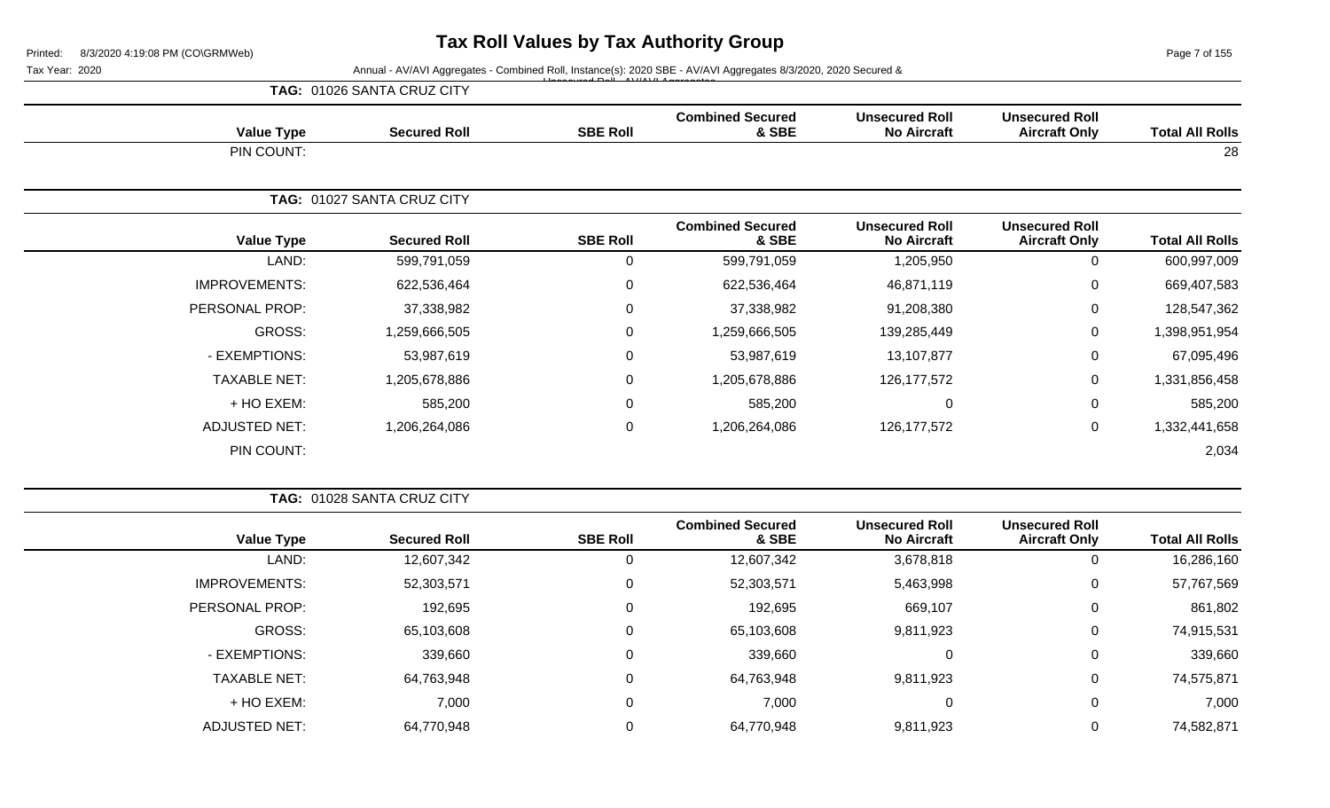Page 7 of 155

Tax Year: 2020 **Annual - AV/AVI Aggregates - Combined Roll**, Instance(s): 2020 SBE - AV/AVI Aggregates 8/3/2020, 2020 Secured &

|                   |                            | $\mathbf{1}$ $\mathbf{1}$ $\mathbf{2}$ $\mathbf{3}$ $\mathbf{3}$ $\mathbf{4}$ $\mathbf{5}$ $\mathbf{5}$ $\mathbf{1}$ $\mathbf{1}$ $\mathbf{3}$ $\mathbf{1}$ $\mathbf{1}$ $\mathbf{1}$ $\mathbf{3}$ $\mathbf{3}$ $\mathbf{3}$ $\mathbf{4}$ $\mathbf{5}$ $\mathbf{5}$ $\mathbf{5}$ $\mathbf{5}$ $\mathbf{5}$ $\mathbf{5}$ $\mathbf{$ |                                  |                                             |                                               |                        |
|-------------------|----------------------------|------------------------------------------------------------------------------------------------------------------------------------------------------------------------------------------------------------------------------------------------------------------------------------------------------------------------------------|----------------------------------|---------------------------------------------|-----------------------------------------------|------------------------|
|                   | TAG: 01026 SANTA CRUZ CITY |                                                                                                                                                                                                                                                                                                                                    |                                  |                                             |                                               |                        |
| <b>Value Type</b> | <b>Secured Roll</b>        | <b>SBE Roll</b>                                                                                                                                                                                                                                                                                                                    | <b>Combined Secured</b><br>& SBE | <b>Unsecured Roll</b><br><b>No Aircraft</b> | <b>Unsecured Roll</b><br><b>Aircraft Only</b> | <b>Total All Rolls</b> |
| PIN COUNT:        |                            |                                                                                                                                                                                                                                                                                                                                    |                                  |                                             |                                               | 28                     |
|                   | TAG: 01027 SANTA CRUZ CITY |                                                                                                                                                                                                                                                                                                                                    |                                  |                                             |                                               |                        |
| <b>Value Type</b> | <b>Secured Roll</b>        | <b>SBE Roll</b>                                                                                                                                                                                                                                                                                                                    | <b>Combined Secured</b><br>& SBE | <b>Unsecured Roll</b><br><b>No Aircraft</b> | <b>Unsecured Roll</b><br><b>Aircraft Only</b> | <b>Total All Rolls</b> |

| <b>Value Type</b>    |               |             | & SBE         | <b>No Aircraft</b> | <b>Aircraft Only</b> | <b>Total All Rolls</b> |
|----------------------|---------------|-------------|---------------|--------------------|----------------------|------------------------|
| LAND:                | 599,791,059   | 0           | 599,791,059   | 1,205,950          |                      | 600,997,009            |
| <b>IMPROVEMENTS:</b> | 622,536,464   | 0           | 622,536,464   | 46,871,119         | 0                    | 669,407,583            |
| PERSONAL PROP:       | 37,338,982    | $\mathbf 0$ | 37,338,982    | 91,208,380         | 0                    | 128,547,362            |
| GROSS:               | 1,259,666,505 | 0           | 1,259,666,505 | 139,285,449        | 0                    | 1,398,951,954          |
| - EXEMPTIONS:        | 53,987,619    | 0           | 53,987,619    | 13,107,877         | 0                    | 67,095,496             |
| <b>TAXABLE NET:</b>  | 1,205,678,886 | $\mathbf 0$ | 1,205,678,886 | 126, 177, 572      | 0                    | 1,331,856,458          |
| + HO EXEM:           | 585,200       | 0           | 585,200       | 0                  | 0                    | 585,200                |
| <b>ADJUSTED NET:</b> | 1,206,264,086 | 0           | ,206,264,086  | 126, 177, 572      | 0                    | 1,332,441,658          |
| PIN COUNT:           |               |             |               |                    |                      | 2,034                  |

|                        |                                               |                                             |                                  | TAG: 01028 SANTA CRUZ CITY |                     |                      |  |  |  |
|------------------------|-----------------------------------------------|---------------------------------------------|----------------------------------|----------------------------|---------------------|----------------------|--|--|--|
| <b>Total All Rolls</b> | <b>Unsecured Roll</b><br><b>Aircraft Only</b> | <b>Unsecured Roll</b><br><b>No Aircraft</b> | <b>Combined Secured</b><br>& SBE | <b>SBE Roll</b>            | <b>Secured Roll</b> | <b>Value Type</b>    |  |  |  |
| 16,286,160             | 0                                             | 3,678,818                                   | 12,607,342                       | 0                          | 12,607,342          | LAND:                |  |  |  |
| 57,767,569             | 0                                             | 5,463,998                                   | 52,303,571                       | 0                          | 52,303,571          | <b>IMPROVEMENTS:</b> |  |  |  |
| 861,802                | 0                                             | 669,107                                     | 192,695                          | 0                          | 192,695             | PERSONAL PROP:       |  |  |  |
| 74,915,531             | 0                                             | 9,811,923                                   | 65,103,608                       | 0                          | 65,103,608          | GROSS:               |  |  |  |
| 339,660                | 0                                             | $\Omega$                                    | 339,660                          | 0                          | 339,660             | - EXEMPTIONS:        |  |  |  |
| 74,575,871             | 0                                             | 9,811,923                                   | 64,763,948                       | 0                          | 64,763,948          | <b>TAXABLE NET:</b>  |  |  |  |
| 7,000                  | 0                                             | 0                                           | 7,000                            | 0                          | 7,000               | + HO EXEM:           |  |  |  |
| 74,582,871             |                                               | 9,811,923                                   | 64,770,948                       | 0                          | 64,770,948          | <b>ADJUSTED NET:</b> |  |  |  |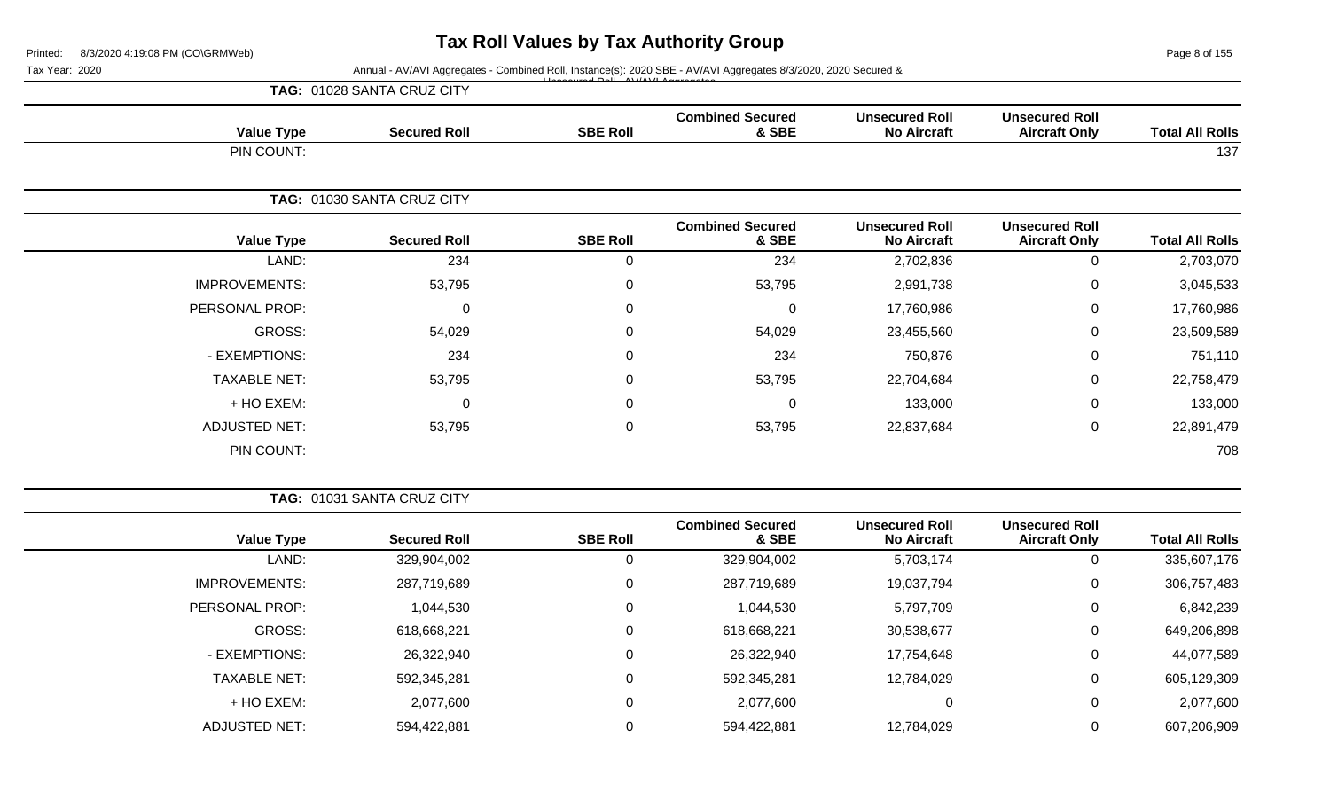Page 8 of 155

Tax Year: 2020 **Annual - AV/AVI Aggregates - Combined Roll**, Instance(s): 2020 SBE - AV/AVI Aggregates 8/3/2020, 2020 Secured &

|                      | TAG: 01028 SANTA CRUZ CITY | $1.0 - 11.0111111$ |                                  |                                             |                                               |                        |
|----------------------|----------------------------|--------------------|----------------------------------|---------------------------------------------|-----------------------------------------------|------------------------|
| <b>Value Type</b>    | <b>Secured Roll</b>        | <b>SBE Roll</b>    | <b>Combined Secured</b><br>& SBE | <b>Unsecured Roll</b><br><b>No Aircraft</b> | <b>Unsecured Roll</b><br><b>Aircraft Only</b> | <b>Total All Rolls</b> |
| PIN COUNT:           |                            |                    |                                  |                                             |                                               | 137                    |
|                      | TAG: 01030 SANTA CRUZ CITY |                    |                                  |                                             |                                               |                        |
| <b>Value Type</b>    | <b>Secured Roll</b>        | <b>SBE Roll</b>    | <b>Combined Secured</b><br>& SBE | <b>Unsecured Roll</b><br><b>No Aircraft</b> | <b>Unsecured Roll</b><br><b>Aircraft Only</b> | <b>Total All Rolls</b> |
| LAND:                | 234                        | $\mathbf 0$        | 234                              | 2,702,836                                   | 0                                             | 2,703,070              |
| <b>IMPROVEMENTS:</b> | 53,795                     | 0                  | 53,795                           | 2,991,738                                   | 0                                             | 3,045,533              |
| PERSONAL PROP:       | $\mathbf 0$                | $\mathbf{0}$       | 0                                | 17,760,986                                  | 0                                             | 17,760,986             |
| GROSS:               | 54,029                     | 0                  | 54,029                           | 23,455,560                                  | 0                                             | 23,509,589             |
| - EXEMPTIONS:        | 234                        | 0                  | 234                              | 750,876                                     | $\mathbf 0$                                   | 751,110                |
| <b>TAXABLE NET:</b>  | 53,795                     | $\Omega$           | 53,795                           | 22,704,684                                  | $\Omega$                                      | 22,758,479             |
| + HO EXEM:           | $\mathbf 0$                | 0                  | 0                                | 133,000                                     | 0                                             | 133,000                |
| <b>ADJUSTED NET:</b> | 53,795                     | $\mathbf 0$        | 53,795                           | 22,837,684                                  | $\mathbf 0$                                   | 22,891,479             |
| PIN COUNT:           |                            |                    |                                  |                                             |                                               | 708                    |

|                        |                                               |                                             |                                  | <b>TAG: 01031 SANTA CRUZ CITY</b> |                     |                      |  |  |
|------------------------|-----------------------------------------------|---------------------------------------------|----------------------------------|-----------------------------------|---------------------|----------------------|--|--|
| <b>Total All Rolls</b> | <b>Unsecured Roll</b><br><b>Aircraft Only</b> | <b>Unsecured Roll</b><br><b>No Aircraft</b> | <b>Combined Secured</b><br>& SBE | <b>SBE Roll</b>                   | <b>Secured Roll</b> | <b>Value Type</b>    |  |  |
| 335,607,176            | 0                                             | 5,703,174                                   | 329,904,002                      | 0                                 | 329,904,002         | LAND:                |  |  |
| 306,757,483            | 0                                             | 19,037,794                                  | 287,719,689                      | 0                                 | 287,719,689         | <b>IMPROVEMENTS:</b> |  |  |
| 6,842,239              | 0                                             | 5,797,709                                   | 1,044,530                        | 0                                 | 1,044,530           | PERSONAL PROP:       |  |  |
| 649,206,898            | 0                                             | 30,538,677                                  | 618,668,221                      | $\Omega$                          | 618,668,221         | <b>GROSS:</b>        |  |  |
| 44,077,589             | 0                                             | 17,754,648                                  | 26,322,940                       | 0                                 | 26,322,940          | - EXEMPTIONS:        |  |  |
| 605,129,309            | 0                                             | 12,784,029                                  | 592,345,281                      | $\Omega$                          | 592,345,281         | <b>TAXABLE NET:</b>  |  |  |
| 2,077,600              | 0                                             | 0                                           | 2,077,600                        | 0                                 | 2,077,600           | $+$ HO EXEM:         |  |  |
| 607,206,909            | 0                                             | 12,784,029                                  | 594,422,881                      | 0                                 | 594,422,881         | <b>ADJUSTED NET:</b> |  |  |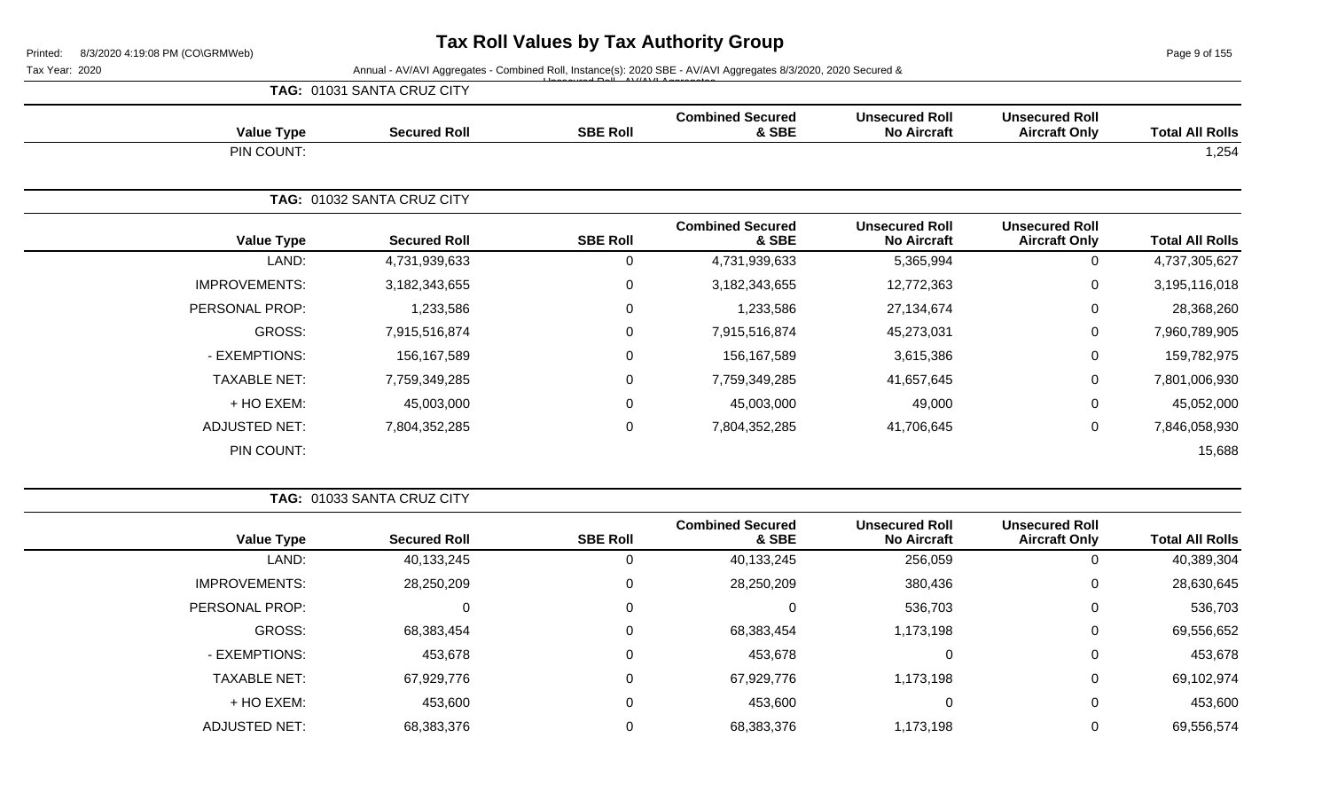Page 9 of 155

Tax Year: 2020 **Annual - AV/AVI Aggregates - Combined Roll, Instance(s): 2020 SBE - AV/AVI Aggregates 8/3/2020, 2020 Secured &** 

|                        |                                               |                                             |                                  | $\overline{A}$ $\overline{D}$ $\overline{A}$ $\overline{A}$ $\overline{A}$ $\overline{A}$ $\overline{A}$ $\overline{A}$ $\overline{A}$ $\overline{A}$ $\overline{A}$ $\overline{A}$ $\overline{A}$ $\overline{A}$ $\overline{A}$ $\overline{A}$ $\overline{A}$ $\overline{A}$ $\overline{A}$ $\overline{A}$ $\overline{A}$ $\overline{A}$ $\overline{A}$ $\overline{A}$ $\overline{$ |                                   |                      |
|------------------------|-----------------------------------------------|---------------------------------------------|----------------------------------|--------------------------------------------------------------------------------------------------------------------------------------------------------------------------------------------------------------------------------------------------------------------------------------------------------------------------------------------------------------------------------------|-----------------------------------|----------------------|
|                        |                                               |                                             |                                  |                                                                                                                                                                                                                                                                                                                                                                                      | <b>TAG: 01031 SANTA CRUZ CITY</b> |                      |
| <b>Total All Rolls</b> | <b>Unsecured Roll</b><br><b>Aircraft Only</b> | <b>Unsecured Roll</b><br><b>No Aircraft</b> | <b>Combined Secured</b><br>& SBE | <b>SBE Roll</b>                                                                                                                                                                                                                                                                                                                                                                      | <b>Secured Roll</b>               | <b>Value Type</b>    |
| 1,254                  |                                               |                                             |                                  |                                                                                                                                                                                                                                                                                                                                                                                      |                                   | PIN COUNT:           |
|                        |                                               |                                             |                                  |                                                                                                                                                                                                                                                                                                                                                                                      | TAG: 01032 SANTA CRUZ CITY        |                      |
| <b>Total All Rolls</b> | <b>Unsecured Roll</b><br><b>Aircraft Only</b> | <b>Unsecured Roll</b><br><b>No Aircraft</b> | <b>Combined Secured</b><br>& SBE | <b>SBE Roll</b>                                                                                                                                                                                                                                                                                                                                                                      | <b>Secured Roll</b>               | <b>Value Type</b>    |
| 4,737,305,627          | 0                                             | 5,365,994                                   | 4,731,939,633                    | $\mathbf 0$                                                                                                                                                                                                                                                                                                                                                                          | 4,731,939,633                     | LAND:                |
| 3,195,116,018          | 0                                             | 12,772,363                                  | 3,182,343,655                    | $\mathbf 0$                                                                                                                                                                                                                                                                                                                                                                          | 3,182,343,655                     | <b>IMPROVEMENTS:</b> |
| 28,368,260             | 0                                             | 27,134,674                                  | 1,233,586                        | $\mathbf 0$                                                                                                                                                                                                                                                                                                                                                                          | 1,233,586                         | PERSONAL PROP:       |
| 7,960,789,905          | 0                                             | 45,273,031                                  | 7,915,516,874                    | $\mathbf 0$                                                                                                                                                                                                                                                                                                                                                                          | 7,915,516,874                     | GROSS:               |
| 159,782,975            | 0                                             | 3,615,386                                   | 156,167,589                      | $\mathbf 0$                                                                                                                                                                                                                                                                                                                                                                          | 156,167,589                       | - EXEMPTIONS:        |
| 7,801,006,930          | 0                                             | 41,657,645                                  | 7,759,349,285                    | $\mathbf 0$                                                                                                                                                                                                                                                                                                                                                                          | 7,759,349,285                     | <b>TAXABLE NET:</b>  |
| 45,052,000             | 0                                             | 49,000                                      | 45,003,000                       | $\mathbf 0$                                                                                                                                                                                                                                                                                                                                                                          | 45,003,000                        | + HO EXEM:           |
| 7,846,058,930          | 0                                             | 41,706,645                                  | 7,804,352,285                    | $\mathbf 0$                                                                                                                                                                                                                                                                                                                                                                          | 7,804,352,285                     | <b>ADJUSTED NET:</b> |
|                        |                                               |                                             |                                  |                                                                                                                                                                                                                                                                                                                                                                                      |                                   |                      |

PIN COUNT: 15,688

**TAG:** 01033 SANTA CRUZ CITY **Value Type Secured Roll SBE Roll Combined Secured & SBE Unsecured Roll No Aircraft Unsecured Roll Total All Rolls** LAND: 40,133,245 0 40,133,245 256,059 0 40,389,304 IMPROVEMENTS: 28,250,209 0 28,250,209 380,436 0 28,630,645 PERSONAL PROP: 0 0 0 536,703 0 536,703 GROSS: 68,383,454 0 68,383,454 1,173,198 0 69,556,652 - EXEMPTIONS: 453,678 0 453,678 0 0 453,678 TAXABLE NET: 67,929,776 0 67,929,776 1,173,198 0 69,102,974 + HO EXEM: 453,600 0 453,600 0 0 453,600 ADJUSTED NET: 68,383,376 0 68,383,376 1,173,198 0 69,556,574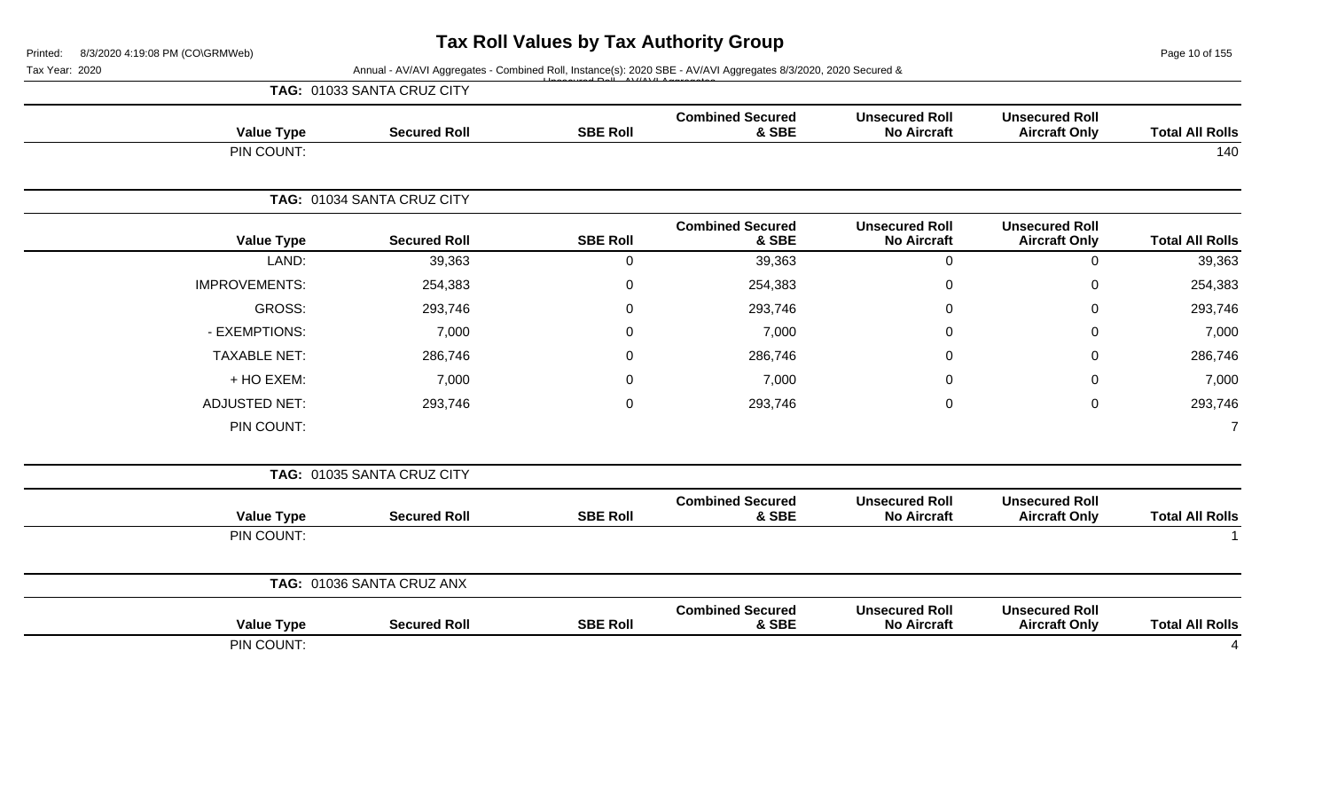Page 10 of 155

#### Tax Year: 2020 **Annual - AV/AVI Aggregates - Combined Roll**, Instance(s): 2020 SBE - AV/AVI Aggregates 8/3/2020, 2020 Secured & Unsecured Roll - AV/AVI Aggregates

|                        |                                               |                                             |                                  |                  | TAG: 01033 SANTA CRUZ CITY |                      |
|------------------------|-----------------------------------------------|---------------------------------------------|----------------------------------|------------------|----------------------------|----------------------|
| <b>Total All Rolls</b> | <b>Unsecured Roll</b><br><b>Aircraft Only</b> | <b>Unsecured Roll</b><br><b>No Aircraft</b> | <b>Combined Secured</b><br>& SBE | <b>SBE Roll</b>  | <b>Secured Roll</b>        | <b>Value Type</b>    |
| 140                    |                                               |                                             |                                  |                  |                            | PIN COUNT:           |
|                        |                                               |                                             |                                  |                  | TAG: 01034 SANTA CRUZ CITY |                      |
| <b>Total All Rolls</b> | <b>Unsecured Roll</b><br><b>Aircraft Only</b> | <b>Unsecured Roll</b><br><b>No Aircraft</b> | <b>Combined Secured</b><br>& SBE | <b>SBE Roll</b>  | <b>Secured Roll</b>        | <b>Value Type</b>    |
| 39,363                 | $\mathbf 0$                                   | $\mathbf 0$                                 | 39,363                           | $\mathbf 0$      | 39,363                     | LAND:                |
| 254,383                | $\boldsymbol{0}$                              | 0                                           | 254,383                          | $\mathbf 0$      | 254,383                    | <b>IMPROVEMENTS:</b> |
| 293,746                | $\pmb{0}$                                     | 0                                           | 293,746                          | $\boldsymbol{0}$ | 293,746                    | <b>GROSS:</b>        |
| 7,000                  | $\boldsymbol{0}$                              | $\Omega$                                    | 7,000                            | 0                | 7,000                      | - EXEMPTIONS:        |
| 286,746                | $\boldsymbol{0}$                              | 0                                           | 286,746                          | $\mathbf 0$      | 286,746                    | <b>TAXABLE NET:</b>  |
| 7,000                  | $\mathbf 0$                                   | $\Omega$                                    | 7,000                            | $\mathbf 0$      | 7,000                      | + HO EXEM:           |
| 293,746                | $\mathbf 0$                                   | 0                                           | 293,746                          | $\mathbf 0$      | 293,746                    | <b>ADJUSTED NET:</b> |
| $\overline{7}$         |                                               |                                             |                                  |                  |                            | PIN COUNT:           |
|                        |                                               |                                             |                                  |                  | TAG: 01035 SANTA CRUZ CITY |                      |
| <b>Total All Rolls</b> | <b>Unsecured Roll</b><br><b>Aircraft Only</b> | <b>Unsecured Roll</b><br><b>No Aircraft</b> | <b>Combined Secured</b><br>& SBE | <b>SBE Roll</b>  | <b>Secured Roll</b>        | <b>Value Type</b>    |
| $\mathbf 1$            |                                               |                                             |                                  |                  |                            | PIN COUNT:           |
|                        |                                               |                                             |                                  |                  | TAG: 01036 SANTA CRUZ ANX  |                      |
| <b>Total All Rolls</b> | <b>Unsecured Roll</b><br><b>Aircraft Only</b> | <b>Unsecured Roll</b><br><b>No Aircraft</b> | <b>Combined Secured</b><br>& SBE | <b>SBE Roll</b>  | <b>Secured Roll</b>        | <b>Value Type</b>    |
| 4                      |                                               |                                             |                                  |                  |                            | PIN COUNT:           |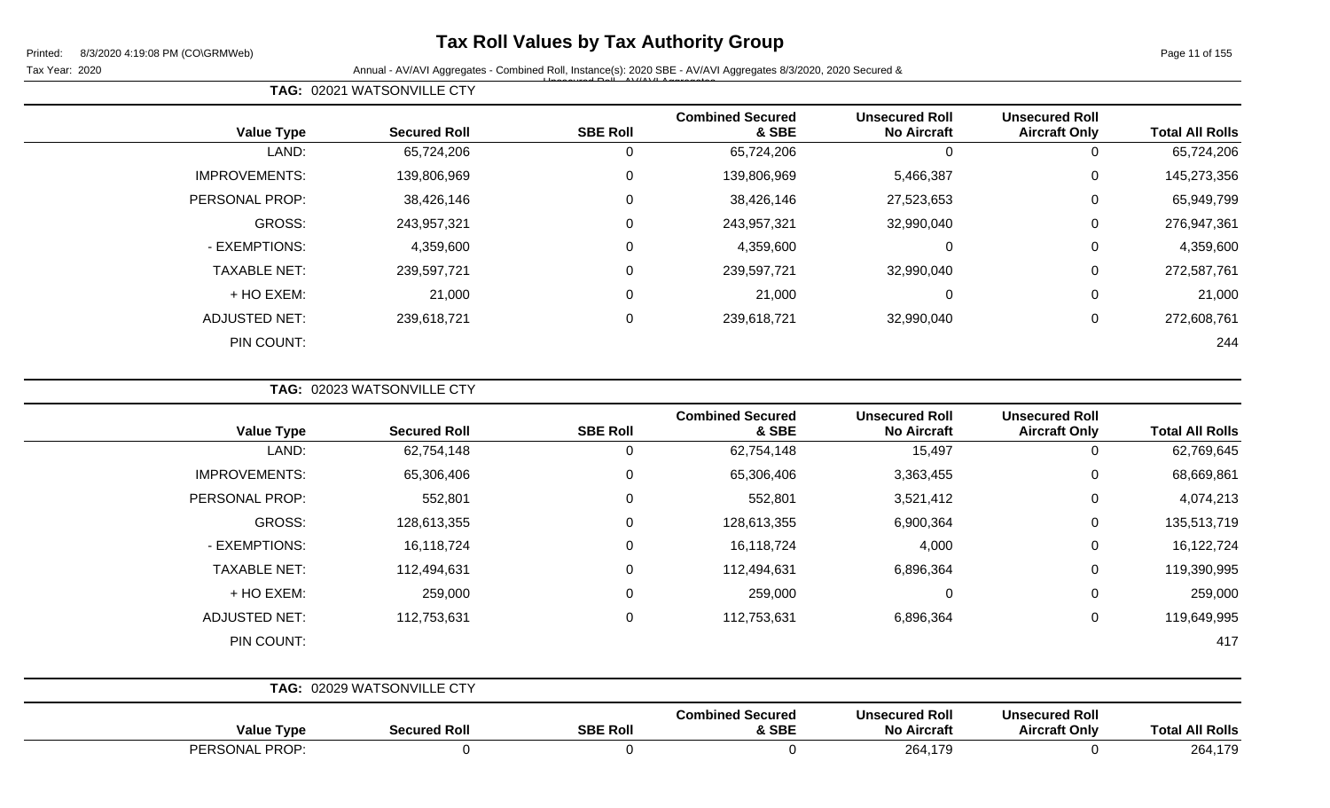## **Tax Roll Values by Tax Authority Group**

Tax Year: 2020 **Annual - AV/AVI Aggregates - Combined Roll, Instance(s): 2020 SBE - AV/AVI Aggregates 8/3/2020, 2020 Secured &** Unsecured Roll - AV/AVI Aggregates

**TAG:** 02021 WATSONVILLE CTY

| <b>Value Type</b>    | <b>Secured Roll</b> | <b>SBE Roll</b> | <b>Combined Secured</b><br>& SBE | <b>Unsecured Roll</b><br><b>No Aircraft</b> | <b>Unsecured Roll</b><br><b>Aircraft Only</b> | <b>Total All Rolls</b> |
|----------------------|---------------------|-----------------|----------------------------------|---------------------------------------------|-----------------------------------------------|------------------------|
| LAND:                | 65,724,206          | 0               | 65,724,206                       | 0                                           | 0                                             | 65,724,206             |
| <b>IMPROVEMENTS:</b> | 139,806,969         | $\mathbf 0$     | 139,806,969                      | 5,466,387                                   | $\mathbf 0$                                   | 145,273,356            |
| PERSONAL PROP:       | 38,426,146          | 0               | 38,426,146                       | 27,523,653                                  | 0                                             | 65,949,799             |
| GROSS:               | 243,957,321         | 0               | 243,957,321                      | 32,990,040                                  | $\mathbf 0$                                   | 276,947,361            |
| - EXEMPTIONS:        | 4,359,600           | 0               | 4,359,600                        | 0                                           | 0                                             | 4,359,600              |
| <b>TAXABLE NET:</b>  | 239,597,721         | $\mathbf{0}$    | 239,597,721                      | 32,990,040                                  | $\mathbf 0$                                   | 272,587,761            |
| + HO EXEM:           | 21,000              | 0               | 21,000                           | 0                                           | $\mathbf 0$                                   | 21,000                 |
| <b>ADJUSTED NET:</b> | 239,618,721         | 0               | 239,618,721                      | 32,990,040                                  | $\mathbf 0$                                   | 272,608,761            |
| PIN COUNT:           |                     |                 |                                  |                                             |                                               | 244                    |

**TAG:** 02023 WATSONVILLE CTY

| <b>Value Type</b>    | <b>Secured Roll</b>        | <b>SBE Roll</b> | <b>Combined Secured</b><br>& SBE | <b>Unsecured Roll</b><br><b>No Aircraft</b> | <b>Unsecured Roll</b><br><b>Aircraft Only</b> | <b>Total All Rolls</b> |
|----------------------|----------------------------|-----------------|----------------------------------|---------------------------------------------|-----------------------------------------------|------------------------|
| LAND:                | 62,754,148                 | 0               | 62,754,148                       | 15,497                                      | 0                                             | 62,769,645             |
| <b>IMPROVEMENTS:</b> | 65,306,406                 | $\mathbf 0$     | 65,306,406                       | 3,363,455                                   | 0                                             | 68,669,861             |
| PERSONAL PROP:       | 552,801                    | $\mathbf 0$     | 552,801                          | 3,521,412                                   | 0                                             | 4,074,213              |
| GROSS:               | 128,613,355                | $\mathbf 0$     | 128,613,355                      | 6,900,364                                   | 0                                             | 135,513,719            |
| - EXEMPTIONS:        | 16,118,724                 | $\mathbf 0$     | 16,118,724                       | 4,000                                       | 0                                             | 16,122,724             |
| <b>TAXABLE NET:</b>  | 112,494,631                | $\mathbf 0$     | 112,494,631                      | 6,896,364                                   | 0                                             | 119,390,995            |
| + HO EXEM:           | 259,000                    | $\mathbf 0$     | 259,000                          | $\mathbf 0$                                 | 0                                             | 259,000                |
| <b>ADJUSTED NET:</b> | 112,753,631                | $\mathbf 0$     | 112,753,631                      | 6,896,364                                   | $\mathbf 0$                                   | 119,649,995            |
| PIN COUNT:           |                            |                 |                                  |                                             |                                               | 417                    |
|                      |                            |                 |                                  |                                             |                                               |                        |
|                      | TAG: 02029 WATSONWILLE CTV |                 |                                  |                                             |                                               |                        |

|                   | <b>IAG.</b> UZUZU WATOONVILLE OTT |                 |                                  |                                             |                                               |                        |
|-------------------|-----------------------------------|-----------------|----------------------------------|---------------------------------------------|-----------------------------------------------|------------------------|
| <b>Value Type</b> | <b>Secured Roll</b>               | <b>SBE Roll</b> | <b>Combined Secured</b><br>& SBE | <b>Unsecured Roll</b><br><b>No Aircraft</b> | <b>Unsecured Roll</b><br><b>Aircraft Only</b> | <b>Total All Rolls</b> |
| PROP:<br>PERSONAL |                                   |                 |                                  | 264,179                                     |                                               | 264,179                |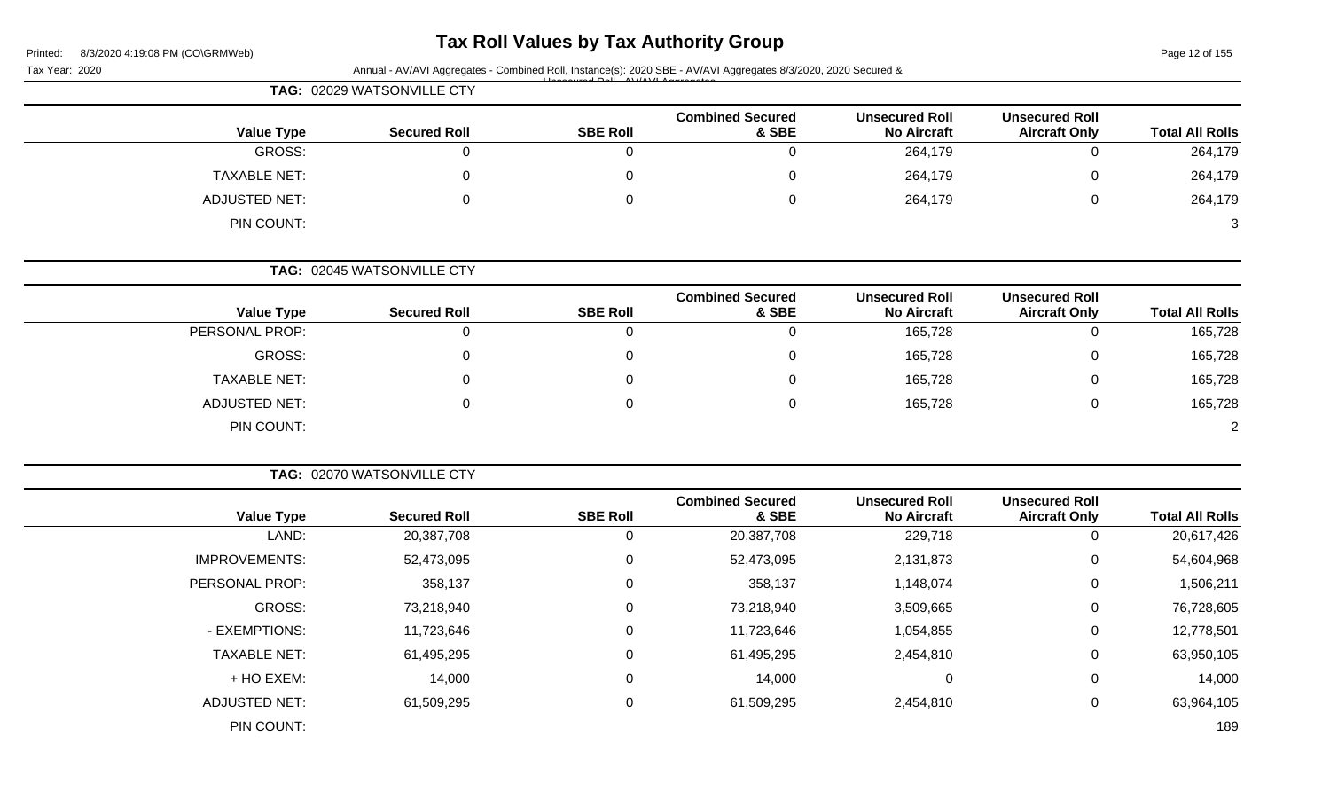## **Tax Roll Values by Tax Authority Group**

Page 12 of 155

Tax Year: 2020 **Annual - AV/AVI Aggregates - Combined Roll**, Instance(s): 2020 SBE - AV/AVI Aggregates 8/3/2020, 2020 Secured & Unsecured Roll - AV/AVI Aggregates

|                      | TAG: 02029 WATSONVILLE CTY |                 |                                  |                                             |                                               |                        |
|----------------------|----------------------------|-----------------|----------------------------------|---------------------------------------------|-----------------------------------------------|------------------------|
| <b>Value Type</b>    | <b>Secured Roll</b>        | <b>SBE Roll</b> | <b>Combined Secured</b><br>& SBE | <b>Unsecured Roll</b><br><b>No Aircraft</b> | <b>Unsecured Roll</b><br><b>Aircraft Only</b> | <b>Total All Rolls</b> |
| GROSS:               |                            |                 |                                  | 264,179                                     | $\overline{0}$                                | 264,179                |
| <b>TAXABLE NET:</b>  |                            |                 |                                  | 264,179                                     | 0                                             | 264,179                |
| <b>ADJUSTED NET:</b> | $\mathbf{0}$               |                 | 0                                | 264,179                                     | 0                                             | 264,179                |
| PIN COUNT:           |                            |                 |                                  |                                             |                                               | 3                      |

**TAG:** 02045 WATSONVILLE CTY

| <b>Value Type</b>    | <b>Secured Roll</b> | <b>SBE Roll</b> | <b>Combined Secured</b><br>& SBE | <b>Unsecured Roll</b><br><b>No Aircraft</b> | <b>Unsecured Roll</b><br><b>Aircraft Only</b> | <b>Total All Rolls</b> |
|----------------------|---------------------|-----------------|----------------------------------|---------------------------------------------|-----------------------------------------------|------------------------|
| PERSONAL PROP:       |                     |                 |                                  | 165,728                                     |                                               | 165,728                |
| GROSS:               |                     |                 |                                  | 165,728                                     |                                               | 165,728                |
| <b>TAXABLE NET:</b>  |                     |                 |                                  | 165,728                                     |                                               | 165,728                |
| <b>ADJUSTED NET:</b> |                     |                 |                                  | 165,728                                     |                                               | 165,728                |
| PIN COUNT:           |                     |                 |                                  |                                             |                                               | $\overline{2}$         |

|                        |                                               |                                             |                                  |                 | TAG: 02070 WATSONVILLE CTY |                      |
|------------------------|-----------------------------------------------|---------------------------------------------|----------------------------------|-----------------|----------------------------|----------------------|
| <b>Total All Rolls</b> | <b>Unsecured Roll</b><br><b>Aircraft Only</b> | <b>Unsecured Roll</b><br><b>No Aircraft</b> | <b>Combined Secured</b><br>& SBE | <b>SBE Roll</b> | <b>Secured Roll</b>        | <b>Value Type</b>    |
| 20,617,426             | 0                                             | 229,718                                     | 20,387,708                       | 0               | 20,387,708                 | LAND:                |
| 54,604,968             | 0                                             | 2,131,873                                   | 52,473,095                       | 0               | 52,473,095                 | <b>IMPROVEMENTS:</b> |
| 1,506,211              | 0                                             | 1,148,074                                   | 358,137                          | 0               | 358,137                    | PERSONAL PROP:       |
| 76,728,605             | $\mathbf 0$                                   | 3,509,665                                   | 73,218,940                       | 0               | 73,218,940                 | GROSS:               |
| 12,778,501             | 0                                             | 1,054,855                                   | 11,723,646                       | 0               | 11,723,646                 | - EXEMPTIONS:        |
| 63,950,105             | $\mathbf{0}$                                  | 2,454,810                                   | 61,495,295                       | 0               | 61,495,295                 | <b>TAXABLE NET:</b>  |
| 14,000                 | 0                                             | 0                                           | 14,000                           | 0               | 14,000                     | + HO EXEM:           |
| 63,964,105             | 0                                             | 2,454,810                                   | 61,509,295                       | 0               | 61,509,295                 | <b>ADJUSTED NET:</b> |
| 189                    |                                               |                                             |                                  |                 |                            | PIN COUNT:           |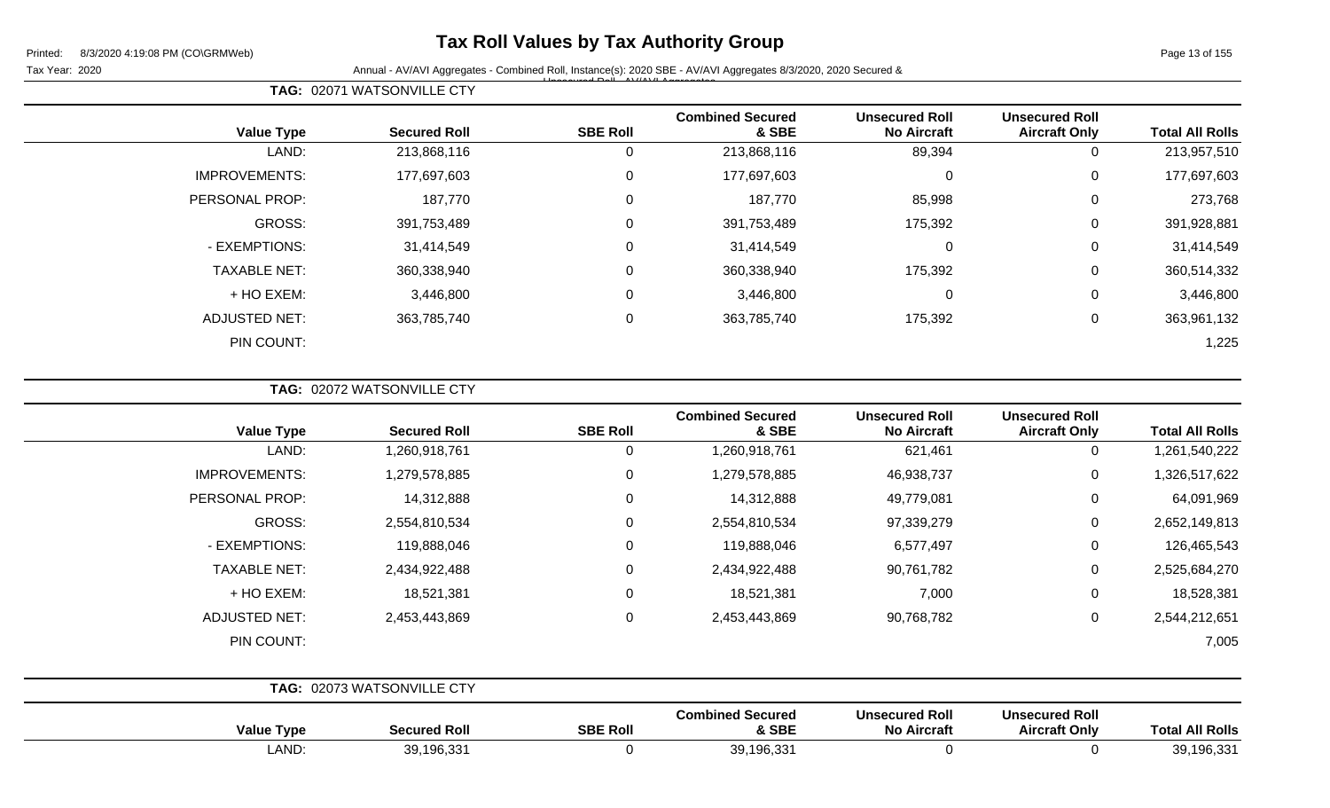## **Tax Roll Values by Tax Authority Group**

 $\overline{\phantom{0}}$ 

Tax Year: 2020 **Annual - AV/AVI Aggregates - Combined Roll**, Instance(s): 2020 SBE - AV/AVI Aggregates 8/3/2020, 2020 Secured & Unsecured Roll - AV/AVI Aggregates

Page 13 of 155

|  | <b>TAG: 02071 WATSONVILLE CTY</b> |  |
|--|-----------------------------------|--|
|--|-----------------------------------|--|

| <b>Value Type</b>    | <b>Secured Roll</b> | <b>SBE Roll</b> | <b>Combined Secured</b><br>& SBE | <b>Unsecured Roll</b><br><b>No Aircraft</b> | <b>Unsecured Roll</b><br><b>Aircraft Only</b> | <b>Total All Rolls</b> |
|----------------------|---------------------|-----------------|----------------------------------|---------------------------------------------|-----------------------------------------------|------------------------|
| LAND:                | 213,868,116         | υ               | 213,868,116                      | 89,394                                      | 0                                             | 213,957,510            |
| <b>IMPROVEMENTS:</b> | 177,697,603         | $\Omega$        | 177,697,603                      | $\mathbf 0$                                 | 0                                             | 177,697,603            |
| PERSONAL PROP:       | 187,770             | $\Omega$        | 187,770                          | 85,998                                      | 0                                             | 273,768                |
| GROSS:               | 391,753,489         | $\Omega$        | 391,753,489                      | 175,392                                     | $\Omega$                                      | 391,928,881            |
| - EXEMPTIONS:        | 31,414,549          | $\Omega$        | 31,414,549                       | 0                                           | 0                                             | 31,414,549             |
| <b>TAXABLE NET:</b>  | 360,338,940         | $\Omega$        | 360,338,940                      | 175,392                                     | 0                                             | 360,514,332            |
| + HO EXEM:           | 3,446,800           | $\Omega$        | 3,446,800                        | 0                                           | 0                                             | 3,446,800              |
| <b>ADJUSTED NET:</b> | 363,785,740         | $\Omega$        | 363,785,740                      | 175,392                                     | $\Omega$                                      | 363,961,132            |
| PIN COUNT:           |                     |                 |                                  |                                             |                                               | 1,225                  |

**TAG:** 02072 WATSONVILLE CTY

| <b>Value Type</b>    | <b>Secured Roll</b> | <b>SBE Roll</b> | <b>Combined Secured</b><br>& SBE | <b>Unsecured Roll</b><br><b>No Aircraft</b> | <b>Unsecured Roll</b><br><b>Aircraft Only</b> | <b>Total All Rolls</b> |
|----------------------|---------------------|-----------------|----------------------------------|---------------------------------------------|-----------------------------------------------|------------------------|
| LAND:                | 1,260,918,761       | 0               | 1,260,918,761                    | 621,461                                     | $\mathbf{0}$                                  | 1,261,540,222          |
| <b>IMPROVEMENTS:</b> | 1,279,578,885       | 0               | 1,279,578,885                    | 46,938,737                                  | 0                                             | 1,326,517,622          |
| PERSONAL PROP:       | 14,312,888          | $\Omega$        | 14,312,888                       | 49,779,081                                  | 0                                             | 64,091,969             |
| <b>GROSS:</b>        | 2,554,810,534       | $\Omega$        | 2,554,810,534                    | 97,339,279                                  | 0                                             | 2,652,149,813          |
| - EXEMPTIONS:        | 119,888,046         | 0               | 119,888,046                      | 6,577,497                                   | 0                                             | 126,465,543            |
| <b>TAXABLE NET:</b>  | 2,434,922,488       | $\Omega$        | 2,434,922,488                    | 90,761,782                                  | $\mathbf 0$                                   | 2,525,684,270          |
| + HO EXEM:           | 18,521,381          | $\Omega$        | 18,521,381                       | 7,000                                       | $\overline{0}$                                | 18,528,381             |
| <b>ADJUSTED NET:</b> | 2,453,443,869       | 0               | 2,453,443,869                    | 90,768,782                                  | 0                                             | 2,544,212,651          |
| PIN COUNT:           |                     |                 |                                  |                                             |                                               | 7,005                  |

|                   | TAG: 02073 WATSONVILLE CTY |                                        |                                  |                                             |                                               |                        |
|-------------------|----------------------------|----------------------------------------|----------------------------------|---------------------------------------------|-----------------------------------------------|------------------------|
| <b>Value Type</b> |                            | <b>SBE Roll</b><br><b>Secured Roll</b> | <b>Combined Secured</b><br>& SBE | <b>Unsecured Roll</b><br><b>No Aircraft</b> | <b>Unsecured Roll</b><br><b>Aircraft Only</b> | <b>Total All Rolls</b> |
|                   | LAND:                      | 39,196,331                             | 39,196,331                       |                                             |                                               | 39,196,331             |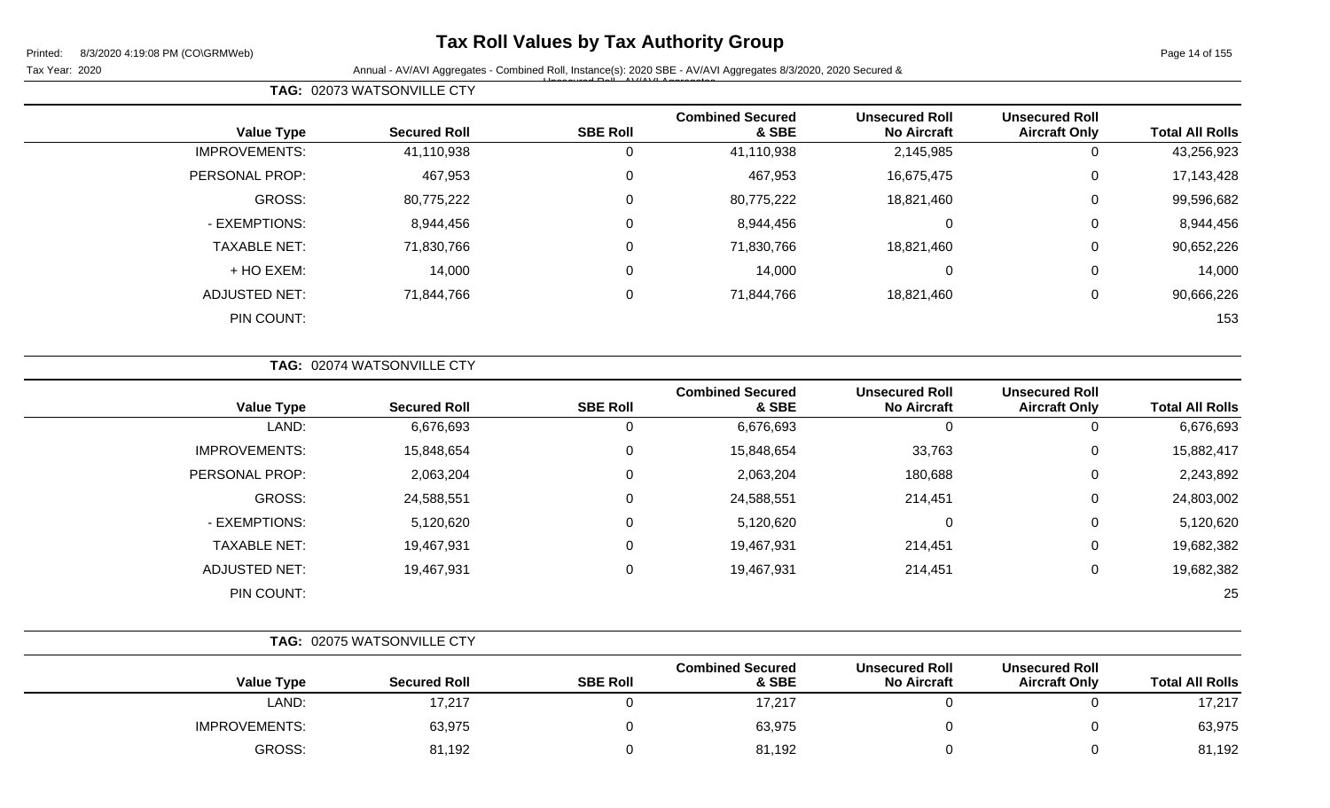## **Tax Roll Values by Tax Authority Group**

Page 14 of 155

Tax Year: 2020 **Annual - AV/AVI Aggregates - Combined Roll**, Instance(s): 2020 SBE - AV/AVI Aggregates 8/3/2020, 2020 Secured & Unsecured Roll - AV/AVI Aggregates

| <b>Unsecured Roll</b> | <b>Unsecured Roll</b> | <b>Combined Secured</b> |          |                 | <b>Value Type</b>    |
|-----------------------|-----------------------|-------------------------|----------|-----------------|----------------------|
| 0                     | 2,145,985             | 41,110,938              |          | 41,110,938      | <b>IMPROVEMENTS:</b> |
| $\mathbf 0$           | 16,675,475            | 467,953                 | 0        | 467,953         | PERSONAL PROP:       |
| 0                     | 18,821,460            | 80,775,222              | $\Omega$ | 80,775,222      | GROSS:               |
| 0                     | 0                     | 8,944,456               | 0        | 8,944,456       | - EXEMPTIONS:        |
| 0                     | 18,821,460            | 71,830,766              |          | 71,830,766      | <b>TAXABLE NET:</b>  |
| $\mathbf 0$           | 0                     | 14,000                  | $\Omega$ | 14,000          | + HO EXEM:           |
| 0                     | 18,821,460            | 71,844,766              | 0        | 71,844,766      | <b>ADJUSTED NET:</b> |
|                       |                       |                         |          |                 | PIN COUNT:           |
|                       | <b>Aircraft Only</b>  | <b>No Aircraft</b>      | & SBE    | <b>SBE Roll</b> | <b>Secured Roll</b>  |

|  |  | <b>TAG: 02074 WATSONVILLE CTY</b> |
|--|--|-----------------------------------|
|--|--|-----------------------------------|

**TAG:** 02073 WATSONVILLE CTY

|                      |                     |                 | <b>Combined Secured</b> | <b>Unsecured Roll</b> | <b>Unsecured Roll</b> |                        |
|----------------------|---------------------|-----------------|-------------------------|-----------------------|-----------------------|------------------------|
| <b>Value Type</b>    | <b>Secured Roll</b> | <b>SBE Roll</b> | & SBE                   | <b>No Aircraft</b>    | <b>Aircraft Only</b>  | <b>Total All Rolls</b> |
| LAND:                | 6,676,693           | 0               | 6,676,693               | 0                     | υ                     | 6,676,693              |
| <b>IMPROVEMENTS:</b> | 15,848,654          | 0               | 15,848,654              | 33,763                | 0                     | 15,882,417             |
| PERSONAL PROP:       | 2,063,204           | 0               | 2,063,204               | 180,688               | 0                     | 2,243,892              |
| <b>GROSS:</b>        | 24,588,551          | $\mathbf 0$     | 24,588,551              | 214,451               | 0                     | 24,803,002             |
| - EXEMPTIONS:        | 5,120,620           | 0               | 5,120,620               | 0                     | 0                     | 5,120,620              |
| <b>TAXABLE NET:</b>  | 19,467,931          | $\mathbf 0$     | 19,467,931              | 214,451               | 0                     | 19,682,382             |
| <b>ADJUSTED NET:</b> | 19,467,931          | 0               | 19,467,931              | 214,451               | 0                     | 19,682,382             |
| PIN COUNT:           |                     |                 |                         |                       |                       | 25                     |
|                      |                     |                 |                         |                       |                       |                        |

|                      | TAG: 02075 WATSONVILLE CTY |                 |                                  |                                             |                                               |                        |
|----------------------|----------------------------|-----------------|----------------------------------|---------------------------------------------|-----------------------------------------------|------------------------|
| <b>Value Type</b>    | <b>Secured Roll</b>        | <b>SBE Roll</b> | <b>Combined Secured</b><br>& SBE | <b>Unsecured Roll</b><br><b>No Aircraft</b> | <b>Unsecured Roll</b><br><b>Aircraft Only</b> | <b>Total All Rolls</b> |
| LAND:                | 17,217                     |                 | 17,217                           |                                             |                                               | 17,217                 |
| <b>IMPROVEMENTS:</b> | 63,975                     |                 | 63,975                           |                                             |                                               | 63,975                 |
| GROSS:               | 81,192                     |                 | 81,192                           |                                             |                                               | 81,192                 |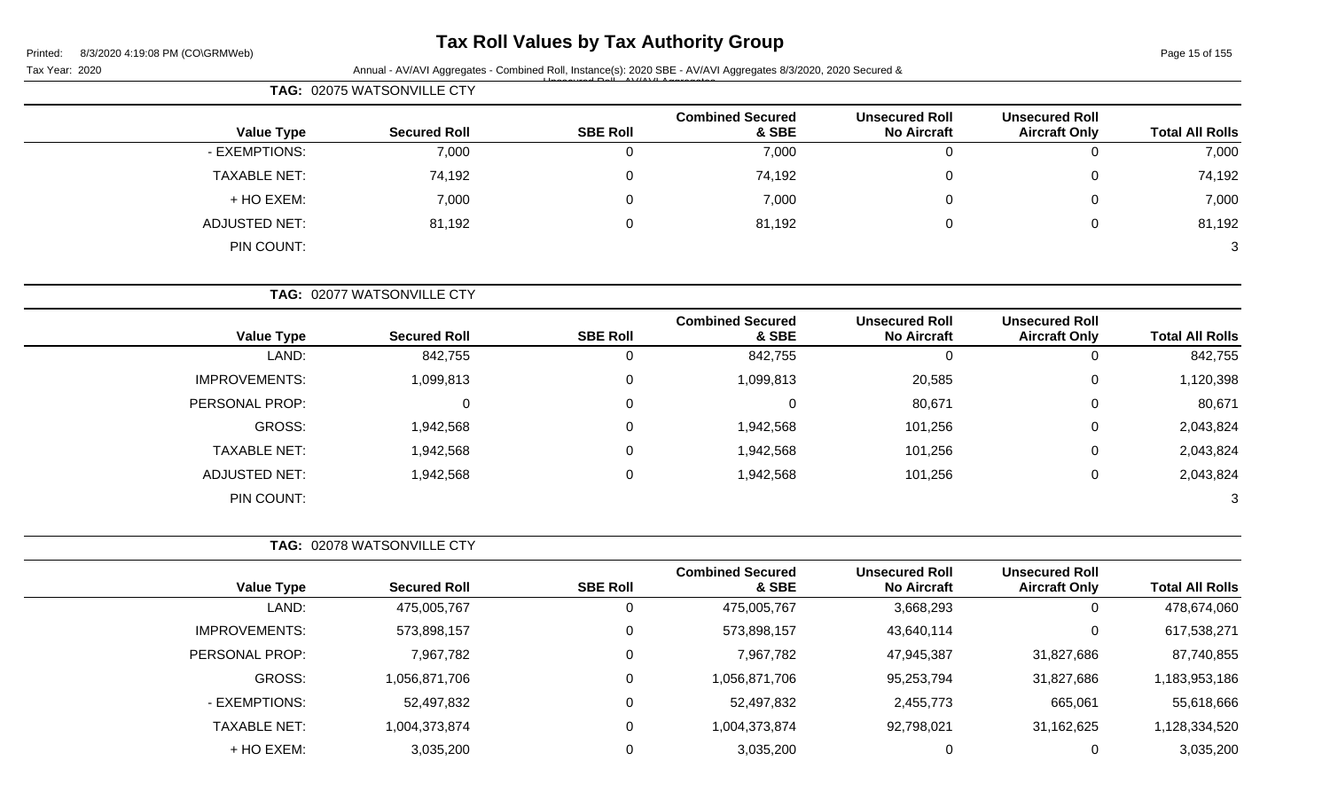# **Tax Roll Values by Tax Authority Group**

Page 15 of 155

|                        |                                               |                                             |                                  |                 | TAG: 02075 WATSONVILLE CTY |                      |
|------------------------|-----------------------------------------------|---------------------------------------------|----------------------------------|-----------------|----------------------------|----------------------|
| <b>Total All Rolls</b> | <b>Unsecured Roll</b><br><b>Aircraft Only</b> | <b>Unsecured Roll</b><br><b>No Aircraft</b> | <b>Combined Secured</b><br>& SBE | <b>SBE Roll</b> | <b>Secured Roll</b>        | <b>Value Type</b>    |
| 7,000                  | 0                                             | $\mathbf 0$                                 | 7,000                            | $\mathbf 0$     | 7,000                      | - EXEMPTIONS:        |
| 74,192                 | 0                                             | $\Omega$                                    | 74,192                           | 0               | 74,192                     | <b>TAXABLE NET:</b>  |
| 7,000                  | 0                                             | 0                                           | 7,000                            | 0               | 7,000                      | + HO EXEM:           |
| 81,192                 | 0                                             | $\Omega$                                    | 81,192                           | 0               | 81,192                     | <b>ADJUSTED NET:</b> |
| 3                      |                                               |                                             |                                  |                 |                            | PIN COUNT:           |
|                        |                                               |                                             |                                  |                 | TAG: 02077 WATSONVILLE CTY |                      |
| <b>Total All Rolls</b> | <b>Unsecured Roll</b><br><b>Aircraft Only</b> | <b>Unsecured Roll</b><br><b>No Aircraft</b> | <b>Combined Secured</b><br>& SBE | <b>SBE Roll</b> | <b>Secured Roll</b>        | <b>Value Type</b>    |
| 842,755                | 0                                             | $\mathbf 0$                                 | 842,755                          | $\mathbf 0$     | 842,755                    | LAND:                |
| 1,120,398              | 0                                             | 20,585                                      | 1,099,813                        | 0               | 1,099,813                  | <b>IMPROVEMENTS:</b> |
| 80,671                 | 0                                             | 80,671                                      | 0                                | 0               | 0                          | PERSONAL PROP:       |
| 2,043,824              | 0                                             | 101,256                                     | 1,942,568                        | 0               | 1,942,568                  | <b>GROSS:</b>        |
| 2,043,824              | 0                                             | 101,256                                     | 1,942,568                        | 0               | 1,942,568                  | <b>TAXABLE NET:</b>  |
| 2,043,824              | 0                                             | 101,256                                     | 1,942,568                        | $\mathbf 0$     | 1,942,568                  | <b>ADJUSTED NET:</b> |
| 3                      |                                               |                                             |                                  |                 |                            | PIN COUNT:           |
|                        |                                               |                                             |                                  |                 | TAG: 02078 WATSONVILLE CTY |                      |
| <b>Total All Rolls</b> | <b>Unsecured Roll</b><br><b>Aircraft Only</b> | <b>Unsecured Roll</b><br><b>No Aircraft</b> | <b>Combined Secured</b><br>& SBE | <b>SBE Roll</b> | <b>Secured Roll</b>        | <b>Value Type</b>    |
| 478,674,060            | 0                                             | 3,668,293                                   | 475,005,767                      | 0               | 475,005,767                | LAND:                |
| 617,538,271            | 0                                             | 43,640,114                                  | 573,898,157                      | 0               | 573,898,157                | <b>IMPROVEMENTS:</b> |
| 87,740,855             | 31,827,686                                    | 47,945,387                                  | 7,967,782                        | $\mathbf 0$     | 7,967,782                  | PERSONAL PROP:       |
| 1,183,953,186          | 31,827,686                                    | 95,253,794                                  | 1,056,871,706                    | 0               | 1,056,871,706              | GROSS:               |
| 55,618,666             | 665,061                                       | 2,455,773                                   | 52,497,832                       | 0               | 52,497,832                 | - EXEMPTIONS:        |
| 1,128,334,520          | 31,162,625                                    | 92,798,021                                  | 1,004,373,874                    | 0               | 1,004,373,874              | <b>TAXABLE NET:</b>  |
| 3,035,200              | $\pmb{0}$                                     | $\overline{0}$                              | 3,035,200                        | 0               | 3,035,200                  | + HO EXEM:           |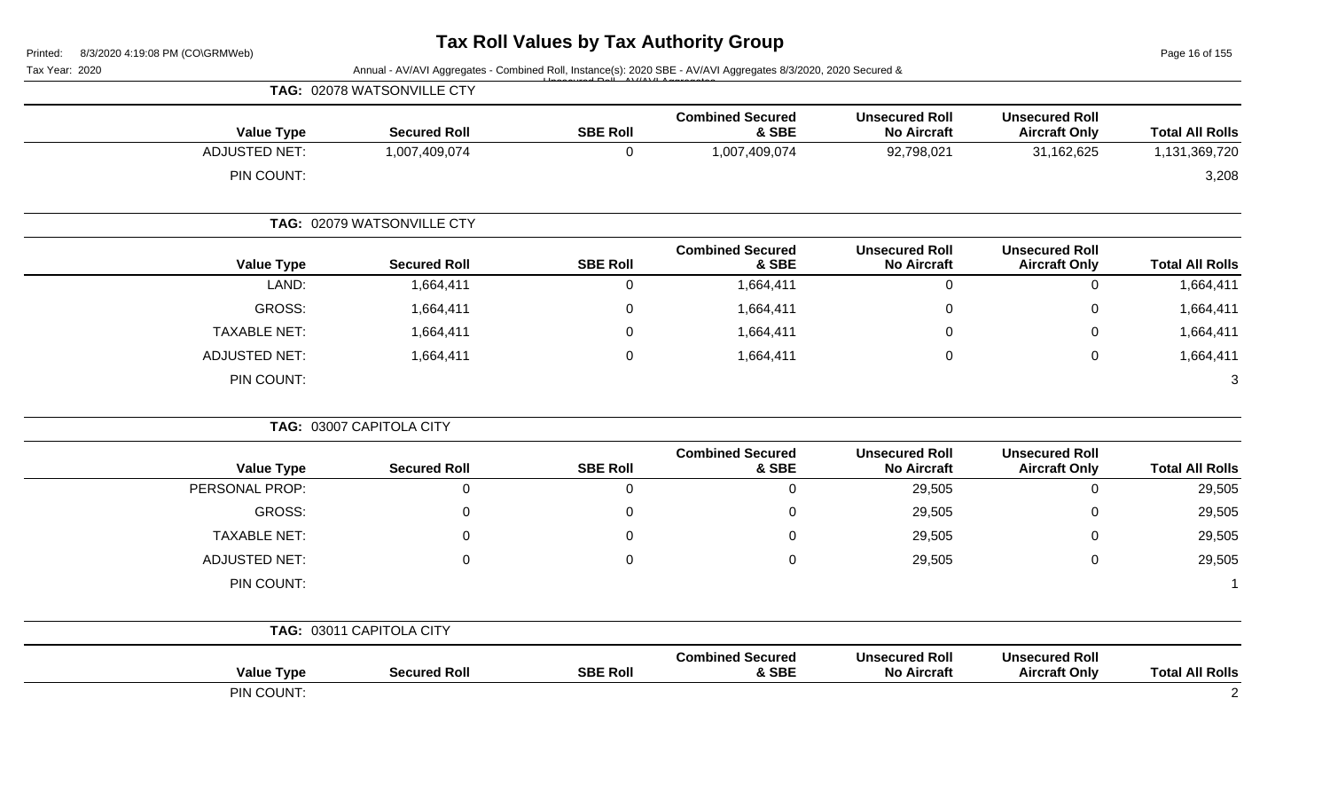Page 16 of 155

| Tax Year: 2020       |                            |                 | Annual - AV/AVI Aggregates - Combined Roll, Instance(s): 2020 SBE - AV/AVI Aggregates 8/3/2020, 2020 Secured & |                                             |                                               |                        |
|----------------------|----------------------------|-----------------|----------------------------------------------------------------------------------------------------------------|---------------------------------------------|-----------------------------------------------|------------------------|
|                      | TAG: 02078 WATSONVILLE CTY |                 |                                                                                                                |                                             |                                               |                        |
| <b>Value Type</b>    | <b>Secured Roll</b>        | <b>SBE Roll</b> | <b>Combined Secured</b><br>& SBE                                                                               | <b>Unsecured Roll</b><br><b>No Aircraft</b> | <b>Unsecured Roll</b><br><b>Aircraft Only</b> | <b>Total All Rolls</b> |
| <b>ADJUSTED NET:</b> | 1,007,409,074              | $\mathbf 0$     | 1,007,409,074                                                                                                  | 92,798,021                                  | 31,162,625                                    | 1,131,369,720          |
| PIN COUNT:           |                            |                 |                                                                                                                |                                             |                                               | 3,208                  |
|                      | TAG: 02079 WATSONVILLE CTY |                 |                                                                                                                |                                             |                                               |                        |
| <b>Value Type</b>    | <b>Secured Roll</b>        | <b>SBE Roll</b> | <b>Combined Secured</b><br>& SBE                                                                               | <b>Unsecured Roll</b><br><b>No Aircraft</b> | <b>Unsecured Roll</b><br><b>Aircraft Only</b> | <b>Total All Rolls</b> |
| LAND:                | 1,664,411                  | $\mathbf 0$     | 1,664,411                                                                                                      | $\mathbf 0$                                 | $\mathbf 0$                                   | 1,664,411              |
| <b>GROSS:</b>        | 1,664,411                  | 0               | 1,664,411                                                                                                      | $\mathbf 0$                                 | 0                                             | 1,664,411              |
| <b>TAXABLE NET:</b>  | 1,664,411                  | $\Omega$        | 1,664,411                                                                                                      | 0                                           | 0                                             | 1,664,411              |
| <b>ADJUSTED NET:</b> | 1,664,411                  | $\mathbf 0$     | 1,664,411                                                                                                      | $\mathbf 0$                                 | $\mathbf 0$                                   | 1,664,411              |
| PIN COUNT:           |                            |                 |                                                                                                                |                                             |                                               | 3                      |
|                      | TAG: 03007 CAPITOLA CITY   |                 |                                                                                                                |                                             |                                               |                        |
| <b>Value Type</b>    | <b>Secured Roll</b>        | <b>SBE Roll</b> | <b>Combined Secured</b><br>& SBE                                                                               | <b>Unsecured Roll</b><br><b>No Aircraft</b> | <b>Unsecured Roll</b><br><b>Aircraft Only</b> | <b>Total All Rolls</b> |
| PERSONAL PROP:       | $\mathbf 0$                | $\Omega$        | 0                                                                                                              | 29,505                                      | $\mathbf 0$                                   | 29,505                 |
| <b>GROSS:</b>        | $\Omega$                   | $\Omega$        | 0                                                                                                              | 29,505                                      | 0                                             | 29,505                 |
| <b>TAXABLE NET:</b>  | $\Omega$                   | $\Omega$        | 0                                                                                                              | 29,505                                      | 0                                             | 29,505                 |
| <b>ADJUSTED NET:</b> | $\Omega$                   | 0               | 0                                                                                                              | 29,505                                      | 0                                             | 29,505                 |
| PIN COUNT:           |                            |                 |                                                                                                                |                                             |                                               | -1                     |
|                      | TAG: 03011 CAPITOLA CITY   |                 |                                                                                                                |                                             |                                               |                        |
| <b>Value Type</b>    | <b>Secured Roll</b>        | <b>SBE Roll</b> | <b>Combined Secured</b><br>& SBE                                                                               | <b>Unsecured Roll</b><br><b>No Aircraft</b> | <b>Unsecured Roll</b><br><b>Aircraft Only</b> | <b>Total All Rolls</b> |
| PIN COUNT:           |                            |                 |                                                                                                                |                                             |                                               | 2                      |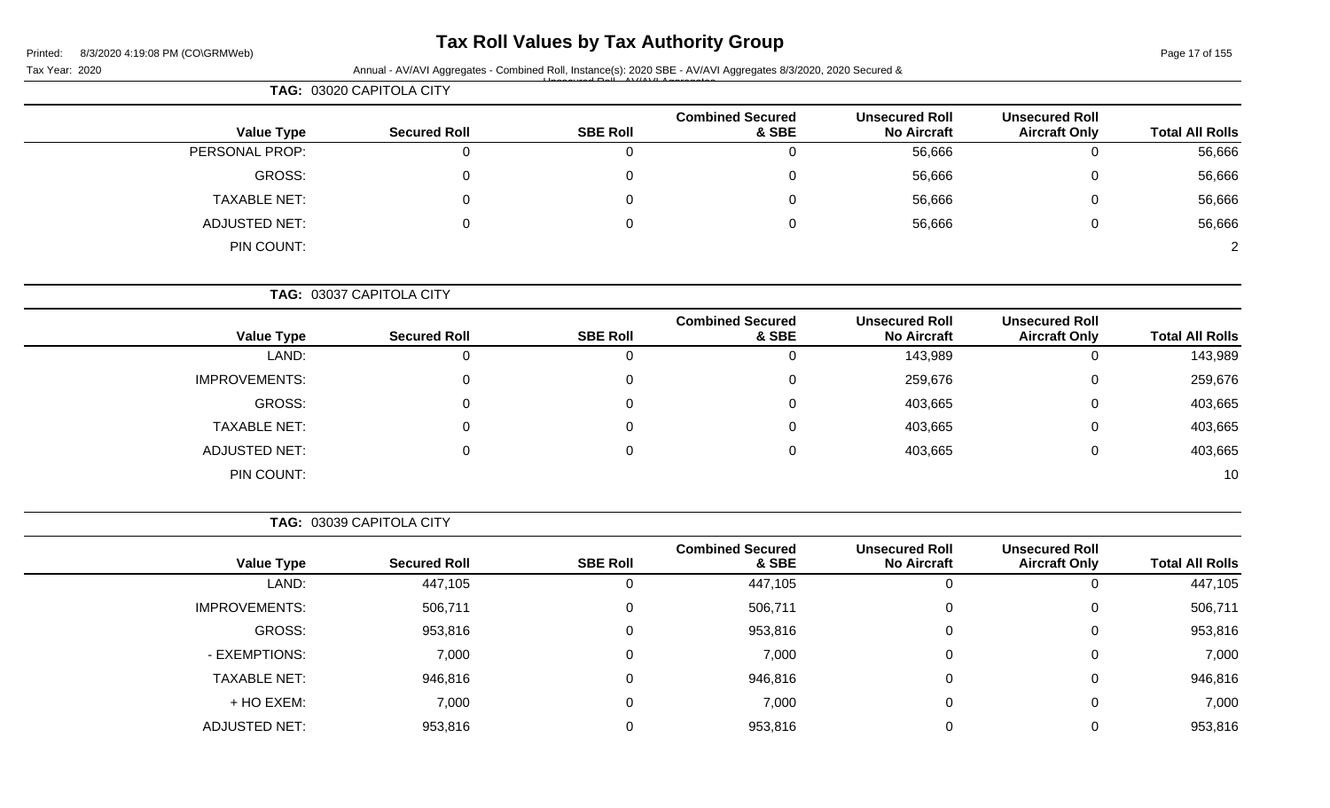## **Tax Roll Values by Tax Authority Group**

## Tax Year: 2020 **Annual - AV/AVI Aggregates - Combined Roll**, Instance(s): 2020 SBE - AV/AVI Aggregates 8/3/2020, 2020 Secured &

| <b>Total All Rolls</b> | <b>Unsecured Roll</b><br><b>Aircraft Only</b> | <b>Unsecured Roll</b><br><b>No Aircraft</b> | <b>Combined Secured</b><br>& SBE | <b>SBE Roll</b> | <b>Secured Roll</b> | <b>Value Type</b>    |
|------------------------|-----------------------------------------------|---------------------------------------------|----------------------------------|-----------------|---------------------|----------------------|
| 56,666                 |                                               | 56,666                                      | 0                                |                 | 0                   | PERSONAL PROP:       |
| 56,666                 | 0                                             | 56,666                                      | 0                                | 0               | 0                   | GROSS:               |
| 56,666                 | 0                                             | 56,666                                      | $\Omega$                         | 0               | $\overline{0}$      | TAXABLE NET:         |
| 56,666                 | 0                                             | 56,666                                      | $\Omega$                         |                 | 0                   | <b>ADJUSTED NET:</b> |
|                        |                                               |                                             |                                  |                 |                     | PIN COUNT:           |

|                      |                     |                 | <b>Combined Secured</b> | <b>Unsecured Roll</b> | <b>Unsecured Roll</b> |                        |
|----------------------|---------------------|-----------------|-------------------------|-----------------------|-----------------------|------------------------|
| <b>Value Type</b>    | <b>Secured Roll</b> | <b>SBE Roll</b> | & SBE                   | <b>No Aircraft</b>    | <b>Aircraft Only</b>  | <b>Total All Rolls</b> |
| LAND:                | 0                   | 0               | 0                       | 143,989               | 0                     | 143,989                |
| <b>IMPROVEMENTS:</b> |                     |                 | 0                       | 259,676               | 0                     | 259,676                |
| GROSS:               | 0                   | 0               | 0                       | 403,665               | 0                     | 403,665                |
| <b>TAXABLE NET:</b>  | 0                   | 0               | 0                       | 403,665               | 0                     | 403,665                |
| <b>ADJUSTED NET:</b> |                     | 0               | 0                       | 403,665               | 0                     | 403,665                |
| PIN COUNT:           |                     |                 |                         |                       |                       | 10                     |

**TAG:** 03039 CAPITOLA CITY

|                      |                     |                 | <b>Combined Secured</b> | <b>Unsecured Roll</b> | <b>Unsecured Roll</b> |                        |
|----------------------|---------------------|-----------------|-------------------------|-----------------------|-----------------------|------------------------|
| <b>Value Type</b>    | <b>Secured Roll</b> | <b>SBE Roll</b> | & SBE                   | <b>No Aircraft</b>    | <b>Aircraft Only</b>  | <b>Total All Rolls</b> |
| LAND:                | 447,105             | υ               | 447,105                 |                       |                       | 447,105                |
| <b>IMPROVEMENTS:</b> | 506,711             | 0               | 506,711                 |                       | 0                     | 506,711                |
| GROSS:               | 953,816             | 0               | 953,816                 |                       | 0                     | 953,816                |
| - EXEMPTIONS:        | 7,000               | U               | 7,000                   |                       | 0                     | 7,000                  |
| <b>TAXABLE NET:</b>  | 946,816             | 0               | 946,816                 |                       | 0                     | 946,816                |
| + HO EXEM:           | 7,000               | 0               | 7,000                   |                       | 0                     | 7,000                  |
| <b>ADJUSTED NET:</b> | 953,816             |                 | 953,816                 |                       |                       | 953,816                |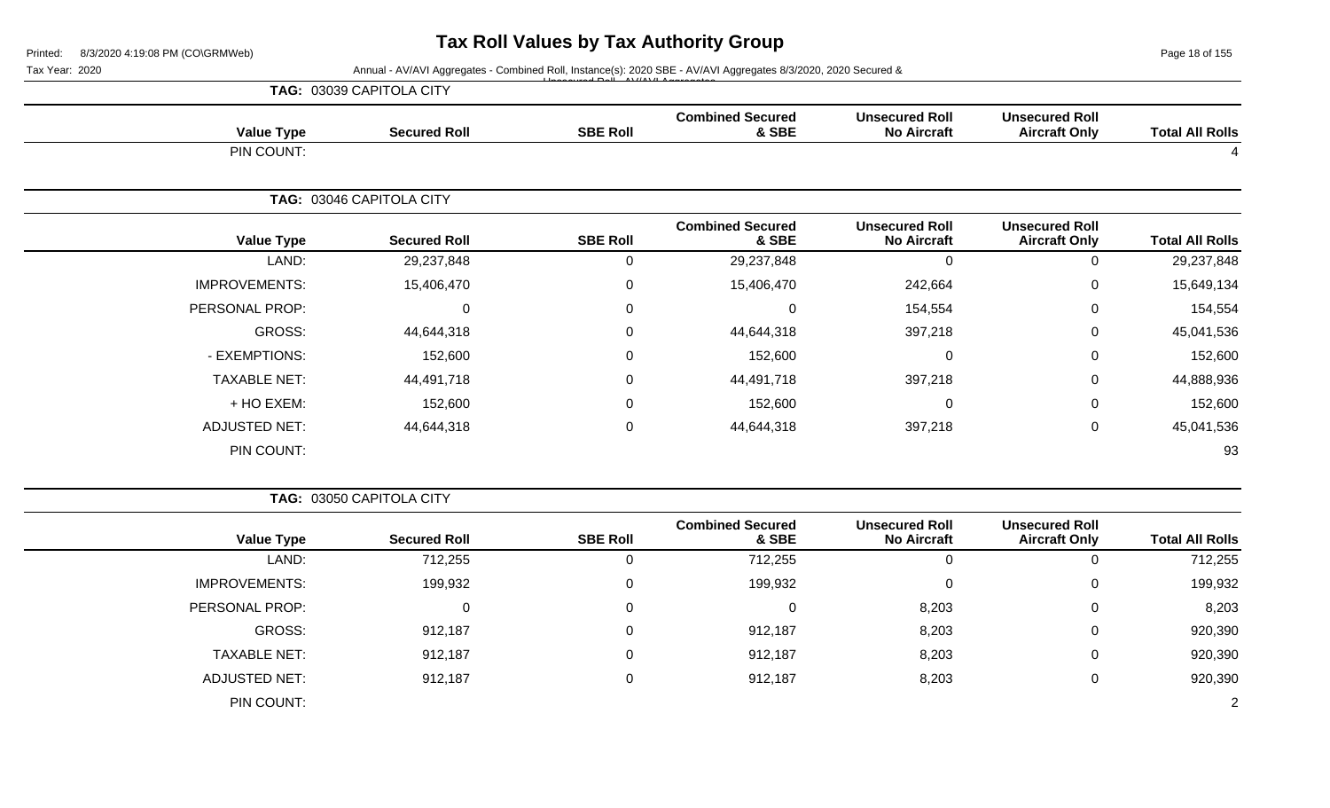Page 18 of 155

Tax Year: 2020 **Annual - AV/AVI Aggregates - Combined Roll**, Instance(s): 2020 SBE - AV/AVI Aggregates 8/3/2020, 2020 Secured &

|                        |                                               |                                             |                                  |                 | TAG: 03039 CAPITOLA CITY |                      |
|------------------------|-----------------------------------------------|---------------------------------------------|----------------------------------|-----------------|--------------------------|----------------------|
| <b>Total All Rolls</b> | <b>Unsecured Roll</b><br><b>Aircraft Only</b> | <b>Unsecured Roll</b><br><b>No Aircraft</b> | <b>Combined Secured</b><br>& SBE | <b>SBE Roll</b> | <b>Secured Roll</b>      | <b>Value Type</b>    |
|                        |                                               |                                             |                                  |                 |                          | PIN COUNT:           |
|                        |                                               |                                             |                                  |                 | TAG: 03046 CAPITOLA CITY |                      |
| <b>Total All Rolls</b> | <b>Unsecured Roll</b><br><b>Aircraft Only</b> | <b>Unsecured Roll</b><br><b>No Aircraft</b> | <b>Combined Secured</b><br>& SBE | <b>SBE Roll</b> | <b>Secured Roll</b>      | <b>Value Type</b>    |
| 29,237,848             | $\mathbf 0$                                   | 0                                           | 29,237,848                       | $\Omega$        | 29,237,848               | LAND:                |
| 15,649,134             | $\mathbf 0$                                   | 242,664                                     | 15,406,470                       | 0               | 15,406,470               | <b>IMPROVEMENTS:</b> |
| 154,554                | $\mathbf 0$                                   | 154,554                                     | 0                                | $\Omega$        | 0                        | PERSONAL PROP:       |
| 45,041,536             | $\mathbf 0$                                   | 397,218                                     | 44,644,318                       | 0               | 44,644,318               | GROSS:               |
| 152,600                | $\mathbf 0$                                   | $\mathbf 0$                                 | 152,600                          | 0               | 152,600                  | - EXEMPTIONS:        |
| 44,888,936             | $\mathbf 0$                                   | 397,218                                     | 44,491,718                       | 0               | 44,491,718               | <b>TAXABLE NET:</b>  |
| 152,600                | $\mathbf 0$                                   | $\mathbf 0$                                 | 152,600                          | $\Omega$        | 152,600                  | + HO EXEM:           |
| 45,041,536             | $\mathbf 0$                                   | 397,218                                     | 44,644,318                       | $\mathbf 0$     | 44,644,318               | <b>ADJUSTED NET:</b> |
| 93                     |                                               |                                             |                                  |                 |                          | PIN COUNT:           |
|                        |                                               |                                             |                                  |                 |                          |                      |

| TAG: 03050 CAPITOLA CITY |                     |                 |                                  |                                             |                                               |                        |
|--------------------------|---------------------|-----------------|----------------------------------|---------------------------------------------|-----------------------------------------------|------------------------|
| <b>Value Type</b>        | <b>Secured Roll</b> | <b>SBE Roll</b> | <b>Combined Secured</b><br>& SBE | <b>Unsecured Roll</b><br><b>No Aircraft</b> | <b>Unsecured Roll</b><br><b>Aircraft Only</b> | <b>Total All Rolls</b> |
| LAND:                    | 712,255             | 0               | 712,255                          | 0                                           | 0                                             | 712,255                |
| <b>IMPROVEMENTS:</b>     | 199,932             | 0               | 199,932                          | $\mathbf 0$                                 | 0                                             | 199,932                |
| PERSONAL PROP:           |                     | 0               |                                  | 8,203                                       | 0                                             | 8,203                  |
| GROSS:                   | 912,187             | 0               | 912,187                          | 8,203                                       | 0                                             | 920,390                |
| <b>TAXABLE NET:</b>      | 912,187             | 0               | 912,187                          | 8,203                                       | 0                                             | 920,390                |
| <b>ADJUSTED NET:</b>     | 912,187             | 0               | 912,187                          | 8,203                                       | 0                                             | 920,390                |
| PIN COUNT:               |                     |                 |                                  |                                             |                                               | 2                      |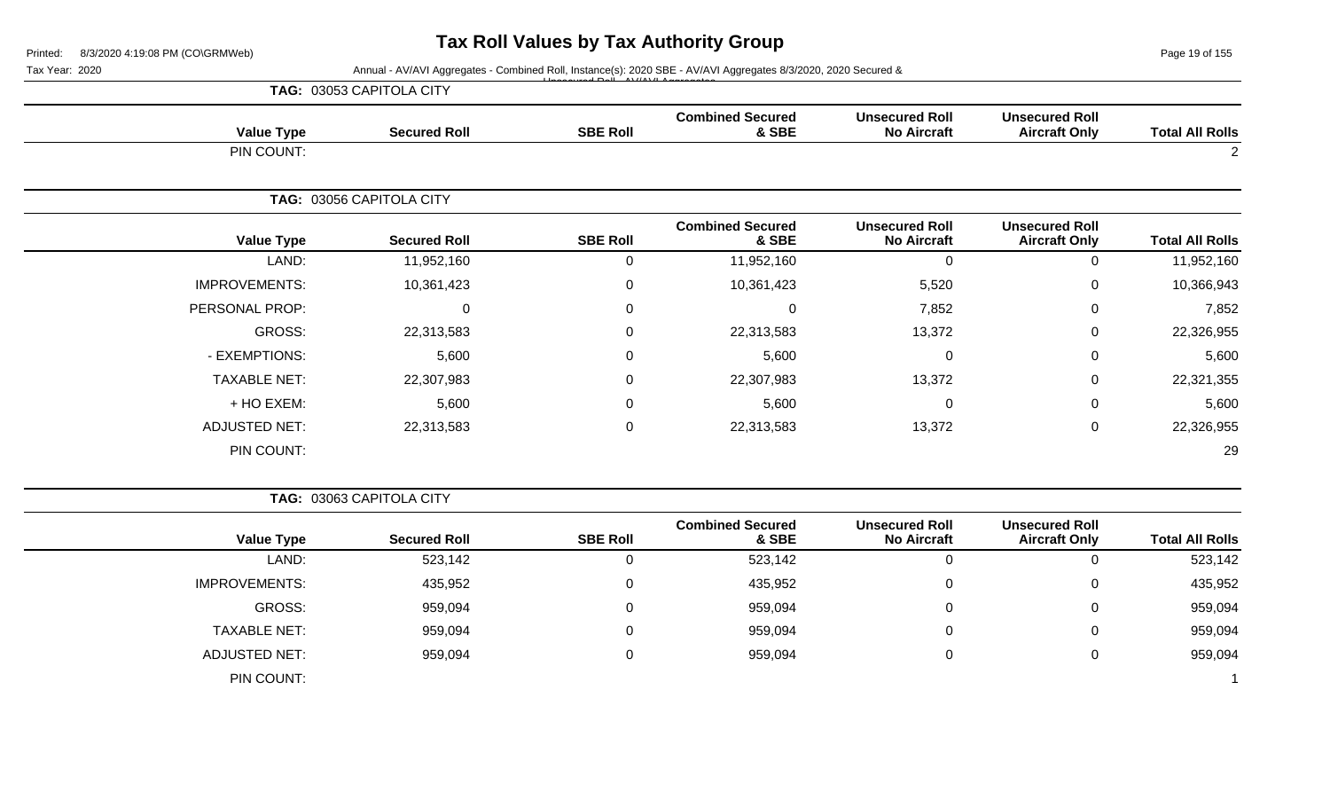Page 19 of 155

Tax Year: 2020 **Annual - AV/AVI Aggregates - Combined Roll**, Instance(s): 2020 SBE - AV/AVI Aggregates 8/3/2020, 2020 Secured &

|                        |                                               |                                             |                                  |                  | TAG: 03053 CAPITOLA CITY |                      |
|------------------------|-----------------------------------------------|---------------------------------------------|----------------------------------|------------------|--------------------------|----------------------|
| <b>Total All Rolls</b> | <b>Unsecured Roll</b><br><b>Aircraft Only</b> | <b>Unsecured Roll</b><br><b>No Aircraft</b> | <b>Combined Secured</b><br>& SBE | <b>SBE Roll</b>  | <b>Secured Roll</b>      | <b>Value Type</b>    |
| 2                      |                                               |                                             |                                  |                  |                          | PIN COUNT:           |
|                        |                                               |                                             |                                  |                  | TAG: 03056 CAPITOLA CITY |                      |
| <b>Total All Rolls</b> | <b>Unsecured Roll</b><br><b>Aircraft Only</b> | <b>Unsecured Roll</b><br><b>No Aircraft</b> | <b>Combined Secured</b><br>& SBE | <b>SBE Roll</b>  | <b>Secured Roll</b>      | <b>Value Type</b>    |
| 11,952,160             | $\overline{0}$                                | $\Omega$                                    | 11,952,160                       | 0                | 11,952,160               | LAND:                |
| 10,366,943             | $\mathbf 0$                                   | 5,520                                       | 10,361,423                       | 0                | 10,361,423               | <b>IMPROVEMENTS:</b> |
| 7,852                  | 0                                             | 7,852                                       | $\Omega$                         | $\mathbf 0$      | 0                        | PERSONAL PROP:       |
| 22,326,955             | $\mathbf{0}$                                  | 13,372                                      | 22,313,583                       | $\mathbf{0}$     | 22,313,583               | GROSS:               |
| 5,600                  | 0                                             |                                             | 5,600                            | 0                | 5,600                    | - EXEMPTIONS:        |
| 22,321,355             | 0                                             | 13,372                                      | 22,307,983                       | 0                | 22,307,983               | <b>TAXABLE NET:</b>  |
| 5,600                  | 0                                             | $\Omega$                                    | 5,600                            | $\Omega$         | 5,600                    | + HO EXEM:           |
| 22,326,955             | $\mathbf 0$                                   | 13,372                                      | 22,313,583                       | $\boldsymbol{0}$ | 22,313,583               | <b>ADJUSTED NET:</b> |
| 29                     |                                               |                                             |                                  |                  |                          | PIN COUNT:           |

| <b>TAG: 03063 CAPITOLA CITY</b> |
|---------------------------------|
|---------------------------------|

| <b>Value Type</b>    | <b>Secured Roll</b> | <b>SBE Roll</b> | <b>Combined Secured</b><br>& SBE | <b>Unsecured Roll</b><br><b>No Aircraft</b> | <b>Unsecured Roll</b><br><b>Aircraft Only</b> | <b>Total All Rolls</b> |
|----------------------|---------------------|-----------------|----------------------------------|---------------------------------------------|-----------------------------------------------|------------------------|
| LAND:                | 523,142             |                 | 523,142                          | υ                                           | 0                                             | 523,142                |
| <b>IMPROVEMENTS:</b> | 435,952             |                 | 435,952                          | 0                                           | 0                                             | 435,952                |
| GROSS:               | 959,094             |                 | 959,094                          | 0                                           | 0                                             | 959,094                |
| <b>TAXABLE NET:</b>  | 959,094             |                 | 959,094                          | 0                                           | 0                                             | 959,094                |
| ADJUSTED NET:        | 959,094             |                 | 959,094                          | 0                                           | 0                                             | 959,094                |
| PIN COUNT:           |                     |                 |                                  |                                             |                                               |                        |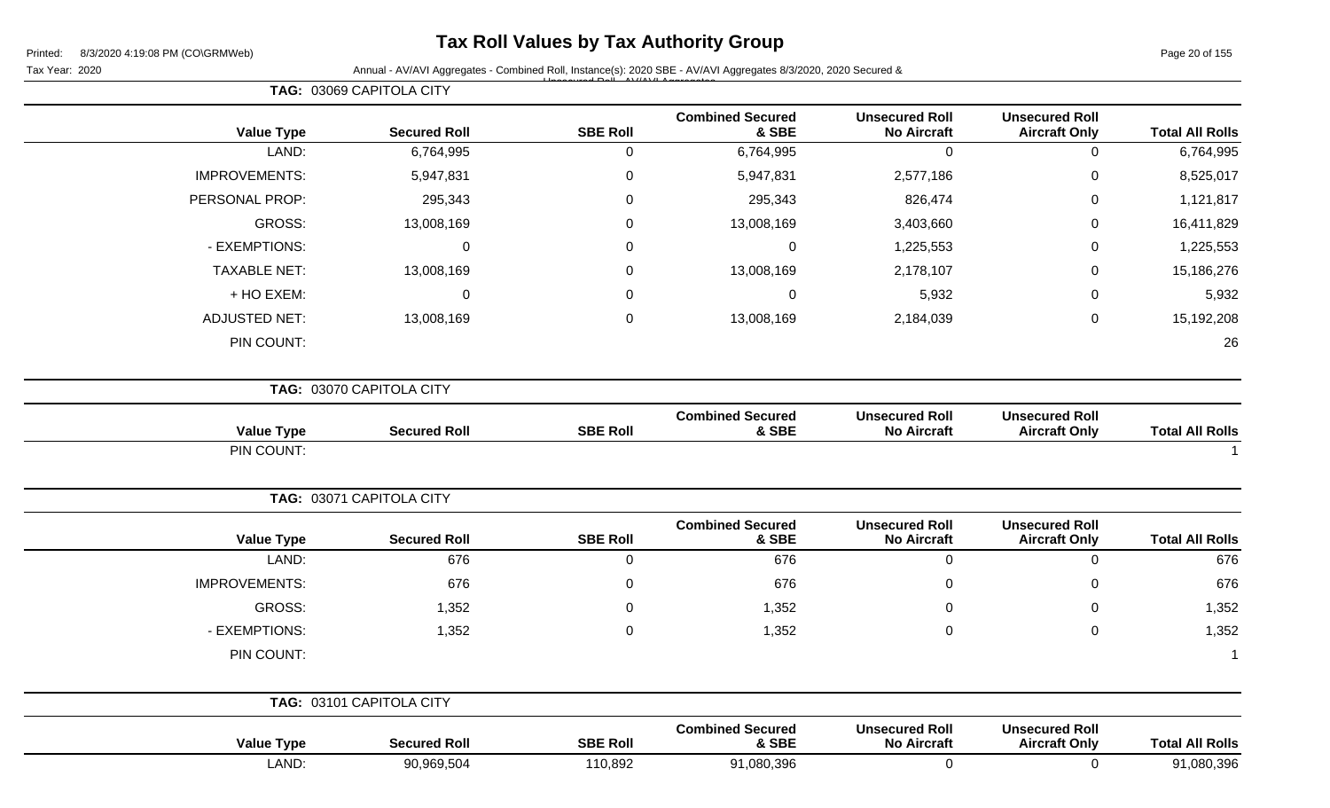## **Tax Roll Values by Tax Authority Group**

Tax Year: 2020 **Annual - AV/AVI Aggregates - Combined Roll**, Instance(s): 2020 SBE - AV/AVI Aggregates 8/3/2020, 2020 Secured & Unsecured Roll - AV/AVI Aggregates

|                        |                                               |                                             |                                  |                 | TAG: 03069 CAPITOLA CITY |                      |
|------------------------|-----------------------------------------------|---------------------------------------------|----------------------------------|-----------------|--------------------------|----------------------|
| <b>Total All Rolls</b> | <b>Unsecured Roll</b><br><b>Aircraft Only</b> | <b>Unsecured Roll</b><br><b>No Aircraft</b> | <b>Combined Secured</b><br>& SBE | <b>SBE Roll</b> | <b>Secured Roll</b>      | <b>Value Type</b>    |
| 6,764,995              | $\mathbf 0$                                   | $\overline{0}$                              | 6,764,995                        | $\mathbf 0$     | 6,764,995                | LAND:                |
| 8,525,017              | $\pmb{0}$                                     | 2,577,186                                   | 5,947,831                        | $\pmb{0}$       | 5,947,831                | <b>IMPROVEMENTS:</b> |
| 1,121,817              | $\pmb{0}$                                     | 826,474                                     | 295,343                          | $\mathbf 0$     | 295,343                  | PERSONAL PROP:       |
| 16,411,829             | $\pmb{0}$                                     | 3,403,660                                   | 13,008,169                       | $\mathbf 0$     | 13,008,169               | <b>GROSS:</b>        |
| 1,225,553              | $\pmb{0}$                                     | 1,225,553                                   | $\mathbf 0$                      | $\mathbf 0$     | $\pmb{0}$                | - EXEMPTIONS:        |
| 15,186,276             | $\pmb{0}$                                     | 2,178,107                                   | 13,008,169                       | $\mathbf 0$     | 13,008,169               | <b>TAXABLE NET:</b>  |
| 5,932                  | $\pmb{0}$                                     | 5,932                                       | $\mathbf 0$                      | $\mathbf 0$     | $\pmb{0}$                | + HO EXEM:           |
| 15,192,208             | $\pmb{0}$                                     | 2,184,039                                   | 13,008,169                       | $\mathbf 0$     | 13,008,169               | <b>ADJUSTED NET:</b> |
| 26                     |                                               |                                             |                                  |                 |                          | PIN COUNT:           |
|                        |                                               |                                             |                                  |                 | TAG: 03070 CAPITOLA CITY |                      |
| <b>Total All Rolls</b> | <b>Unsecured Roll</b><br><b>Aircraft Only</b> | <b>Unsecured Roll</b><br><b>No Aircraft</b> | <b>Combined Secured</b><br>& SBE | <b>SBE Roll</b> | <b>Secured Roll</b>      | <b>Value Type</b>    |
|                        |                                               |                                             |                                  |                 |                          | PIN COUNT:           |
|                        |                                               |                                             |                                  |                 | TAG: 03071 CAPITOLA CITY |                      |
| <b>Total All Rolls</b> | <b>Unsecured Roll</b><br><b>Aircraft Only</b> | <b>Unsecured Roll</b><br><b>No Aircraft</b> | <b>Combined Secured</b><br>& SBE | <b>SBE Roll</b> | <b>Secured Roll</b>      | <b>Value Type</b>    |
| 676                    | $\mathbf 0$                                   | $\overline{0}$                              | 676                              | $\mathbf 0$     | 676                      | LAND:                |
| 676                    | $\mathbf 0$                                   | 0                                           | 676                              | $\mathbf 0$     | 676                      | IMPROVEMENTS:        |
| 1,352                  | $\mathbf 0$                                   | 0                                           | 1,352                            | $\mathbf 0$     | 1,352                    | <b>GROSS:</b>        |
| 1,352                  | $\mathbf 0$                                   | 0                                           | 1,352                            | $\mathbf 0$     | 1,352                    | - EXEMPTIONS:        |
| $\mathbf 1$            |                                               |                                             |                                  |                 |                          | PIN COUNT:           |
|                        |                                               |                                             |                                  |                 | TAG: 03101 CAPITOLA CITY |                      |
| <b>Total All Rolls</b> | <b>Unsecured Roll</b><br><b>Aircraft Only</b> | <b>Unsecured Roll</b><br><b>No Aircraft</b> | <b>Combined Secured</b><br>& SBE | <b>SBE Roll</b> | <b>Secured Roll</b>      | <b>Value Type</b>    |
| 91,080,396             | $\mathbf 0$                                   | $\mathsf{O}$                                | 91,080,396                       | 110,892         | 90,969,504               | LAND:                |
|                        |                                               |                                             |                                  |                 |                          |                      |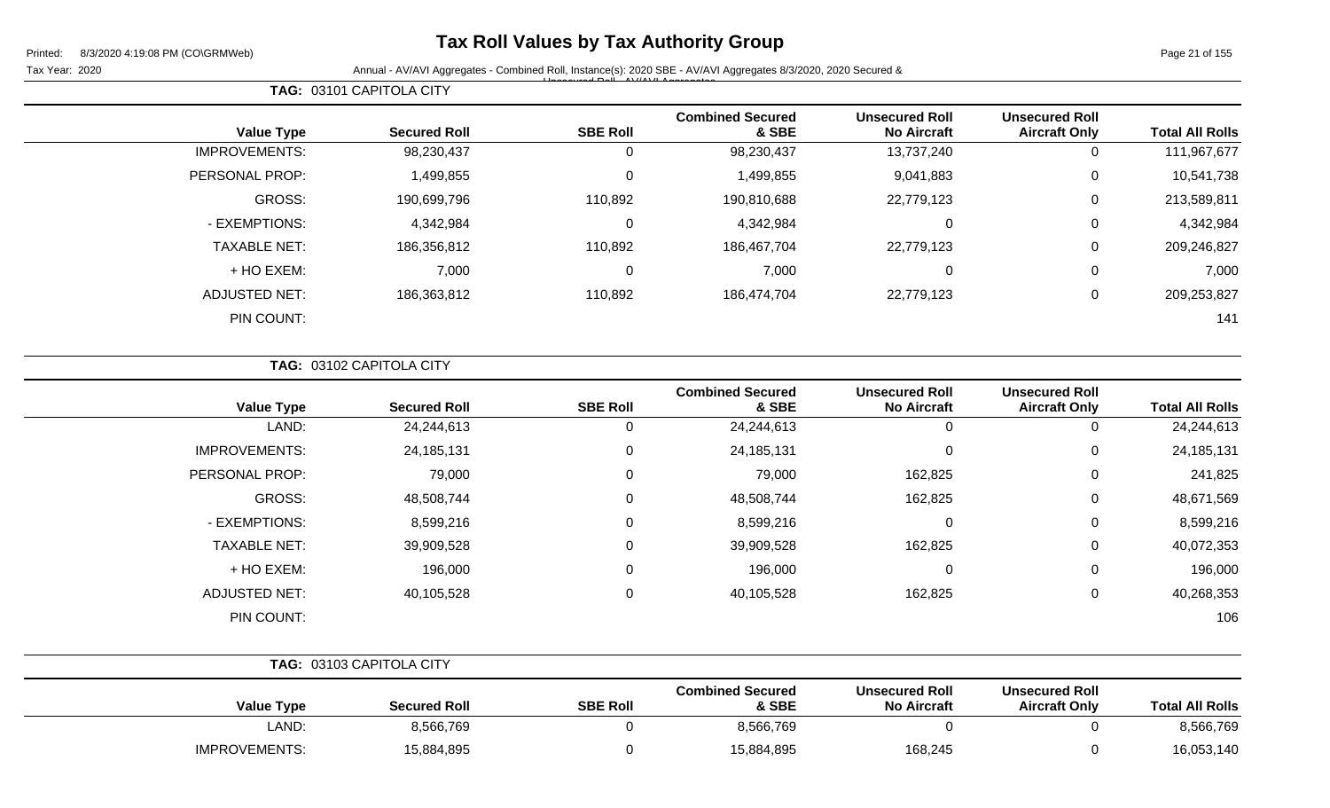**TAG:** 03101 CAPITOLA CITY

## **Tax Roll Values by Tax Authority Group**

Page 21 of 155

Tax Year: 2020 **Annual - AV/AVI Aggregates - Combined Roll**, Instance(s): 2020 SBE - AV/AVI Aggregates 8/3/2020, 2020 Secured & Unsecured Roll - AV/AVI Aggregates

| <b>Total All Rolls</b> | <b>Unsecured Roll</b><br><b>Aircraft Only</b> | <b>Unsecured Roll</b><br><b>No Aircraft</b> | <b>Combined Secured</b><br>& SBE | <b>SBE Roll</b> | <b>Secured Roll</b> | <b>Value Type</b>    |
|------------------------|-----------------------------------------------|---------------------------------------------|----------------------------------|-----------------|---------------------|----------------------|
| 111,967,677            | 0                                             | 13,737,240                                  | 98,230,437                       |                 | 98,230,437          | <b>IMPROVEMENTS:</b> |
| 10,541,738             | 0                                             | 9,041,883                                   | 1,499,855                        |                 | 1,499,855           | PERSONAL PROP:       |
| 213,589,811            | 0                                             | 22,779,123                                  | 190,810,688                      | 110,892         | 190,699,796         | GROSS:               |
| 4,342,984              | 0                                             | 0                                           | 4,342,984                        | 0               | 4,342,984           | - EXEMPTIONS:        |
| 209,246,827            | $\mathbf 0$                                   | 22,779,123                                  | 186,467,704                      | 110,892         | 186,356,812         | <b>TAXABLE NET:</b>  |
| 7,000                  | $\mathbf 0$                                   | 0                                           | 7,000                            | 0               | 7,000               | $+$ HO EXEM:         |
| 209,253,827            | 0                                             | 22,779,123                                  | 186,474,704                      | 110,892         | 186,363,812         | <b>ADJUSTED NET:</b> |
| 141                    |                                               |                                             |                                  |                 |                     | PIN COUNT:           |
|                        |                                               |                                             |                                  |                 |                     |                      |

|                      | TAG: 03102 CAPITOLA CITY |                 |                                  |                                             |                                               |                        |
|----------------------|--------------------------|-----------------|----------------------------------|---------------------------------------------|-----------------------------------------------|------------------------|
| <b>Value Type</b>    | <b>Secured Roll</b>      | <b>SBE Roll</b> | <b>Combined Secured</b><br>& SBE | <b>Unsecured Roll</b><br><b>No Aircraft</b> | <b>Unsecured Roll</b><br><b>Aircraft Only</b> | <b>Total All Rolls</b> |
| LAND:                | 24,244,613               | 0               | 24,244,613                       | $\mathbf 0$                                 | $\Omega$                                      | 24,244,613             |
| <b>IMPROVEMENTS:</b> | 24, 185, 131             | $\mathbf 0$     | 24, 185, 131                     | $\mathbf 0$                                 | 0                                             | 24, 185, 131           |
| PERSONAL PROP:       | 79,000                   | 0               | 79,000                           | 162,825                                     | 0                                             | 241,825                |
| GROSS:               | 48,508,744               | 0               | 48,508,744                       | 162,825                                     | 0                                             | 48,671,569             |
| - EXEMPTIONS:        | 8,599,216                | $\Omega$        | 8,599,216                        | $\mathbf 0$                                 | 0                                             | 8,599,216              |
| <b>TAXABLE NET:</b>  | 39,909,528               | 0               | 39,909,528                       | 162,825                                     | 0                                             | 40,072,353             |
| + HO EXEM:           | 196,000                  | $\mathbf 0$     | 196,000                          | $\mathbf 0$                                 | 0                                             | 196,000                |
| <b>ADJUSTED NET:</b> | 40,105,528               | 0               | 40,105,528                       | 162,825                                     | 0                                             | 40,268,353             |
| PIN COUNT:           |                          |                 |                                  |                                             |                                               | 106                    |
|                      |                          |                 |                                  |                                             |                                               |                        |
|                      | TAG: 03103 CAPITOLA CITY |                 |                                  |                                             |                                               |                        |

|                      |                     |                 | <b>Combined Secured</b> | <b>Unsecured Roll</b> | <b>Unsecured Roll</b> |                        |
|----------------------|---------------------|-----------------|-------------------------|-----------------------|-----------------------|------------------------|
| <b>Value Type</b>    | <b>Secured Roll</b> | <b>SBE Roll</b> | & SBE                   | <b>No Aircraft</b>    | <b>Aircraft Only</b>  | <b>Total All Rolls</b> |
| LAND:                | 8,566,769           |                 | 8,566,769               |                       |                       | 8,566,769              |
| <b>IMPROVEMENTS:</b> | 15,884,895          |                 | 15,884,895              | 168,245               |                       | 16,053,140             |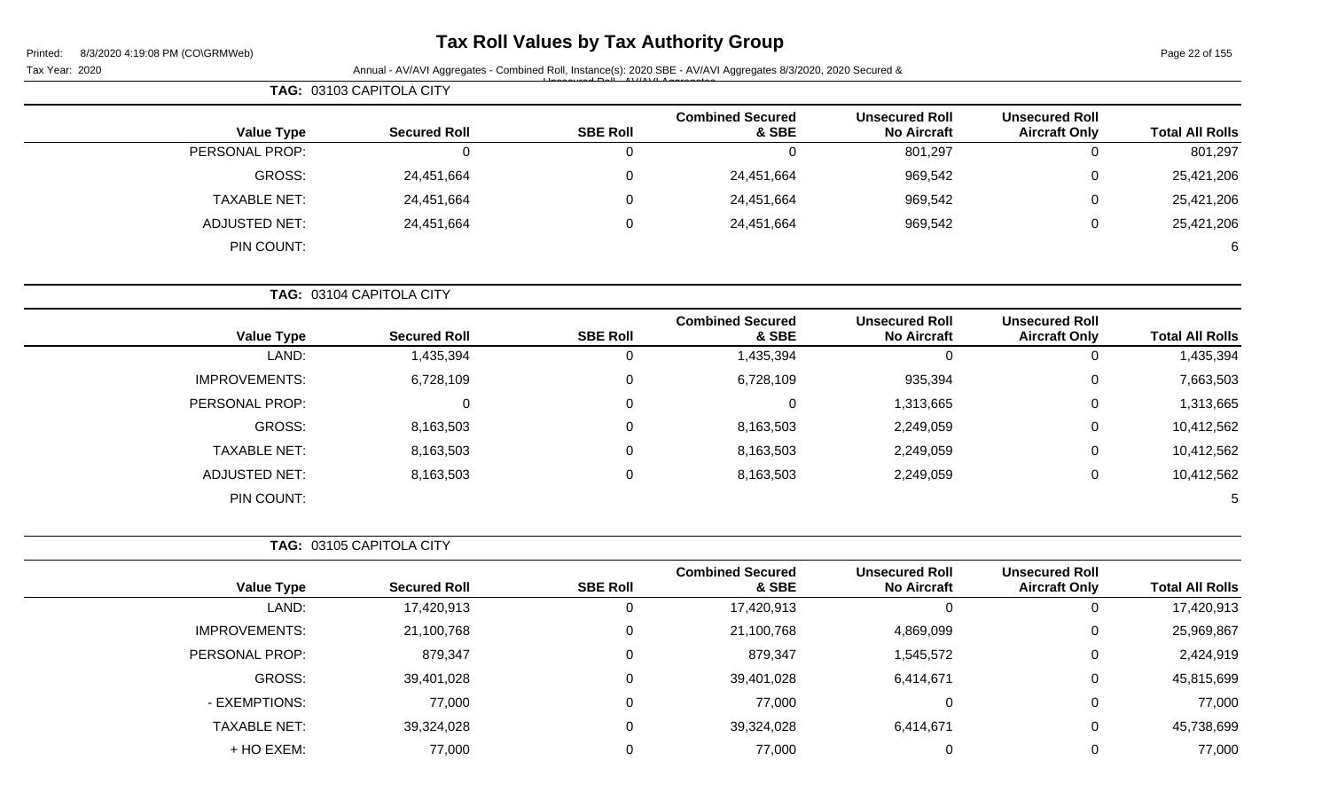# **Tax Roll Values by Tax Authority Group**

Page 22 of 155

|                        |                                               | Tax Year: 2020                              |                                  |                 |                          |                      |
|------------------------|-----------------------------------------------|---------------------------------------------|----------------------------------|-----------------|--------------------------|----------------------|
|                        |                                               |                                             |                                  |                 | TAG: 03103 CAPITOLA CITY |                      |
| <b>Total All Rolls</b> | <b>Unsecured Roll</b><br><b>Aircraft Only</b> | <b>Unsecured Roll</b><br><b>No Aircraft</b> | <b>Combined Secured</b><br>& SBE | <b>SBE Roll</b> | <b>Secured Roll</b>      | <b>Value Type</b>    |
| 801,297                | 0                                             | 801,297                                     | $\overline{0}$                   | $\mathbf 0$     | $\mathbf 0$              | PERSONAL PROP:       |
| 25,421,206             | 0                                             | 969,542                                     | 24,451,664                       | 0               | 24,451,664               | <b>GROSS:</b>        |
| 25,421,206             | 0                                             | 969,542                                     | 24,451,664                       | $\mathbf 0$     | 24,451,664               | <b>TAXABLE NET:</b>  |
| 25,421,206             | 0                                             | 969,542                                     | 24,451,664                       | $\mathbf 0$     | 24,451,664               | <b>ADJUSTED NET:</b> |
| 6                      |                                               |                                             |                                  |                 |                          | PIN COUNT:           |
|                        |                                               |                                             |                                  |                 | TAG: 03104 CAPITOLA CITY |                      |
| <b>Total All Rolls</b> | <b>Unsecured Roll</b><br><b>Aircraft Only</b> | <b>Unsecured Roll</b><br><b>No Aircraft</b> | <b>Combined Secured</b><br>& SBE | <b>SBE Roll</b> | <b>Secured Roll</b>      | <b>Value Type</b>    |
| 1,435,394              | 0                                             | $\mathbf 0$                                 | 1,435,394                        | $\pmb{0}$       | 1,435,394                | LAND:                |
| 7,663,503              | 0                                             | 935,394                                     | 6,728,109                        | 0               | 6,728,109                | <b>IMPROVEMENTS:</b> |
| 1,313,665              | 0                                             | 1,313,665                                   | $\mathbf 0$                      | 0               | 0                        | PERSONAL PROP:       |
| 10,412,562             | 0                                             | 2,249,059                                   | 8,163,503                        | 0               | 8,163,503                | <b>GROSS:</b>        |
| 10,412,562             | 0                                             | 2,249,059                                   | 8,163,503                        | 0               | 8,163,503                | <b>TAXABLE NET:</b>  |
| 10,412,562             | 0                                             | 2,249,059                                   | 8,163,503                        | 0               | 8,163,503                | <b>ADJUSTED NET:</b> |
|                        |                                               |                                             |                                  |                 |                          | PIN COUNT:           |
|                        |                                               |                                             |                                  |                 | TAG: 03105 CAPITOLA CITY |                      |
| <b>Total All Rolls</b> | <b>Unsecured Roll</b><br><b>Aircraft Only</b> | <b>Unsecured Roll</b><br><b>No Aircraft</b> | <b>Combined Secured</b><br>& SBE | <b>SBE Roll</b> | <b>Secured Roll</b>      | <b>Value Type</b>    |
| 17,420,913             | 0                                             | 0                                           | 17,420,913                       | 0               | 17,420,913               | LAND:                |
| 25,969,867             | 0                                             | 4,869,099                                   | 21,100,768                       | 0               | 21,100,768               | <b>IMPROVEMENTS:</b> |
| 2,424,919              | 0                                             | 1,545,572                                   | 879,347                          | 0               | 879,347                  | PERSONAL PROP:       |
| 45,815,699             | 0                                             | 6,414,671                                   | 39,401,028                       | 0               | 39,401,028               | GROSS:               |
| 77,000                 | 0                                             | 0                                           | 77,000                           | 0               | 77,000                   | - EXEMPTIONS:        |
| 45,738,699             | 0                                             | 6,414,671                                   | 39,324,028                       | $\overline{0}$  | 39,324,028               | <b>TAXABLE NET:</b>  |
| 77,000                 | 0                                             | 0                                           | 77,000                           | $\mathbf 0$     | 77,000                   | + HO EXEM:           |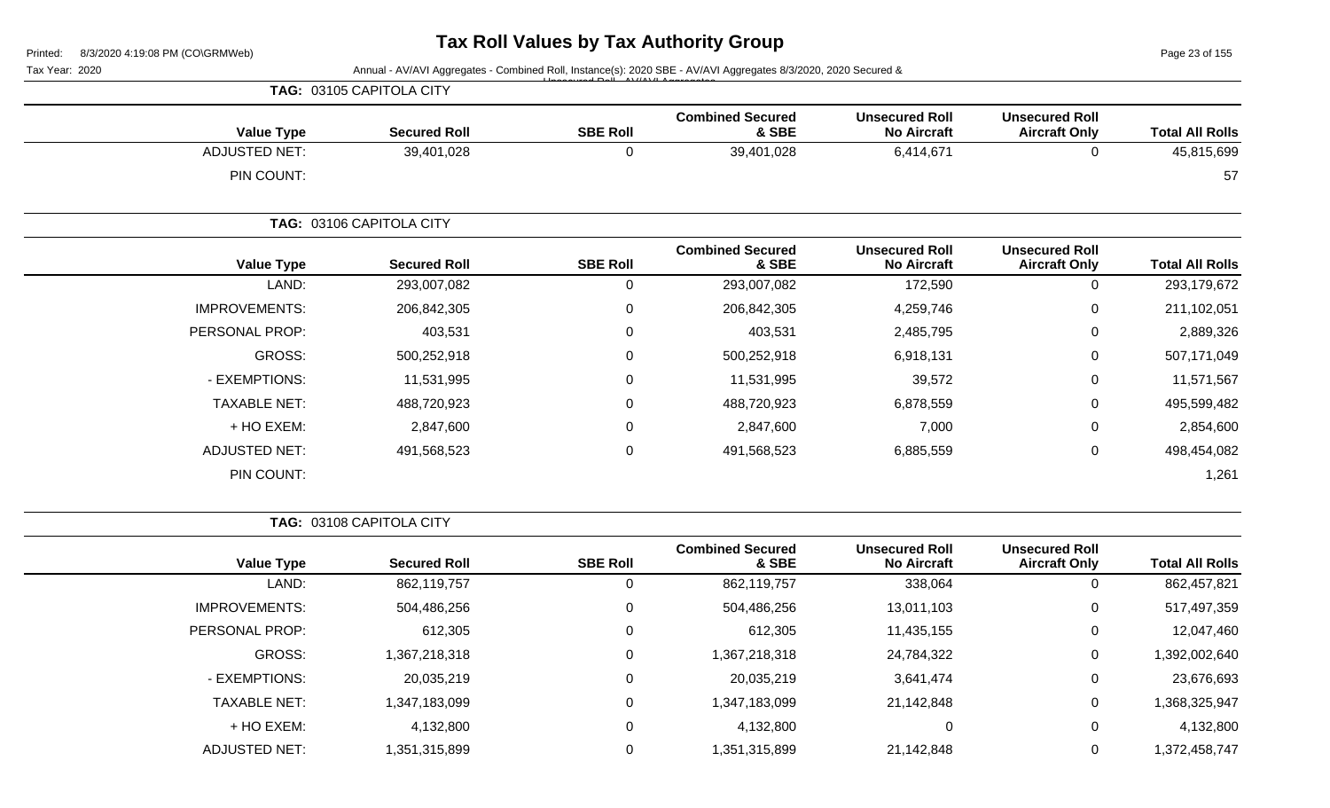Page 23 of 155

| Tax Year: 2020       |                          |                 | Annual - AV/AVI Aggregates - Combined Roll, Instance(s): 2020 SBE - AV/AVI Aggregates 8/3/2020, 2020 Secured & |                                             |                                               |                        |  |  |
|----------------------|--------------------------|-----------------|----------------------------------------------------------------------------------------------------------------|---------------------------------------------|-----------------------------------------------|------------------------|--|--|
|                      | TAG: 03105 CAPITOLA CITY |                 |                                                                                                                |                                             |                                               |                        |  |  |
| <b>Value Type</b>    | <b>Secured Roll</b>      | <b>SBE Roll</b> | <b>Combined Secured</b><br>& SBE                                                                               | <b>Unsecured Roll</b><br><b>No Aircraft</b> | <b>Unsecured Roll</b><br><b>Aircraft Only</b> | <b>Total All Rolls</b> |  |  |
| <b>ADJUSTED NET:</b> | 39,401,028               | $\mathbf 0$     | 39,401,028                                                                                                     | 6,414,671                                   | $\mathbf 0$                                   | 45,815,699             |  |  |
| PIN COUNT:           |                          |                 |                                                                                                                |                                             |                                               | 57                     |  |  |
|                      | TAG: 03106 CAPITOLA CITY |                 |                                                                                                                |                                             |                                               |                        |  |  |
| <b>Value Type</b>    | <b>Secured Roll</b>      | <b>SBE Roll</b> | <b>Combined Secured</b><br>& SBE                                                                               | <b>Unsecured Roll</b><br><b>No Aircraft</b> | <b>Unsecured Roll</b><br><b>Aircraft Only</b> | <b>Total All Rolls</b> |  |  |
| LAND:                | 293,007,082              | $\mathbf 0$     | 293,007,082                                                                                                    | 172,590                                     | $\mathbf 0$                                   | 293,179,672            |  |  |
| <b>IMPROVEMENTS:</b> | 206,842,305              | $\mathbf 0$     | 206,842,305                                                                                                    | 4,259,746                                   | 0                                             | 211,102,051            |  |  |
| PERSONAL PROP:       | 403,531                  | $\Omega$        | 403,531                                                                                                        | 2,485,795                                   | 0                                             | 2,889,326              |  |  |
| GROSS:               | 500,252,918              | 0               | 500,252,918                                                                                                    | 6,918,131                                   | 0                                             | 507,171,049            |  |  |
| - EXEMPTIONS:        | 11,531,995               | $\Omega$        | 11,531,995                                                                                                     | 39,572                                      | 0                                             | 11,571,567             |  |  |
| <b>TAXABLE NET:</b>  | 488,720,923              | $\Omega$        | 488,720,923                                                                                                    | 6,878,559                                   | 0                                             | 495,599,482            |  |  |
| + HO EXEM:           | 2,847,600                | 0               | 2,847,600                                                                                                      | 7,000                                       | 0                                             | 2,854,600              |  |  |
| <b>ADJUSTED NET:</b> | 491,568,523              | 0               | 491,568,523                                                                                                    | 6,885,559                                   | 0                                             | 498,454,082            |  |  |
| PIN COUNT:           |                          |                 |                                                                                                                |                                             |                                               | 1,261                  |  |  |
|                      | TAG: 03108 CAPITOLA CITY |                 |                                                                                                                |                                             |                                               |                        |  |  |
| <b>Value Type</b>    | <b>Secured Roll</b>      | <b>SBE Roll</b> | <b>Combined Secured</b><br>& SBE                                                                               | <b>Unsecured Roll</b><br><b>No Aircraft</b> | <b>Unsecured Roll</b><br><b>Aircraft Only</b> | <b>Total All Rolls</b> |  |  |
| LAND:                | 862,119,757              | $\mathbf 0$     | 862,119,757                                                                                                    | 338,064                                     | $\mathsf 0$                                   | 862,457,821            |  |  |
| <b>IMPROVEMENTS:</b> | 504,486,256              | $\mathbf 0$     | 504,486,256                                                                                                    | 13,011,103                                  | 0                                             | 517,497,359            |  |  |
| PERSONAL PROP:       | 612,305                  | 0               | 612,305                                                                                                        | 11,435,155                                  | 0                                             | 12,047,460             |  |  |
| GROSS:               | 1,367,218,318            | $\Omega$        | 1,367,218,318                                                                                                  | 24,784,322                                  | 0                                             | 1,392,002,640          |  |  |
| - EXEMPTIONS:        | 20,035,219               | 0               | 20,035,219                                                                                                     | 3,641,474                                   | 0                                             | 23,676,693             |  |  |
| <b>TAXABLE NET:</b>  | 1,347,183,099            | $\mathbf 0$     | 1,347,183,099                                                                                                  | 21,142,848                                  | 0                                             | 1,368,325,947          |  |  |

+ HO EXEM: 4,132,800 0 4,132,800 0 0 4,132,800

ADJUSTED NET: 1,351,315,899 0 0 1,351,315,899 21,142,848 0 1,372,458,747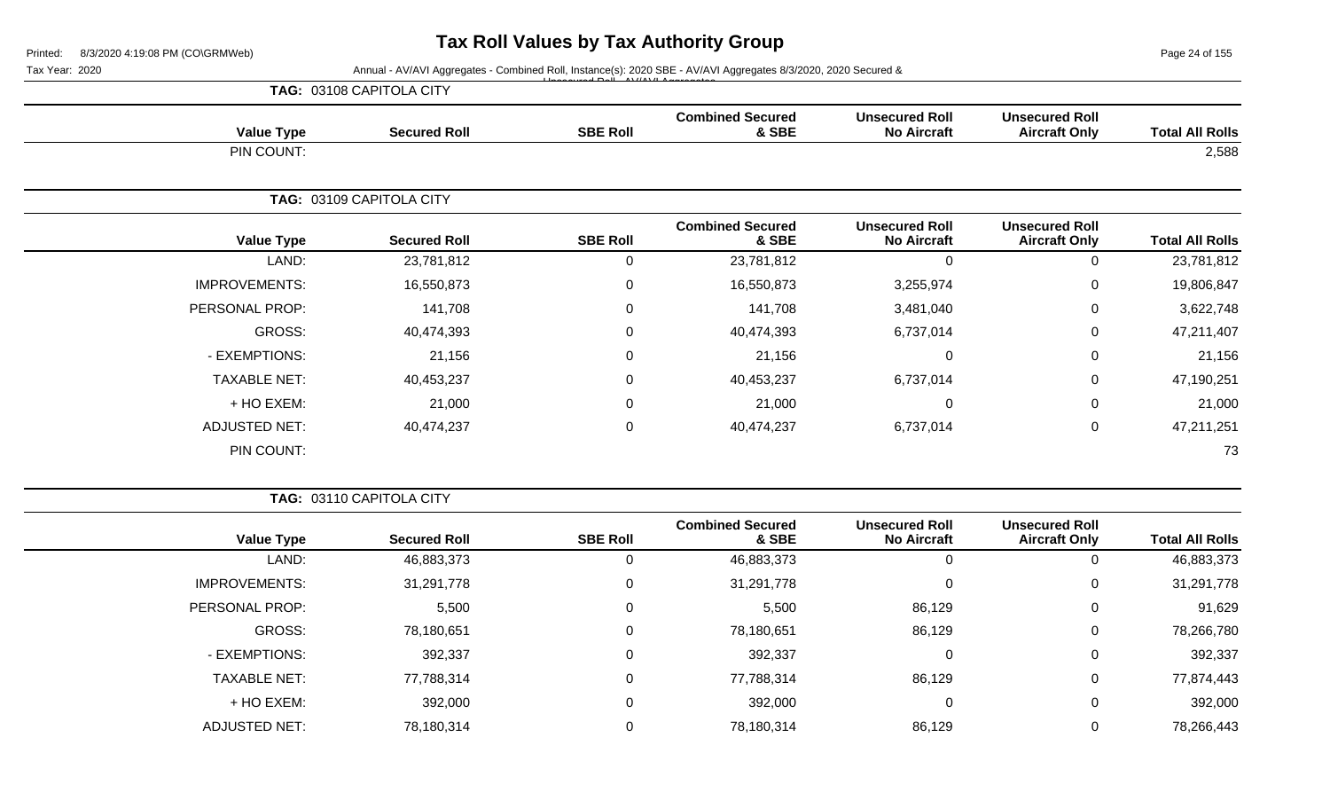Page 24 of 155

Tax Year: 2020 **Annual - AV/AVI Aggregates - Combined Roll**, Instance(s): 2020 SBE - AV/AVI Aggregates 8/3/2020, 2020 Secured &

|                        |                                               |                                             |                                  | $\overline{1}$  | TAG: 03108 CAPITOLA CITY |                      |
|------------------------|-----------------------------------------------|---------------------------------------------|----------------------------------|-----------------|--------------------------|----------------------|
| <b>Total All Rolls</b> | <b>Unsecured Roll</b><br><b>Aircraft Only</b> | <b>Unsecured Roll</b><br><b>No Aircraft</b> | <b>Combined Secured</b><br>& SBE | <b>SBE Roll</b> | <b>Secured Roll</b>      | <b>Value Type</b>    |
| 2,588                  |                                               |                                             |                                  |                 |                          | PIN COUNT:           |
|                        |                                               |                                             |                                  |                 | TAG: 03109 CAPITOLA CITY |                      |
| <b>Total All Rolls</b> | <b>Unsecured Roll</b><br><b>Aircraft Only</b> | <b>Unsecured Roll</b><br><b>No Aircraft</b> | <b>Combined Secured</b><br>& SBE | <b>SBE Roll</b> | <b>Secured Roll</b>      | <b>Value Type</b>    |
| 23,781,812             | $\overline{0}$                                | 0                                           | 23,781,812                       | 0               | 23,781,812               | LAND:                |
| 19,806,847             | 0                                             | 3,255,974                                   | 16,550,873                       | 0               | 16,550,873               | <b>IMPROVEMENTS:</b> |
| 3,622,748              | 0                                             | 3,481,040                                   | 141,708                          | 0               | 141,708                  | PERSONAL PROP:       |
| 47,211,407             | 0                                             | 6,737,014                                   | 40,474,393                       | 0               | 40,474,393               | GROSS:               |
| 21,156                 | 0                                             | ∩                                           | 21,156                           | 0               | 21,156                   | - EXEMPTIONS:        |
| 47,190,251             | $\mathbf 0$                                   | 6,737,014                                   | 40,453,237                       | 0               | 40,453,237               | <b>TAXABLE NET:</b>  |
| 21,000                 | $\mathbf 0$                                   | 0                                           | 21,000                           | 0               | 21,000                   | + HO EXEM:           |
| 47,211,251             | $\mathbf 0$                                   | 6,737,014                                   | 40,474,237                       | 0               | 40,474,237               | <b>ADJUSTED NET:</b> |
| 73                     |                                               |                                             |                                  |                 |                          | PIN COUNT:           |

| <b>TAG: 03110 CAPITOLA CITY</b> |  |
|---------------------------------|--|
|                                 |  |

|                      |                     |                 | <b>Combined Secured</b> | <b>Unsecured Roll</b> | <b>Unsecured Roll</b> |                        |
|----------------------|---------------------|-----------------|-------------------------|-----------------------|-----------------------|------------------------|
| <b>Value Type</b>    | <b>Secured Roll</b> | <b>SBE Roll</b> | & SBE                   | <b>No Aircraft</b>    | <b>Aircraft Only</b>  | <b>Total All Rolls</b> |
| LAND:                | 46,883,373          |                 | 46,883,373              | 0                     |                       | 46,883,373             |
| <b>IMPROVEMENTS:</b> | 31,291,778          |                 | 31,291,778              | 0                     |                       | 31,291,778             |
| PERSONAL PROP:       | 5,500               |                 | 5,500                   | 86,129                |                       | 91,629                 |
| GROSS:               | 78,180,651          |                 | 78,180,651              | 86,129                | 0                     | 78,266,780             |
| - EXEMPTIONS:        | 392,337             |                 | 392,337                 | 0                     | 0                     | 392,337                |
| <b>TAXABLE NET:</b>  | 77,788,314          |                 | 77,788,314              | 86,129                | 0                     | 77,874,443             |
| + HO EXEM:           | 392,000             |                 | 392,000                 | $\mathbf 0$           | 0                     | 392,000                |
| <b>ADJUSTED NET:</b> | 78,180,314          |                 | 78,180,314              | 86,129                |                       | 78,266,443             |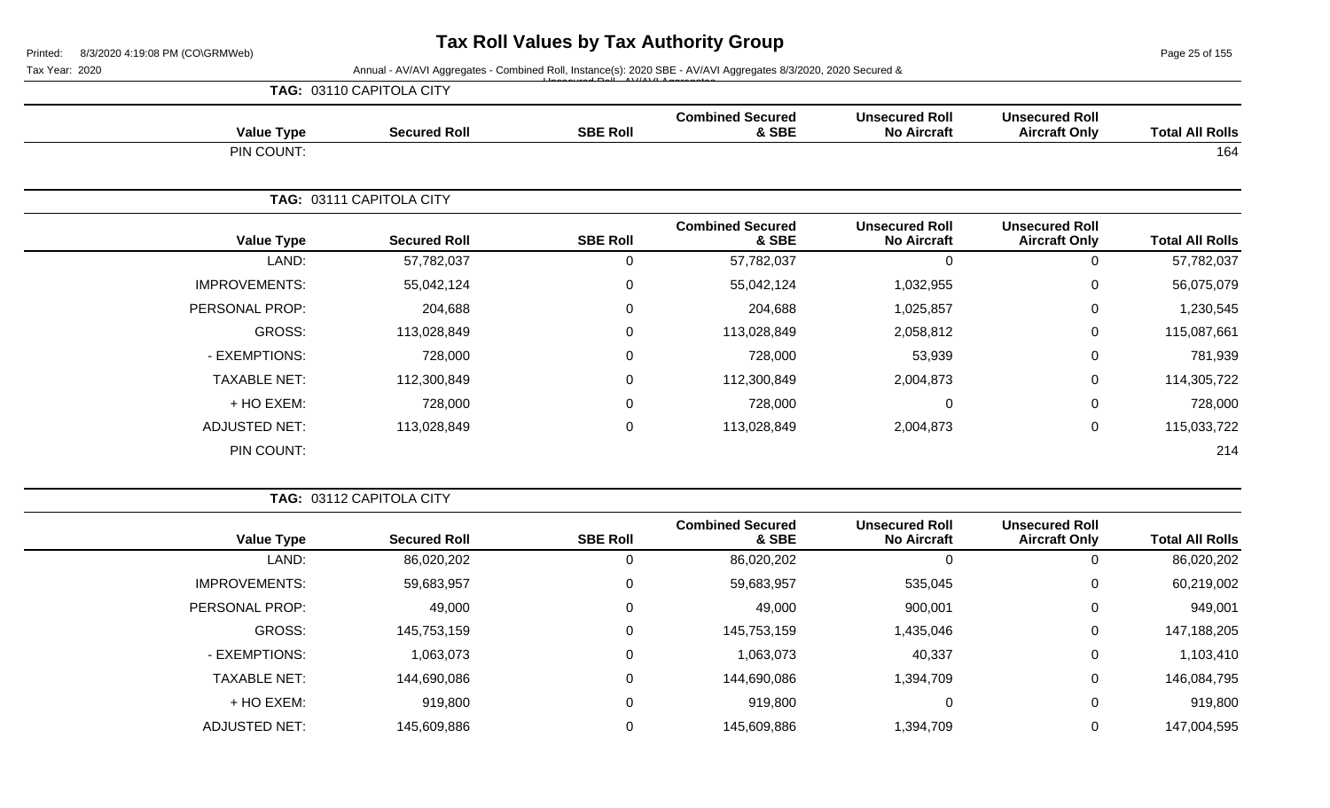Page 25 of 155

Tax Year: 2020 **Annual - AV/AVI Aggregates - Combined Roll**, Instance(s): 2020 SBE - AV/AVI Aggregates 8/3/2020, 2020 Secured &

**Combined Secured**

**Unsecured Roll**

**Unsecured Roll**

|            | <b>TAG: 03110 CAPITOLA CITY</b> | $H_{\text{max}}$ comed $D_{\text{eff}}$ $\Delta M/M$ $\Delta H$ $\Delta$ come action |      |
|------------|---------------------------------|--------------------------------------------------------------------------------------|------|
| Value Tyne | Secured Roll                    | <b>SRE Roll</b>                                                                      | Comb |

| <b>Value Type</b>    | <b>Secured Roll</b>      | <b>SBE Roll</b> | & SBE                            | <b>No Aircraft</b>                          | <b>Aircraft Only</b>                          | <b>Total All Rolls</b> |
|----------------------|--------------------------|-----------------|----------------------------------|---------------------------------------------|-----------------------------------------------|------------------------|
| PIN COUNT:           |                          |                 |                                  |                                             |                                               | 164                    |
|                      | TAG: 03111 CAPITOLA CITY |                 |                                  |                                             |                                               |                        |
| <b>Value Type</b>    | <b>Secured Roll</b>      | <b>SBE Roll</b> | <b>Combined Secured</b><br>& SBE | <b>Unsecured Roll</b><br><b>No Aircraft</b> | <b>Unsecured Roll</b><br><b>Aircraft Only</b> | <b>Total All Rolls</b> |
| LAND:                | 57,782,037               | 0               | 57,782,037                       | $\mathbf 0$                                 | $\mathbf 0$                                   | 57,782,037             |
| <b>IMPROVEMENTS:</b> | 55,042,124               | $\overline{0}$  | 55,042,124                       | 1,032,955                                   | $\mathbf 0$                                   | 56,075,079             |
| PERSONAL PROP:       | 204,688                  | 0               | 204,688                          | 1,025,857                                   | $\mathbf 0$                                   | 1,230,545              |
| GROSS:               | 113,028,849              | 0               | 113,028,849                      | 2,058,812                                   | $\mathbf 0$                                   | 115,087,661            |
| - EXEMPTIONS:        | 728,000                  | 0               | 728,000                          | 53,939                                      | $\mathbf 0$                                   | 781,939                |
| <b>TAXABLE NET:</b>  | 112,300,849              | $\overline{0}$  | 112,300,849                      | 2,004,873                                   | $\mathbf 0$                                   | 114,305,722            |
| + HO EXEM:           | 728,000                  | $\mathbf 0$     | 728,000                          | 0                                           | $\mathbf 0$                                   | 728,000                |
| <b>ADJUSTED NET:</b> | 113,028,849              | 0               | 113,028,849                      | 2,004,873                                   | $\mathbf 0$                                   | 115,033,722            |
| PIN COUNT:           |                          |                 |                                  |                                             |                                               | 214                    |

|                        |                                               |                                             |                                  |                 | <b>TAG: 03112 CAPITOLA CITY</b> |                      |  |
|------------------------|-----------------------------------------------|---------------------------------------------|----------------------------------|-----------------|---------------------------------|----------------------|--|
| <b>Total All Rolls</b> | <b>Unsecured Roll</b><br><b>Aircraft Only</b> | <b>Unsecured Roll</b><br><b>No Aircraft</b> | <b>Combined Secured</b><br>& SBE | <b>SBE Roll</b> | <b>Secured Roll</b>             | <b>Value Type</b>    |  |
| 86,020,202             | 0                                             |                                             | 86,020,202                       |                 | 86,020,202                      | LAND:                |  |
| 60,219,002             | 0                                             | 535,045                                     | 59,683,957                       | 0               | 59,683,957                      | <b>IMPROVEMENTS:</b> |  |
| 949,001                | 0                                             | 900,001                                     | 49,000                           | 0               | 49,000                          | PERSONAL PROP:       |  |
| 147,188,205            | 0                                             | 1,435,046                                   | 145,753,159                      | 0               | 145,753,159                     | GROSS:               |  |
| 1,103,410              | 0                                             | 40,337                                      | 1,063,073                        | 0               | 1,063,073                       | - EXEMPTIONS:        |  |
| 146,084,795            | 0                                             | 1,394,709                                   | 144,690,086                      | 0               | 144,690,086                     | <b>TAXABLE NET:</b>  |  |
| 919,800                | 0                                             | 0                                           | 919,800                          | 0               | 919,800                         | + HO EXEM:           |  |
| 147,004,595            | 0                                             | 1,394,709                                   | 145,609,886                      | 0               | 145,609,886                     | <b>ADJUSTED NET:</b> |  |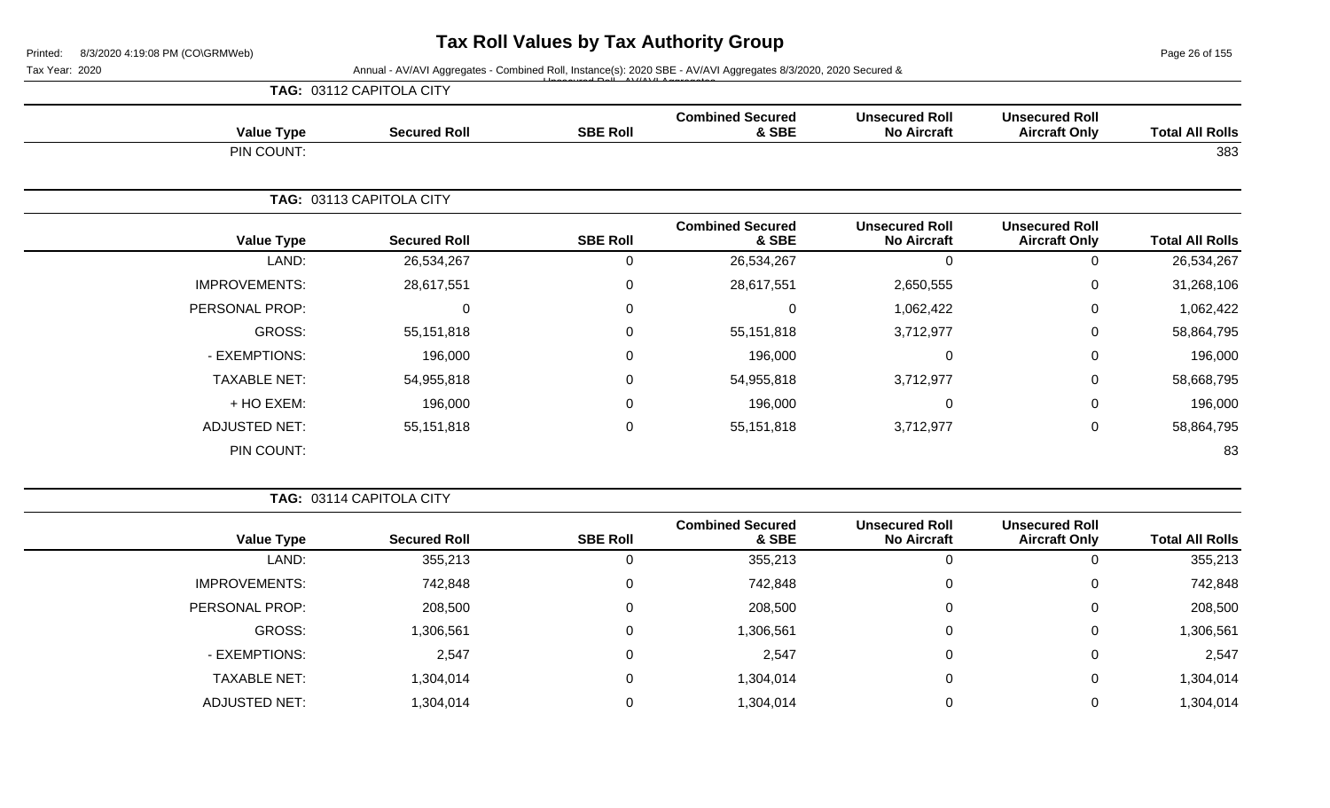Page 26 of 155

### Tax Year: 2020 **Annual - AV/AVI Aggregates - Combined Roll, Instance(s): 2020 SBE - AV/AVI Aggregates 8/3/2020, 2020 Secured &**

|                        |                                               | $-1.5 - 1.6$ AM/AM Associate<br>TAG: 03112 CAPITOLA CITY |                                  |                 |                          |                      |
|------------------------|-----------------------------------------------|----------------------------------------------------------|----------------------------------|-----------------|--------------------------|----------------------|
| <b>Total All Rolls</b> | <b>Unsecured Roll</b><br><b>Aircraft Only</b> | <b>Unsecured Roll</b><br><b>No Aircraft</b>              | <b>Combined Secured</b><br>& SBE | <b>SBE Roll</b> | <b>Secured Roll</b>      | <b>Value Type</b>    |
| 383                    |                                               |                                                          |                                  |                 |                          | PIN COUNT:           |
|                        |                                               |                                                          |                                  |                 | TAG: 03113 CAPITOLA CITY |                      |
| <b>Total All Rolls</b> | <b>Unsecured Roll</b><br><b>Aircraft Only</b> | <b>Unsecured Roll</b><br><b>No Aircraft</b>              | <b>Combined Secured</b><br>& SBE | <b>SBE Roll</b> | <b>Secured Roll</b>      | <b>Value Type</b>    |
| 26,534,267             | 0                                             | ∩                                                        | 26,534,267                       | 0               | 26,534,267               | LAND:                |
| 31,268,106             | 0                                             | 2,650,555                                                | 28,617,551                       | 0               | 28,617,551               | <b>IMPROVEMENTS:</b> |
| 1,062,422              | 0                                             | 1,062,422                                                | $\Omega$                         | $\Omega$        | $\Omega$                 | PERSONAL PROP:       |
| 58,864,795             | 0                                             | 3,712,977                                                | 55,151,818                       | 0               | 55,151,818               | GROSS:               |
| 196,000                | 0                                             | $\Omega$                                                 | 196,000                          | $\Omega$        | 196,000                  | - EXEMPTIONS:        |
| 58,668,795             | 0                                             | 3,712,977                                                | 54,955,818                       | 0               | 54,955,818               | <b>TAXABLE NET:</b>  |
| 196,000                | 0                                             | $\Omega$                                                 | 196,000                          | 0               | 196,000                  | + HO EXEM:           |
| 58,864,795             | 0                                             | 3,712,977                                                | 55,151,818                       | 0               | 55,151,818               | <b>ADJUSTED NET:</b> |

PIN COUNT: 83

**TAG:** 03114 CAPITOLA CITY

| <b>Value Type</b>    | <b>Secured Roll</b> | <b>SBE Roll</b> | <b>Combined Secured</b><br>& SBE | <b>Unsecured Roll</b><br><b>No Aircraft</b> | <b>Unsecured Roll</b><br><b>Aircraft Only</b> | <b>Total All Rolls</b> |
|----------------------|---------------------|-----------------|----------------------------------|---------------------------------------------|-----------------------------------------------|------------------------|
| LAND:                | 355,213             | 0               | 355,213                          | 0                                           | U                                             | 355,213                |
| <b>IMPROVEMENTS:</b> | 742,848             | 0               | 742,848                          | 0                                           | 0                                             | 742,848                |
| PERSONAL PROP:       | 208,500             | 0               | 208,500                          | 0                                           | $\mathbf 0$                                   | 208,500                |
| GROSS:               | 1,306,561           | 0               | 1,306,561                        | 0                                           | 0                                             | 1,306,561              |
| - EXEMPTIONS:        | 2,547               | $\mathbf 0$     | 2,547                            | $\mathbf 0$                                 | 0                                             | 2,547                  |
| <b>TAXABLE NET:</b>  | 1,304,014           | 0               | 1,304,014                        | $\mathbf 0$                                 | 0                                             | 1,304,014              |
| <b>ADJUSTED NET:</b> | 1,304,014           | 0               | 1,304,014                        | 0                                           | 0                                             | 1,304,014              |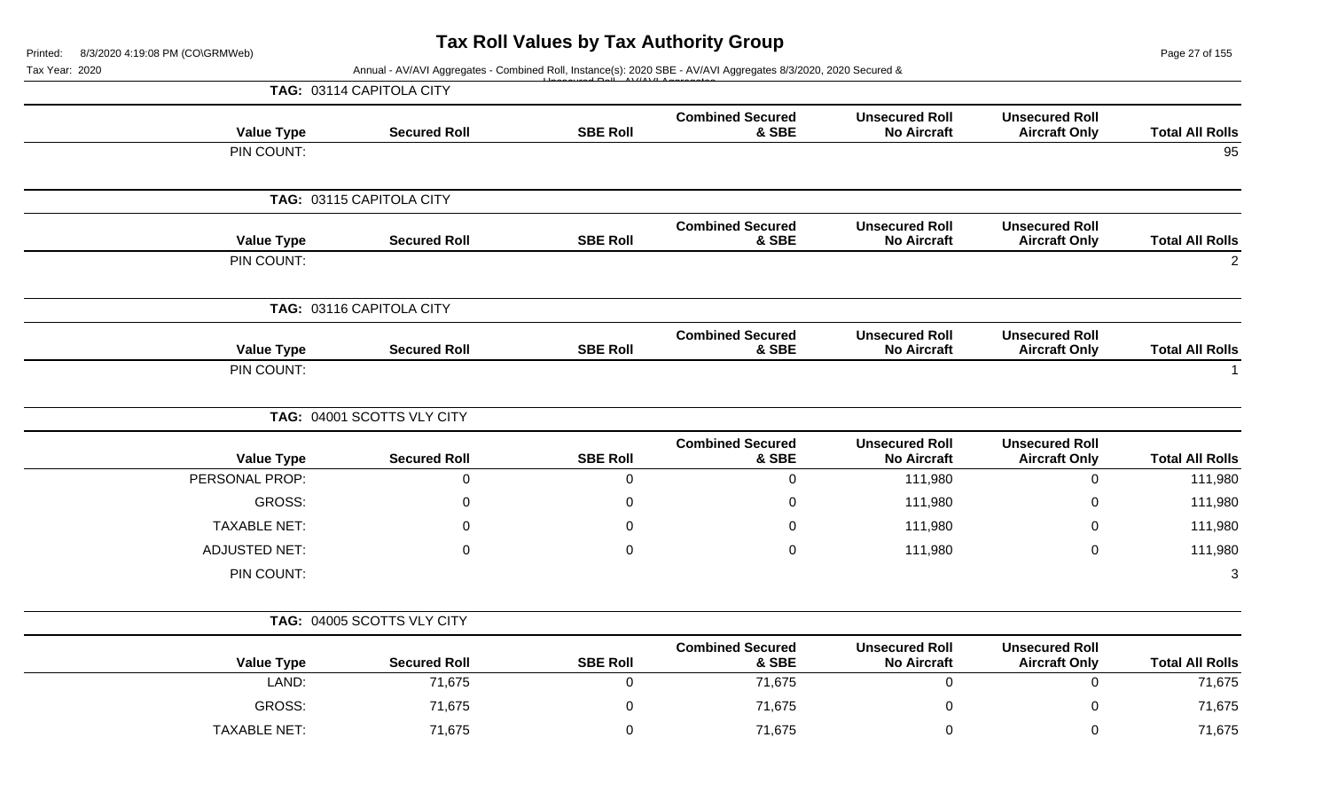Page 27 of 155

|                        |                                               |                                             |                                  |                 | Annual - AV/AVI Aggregates - Combined Roll, Instance(s): 2020 SBE - AV/AVI Aggregates 8/3/2020, 2020 Secured & | Tax Year: 2020       |
|------------------------|-----------------------------------------------|---------------------------------------------|----------------------------------|-----------------|----------------------------------------------------------------------------------------------------------------|----------------------|
|                        |                                               |                                             |                                  |                 | TAG: 03114 CAPITOLA CITY                                                                                       |                      |
| <b>Total All Rolls</b> | <b>Unsecured Roll</b><br><b>Aircraft Only</b> | <b>Unsecured Roll</b><br><b>No Aircraft</b> | <b>Combined Secured</b><br>& SBE | <b>SBE Roll</b> | <b>Secured Roll</b>                                                                                            | <b>Value Type</b>    |
| 95                     |                                               |                                             |                                  |                 |                                                                                                                | PIN COUNT:           |
|                        |                                               |                                             |                                  |                 | TAG: 03115 CAPITOLA CITY                                                                                       |                      |
| <b>Total All Rolls</b> | <b>Unsecured Roll</b><br><b>Aircraft Only</b> | <b>Unsecured Roll</b><br><b>No Aircraft</b> | <b>Combined Secured</b><br>& SBE | <b>SBE Roll</b> | <b>Secured Roll</b>                                                                                            | <b>Value Type</b>    |
| $\overline{2}$         |                                               |                                             |                                  |                 |                                                                                                                | PIN COUNT:           |
|                        |                                               |                                             |                                  |                 | TAG: 03116 CAPITOLA CITY                                                                                       |                      |
| <b>Total All Rolls</b> | <b>Unsecured Roll</b><br><b>Aircraft Only</b> | <b>Unsecured Roll</b><br><b>No Aircraft</b> | <b>Combined Secured</b><br>& SBE | <b>SBE Roll</b> | <b>Secured Roll</b>                                                                                            | <b>Value Type</b>    |
|                        |                                               |                                             |                                  |                 |                                                                                                                | PIN COUNT:           |
|                        |                                               |                                             |                                  |                 | TAG: 04001 SCOTTS VLY CITY                                                                                     |                      |
| <b>Total All Rolls</b> | <b>Unsecured Roll</b><br><b>Aircraft Only</b> | <b>Unsecured Roll</b><br><b>No Aircraft</b> | <b>Combined Secured</b><br>& SBE | <b>SBE Roll</b> | <b>Secured Roll</b>                                                                                            | <b>Value Type</b>    |
| 111,980                | 0                                             | 111,980                                     | $\mathbf 0$                      | $\overline{0}$  | $\mathbf 0$                                                                                                    | PERSONAL PROP:       |
| 111,980                | 0                                             | 111,980                                     | 0                                | 0               | 0                                                                                                              | GROSS:               |
| 111,980                | 0                                             | 111,980                                     | 0                                | 0               | 0                                                                                                              | <b>TAXABLE NET:</b>  |
| 111,980                | 0                                             | 111,980                                     | $\Omega$                         | $\mathbf 0$     | $\Omega$                                                                                                       | <b>ADJUSTED NET:</b> |
| 3                      |                                               |                                             |                                  |                 |                                                                                                                | PIN COUNT:           |
|                        |                                               |                                             |                                  |                 | TAG: 04005 SCOTTS VLY CITY                                                                                     |                      |
| <b>Total All Rolls</b> | <b>Unsecured Roll</b><br><b>Aircraft Only</b> | <b>Unsecured Roll</b><br><b>No Aircraft</b> | <b>Combined Secured</b><br>& SBE | <b>SBE Roll</b> | <b>Secured Roll</b>                                                                                            | <b>Value Type</b>    |
| 71,675                 | 0                                             | $\overline{0}$                              | 71,675                           | $\overline{0}$  | 71,675                                                                                                         | LAND:                |
| 71,675                 | 0                                             | $\pmb{0}$                                   | 71,675                           | $\pmb{0}$       | 71,675                                                                                                         | GROSS:               |
|                        |                                               |                                             |                                  |                 |                                                                                                                |                      |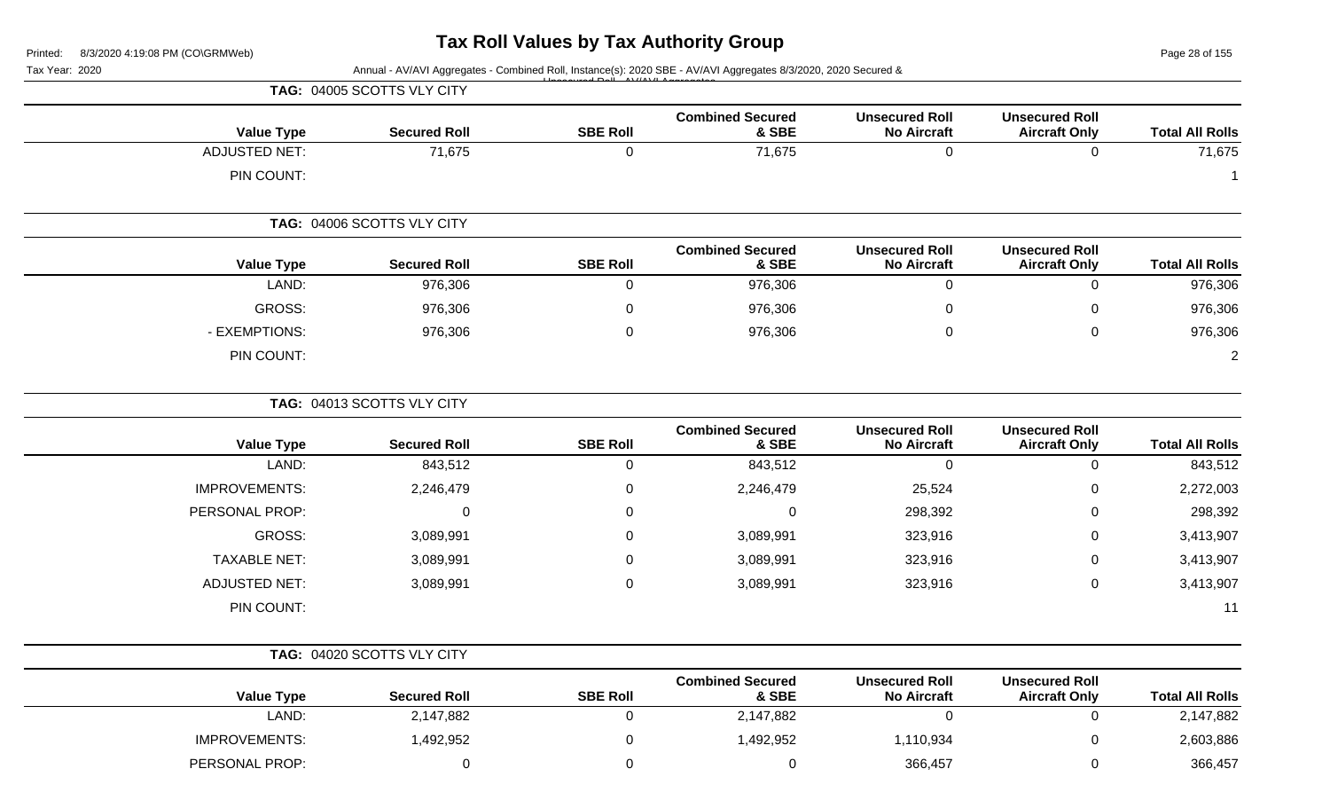Page 28 of 155

| Tax Year: 2020       |                            |                 | Annual - AV/AVI Aggregates - Combined Roll, Instance(s): 2020 SBE - AV/AVI Aggregates 8/3/2020, 2020 Secured & |                                             |                                               |                        |
|----------------------|----------------------------|-----------------|----------------------------------------------------------------------------------------------------------------|---------------------------------------------|-----------------------------------------------|------------------------|
|                      | TAG: 04005 SCOTTS VLY CITY |                 |                                                                                                                |                                             |                                               |                        |
| <b>Value Type</b>    | <b>Secured Roll</b>        | <b>SBE Roll</b> | <b>Combined Secured</b><br>& SBE                                                                               | <b>Unsecured Roll</b><br><b>No Aircraft</b> | <b>Unsecured Roll</b><br><b>Aircraft Only</b> | <b>Total All Rolls</b> |
| <b>ADJUSTED NET:</b> | 71,675                     | 0               | 71,675                                                                                                         | 0                                           | 0                                             | 71,675                 |
| PIN COUNT:           |                            |                 |                                                                                                                |                                             |                                               | -1                     |
|                      | TAG: 04006 SCOTTS VLY CITY |                 |                                                                                                                |                                             |                                               |                        |
| <b>Value Type</b>    | <b>Secured Roll</b>        | <b>SBE Roll</b> | <b>Combined Secured</b><br>& SBE                                                                               | <b>Unsecured Roll</b><br><b>No Aircraft</b> | <b>Unsecured Roll</b><br><b>Aircraft Only</b> | <b>Total All Rolls</b> |
| LAND:                | 976,306                    | 0               | 976,306                                                                                                        | $\mathbf 0$                                 | $\Omega$                                      | 976,306                |
| <b>GROSS:</b>        | 976,306                    | 0               | 976,306                                                                                                        | 0                                           |                                               | 976,306                |
| - EXEMPTIONS:        | 976,306                    | 0               | 976,306                                                                                                        | $\mathbf 0$                                 | 0                                             | 976,306                |
| PIN COUNT:           |                            |                 |                                                                                                                |                                             |                                               | 2                      |
|                      | TAG: 04013 SCOTTS VLY CITY |                 |                                                                                                                |                                             |                                               |                        |
| <b>Value Type</b>    | <b>Secured Roll</b>        | <b>SBE Roll</b> | <b>Combined Secured</b><br>& SBE                                                                               | <b>Unsecured Roll</b><br><b>No Aircraft</b> | <b>Unsecured Roll</b><br><b>Aircraft Only</b> | <b>Total All Rolls</b> |
| LAND:                | 843,512                    | 0               | 843,512                                                                                                        | $\mathbf 0$                                 | $\mathbf 0$                                   | 843,512                |
| <b>IMPROVEMENTS:</b> | 2,246,479                  | 0               | 2,246,479                                                                                                      | 25,524                                      | 0                                             | 2,272,003              |
| PERSONAL PROP:       | 0                          | 0               | $\Omega$                                                                                                       | 298,392                                     | 0                                             | 298,392                |
| <b>GROSS:</b>        | 3,089,991                  | 0               | 3,089,991                                                                                                      | 323,916                                     | 0                                             | 3,413,907              |
| <b>TAXABLE NET:</b>  | 3,089,991                  | 0               | 3,089,991                                                                                                      | 323,916                                     | 0                                             | 3,413,907              |
| <b>ADJUSTED NET:</b> | 3,089,991                  | 0               | 3,089,991                                                                                                      | 323,916                                     | $\pmb{0}$                                     | 3,413,907              |
| PIN COUNT:           |                            |                 |                                                                                                                |                                             |                                               | 11                     |
|                      | TAG: 04020 SCOTTS VLY CITY |                 |                                                                                                                |                                             |                                               |                        |
| <b>Value Type</b>    | <b>Secured Roll</b>        | <b>SBE Roll</b> | <b>Combined Secured</b><br>& SBE                                                                               | <b>Unsecured Roll</b><br><b>No Aircraft</b> | <b>Unsecured Roll</b><br><b>Aircraft Only</b> | <b>Total All Rolls</b> |
| LAND:                | 2,147,882                  | 0               | 2,147,882                                                                                                      | $\overline{0}$                              | 0                                             | 2,147,882              |
| <b>IMPROVEMENTS:</b> | 1,492,952                  | 0               | 1,492,952                                                                                                      | 1,110,934                                   | 0                                             | 2,603,886              |
| PERSONAL PROP:       | $\mathbf 0$                | 0               | $\mathbf 0$                                                                                                    | 366,457                                     | 0                                             | 366,457                |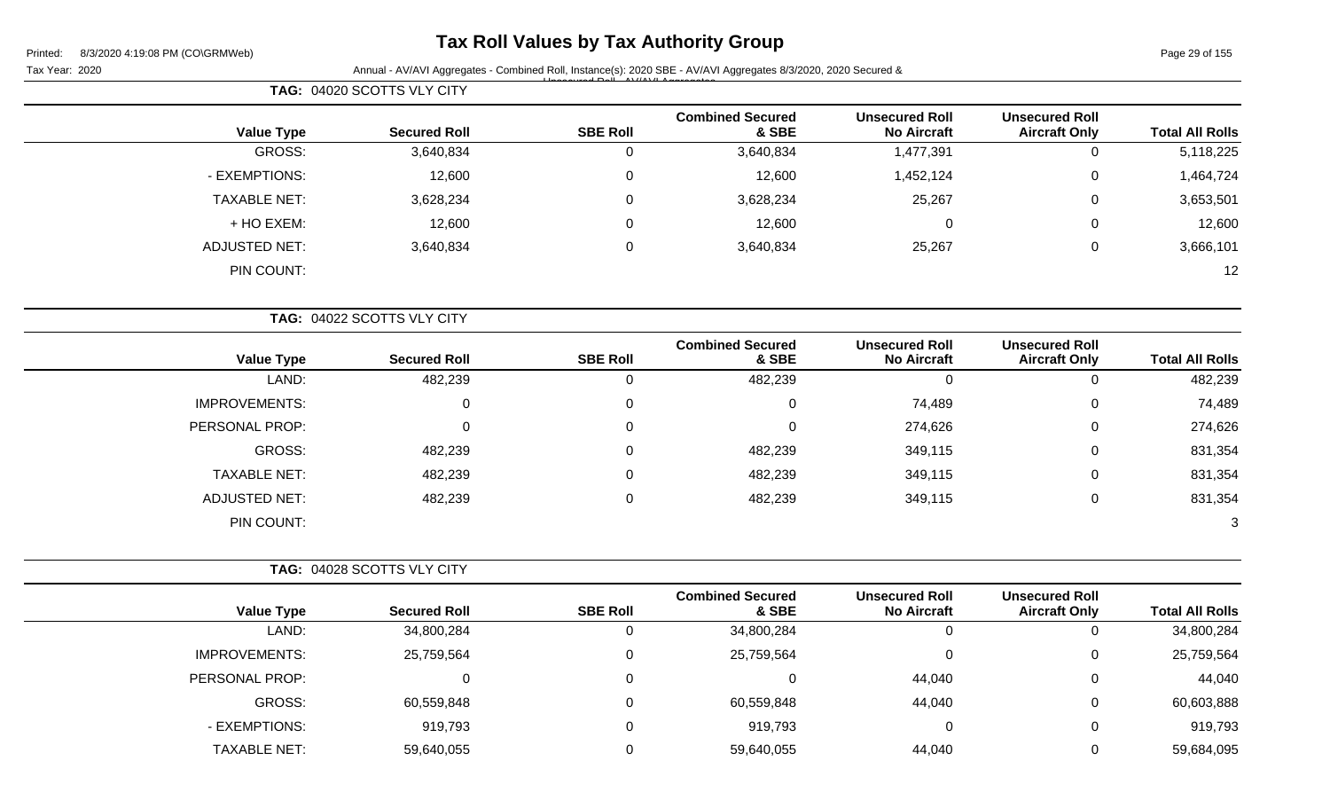## **Tax Roll Values by Tax Authority Group**

Tax Year: 2020 **Annual - AV/AVI Aggregates - Combined Roll**, Instance(s): 2020 SBE - AV/AVI Aggregates 8/3/2020, 2020 Secured & Unsecured Roll - AV/AVI Aggregates

|                        |                                               |                                             |                                  |                 | TAG: 04020 SCOTTS VLY CITY |                      |
|------------------------|-----------------------------------------------|---------------------------------------------|----------------------------------|-----------------|----------------------------|----------------------|
| <b>Total All Rolls</b> | <b>Unsecured Roll</b><br><b>Aircraft Only</b> | <b>Unsecured Roll</b><br><b>No Aircraft</b> | <b>Combined Secured</b><br>& SBE | <b>SBE Roll</b> | <b>Secured Roll</b>        | <b>Value Type</b>    |
| 5,118,225              | 0                                             | 1,477,391                                   | 3,640,834                        | 0               | 3,640,834                  | GROSS:               |
| 1,464,724              | 0                                             | 1,452,124                                   | 12,600                           | $\mathbf 0$     | 12,600                     | - EXEMPTIONS:        |
| 3,653,501              | 0                                             | 25,267                                      | 3,628,234                        | 0               | 3,628,234                  | <b>TAXABLE NET:</b>  |
| 12,600                 | 0                                             | 0                                           | 12,600                           | 0               | 12,600                     | + HO EXEM:           |
| 3,666,101              | 0                                             | 25,267                                      | 3,640,834                        | 0               | 3,640,834                  | <b>ADJUSTED NET:</b> |
| 12                     |                                               |                                             |                                  |                 |                            | PIN COUNT:           |
|                        |                                               |                                             |                                  |                 | TAG: 04022 SCOTTS VLY CITY |                      |
| <b>Total All Rolls</b> | <b>Unsecured Roll</b><br><b>Aircraft Only</b> | <b>Unsecured Roll</b><br><b>No Aircraft</b> | <b>Combined Secured</b><br>& SBE | <b>SBE Roll</b> | <b>Secured Roll</b>        | <b>Value Type</b>    |
| 482,239                | $\Omega$                                      | $\Omega$                                    | 482,239                          | $\Omega$        | 482,239                    | LAND:                |
| 74,489                 | 0                                             | 74,489                                      | 0                                | 0               | 0                          | <b>IMPROVEMENTS:</b> |
| 274,626                | $\mathbf 0$                                   | 274,626                                     | $\Omega$                         | 0               | 0                          | PERSONAL PROP:       |
| 831.354                | $\Omega$                                      | 349, 115                                    | <b>AR2 239</b>                   | $\Omega$        | <b>AR2 239</b>             | GROSS.               |

| <b>GROSS:</b>        | 482,239 | 482,239 | 349,115 | 831,354 |
|----------------------|---------|---------|---------|---------|
| <b>TAXABLE NET:</b>  | 482,239 | 482,239 | 349,115 | 831,354 |
| <b>ADJUSTED NET:</b> | 482,239 | 482,239 | 349,115 | 831,354 |
| PIN COUNT:           |         |         |         | ົ       |
|                      |         |         |         |         |

|                      | TAG: 04028 SCOTTS VLY CITY |                 |                                  |                                             |                                               |                        |
|----------------------|----------------------------|-----------------|----------------------------------|---------------------------------------------|-----------------------------------------------|------------------------|
| <b>Value Type</b>    | <b>Secured Roll</b>        | <b>SBE Roll</b> | <b>Combined Secured</b><br>& SBE | <b>Unsecured Roll</b><br><b>No Aircraft</b> | <b>Unsecured Roll</b><br><b>Aircraft Only</b> | <b>Total All Rolls</b> |
| LAND:                | 34,800,284                 |                 | 34,800,284                       | 0                                           | U                                             | 34,800,284             |
| <b>IMPROVEMENTS:</b> | 25,759,564                 |                 | 25,759,564                       | $\Omega$                                    | 0                                             | 25,759,564             |
| PERSONAL PROP:       | 0                          |                 |                                  | 44,040                                      | 0                                             | 44,040                 |
| GROSS:               | 60,559,848                 |                 | 60,559,848                       | 44,040                                      | 0                                             | 60,603,888             |
| - EXEMPTIONS:        | 919,793                    |                 | 919,793                          | 0                                           | $\mathbf{0}$                                  | 919,793                |
| <b>TAXABLE NET:</b>  | 59,640,055                 |                 | 59,640,055                       | 44,040                                      | 0                                             | 59,684,095             |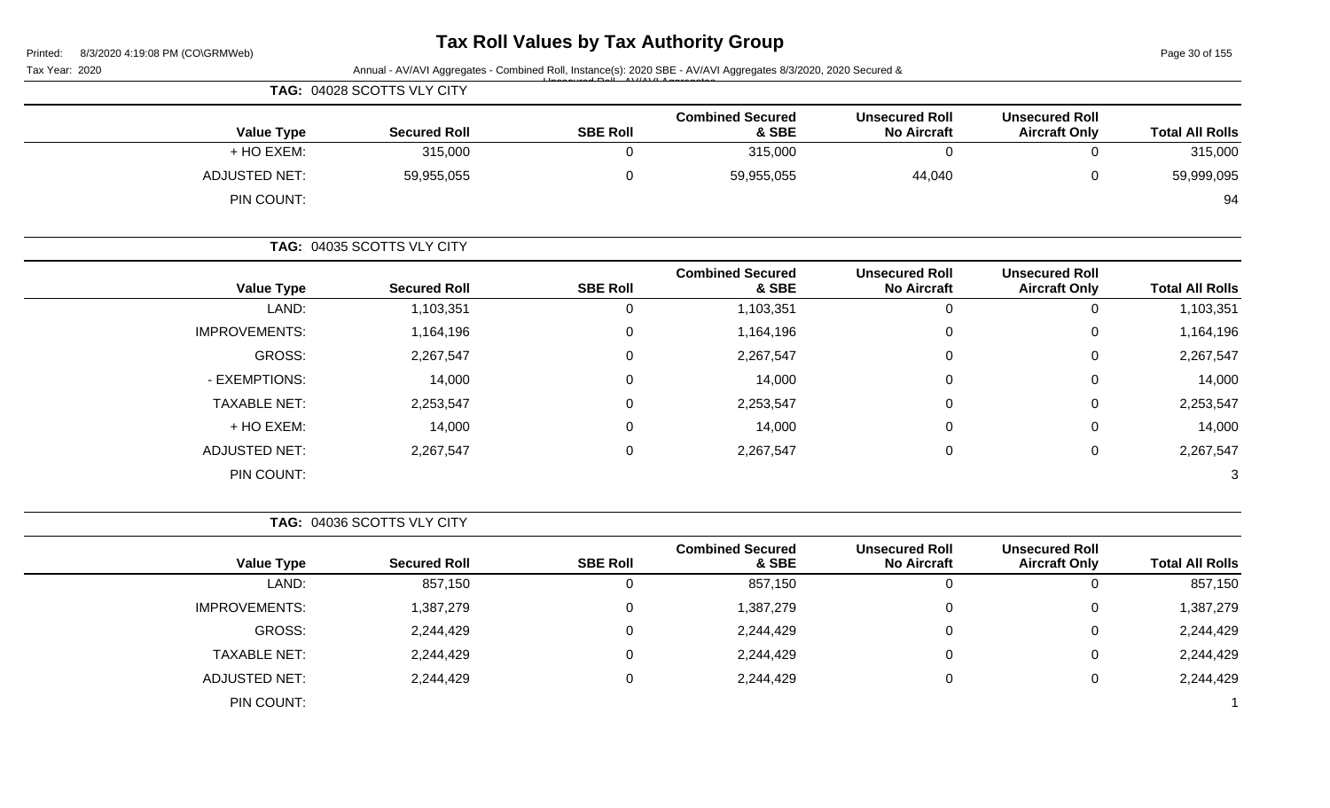## **Tax Roll Values by Tax Authority Group**

Page 30 of 155

| Tax Year: 2020       |                            |                 | Annual - AV/AVI Aggregates - Combined Roll, Instance(s): 2020 SBE - AV/AVI Aggregates 8/3/2020, 2020 Secured & |                                             |                                               | Page 30 of 155<br><b>Total All Rolls</b><br>315,000<br>59,999,095<br>94<br><b>Total All Rolls</b><br>1,103,351<br>1,164,196<br>2,267,547<br>14,000 |
|----------------------|----------------------------|-----------------|----------------------------------------------------------------------------------------------------------------|---------------------------------------------|-----------------------------------------------|----------------------------------------------------------------------------------------------------------------------------------------------------|
|                      | TAG: 04028 SCOTTS VLY CITY |                 |                                                                                                                |                                             |                                               |                                                                                                                                                    |
| <b>Value Type</b>    | <b>Secured Roll</b>        | <b>SBE Roll</b> | <b>Combined Secured</b><br>& SBE                                                                               | <b>Unsecured Roll</b><br><b>No Aircraft</b> | <b>Unsecured Roll</b><br><b>Aircraft Only</b> |                                                                                                                                                    |
| + HO EXEM:           | 315,000                    | 0               | 315,000                                                                                                        | $\mathbf 0$                                 | 0                                             |                                                                                                                                                    |
| <b>ADJUSTED NET:</b> | 59,955,055                 | 0               | 59,955,055                                                                                                     | 44,040                                      | 0                                             |                                                                                                                                                    |
| PIN COUNT:           |                            |                 |                                                                                                                |                                             |                                               |                                                                                                                                                    |
|                      | TAG: 04035 SCOTTS VLY CITY |                 |                                                                                                                |                                             |                                               |                                                                                                                                                    |
| <b>Value Type</b>    | <b>Secured Roll</b>        | <b>SBE Roll</b> | <b>Combined Secured</b><br>& SBE                                                                               | <b>Unsecured Roll</b><br><b>No Aircraft</b> | <b>Unsecured Roll</b><br><b>Aircraft Only</b> |                                                                                                                                                    |
| LAND:                | 1,103,351                  | 0               | 1,103,351                                                                                                      | $\mathbf 0$                                 | 0                                             |                                                                                                                                                    |
| <b>IMPROVEMENTS:</b> | 1,164,196                  | 0               | 1,164,196                                                                                                      | $\mathbf 0$                                 | 0                                             |                                                                                                                                                    |
| GROSS:               | 2,267,547                  | 0               | 2,267,547                                                                                                      | 0                                           | 0                                             |                                                                                                                                                    |
| - EXEMPTIONS:        | 14,000                     | 0               | 14,000                                                                                                         | $\mathbf 0$                                 | 0                                             |                                                                                                                                                    |
| <b>TAXABLE NET:</b>  | 2,253,547                  | 0               | 2,253,547                                                                                                      | 0                                           | 0                                             | 2,253,547                                                                                                                                          |
| + HO EXEM:           | 14,000                     | 0               | 14,000                                                                                                         | $\mathbf 0$                                 | 0                                             | 14,000                                                                                                                                             |
| <b>ADJUSTED NET:</b> | 2,267,547                  | 0               | 2,267,547                                                                                                      | $\mathbf 0$                                 | 0                                             | 2,267,547                                                                                                                                          |
| PIN COUNT:           |                            |                 |                                                                                                                |                                             |                                               | 3                                                                                                                                                  |
|                      | TAG: 04036 SCOTTS VLY CITY |                 |                                                                                                                |                                             |                                               |                                                                                                                                                    |
| <b>Value Type</b>    | <b>Secured Roll</b>        | <b>SBE Roll</b> | <b>Combined Secured</b><br>& SBE                                                                               | <b>Unsecured Roll</b><br><b>No Aircraft</b> | <b>Unsecured Roll</b><br><b>Aircraft Only</b> | <b>Total All Rolls</b>                                                                                                                             |
| LAND:                | 857,150                    | 0               | 857,150                                                                                                        | 0                                           | 0                                             | 857,150                                                                                                                                            |

IMPROVEMENTS: 1,387,279 0 0 1,387,279 0 0 1,387,279 0 1,397,279 0 0 1,387,279

TAXABLE NET: 2,244,429 0 2,244,429 0 0 2,244,429 ADJUSTED NET: 2,244,429 0 2,244,429 0 0 2,244,429

GROSS: 2,244,429 0 2,244,429 0 0 2,244,429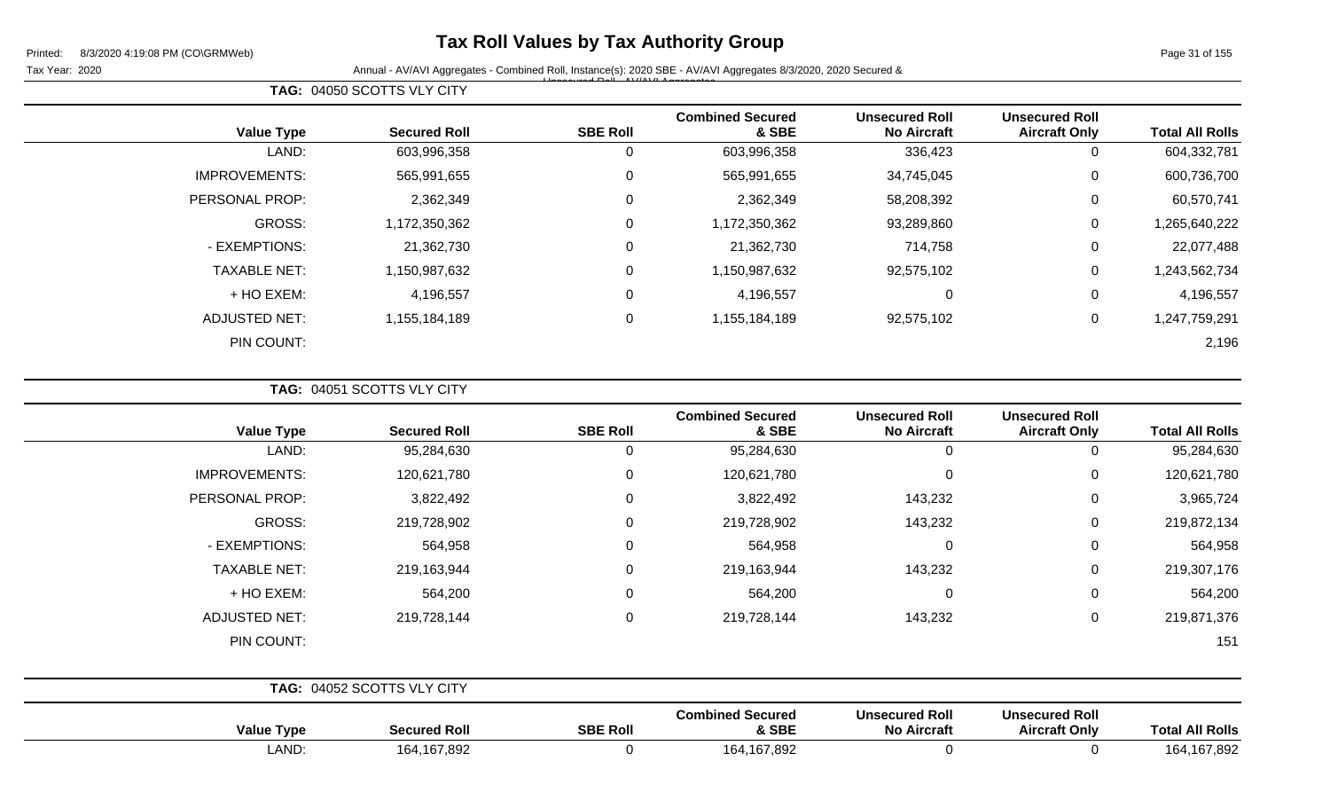## **Tax Roll Values by Tax Authority Group**

Tax Year: 2020 **Annual - AV/AVI Aggregates - Combined Roll, Instance(s): 2020 SBE - AV/AVI Aggregates 8/3/2020, 2020 Secured &** Unsecured Roll - AV/AVI Aggregates

| <b>Total All Rolls</b> | <b>Unsecured Roll</b><br><b>Aircraft Only</b> | <b>Unsecured Roll</b><br><b>No Aircraft</b> | <b>Combined Secured</b><br>& SBE | <b>SBE Roll</b> | <b>Secured Roll</b> | <b>Value Type</b>    |
|------------------------|-----------------------------------------------|---------------------------------------------|----------------------------------|-----------------|---------------------|----------------------|
| 604,332,781            | O                                             | 336,423                                     | 603,996,358                      | 0               | 603,996,358         | LAND:                |
| 600,736,700            | 0                                             | 34,745,045                                  | 565,991,655                      | 0               | 565,991,655         | <b>IMPROVEMENTS:</b> |
| 60,570,741             | 0                                             | 58,208,392                                  | 2,362,349                        | 0               | 2,362,349           | PERSONAL PROP:       |
| 1,265,640,222          | 0                                             | 93,289,860                                  | 1,172,350,362                    | 0               | 1,172,350,362       | GROSS:               |
| 22,077,488             | 0                                             | 714,758                                     | 21,362,730                       | 0               | 21,362,730          | - EXEMPTIONS:        |
| 1,243,562,734          | 0                                             | 92,575,102                                  | 1,150,987,632                    | 0               | 1,150,987,632       | <b>TAXABLE NET:</b>  |
| 4,196,557              | 0                                             | 0                                           | 4,196,557                        | 0               | 4,196,557           | + HO EXEM:           |
| 1,247,759,291          | 0                                             | 92,575,102                                  | 1,155,184,189                    | 0               | 1,155,184,189       | <b>ADJUSTED NET:</b> |
| 2,196                  |                                               |                                             |                                  |                 |                     | PIN COUNT:           |

**TAG:** 04051 SCOTTS VLY CITY

**Value Type Secured Roll SBE Roll**

**TAG:** 04050 SCOTTS VLY CITY

| <b>Total All Rolls</b> | <b>Unsecured Roll</b><br><b>Aircraft Only</b> | <b>Unsecured Roll</b><br><b>No Aircraft</b> | <b>Combined Secured</b><br>& SBE | <b>SBE Roll</b> | <b>Secured Roll</b>        | <b>Value Type</b>    |
|------------------------|-----------------------------------------------|---------------------------------------------|----------------------------------|-----------------|----------------------------|----------------------|
| 95,284,630             | 0                                             | $\mathbf 0$                                 | 95,284,630                       | $\Omega$        | 95,284,630                 | LAND:                |
| 120,621,780            | 0                                             | $\mathbf 0$                                 | 120,621,780                      | 0               | 120,621,780                | <b>IMPROVEMENTS:</b> |
| 3,965,724              | 0                                             | 143,232                                     | 3,822,492                        | $\Omega$        | 3,822,492                  | PERSONAL PROP:       |
| 219,872,134            | $\mathbf 0$                                   | 143,232                                     | 219,728,902                      | $\Omega$        | 219,728,902                | GROSS:               |
| 564,958                | $\Omega$                                      | $\mathbf 0$                                 | 564,958                          | $\Omega$        | 564,958                    | - EXEMPTIONS:        |
| 219,307,176            | $\mathbf 0$                                   | 143,232                                     | 219,163,944                      | $\Omega$        | 219,163,944                | <b>TAXABLE NET:</b>  |
| 564,200                | 0                                             | $\mathbf 0$                                 | 564,200                          | $\Omega$        | 564,200                    | + HO EXEM:           |
| 219,871,376            | 0                                             | 143,232                                     | 219,728,144                      | $\Omega$        | 219,728,144                | <b>ADJUSTED NET:</b> |
| 151                    |                                               |                                             |                                  |                 |                            | PIN COUNT:           |
|                        |                                               |                                             |                                  |                 | TAG: 04052 SCOTTS VLY CITY |                      |
|                        | <b>Unsecured Roll</b>                         | <b>Unsecured Roll</b>                       | <b>Combined Secured</b>          |                 |                            |                      |

**& SBE**

LAND: 164,167,892 0 164,167,892 0 0 164,167,892

**No Aircraft**



**Aircraft Only Total All Rolls**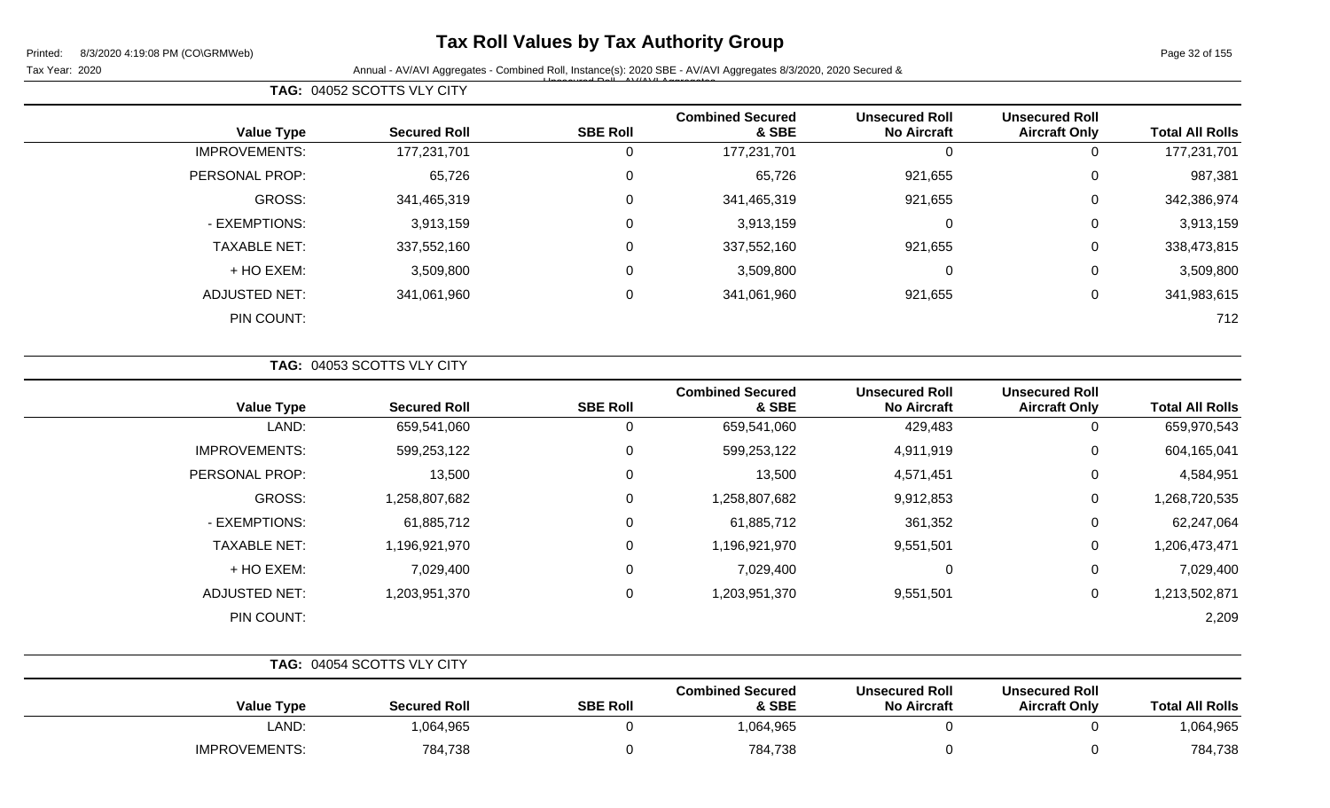## **Tax Roll Values by Tax Authority Group**

Page 32 of 155

Tax Year: 2020 **Annual - AV/AVI Aggregates - Combined Roll**, Instance(s): 2020 SBE - AV/AVI Aggregates 8/3/2020, 2020 Secured & Unsecured Roll - AV/AVI Aggregates

| <b>Total All Rolls</b> | <b>Unsecured Roll</b><br><b>Aircraft Only</b> | <b>Unsecured Roll</b><br><b>No Aircraft</b> | <b>Combined Secured</b><br>& SBE | <b>SBE Roll</b> | <b>Secured Roll</b> | <b>Value Type</b>    |
|------------------------|-----------------------------------------------|---------------------------------------------|----------------------------------|-----------------|---------------------|----------------------|
| 177,231,701            | 0                                             | 0                                           | 177,231,701                      | 0               | 177,231,701         | <b>IMPROVEMENTS:</b> |
| 987,381                | 0                                             | 921,655                                     | 65,726                           | 0               | 65,726              | PERSONAL PROP:       |
| 342,386,974            | 0                                             | 921,655                                     | 341,465,319                      | 0               | 341,465,319         | GROSS:               |
| 3,913,159              | 0                                             | 0                                           | 3,913,159                        | 0               | 3,913,159           | - EXEMPTIONS:        |
| 338,473,815            | 0                                             | 921,655                                     | 337,552,160                      | 0               | 337,552,160         | <b>TAXABLE NET:</b>  |
| 3,509,800              | 0                                             | 0                                           | 3,509,800                        | 0               | 3,509,800           | + HO EXEM:           |
| 341,983,615            | 0                                             | 921,655                                     | 341,061,960                      | 0               | 341,061,960         | ADJUSTED NET:        |
| 712                    |                                               |                                             |                                  |                 |                     | PIN COUNT:           |

|  | TAG: 04053 SCOTTS VLY CITY |  |
|--|----------------------------|--|
|  |                            |  |

**TAG:** 04052 SCOTTS VLY CITY

| <b>Value Type</b>    | <b>Secured Roll</b> | <b>SBE Roll</b> | <b>Combined Secured</b><br>& SBE | <b>Unsecured Roll</b><br><b>No Aircraft</b> | <b>Unsecured Roll</b><br><b>Aircraft Only</b> | <b>Total All Rolls</b> |
|----------------------|---------------------|-----------------|----------------------------------|---------------------------------------------|-----------------------------------------------|------------------------|
| LAND:                | 659,541,060         | 0               | 659,541,060                      | 429,483                                     | 0                                             | 659,970,543            |
| <b>IMPROVEMENTS:</b> | 599,253,122         | 0               | 599,253,122                      | 4,911,919                                   | 0                                             | 604,165,041            |
| PERSONAL PROP:       | 13,500              | 0               | 13,500                           | 4,571,451                                   | 0                                             | 4,584,951              |
| <b>GROSS:</b>        | 1,258,807,682       | 0               | 1,258,807,682                    | 9,912,853                                   | 0                                             | 1,268,720,535          |
| - EXEMPTIONS:        | 61,885,712          | 0               | 61,885,712                       | 361,352                                     | 0                                             | 62,247,064             |
| <b>TAXABLE NET:</b>  | 1,196,921,970       | 0               | 1,196,921,970                    | 9,551,501                                   | 0                                             | 1,206,473,471          |
| + HO EXEM:           | 7,029,400           | 0               | 7,029,400                        | 0                                           | 0                                             | 7,029,400              |
| <b>ADJUSTED NET:</b> | 1,203,951,370       | 0               | 1,203,951,370                    | 9,551,501                                   | 0                                             | 1,213,502,871          |
| PIN COUNT:           |                     |                 |                                  |                                             |                                               | 2,209                  |

|                      | TAG: 04054 SCOTTS VLY CITY |                 |                                  |                                             |                                               |                        |
|----------------------|----------------------------|-----------------|----------------------------------|---------------------------------------------|-----------------------------------------------|------------------------|
| <b>Value Type</b>    | <b>Secured Roll</b>        | <b>SBE Roll</b> | <b>Combined Secured</b><br>& SBE | <b>Unsecured Roll</b><br><b>No Aircraft</b> | <b>Unsecured Roll</b><br><b>Aircraft Only</b> | <b>Total All Rolls</b> |
| LAND:                | 1,064,965                  |                 | 1,064,965                        |                                             |                                               | 1,064,965              |
| <b>IMPROVEMENTS:</b> | 784,738                    |                 | 784,738                          |                                             |                                               | 784,738                |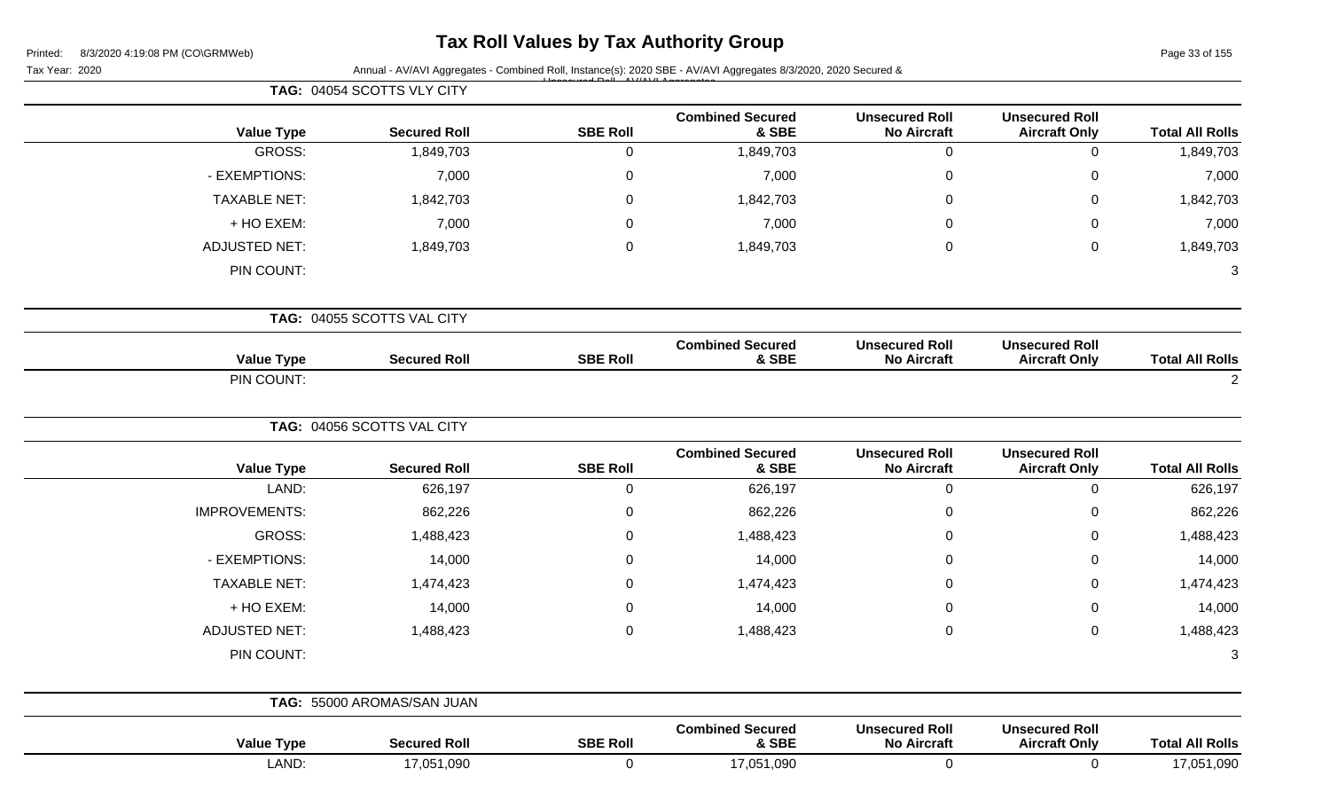## **Tax Roll Values by Tax Authority Group**

Tax Year: 2020 **Annual - AV/AVI Aggregates - Combined Roll**, Instance(s): 2020 SBE - AV/AVI Aggregates 8/3/2020, 2020 Secured &

| Page 33 of 155 |  |  |
|----------------|--|--|
|                |  |  |

|                        |                                               |                                             |                                  |                 | TAG: 04054 SCOTTS VLY CITY |                      |
|------------------------|-----------------------------------------------|---------------------------------------------|----------------------------------|-----------------|----------------------------|----------------------|
| <b>Total All Rolls</b> | <b>Unsecured Roll</b><br><b>Aircraft Only</b> | <b>Unsecured Roll</b><br><b>No Aircraft</b> | <b>Combined Secured</b><br>& SBE | <b>SBE Roll</b> | <b>Secured Roll</b>        | <b>Value Type</b>    |
| 1,849,703              | $\mathbf 0$                                   | $\mathbf 0$                                 | 1,849,703                        | $\mathbf 0$     | 1,849,703                  | GROSS:               |
| 7,000                  | $\mathbf 0$                                   | 0                                           | 7,000                            | $\mathbf 0$     | 7,000                      | - EXEMPTIONS:        |
| 1,842,703              | $\mathbf 0$                                   | 0                                           | 1,842,703                        | $\mathbf 0$     | 1,842,703                  | <b>TAXABLE NET:</b>  |
| 7,000                  | $\mathbf 0$                                   | 0                                           | 7,000                            | $\mathbf 0$     | 7,000                      | + HO EXEM:           |
| 1,849,703              | $\mathsf 0$                                   | 0                                           | 1,849,703                        | $\mathbf 0$     | 1,849,703                  | <b>ADJUSTED NET:</b> |
| 3                      |                                               |                                             |                                  |                 |                            | PIN COUNT:           |
|                        |                                               |                                             |                                  |                 | TAG: 04055 SCOTTS VAL CITY |                      |
| <b>Total All Rolls</b> | <b>Unsecured Roll</b><br><b>Aircraft Only</b> | <b>Unsecured Roll</b><br><b>No Aircraft</b> | <b>Combined Secured</b><br>& SBE | <b>SBE Roll</b> | <b>Secured Roll</b>        | <b>Value Type</b>    |
| $\overline{2}$         |                                               |                                             |                                  |                 |                            | PIN COUNT:           |
|                        |                                               |                                             |                                  |                 | TAG: 04056 SCOTTS VAL CITY |                      |
| <b>Total All Rolls</b> | <b>Unsecured Roll</b><br><b>Aircraft Only</b> | <b>Unsecured Roll</b><br><b>No Aircraft</b> | <b>Combined Secured</b><br>& SBE | <b>SBE Roll</b> | <b>Secured Roll</b>        | <b>Value Type</b>    |
| 626,197                | $\mathbf 0$                                   | $\mathbf 0$                                 | 626,197                          | $\overline{0}$  | 626,197                    | LAND:                |
| 862,226                | $\pmb{0}$                                     | $\pmb{0}$                                   | 862,226                          | $\pmb{0}$       | 862,226                    | <b>IMPROVEMENTS:</b> |
| 1,488,423              | $\mathbf 0$                                   | 0                                           | 1,488,423                        | $\mathbf 0$     | 1,488,423                  | <b>GROSS:</b>        |
| 14,000                 | $\pmb{0}$                                     | 0                                           | 14,000                           | $\mathbf 0$     | 14,000                     | - EXEMPTIONS:        |
| 1,474,423              | $\mathbf 0$                                   | 0                                           | 1,474,423                        | $\mathbf 0$     | 1,474,423                  | <b>TAXABLE NET:</b>  |
| 14,000                 | $\pmb{0}$                                     | 0                                           | 14,000                           | $\mathbf 0$     | 14,000                     | + HO EXEM:           |
| 1,488,423              | $\pmb{0}$                                     | $\mathbf 0$                                 | 1,488,423                        | $\mathbf 0$     | 1,488,423                  | <b>ADJUSTED NET:</b> |
| $\sqrt{3}$             |                                               |                                             |                                  |                 |                            | PIN COUNT:           |
|                        |                                               |                                             |                                  |                 | TAG: 55000 AROMAS/SAN JUAN |                      |
| <b>Total All Rolls</b> | <b>Unsecured Roll</b><br><b>Aircraft Only</b> | <b>Unsecured Roll</b><br><b>No Aircraft</b> | <b>Combined Secured</b><br>& SBE | <b>SBE Roll</b> | <b>Secured Roll</b>        | <b>Value Type</b>    |
| 17,051,090             | $\mathbf 0$                                   | $\mathbf 0$                                 | 17,051,090                       | $\overline{0}$  | 17,051,090                 | LAND:                |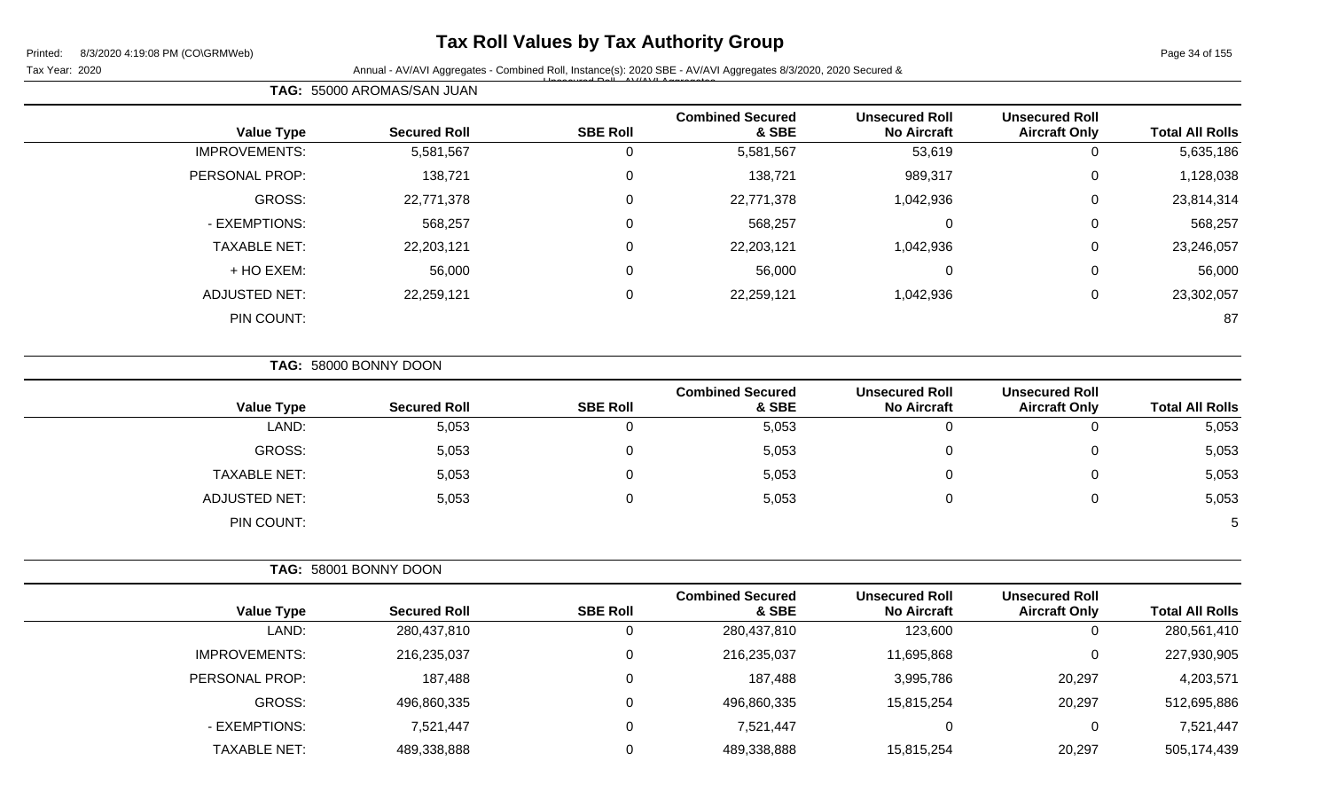## **Tax Roll Values by Tax Authority Group**

Tax Year: 2020 **Annual - AV/AVI Aggregates - Combined Roll**, Instance(s): 2020 SBE - AV/AVI Aggregates 8/3/2020, 2020 Secured & Unsecured Roll - AV/AVI Aggregates

Page 34 of 155

| <b>Total All Rolls</b> | <b>Unsecured Roll</b><br><b>Aircraft Only</b> | <b>Unsecured Roll</b><br><b>No Aircraft</b> | <b>Combined Secured</b><br>& SBE | <b>SBE Roll</b> | <b>Secured Roll</b> | <b>Value Type</b>    |
|------------------------|-----------------------------------------------|---------------------------------------------|----------------------------------|-----------------|---------------------|----------------------|
| 5,635,186              | U                                             | 53,619                                      | 5,581,567                        | 0               | 5,581,567           | <b>IMPROVEMENTS:</b> |
| 1,128,038              | 0                                             | 989,317                                     | 138,721                          | 0               | 138,721             | PERSONAL PROP:       |
| 23,814,314             | 0                                             | 1,042,936                                   | 22,771,378                       | 0               | 22,771,378          | <b>GROSS:</b>        |
| 568,257                | 0                                             | 0                                           | 568,257                          | 0               | 568,257             | - EXEMPTIONS:        |
| 23,246,057             | 0                                             | 1,042,936                                   | 22,203,121                       | 0               | 22,203,121          | <b>TAXABLE NET:</b>  |
| 56,000                 | 0                                             | 0                                           | 56,000                           | 0               | 56,000              | + HO EXEM:           |
| 23,302,057             | 0                                             | 1,042,936                                   | 22,259,121                       | 0               | 22,259,121          | <b>ADJUSTED NET:</b> |
| 87                     |                                               |                                             |                                  |                 |                     | PIN COUNT:           |
|                        |                                               |                                             |                                  |                 |                     |                      |

**TAG:** 58000 BONNY DOON

**TAG:** 55000 AROMAS/SAN JUAN

| <b>Value Type</b>    | <b>Secured Roll</b> | <b>SBE Roll</b> | <b>Combined Secured</b><br>& SBE | <b>Unsecured Roll</b><br><b>No Aircraft</b> | <b>Unsecured Roll</b><br><b>Aircraft Only</b> | <b>Total All Rolls</b> |
|----------------------|---------------------|-----------------|----------------------------------|---------------------------------------------|-----------------------------------------------|------------------------|
| LAND:                | 5,053               |                 | 5,053                            | 0                                           | 0                                             | 5,053                  |
| <b>GROSS:</b>        | 5,053               | Ω               | 5,053                            |                                             | 0                                             | 5,053                  |
| <b>TAXABLE NET:</b>  | 5,053               |                 | 5,053                            | 0                                           | 0                                             | 5,053                  |
| <b>ADJUSTED NET:</b> | 5,053               |                 | 5,053                            | 0                                           | 0                                             | 5,053                  |
| PIN COUNT:           |                     |                 |                                  |                                             |                                               |                        |

|                      | TAG: 58001 BONNY DOON |                 |                                  |                                             |                                               |                        |
|----------------------|-----------------------|-----------------|----------------------------------|---------------------------------------------|-----------------------------------------------|------------------------|
| <b>Value Type</b>    | <b>Secured Roll</b>   | <b>SBE Roll</b> | <b>Combined Secured</b><br>& SBE | <b>Unsecured Roll</b><br><b>No Aircraft</b> | <b>Unsecured Roll</b><br><b>Aircraft Only</b> | <b>Total All Rolls</b> |
| LAND:                | 280,437,810           | U               | 280,437,810                      | 123,600                                     | 0                                             | 280,561,410            |
| <b>IMPROVEMENTS:</b> | 216,235,037           | 0               | 216,235,037                      | 11,695,868                                  | $\mathbf 0$                                   | 227,930,905            |
| PERSONAL PROP:       | 187,488               | 0               | 187,488                          | 3,995,786                                   | 20,297                                        | 4,203,571              |
| GROSS:               | 496,860,335           | 0               | 496,860,335                      | 15,815,254                                  | 20,297                                        | 512,695,886            |
| - EXEMPTIONS:        | 7,521,447             | 0               | 7,521,447                        |                                             | $\mathbf 0$                                   | 7,521,447              |
| <b>TAXABLE NET:</b>  | 489,338,888           | 0               | 489,338,888                      | 15,815,254                                  | 20,297                                        | 505,174,439            |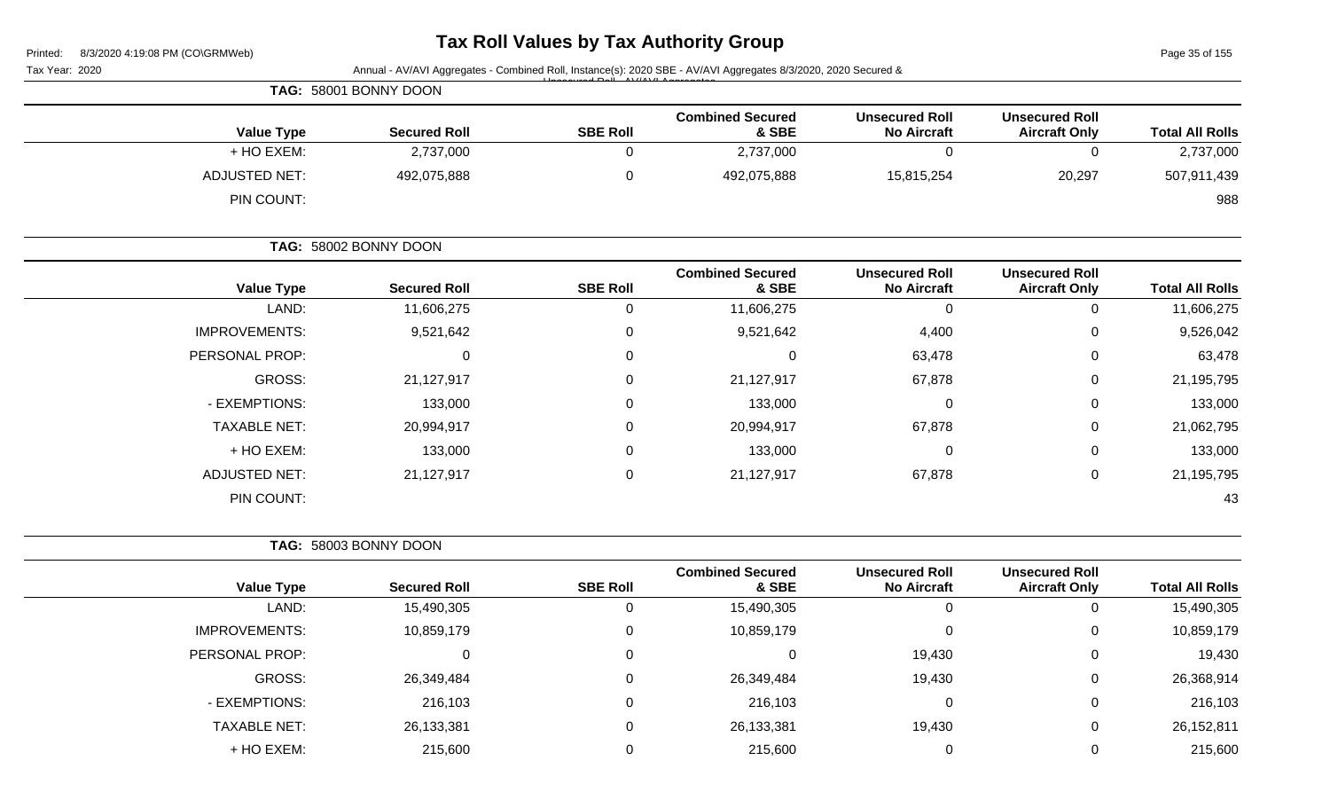# **Tax Roll Values by Tax Authority Group**

Page 35 of 155

| Tax Year: 2020       |                       |                  | Annual - AV/AVI Aggregates - Combined Roll, Instance(s): 2020 SBE - AV/AVI Aggregates 8/3/2020, 2020 Secured & |                                             |                                               |                        |
|----------------------|-----------------------|------------------|----------------------------------------------------------------------------------------------------------------|---------------------------------------------|-----------------------------------------------|------------------------|
|                      | TAG: 58001 BONNY DOON |                  |                                                                                                                |                                             |                                               |                        |
| <b>Value Type</b>    | <b>Secured Roll</b>   | <b>SBE Roll</b>  | <b>Combined Secured</b><br>& SBE                                                                               | <b>Unsecured Roll</b><br><b>No Aircraft</b> | <b>Unsecured Roll</b><br><b>Aircraft Only</b> | <b>Total All Rolls</b> |
| + HO EXEM:           | 2,737,000             | $\mathbf 0$      | 2,737,000                                                                                                      | $\mathbf 0$                                 | $\mathbf 0$                                   | 2,737,000              |
| <b>ADJUSTED NET:</b> | 492,075,888           | 0                | 492,075,888                                                                                                    | 15,815,254                                  | 20,297                                        | 507,911,439            |
| PIN COUNT:           |                       |                  |                                                                                                                |                                             |                                               | 988                    |
|                      | TAG: 58002 BONNY DOON |                  |                                                                                                                |                                             |                                               |                        |
| <b>Value Type</b>    | <b>Secured Roll</b>   | <b>SBE Roll</b>  | <b>Combined Secured</b><br>& SBE                                                                               | <b>Unsecured Roll</b><br><b>No Aircraft</b> | <b>Unsecured Roll</b><br><b>Aircraft Only</b> | <b>Total All Rolls</b> |
| LAND:                | 11,606,275            | $\mathbf 0$      | 11,606,275                                                                                                     | $\mathbf 0$                                 | $\mathbf 0$                                   | 11,606,275             |
| <b>IMPROVEMENTS:</b> | 9,521,642             | 0                | 9,521,642                                                                                                      | 4,400                                       | 0                                             | 9,526,042              |
| PERSONAL PROP:       | 0                     | 0                | $\mathbf 0$                                                                                                    | 63,478                                      | 0                                             | 63,478                 |
| <b>GROSS:</b>        | 21,127,917            | 0                | 21,127,917                                                                                                     | 67,878                                      | 0                                             | 21,195,795             |
| - EXEMPTIONS:        | 133,000               | 0                | 133,000                                                                                                        | $\mathbf 0$                                 | 0                                             | 133,000                |
| <b>TAXABLE NET:</b>  | 20,994,917            | 0                | 20,994,917                                                                                                     | 67,878                                      | 0                                             | 21,062,795             |
| + HO EXEM:           | 133,000               | 0                | 133,000                                                                                                        | 0                                           | 0                                             | 133,000                |
| <b>ADJUSTED NET:</b> | 21,127,917            | 0                | 21,127,917                                                                                                     | 67,878                                      | 0                                             | 21,195,795             |
| PIN COUNT:           |                       |                  |                                                                                                                |                                             |                                               | 43                     |
|                      | TAG: 58003 BONNY DOON |                  |                                                                                                                |                                             |                                               |                        |
| <b>Value Type</b>    | <b>Secured Roll</b>   | <b>SBE Roll</b>  | <b>Combined Secured</b><br>& SBE                                                                               | <b>Unsecured Roll</b><br><b>No Aircraft</b> | <b>Unsecured Roll</b><br><b>Aircraft Only</b> | <b>Total All Rolls</b> |
| LAND:                | 15,490,305            | $\mathbf 0$      | 15,490,305                                                                                                     | $\mathbf 0$                                 | $\mathbf 0$                                   | 15,490,305             |
| <b>IMPROVEMENTS:</b> | 10,859,179            | 0                | 10,859,179                                                                                                     | 0                                           | 0                                             | 10,859,179             |
| PERSONAL PROP:       | 0                     | 0                | 0                                                                                                              | 19,430                                      | 0                                             | 19,430                 |
| GROSS:               | 26,349,484            | 0                | 26,349,484                                                                                                     | 19,430                                      | 0                                             | 26,368,914             |
| - EXEMPTIONS:        | 216,103               | 0                | 216,103                                                                                                        | $\boldsymbol{0}$                            | 0                                             | 216,103                |
| <b>TAXABLE NET:</b>  | 26, 133, 381          | 0                | 26,133,381                                                                                                     | 19,430                                      | 0                                             | 26, 152, 811           |
| + HO EXEM:           | 215,600               | $\boldsymbol{0}$ | 215,600                                                                                                        | $\overline{0}$                              | 0                                             | 215,600                |
|                      |                       |                  |                                                                                                                |                                             |                                               |                        |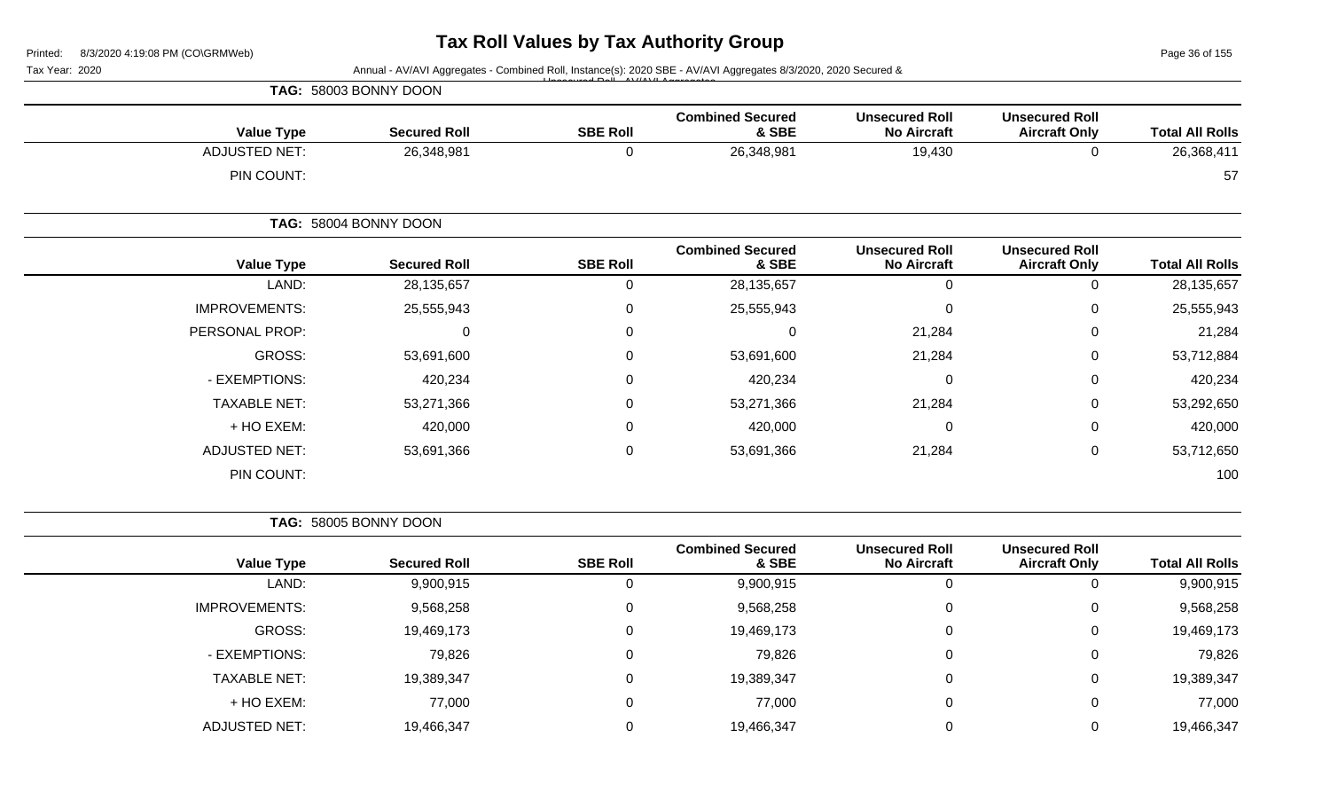Page 36 of 155

| Tax Year: 2020       |                       |                  | Annual - AV/AVI Aggregates - Combined Roll, Instance(s): 2020 SBE - AV/AVI Aggregates 8/3/2020, 2020 Secured & |                                             |                                               |                        |
|----------------------|-----------------------|------------------|----------------------------------------------------------------------------------------------------------------|---------------------------------------------|-----------------------------------------------|------------------------|
|                      | TAG: 58003 BONNY DOON |                  |                                                                                                                |                                             |                                               |                        |
| <b>Value Type</b>    | <b>Secured Roll</b>   | <b>SBE Roll</b>  | <b>Combined Secured</b><br>& SBE                                                                               | <b>Unsecured Roll</b><br><b>No Aircraft</b> | <b>Unsecured Roll</b><br><b>Aircraft Only</b> | <b>Total All Rolls</b> |
| <b>ADJUSTED NET:</b> | 26,348,981            | $\mathbf 0$      | 26,348,981                                                                                                     | 19,430                                      | $\mathbf 0$                                   | 26,368,411             |
| PIN COUNT:           |                       |                  |                                                                                                                |                                             |                                               | 57                     |
|                      | TAG: 58004 BONNY DOON |                  |                                                                                                                |                                             |                                               |                        |
| <b>Value Type</b>    | <b>Secured Roll</b>   | <b>SBE Roll</b>  | <b>Combined Secured</b><br>& SBE                                                                               | <b>Unsecured Roll</b><br><b>No Aircraft</b> | <b>Unsecured Roll</b><br><b>Aircraft Only</b> | <b>Total All Rolls</b> |
| LAND:                | 28, 135, 657          | $\mathbf 0$      | 28,135,657                                                                                                     | $\overline{0}$                              | $\overline{0}$                                | 28,135,657             |
| <b>IMPROVEMENTS:</b> | 25,555,943            | $\boldsymbol{0}$ | 25,555,943                                                                                                     | $\pmb{0}$                                   | 0                                             | 25,555,943             |
| PERSONAL PROP:       | 0                     | $\mathbf 0$      | 0                                                                                                              | 21,284                                      | 0                                             | 21,284                 |
| <b>GROSS:</b>        | 53,691,600            | 0                | 53,691,600                                                                                                     | 21,284                                      | 0                                             | 53,712,884             |
| - EXEMPTIONS:        | 420,234               | $\Omega$         | 420,234                                                                                                        | 0                                           | $\Omega$                                      | 420,234                |
| <b>TAXABLE NET:</b>  | 53,271,366            | $\Omega$         | 53,271,366                                                                                                     | 21,284                                      | 0                                             | 53,292,650             |
| + HO EXEM:           | 420,000               | $\mathbf 0$      | 420,000                                                                                                        | $\boldsymbol{0}$                            | 0                                             | 420,000                |
| <b>ADJUSTED NET:</b> | 53,691,366            | $\mathbf 0$      | 53,691,366                                                                                                     | 21,284                                      | 0                                             | 53,712,650             |
| PIN COUNT:           |                       |                  |                                                                                                                |                                             |                                               | 100                    |
|                      | TAG: 58005 BONNY DOON |                  |                                                                                                                |                                             |                                               |                        |
| <b>Value Type</b>    | <b>Secured Roll</b>   | <b>SBE Roll</b>  | <b>Combined Secured</b><br>& SBE                                                                               | <b>Unsecured Roll</b><br><b>No Aircraft</b> | <b>Unsecured Roll</b><br><b>Aircraft Only</b> | <b>Total All Rolls</b> |
| LAND:                | 9,900,915             | $\mathbf 0$      | 9,900,915                                                                                                      | 0                                           | $\mathbf 0$                                   | 9,900,915              |
| <b>IMPROVEMENTS:</b> | 9,568,258             | 0                | 9,568,258                                                                                                      | 0                                           | 0                                             | 9,568,258              |
| <b>GROSS:</b>        | 19,469,173            | $\mathbf 0$      | 19,469,173                                                                                                     | 0                                           | $\Omega$                                      | 19,469,173             |
| - EXEMPTIONS:        | 79,826                | 0                | 79,826                                                                                                         | 0                                           | $\Omega$                                      | 79,826                 |
| <b>TAXABLE NET:</b>  | 19,389,347            | $\mathbf 0$      | 19,389,347                                                                                                     | 0                                           | 0                                             | 19,389,347             |

+ HO EXEM: 77,000 0 77,000 0 0 77,000

ADJUSTED NET: 19,466,347 0 19,466,347 0 19,466,347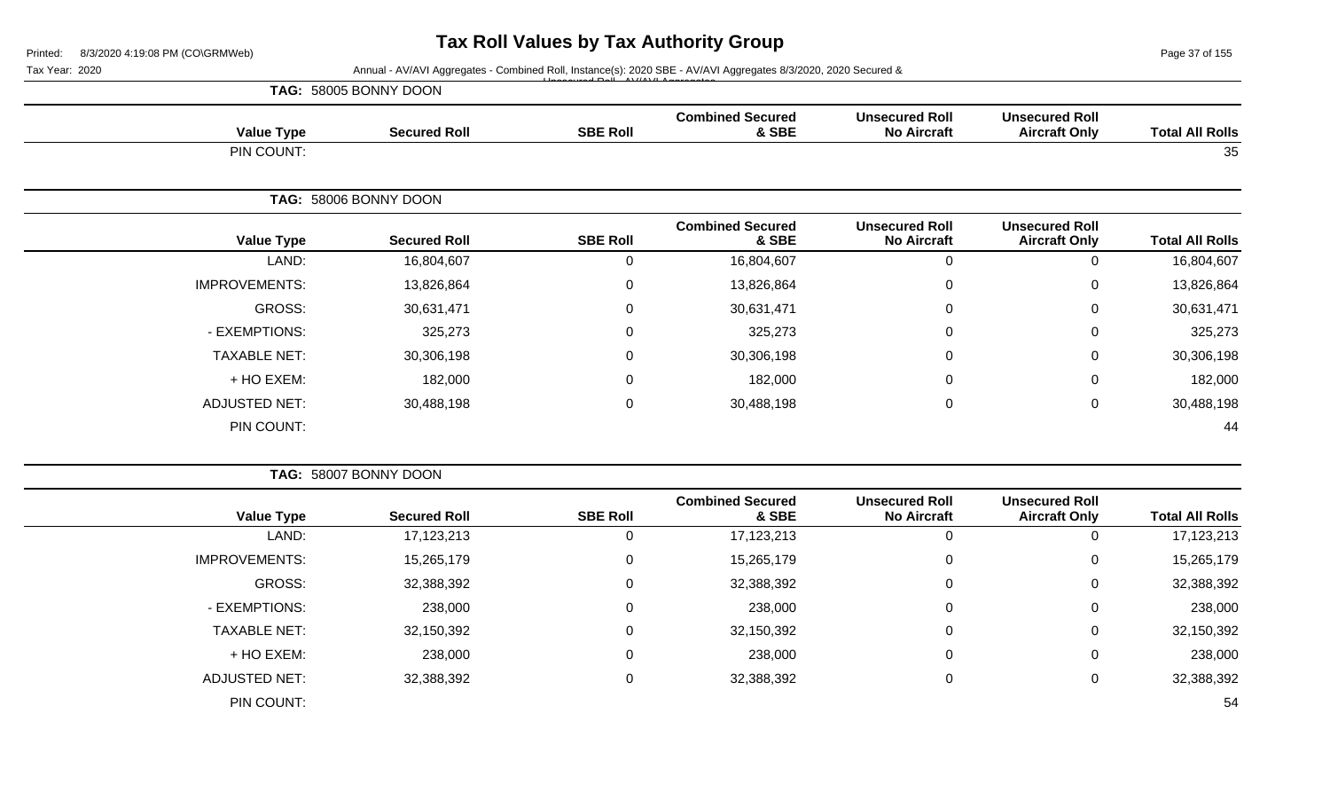Page 37 of 155

#### Tax Year: 2020 **Annual - AV/AVI Aggregates - Combined Roll**, Instance(s): 2020 SBE - AV/AVI Aggregates 8/3/2020, 2020 Secured & Unsecured Roll - AV/AVI Aggregates

| <b>Value Type</b>    | <b>Secured Roll</b>   | <b>SBE Roll</b> | <b>Combined Secured</b><br>& SBE | <b>Unsecured Roll</b><br><b>No Aircraft</b> | <b>Unsecured Roll</b><br><b>Aircraft Only</b> | <b>Total All Rolls</b> |
|----------------------|-----------------------|-----------------|----------------------------------|---------------------------------------------|-----------------------------------------------|------------------------|
| PIN COUNT:           |                       |                 |                                  |                                             |                                               | 35                     |
|                      | TAG: 58006 BONNY DOON |                 |                                  |                                             |                                               |                        |
| <b>Value Type</b>    | <b>Secured Roll</b>   | <b>SBE Roll</b> | <b>Combined Secured</b><br>& SBE | <b>Unsecured Roll</b><br><b>No Aircraft</b> | <b>Unsecured Roll</b><br><b>Aircraft Only</b> | <b>Total All Rolls</b> |
| LAND:                | 16,804,607            | 0               | 16,804,607                       | $\mathbf 0$                                 | 0                                             | 16,804,607             |
| <b>IMPROVEMENTS:</b> | 13,826,864            | 0               | 13,826,864                       | 0                                           | 0                                             | 13,826,864             |
| GROSS:               | 30,631,471            | $\Omega$        | 30,631,471                       | $\mathbf 0$                                 | 0                                             | 30,631,471             |
| - EXEMPTIONS:        | 325,273               | $\Omega$        | 325,273                          | $\mathbf 0$                                 | 0                                             | 325,273                |
| <b>TAXABLE NET:</b>  | 30,306,198            | $\overline{0}$  | 30,306,198                       | $\Omega$                                    | 0                                             | 30,306,198             |
| + HO EXEM:           | 182,000               | 0               | 182,000                          | 0                                           | 0                                             | 182,000                |
| <b>ADJUSTED NET:</b> | 30,488,198            | 0               | 30,488,198                       | $\mathbf 0$                                 | 0                                             | 30,488,198             |
| PIN COUNT:           |                       |                 |                                  |                                             |                                               | 44                     |

|                        |                                               |                                             |                                  |                 | TAG: 58007 BONNY DOON |                      |
|------------------------|-----------------------------------------------|---------------------------------------------|----------------------------------|-----------------|-----------------------|----------------------|
| <b>Total All Rolls</b> | <b>Unsecured Roll</b><br><b>Aircraft Only</b> | <b>Unsecured Roll</b><br><b>No Aircraft</b> | <b>Combined Secured</b><br>& SBE | <b>SBE Roll</b> | <b>Secured Roll</b>   | <b>Value Type</b>    |
| 17,123,213             | 0                                             |                                             | 17,123,213                       |                 | 17, 123, 213          | LAND:                |
| 15,265,179             | 0                                             |                                             | 15,265,179                       | 0               | 15,265,179            | <b>IMPROVEMENTS:</b> |
| 32,388,392             | 0                                             |                                             | 32,388,392                       | $\mathbf 0$     | 32,388,392            | GROSS:               |
| 238,000                | 0                                             |                                             | 238,000                          | $\mathbf 0$     | 238,000               | - EXEMPTIONS:        |
| 32,150,392             | 0                                             |                                             | 32,150,392                       | $\mathbf 0$     | 32,150,392            | <b>TAXABLE NET:</b>  |
| 238,000                | $\mathbf{0}$                                  |                                             | 238,000                          | $\mathbf 0$     | 238,000               | + HO EXEM:           |
| 32,388,392             | 0                                             |                                             | 32,388,392                       | $\mathbf 0$     | 32,388,392            | <b>ADJUSTED NET:</b> |
| 54                     |                                               |                                             |                                  |                 |                       | PIN COUNT:           |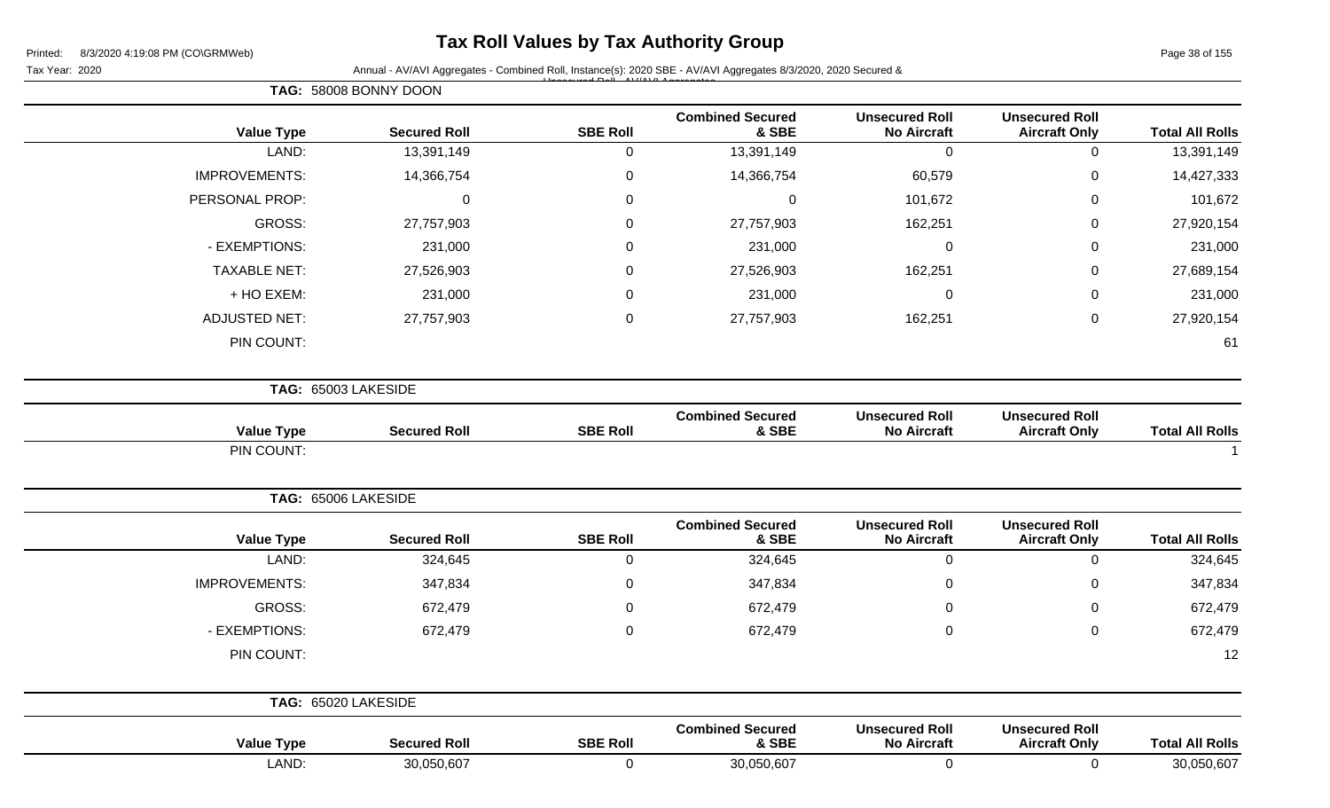**TAG:** 58008 BONNY DOON

## **Tax Roll Values by Tax Authority Group**

Tax Year: 2020 **Annual - AV/AVI Aggregates - Combined Roll**, Instance(s): 2020 SBE - AV/AVI Aggregates 8/3/2020, 2020 Secured & Unsecured Roll - AV/AVI Aggregates

| <b>Value Type</b>    | <b>Secured Roll</b> | <b>SBE Roll</b>  | <b>Combined Secured</b><br>& SBE | <b>Unsecured Roll</b><br><b>No Aircraft</b> | <b>Unsecured Roll</b><br><b>Aircraft Only</b> | <b>Total All Rolls</b> |
|----------------------|---------------------|------------------|----------------------------------|---------------------------------------------|-----------------------------------------------|------------------------|
| LAND:                | 13,391,149          | $\mathbf 0$      | 13,391,149                       | $\mathbf 0$                                 | $\pmb{0}$                                     | 13,391,149             |
| <b>IMPROVEMENTS:</b> | 14,366,754          | $\pmb{0}$        | 14,366,754                       | 60,579                                      | $\mathbf 0$                                   | 14,427,333             |
| PERSONAL PROP:       | $\mathbf 0$         | $\boldsymbol{0}$ | $\mathsf 0$                      | 101,672                                     | $\boldsymbol{0}$                              | 101,672                |
| GROSS:               | 27,757,903          | $\boldsymbol{0}$ | 27,757,903                       | 162,251                                     | $\mathbf 0$                                   | 27,920,154             |
| - EXEMPTIONS:        | 231,000             | 0                | 231,000                          | $\mathbf 0$                                 | $\boldsymbol{0}$                              | 231,000                |
| <b>TAXABLE NET:</b>  | 27,526,903          | $\mathbf 0$      | 27,526,903                       | 162,251                                     | $\boldsymbol{0}$                              | 27,689,154             |
| + HO EXEM:           | 231,000             | $\boldsymbol{0}$ | 231,000                          | $\mathbf 0$                                 | $\,0\,$                                       | 231,000                |
| <b>ADJUSTED NET:</b> | 27,757,903          | $\boldsymbol{0}$ | 27,757,903                       | 162,251                                     | $\pmb{0}$                                     | 27,920,154             |
| PIN COUNT:           |                     |                  |                                  |                                             |                                               | 61                     |
|                      | TAG: 65003 LAKESIDE |                  |                                  |                                             |                                               |                        |
| <b>Value Type</b>    | <b>Secured Roll</b> | <b>SBE Roll</b>  | <b>Combined Secured</b><br>& SBE | <b>Unsecured Roll</b><br><b>No Aircraft</b> | <b>Unsecured Roll</b><br><b>Aircraft Only</b> | <b>Total All Rolls</b> |
| PIN COUNT:           |                     |                  |                                  |                                             |                                               |                        |
|                      | TAG: 65006 LAKESIDE |                  |                                  |                                             |                                               |                        |
| <b>Value Type</b>    | <b>Secured Roll</b> | <b>SBE Roll</b>  | <b>Combined Secured</b><br>& SBE | <b>Unsecured Roll</b><br><b>No Aircraft</b> | <b>Unsecured Roll</b><br><b>Aircraft Only</b> | <b>Total All Rolls</b> |
| LAND:                | 324,645             | $\boldsymbol{0}$ | 324,645                          | $\boldsymbol{0}$                            | $\pmb{0}$                                     | 324,645                |
| <b>IMPROVEMENTS:</b> | 347,834             | $\mathbf 0$      | 347,834                          | $\mathbf 0$                                 | $\pmb{0}$                                     | 347,834                |
| <b>GROSS:</b>        | 672,479             | 0                | 672,479                          | 0                                           | $\pmb{0}$                                     | 672,479                |
| - EXEMPTIONS:        | 672,479             | 0                | 672,479                          | 0                                           | $\pmb{0}$                                     | 672,479                |
| PIN COUNT:           |                     |                  |                                  |                                             |                                               | 12                     |
|                      | TAG: 65020 LAKESIDE |                  |                                  |                                             |                                               |                        |
| <b>Value Type</b>    | <b>Secured Roll</b> | <b>SBE Roll</b>  | <b>Combined Secured</b><br>& SBE | <b>Unsecured Roll</b><br><b>No Aircraft</b> | <b>Unsecured Roll</b><br><b>Aircraft Only</b> | <b>Total All Rolls</b> |
| LAND:                | 30,050,607          | $\mathbf 0$      | 30,050,607                       | $\mathbf 0$                                 | $\mathbf 0$                                   | 30,050,607             |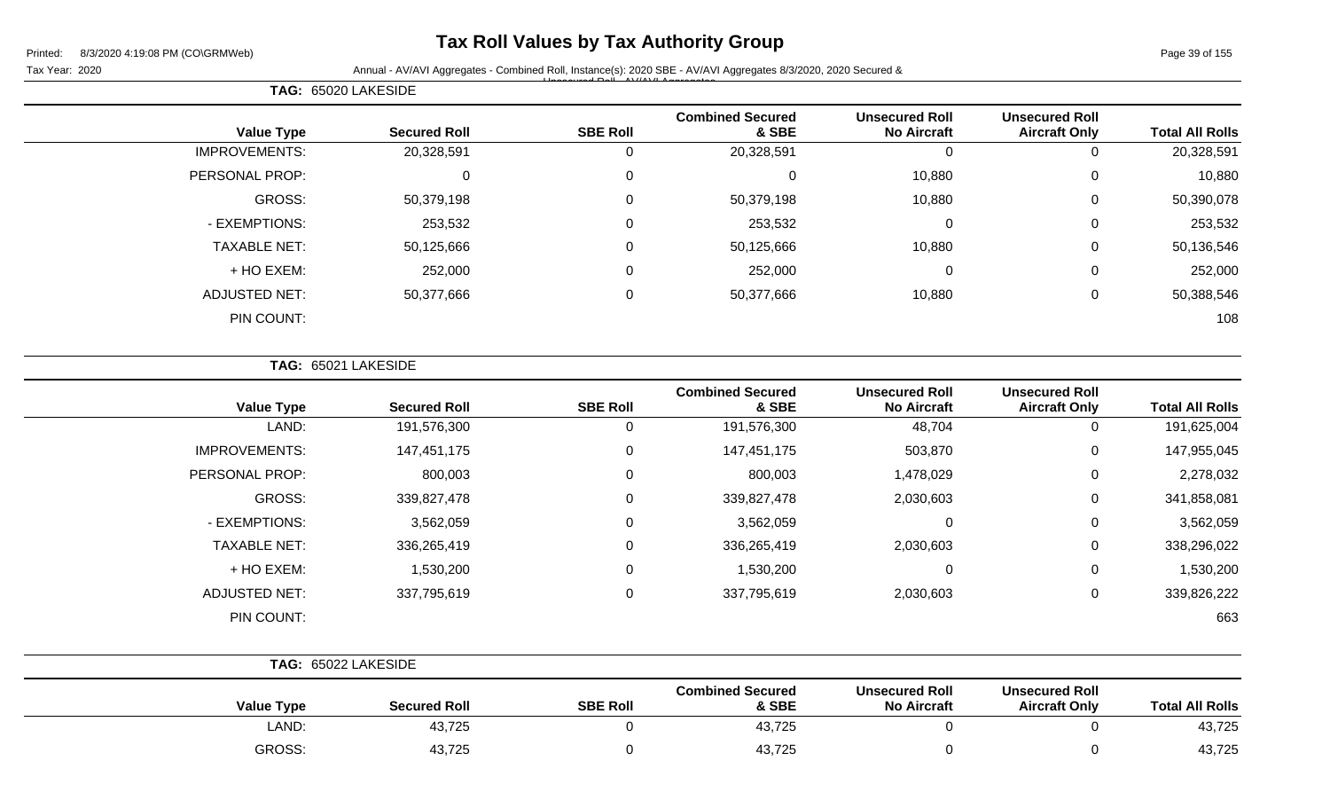## **Tax Roll Values by Tax Authority Group**

Page 39 of 155

Tax Year: 2020 **Annual - AV/AVI Aggregates - Combined Roll**, Instance(s): 2020 SBE - AV/AVI Aggregates 8/3/2020, 2020 Secured & Unsecured Roll - AV/AVI Aggregates

| TAG: 65020 LAKESIDE  |  |                     |                 |                                  |                                             |                                               |                        |
|----------------------|--|---------------------|-----------------|----------------------------------|---------------------------------------------|-----------------------------------------------|------------------------|
| <b>Value Type</b>    |  | <b>Secured Roll</b> | <b>SBE Roll</b> | <b>Combined Secured</b><br>& SBE | <b>Unsecured Roll</b><br><b>No Aircraft</b> | <b>Unsecured Roll</b><br><b>Aircraft Only</b> | <b>Total All Rolls</b> |
| <b>IMPROVEMENTS:</b> |  | 20,328,591          |                 | 20,328,591                       | 0                                           | 0                                             | 20,328,591             |
| PERSONAL PROP:       |  | 0                   | 0               |                                  | 10,880                                      | 0                                             | 10,880                 |
| GROSS:               |  | 50,379,198          | 0               | 50,379,198                       | 10,880                                      | 0                                             | 50,390,078             |
| - EXEMPTIONS:        |  | 253,532             | $\Omega$        | 253,532                          | 0                                           | 0                                             | 253,532                |
| <b>TAXABLE NET:</b>  |  | 50,125,666          | $\Omega$        | 50,125,666                       | 10,880                                      | $\mathbf 0$                                   | 50,136,546             |
| + HO EXEM:           |  | 252,000             | $\Omega$        | 252,000                          | 0                                           | $\mathbf 0$                                   | 252,000                |
| <b>ADJUSTED NET:</b> |  | 50,377,666          | $\Omega$        | 50,377,666                       | 10,880                                      | 0                                             | 50,388,546             |
| PIN COUNT:           |  |                     |                 |                                  |                                             |                                               | 108                    |

**TAG:** 65021 LAKESIDE

| <b>Secured Roll</b> | <b>SBE Roll</b> | <b>Combined Secured</b><br>& SBE | <b>Unsecured Roll</b><br><b>No Aircraft</b> | <b>Unsecured Roll</b><br><b>Aircraft Only</b> | <b>Total All Rolls</b> |
|---------------------|-----------------|----------------------------------|---------------------------------------------|-----------------------------------------------|------------------------|
| 191,576,300         | U               | 191,576,300                      | 48,704                                      | 0                                             | 191,625,004            |
| 147,451,175         | 0               | 147,451,175                      | 503,870                                     | 0                                             | 147,955,045            |
| 800,003             | 0               | 800,003                          | 1,478,029                                   | 0                                             | 2,278,032              |
| 339,827,478         | 0               | 339,827,478                      | 2,030,603                                   | 0                                             | 341,858,081            |
| 3,562,059           | 0               | 3,562,059                        | 0                                           | 0                                             | 3,562,059              |
| 336,265,419         | 0               | 336,265,419                      | 2,030,603                                   | 0                                             | 338,296,022            |
| 1,530,200           | 0               | 1,530,200                        | 0                                           | 0                                             | 1,530,200              |
| 337,795,619         | 0               | 337,795,619                      | 2,030,603                                   | 0                                             | 339,826,222            |
|                     |                 |                                  |                                             |                                               | 663                    |
|                     |                 |                                  |                                             |                                               |                        |

|                   | TAG: 65022 LAKESIDE |                 |                                  |                                             |                                               |                        |
|-------------------|---------------------|-----------------|----------------------------------|---------------------------------------------|-----------------------------------------------|------------------------|
| <b>Value Type</b> | <b>Secured Roll</b> | <b>SBE Roll</b> | <b>Combined Secured</b><br>& SBE | <b>Unsecured Roll</b><br><b>No Aircraft</b> | <b>Unsecured Roll</b><br><b>Aircraft Only</b> | <b>Total All Rolls</b> |
| LAND:             | 43,725              |                 | 43,725                           |                                             |                                               | 43,725                 |
| GROSS:            | 43,725              |                 | 43,725                           |                                             |                                               | 43,725                 |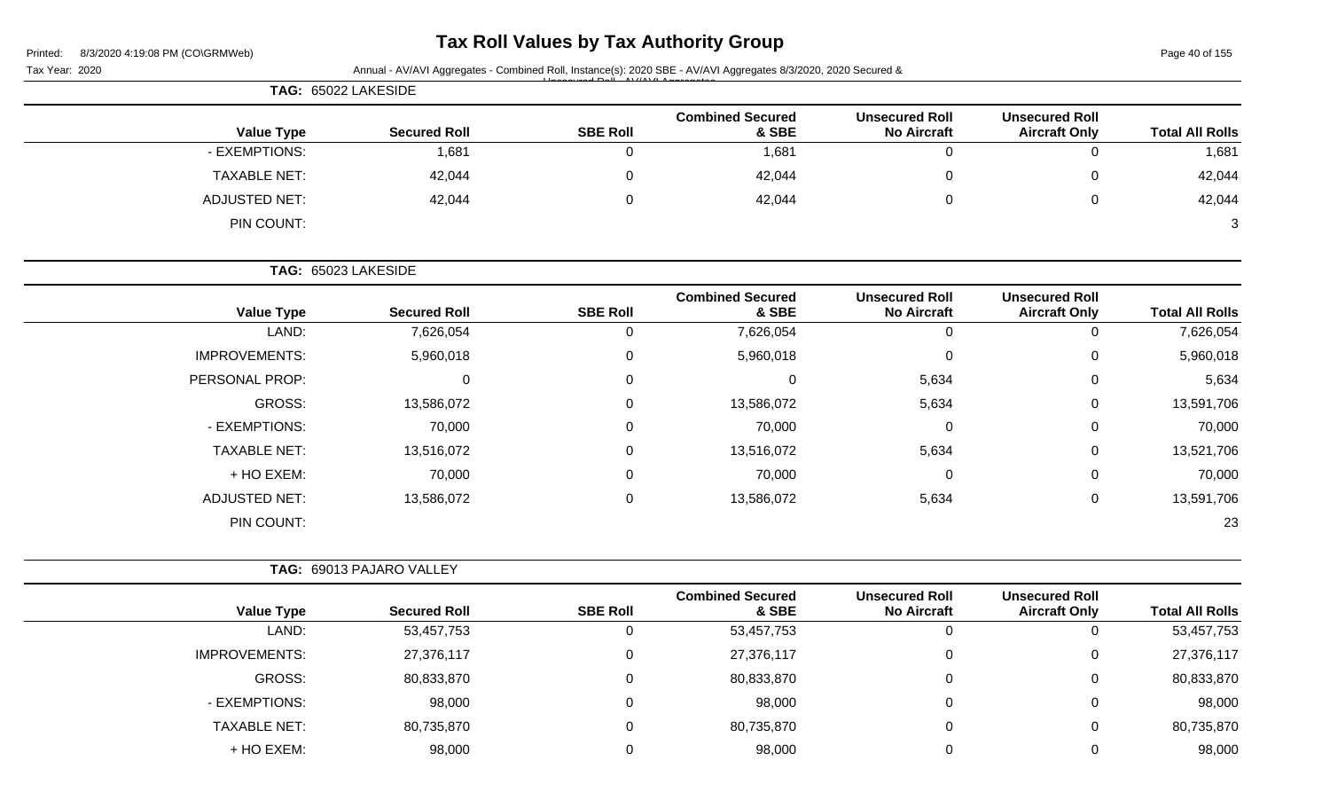| Printed: |  | 8/3/2020 4:19:08 PM (CO\GRMWeb) |  |
|----------|--|---------------------------------|--|

# **Tax Roll Values by Tax Authority Group**

Page 40 of 155

| Tax Year: 2020       |                          |                 | Annual - AV/AVI Aggregates - Combined Roll, Instance(s): 2020 SBE - AV/AVI Aggregates 8/3/2020, 2020 Secured & |                                             |                                               |                        |
|----------------------|--------------------------|-----------------|----------------------------------------------------------------------------------------------------------------|---------------------------------------------|-----------------------------------------------|------------------------|
| TAG: 65022 LAKESIDE  |                          |                 |                                                                                                                |                                             |                                               |                        |
| <b>Value Type</b>    | <b>Secured Roll</b>      | <b>SBE Roll</b> | <b>Combined Secured</b><br>& SBE                                                                               | <b>Unsecured Roll</b><br><b>No Aircraft</b> | <b>Unsecured Roll</b><br><b>Aircraft Only</b> | <b>Total All Rolls</b> |
| - EXEMPTIONS:        | 1,681                    | 0               | 1,681                                                                                                          | 0                                           | $\mathbf 0$                                   | 1,681                  |
| <b>TAXABLE NET:</b>  | 42,044                   | 0               | 42,044                                                                                                         | 0                                           | 0                                             | 42,044                 |
| <b>ADJUSTED NET:</b> | 42,044                   | 0               | 42,044                                                                                                         | 0                                           | 0                                             | 42,044                 |
| PIN COUNT:           |                          |                 |                                                                                                                |                                             |                                               | 3                      |
| TAG: 65023 LAKESIDE  |                          |                 |                                                                                                                |                                             |                                               |                        |
| <b>Value Type</b>    | <b>Secured Roll</b>      | <b>SBE Roll</b> | <b>Combined Secured</b><br>& SBE                                                                               | <b>Unsecured Roll</b><br><b>No Aircraft</b> | <b>Unsecured Roll</b><br><b>Aircraft Only</b> | <b>Total All Rolls</b> |
| LAND:                | 7,626,054                | $\mathbf 0$     | 7,626,054                                                                                                      | $\mathbf 0$                                 | 0                                             | 7,626,054              |
| <b>IMPROVEMENTS:</b> | 5,960,018                | 0               | 5,960,018                                                                                                      | 0                                           | 0                                             | 5,960,018              |
| PERSONAL PROP:       | $\Omega$                 | 0               | 0                                                                                                              | 5,634                                       | 0                                             | 5,634                  |
| GROSS:               | 13,586,072               | 0               | 13,586,072                                                                                                     | 5,634                                       | 0                                             | 13,591,706             |
| - EXEMPTIONS:        | 70,000                   | 0               | 70,000                                                                                                         | 0                                           | 0                                             | 70,000                 |
| <b>TAXABLE NET:</b>  | 13,516,072               | 0               | 13,516,072                                                                                                     | 5,634                                       | 0                                             | 13,521,706             |
| + HO EXEM:           | 70,000                   | 0               | 70,000                                                                                                         | 0                                           | 0                                             | 70,000                 |
| <b>ADJUSTED NET:</b> | 13,586,072               | 0               | 13,586,072                                                                                                     | 5,634                                       | $\mathbf 0$                                   | 13,591,706             |
| PIN COUNT:           |                          |                 |                                                                                                                |                                             |                                               | 23                     |
|                      | TAG: 69013 PAJARO VALLEY |                 |                                                                                                                |                                             |                                               |                        |
| <b>Value Type</b>    | <b>Secured Roll</b>      | <b>SBE Roll</b> | <b>Combined Secured</b><br>& SBE                                                                               | <b>Unsecured Roll</b><br><b>No Aircraft</b> | <b>Unsecured Roll</b><br><b>Aircraft Only</b> | <b>Total All Rolls</b> |
| LAND:                | 53,457,753               | 0               | 53,457,753                                                                                                     | 0                                           | 0                                             | 53,457,753             |
| <b>IMPROVEMENTS:</b> | 27,376,117               | $\mathbf 0$     | 27,376,117                                                                                                     | $\mathbf 0$                                 | 0                                             | 27,376,117             |
| GROSS:               | 80,833,870               | 0               | 80,833,870                                                                                                     | 0                                           | 0                                             | 80,833,870             |
| - EXEMPTIONS:        | 98,000                   | 0               | 98,000                                                                                                         | 0                                           | 0                                             | 98,000                 |
| <b>TAXABLE NET:</b>  | 80,735,870               | 0               | 80,735,870                                                                                                     | 0                                           | 0                                             | 80,735,870             |
| + HO EXEM:           | 98,000                   | $\mathbf 0$     | 98,000                                                                                                         | 0                                           | 0                                             | 98,000                 |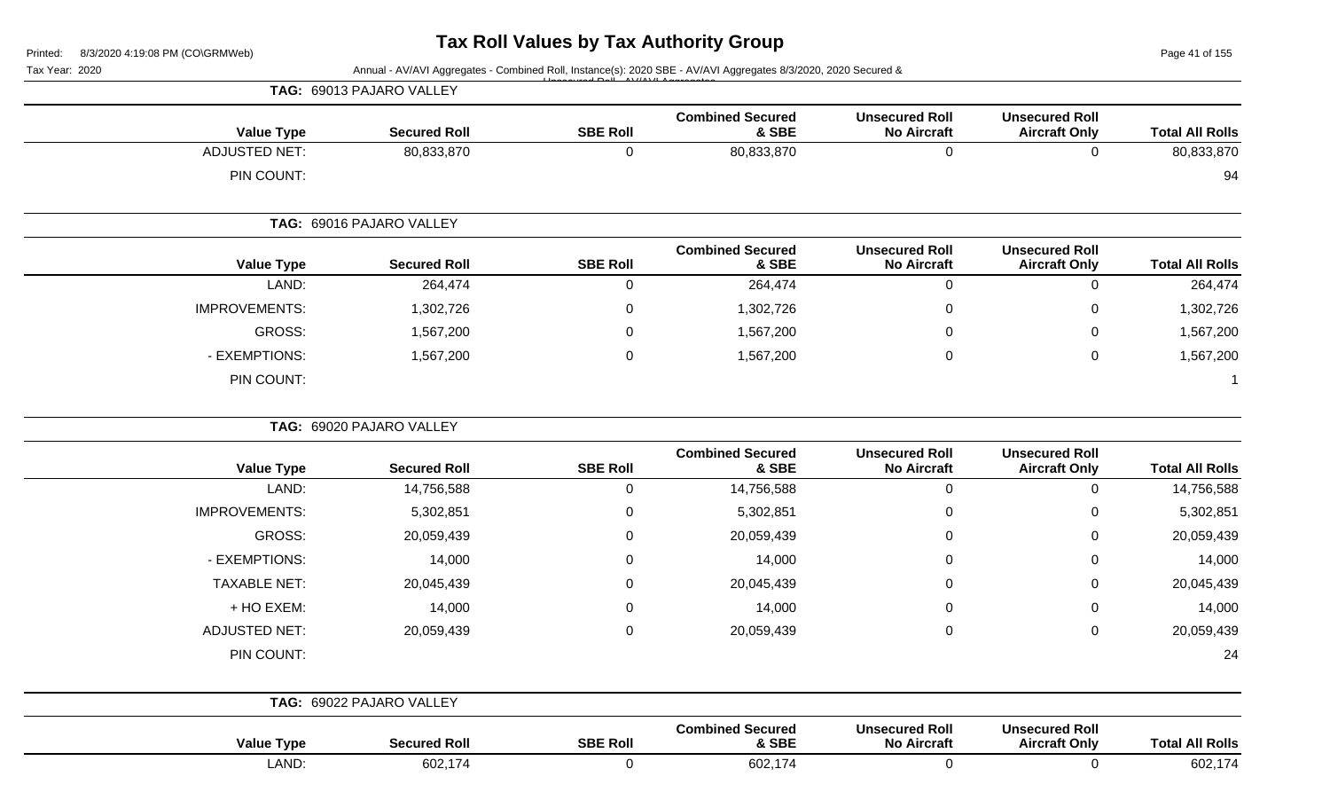Page 41 of 155

|                        |                                               |                                             |                                  |                 | Annual - AV/AVI Aggregates - Combined Roll, Instance(s): 2020 SBE - AV/AVI Aggregates 8/3/2020, 2020 Secured & | Tax Year: 2020       |
|------------------------|-----------------------------------------------|---------------------------------------------|----------------------------------|-----------------|----------------------------------------------------------------------------------------------------------------|----------------------|
|                        |                                               |                                             |                                  |                 | TAG: 69013 PAJARO VALLEY                                                                                       |                      |
|                        | <b>Unsecured Roll</b>                         | <b>Unsecured Roll</b>                       | <b>Combined Secured</b>          |                 |                                                                                                                |                      |
| <b>Total All Rolls</b> | <b>Aircraft Only</b>                          | <b>No Aircraft</b>                          | & SBE                            | <b>SBE Roll</b> | <b>Secured Roll</b>                                                                                            | <b>Value Type</b>    |
| 80,833,870             | $\mathbf 0$                                   | $\mathbf 0$                                 | 80,833,870                       | $\mathbf 0$     | 80,833,870                                                                                                     | <b>ADJUSTED NET:</b> |
| 94                     |                                               |                                             |                                  |                 |                                                                                                                | PIN COUNT:           |
|                        |                                               |                                             |                                  |                 | TAG: 69016 PAJARO VALLEY                                                                                       |                      |
| <b>Total All Rolls</b> | <b>Unsecured Roll</b><br><b>Aircraft Only</b> | <b>Unsecured Roll</b><br><b>No Aircraft</b> | <b>Combined Secured</b><br>& SBE | <b>SBE Roll</b> | <b>Secured Roll</b>                                                                                            | <b>Value Type</b>    |
| 264,474                | 0                                             | 0                                           | 264,474                          | $\mathbf 0$     | 264,474                                                                                                        | LAND:                |
| 1,302,726              | 0                                             | $\mathbf 0$                                 | 1,302,726                        | $\mathbf 0$     | 1,302,726                                                                                                      | <b>IMPROVEMENTS:</b> |
| 1,567,200              | 0                                             | 0                                           | 1,567,200                        | $\mathbf 0$     | 1,567,200                                                                                                      | GROSS:               |
| 1,567,200              | 0                                             | $\mathbf 0$                                 | 1,567,200                        | $\mathbf 0$     | 1,567,200                                                                                                      | - EXEMPTIONS:        |
|                        |                                               |                                             |                                  |                 |                                                                                                                | PIN COUNT:           |
|                        |                                               |                                             |                                  |                 | TAG: 69020 PAJARO VALLEY                                                                                       |                      |
| <b>Total All Rolls</b> | <b>Unsecured Roll</b><br><b>Aircraft Only</b> | <b>Unsecured Roll</b><br><b>No Aircraft</b> | <b>Combined Secured</b><br>& SBE | <b>SBE Roll</b> | <b>Secured Roll</b>                                                                                            | <b>Value Type</b>    |
| 14,756,588             | 0                                             | $\mathbf 0$                                 | 14,756,588                       | $\mathbf 0$     | 14,756,588                                                                                                     | LAND:                |
| 5,302,851              | 0                                             | 0                                           | 5,302,851                        | 0               | 5,302,851                                                                                                      | <b>IMPROVEMENTS:</b> |
| 20,059,439             | 0                                             | 0                                           | 20,059,439                       | 0               | 20,059,439                                                                                                     | <b>GROSS:</b>        |
| 14,000                 | 0                                             | $\mathbf 0$                                 | 14,000                           | 0               | 14,000                                                                                                         | - EXEMPTIONS:        |
| 20,045,439             | 0                                             | 0                                           | 20,045,439                       | 0               | 20,045,439                                                                                                     | <b>TAXABLE NET:</b>  |
| 14,000                 | 0                                             | 0                                           | 14,000                           | 0               | 14,000                                                                                                         | + HO EXEM:           |
| 20,059,439             | 0                                             | $\pmb{0}$                                   | 20,059,439                       | $\mathbf 0$     | 20,059,439                                                                                                     | <b>ADJUSTED NET:</b> |
| 24                     |                                               |                                             |                                  |                 |                                                                                                                | PIN COUNT:           |
|                        |                                               |                                             |                                  |                 | TAG: 69022 PAJARO VALLEY                                                                                       |                      |
| <b>Total All Rolls</b> | <b>Unsecured Roll</b><br><b>Aircraft Only</b> | <b>Unsecured Roll</b><br><b>No Aircraft</b> | <b>Combined Secured</b><br>& SBE | <b>SBE Roll</b> | <b>Secured Roll</b>                                                                                            | <b>Value Type</b>    |
| 602,174                | $\mathbf 0$                                   | $\mathbf 0$                                 | 602,174                          | $\mathbf 0$     | 602,174                                                                                                        | LAND:                |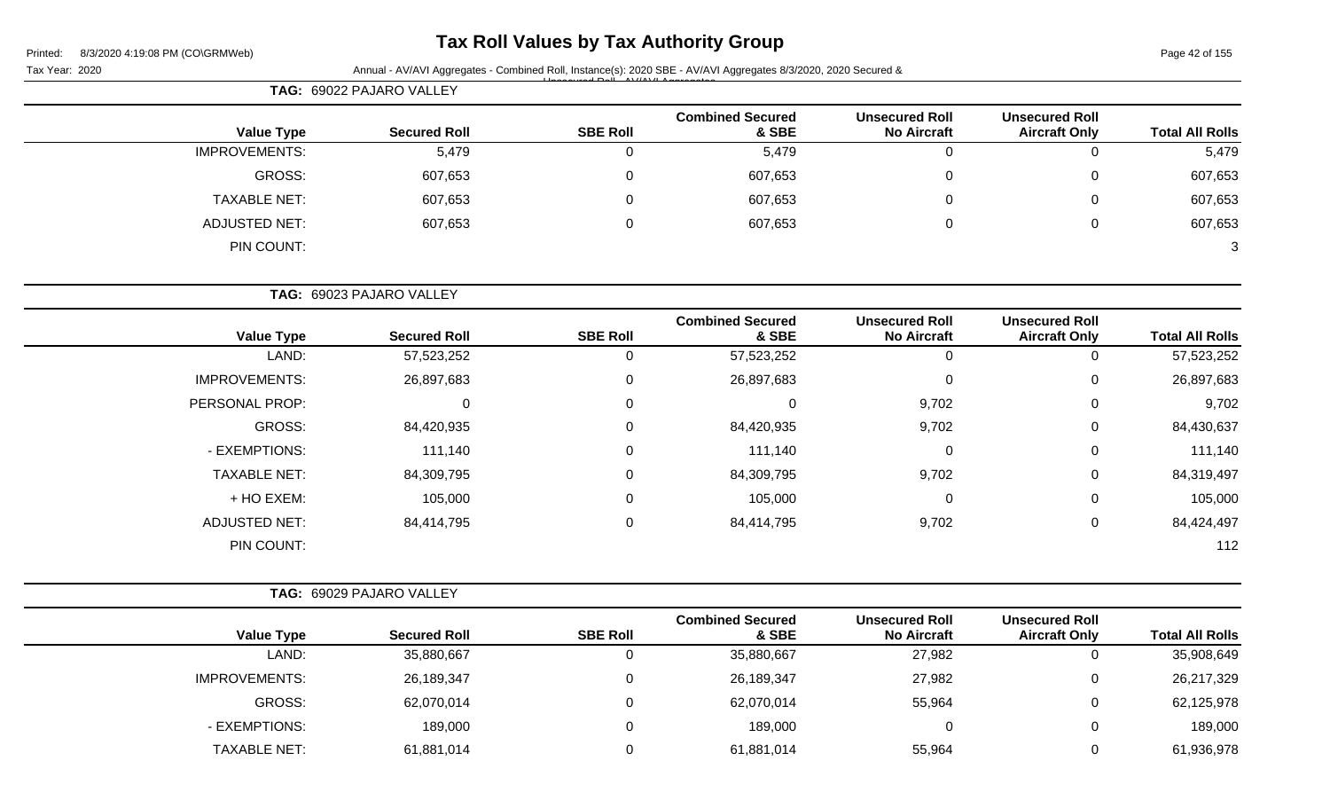## **Tax Roll Values by Tax Authority Group**

Tax Year: 2020 **Annual - AV/AVI Aggregates - Combined Roll**, Instance(s): 2020 SBE - AV/AVI Aggregates 8/3/2020, 2020 Secured & Unsecured Roll - AV/AVI Aggregates

|                        |                                               |                                             |                                  | TAG: 69022 PAJARO VALLEY |                     |                      |  |  |
|------------------------|-----------------------------------------------|---------------------------------------------|----------------------------------|--------------------------|---------------------|----------------------|--|--|
| <b>Total All Rolls</b> | <b>Unsecured Roll</b><br><b>Aircraft Only</b> | <b>Unsecured Roll</b><br><b>No Aircraft</b> | <b>Combined Secured</b><br>& SBE | <b>SBE Roll</b>          | <b>Secured Roll</b> | <b>Value Type</b>    |  |  |
| 5,479                  |                                               |                                             | 5,479                            | $\overline{0}$           | 5,479               | <b>IMPROVEMENTS:</b> |  |  |
| 607,653                |                                               |                                             | 607,653                          | 0                        | 607,653             | GROSS:               |  |  |
| 607,653                |                                               |                                             | 607,653                          | 0                        | 607,653             | TAXABLE NET:         |  |  |
| 607,653                |                                               |                                             | 607,653                          | 0                        | 607,653             | ADJUSTED NET:        |  |  |
| 3                      |                                               |                                             |                                  |                          |                     | PIN COUNT:           |  |  |

**TAG:** 69023 PAJARO VALLEY

| <b>Value Type</b>    | <b>Secured Roll</b> | <b>SBE Roll</b> | <b>Combined Secured</b><br>& SBE | <b>Unsecured Roll</b><br><b>No Aircraft</b> | <b>Unsecured Roll</b><br><b>Aircraft Only</b> | <b>Total All Rolls</b> |
|----------------------|---------------------|-----------------|----------------------------------|---------------------------------------------|-----------------------------------------------|------------------------|
| LAND:                | 57,523,252          | 0               | 57,523,252                       | U                                           | 0                                             | 57,523,252             |
| <b>IMPROVEMENTS:</b> | 26,897,683          | 0               | 26,897,683                       | 0                                           | 0                                             | 26,897,683             |
| PERSONAL PROP:       | 0                   | 0               | 0                                | 9,702                                       | 0                                             | 9,702                  |
| GROSS:               | 84,420,935          | $\Omega$        | 84,420,935                       | 9,702                                       | 0                                             | 84,430,637             |
| - EXEMPTIONS:        | 111,140             | 0               | 111,140                          | 0                                           | 0                                             | 111,140                |
| <b>TAXABLE NET:</b>  | 84,309,795          | 0               | 84,309,795                       | 9,702                                       | 0                                             | 84,319,497             |
| + HO EXEM:           | 105,000             | 0               | 105,000                          | 0                                           | 0                                             | 105,000                |
| <b>ADJUSTED NET:</b> | 84,414,795          | 0               | 84,414,795                       | 9,702                                       | 0                                             | 84,424,497             |
| PIN COUNT:           |                     |                 |                                  |                                             |                                               | 112                    |

|                      | <b>TAG: 69029 PAJARO VALLEY</b> |                 |                                  |                                             |                                               |                        |
|----------------------|---------------------------------|-----------------|----------------------------------|---------------------------------------------|-----------------------------------------------|------------------------|
| <b>Value Type</b>    | <b>Secured Roll</b>             | <b>SBE Roll</b> | <b>Combined Secured</b><br>& SBE | <b>Unsecured Roll</b><br><b>No Aircraft</b> | <b>Unsecured Roll</b><br><b>Aircraft Only</b> | <b>Total All Rolls</b> |
| LAND:                | 35,880,667                      |                 | 35,880,667                       | 27,982                                      |                                               | 35,908,649             |
| <b>IMPROVEMENTS:</b> | 26,189,347                      |                 | 26,189,347                       | 27,982                                      |                                               | 26,217,329             |
| GROSS:               | 62,070,014                      | 0               | 62,070,014                       | 55,964                                      |                                               | 62,125,978             |
| - EXEMPTIONS:        | 189,000                         | 0               | 189,000                          |                                             |                                               | 189,000                |
| <b>TAXABLE NET:</b>  | 61,881,014                      |                 | 61,881,014                       | 55,964                                      |                                               | 61,936,978             |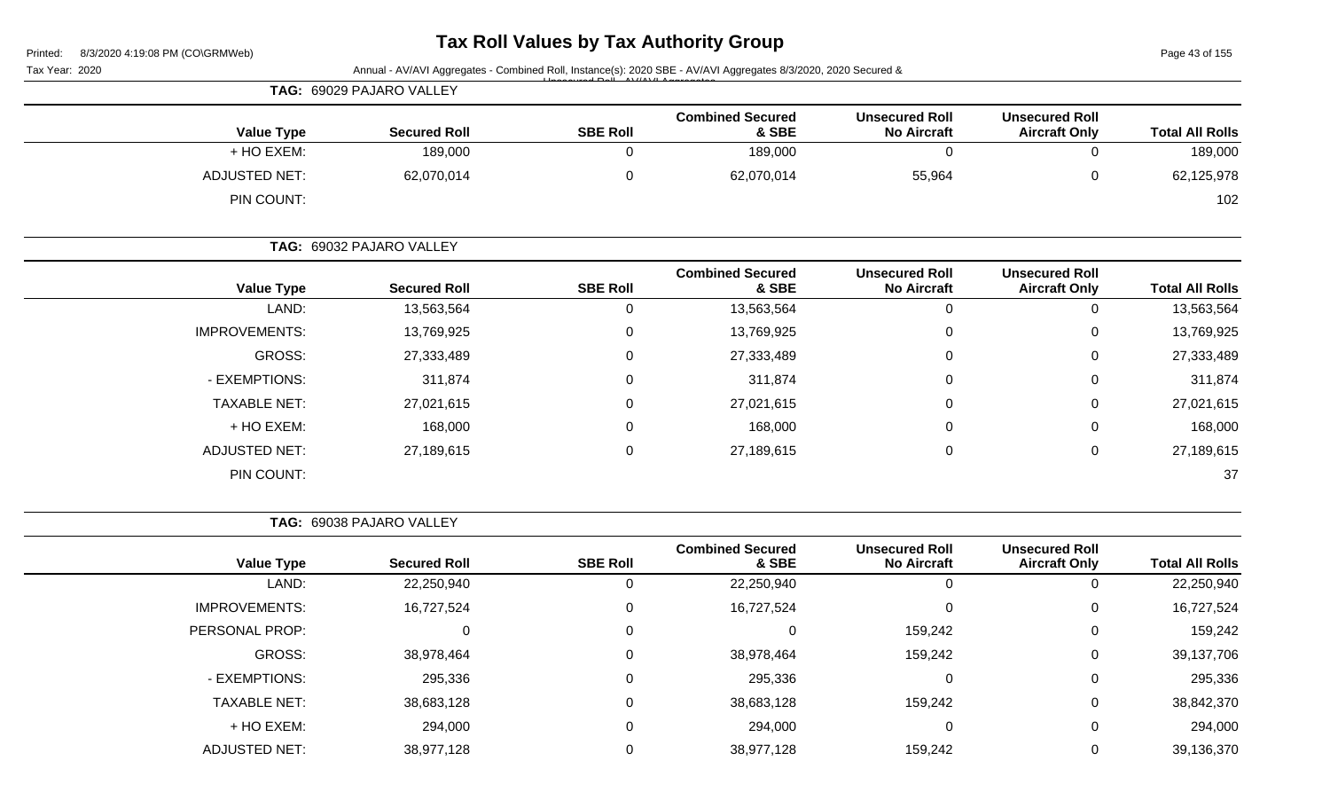# **Tax Roll Values by Tax Authority Group**

Page 43 of 155

|         | <b>Total All Rolls</b>                                                                         |  |  |  |  |
|---------|------------------------------------------------------------------------------------------------|--|--|--|--|
| 0       | 189,000                                                                                        |  |  |  |  |
| 0       | 62,125,978                                                                                     |  |  |  |  |
|         | 102                                                                                            |  |  |  |  |
|         |                                                                                                |  |  |  |  |
|         | <b>Total All Rolls</b>                                                                         |  |  |  |  |
| 0       | 13,563,564                                                                                     |  |  |  |  |
| 0       | 13,769,925                                                                                     |  |  |  |  |
| 0       | 27,333,489                                                                                     |  |  |  |  |
| 0       | 311,874                                                                                        |  |  |  |  |
| 0       | 27,021,615                                                                                     |  |  |  |  |
| 0       | 168,000                                                                                        |  |  |  |  |
| $\,0\,$ | 27,189,615                                                                                     |  |  |  |  |
|         | 37                                                                                             |  |  |  |  |
|         | <b>Unsecured Roll</b><br><b>Aircraft Only</b><br><b>Unsecured Roll</b><br><b>Aircraft Only</b> |  |  |  |  |

**TAG:** 69038 PAJARO VALLEY

|                      |                     |                 | <b>Combined Secured</b> | <b>Unsecured Roll</b> | <b>Unsecured Roll</b> |                        |
|----------------------|---------------------|-----------------|-------------------------|-----------------------|-----------------------|------------------------|
| <b>Value Type</b>    | <b>Secured Roll</b> | <b>SBE Roll</b> | & SBE                   | <b>No Aircraft</b>    | <b>Aircraft Only</b>  | <b>Total All Rolls</b> |
| LAND:                | 22,250,940          | U               | 22,250,940              | U                     | 0                     | 22,250,940             |
| <b>IMPROVEMENTS:</b> | 16,727,524          | 0               | 16,727,524              | 0                     | 0                     | 16,727,524             |
| PERSONAL PROP:       | 0                   | $\Omega$        | $\Omega$                | 159,242               | $\overline{0}$        | 159,242                |
| GROSS:               | 38,978,464          | $\Omega$        | 38,978,464              | 159,242               | 0                     | 39,137,706             |
| - EXEMPTIONS:        | 295,336             | 0               | 295,336                 | 0                     | 0                     | 295,336                |
| <b>TAXABLE NET:</b>  | 38,683,128          | $\Omega$        | 38,683,128              | 159,242               | 0                     | 38,842,370             |
| + HO EXEM:           | 294,000             | $\Omega$        | 294,000                 | 0                     | $\overline{0}$        | 294,000                |
| <b>ADJUSTED NET:</b> | 38,977,128          | 0               | 38,977,128              | 159,242               | 0                     | 39,136,370             |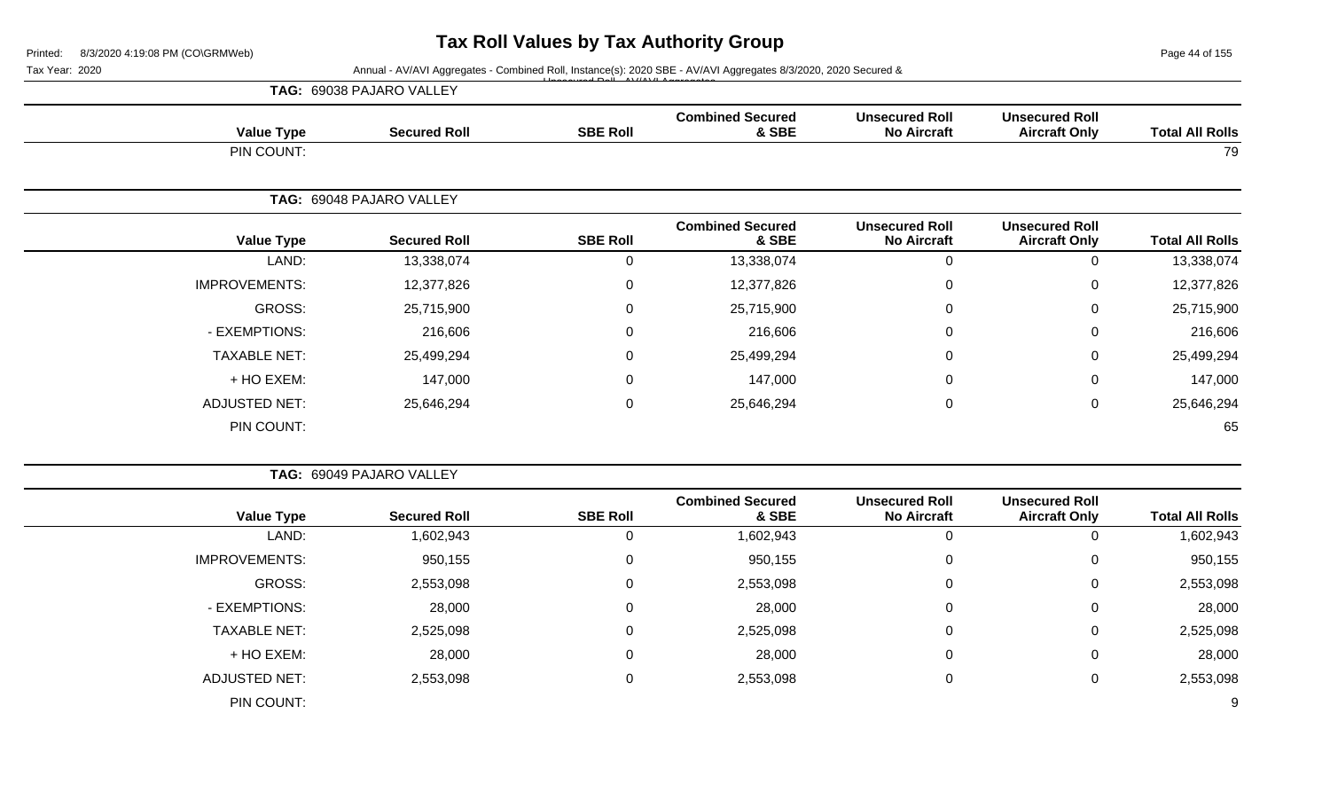Page 44 of 155

### Tax Year: 2020 **Annual - AV/AVI Aggregates - Combined Roll**, Instance(s): 2020 SBE - AV/AVI Aggregates 8/3/2020, 2020 Secured &

|                      |                          |                 |                                  |                                             |                                               |                        | TAG: 69038 PAJARO VALLEY |  |  |  |  |
|----------------------|--------------------------|-----------------|----------------------------------|---------------------------------------------|-----------------------------------------------|------------------------|--------------------------|--|--|--|--|
| <b>Value Type</b>    | <b>Secured Roll</b>      | <b>SBE Roll</b> | <b>Combined Secured</b><br>& SBE | <b>Unsecured Roll</b><br><b>No Aircraft</b> | <b>Unsecured Roll</b><br><b>Aircraft Only</b> | <b>Total All Rolls</b> |                          |  |  |  |  |
| PIN COUNT:           |                          |                 |                                  | 79                                          |                                               |                        |                          |  |  |  |  |
|                      | TAG: 69048 PAJARO VALLEY |                 |                                  |                                             |                                               |                        |                          |  |  |  |  |
| <b>Value Type</b>    | <b>Secured Roll</b>      | <b>SBE Roll</b> | <b>Combined Secured</b><br>& SBE | <b>Unsecured Roll</b><br><b>No Aircraft</b> | <b>Unsecured Roll</b><br><b>Aircraft Only</b> | <b>Total All Rolls</b> |                          |  |  |  |  |
| LAND:                | 13,338,074               | $\mathbf 0$     | 13,338,074                       | $\Omega$                                    | $\mathbf 0$                                   | 13,338,074             |                          |  |  |  |  |
| <b>IMPROVEMENTS:</b> | 12,377,826               | $\mathbf 0$     | 12,377,826                       | $\mathbf{0}$                                | $\mathbf 0$                                   | 12,377,826             |                          |  |  |  |  |
| GROSS:               | 25,715,900               | 0               | 25,715,900                       | 0                                           | $\mathbf 0$                                   | 25,715,900             |                          |  |  |  |  |
| - EXEMPTIONS:        | 216,606                  | 0               | 216,606                          | $\Omega$                                    | $\mathbf 0$                                   | 216,606                |                          |  |  |  |  |
| <b>TAXABLE NET:</b>  | 25,499,294               | 0               | 25,499,294                       | 0                                           | $\mathbf 0$                                   | 25,499,294             |                          |  |  |  |  |
| + HO EXEM:           | 147,000                  | 0               | 147,000                          | $\Omega$                                    | 0                                             | 147,000                |                          |  |  |  |  |
| <b>ADJUSTED NET:</b> | 25,646,294               | 0               | 25,646,294                       | $\mathbf 0$                                 | 0                                             | 25,646,294             |                          |  |  |  |  |
| PIN COUNT:           |                          |                 |                                  |                                             |                                               | 65                     |                          |  |  |  |  |

|                      | TAG: 69049 PAJARO VALLEY |                 |                                  |                                             |                                               |                        |
|----------------------|--------------------------|-----------------|----------------------------------|---------------------------------------------|-----------------------------------------------|------------------------|
| <b>Value Type</b>    | <b>Secured Roll</b>      | <b>SBE Roll</b> | <b>Combined Secured</b><br>& SBE | <b>Unsecured Roll</b><br><b>No Aircraft</b> | <b>Unsecured Roll</b><br><b>Aircraft Only</b> | <b>Total All Rolls</b> |
| LAND:                | 1,602,943                |                 | 1,602,943                        | 0                                           |                                               | 1,602,943              |
| <b>IMPROVEMENTS:</b> | 950,155                  | 0               | 950,155                          | 0                                           | 0                                             | 950,155                |
| GROSS:               | 2,553,098                | $\Omega$        | 2,553,098                        | 0                                           | 0                                             | 2,553,098              |
| - EXEMPTIONS:        | 28,000                   | 0               | 28,000                           | 0                                           | 0                                             | 28,000                 |
| <b>TAXABLE NET:</b>  | 2,525,098                | 0               | 2,525,098                        | $\mathbf 0$                                 | $\mathbf 0$                                   | 2,525,098              |
| + HO EXEM:           | 28,000                   | $\Omega$        | 28,000                           | 0                                           | 0                                             | 28,000                 |
| <b>ADJUSTED NET:</b> | 2,553,098                | 0               | 2,553,098                        | 0                                           | 0                                             | 2,553,098              |
| PIN COUNT:           |                          |                 |                                  |                                             |                                               | 9                      |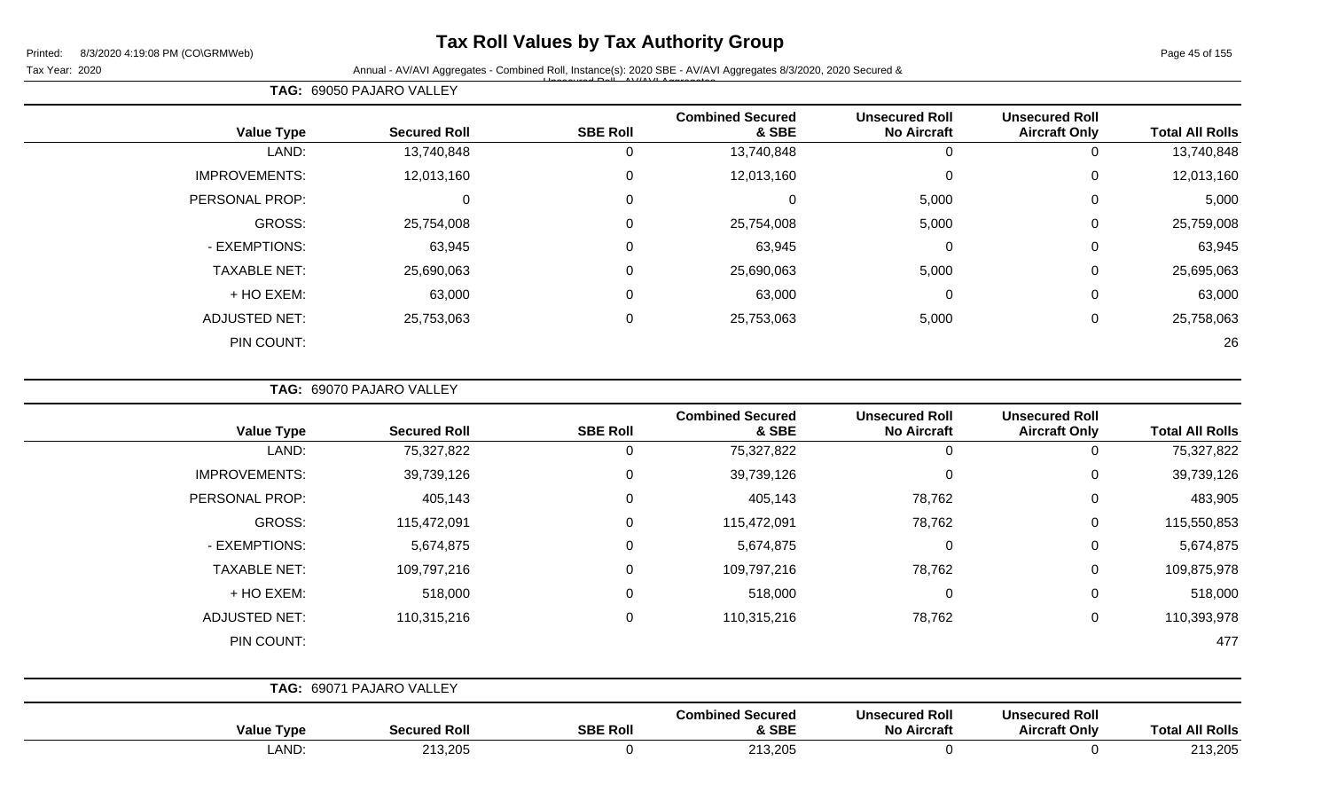## **Tax Roll Values by Tax Authority Group**

Page 45 of 155

Tax Year: 2020 **Annual - AV/AVI Aggregates - Combined Roll, Instance(s): 2020 SBE - AV/AVI Aggregates 8/3/2020, 2020 Secured &** Unsecured Roll - AV/AVI Aggregates

|                      | TAG: 69050 PAJARO VALLEY |                 |                                  |                                             |                                               |                        |
|----------------------|--------------------------|-----------------|----------------------------------|---------------------------------------------|-----------------------------------------------|------------------------|
| <b>Value Type</b>    | <b>Secured Roll</b>      | <b>SBE Roll</b> | <b>Combined Secured</b><br>& SBE | <b>Unsecured Roll</b><br><b>No Aircraft</b> | <b>Unsecured Roll</b><br><b>Aircraft Only</b> | <b>Total All Rolls</b> |
| LAND:                | 13,740,848               | 0               | 13,740,848                       | U                                           | 0                                             | 13,740,848             |
| <b>IMPROVEMENTS:</b> | 12,013,160               | $\mathbf{0}$    | 12,013,160                       | 0                                           | 0                                             | 12,013,160             |
| PERSONAL PROP:       |                          | 0               |                                  | 5,000                                       | 0                                             | 5,000                  |
| <b>GROSS:</b>        | 25,754,008               | 0               | 25,754,008                       | 5,000                                       | 0                                             | 25,759,008             |
| - EXEMPTIONS:        | 63,945                   | 0               | 63,945                           | 0                                           | 0                                             | 63,945                 |
| <b>TAXABLE NET:</b>  | 25,690,063               | $\mathbf 0$     | 25,690,063                       | 5,000                                       | 0                                             | 25,695,063             |
| + HO EXEM:           | 63,000                   | $\mathbf 0$     | 63,000                           | 0                                           | 0                                             | 63,000                 |
| <b>ADJUSTED NET:</b> | 25,753,063               | 0               | 25,753,063                       | 5,000                                       | 0                                             | 25,758,063             |
| PIN COUNT:           |                          |                 |                                  |                                             |                                               | 26                     |

**TAG:** 69070 PAJARO VALLEY

| <b>Value Type</b>    | <b>Secured Roll</b>      | <b>SBE Roll</b> | <b>Combined Secured</b><br>& SBE | <b>Unsecured Roll</b><br><b>No Aircraft</b> | <b>Unsecured Roll</b><br><b>Aircraft Only</b> | <b>Total All Rolls</b> |
|----------------------|--------------------------|-----------------|----------------------------------|---------------------------------------------|-----------------------------------------------|------------------------|
| LAND:                | 75,327,822               | $\Omega$        | 75,327,822                       | 0                                           | 0                                             | 75,327,822             |
| <b>IMPROVEMENTS:</b> | 39,739,126               | $\Omega$        | 39,739,126                       | $\mathbf 0$                                 | $\mathbf 0$                                   | 39,739,126             |
| PERSONAL PROP:       | 405,143                  | $\Omega$        | 405,143                          | 78,762                                      | $\pmb{0}$                                     | 483,905                |
| GROSS:               | 115,472,091              | $\Omega$        | 115,472,091                      | 78,762                                      | 0                                             | 115,550,853            |
| - EXEMPTIONS:        | 5,674,875                | $\Omega$        | 5,674,875                        | $\mathbf 0$                                 | 0                                             | 5,674,875              |
| <b>TAXABLE NET:</b>  | 109,797,216              | $\Omega$        | 109,797,216                      | 78,762                                      | 0                                             | 109,875,978            |
| + HO EXEM:           | 518,000                  | $\Omega$        | 518,000                          | $\mathbf 0$                                 | $\pmb{0}$                                     | 518,000                |
| <b>ADJUSTED NET:</b> | 110,315,216              | $\Omega$        | 110,315,216                      | 78,762                                      | 0                                             | 110,393,978            |
| PIN COUNT:           |                          |                 |                                  |                                             |                                               | 477                    |
|                      |                          |                 |                                  |                                             |                                               |                        |
|                      | TAG: 69071 PAJARO VALLEY |                 |                                  |                                             |                                               |                        |

| Value<br>Type | <b>Secured Roll</b> | <b>SBE Roll</b> | ' Secured<br>Combined<br>& SBE | <b>Unsecured Roll</b><br><b>No Aircraft</b> | <b>Unsecured Roll</b><br><b>Aircraft Only</b> | <b>All Rolls</b><br>Total |
|---------------|---------------------|-----------------|--------------------------------|---------------------------------------------|-----------------------------------------------|---------------------------|
| AND.          | 213,205             |                 | 213,205                        |                                             |                                               | 213,205                   |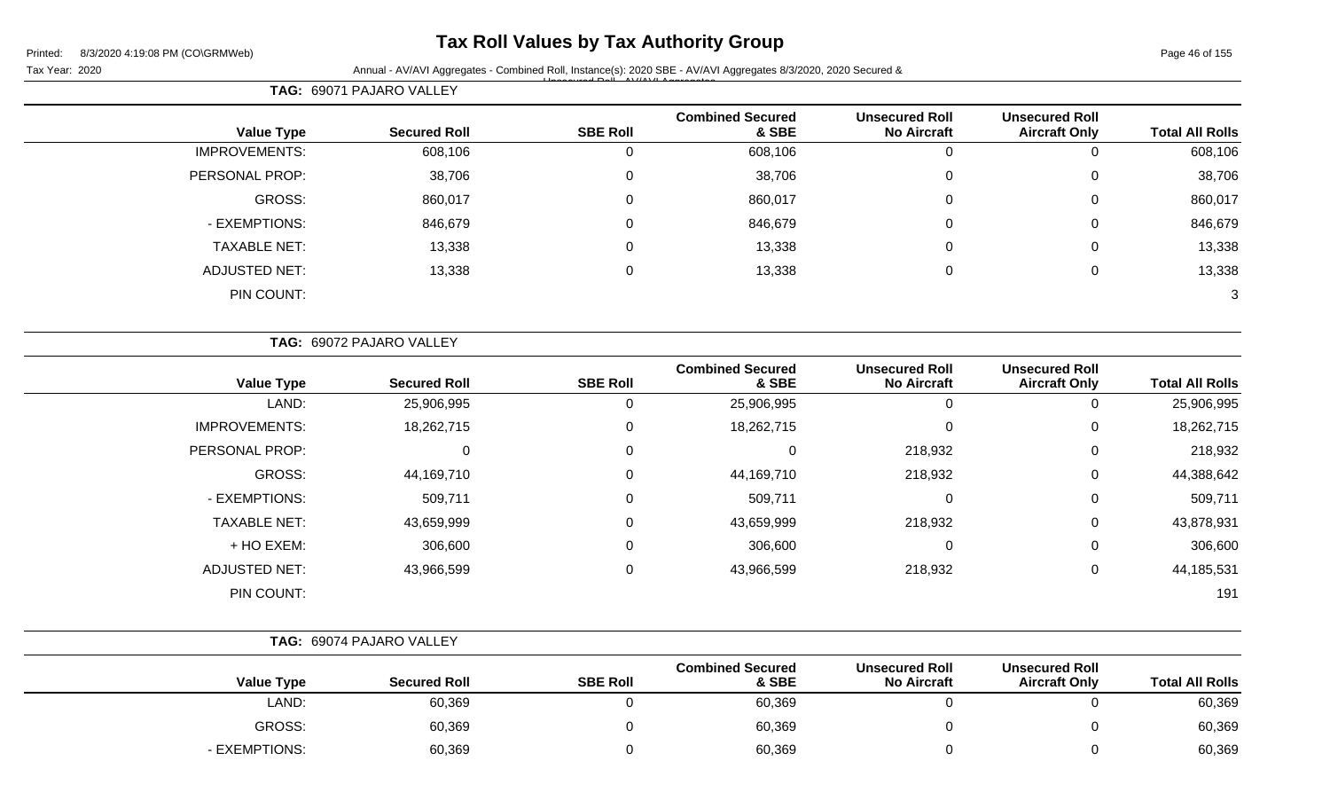### **Tax Roll Values by Tax Authority Group**

Tax Year: 2020 **Annual - AV/AVI Aggregates - Combined Roll, Instance(s): 2020 SBE - AV/AVI Aggregates 8/3/2020, 2020 Secured &** Unsecured Roll - AV/AVI Aggregates

**TAG:** 69071 PAJARO VALLEY **Value Type Secured Roll SBE Roll Combined Secured & SBE Unsecured Roll No Aircraft Unsecured Roll Total All Rolls** IMPROVEMENTS: 608,106 0 608,106 0 0 608,106 PERSONAL PROP: 38,706 38,706 0 38,706 38,706 0 38,706 0 38,706 GROSS: 860,017 0 860,017 0 0 860,017 - EXEMPTIONS: 846,679 0 846,679 0 0 846,679

TAXABLE NET: 13,338 0 13,338 0 0 13,338 ADJUSTED NET: 13,338 0 13,338 0 13,338

PIN COUNT: 3

|                      | TAG: 69072 PAJARO VALLEY |                 |                                  |                                             |                                               |                        |
|----------------------|--------------------------|-----------------|----------------------------------|---------------------------------------------|-----------------------------------------------|------------------------|
| <b>Value Type</b>    | <b>Secured Roll</b>      | <b>SBE Roll</b> | <b>Combined Secured</b><br>& SBE | <b>Unsecured Roll</b><br><b>No Aircraft</b> | <b>Unsecured Roll</b><br><b>Aircraft Only</b> | <b>Total All Rolls</b> |
| LAND:                | 25,906,995               | 0               | 25,906,995                       | 0                                           | 0                                             | 25,906,995             |
| <b>IMPROVEMENTS:</b> | 18,262,715               | 0               | 18,262,715                       | $\mathbf 0$                                 | $\Omega$                                      | 18,262,715             |
| PERSONAL PROP:       | 0                        | 0               | 0                                | 218,932                                     | 0                                             | 218,932                |
| GROSS:               | 44,169,710               | 0               | 44,169,710                       | 218,932                                     | 0                                             | 44,388,642             |
| - EXEMPTIONS:        | 509,711                  | 0               | 509,711                          | $\mathbf 0$                                 | 0                                             | 509,711                |
| <b>TAXABLE NET:</b>  | 43,659,999               | 0               | 43,659,999                       | 218,932                                     | 0                                             | 43,878,931             |
| + HO EXEM:           | 306,600                  | 0               | 306,600                          | 0                                           | 0                                             | 306,600                |
| <b>ADJUSTED NET:</b> | 43,966,599               | 0               | 43,966,599                       | 218,932                                     | 0                                             | 44,185,531             |
| PIN COUNT:           |                          |                 |                                  |                                             |                                               | 191                    |

|                   | TAG: 69074 PAJARO VALLEY |                 |                                  |                                             |                                               |                        |
|-------------------|--------------------------|-----------------|----------------------------------|---------------------------------------------|-----------------------------------------------|------------------------|
| <b>Value Type</b> | <b>Secured Roll</b>      | <b>SBE Roll</b> | <b>Combined Secured</b><br>& SBE | <b>Unsecured Roll</b><br><b>No Aircraft</b> | <b>Unsecured Roll</b><br><b>Aircraft Only</b> | <b>Total All Rolls</b> |
| LAND:             | 60,369                   |                 | 60,369                           |                                             |                                               | 60,369                 |
| GROSS:            | 60,369                   |                 | 60,369                           |                                             |                                               | 60,369                 |
| - EXEMPTIONS:     | 60,369                   |                 | 60,369                           |                                             |                                               | 60,369                 |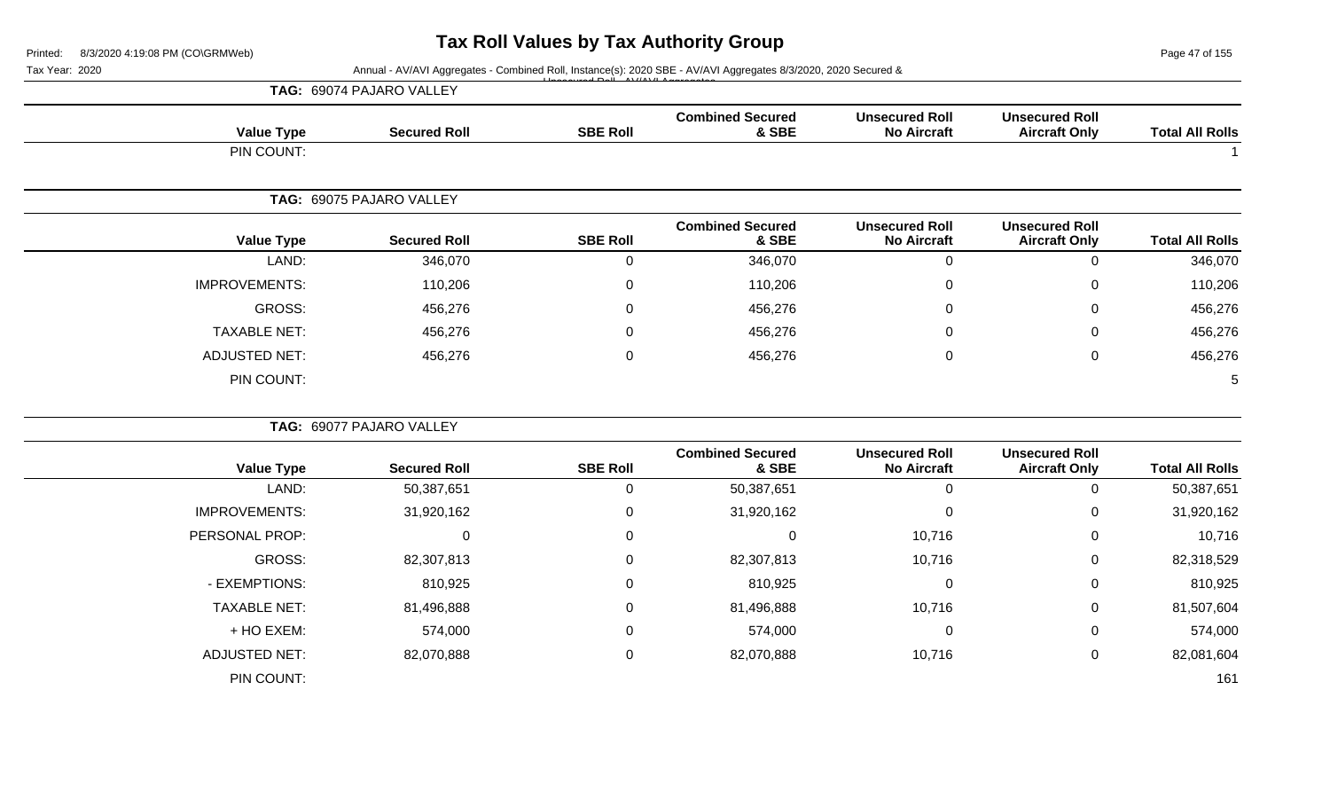Page 47 of 155

#### Tax Year: 2020 **Annual - AV/AVI Aggregates - Combined Roll, Instance(s): 2020 SBE - AV/AVI Aggregates 8/3/2020, 2020 Secured &** Unsecured Roll - AV/AVI Aggregates

|                      | TAG: 69074 PAJARO VALLEY |                 |                                  |                                             |                                               |                        |  |
|----------------------|--------------------------|-----------------|----------------------------------|---------------------------------------------|-----------------------------------------------|------------------------|--|
| <b>Value Type</b>    | <b>Secured Roll</b>      | <b>SBE Roll</b> | <b>Combined Secured</b><br>& SBE | <b>Unsecured Roll</b><br><b>No Aircraft</b> | <b>Unsecured Roll</b><br><b>Aircraft Only</b> | <b>Total All Rolls</b> |  |
| PIN COUNT:           |                          |                 |                                  |                                             |                                               |                        |  |
| TAG:                 | 69075 PAJARO VALLEY      |                 |                                  |                                             |                                               |                        |  |
| <b>Value Type</b>    | <b>Secured Roll</b>      | <b>SBE Roll</b> | <b>Combined Secured</b><br>& SBE | <b>Unsecured Roll</b><br><b>No Aircraft</b> | <b>Unsecured Roll</b><br><b>Aircraft Only</b> | <b>Total All Rolls</b> |  |
| LAND:                | 346,070                  | 0               | 346,070                          | 0                                           | $\mathbf 0$                                   | 346,070                |  |
| <b>IMPROVEMENTS:</b> | 110,206                  | $\mathbf 0$     | 110,206                          |                                             | $\mathbf 0$                                   | 110,206                |  |
| GROSS:               | 456,276                  | 0               | 456,276                          | $\Omega$                                    | $\mathbf 0$                                   | 456,276                |  |
| <b>TAXABLE NET:</b>  | 456,276                  | 0               | 456,276                          | $\Omega$                                    | $\mathbf 0$                                   | 456,276                |  |
| <b>ADJUSTED NET:</b> | 456,276                  | $\mathbf 0$     | 456,276                          | 0                                           | $\mathbf 0$                                   | 456,276                |  |
| PIN COUNT:           |                          |                 |                                  |                                             |                                               | 5                      |  |
|                      | TAG: 69077 PAJARO VALLEY |                 |                                  |                                             |                                               |                        |  |
| <b>Value Type</b>    | <b>Secured Roll</b>      | <b>SBE Roll</b> | <b>Combined Secured</b><br>& SBE | <b>Unsecured Roll</b><br><b>No Aircraft</b> | <b>Unsecured Roll</b><br><b>Aircraft Only</b> | <b>Total All Rolls</b> |  |
| LAND:                | 50,387,651               | $\Omega$        | 50,387,651                       | $\Omega$                                    | 0                                             | 50,387,651             |  |

IMPROVEMENTS: 31,920,162 0 31,920,162 0 0 31,920,162 PERSONAL PROP: 0 0 0 0 0 10,716 0 10,716 0 10,716 GROSS: 82,307,813 0 82,307,813 10,716 0 82,318,529 - EXEMPTIONS: 810,925 0 810,925 0 0 810,925 TAXABLE NET: 81,496,888 0 81,496,888 10,716 0 81,507,604 + HO EXEM: 574,000 0 574,000 0 0 574,000 ADJUSTED NET: 82,070,888 0 82,070,888 10,716 0 82,081,604 PIN COUNT: 161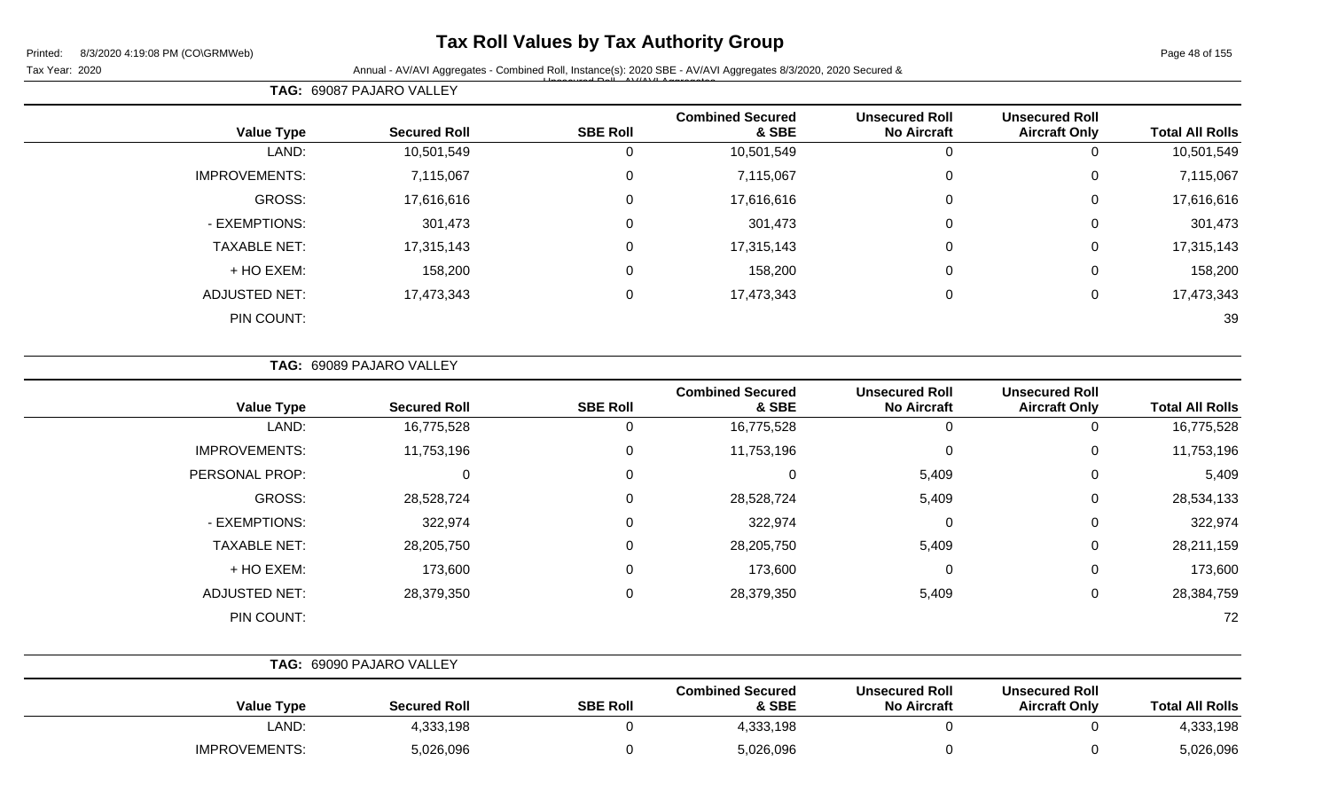## **Tax Roll Values by Tax Authority Group**

Page 48 of 155

Tax Year: 2020 **Annual - AV/AVI Aggregates - Combined Roll**, Instance(s): 2020 SBE - AV/AVI Aggregates 8/3/2020, 2020 Secured & Unsecured Roll - AV/AVI Aggregates

| <b>Total All Rolls</b> | <b>Unsecured Roll</b><br><b>Aircraft Only</b> | <b>Unsecured Roll</b><br><b>No Aircraft</b> | <b>Combined Secured</b><br>& SBE | <b>SBE Roll</b> | <b>Secured Roll</b> | <b>Value Type</b>    |
|------------------------|-----------------------------------------------|---------------------------------------------|----------------------------------|-----------------|---------------------|----------------------|
| 10,501,549             | $\overline{0}$                                | 0                                           | 10,501,549                       | 0               | 10,501,549          | LAND:                |
| 7,115,067              | 0                                             | $\mathbf 0$                                 | 7,115,067                        | 0               | 7,115,067           | <b>IMPROVEMENTS:</b> |
| 17,616,616             | $\mathbf 0$                                   | $\mathbf 0$                                 | 17,616,616                       | 0               | 17,616,616          | GROSS:               |
| 301,473                | $\mathbf 0$                                   | $\mathbf 0$                                 | 301,473                          | 0               | 301,473             | - EXEMPTIONS:        |
| 17,315,143             | 0                                             | 0                                           | 17,315,143                       | $\mathbf 0$     | 17,315,143          | <b>TAXABLE NET:</b>  |
| 158,200                | $\mathbf 0$                                   | $\mathbf 0$                                 | 158,200                          | 0               | 158,200             | + HO EXEM:           |
| 17,473,343             | 0                                             | 0                                           | 17,473,343                       | 0               | 17,473,343          | <b>ADJUSTED NET:</b> |
| 39                     |                                               |                                             |                                  |                 |                     | PIN COUNT:           |
|                        |                                               |                                             |                                  |                 |                     |                      |

**TAG:** 69089 PAJARO VALLEY

**TAG:** 69087 PAJARO VALLEY

| <b>Value Type</b>    | <b>Secured Roll</b> | <b>SBE Roll</b> | <b>Combined Secured</b><br>& SBE | <b>Unsecured Roll</b><br><b>No Aircraft</b> | <b>Unsecured Roll</b><br><b>Aircraft Only</b> | <b>Total All Rolls</b> |
|----------------------|---------------------|-----------------|----------------------------------|---------------------------------------------|-----------------------------------------------|------------------------|
| LAND:                | 16,775,528          | 0               | 16,775,528                       | 0                                           | U                                             | 16,775,528             |
| <b>IMPROVEMENTS:</b> | 11,753,196          | 0               | 11,753,196                       | 0                                           | 0                                             | 11,753,196             |
| PERSONAL PROP:       |                     | $\mathbf 0$     | 0                                | 5,409                                       | 0                                             | 5,409                  |
| GROSS:               | 28,528,724          | 0               | 28,528,724                       | 5,409                                       | 0                                             | 28,534,133             |
| - EXEMPTIONS:        | 322,974             | 0               | 322,974                          | 0                                           | 0                                             | 322,974                |
| <b>TAXABLE NET:</b>  | 28,205,750          | 0               | 28,205,750                       | 5,409                                       | 0                                             | 28,211,159             |
| + HO EXEM:           | 173,600             | $\mathbf 0$     | 173,600                          | 0                                           | 0                                             | 173,600                |
| <b>ADJUSTED NET:</b> | 28,379,350          | 0               | 28,379,350                       | 5,409                                       | 0                                             | 28,384,759             |
| PIN COUNT:           |                     |                 |                                  |                                             |                                               | 72                     |

|                      | TAG: 69090 PAJARO VALLEY |                 |                                  |                                             |                                               |                        |
|----------------------|--------------------------|-----------------|----------------------------------|---------------------------------------------|-----------------------------------------------|------------------------|
| <b>Value Type</b>    | <b>Secured Roll</b>      | <b>SBE Roll</b> | <b>Combined Secured</b><br>& SBE | <b>Unsecured Roll</b><br><b>No Aircraft</b> | <b>Unsecured Roll</b><br><b>Aircraft Only</b> | <b>Total All Rolls</b> |
| LAND:                | 4,333,198                |                 | 4,333,198                        |                                             |                                               | 4,333,198              |
| <b>IMPROVEMENTS:</b> | 5,026,096                |                 | 5,026,096                        |                                             |                                               | 5,026,096              |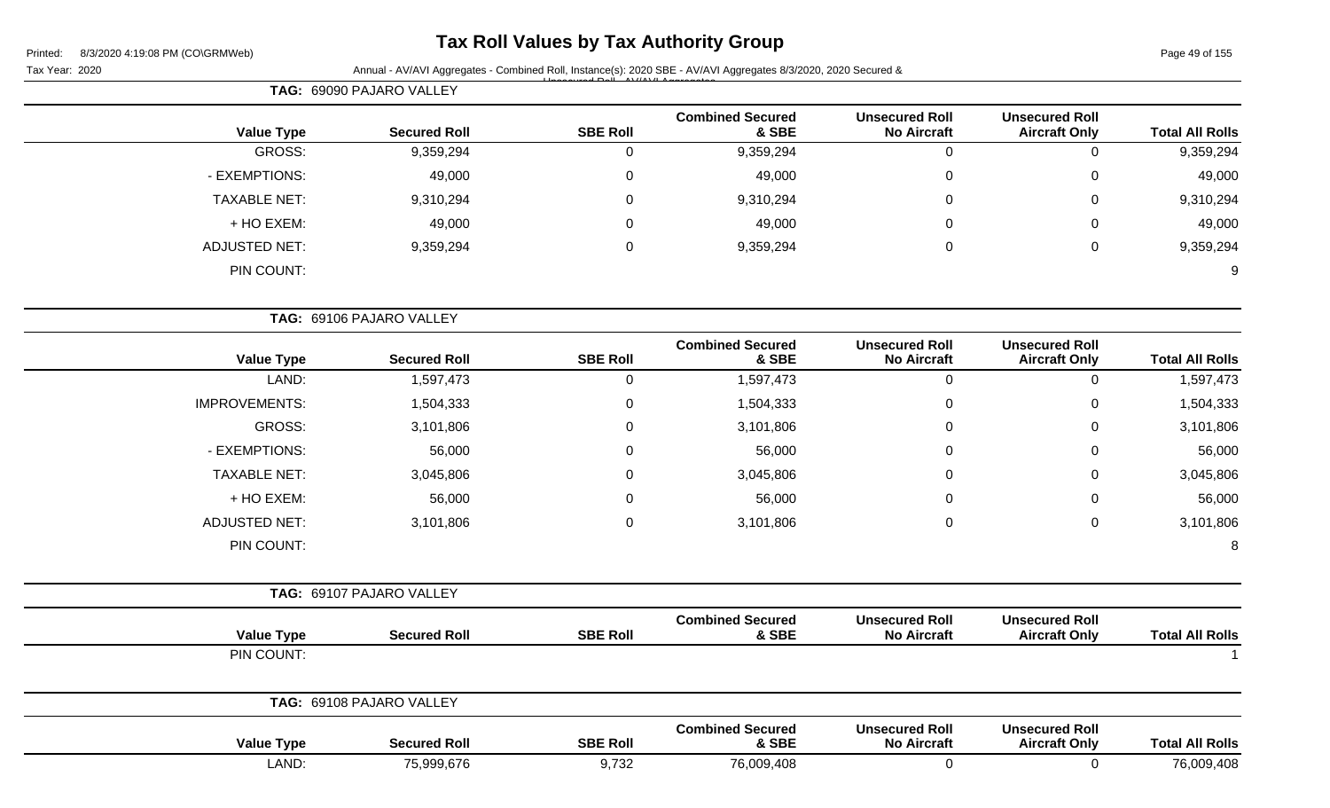## **Tax Roll Values by Tax Authority Group**

Tax Year: 2020 **Annual - AV/AVI Aggregates - Combined Roll**, Instance(s): 2020 SBE - AV/AVI Aggregates 8/3/2020, 2020 Secured & Unsecured Roll - AV/AVI Aggregates

|                        |                                               |                                             |                                  | $\Box$          | TAG: 69090 PAJARO VALLEY |                   |  |
|------------------------|-----------------------------------------------|---------------------------------------------|----------------------------------|-----------------|--------------------------|-------------------|--|
| <b>Total All Rolls</b> | <b>Unsecured Roll</b><br><b>Aircraft Only</b> | <b>Unsecured Roll</b><br><b>No Aircraft</b> | <b>Combined Secured</b><br>& SBE | <b>SBE Roll</b> | <b>Secured Roll</b>      | <b>Value Type</b> |  |
| 9,359,294              |                                               |                                             | 9,359,294                        |                 | 9,359,294                | <b>GROSS:</b>     |  |
| 49,000                 |                                               |                                             | 49,000                           |                 | 49,000                   | - EXEMPTIONS:     |  |
| 9,310,294              |                                               |                                             | 9,310,294                        |                 | 9,310,294                | TAXABLE NET:      |  |
| 49,000                 |                                               |                                             | 49,000                           |                 | 49,000                   | + HO EXEM:        |  |
| 9,359,294              |                                               |                                             | 9,359,294                        |                 | 9,359,294                | ADJUSTED NET:     |  |

PIN COUNT: 9

|                      | TAG: 69106 PAJARO VALLEY |                     |                 |                                  |                                             |                                               |                        |
|----------------------|--------------------------|---------------------|-----------------|----------------------------------|---------------------------------------------|-----------------------------------------------|------------------------|
| <b>Value Type</b>    |                          | <b>Secured Roll</b> | <b>SBE Roll</b> | <b>Combined Secured</b><br>& SBE | <b>Unsecured Roll</b><br><b>No Aircraft</b> | <b>Unsecured Roll</b><br><b>Aircraft Only</b> | <b>Total All Rolls</b> |
| LAND:                |                          | 1,597,473           | 0               | 1,597,473                        | 0                                           | 0                                             | 1,597,473              |
| <b>IMPROVEMENTS:</b> |                          | 1,504,333           | 0               | 1,504,333                        | 0                                           | 0                                             | 1,504,333              |
| GROSS:               |                          | 3,101,806           | 0               | 3,101,806                        | $\mathbf 0$                                 | 0                                             | 3,101,806              |
| - EXEMPTIONS:        |                          | 56,000              | 0               | 56,000                           | 0                                           | 0                                             | 56,000                 |
| <b>TAXABLE NET:</b>  |                          | 3,045,806           | 0               | 3,045,806                        | $\mathbf 0$                                 | 0                                             | 3,045,806              |
| + HO EXEM:           |                          | 56,000              | 0               | 56,000                           | $\mathbf 0$                                 | 0                                             | 56,000                 |
| <b>ADJUSTED NET:</b> |                          | 3,101,806           | 0               | 3,101,806                        | 0                                           | 0                                             | 3,101,806              |
| PIN COUNT:           |                          |                     |                 |                                  |                                             |                                               | 8                      |
|                      | TAG: 69107 PAJARO VALLEY |                     |                 |                                  |                                             |                                               |                        |
| <b>Value Type</b>    |                          | <b>Secured Roll</b> | <b>SBE Roll</b> | <b>Combined Secured</b><br>& SBE | <b>Unsecured Roll</b><br><b>No Aircraft</b> | <b>Unsecured Roll</b><br><b>Aircraft Only</b> | <b>Total All Rolls</b> |

| PIN COUNT:        |                          |                 |                                  |                                             |                                               |                        |
|-------------------|--------------------------|-----------------|----------------------------------|---------------------------------------------|-----------------------------------------------|------------------------|
|                   | TAG: 69108 PAJARO VALLEY |                 |                                  |                                             |                                               |                        |
| <b>Value Type</b> | <b>Secured Roll</b>      | <b>SBE Roll</b> | <b>Combined Secured</b><br>& SBE | <b>Unsecured Roll</b><br><b>No Aircraft</b> | <b>Unsecured Roll</b><br><b>Aircraft Only</b> | <b>Total All Rolls</b> |
| LAND:             | 75,999,676               | 9,732           | 76,009,408                       |                                             |                                               | 76,009,408             |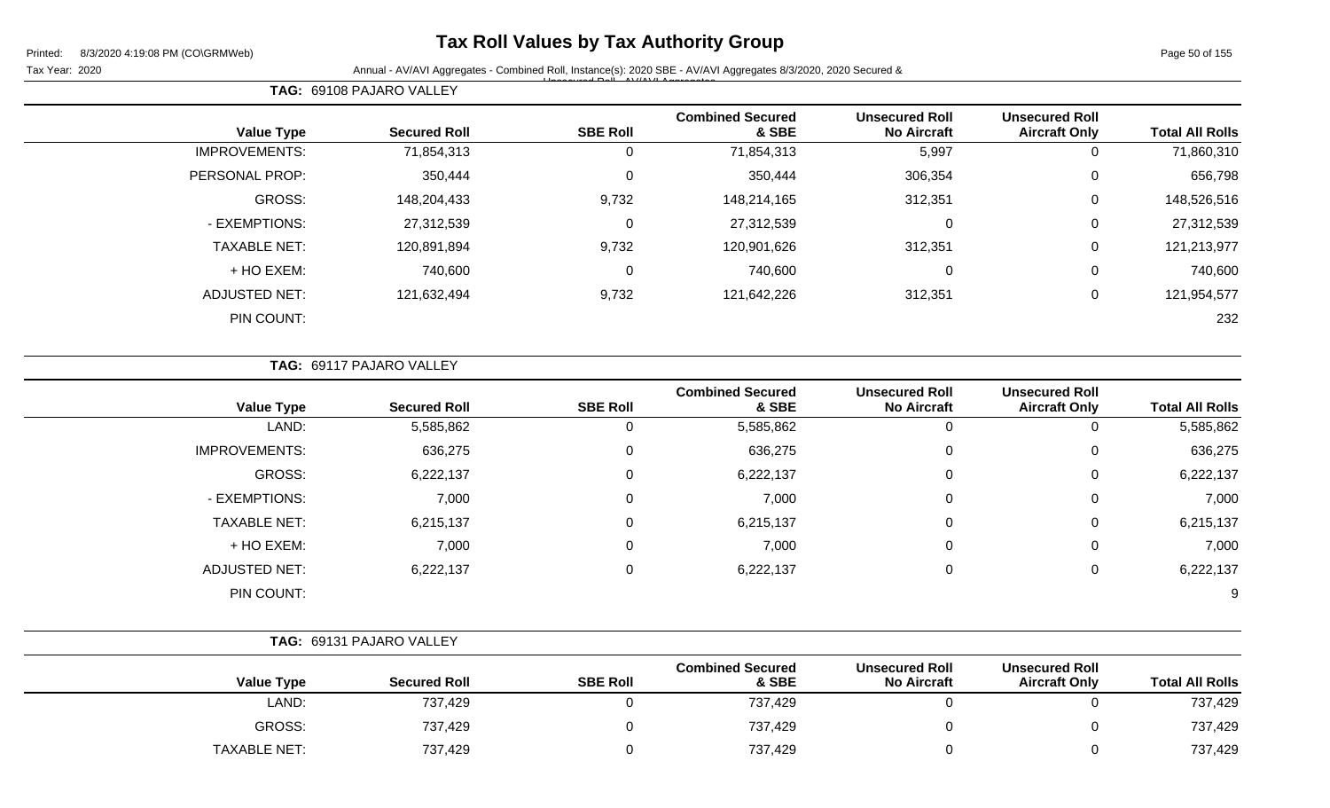## **Tax Roll Values by Tax Authority Group**

Page 50 of 155

Tax Year: 2020 **Annual - AV/AVI Aggregates - Combined Roll**, Instance(s): 2020 SBE - AV/AVI Aggregates 8/3/2020, 2020 Secured & Unsecured Roll - AV/AVI Aggregates

| <b>Total All Rolls</b> | <b>Unsecured Roll</b><br><b>Aircraft Only</b> | <b>Unsecured Roll</b><br><b>No Aircraft</b> | <b>Combined Secured</b><br>& SBE | <b>SBE Roll</b> | <b>Secured Roll</b> | <b>Value Type</b>    |
|------------------------|-----------------------------------------------|---------------------------------------------|----------------------------------|-----------------|---------------------|----------------------|
| 71,860,310             | 0                                             | 5,997                                       | 71,854,313                       | 0               | 71,854,313          | <b>IMPROVEMENTS:</b> |
| 656,798                | $\mathbf 0$                                   | 306,354                                     | 350,444                          | $\mathbf 0$     | 350,444             | PERSONAL PROP:       |
| 148,526,516            | $\mathbf 0$                                   | 312,351                                     | 148,214,165                      | 9,732           | 148,204,433         | GROSS:               |
| 27,312,539             | $\mathbf 0$                                   | 0                                           | 27,312,539                       | $\mathbf 0$     | 27,312,539          | - EXEMPTIONS:        |
| 121,213,977            | $\mathbf 0$                                   | 312,351                                     | 120,901,626                      | 9,732           | 120,891,894         | <b>TAXABLE NET:</b>  |
| 740,600                | $\mathbf 0$                                   | 0                                           | 740,600                          | $\mathbf 0$     | 740,600             | + HO EXEM:           |
| 121,954,577            | $\mathbf 0$                                   | 312,351                                     | 121,642,226                      | 9,732           | 121,632,494         | <b>ADJUSTED NET:</b> |
| 232                    |                                               |                                             |                                  |                 |                     | PIN COUNT:           |
|                        |                                               |                                             |                                  |                 |                     |                      |

|  |  |  | <b>TAG: 69117 PAJARO VALLEY</b> |  |
|--|--|--|---------------------------------|--|
|--|--|--|---------------------------------|--|

**TAG:** 69108 PAJARO VALLEY

| <b>Value Type</b>    | <b>Secured Roll</b> | <b>SBE Roll</b> | <b>Combined Secured</b><br>& SBE | <b>Unsecured Roll</b><br><b>No Aircraft</b> | <b>Unsecured Roll</b><br><b>Aircraft Only</b> | <b>Total All Rolls</b> |
|----------------------|---------------------|-----------------|----------------------------------|---------------------------------------------|-----------------------------------------------|------------------------|
| LAND:                | 5,585,862           | 0               | 5,585,862                        | 0                                           | U                                             | 5,585,862              |
| <b>IMPROVEMENTS:</b> | 636,275             | 0               | 636,275                          | 0                                           | 0                                             | 636,275                |
| GROSS:               | 6,222,137           | 0               | 6,222,137                        | 0                                           | 0                                             | 6,222,137              |
| - EXEMPTIONS:        | 7,000               | $\mathbf 0$     | 7,000                            | 0                                           | 0                                             | 7,000                  |
| <b>TAXABLE NET:</b>  | 6,215,137           | 0               | 6,215,137                        | 0                                           | 0                                             | 6,215,137              |
| + HO EXEM:           | 7,000               | 0               | 7,000                            | 0                                           | 0                                             | 7,000                  |
| <b>ADJUSTED NET:</b> | 6,222,137           | 0               | 6,222,137                        | 0                                           | 0                                             | 6,222,137              |
| PIN COUNT:           |                     |                 |                                  |                                             |                                               | 9                      |

| TAG: 69131 PAJARO VALLEY |                     |                 |                                  |                                             |                                               |                        |
|--------------------------|---------------------|-----------------|----------------------------------|---------------------------------------------|-----------------------------------------------|------------------------|
| <b>Value Type</b>        | <b>Secured Roll</b> | <b>SBE Roll</b> | <b>Combined Secured</b><br>& SBE | <b>Unsecured Roll</b><br><b>No Aircraft</b> | <b>Unsecured Roll</b><br><b>Aircraft Only</b> | <b>Total All Rolls</b> |
| LAND:                    | 737,429             |                 | 737,429                          |                                             |                                               | 737,429                |
| <b>GROSS:</b>            | 737,429             |                 | 737,429                          |                                             |                                               | 737,429                |
| <b>TAXABLE NET:</b>      | 737,429             |                 | 737,429                          |                                             |                                               | 737,429                |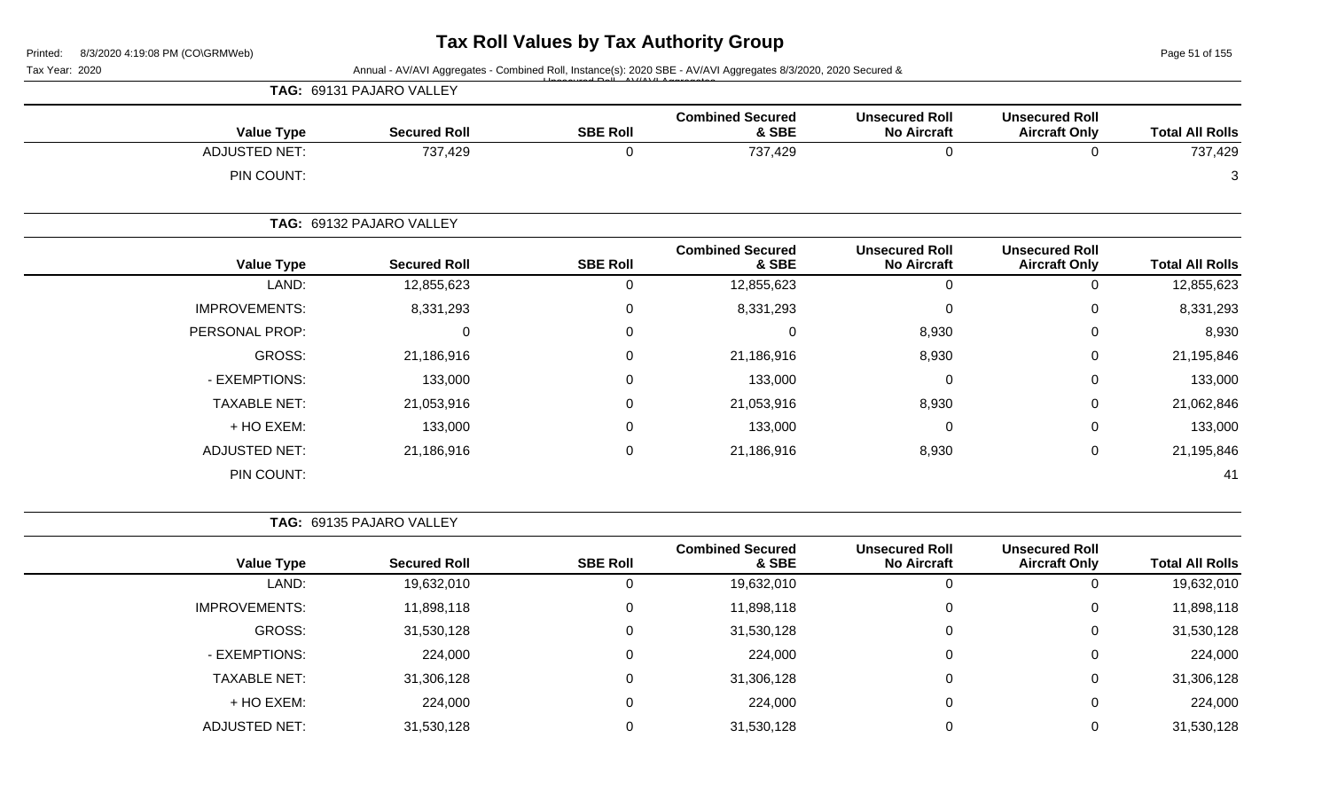Page 51 of 155

| Tax Year: 2020 |  |
|----------------|--|
|                |  |

Annual - AV/AVI Aggregates - Combined Roll, Instance(s): 2020 SBE - AV/AVI Aggregates 8/3/2020, 2020 Secured & Unsecured Roll - AV/AVI Aggregates

|                      | TAG: 69131 PAJARO VALLEY |                 |                                  |                                             |                                               |                        |
|----------------------|--------------------------|-----------------|----------------------------------|---------------------------------------------|-----------------------------------------------|------------------------|
| <b>Value Type</b>    | <b>Secured Roll</b>      | <b>SBE Roll</b> | <b>Combined Secured</b><br>& SBE | <b>Unsecured Roll</b><br><b>No Aircraft</b> | <b>Unsecured Roll</b><br><b>Aircraft Only</b> | <b>Total All Rolls</b> |
| <b>ADJUSTED NET:</b> | 737,429                  | $\mathbf 0$     | 737,429                          | $\mathbf 0$                                 | 0                                             | 737,429                |
| PIN COUNT:           |                          |                 |                                  |                                             |                                               | 3                      |
|                      | TAG: 69132 PAJARO VALLEY |                 |                                  |                                             |                                               |                        |
| <b>Value Type</b>    | <b>Secured Roll</b>      | <b>SBE Roll</b> | <b>Combined Secured</b><br>& SBE | <b>Unsecured Roll</b><br><b>No Aircraft</b> | <b>Unsecured Roll</b><br><b>Aircraft Only</b> | <b>Total All Rolls</b> |
| LAND:                | 12,855,623               | 0               | 12,855,623                       | $\mathbf 0$                                 | 0                                             | 12,855,623             |
| <b>IMPROVEMENTS:</b> | 8,331,293                | 0               | 8,331,293                        | 0                                           | 0                                             | 8,331,293              |
| PERSONAL PROP:       | 0                        | $\mathbf{0}$    | $\Omega$                         | 8,930                                       | 0                                             | 8,930                  |
| GROSS:               | 21,186,916               | $\mathbf 0$     | 21,186,916                       | 8,930                                       | 0                                             | 21,195,846             |
| - EXEMPTIONS:        | 133,000                  | $\mathbf 0$     | 133,000                          | $\Omega$                                    | 0                                             | 133,000                |
| <b>TAXABLE NET:</b>  | 21,053,916               | $\mathbf 0$     | 21,053,916                       | 8,930                                       | 0                                             | 21,062,846             |
| + HO EXEM:           | 133,000                  | 0               | 133,000                          | 0                                           | 0                                             | 133,000                |
| <b>ADJUSTED NET:</b> | 21,186,916               | 0               | 21,186,916                       | 8,930                                       | 0                                             | 21,195,846             |
| PIN COUNT:           |                          |                 |                                  |                                             |                                               | 41                     |

**TAG:** 69135 PAJARO VALLEY

|                      |                     |                 | <b>Combined Secured</b> | <b>Unsecured Roll</b> | <b>Unsecured Roll</b> |                        |
|----------------------|---------------------|-----------------|-------------------------|-----------------------|-----------------------|------------------------|
| <b>Value Type</b>    | <b>Secured Roll</b> | <b>SBE Roll</b> | & SBE                   | <b>No Aircraft</b>    | <b>Aircraft Only</b>  | <b>Total All Rolls</b> |
| LAND:                | 19,632,010          | 0               | 19,632,010              |                       | $\overline{0}$        | 19,632,010             |
| <b>IMPROVEMENTS:</b> | 11,898,118          | $\Omega$        | 11,898,118              | $\Omega$              | 0                     | 11,898,118             |
| GROSS:               | 31,530,128          | $\Omega$        | 31,530,128              |                       | $\mathbf 0$           | 31,530,128             |
| - EXEMPTIONS:        | 224,000             | 0               | 224,000                 |                       | $\mathbf 0$           | 224,000                |
| <b>TAXABLE NET:</b>  | 31,306,128          | 0               | 31,306,128              |                       | 0                     | 31,306,128             |
| + HO EXEM:           | 224,000             | $\Omega$        | 224,000                 | $\Omega$              | 0                     | 224,000                |
| <b>ADJUSTED NET:</b> | 31,530,128          | 0               | 31,530,128              |                       | 0                     | 31,530,128             |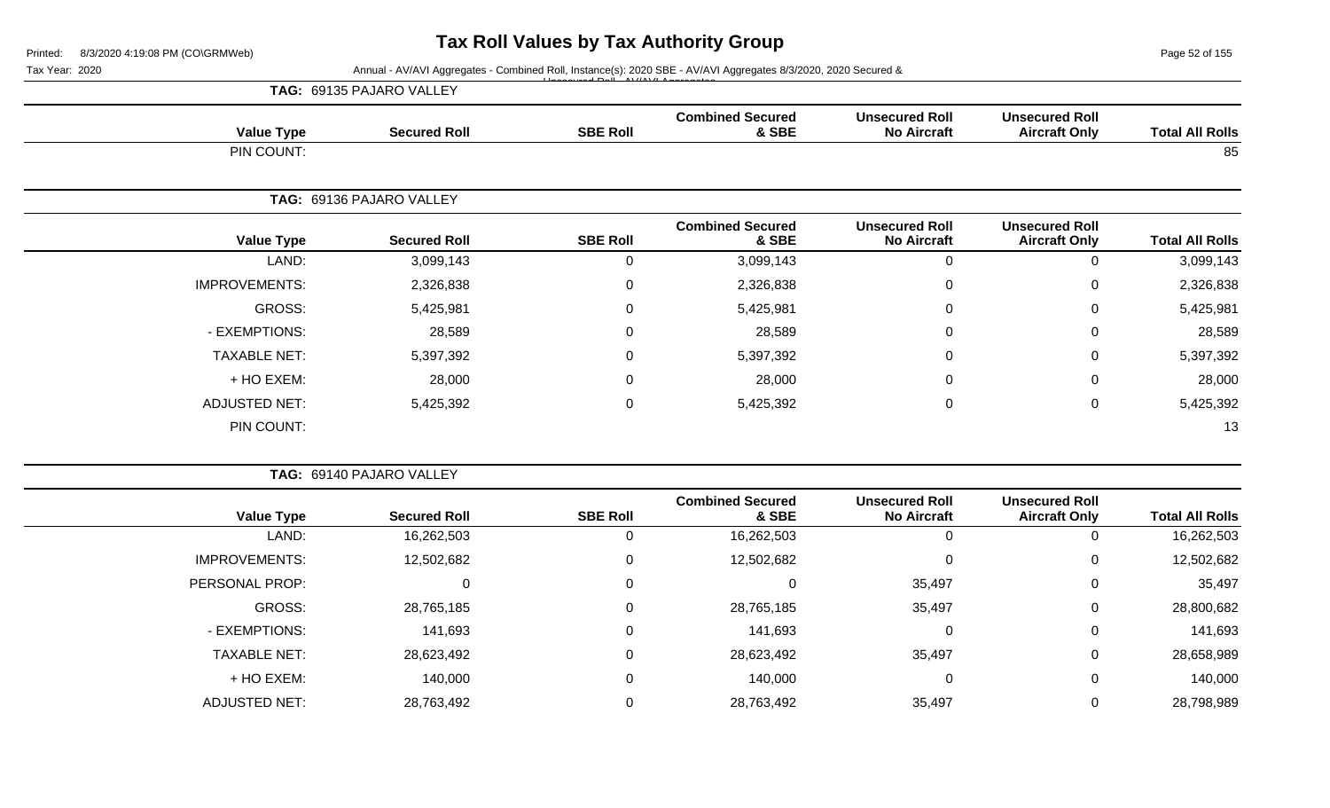Page 52 of 155

Tax Year: 2020 **Annual - AV/AVI Aggregates - Combined Roll**, Instance(s): 2020 SBE - AV/AVI Aggregates 8/3/2020, 2020 Secured &

|                        |                                               |                                             |                                  | $\overline{1}$ $\overline{2}$ $\overline{1}$ $\overline{1}$ $\overline{1}$ $\overline{1}$ $\overline{1}$ $\overline{1}$ $\overline{1}$ $\overline{1}$ $\overline{1}$ $\overline{1}$ $\overline{1}$ $\overline{1}$ $\overline{1}$ $\overline{1}$ $\overline{1}$ $\overline{1}$ $\overline{1}$ $\overline{1}$ $\overline{1}$ $\overline{1}$ $\overline{1}$ $\overline{1}$ $\overline{$ | TAG: 69135 PAJARO VALLEY |                      |
|------------------------|-----------------------------------------------|---------------------------------------------|----------------------------------|--------------------------------------------------------------------------------------------------------------------------------------------------------------------------------------------------------------------------------------------------------------------------------------------------------------------------------------------------------------------------------------|--------------------------|----------------------|
| <b>Total All Rolls</b> | <b>Unsecured Roll</b><br><b>Aircraft Only</b> | <b>Unsecured Roll</b><br><b>No Aircraft</b> | <b>Combined Secured</b><br>& SBE | <b>SBE Roll</b>                                                                                                                                                                                                                                                                                                                                                                      | <b>Secured Roll</b>      | <b>Value Type</b>    |
| 85                     |                                               |                                             |                                  |                                                                                                                                                                                                                                                                                                                                                                                      |                          | PIN COUNT:           |
|                        |                                               |                                             |                                  |                                                                                                                                                                                                                                                                                                                                                                                      | TAG: 69136 PAJARO VALLEY |                      |
| <b>Total All Rolls</b> | <b>Unsecured Roll</b><br><b>Aircraft Only</b> | <b>Unsecured Roll</b><br><b>No Aircraft</b> | <b>Combined Secured</b><br>& SBE | <b>SBE Roll</b>                                                                                                                                                                                                                                                                                                                                                                      | <b>Secured Roll</b>      | <b>Value Type</b>    |
| 3,099,143              | $\mathbf 0$                                   | 0                                           | 3,099,143                        | 0                                                                                                                                                                                                                                                                                                                                                                                    | 3,099,143                | LAND:                |
| 2,326,838              | $\mathsf{O}$                                  | 0                                           | 2,326,838                        | $\mathsf 0$                                                                                                                                                                                                                                                                                                                                                                          | 2,326,838                | <b>IMPROVEMENTS:</b> |
| 5,425,981              | $\mathsf{O}$                                  | 0                                           | 5,425,981                        | $\mathbf 0$                                                                                                                                                                                                                                                                                                                                                                          | 5,425,981                | GROSS:               |
| 28,589                 | 0                                             | 0                                           | 28,589                           | 0                                                                                                                                                                                                                                                                                                                                                                                    | 28,589                   | - EXEMPTIONS:        |
| 5,397,392              | $\mathbf 0$                                   | $\mathbf 0$                                 | 5,397,392                        | 0                                                                                                                                                                                                                                                                                                                                                                                    | 5,397,392                | <b>TAXABLE NET:</b>  |
| 28,000                 | 0                                             | 0                                           | 28,000                           | 0                                                                                                                                                                                                                                                                                                                                                                                    | 28,000                   | + HO EXEM:           |
| 5,425,392              | $\mathbf 0$                                   | $\mathbf 0$                                 | 5,425,392                        | 0                                                                                                                                                                                                                                                                                                                                                                                    | 5,425,392                | <b>ADJUSTED NET:</b> |
| 13                     |                                               |                                             |                                  |                                                                                                                                                                                                                                                                                                                                                                                      |                          | PIN COUNT:           |

|                      | <b>TAG: 69140 PAJARO VALLEY</b> |                 |                                  |                                             |                                               |                        |
|----------------------|---------------------------------|-----------------|----------------------------------|---------------------------------------------|-----------------------------------------------|------------------------|
| <b>Value Type</b>    | <b>Secured Roll</b>             | <b>SBE Roll</b> | <b>Combined Secured</b><br>& SBE | <b>Unsecured Roll</b><br><b>No Aircraft</b> | <b>Unsecured Roll</b><br><b>Aircraft Only</b> | <b>Total All Rolls</b> |
| LAND:                | 16,262,503                      |                 | 16,262,503                       | 0                                           |                                               | 16,262,503             |
| <b>IMPROVEMENTS:</b> | 12,502,682                      | 0               | 12,502,682                       | $\mathbf{0}$                                | 0                                             | 12,502,682             |
| PERSONAL PROP:       | 0                               | 0               | 0                                | 35,497                                      | 0                                             | 35,497                 |
| <b>GROSS:</b>        | 28,765,185                      | 0               | 28,765,185                       | 35,497                                      | 0                                             | 28,800,682             |
| - EXEMPTIONS:        | 141,693                         | 0               | 141,693                          | 0                                           | 0                                             | 141,693                |
| <b>TAXABLE NET:</b>  | 28,623,492                      | 0               | 28,623,492                       | 35,497                                      | 0                                             | 28,658,989             |
| + HO EXEM:           | 140,000                         | 0               | 140,000                          | 0                                           | $\mathbf 0$                                   | 140,000                |
| <b>ADJUSTED NET:</b> | 28,763,492                      | 0               | 28,763,492                       | 35,497                                      | 0                                             | 28,798,989             |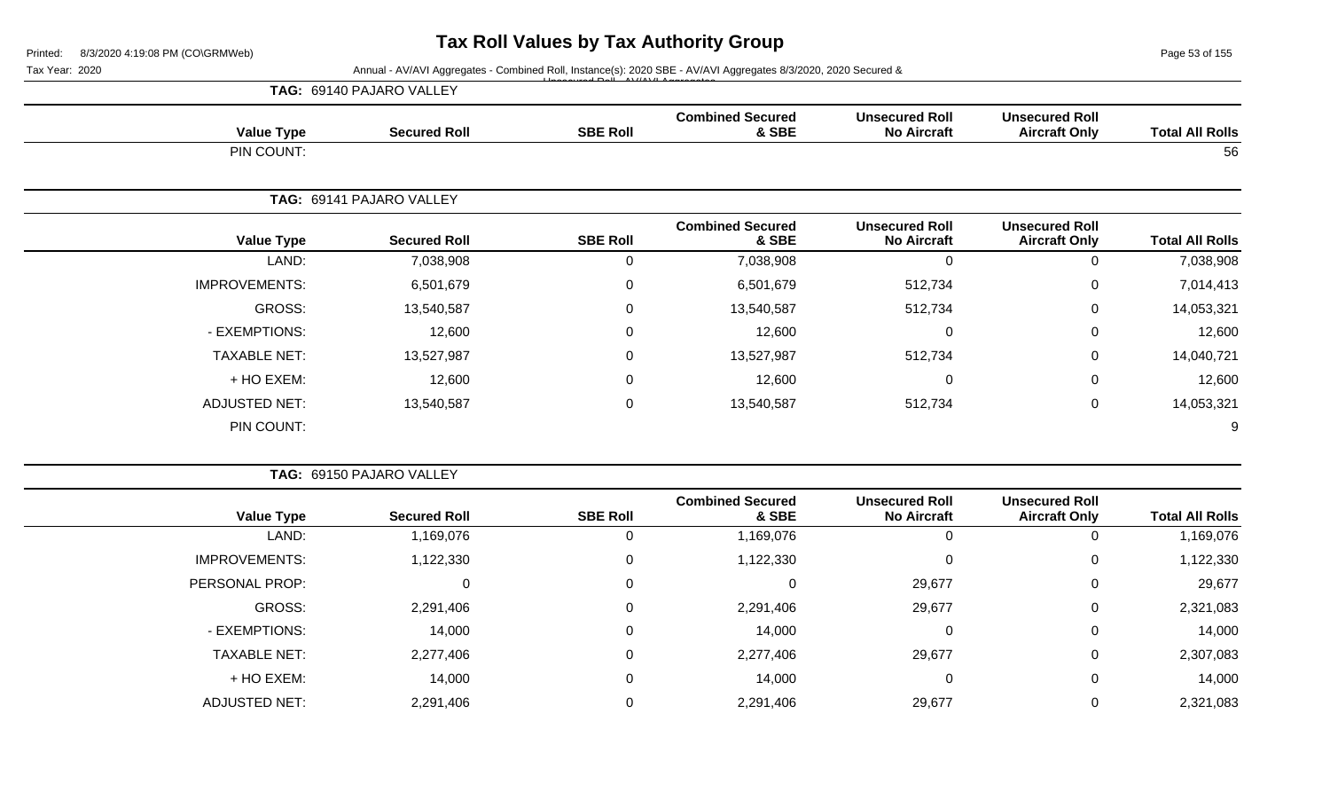Page 53 of 155

#### Tax Year: 2020 **Annual - AV/AVI Aggregates - Combined Roll**, Instance(s): 2020 SBE - AV/AVI Aggregates 8/3/2020, 2020 Secured &

|                      | TAG: 69140 PAJARO VALLEY | $\mathbf{1}$ $\mathbf{1}$ $\mathbf{2}$ $\mathbf{3}$ $\mathbf{3}$ $\mathbf{4}$ $\mathbf{5}$ $\mathbf{5}$ $\mathbf{1}$ $\mathbf{1}$ $\mathbf{5}$ $\mathbf{1}$ $\mathbf{1}$ $\mathbf{1}$ $\mathbf{1}$ $\mathbf{1}$ $\mathbf{1}$ $\mathbf{2}$ $\mathbf{3}$ $\mathbf{3}$ $\mathbf{4}$ $\mathbf{5}$ $\mathbf{5}$ $\mathbf{5}$ $\mathbf{$ |                                  |                                             |                                               |                        |
|----------------------|--------------------------|------------------------------------------------------------------------------------------------------------------------------------------------------------------------------------------------------------------------------------------------------------------------------------------------------------------------------------|----------------------------------|---------------------------------------------|-----------------------------------------------|------------------------|
| <b>Value Type</b>    | <b>Secured Roll</b>      | <b>SBE Roll</b>                                                                                                                                                                                                                                                                                                                    | <b>Combined Secured</b><br>& SBE | <b>Unsecured Roll</b><br><b>No Aircraft</b> | <b>Unsecured Roll</b><br><b>Aircraft Only</b> | <b>Total All Rolls</b> |
| PIN COUNT:           |                          |                                                                                                                                                                                                                                                                                                                                    |                                  |                                             |                                               | 56                     |
|                      | TAG: 69141 PAJARO VALLEY |                                                                                                                                                                                                                                                                                                                                    |                                  |                                             |                                               |                        |
| <b>Value Type</b>    | <b>Secured Roll</b>      | <b>SBE Roll</b>                                                                                                                                                                                                                                                                                                                    | <b>Combined Secured</b><br>& SBE | <b>Unsecured Roll</b><br><b>No Aircraft</b> | <b>Unsecured Roll</b><br><b>Aircraft Only</b> | <b>Total All Rolls</b> |
| LAND:                | 7,038,908                | 0                                                                                                                                                                                                                                                                                                                                  | 7,038,908                        | 0                                           | 0                                             | 7,038,908              |
| <b>IMPROVEMENTS:</b> | 6,501,679                | 0                                                                                                                                                                                                                                                                                                                                  | 6,501,679                        | 512,734                                     | 0                                             | 7,014,413              |
| <b>GROSS:</b>        | 13,540,587               | 0                                                                                                                                                                                                                                                                                                                                  | 13,540,587                       | 512,734                                     | 0                                             | 14,053,321             |
|                      |                          |                                                                                                                                                                                                                                                                                                                                    |                                  |                                             |                                               |                        |

| <b>Value Type</b>    | <b>Secured Roll</b> | <b>SBE Roll</b> | <b>Combined Secured</b><br>& SBE | <b>Unsecured Roll</b><br><b>No Aircraft</b> | <b>Unsecured Roll</b><br><b>Aircraft Only</b> | <b>Total All Rolls</b> |
|----------------------|---------------------|-----------------|----------------------------------|---------------------------------------------|-----------------------------------------------|------------------------|
| LAND:                | 7,038,908           | 0               | 7,038,908                        |                                             | υ                                             | 7,038,908              |
| <b>IMPROVEMENTS:</b> | 6,501,679           | 0               | 6,501,679                        | 512,734                                     | 0                                             | 7,014,413              |
| GROSS:               | 13,540,587          | 0               | 13,540,587                       | 512,734                                     | 0                                             | 14,053,321             |
| - EXEMPTIONS:        | 12,600              | 0               | 12,600                           |                                             | 0                                             | 12,600                 |
| <b>TAXABLE NET:</b>  | 13,527,987          | 0               | 13,527,987                       | 512,734                                     | 0                                             | 14,040,721             |
| + HO EXEM:           | 12,600              | 0               | 12,600                           |                                             | 0                                             | 12,600                 |
| <b>ADJUSTED NET:</b> | 13,540,587          | 0               | 13,540,587                       | 512,734                                     | 0                                             | 14,053,321             |
| PIN COUNT:           |                     |                 |                                  |                                             |                                               | 9                      |

|                      | TAG: 69150 PAJARO VALLEY |                 |                                  |                                             |                                               |                        |
|----------------------|--------------------------|-----------------|----------------------------------|---------------------------------------------|-----------------------------------------------|------------------------|
| <b>Value Type</b>    | <b>Secured Roll</b>      | <b>SBE Roll</b> | <b>Combined Secured</b><br>& SBE | <b>Unsecured Roll</b><br><b>No Aircraft</b> | <b>Unsecured Roll</b><br><b>Aircraft Only</b> | <b>Total All Rolls</b> |
| LAND:                | 1,169,076                |                 | 1,169,076                        |                                             | 0                                             | 1,169,076              |
| <b>IMPROVEMENTS:</b> | ,122,330                 | 0               | 1,122,330                        |                                             | 0                                             | 1,122,330              |
| PERSONAL PROP:       |                          | $\Omega$        | 0                                | 29,677                                      | $\mathbf 0$                                   | 29,677                 |
| GROSS:               | 2,291,406                | $\Omega$        | 2,291,406                        | 29,677                                      | 0                                             | 2,321,083              |
| - EXEMPTIONS:        | 14,000                   | $\Omega$        | 14,000                           | 0                                           | $\mathbf 0$                                   | 14,000                 |
| <b>TAXABLE NET:</b>  | 2,277,406                | 0               | 2,277,406                        | 29,677                                      | $\mathbf 0$                                   | 2,307,083              |
| + HO EXEM:           | 14,000                   | $\Omega$        | 14,000                           | 0                                           | 0                                             | 14,000                 |
| <b>ADJUSTED NET:</b> | 2,291,406                |                 | 2,291,406                        | 29,677                                      | $\mathbf 0$                                   | 2,321,083              |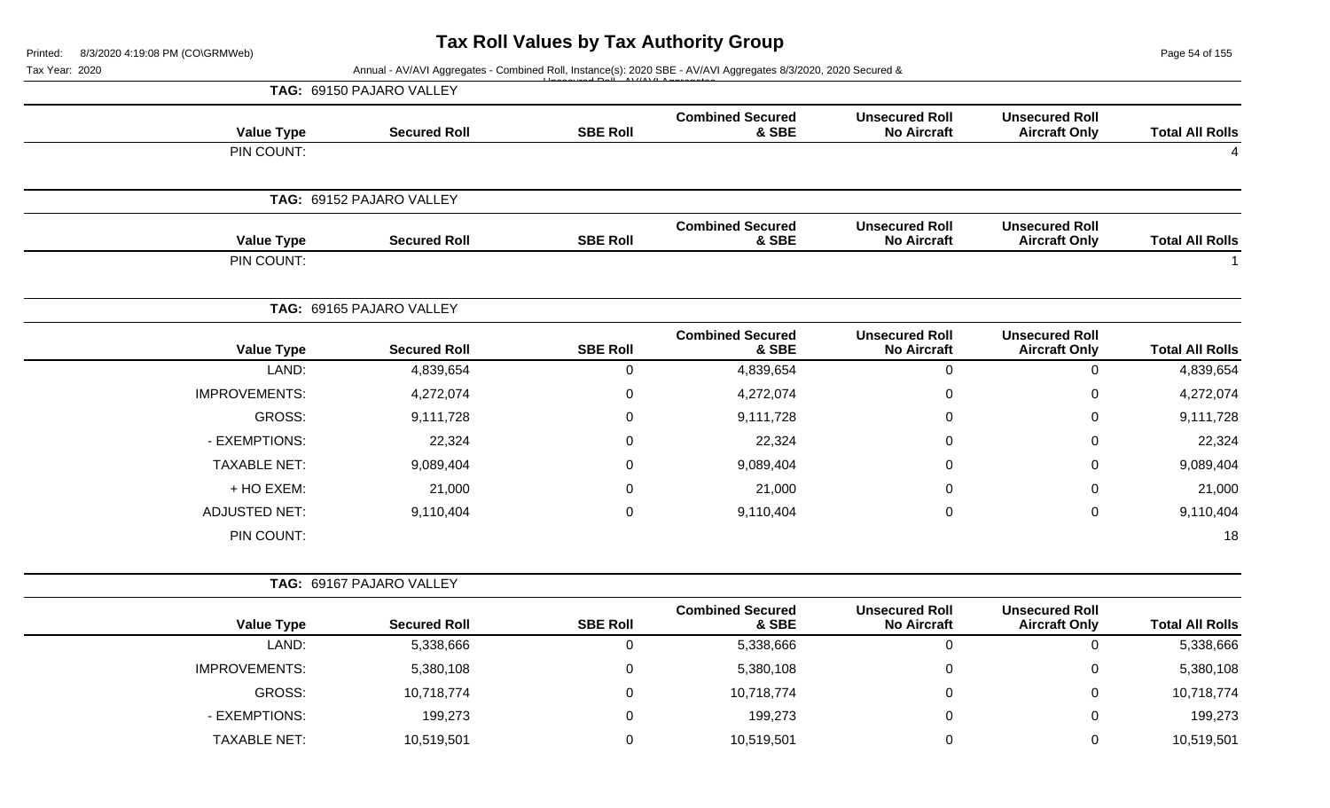Page 54 of 155

|                        |                                               |                                             |                                  |                  | Annual - AV/AVI Aggregates - Combined Roll, Instance(s): 2020 SBE - AV/AVI Aggregates 8/3/2020, 2020 Secured & | Tax Year: 2020       |
|------------------------|-----------------------------------------------|---------------------------------------------|----------------------------------|------------------|----------------------------------------------------------------------------------------------------------------|----------------------|
|                        |                                               |                                             |                                  |                  | TAG: 69150 PAJARO VALLEY                                                                                       |                      |
| <b>Total All Rolls</b> | <b>Unsecured Roll</b><br><b>Aircraft Only</b> | <b>Unsecured Roll</b><br><b>No Aircraft</b> | <b>Combined Secured</b><br>& SBE | <b>SBE Roll</b>  | <b>Secured Roll</b>                                                                                            | <b>Value Type</b>    |
|                        |                                               |                                             |                                  |                  |                                                                                                                | PIN COUNT:           |
|                        |                                               |                                             |                                  |                  | TAG: 69152 PAJARO VALLEY                                                                                       |                      |
| <b>Total All Rolls</b> | <b>Unsecured Roll</b><br><b>Aircraft Only</b> | <b>Unsecured Roll</b><br><b>No Aircraft</b> | <b>Combined Secured</b><br>& SBE | <b>SBE Roll</b>  | <b>Secured Roll</b>                                                                                            | <b>Value Type</b>    |
|                        |                                               |                                             |                                  |                  |                                                                                                                | PIN COUNT:           |
|                        |                                               |                                             |                                  |                  | TAG: 69165 PAJARO VALLEY                                                                                       |                      |
| <b>Total All Rolls</b> | <b>Unsecured Roll</b><br><b>Aircraft Only</b> | <b>Unsecured Roll</b><br><b>No Aircraft</b> | <b>Combined Secured</b><br>& SBE | <b>SBE Roll</b>  | <b>Secured Roll</b>                                                                                            | <b>Value Type</b>    |
| 4,839,654              | $\mathbf 0$                                   | $\mathbf 0$                                 | 4,839,654                        | $\boldsymbol{0}$ | 4,839,654                                                                                                      | LAND:                |
| 4,272,074              | $\Omega$                                      | $\boldsymbol{0}$                            | 4,272,074                        | $\mathbf 0$      | 4,272,074                                                                                                      | <b>IMPROVEMENTS:</b> |
| 9,111,728              | ∩                                             | $\mathbf 0$                                 | 9,111,728                        | $\mathbf 0$      | 9,111,728                                                                                                      | <b>GROSS:</b>        |
| 22,324                 | 0                                             | $\mathbf 0$                                 | 22,324                           | 0                | 22,324                                                                                                         | - EXEMPTIONS:        |
| 9,089,404              | $\Omega$                                      | $\overline{0}$                              | 9,089,404                        | 0                | 9,089,404                                                                                                      | <b>TAXABLE NET:</b>  |
| 21,000                 | $\Omega$                                      | $\mathbf 0$                                 | 21,000                           | 0                | 21,000                                                                                                         | + HO EXEM:           |
| 9,110,404              | $\Omega$                                      | $\mathbf 0$                                 | 9,110,404                        | $\boldsymbol{0}$ | 9,110,404                                                                                                      | <b>ADJUSTED NET:</b> |
| 18                     |                                               |                                             |                                  |                  |                                                                                                                | PIN COUNT:           |
|                        |                                               |                                             |                                  |                  | TAG: 69167 PAJARO VALLEY                                                                                       |                      |
| <b>Total All Rolls</b> | <b>Unsecured Roll</b><br><b>Aircraft Only</b> | <b>Unsecured Roll</b><br><b>No Aircraft</b> | <b>Combined Secured</b><br>& SBE | <b>SBE Roll</b>  | <b>Secured Roll</b>                                                                                            | <b>Value Type</b>    |
| 5,338,666              | $\overline{0}$                                | $\mathbf 0$                                 | 5,338,666                        | $\mathbf 0$      | 5,338,666                                                                                                      | LAND:                |
| 5,380,108              | $\mathbf 0$                                   | $\pmb{0}$                                   | 5,380,108                        | $\boldsymbol{0}$ | 5,380,108                                                                                                      | IMPROVEMENTS:        |
| 10,718,774             | 0                                             | $\pmb{0}$                                   | 10,718,774                       | $\boldsymbol{0}$ | 10,718,774                                                                                                     | GROSS:               |
| 199,273                | 0                                             | $\mathbf 0$                                 | 199,273                          | 0                | 199,273                                                                                                        | - EXEMPTIONS:        |
| 10,519,501             | 0                                             | $\mathbf 0$                                 | 10,519,501                       | $\pmb{0}$        | 10,519,501                                                                                                     | TAXABLE NET:         |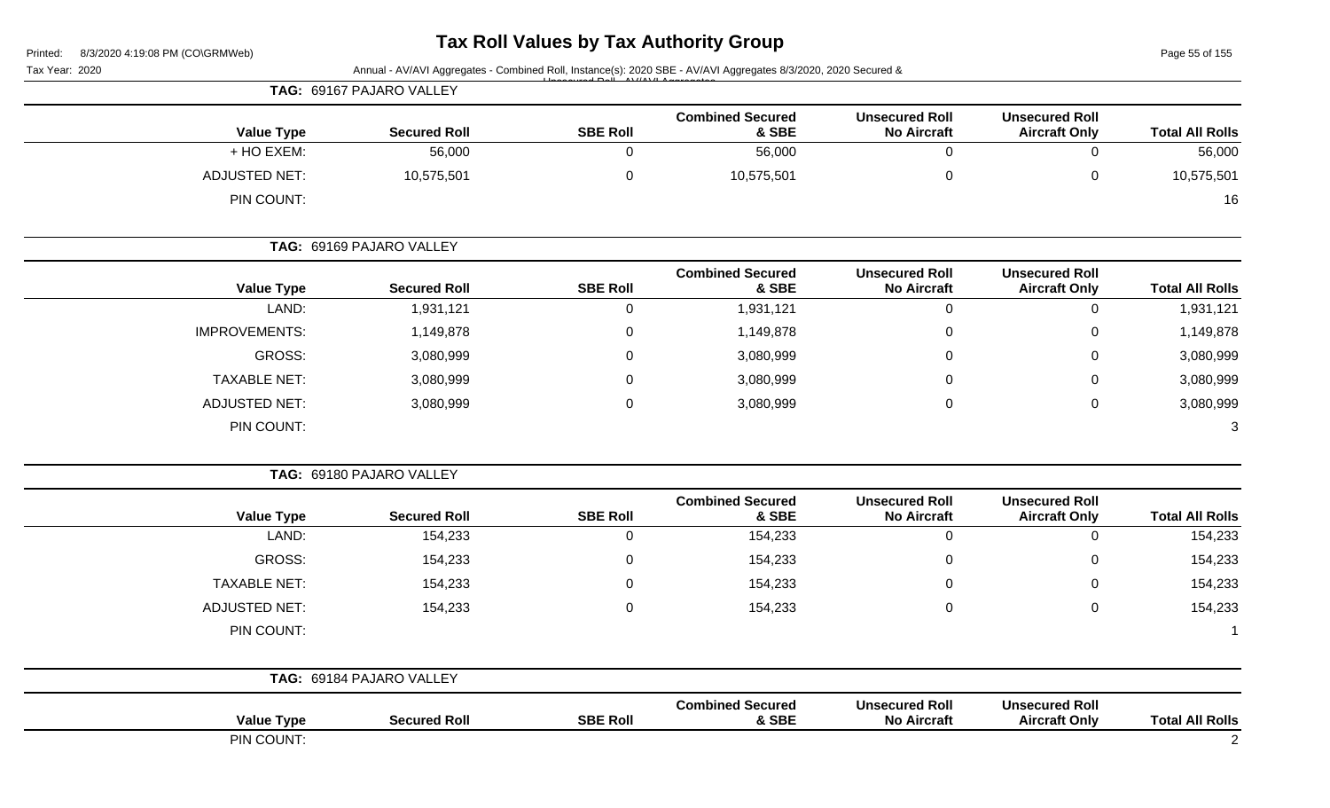# **Tax Roll Values by Tax Authority Group**

Page 55 of 155

|                        |                                               |                                             |                                  |                 | Annual - AV/AVI Aggregates - Combined Roll, Instance(s): 2020 SBE - AV/AVI Aggregates 8/3/2020, 2020 Secured & | $0.012020$ $1.103001$ $1.10000$<br>Tax Year: 2020 |
|------------------------|-----------------------------------------------|---------------------------------------------|----------------------------------|-----------------|----------------------------------------------------------------------------------------------------------------|---------------------------------------------------|
|                        |                                               |                                             |                                  |                 | TAG: 69167 PAJARO VALLEY                                                                                       |                                                   |
| <b>Total All Rolls</b> | <b>Unsecured Roll</b><br><b>Aircraft Only</b> | <b>Unsecured Roll</b><br><b>No Aircraft</b> | <b>Combined Secured</b><br>& SBE | <b>SBE Roll</b> | <b>Secured Roll</b>                                                                                            | <b>Value Type</b>                                 |
| 56,000                 | $\mathbf 0$                                   | $\mathbf 0$                                 | 56,000                           | $\mathbf 0$     | 56,000                                                                                                         | + HO EXEM:                                        |
| 10,575,501             | 0                                             | 0                                           | 10,575,501                       | $\mathbf 0$     | 10,575,501                                                                                                     | <b>ADJUSTED NET:</b>                              |
| 16                     |                                               |                                             |                                  |                 |                                                                                                                | PIN COUNT:                                        |
|                        |                                               |                                             |                                  |                 | TAG: 69169 PAJARO VALLEY                                                                                       |                                                   |
| <b>Total All Rolls</b> | <b>Unsecured Roll</b><br><b>Aircraft Only</b> | <b>Unsecured Roll</b><br><b>No Aircraft</b> | <b>Combined Secured</b><br>& SBE | <b>SBE Roll</b> | <b>Secured Roll</b>                                                                                            | <b>Value Type</b>                                 |
| 1,931,121              | $\mathbf 0$                                   | $\mathbf 0$                                 | 1,931,121                        | $\mathbf 0$     | 1,931,121                                                                                                      | LAND:                                             |
| 1,149,878              | 0                                             | 0                                           | 1,149,878                        | $\mathbf 0$     | 1,149,878                                                                                                      | <b>IMPROVEMENTS:</b>                              |
| 3,080,999              | 0                                             | 0                                           | 3,080,999                        | $\mathbf 0$     | 3,080,999                                                                                                      | <b>GROSS:</b>                                     |
| 3,080,999              | 0                                             | 0                                           | 3,080,999                        | $\mathbf 0$     | 3,080,999                                                                                                      | <b>TAXABLE NET:</b>                               |
| 3,080,999              | 0                                             | 0                                           | 3,080,999                        | $\mathbf 0$     | 3,080,999                                                                                                      | <b>ADJUSTED NET:</b>                              |
| 3                      |                                               |                                             |                                  |                 |                                                                                                                | PIN COUNT:                                        |
|                        |                                               |                                             |                                  |                 | TAG: 69180 PAJARO VALLEY                                                                                       |                                                   |
| <b>Total All Rolls</b> | <b>Unsecured Roll</b><br><b>Aircraft Only</b> | <b>Unsecured Roll</b><br><b>No Aircraft</b> | <b>Combined Secured</b><br>& SBE | <b>SBE Roll</b> | <b>Secured Roll</b>                                                                                            | <b>Value Type</b>                                 |
| 154,233                | $\mathbf 0$                                   | $\mathbf 0$                                 | 154,233                          | $\mathbf 0$     | 154,233                                                                                                        | LAND:                                             |
| 154,233                | 0                                             | 0                                           | 154,233                          | 0               | 154,233                                                                                                        | <b>GROSS:</b>                                     |
| 154,233                | 0                                             | 0                                           | 154,233                          | 0               | 154,233                                                                                                        | <b>TAXABLE NET:</b>                               |
| 154,233                | 0                                             | 0                                           | 154,233                          | $\mathbf 0$     | 154,233                                                                                                        | <b>ADJUSTED NET:</b>                              |
|                        |                                               |                                             |                                  |                 |                                                                                                                | PIN COUNT:                                        |
|                        |                                               |                                             |                                  |                 | TAG: 69184 PAJARO VALLEY                                                                                       |                                                   |
| <b>Total All Rolls</b> | <b>Unsecured Roll</b><br><b>Aircraft Only</b> | <b>Unsecured Roll</b><br><b>No Aircraft</b> | <b>Combined Secured</b><br>& SBE | <b>SBE Roll</b> | <b>Secured Roll</b>                                                                                            | <b>Value Type</b>                                 |
| $\overline{2}$         |                                               |                                             |                                  |                 |                                                                                                                | PIN COUNT:                                        |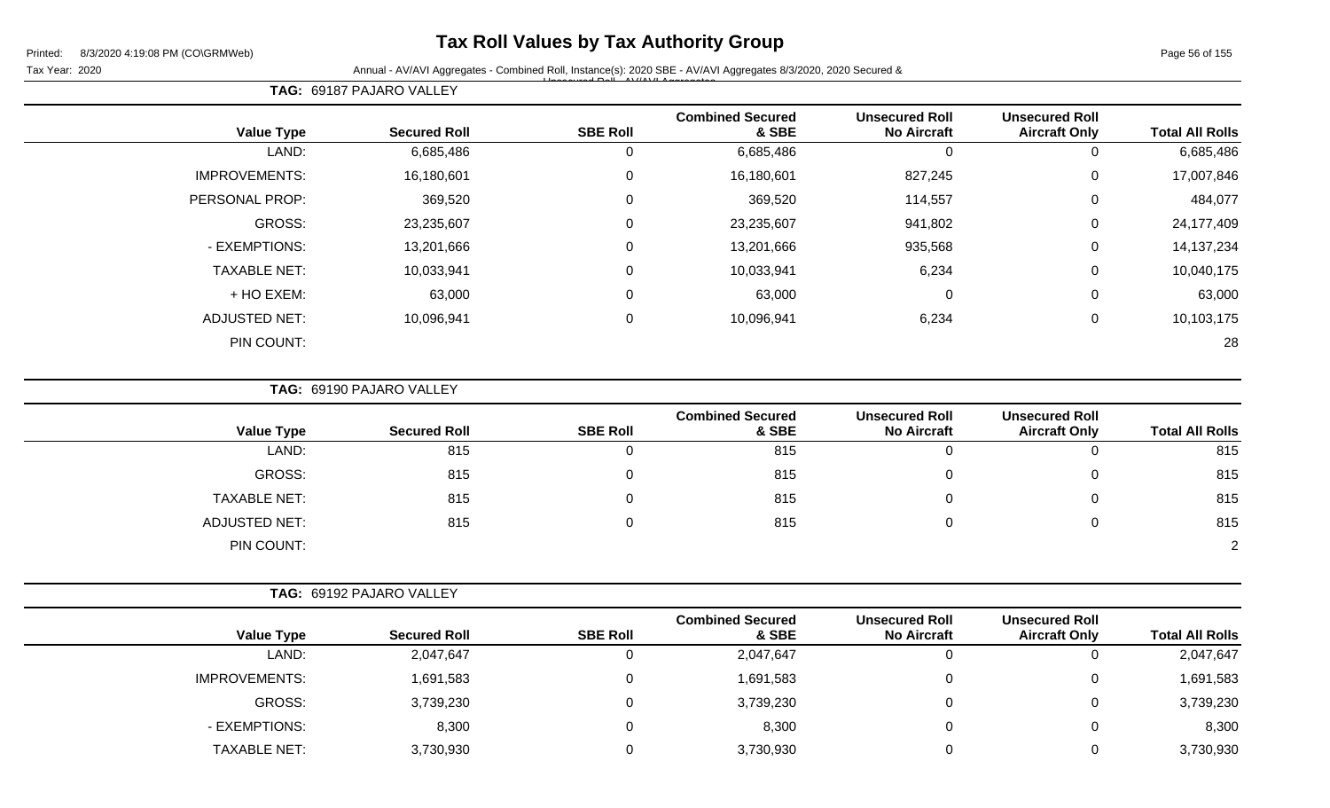## **Tax Roll Values by Tax Authority Group**

Page 56 of 155

Tax Year: 2020 **Annual - AV/AVI Aggregates - Combined Roll**, Instance(s): 2020 SBE - AV/AVI Aggregates 8/3/2020, 2020 Secured & Unsecured Roll - AV/AVI Aggregates

| TAG: 69187 PAJARO VALLEY |  |
|--------------------------|--|
|--------------------------|--|

| <b>Value Type</b>    | <b>Secured Roll</b> | <b>SBE Roll</b> | <b>Combined Secured</b><br>& SBE | <b>Unsecured Roll</b><br><b>No Aircraft</b> | <b>Unsecured Roll</b><br><b>Aircraft Only</b> | <b>Total All Rolls</b> |
|----------------------|---------------------|-----------------|----------------------------------|---------------------------------------------|-----------------------------------------------|------------------------|
|                      |                     |                 |                                  |                                             |                                               |                        |
| LAND:                | 6,685,486           | 0               | 6,685,486                        | $\Omega$                                    | $\overline{0}$                                | 6,685,486              |
| <b>IMPROVEMENTS:</b> | 16,180,601          | $\mathbf 0$     | 16,180,601                       | 827,245                                     | $\mathbf 0$                                   | 17,007,846             |
| PERSONAL PROP:       | 369,520             | 0               | 369,520                          | 114,557                                     | $\mathbf 0$                                   | 484,077                |
| GROSS:               | 23,235,607          | 0               | 23,235,607                       | 941,802                                     | 0                                             | 24,177,409             |
| - EXEMPTIONS:        | 13,201,666          | $\mathbf 0$     | 13,201,666                       | 935,568                                     | $\mathbf 0$                                   | 14, 137, 234           |
| <b>TAXABLE NET:</b>  | 10,033,941          | $\mathbf 0$     | 10,033,941                       | 6,234                                       | $\mathbf 0$                                   | 10,040,175             |
| + HO EXEM:           | 63,000              | $\mathbf 0$     | 63,000                           | 0                                           | $\mathbf 0$                                   | 63,000                 |
| <b>ADJUSTED NET:</b> | 10,096,941          | $\mathbf 0$     | 10,096,941                       | 6,234                                       | 0                                             | 10,103,175             |
| PIN COUNT:           |                     |                 |                                  |                                             |                                               | 28                     |

**TAG:** 69190 PAJARO VALLEY

| <b>Value Type</b>    | <b>Secured Roll</b> | <b>SBE Roll</b> | <b>Combined Secured</b><br>& SBE | <b>Unsecured Roll</b><br><b>No Aircraft</b> | <b>Unsecured Roll</b><br><b>Aircraft Only</b> | <b>Total All Rolls</b> |
|----------------------|---------------------|-----------------|----------------------------------|---------------------------------------------|-----------------------------------------------|------------------------|
| LAND:                | 815                 | 0               | 815                              |                                             | U                                             | 815                    |
| GROSS:               | 815                 | 0               | 815                              |                                             | 0                                             | 815                    |
| <b>TAXABLE NET:</b>  | 815                 | 0               | 815                              |                                             | 0                                             | 815                    |
| <b>ADJUSTED NET:</b> | 815                 |                 | 815                              |                                             | 0                                             | 815                    |
| PIN COUNT:           |                     |                 |                                  |                                             |                                               | $\Omega$               |

| <b>Value Type</b>    | <b>Secured Roll</b> | <b>SBE Roll</b> | <b>Combined Secured</b><br>& SBE | <b>Unsecured Roll</b><br><b>No Aircraft</b> | <b>Unsecured Roll</b><br><b>Aircraft Only</b> | <b>Total All Rolls</b> |
|----------------------|---------------------|-----------------|----------------------------------|---------------------------------------------|-----------------------------------------------|------------------------|
| LAND:                | 2,047,647           |                 | 2,047,647                        | 0                                           | ັ                                             | 2,047,647              |
| <b>IMPROVEMENTS:</b> | 1,691,583           |                 | 1,691,583                        | 0                                           | ν                                             | 1,691,583              |
| <b>GROSS:</b>        | 3,739,230           |                 | 3,739,230                        | 0                                           |                                               | 3,739,230              |
| - EXEMPTIONS:        | 8,300               |                 | 8,300                            |                                             |                                               | 8,300                  |
| <b>TAXABLE NET:</b>  | 3,730,930           |                 | 3,730,930                        |                                             | ັ                                             | 3,730,930              |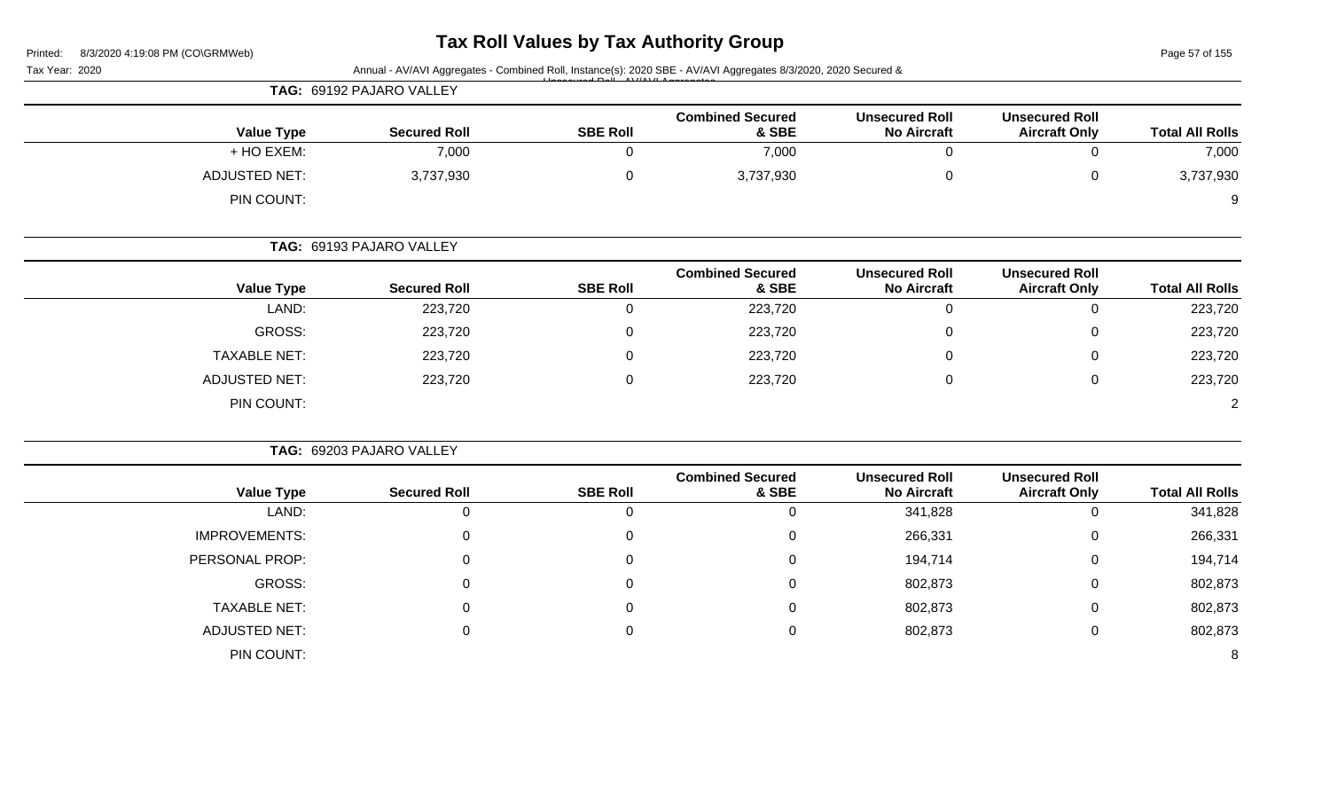# **Tax Roll Values by Tax Authority Group**

Page 57 of 155

|                        |                                               |                                             |                                  |                 | TAG: 69192 PAJARO VALLEY |                      |
|------------------------|-----------------------------------------------|---------------------------------------------|----------------------------------|-----------------|--------------------------|----------------------|
| <b>Total All Rolls</b> | <b>Unsecured Roll</b><br><b>Aircraft Only</b> | <b>Unsecured Roll</b><br><b>No Aircraft</b> | <b>Combined Secured</b><br>& SBE | <b>SBE Roll</b> | <b>Secured Roll</b>      | <b>Value Type</b>    |
| 7,000                  | $\mathbf 0$                                   | $\mathbf 0$                                 | 7,000                            | 0               | 7,000                    | + HO EXEM:           |
| 3,737,930              | $\mathbf 0$                                   | $\pmb{0}$                                   | 3,737,930                        | 0               | 3,737,930                | <b>ADJUSTED NET:</b> |
| 9                      |                                               |                                             |                                  |                 |                          | PIN COUNT:           |
|                        |                                               |                                             |                                  |                 | TAG: 69193 PAJARO VALLEY |                      |
| <b>Total All Rolls</b> | <b>Unsecured Roll</b><br><b>Aircraft Only</b> | <b>Unsecured Roll</b><br><b>No Aircraft</b> | <b>Combined Secured</b><br>& SBE | <b>SBE Roll</b> | <b>Secured Roll</b>      | <b>Value Type</b>    |
| 223,720                | $\mathbf 0$                                   | $\mathbf 0$                                 | 223,720                          | $\mathbf 0$     | 223,720                  | LAND:                |
| 223,720                | 0                                             | 0                                           | 223,720                          | 0               | 223,720                  | <b>GROSS:</b>        |
| 223,720                | $\Omega$                                      | 0                                           | 223,720                          | $\Omega$        | 223,720                  | <b>TAXABLE NET:</b>  |
| 223,720                | $\mathbf 0$                                   | $\mathbf 0$                                 | 223,720                          | $\Omega$        | 223,720                  | <b>ADJUSTED NET:</b> |
| $\overline{2}$         |                                               |                                             |                                  |                 |                          | PIN COUNT:           |
|                        |                                               |                                             |                                  |                 | TAG: 69203 PAJARO VALLEY |                      |
| <b>Total All Rolls</b> | <b>Unsecured Roll</b><br><b>Aircraft Only</b> | <b>Unsecured Roll</b><br><b>No Aircraft</b> | <b>Combined Secured</b><br>& SBE | <b>SBE Roll</b> | <b>Secured Roll</b>      | <b>Value Type</b>    |
| 341,828                | $\mathbf 0$                                   | 341,828                                     | $\overline{0}$                   | $\overline{0}$  | $\mathbf 0$              | LAND:                |
| 266,331                | $\mathbf 0$                                   | 266,331                                     | 0                                | 0               | 0                        | <b>IMPROVEMENTS:</b> |
| 194,714                | $\Omega$                                      | 194,714                                     | 0                                |                 | $\Omega$                 | PERSONAL PROP:       |
| 802,873                | 0                                             | 802,873                                     | 0                                | 0               | $\Omega$                 | GROSS:               |
| 802,873                | 0                                             | 802,873                                     | 0                                | $\Omega$        | 0                        | <b>TAXABLE NET:</b>  |
| 802,873                | $\pmb{0}$                                     | 802,873                                     | 0                                | 0               | 0                        | <b>ADJUSTED NET:</b> |
| 8                      |                                               |                                             |                                  |                 |                          | PIN COUNT:           |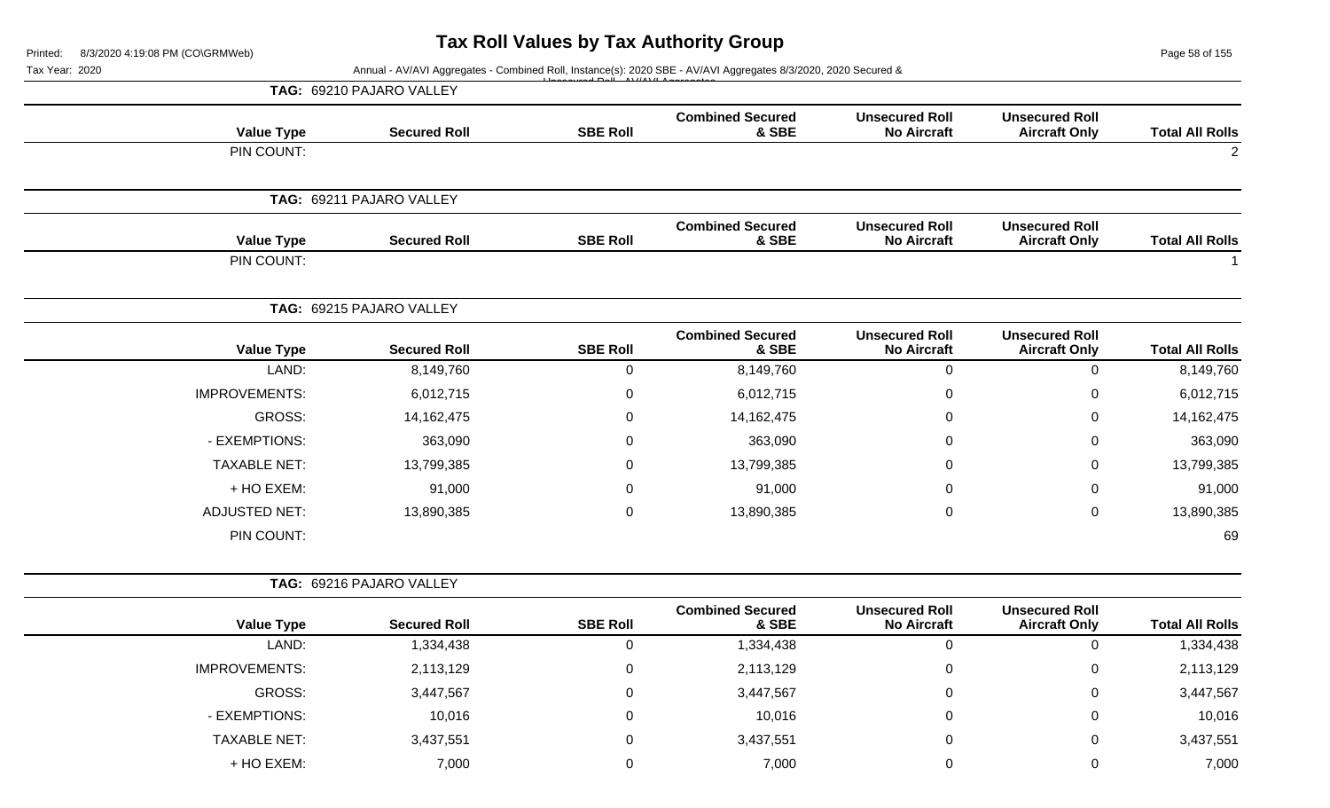Page 58 of 155

| Tax Year: 2020 | Annual - AV/AVI Aggregates - Combined Roll, Instance(s): 2020 SBE - AV/AVI Aggregates 8/3/2020, 2020 Secured & |                          |                 |                                                                                                                                                                                                                                                                                                                                                                                                                                                                                                                                                                                      |                                             |                                               |                        |  |
|----------------|----------------------------------------------------------------------------------------------------------------|--------------------------|-----------------|--------------------------------------------------------------------------------------------------------------------------------------------------------------------------------------------------------------------------------------------------------------------------------------------------------------------------------------------------------------------------------------------------------------------------------------------------------------------------------------------------------------------------------------------------------------------------------------|---------------------------------------------|-----------------------------------------------|------------------------|--|
|                | TAG: 69210 PAJARO VALLEY                                                                                       |                          |                 |                                                                                                                                                                                                                                                                                                                                                                                                                                                                                                                                                                                      |                                             |                                               |                        |  |
|                | <b>Value Type</b>                                                                                              | <b>Secured Roll</b>      | <b>SBE Roll</b> | <b>Combined Secured</b><br>& SBE                                                                                                                                                                                                                                                                                                                                                                                                                                                                                                                                                     | <b>Unsecured Roll</b><br><b>No Aircraft</b> | <b>Unsecured Roll</b><br><b>Aircraft Only</b> | <b>Total All Rolls</b> |  |
|                | PIN COUNT:                                                                                                     |                          |                 | <b>Combined Secured</b><br><b>Unsecured Roll</b><br>& SBE<br><b>No Aircraft</b><br><b>Combined Secured</b><br><b>Unsecured Roll</b><br>& SBE<br><b>No Aircraft</b><br>$\boldsymbol{0}$<br>8,149,760<br>6,012,715<br>0<br>14, 162, 475<br>$\Omega$<br>363,090<br>0<br>13,799,385<br>0<br>91,000<br>$\Omega$<br>$\pmb{0}$<br>13,890,385<br><b>Combined Secured</b><br><b>Unsecured Roll</b><br>& SBE<br><b>No Aircraft</b><br>1,334,438<br>$\boldsymbol{0}$<br>2,113,129<br>$\pmb{0}$<br>3,447,567<br>$\pmb{0}$<br>10,016<br>$\pmb{0}$<br>3,437,551<br>$\pmb{0}$<br>7,000<br>$\pmb{0}$ |                                             | $\overline{2}$                                |                        |  |
|                |                                                                                                                | TAG: 69211 PAJARO VALLEY |                 |                                                                                                                                                                                                                                                                                                                                                                                                                                                                                                                                                                                      |                                             |                                               |                        |  |
|                | <b>Value Type</b>                                                                                              | <b>Secured Roll</b>      | <b>SBE Roll</b> |                                                                                                                                                                                                                                                                                                                                                                                                                                                                                                                                                                                      |                                             | <b>Unsecured Roll</b><br><b>Aircraft Only</b> | <b>Total All Rolls</b> |  |
|                | PIN COUNT:                                                                                                     |                          |                 |                                                                                                                                                                                                                                                                                                                                                                                                                                                                                                                                                                                      |                                             |                                               |                        |  |
|                |                                                                                                                | TAG: 69215 PAJARO VALLEY |                 |                                                                                                                                                                                                                                                                                                                                                                                                                                                                                                                                                                                      |                                             |                                               |                        |  |
|                | <b>Value Type</b>                                                                                              | <b>Secured Roll</b>      | <b>SBE Roll</b> |                                                                                                                                                                                                                                                                                                                                                                                                                                                                                                                                                                                      |                                             | <b>Unsecured Roll</b><br><b>Aircraft Only</b> | <b>Total All Rolls</b> |  |
|                | LAND:                                                                                                          | 8,149,760                | 0               |                                                                                                                                                                                                                                                                                                                                                                                                                                                                                                                                                                                      |                                             | $\mathbf 0$                                   | 8,149,760              |  |
|                | <b>IMPROVEMENTS:</b>                                                                                           | 6,012,715                | $\Omega$        |                                                                                                                                                                                                                                                                                                                                                                                                                                                                                                                                                                                      |                                             | 0                                             | 6,012,715              |  |
|                | <b>GROSS:</b>                                                                                                  | 14, 162, 475             | $\Omega$        |                                                                                                                                                                                                                                                                                                                                                                                                                                                                                                                                                                                      |                                             | 0                                             | 14,162,475             |  |
|                | - EXEMPTIONS:                                                                                                  | 363,090                  | 0               |                                                                                                                                                                                                                                                                                                                                                                                                                                                                                                                                                                                      |                                             | 0                                             | 363,090                |  |
|                | <b>TAXABLE NET:</b>                                                                                            | 13,799,385               | $\Omega$        |                                                                                                                                                                                                                                                                                                                                                                                                                                                                                                                                                                                      |                                             | 0                                             | 13,799,385             |  |
|                | + HO EXEM:                                                                                                     | 91,000                   | $\Omega$        |                                                                                                                                                                                                                                                                                                                                                                                                                                                                                                                                                                                      |                                             | 0                                             | 91,000                 |  |
|                | <b>ADJUSTED NET:</b>                                                                                           | 13,890,385               | 0               |                                                                                                                                                                                                                                                                                                                                                                                                                                                                                                                                                                                      |                                             | 0                                             | 13,890,385             |  |
|                | PIN COUNT:                                                                                                     |                          |                 |                                                                                                                                                                                                                                                                                                                                                                                                                                                                                                                                                                                      |                                             |                                               | 69                     |  |
|                |                                                                                                                | TAG: 69216 PAJARO VALLEY |                 |                                                                                                                                                                                                                                                                                                                                                                                                                                                                                                                                                                                      |                                             |                                               |                        |  |
|                | <b>Value Type</b>                                                                                              | <b>Secured Roll</b>      | <b>SBE Roll</b> |                                                                                                                                                                                                                                                                                                                                                                                                                                                                                                                                                                                      |                                             | <b>Unsecured Roll</b><br><b>Aircraft Only</b> | <b>Total All Rolls</b> |  |
|                | LAND:                                                                                                          | 1,334,438                | $\mathsf 0$     |                                                                                                                                                                                                                                                                                                                                                                                                                                                                                                                                                                                      |                                             | 0                                             | 1,334,438              |  |
|                | <b>IMPROVEMENTS:</b>                                                                                           | 2,113,129                | $\pmb{0}$       |                                                                                                                                                                                                                                                                                                                                                                                                                                                                                                                                                                                      |                                             | $\mathbf 0$                                   | 2,113,129              |  |
|                | GROSS:                                                                                                         | 3,447,567                | $\mathbf 0$     |                                                                                                                                                                                                                                                                                                                                                                                                                                                                                                                                                                                      |                                             | 0                                             | 3,447,567              |  |
|                | - EXEMPTIONS:                                                                                                  | 10,016                   | 0               |                                                                                                                                                                                                                                                                                                                                                                                                                                                                                                                                                                                      |                                             | 0                                             | 10,016                 |  |
|                | <b>TAXABLE NET:</b>                                                                                            | 3,437,551                | 0               |                                                                                                                                                                                                                                                                                                                                                                                                                                                                                                                                                                                      |                                             | $\mathbf 0$                                   | 3,437,551              |  |
|                | + HO EXEM:                                                                                                     | 7,000                    | 0               |                                                                                                                                                                                                                                                                                                                                                                                                                                                                                                                                                                                      |                                             | 0                                             | 7,000                  |  |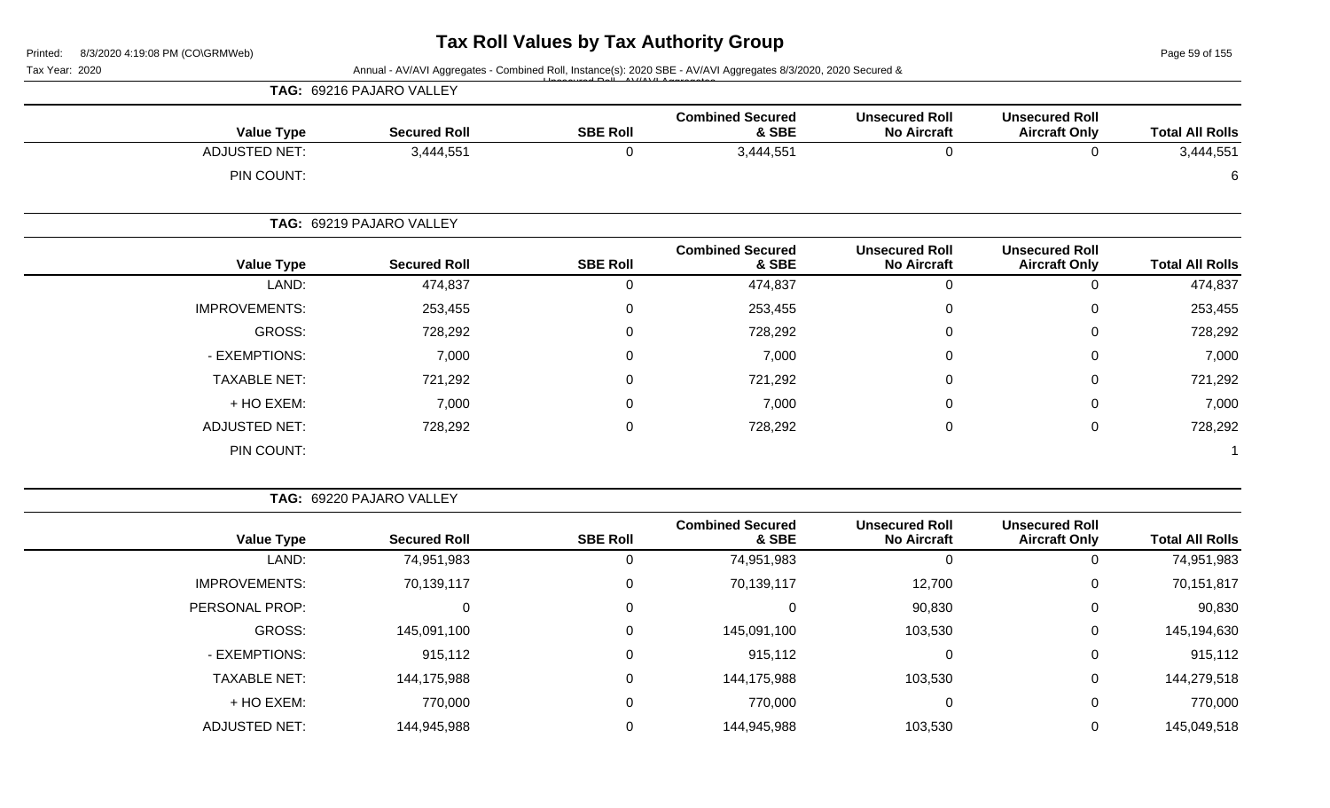Page 59 of 155

| Tax Year: 2020 |                      | Annual - AV/AVI Aggregates - Combined Roll, Instance(s): 2020 SBE - AV/AVI Aggregates 8/3/2020, 2020 Secured & |                 |                                  |                                             |                                               |                        |  |
|----------------|----------------------|----------------------------------------------------------------------------------------------------------------|-----------------|----------------------------------|---------------------------------------------|-----------------------------------------------|------------------------|--|
|                |                      | TAG: 69216 PAJARO VALLEY                                                                                       |                 |                                  |                                             |                                               |                        |  |
|                | <b>Value Type</b>    | <b>Secured Roll</b>                                                                                            | <b>SBE Roll</b> | <b>Combined Secured</b><br>& SBE | <b>Unsecured Roll</b><br><b>No Aircraft</b> | <b>Unsecured Roll</b><br><b>Aircraft Only</b> | <b>Total All Rolls</b> |  |
|                | <b>ADJUSTED NET:</b> | 3,444,551                                                                                                      | 0               | 3,444,551                        | 0                                           | 0                                             | 3,444,551              |  |
|                | PIN COUNT:           |                                                                                                                |                 |                                  |                                             |                                               | 6                      |  |
|                |                      | TAG: 69219 PAJARO VALLEY                                                                                       |                 |                                  |                                             |                                               |                        |  |
|                | <b>Value Type</b>    | <b>Secured Roll</b>                                                                                            | <b>SBE Roll</b> | <b>Combined Secured</b><br>& SBE | <b>Unsecured Roll</b><br><b>No Aircraft</b> | <b>Unsecured Roll</b><br><b>Aircraft Only</b> | <b>Total All Rolls</b> |  |
|                | LAND:                | 474,837                                                                                                        | 0               | 474,837                          | 0                                           | 0                                             | 474,837                |  |
|                | <b>IMPROVEMENTS:</b> | 253,455                                                                                                        | 0               | 253,455                          | 0                                           | $\mathbf 0$                                   | 253,455                |  |
|                | GROSS:               | 728,292                                                                                                        | 0               | 728,292                          | $\boldsymbol{0}$                            | 0                                             | 728,292                |  |
|                | - EXEMPTIONS:        | 7,000                                                                                                          | 0               | 7,000                            | $\mathbf 0$                                 | 0                                             | 7,000                  |  |
|                | <b>TAXABLE NET:</b>  | 721,292                                                                                                        | 0               | 721,292                          | 0                                           | $\mathbf 0$                                   | 721,292                |  |
|                | + HO EXEM:           | 7,000                                                                                                          | $\Omega$        | 7,000                            | 0                                           | 0                                             | 7,000                  |  |
|                | ADJUSTED NET:        | 728,292                                                                                                        | $\mathbf 0$     | 728,292                          | $\pmb{0}$                                   | $\mathsf 0$                                   | 728,292                |  |
|                | PIN COUNT:           |                                                                                                                |                 |                                  |                                             |                                               |                        |  |

|  |  |  | TAG: 69220 PAJARO VALLEY |  |  |
|--|--|--|--------------------------|--|--|
|--|--|--|--------------------------|--|--|

|                      |                     |                 | <b>Combined Secured</b> | <b>Unsecured Roll</b> | <b>Unsecured Roll</b> |                        |
|----------------------|---------------------|-----------------|-------------------------|-----------------------|-----------------------|------------------------|
| <b>Value Type</b>    | <b>Secured Roll</b> | <b>SBE Roll</b> | & SBE                   | <b>No Aircraft</b>    | <b>Aircraft Only</b>  | <b>Total All Rolls</b> |
| LAND:                | 74,951,983          | U               | 74,951,983              | 0                     |                       | 74,951,983             |
| <b>IMPROVEMENTS:</b> | 70,139,117          | 0               | 70,139,117              | 12,700                | 0                     | 70,151,817             |
| PERSONAL PROP:       |                     | $\mathbf 0$     |                         | 90,830                |                       | 90,830                 |
| GROSS:               | 145,091,100         | $\Omega$        | 145,091,100             | 103,530               | 0                     | 145,194,630            |
| - EXEMPTIONS:        | 915,112             | $\Omega$        | 915,112                 | 0                     | $\Omega$              | 915,112                |
| <b>TAXABLE NET:</b>  | 144,175,988         | 0               | 144,175,988             | 103,530               |                       | 144,279,518            |
| + HO EXEM:           | 770,000             | 0               | 770,000                 | 0                     | $\Omega$              | 770,000                |
| ADJUSTED NET:        | 144,945,988         |                 | 144,945,988             | 103,530               |                       | 145,049,518            |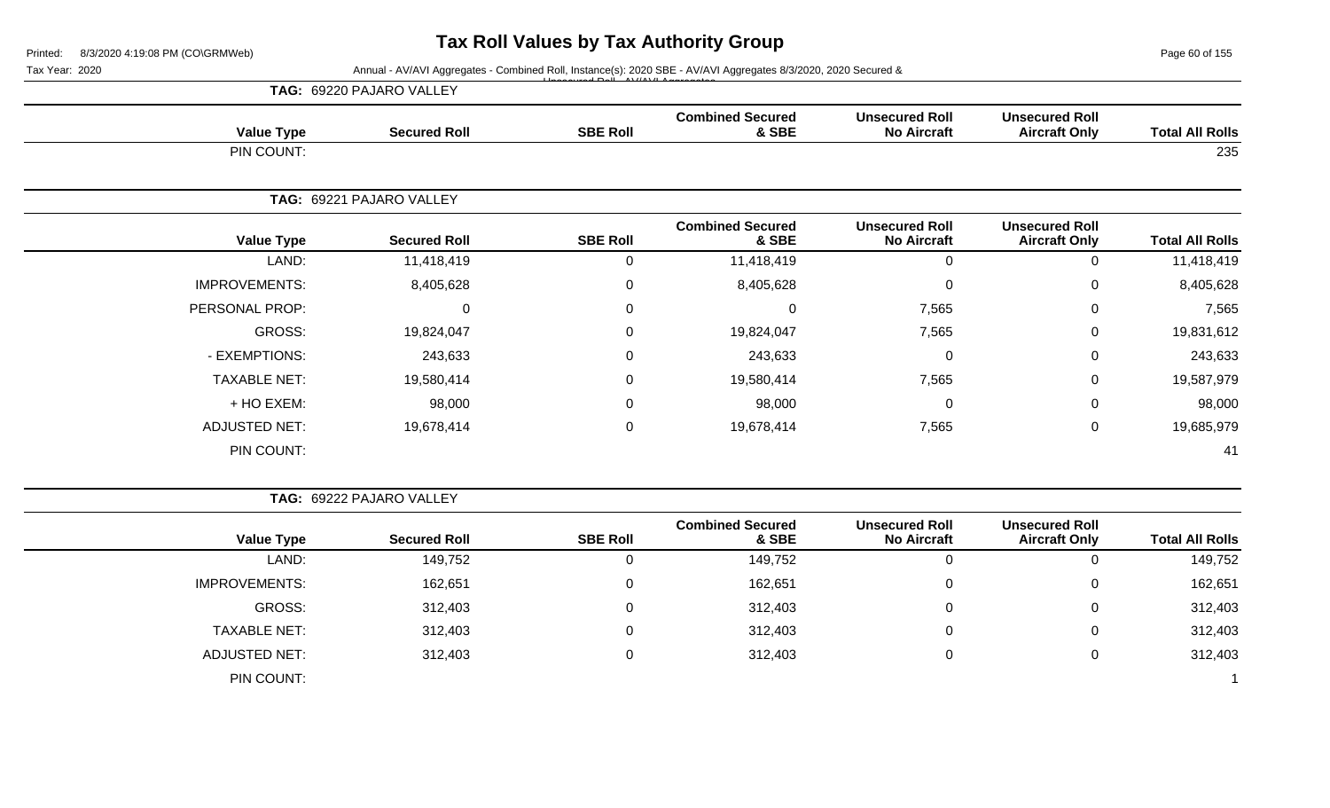Page 60 of 155

Tax Year: 2020 **Annual - AV/AVI Aggregates - Combined Roll**, Instance(s): 2020 SBE - AV/AVI Aggregates 8/3/2020, 2020 Secured &

|                      | TAG: 69220 PAJARO VALLEY |                  |                                  |                                             |                                               |                        |
|----------------------|--------------------------|------------------|----------------------------------|---------------------------------------------|-----------------------------------------------|------------------------|
| <b>Value Type</b>    | <b>Secured Roll</b>      | <b>SBE Roll</b>  | <b>Combined Secured</b><br>& SBE | <b>Unsecured Roll</b><br><b>No Aircraft</b> | <b>Unsecured Roll</b><br><b>Aircraft Only</b> | <b>Total All Rolls</b> |
| PIN COUNT:           |                          |                  |                                  |                                             |                                               | 235                    |
|                      | TAG: 69221 PAJARO VALLEY |                  |                                  |                                             |                                               |                        |
| <b>Value Type</b>    | <b>Secured Roll</b>      | <b>SBE Roll</b>  | <b>Combined Secured</b><br>& SBE | <b>Unsecured Roll</b><br><b>No Aircraft</b> | <b>Unsecured Roll</b><br><b>Aircraft Only</b> | <b>Total All Rolls</b> |
| LAND:                | 11,418,419               | 0                | 11,418,419                       | $\pmb{0}$                                   | 0                                             | 11,418,419             |
| <b>IMPROVEMENTS:</b> | 8,405,628                | 0                | 8,405,628                        | $\mathbf 0$                                 | 0                                             | 8,405,628              |
| PERSONAL PROP:       | 0                        | $\Omega$         | 0                                | 7,565                                       | $\Omega$                                      | 7,565                  |
| GROSS:               | 19,824,047               | $\Omega$         | 19,824,047                       | 7,565                                       | $\Omega$                                      | 19,831,612             |
| - EXEMPTIONS:        | 243,633                  | 0                | 243,633                          | $\mathbf 0$                                 | 0                                             | 243,633                |
| <b>TAXABLE NET:</b>  | 19,580,414               | $\Omega$         | 19,580,414                       | 7,565                                       | $\Omega$                                      | 19,587,979             |
| + HO EXEM:           | 98,000                   | 0                | 98,000                           | $\mathbf 0$                                 | 0                                             | 98,000                 |
| <b>ADJUSTED NET:</b> | 19,678,414               | $\boldsymbol{0}$ | 19,678,414                       | 7,565                                       | $\mathbf 0$                                   | 19,685,979             |
| PIN COUNT:           |                          |                  |                                  |                                             |                                               | 41                     |

|                      | TAG: 69222 PAJARO VALLEY |                 |                                  |                                             |                                               |                        |
|----------------------|--------------------------|-----------------|----------------------------------|---------------------------------------------|-----------------------------------------------|------------------------|
| <b>Value Type</b>    | <b>Secured Roll</b>      | <b>SBE Roll</b> | <b>Combined Secured</b><br>& SBE | <b>Unsecured Roll</b><br><b>No Aircraft</b> | <b>Unsecured Roll</b><br><b>Aircraft Only</b> | <b>Total All Rolls</b> |
| LAND:                | 149,752                  | 0               | 149,752                          |                                             |                                               | 149,752                |
| <b>IMPROVEMENTS:</b> | 162,651                  | 0               | 162,651                          | $\Omega$                                    | 0                                             | 162,651                |
| GROSS:               | 312,403                  | 0               | 312,403                          | 0                                           | 0                                             | 312,403                |
| <b>TAXABLE NET:</b>  | 312,403                  | 0               | 312,403                          | 0                                           | 0                                             | 312,403                |
| ADJUSTED NET:        | 312,403                  | 0               | 312,403                          |                                             | 0                                             | 312,403                |
| PIN COUNT:           |                          |                 |                                  |                                             |                                               |                        |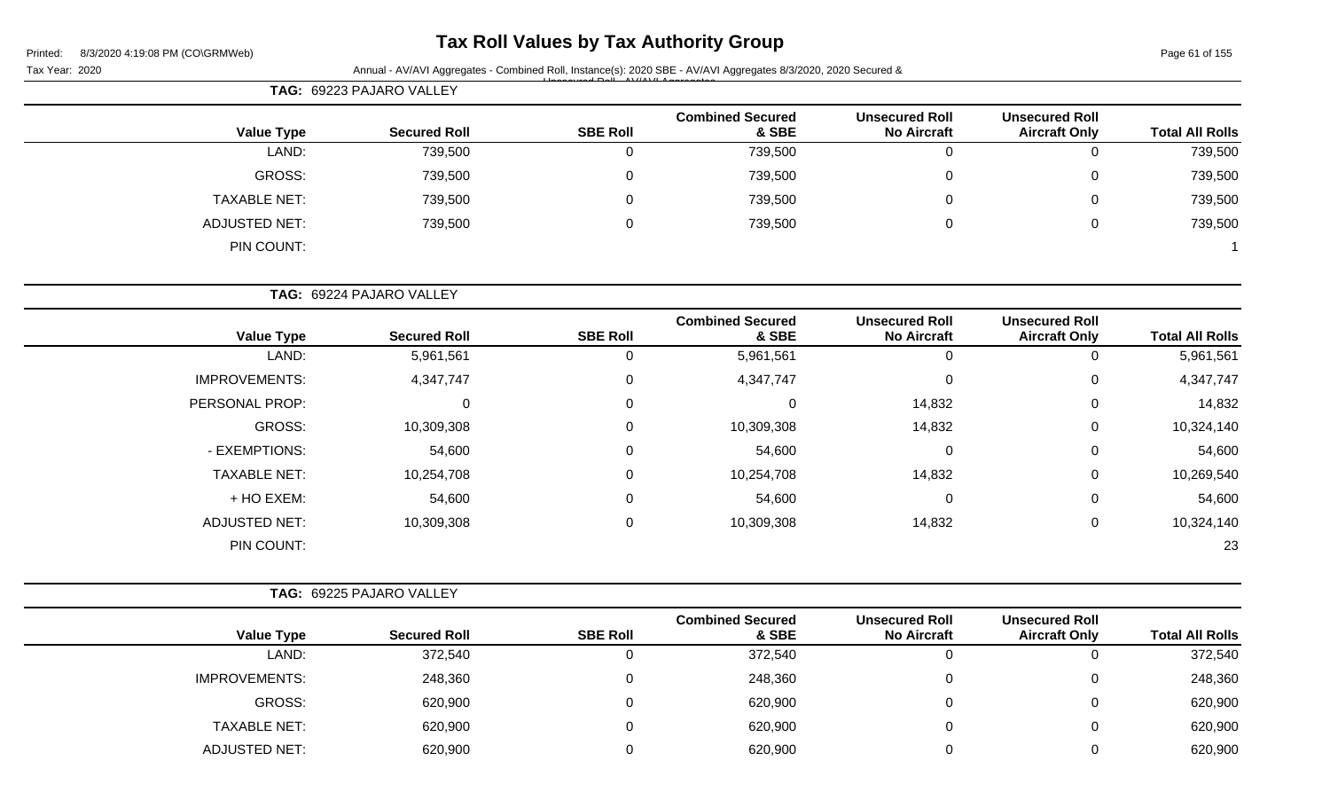# **Tax Roll Values by Tax Authority Group**

Page 61 of 155

|                        |                                               |                                             | Annual - AV/AVI Aggregates - Combined Roll, Instance(s): 2020 SBE - AV/AVI Aggregates 8/3/2020, 2020 Secured & |                 |                          |                      |
|------------------------|-----------------------------------------------|---------------------------------------------|----------------------------------------------------------------------------------------------------------------|-----------------|--------------------------|----------------------|
|                        |                                               |                                             |                                                                                                                |                 | TAG: 69223 PAJARO VALLEY |                      |
| <b>Total All Rolls</b> | <b>Unsecured Roll</b><br><b>Aircraft Only</b> | <b>Unsecured Roll</b><br><b>No Aircraft</b> | <b>Combined Secured</b><br>& SBE                                                                               | <b>SBE Roll</b> | <b>Secured Roll</b>      | <b>Value Type</b>    |
| 739,500                | $\mathbf 0$                                   | $\mathbf 0$                                 | 739,500                                                                                                        | $\mathbf 0$     | 739,500                  | LAND:                |
| 739,500                | 0                                             | 0                                           | 739,500                                                                                                        | 0               | 739,500                  | <b>GROSS:</b>        |
| 739,500                | $\mathbf 0$                                   | 0                                           | 739,500                                                                                                        | 0               | 739,500                  | <b>TAXABLE NET:</b>  |
| 739,500                | $\pmb{0}$                                     | 0                                           | 739,500                                                                                                        | $\mathbf 0$     | 739,500                  | <b>ADJUSTED NET:</b> |
|                        |                                               |                                             |                                                                                                                |                 |                          | PIN COUNT:           |
|                        |                                               |                                             |                                                                                                                |                 | TAG: 69224 PAJARO VALLEY |                      |
| <b>Total All Rolls</b> | <b>Unsecured Roll</b><br><b>Aircraft Only</b> | <b>Unsecured Roll</b><br><b>No Aircraft</b> | <b>Combined Secured</b><br>& SBE                                                                               | <b>SBE Roll</b> | <b>Secured Roll</b>      | <b>Value Type</b>    |
| 5,961,561              | $\mathbf 0$                                   | $\mathbf 0$                                 | 5,961,561                                                                                                      | $\mathbf 0$     | 5,961,561                | LAND:                |
| 4,347,747              | 0                                             | 0                                           | 4,347,747                                                                                                      | 0               | 4,347,747                | <b>IMPROVEMENTS:</b> |
| 14,832                 | $\mathbf 0$                                   | 14,832                                      | 0                                                                                                              | 0               | $\mathbf 0$              | PERSONAL PROP:       |
| 10,324,140             | $\mathbf 0$                                   | 14,832                                      | 10,309,308                                                                                                     | 0               | 10,309,308               | <b>GROSS:</b>        |
| 54,600                 | 0                                             | 0                                           | 54,600                                                                                                         | 0               | 54,600                   | - EXEMPTIONS:        |
| 10,269,540             | 0                                             | 14,832                                      | 10,254,708                                                                                                     | 0               | 10,254,708               | <b>TAXABLE NET:</b>  |
| 54,600                 | $\mathbf 0$                                   | 0                                           | 54,600                                                                                                         | 0               | 54,600                   | + HO EXEM:           |
| 10,324,140             | $\mathbf 0$                                   | 14,832                                      | 10,309,308                                                                                                     | $\mathbf 0$     | 10,309,308               | <b>ADJUSTED NET:</b> |
| 23                     |                                               |                                             |                                                                                                                |                 |                          | PIN COUNT:           |
|                        |                                               |                                             |                                                                                                                |                 | TAG: 69225 PAJARO VALLEY |                      |
| <b>Total All Rolls</b> | <b>Unsecured Roll</b><br><b>Aircraft Only</b> | <b>Unsecured Roll</b><br><b>No Aircraft</b> | <b>Combined Secured</b><br>& SBE                                                                               | <b>SBE Roll</b> | <b>Secured Roll</b>      | <b>Value Type</b>    |
| 372,540                | $\pmb{0}$                                     | $\pmb{0}$                                   | 372,540                                                                                                        | $\pmb{0}$       | 372,540                  | LAND:                |
| 248,360                | $\pmb{0}$                                     | 0                                           | 248,360                                                                                                        | $\pmb{0}$       | 248,360                  | <b>IMPROVEMENTS:</b> |
| 620,900                | $\pmb{0}$                                     | 0                                           | 620,900                                                                                                        | $\pmb{0}$       | 620,900                  | <b>GROSS:</b>        |
| 620,900                | $\pmb{0}$                                     | 0                                           | 620,900                                                                                                        | $\pmb{0}$       | 620,900                  | <b>TAXABLE NET:</b>  |
| 620,900                | $\pmb{0}$                                     | 0                                           | 620,900                                                                                                        | $\pmb{0}$       | 620,900                  | ADJUSTED NET:        |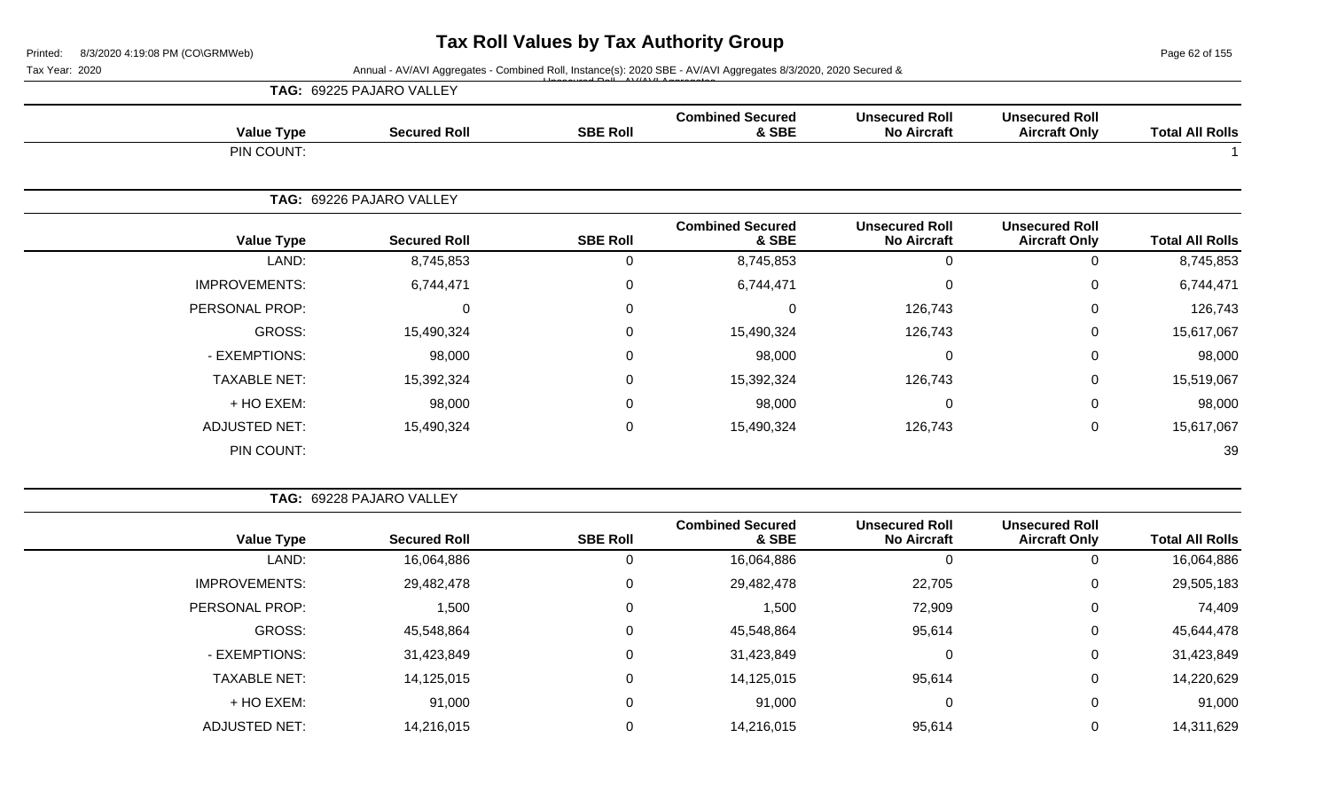Page 62 of 155

Tax Year: 2020 **Annual - AV/AVI Aggregates - Combined Roll, Instance(s): 2020 SBE - AV/AVI Aggregates 8/3/2020, 2020 Secured &** Unsecured Roll - AV/AVI Aggregates

|                      | TAG: 69225 PAJARO VALLEY |                 |                                  |                                             |                                               |                        |
|----------------------|--------------------------|-----------------|----------------------------------|---------------------------------------------|-----------------------------------------------|------------------------|
| <b>Value Type</b>    | <b>Secured Roll</b>      | <b>SBE Roll</b> | <b>Combined Secured</b><br>& SBE | <b>Unsecured Roll</b><br><b>No Aircraft</b> | <b>Unsecured Roll</b><br><b>Aircraft Only</b> | <b>Total All Rolls</b> |
| PIN COUNT:           |                          |                 |                                  |                                             |                                               |                        |
|                      | TAG: 69226 PAJARO VALLEY |                 |                                  |                                             |                                               |                        |
| <b>Value Type</b>    | <b>Secured Roll</b>      | <b>SBE Roll</b> | <b>Combined Secured</b><br>& SBE | <b>Unsecured Roll</b><br><b>No Aircraft</b> | <b>Unsecured Roll</b><br><b>Aircraft Only</b> | <b>Total All Rolls</b> |
| LAND:                | 8,745,853                | 0               | 8,745,853                        | $\mathbf 0$                                 | 0                                             | 8,745,853              |
| <b>IMPROVEMENTS:</b> | 6,744,471                | 0               | 6,744,471                        | $\mathbf 0$                                 | 0                                             | 6,744,471              |
| PERSONAL PROP:       | $\mathbf 0$              | 0               | 0                                | 126,743                                     | 0                                             | 126,743                |
| GROSS:               | 15,490,324               | 0               | 15,490,324                       | 126,743                                     | 0                                             | 15,617,067             |
| - EXEMPTIONS:        | 98,000                   | 0               | 98,000                           | $\Omega$                                    | 0                                             | 98,000                 |
| <b>TAXABLE NET:</b>  | 15,392,324               | $\pmb{0}$       | 15,392,324                       | 126,743                                     | 0                                             | 15,519,067             |
| + HO EXEM:           | 98,000                   | 0               | 98,000                           | $\overline{0}$                              | 0                                             | 98,000                 |
| <b>ADJUSTED NET:</b> | 15,490,324               | $\pmb{0}$       | 15,490,324                       | 126,743                                     | 0                                             | 15,617,067             |
| PIN COUNT:           |                          |                 |                                  |                                             |                                               | 39                     |

|                      | <b>TAG: 69228 PAJARO VALLEY</b> |                 |                                  |                                             |                                               |                        |
|----------------------|---------------------------------|-----------------|----------------------------------|---------------------------------------------|-----------------------------------------------|------------------------|
| <b>Value Type</b>    | <b>Secured Roll</b>             | <b>SBE Roll</b> | <b>Combined Secured</b><br>& SBE | <b>Unsecured Roll</b><br><b>No Aircraft</b> | <b>Unsecured Roll</b><br><b>Aircraft Only</b> | <b>Total All Rolls</b> |
| LAND:                | 16,064,886                      | 0               | 16,064,886                       |                                             | 0                                             | 16,064,886             |
| <b>IMPROVEMENTS:</b> | 29,482,478                      | 0               | 29,482,478                       | 22,705                                      | 0                                             | 29,505,183             |
| PERSONAL PROP:       | 1,500                           | $\mathbf 0$     | 1,500                            | 72,909                                      | $\mathbf{0}$                                  | 74,409                 |
| GROSS:               | 45,548,864                      | 0               | 45,548,864                       | 95,614                                      | 0                                             | 45,644,478             |
| - EXEMPTIONS:        | 31,423,849                      | $\Omega$        | 31,423,849                       | $\Omega$                                    | 0                                             | 31,423,849             |
| <b>TAXABLE NET:</b>  | 14,125,015                      | $\mathbf 0$     | 14,125,015                       | 95,614                                      | $\mathbf 0$                                   | 14,220,629             |
| + HO EXEM:           | 91,000                          | $\mathbf 0$     | 91,000                           | 0                                           | $\mathbf 0$                                   | 91,000                 |
| ADJUSTED NET:        | 14,216,015                      | $\mathbf 0$     | 14,216,015                       | 95,614                                      | 0                                             | 14,311,629             |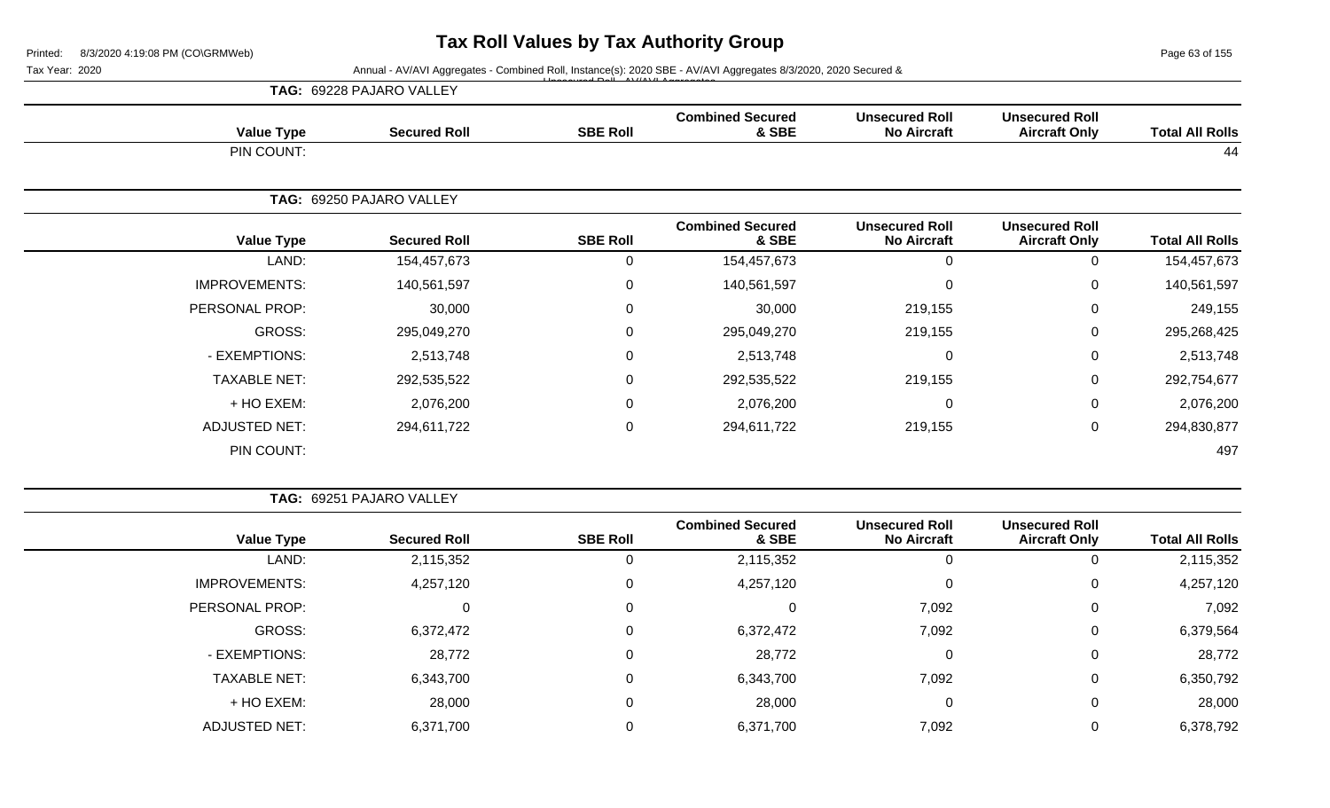Page 63 of 155

Tax Year: 2020 **Annual - AV/AVI Aggregates - Combined Roll, Instance(s): 2020 SBE - AV/AVI Aggregates 8/3/2020, 2020 Secured &** 

|                        |                                               |                                             |                                  | $\begin{array}{ccccccccccccccccc}\n\hline\n\end{array}$ |                          |                      |
|------------------------|-----------------------------------------------|---------------------------------------------|----------------------------------|---------------------------------------------------------|--------------------------|----------------------|
|                        |                                               |                                             |                                  |                                                         | TAG: 69228 PAJARO VALLEY |                      |
| <b>Total All Rolls</b> | <b>Unsecured Roll</b><br><b>Aircraft Only</b> | <b>Unsecured Roll</b><br><b>No Aircraft</b> | <b>Combined Secured</b><br>& SBE | <b>SBE Roll</b>                                         | <b>Secured Roll</b>      | <b>Value Type</b>    |
| 44                     |                                               |                                             |                                  |                                                         |                          | PIN COUNT:           |
|                        |                                               |                                             |                                  |                                                         | TAG: 69250 PAJARO VALLEY |                      |
| <b>Total All Rolls</b> | <b>Unsecured Roll</b><br><b>Aircraft Only</b> | <b>Unsecured Roll</b><br><b>No Aircraft</b> | <b>Combined Secured</b><br>& SBE | <b>SBE Roll</b>                                         | <b>Secured Roll</b>      | <b>Value Type</b>    |
| 154,457,673            | $\mathbf{0}$                                  |                                             | 154,457,673                      | 0                                                       | 154,457,673              | LAND:                |
| 140,561,597            | $\mathbf 0$                                   |                                             | 140,561,597                      | 0                                                       | 140,561,597              | <b>IMPROVEMENTS:</b> |
| 249,155                | 0                                             | 219,155                                     | 30,000                           | 0                                                       | 30,000                   | PERSONAL PROP:       |
| 295,268,425            | 0                                             | 219,155                                     | 295,049,270                      | 0                                                       | 295,049,270              | GROSS:               |
| 2,513,748              | 0                                             |                                             | 2,513,748                        | $\mathbf 0$                                             | 2,513,748                | - EXEMPTIONS:        |
| 292,754,677            | 0                                             | 219,155                                     | 292,535,522                      | 0                                                       | 292,535,522              | <b>TAXABLE NET:</b>  |
| 2,076,200              | $\mathbf 0$                                   |                                             | 2,076,200                        | 0                                                       | 2,076,200                | + HO EXEM:           |
| 294,830,877            | $\mathbf 0$                                   | 219,155                                     | 294,611,722                      | 0                                                       | 294,611,722              | <b>ADJUSTED NET:</b> |
|                        |                                               |                                             |                                  |                                                         |                          |                      |

**TAG:** 69251 PAJARO VALLEY

| <b>Total All Rolls</b> | <b>Unsecured Roll</b><br><b>Aircraft Only</b> | <b>Unsecured Roll</b><br><b>No Aircraft</b> | <b>Combined Secured</b><br>& SBE | <b>SBE Roll</b> | <b>Secured Roll</b> | <b>Value Type</b>    |
|------------------------|-----------------------------------------------|---------------------------------------------|----------------------------------|-----------------|---------------------|----------------------|
| 2,115,352              | υ                                             | Ü                                           | 2,115,352                        | 0               | 2,115,352           | LAND:                |
| 4,257,120              | 0                                             | 0                                           | 4,257,120                        | 0               | 4,257,120           | <b>IMPROVEMENTS:</b> |
| 7,092                  | 0                                             | 7,092                                       | 0                                | 0               | 0                   | PERSONAL PROP:       |
| 6,379,564              | 0                                             | 7,092                                       | 6,372,472                        | $\mathbf 0$     | 6,372,472           | GROSS:               |
| 28,772                 | 0                                             | 0                                           | 28,772                           | $\mathbf 0$     | 28,772              | - EXEMPTIONS:        |
| 6,350,792              | 0                                             | 7,092                                       | 6,343,700                        | $\mathbf 0$     | 6,343,700           | <b>TAXABLE NET:</b>  |
| 28,000                 | 0                                             | 0                                           | 28,000                           | $\mathbf 0$     | 28,000              | + HO EXEM:           |
| 6,378,792              | υ                                             | 7,092                                       | 6,371,700                        | 0               | 6,371,700           | <b>ADJUSTED NET:</b> |

PIN COUNT: 497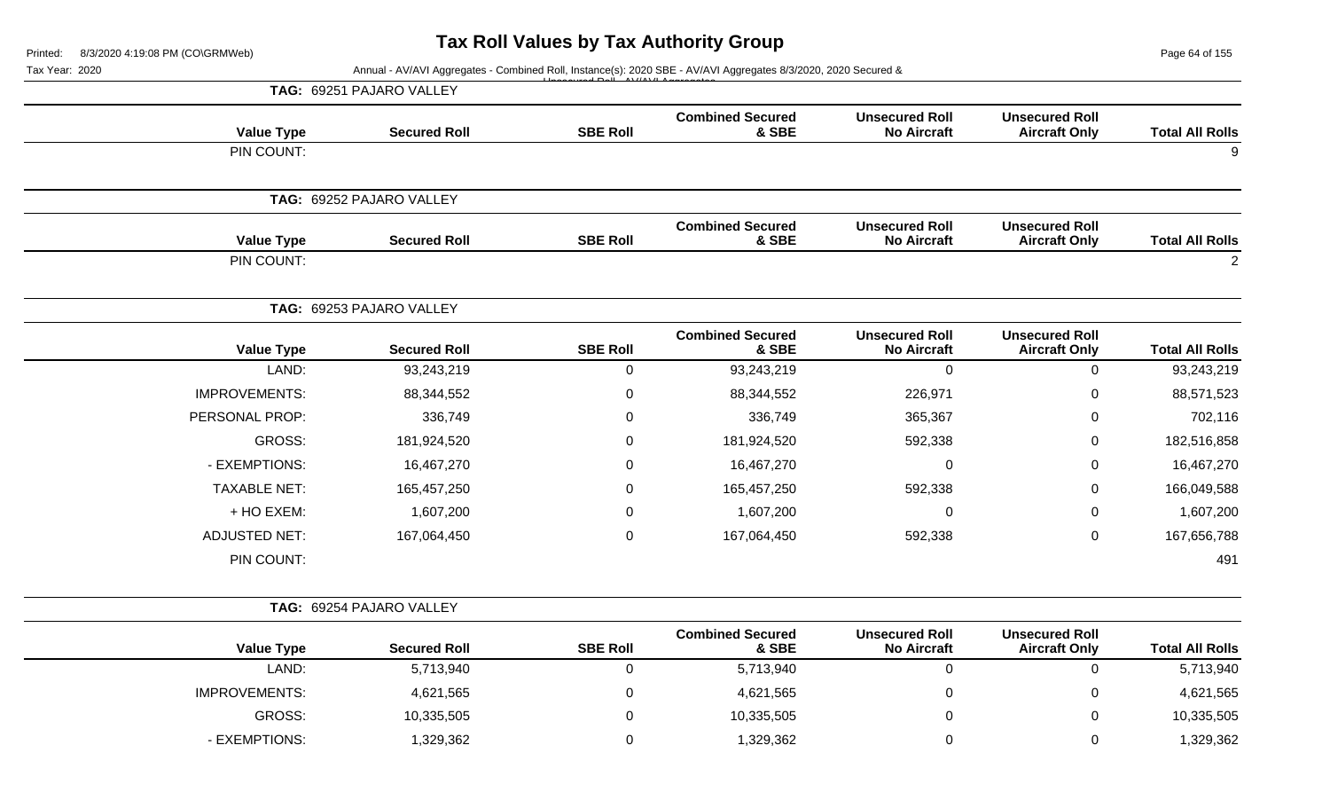Page 64 of 155

| Tax Year: 2020 |                      |                          |                 | Annual - AV/AVI Aggregates - Combined Roll, Instance(s): 2020 SBE - AV/AVI Aggregates 8/3/2020, 2020 Secured & |                                             |                                               |                        |
|----------------|----------------------|--------------------------|-----------------|----------------------------------------------------------------------------------------------------------------|---------------------------------------------|-----------------------------------------------|------------------------|
|                |                      | TAG: 69251 PAJARO VALLEY |                 |                                                                                                                |                                             |                                               |                        |
|                | <b>Value Type</b>    | <b>Secured Roll</b>      | <b>SBE Roll</b> | <b>Combined Secured</b><br>& SBE                                                                               | <b>Unsecured Roll</b><br><b>No Aircraft</b> | <b>Unsecured Roll</b><br><b>Aircraft Only</b> | <b>Total All Rolls</b> |
|                | PIN COUNT:           |                          |                 |                                                                                                                |                                             |                                               |                        |
|                |                      | TAG: 69252 PAJARO VALLEY |                 |                                                                                                                |                                             |                                               |                        |
|                | <b>Value Type</b>    | <b>Secured Roll</b>      | <b>SBE Roll</b> | <b>Combined Secured</b><br>& SBE                                                                               | <b>Unsecured Roll</b><br><b>No Aircraft</b> | <b>Unsecured Roll</b><br><b>Aircraft Only</b> | <b>Total All Rolls</b> |
|                | PIN COUNT:           |                          |                 |                                                                                                                |                                             |                                               | $\overline{2}$         |
|                |                      | TAG: 69253 PAJARO VALLEY |                 |                                                                                                                |                                             |                                               |                        |
|                | <b>Value Type</b>    | <b>Secured Roll</b>      | <b>SBE Roll</b> | <b>Combined Secured</b><br>& SBE                                                                               | <b>Unsecured Roll</b><br><b>No Aircraft</b> | <b>Unsecured Roll</b><br><b>Aircraft Only</b> | <b>Total All Rolls</b> |
|                | LAND:                | 93,243,219               | $\mathbf 0$     | 93,243,219                                                                                                     | $\mathbf 0$                                 | $\mathbf 0$                                   | 93,243,219             |
|                | <b>IMPROVEMENTS:</b> | 88,344,552               | $\pmb{0}$       | 88,344,552                                                                                                     | 226,971                                     | $\mathbf 0$                                   | 88,571,523             |
|                | PERSONAL PROP:       | 336,749                  | 0               | 336,749                                                                                                        | 365,367                                     | $\Omega$                                      | 702,116                |
|                | <b>GROSS:</b>        | 181,924,520              | 0               | 181,924,520                                                                                                    | 592,338                                     | 0                                             | 182,516,858            |
|                | - EXEMPTIONS:        | 16,467,270               | $\mathbf 0$     | 16,467,270                                                                                                     | $\mathbf 0$                                 | 0                                             | 16,467,270             |
|                | <b>TAXABLE NET:</b>  | 165,457,250              | 0               | 165,457,250                                                                                                    | 592,338                                     | 0                                             | 166,049,588            |
|                | + HO EXEM:           | 1,607,200                | $\mathbf 0$     | 1,607,200                                                                                                      | $\mathbf 0$                                 | 0                                             | 1,607,200              |
|                | <b>ADJUSTED NET:</b> | 167,064,450              | $\pmb{0}$       | 167,064,450                                                                                                    | 592,338                                     | $\Omega$                                      | 167,656,788            |
|                | PIN COUNT:           |                          |                 |                                                                                                                |                                             |                                               | 491                    |
|                |                      | TAG: 69254 PAJARO VALLEY |                 |                                                                                                                |                                             |                                               |                        |
|                | <b>Value Type</b>    | <b>Secured Roll</b>      | <b>SBE Roll</b> | <b>Combined Secured</b><br>& SBE                                                                               | <b>Unsecured Roll</b><br><b>No Aircraft</b> | <b>Unsecured Roll</b><br><b>Aircraft Only</b> | <b>Total All Rolls</b> |
|                | LAND:                | 5,713,940                | $\pmb{0}$       | 5,713,940                                                                                                      | $\mathbf 0$                                 | $\mathbf 0$                                   | 5,713,940              |
|                | <b>IMPROVEMENTS:</b> | 4,621,565                | $\Omega$        | 4,621,565                                                                                                      | $\pmb{0}$                                   | $\mathbf{0}$                                  | 4,621,565              |
|                | <b>GROSS:</b>        | 10,335,505               | $\mathbf 0$     | 10,335,505                                                                                                     | $\mathbf 0$                                 | $\Omega$                                      | 10,335,505             |
|                | - EXEMPTIONS:        | 1,329,362                | 0               | 1,329,362                                                                                                      | $\pmb{0}$                                   | 0                                             | 1,329,362              |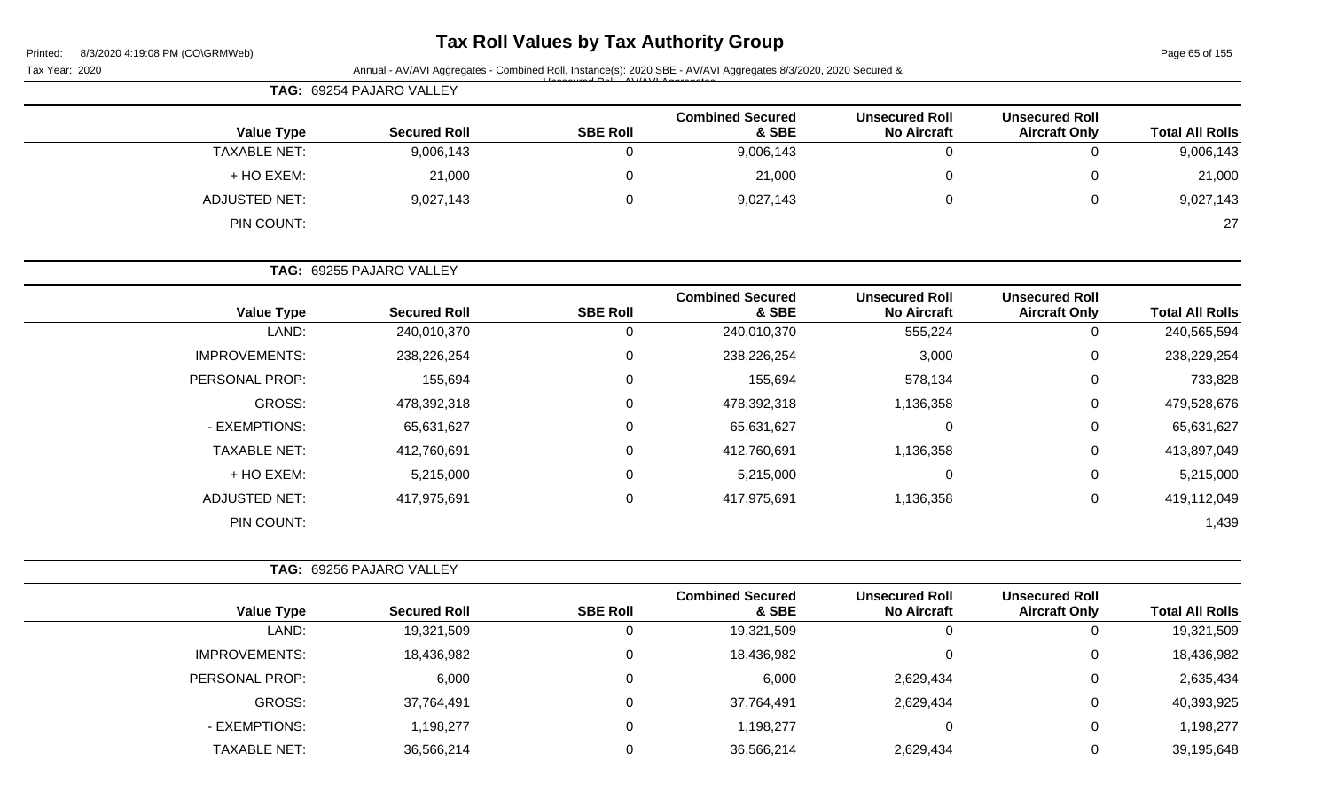| Printed: |  | 8/3/2020 4:19:08 PM (CO\GRMWeb) |
|----------|--|---------------------------------|
|          |  |                                 |

# **Tax Roll Values by Tax Authority Group**

Page 65 of 155

| Tax Year: 2020       |                          |                 | Annual - AV/AVI Aggregates - Combined Roll, Instance(s): 2020 SBE - AV/AVI Aggregates 8/3/2020, 2020 Secured & |                                             |                                               |                        |  |
|----------------------|--------------------------|-----------------|----------------------------------------------------------------------------------------------------------------|---------------------------------------------|-----------------------------------------------|------------------------|--|
|                      | TAG: 69254 PAJARO VALLEY |                 |                                                                                                                |                                             |                                               |                        |  |
| <b>Value Type</b>    | <b>Secured Roll</b>      | <b>SBE Roll</b> | <b>Combined Secured</b><br>& SBE                                                                               | <b>Unsecured Roll</b><br><b>No Aircraft</b> | <b>Unsecured Roll</b><br><b>Aircraft Only</b> | <b>Total All Rolls</b> |  |
| <b>TAXABLE NET:</b>  | 9,006,143                | $\mathbf 0$     | 9,006,143                                                                                                      | $\mathbf 0$                                 | 0                                             | 9,006,143              |  |
| + HO EXEM:           | 21,000                   | 0               | 21,000                                                                                                         | 0                                           | 0                                             | 21,000                 |  |
| <b>ADJUSTED NET:</b> | 9,027,143                | $\mathbf 0$     | 9,027,143                                                                                                      | 0                                           | 0                                             | 9,027,143              |  |
| PIN COUNT:           |                          |                 |                                                                                                                |                                             |                                               | 27                     |  |
|                      | TAG: 69255 PAJARO VALLEY |                 |                                                                                                                |                                             |                                               |                        |  |
| <b>Value Type</b>    | <b>Secured Roll</b>      | <b>SBE Roll</b> | <b>Combined Secured</b><br>& SBE                                                                               | <b>Unsecured Roll</b><br><b>No Aircraft</b> | <b>Unsecured Roll</b><br><b>Aircraft Only</b> | <b>Total All Rolls</b> |  |
| LAND:                | 240,010,370              | $\mathbf 0$     | 240,010,370                                                                                                    | 555,224                                     | $\mathbf 0$                                   | 240,565,594            |  |
| <b>IMPROVEMENTS:</b> | 238,226,254              | $\mathbf 0$     | 238,226,254                                                                                                    | 3,000                                       | 0                                             | 238,229,254            |  |
| PERSONAL PROP:       | 155,694                  | $\mathbf 0$     | 155,694                                                                                                        | 578,134                                     | 0                                             | 733,828                |  |
| GROSS:               | 478,392,318              | $\mathbf 0$     | 478,392,318                                                                                                    | 1,136,358                                   | 0                                             | 479,528,676            |  |
| - EXEMPTIONS:        | 65,631,627               | 0               | 65,631,627                                                                                                     | 0                                           | 0                                             | 65,631,627             |  |
| <b>TAXABLE NET:</b>  | 412,760,691              | $\mathbf 0$     | 412,760,691                                                                                                    | 1,136,358                                   | 0                                             | 413,897,049            |  |
| + HO EXEM:           | 5,215,000                | 0               | 5,215,000                                                                                                      | $\Omega$                                    | 0                                             | 5,215,000              |  |
| <b>ADJUSTED NET:</b> | 417,975,691              | $\mathbf 0$     | 417,975,691                                                                                                    | 1,136,358                                   | 0                                             | 419,112,049            |  |
| PIN COUNT:           |                          |                 |                                                                                                                |                                             |                                               | 1,439                  |  |
|                      | TAG: 69256 PAJARO VALLEY |                 |                                                                                                                |                                             |                                               |                        |  |
| <b>Value Type</b>    | <b>Secured Roll</b>      | <b>SBE Roll</b> | <b>Combined Secured</b><br>& SBE                                                                               | <b>Unsecured Roll</b><br><b>No Aircraft</b> | <b>Unsecured Roll</b><br><b>Aircraft Only</b> | <b>Total All Rolls</b> |  |
| LAND:                | 19,321,509               | $\mathbf 0$     | 19,321,509                                                                                                     | 0                                           | $\mathbf 0$                                   | 19,321,509             |  |
| <b>IMPROVEMENTS:</b> | 18,436,982               | $\mathbf 0$     | 18,436,982                                                                                                     | $\mathbf 0$                                 | $\overline{0}$                                | 18,436,982             |  |
| PERSONAL PROP:       | 6,000                    | 0               | 6,000                                                                                                          | 2,629,434                                   | 0                                             | 2,635,434              |  |
| GROSS:               | 37,764,491               | 0               | 37,764,491                                                                                                     | 2,629,434                                   | 0                                             | 40,393,925             |  |
| - EXEMPTIONS:        | 1,198,277                | 0               | 1,198,277                                                                                                      | $\mathbf 0$                                 | 0                                             | 1,198,277              |  |
| <b>TAXABLE NET:</b>  | 36,566,214               | 0               | 36,566,214                                                                                                     | 2,629,434                                   | 0                                             | 39,195,648             |  |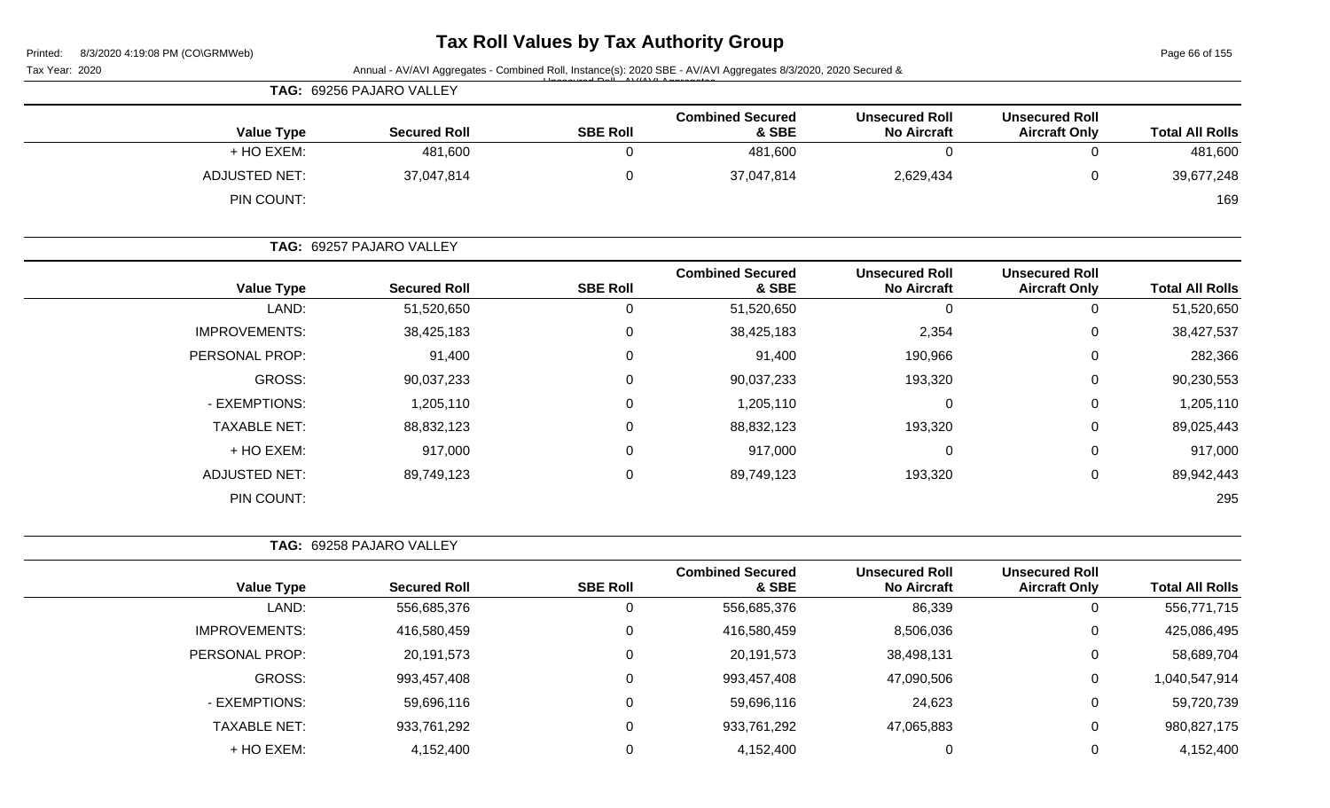# **Tax Roll Values by Tax Authority Group**

Page 66 of 155

|                        |                                               |                                             |                                  |                 | Annual - AV/AVI Aggregates - Combined Roll, Instance(s): 2020 SBE - AV/AVI Aggregates 8/3/2020, 2020 Secured & | Tax Year: 2020       |
|------------------------|-----------------------------------------------|---------------------------------------------|----------------------------------|-----------------|----------------------------------------------------------------------------------------------------------------|----------------------|
|                        |                                               |                                             |                                  |                 | TAG: 69256 PAJARO VALLEY                                                                                       |                      |
| <b>Total All Rolls</b> | <b>Unsecured Roll</b><br><b>Aircraft Only</b> | <b>Unsecured Roll</b><br><b>No Aircraft</b> | <b>Combined Secured</b><br>& SBE | <b>SBE Roll</b> | <b>Secured Roll</b>                                                                                            | <b>Value Type</b>    |
| 481,600                | 0                                             | 0                                           | 481,600                          | $\mathbf 0$     | 481,600                                                                                                        | + HO EXEM:           |
| 39,677,248             | 0                                             | 2,629,434                                   | 37,047,814                       | 0               | 37,047,814                                                                                                     | <b>ADJUSTED NET:</b> |
| 169                    |                                               |                                             |                                  |                 |                                                                                                                | PIN COUNT:           |
|                        |                                               |                                             |                                  |                 | TAG: 69257 PAJARO VALLEY                                                                                       |                      |
| <b>Total All Rolls</b> | <b>Unsecured Roll</b><br><b>Aircraft Only</b> | <b>Unsecured Roll</b><br><b>No Aircraft</b> | <b>Combined Secured</b><br>& SBE | <b>SBE Roll</b> | <b>Secured Roll</b>                                                                                            | <b>Value Type</b>    |
| 51,520,650             | 0                                             | 0                                           | 51,520,650                       | 0               | 51,520,650                                                                                                     | LAND:                |
| 38,427,537             | 0                                             | 2,354                                       | 38,425,183                       | 0               | 38,425,183                                                                                                     | <b>IMPROVEMENTS:</b> |
| 282,366                | 0                                             | 190,966                                     | 91,400                           | 0               | 91,400                                                                                                         | PERSONAL PROP:       |
| 90,230,553             | 0                                             | 193,320                                     | 90,037,233                       | 0               | 90,037,233                                                                                                     | GROSS:               |
| 1,205,110              | 0                                             | 0                                           | 1,205,110                        | 0               | 1,205,110                                                                                                      | - EXEMPTIONS:        |
| 89,025,443             | 0                                             | 193,320                                     | 88,832,123                       | 0               | 88,832,123                                                                                                     | <b>TAXABLE NET:</b>  |
| 917,000                | 0                                             | 0                                           | 917,000                          | 0               | 917,000                                                                                                        | + HO EXEM:           |
| 89,942,443             | 0                                             | 193,320                                     | 89,749,123                       | 0               | 89,749,123                                                                                                     | <b>ADJUSTED NET:</b> |
| 295                    |                                               |                                             |                                  |                 |                                                                                                                | PIN COUNT:           |
|                        |                                               |                                             |                                  |                 | TAG: 69258 PAJARO VALLEY                                                                                       |                      |
| <b>Total All Rolls</b> | <b>Unsecured Roll</b><br><b>Aircraft Only</b> | <b>Unsecured Roll</b><br><b>No Aircraft</b> | <b>Combined Secured</b><br>& SBE | <b>SBE Roll</b> | <b>Secured Roll</b>                                                                                            | <b>Value Type</b>    |
| 556,771,715            | 0                                             | 86,339                                      | 556,685,376                      | 0               | 556,685,376                                                                                                    | LAND:                |
| 425,086,495            | 0                                             | 8,506,036                                   | 416,580,459                      | 0               | 416,580,459                                                                                                    | <b>IMPROVEMENTS:</b> |
| 58,689,704             | 0                                             | 38,498,131                                  | 20, 191, 573                     | $\mathbf 0$     | 20, 191, 573                                                                                                   | PERSONAL PROP:       |
| 1,040,547,914          | 0                                             | 47,090,506                                  | 993,457,408                      | $\pmb{0}$       | 993,457,408                                                                                                    | GROSS:               |
| 59,720,739             | $\pmb{0}$                                     | 24,623                                      | 59,696,116                       | $\pmb{0}$       | 59,696,116                                                                                                     | - EXEMPTIONS:        |
| 980,827,175            | $\pmb{0}$                                     | 47,065,883                                  | 933,761,292                      | 0               | 933,761,292                                                                                                    | <b>TAXABLE NET:</b>  |
| 4,152,400              | 0                                             | $\mathbf 0$                                 | 4,152,400                        | $\mathbf 0$     | 4,152,400                                                                                                      | + HO EXEM:           |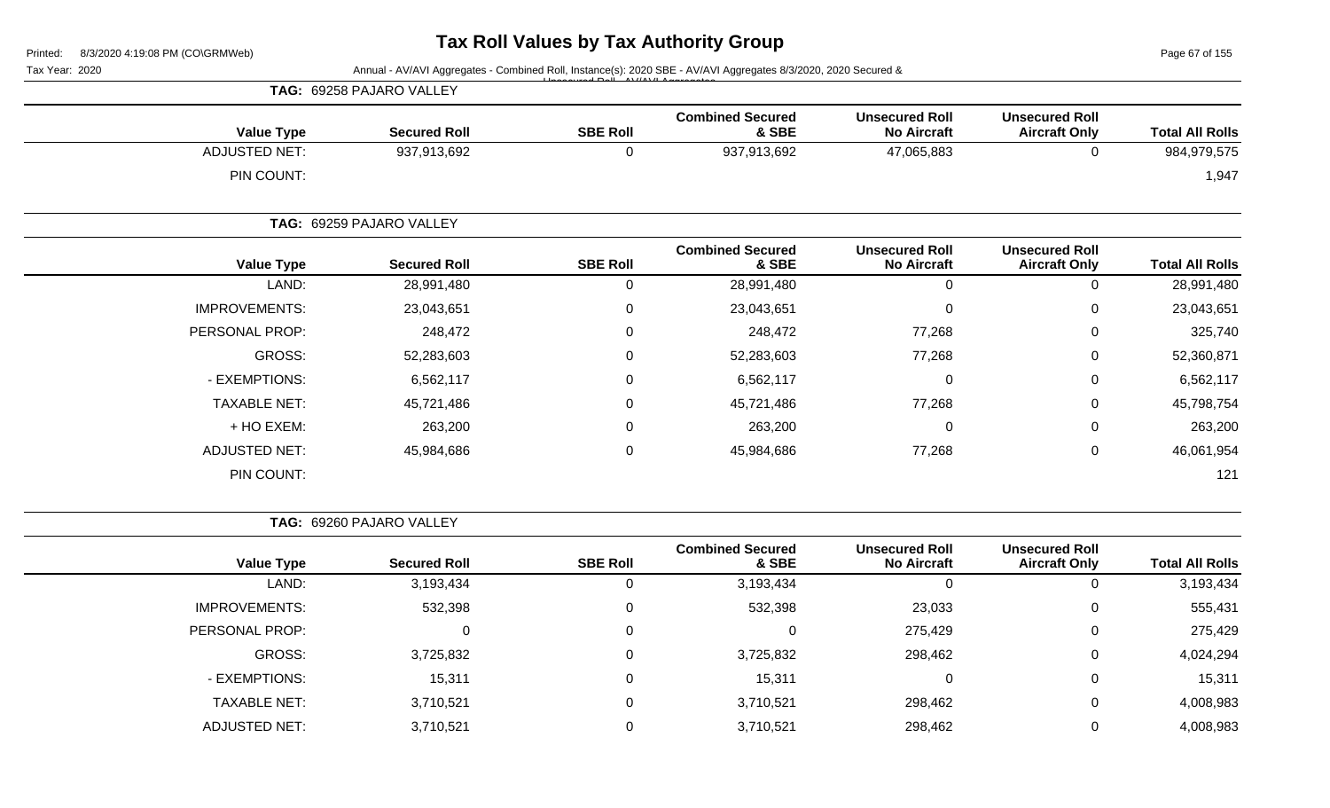Page 67 of 155

| Tax Year: 2020       |                                                                                                                                                                                                                                                                                                                                                                                                        |                 |                                  |                                             |                                               |                        |
|----------------------|--------------------------------------------------------------------------------------------------------------------------------------------------------------------------------------------------------------------------------------------------------------------------------------------------------------------------------------------------------------------------------------------------------|-----------------|----------------------------------|---------------------------------------------|-----------------------------------------------|------------------------|
|                      |                                                                                                                                                                                                                                                                                                                                                                                                        |                 |                                  |                                             |                                               |                        |
| <b>Value Type</b>    | <b>Secured Roll</b>                                                                                                                                                                                                                                                                                                                                                                                    | <b>SBE Roll</b> | <b>Combined Secured</b><br>& SBE | <b>Unsecured Roll</b><br><b>No Aircraft</b> | <b>Unsecured Roll</b><br><b>Aircraft Only</b> | <b>Total All Rolls</b> |
| <b>ADJUSTED NET:</b> | 937,913,692                                                                                                                                                                                                                                                                                                                                                                                            | 0               | 937,913,692                      | 47,065,883                                  | 0                                             | 984,979,575            |
| PIN COUNT:           |                                                                                                                                                                                                                                                                                                                                                                                                        |                 |                                  |                                             |                                               | 1,947                  |
|                      | Annual - AV/AVI Aggregates - Combined Roll, Instance(s): 2020 SBE - AV/AVI Aggregates 8/3/2020, 2020 Secured &<br>TAG: 69258 PAJARO VALLEY<br>TAG: 69259 PAJARO VALLEY<br><b>SBE Roll</b><br><b>Secured Roll</b><br>LAND:<br>28,991,480<br>0<br>23,043,651<br>0<br>248,472<br>0<br>52,283,603<br>0<br>6,562,117<br>0<br>45,721,486<br>0<br>263,200<br>0<br>45,984,686<br>0<br>TAG: 69260 PAJARO VALLEY |                 |                                  |                                             |                                               |                        |
| <b>Value Type</b>    |                                                                                                                                                                                                                                                                                                                                                                                                        |                 | <b>Combined Secured</b><br>& SBE | <b>Unsecured Roll</b><br><b>No Aircraft</b> | <b>Unsecured Roll</b><br><b>Aircraft Only</b> | <b>Total All Rolls</b> |
|                      |                                                                                                                                                                                                                                                                                                                                                                                                        |                 | 28,991,480                       | $\boldsymbol{0}$                            | $\Omega$                                      | 28,991,480             |
| <b>IMPROVEMENTS:</b> |                                                                                                                                                                                                                                                                                                                                                                                                        |                 | 23,043,651                       | $\mathbf 0$                                 | 0                                             | 23,043,651             |
| PERSONAL PROP:       |                                                                                                                                                                                                                                                                                                                                                                                                        |                 | 248,472                          | 77,268                                      | 0                                             | 325,740                |
| GROSS:               |                                                                                                                                                                                                                                                                                                                                                                                                        |                 | 52,283,603                       | 77,268                                      | $\Omega$                                      | 52,360,871             |
| - EXEMPTIONS:        |                                                                                                                                                                                                                                                                                                                                                                                                        |                 | 6,562,117                        | 0                                           | 0                                             | 6,562,117              |
| <b>TAXABLE NET:</b>  |                                                                                                                                                                                                                                                                                                                                                                                                        |                 | 45,721,486                       | 77,268                                      | 0                                             | 45,798,754             |
| + HO EXEM:           |                                                                                                                                                                                                                                                                                                                                                                                                        |                 | 263,200                          | 0                                           | 0                                             | 263,200                |
| <b>ADJUSTED NET:</b> |                                                                                                                                                                                                                                                                                                                                                                                                        |                 | 45,984,686                       | 77,268                                      | $\mathbf 0$                                   | 46,061,954             |
| PIN COUNT:           |                                                                                                                                                                                                                                                                                                                                                                                                        |                 |                                  |                                             |                                               | 121                    |
|                      |                                                                                                                                                                                                                                                                                                                                                                                                        |                 |                                  |                                             |                                               |                        |
|                      |                                                                                                                                                                                                                                                                                                                                                                                                        |                 | Cambinad Cagurad                 | <b>Ilingnouved Dall</b>                     | <b>Ilagonizad Dall</b>                        |                        |

| <b>Value Type</b>    | <b>Secured Roll</b> | <b>SBE Roll</b> | <b>Combined Secured</b><br>& SBE | <b>Unsecured Roll</b><br><b>No Aircraft</b> | <b>Unsecured Roll</b><br><b>Aircraft Only</b> | <b>Total All Rolls</b> |
|----------------------|---------------------|-----------------|----------------------------------|---------------------------------------------|-----------------------------------------------|------------------------|
| LAND:                | 3,193,434           |                 | 3,193,434                        |                                             | 0                                             | 3,193,434              |
| <b>IMPROVEMENTS:</b> | 532,398             |                 | 532,398                          | 23,033                                      | 0                                             | 555,431                |
| PERSONAL PROP:       |                     |                 | 0                                | 275,429                                     | 0                                             | 275,429                |
| GROSS:               | 3,725,832           |                 | 3,725,832                        | 298,462                                     | 0                                             | 4,024,294              |
| - EXEMPTIONS:        | 15,311              |                 | 15,311                           |                                             | 0                                             | 15,311                 |
| <b>TAXABLE NET:</b>  | 3,710,521           |                 | 3,710,521                        | 298,462                                     | 0                                             | 4,008,983              |
| <b>ADJUSTED NET:</b> | 3,710,521           |                 | 3,710,521                        | 298,462                                     | 0                                             | 4,008,983              |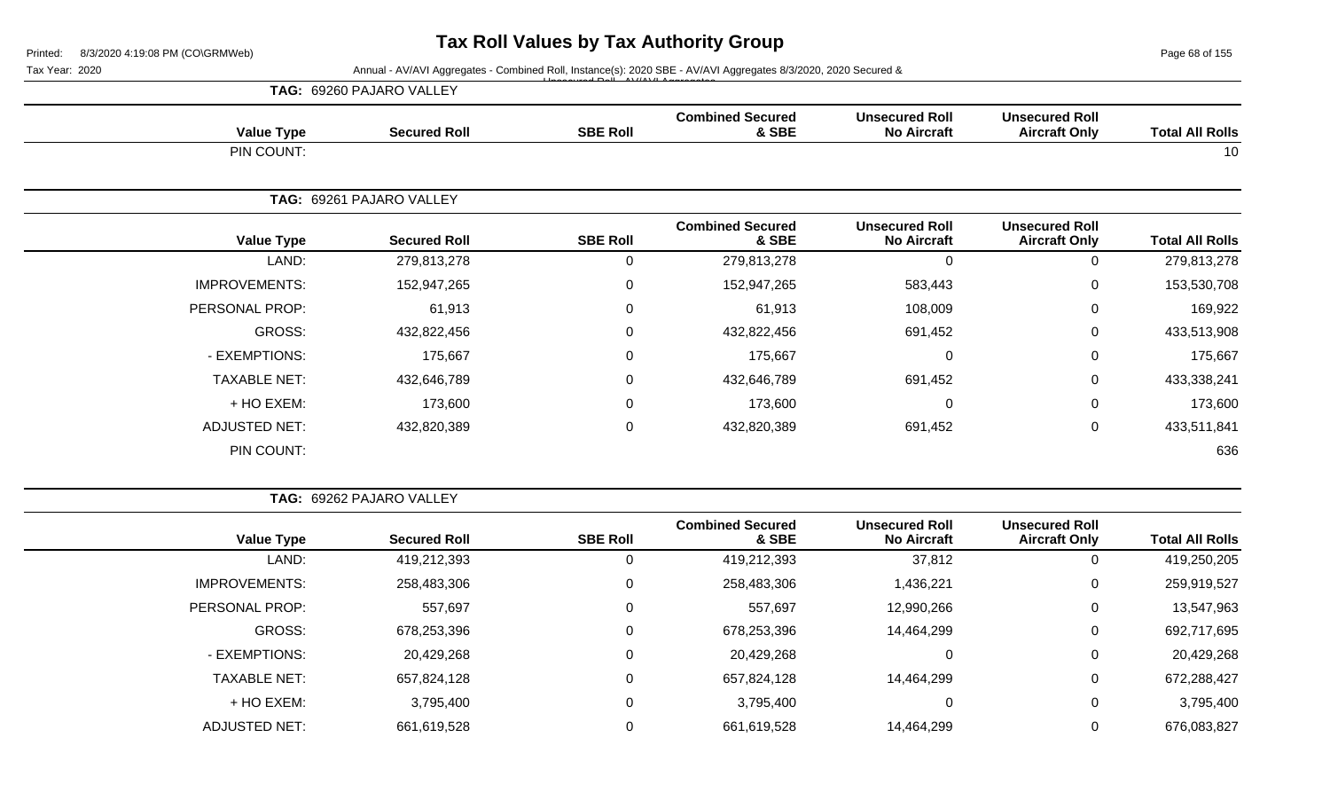Page 68 of 155

Tax Year: 2020 **Annual - AV/AVI Aggregates - Combined Roll**, Instance(s): 2020 SBE - AV/AVI Aggregates 8/3/2020, 2020 Secured &

|                      | TAG: 69260 PAJARO VALLEY | $\overrightarrow{a}$ |                                  |                                             |                                               |                        |
|----------------------|--------------------------|----------------------|----------------------------------|---------------------------------------------|-----------------------------------------------|------------------------|
| <b>Value Type</b>    | <b>Secured Roll</b>      | <b>SBE Roll</b>      | <b>Combined Secured</b><br>& SBE | <b>Unsecured Roll</b><br><b>No Aircraft</b> | <b>Unsecured Roll</b><br><b>Aircraft Only</b> | <b>Total All Rolls</b> |
| PIN COUNT:           |                          |                      |                                  |                                             |                                               | 10                     |
|                      | TAG: 69261 PAJARO VALLEY |                      |                                  |                                             |                                               |                        |
| <b>Value Type</b>    | <b>Secured Roll</b>      | <b>SBE Roll</b>      | <b>Combined Secured</b><br>& SBE | <b>Unsecured Roll</b><br><b>No Aircraft</b> | <b>Unsecured Roll</b><br><b>Aircraft Only</b> | <b>Total All Rolls</b> |
| LAND:                | 279,813,278              | 0                    | 279,813,278                      | $\Omega$                                    | 0                                             | 279,813,278            |
| <b>IMPROVEMENTS:</b> | 152,947,265              | $\mathbf 0$          | 152,947,265                      | 583,443                                     | 0                                             | 153,530,708            |
| PERSONAL PROP:       | 61,913                   | $\Omega$             | 61,913                           | 108,009                                     | 0                                             | 169,922                |
| GROSS:               | 432,822,456              | 0                    | 432,822,456                      | 691,452                                     | 0                                             | 433,513,908            |
| - EXEMPTIONS:        | 175,667                  | 0                    | 175,667                          | 0                                           | 0                                             | 175,667                |
| <b>TAXABLE NET:</b>  | 432,646,789              | $\mathbf 0$          | 432,646,789                      | 691,452                                     | $\mathsf{O}$                                  | 433,338,241            |
| + HO EXEM:           | 173,600                  | $\Omega$             | 173,600                          | $\Omega$                                    | $\mathbf 0$                                   | 173,600                |
| <b>ADJUSTED NET:</b> | 432,820,389              | $\mathbf 0$          | 432,820,389                      | 691,452                                     | 0                                             | 433,511,841            |
| PIN COUNT:           |                          |                      |                                  |                                             |                                               | 636                    |

| <b>TAG: 69262 PAJARO VALLEY</b> |
|---------------------------------|

|                      |                     |                 | <b>Combined Secured</b> | <b>Unsecured Roll</b> | <b>Unsecured Roll</b> |                        |
|----------------------|---------------------|-----------------|-------------------------|-----------------------|-----------------------|------------------------|
| <b>Value Type</b>    | <b>Secured Roll</b> | <b>SBE Roll</b> | & SBE                   | <b>No Aircraft</b>    | <b>Aircraft Only</b>  | <b>Total All Rolls</b> |
| LAND:                | 419,212,393         | 0               | 419,212,393             | 37,812                |                       | 419,250,205            |
| <b>IMPROVEMENTS:</b> | 258,483,306         | 0               | 258,483,306             | 1,436,221             | 0                     | 259,919,527            |
| PERSONAL PROP:       | 557,697             | 0               | 557,697                 | 12,990,266            | 0                     | 13,547,963             |
| GROSS:               | 678,253,396         | 0               | 678,253,396             | 14,464,299            | 0                     | 692,717,695            |
| - EXEMPTIONS:        | 20,429,268          | 0               | 20,429,268              | $\mathbf 0$           | 0                     | 20,429,268             |
| <b>TAXABLE NET:</b>  | 657,824,128         | 0               | 657,824,128             | 14,464,299            | 0                     | 672,288,427            |
| + HO EXEM:           | 3,795,400           | 0               | 3,795,400               | 0                     | 0                     | 3,795,400              |
| <b>ADJUSTED NET:</b> | 661,619,528         | 0               | 661,619,528             | 14,464,299            | 0                     | 676,083,827            |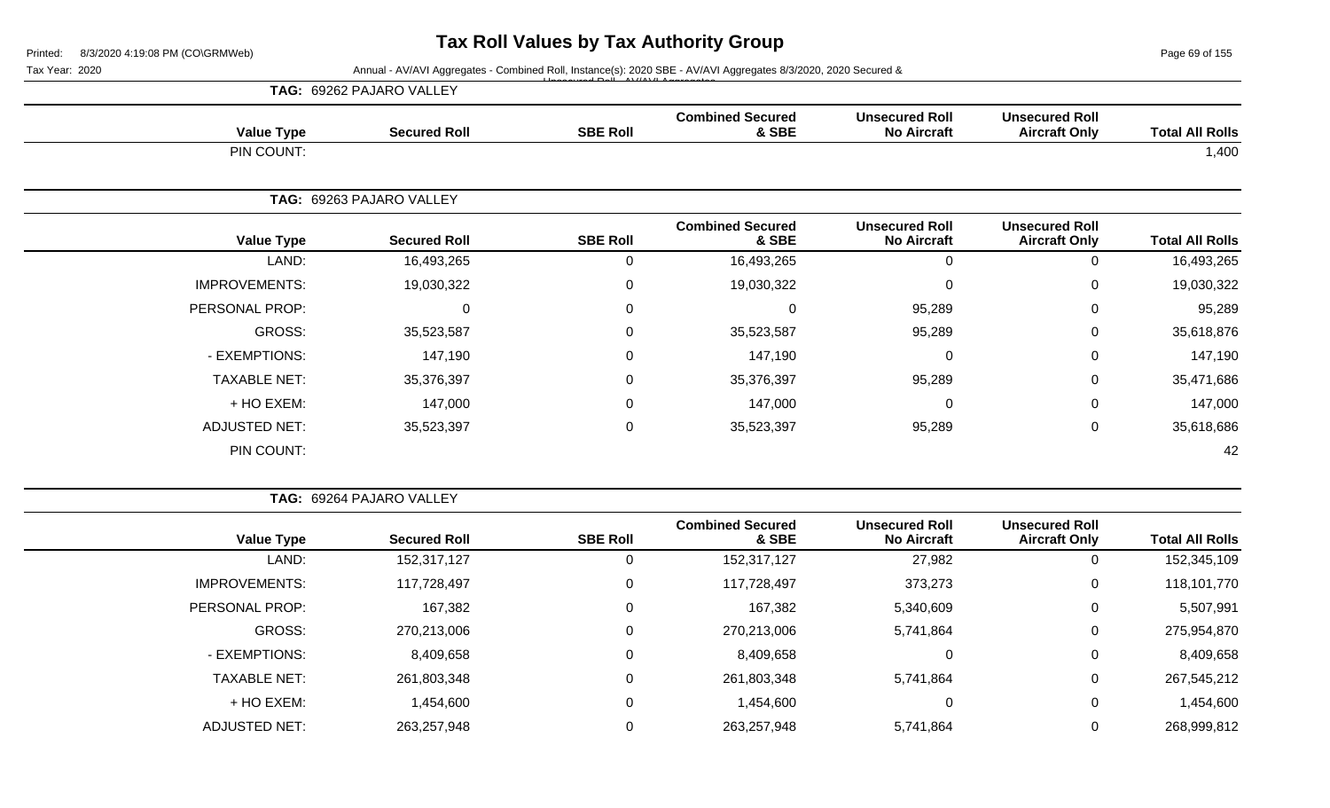Page 69 of 155

Tax Year: 2020 **Annual - AV/AVI Aggregates - Combined Roll**, Instance(s): 2020 SBE - AV/AVI Aggregates 8/3/2020, 2020 Secured &

|                      | TAG: 69262 PAJARO VALLEY |                  |                                  |                                             |                                               |                        |
|----------------------|--------------------------|------------------|----------------------------------|---------------------------------------------|-----------------------------------------------|------------------------|
| <b>Value Type</b>    | <b>Secured Roll</b>      | <b>SBE Roll</b>  | <b>Combined Secured</b><br>& SBE | <b>Unsecured Roll</b><br><b>No Aircraft</b> | <b>Unsecured Roll</b><br><b>Aircraft Only</b> | <b>Total All Rolls</b> |
| PIN COUNT:           |                          |                  |                                  |                                             |                                               | 1,400                  |
|                      | TAG: 69263 PAJARO VALLEY |                  |                                  |                                             |                                               |                        |
| <b>Value Type</b>    | <b>Secured Roll</b>      | <b>SBE Roll</b>  | <b>Combined Secured</b><br>& SBE | <b>Unsecured Roll</b><br><b>No Aircraft</b> | <b>Unsecured Roll</b><br><b>Aircraft Only</b> | <b>Total All Rolls</b> |
| LAND:                | 16,493,265               | 0                | 16,493,265                       | $\mathbf 0$                                 | $\Omega$                                      | 16,493,265             |
| <b>IMPROVEMENTS:</b> | 19,030,322               | $\mathbf 0$      | 19,030,322                       | $\mathbf 0$                                 | 0                                             | 19,030,322             |
| PERSONAL PROP:       | 0                        | $\mathbf 0$      | 0                                | 95,289                                      | $\Omega$                                      | 95,289                 |
| GROSS:               | 35,523,587               | $\mathsf 0$      | 35,523,587                       | 95,289                                      | $\Omega$                                      | 35,618,876             |
| - EXEMPTIONS:        | 147,190                  | $\boldsymbol{0}$ | 147,190                          | 0                                           | $\mathbf 0$                                   | 147,190                |
| <b>TAXABLE NET:</b>  | 35,376,397               | $\mathsf 0$      | 35,376,397                       | 95,289                                      | 0                                             | 35,471,686             |
| + HO EXEM:           | 147,000                  | $\mathbf 0$      | 147,000                          | 0                                           | $\Omega$                                      | 147,000                |
| <b>ADJUSTED NET:</b> | 35,523,397               | $\mathbf 0$      | 35,523,397                       | 95,289                                      | 0                                             | 35,618,686             |
| PIN COUNT:           |                          |                  |                                  |                                             |                                               | 42                     |

| <b>Combined Secured</b><br><b>Unsecured Roll</b><br><b>Unsecured Roll</b><br><b>Total All Rolls</b><br><b>No Aircraft</b><br>& SBE<br><b>Aircraft Only</b><br>152,345,109<br>152,317,127<br>27,982<br>U<br>118,101,770<br>117,728,497<br>373,273<br>0<br>0<br>167,382<br>5,507,991<br>5,340,609<br>0<br>275,954,870<br>270,213,006<br>5,741,864<br>0<br>8,409,658<br>0<br>8,409,658<br>0<br>261,803,348<br>267,545,212<br>5,741,864<br>0<br>1,454,600<br>1,454,600<br>0 | <b>TAG: 69264 PAJARO VALLEY</b> |           |             |                 |                     |                      |
|-------------------------------------------------------------------------------------------------------------------------------------------------------------------------------------------------------------------------------------------------------------------------------------------------------------------------------------------------------------------------------------------------------------------------------------------------------------------------|---------------------------------|-----------|-------------|-----------------|---------------------|----------------------|
|                                                                                                                                                                                                                                                                                                                                                                                                                                                                         |                                 |           |             | <b>SBE Roll</b> | <b>Secured Roll</b> | <b>Value Type</b>    |
|                                                                                                                                                                                                                                                                                                                                                                                                                                                                         |                                 |           |             |                 | 152,317,127         | LAND:                |
|                                                                                                                                                                                                                                                                                                                                                                                                                                                                         |                                 |           |             |                 | 117,728,497         | <b>IMPROVEMENTS:</b> |
|                                                                                                                                                                                                                                                                                                                                                                                                                                                                         |                                 |           |             |                 | 167,382             | PERSONAL PROP:       |
|                                                                                                                                                                                                                                                                                                                                                                                                                                                                         |                                 |           |             |                 | 270,213,006         | <b>GROSS:</b>        |
|                                                                                                                                                                                                                                                                                                                                                                                                                                                                         |                                 |           |             |                 | 8,409,658           | - EXEMPTIONS:        |
|                                                                                                                                                                                                                                                                                                                                                                                                                                                                         |                                 |           |             |                 | 261,803,348         | <b>TAXABLE NET:</b>  |
|                                                                                                                                                                                                                                                                                                                                                                                                                                                                         |                                 |           |             |                 | 1,454,600           | + HO EXEM:           |
| 268,999,812                                                                                                                                                                                                                                                                                                                                                                                                                                                             | 0                               | 5,741,864 | 263,257,948 |                 | 263,257,948         | <b>ADJUSTED NET:</b> |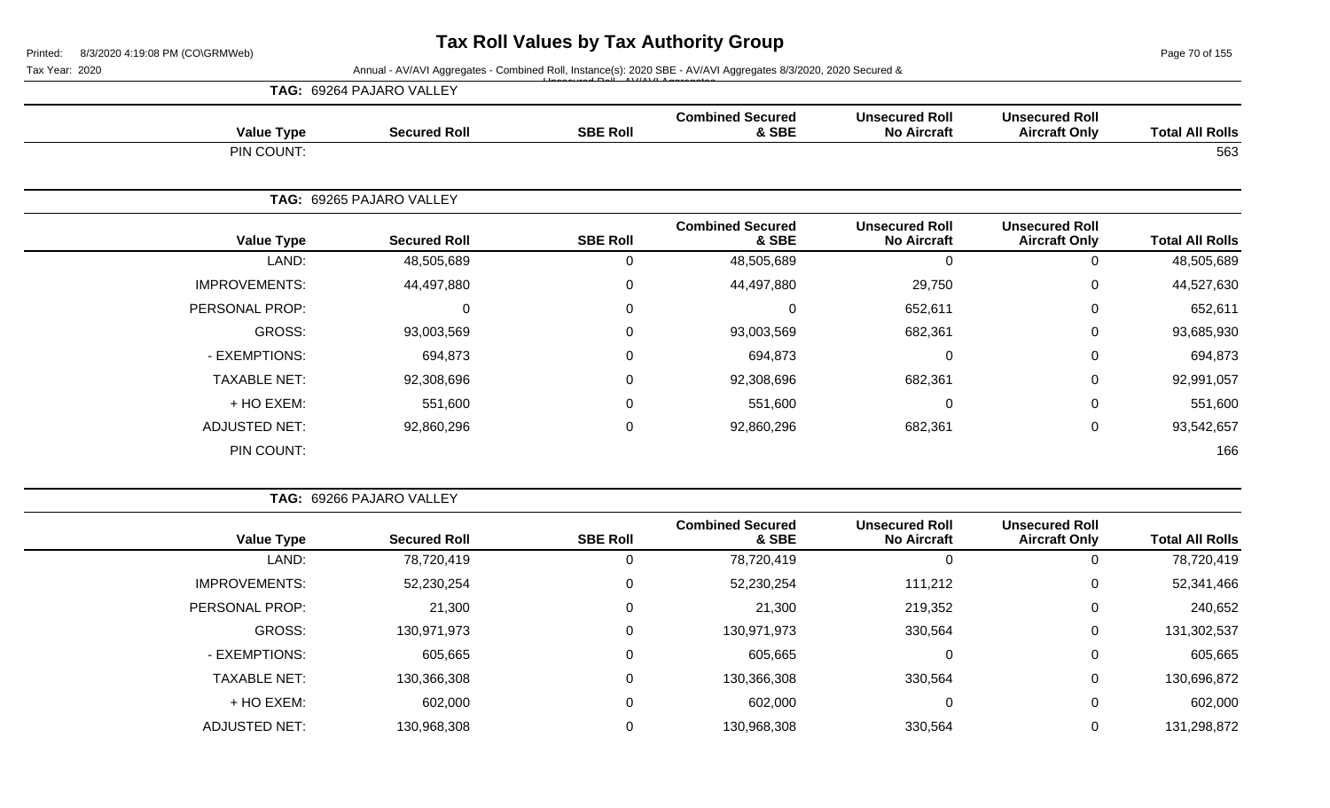Page 70 of 155

Tax Year: 2020 **Annual - AV/AVI Aggregates - Combined Roll**, Instance(s): 2020 SBE - AV/AVI Aggregates 8/3/2020, 2020 Secured & Unsecured Roll - AV/AVI Aggregates

|                        |                                               |                                             |                                  |                 | TAG: 69264 PAJARO VALLEY |                      |
|------------------------|-----------------------------------------------|---------------------------------------------|----------------------------------|-----------------|--------------------------|----------------------|
| <b>Total All Rolls</b> | <b>Unsecured Roll</b><br><b>Aircraft Only</b> | <b>Unsecured Roll</b><br><b>No Aircraft</b> | <b>Combined Secured</b><br>& SBE | <b>SBE Roll</b> | <b>Secured Roll</b>      | <b>Value Type</b>    |
| 563                    |                                               |                                             |                                  |                 |                          | PIN COUNT:           |
|                        |                                               |                                             |                                  |                 | 69265 PAJARO VALLEY      | TAG:                 |
| <b>Total All Rolls</b> | <b>Unsecured Roll</b><br><b>Aircraft Only</b> | <b>Unsecured Roll</b><br><b>No Aircraft</b> | <b>Combined Secured</b><br>& SBE | <b>SBE Roll</b> | <b>Secured Roll</b>      | <b>Value Type</b>    |
| 48,505,689             | 0                                             | 0                                           | 48,505,689                       | 0               | 48,505,689               | LAND:                |
| 44,527,630             | $\mathbf 0$                                   | 29,750                                      | 44,497,880                       | 0               | 44,497,880               | <b>IMPROVEMENTS:</b> |
| 652,611                | 0                                             | 652,611                                     | $\Omega$                         | 0               | $\Omega$                 | PERSONAL PROP:       |
| 93,685,930             | 0                                             | 682,361                                     | 93,003,569                       | 0               | 93,003,569               | GROSS:               |
| 694,873                | $\pmb{0}$                                     | $\mathbf 0$                                 | 694,873                          | 0               | 694,873                  | - EXEMPTIONS:        |
| 92,991,057             | 0                                             | 682,361                                     | 92,308,696                       | 0               | 92,308,696               | <b>TAXABLE NET:</b>  |
| 551,600                | $\mathbf 0$                                   | $\mathbf{0}$                                | 551,600                          | 0               | 551,600                  | + HO EXEM:           |
| 93,542,657             | $\pmb{0}$                                     | 682,361                                     | 92,860,296                       | 0               | 92,860,296               | <b>ADJUSTED NET:</b> |
| 166                    |                                               |                                             |                                  |                 |                          | PIN COUNT:           |
|                        |                                               |                                             |                                  |                 |                          |                      |

|  | <b>TAG: 69266 PAJARO VALLEY</b> |
|--|---------------------------------|
|--|---------------------------------|

| <b>Total All Rolls</b> | <b>Unsecured Roll</b><br><b>Aircraft Only</b> | <b>Unsecured Roll</b><br><b>No Aircraft</b> | <b>Combined Secured</b><br>& SBE | <b>SBE Roll</b> | <b>Secured Roll</b> | <b>Value Type</b>    |
|------------------------|-----------------------------------------------|---------------------------------------------|----------------------------------|-----------------|---------------------|----------------------|
| 78,720,419             |                                               | 0                                           | 78,720,419                       | υ               | 78,720,419          | LAND:                |
| 52,341,466             | υ                                             | 111,212                                     | 52,230,254                       | 0               | 52,230,254          | <b>IMPROVEMENTS:</b> |
| 240,652                | 0                                             | 219,352                                     | 21,300                           | U               | 21,300              | PERSONAL PROP:       |
| 131,302,537            | 0                                             | 330,564                                     | 130,971,973                      | 0               | 130,971,973         | GROSS:               |
| 605,665                |                                               | 0                                           | 605,665                          |                 | 605,665             | - EXEMPTIONS:        |
| 130,696,872            | 0                                             | 330,564                                     | 130,366,308                      |                 | 130,366,308         | <b>TAXABLE NET:</b>  |
| 602,000                |                                               | 0                                           | 602,000                          |                 | 602,000             | + HO EXEM:           |
| 131,298,872            |                                               | 330,564                                     | 130,968,308                      |                 | 130,968,308         | <b>ADJUSTED NET:</b> |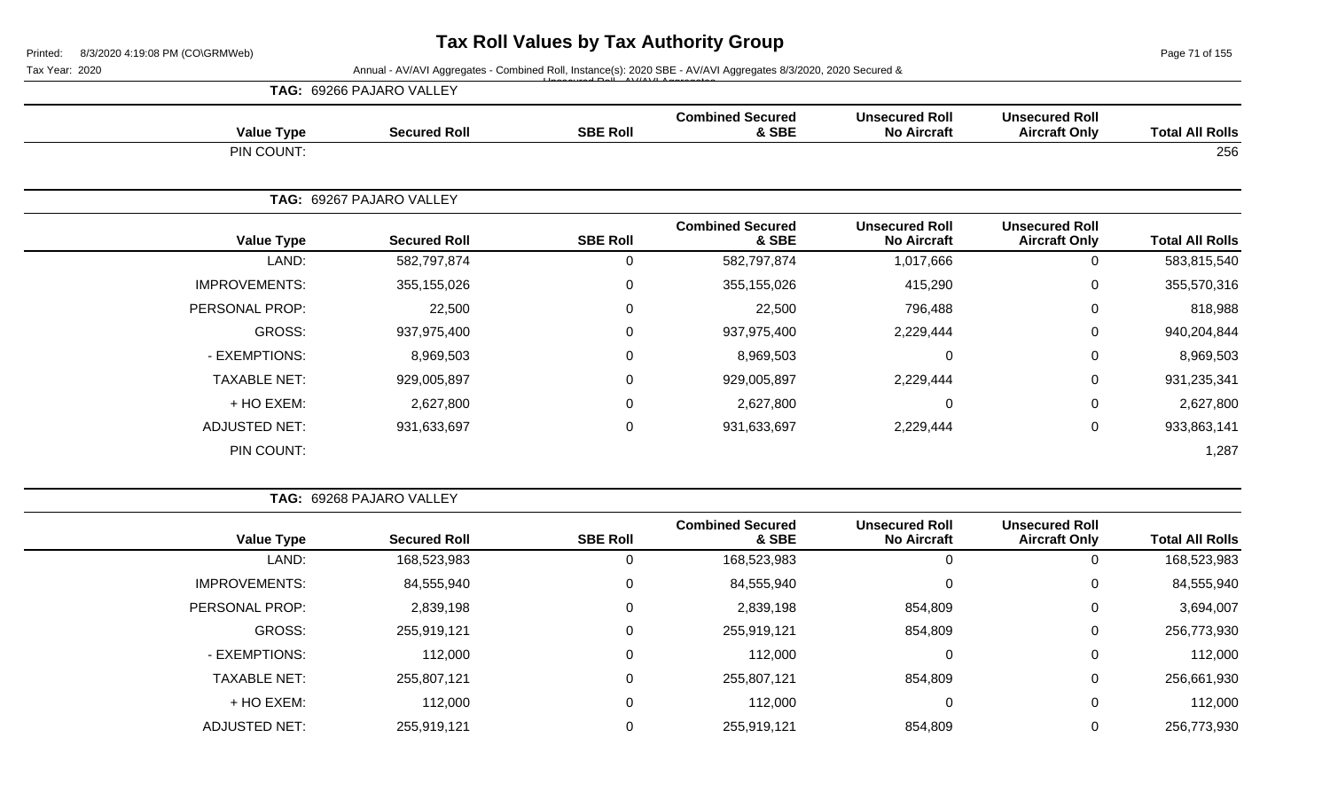Page 71 of 155

Tax Year: 2020 **Annual - AV/AVI Aggregates - Combined Roll**, Instance(s): 2020 SBE - AV/AVI Aggregates 8/3/2020, 2020 Secured & Unsecured Roll - AV/AVI Aggregates

|                      | <b>TAG: 69266 PAJARO VALLEY</b> |                 |                                  |                                             |                                               |                        |
|----------------------|---------------------------------|-----------------|----------------------------------|---------------------------------------------|-----------------------------------------------|------------------------|
| <b>Value Type</b>    | <b>Secured Roll</b>             | <b>SBE Roll</b> | <b>Combined Secured</b><br>& SBE | <b>Unsecured Roll</b><br><b>No Aircraft</b> | <b>Unsecured Roll</b><br><b>Aircraft Only</b> | <b>Total All Rolls</b> |
| PIN COUNT:           |                                 |                 |                                  |                                             |                                               | 256                    |
|                      | TAG: 69267 PAJARO VALLEY        |                 |                                  |                                             |                                               |                        |
| <b>Value Type</b>    | <b>Secured Roll</b>             | <b>SBE Roll</b> | <b>Combined Secured</b><br>& SBE | <b>Unsecured Roll</b><br><b>No Aircraft</b> | <b>Unsecured Roll</b><br><b>Aircraft Only</b> | <b>Total All Rolls</b> |
| LAND:                | 582,797,874                     | 0               | 582,797,874                      | 1,017,666                                   | 0                                             | 583,815,540            |
| <b>IMPROVEMENTS:</b> | 355,155,026                     | 0               | 355,155,026                      | 415,290                                     | $\pmb{0}$                                     | 355,570,316            |
| PERSONAL PROP:       | 22,500                          | 0               | 22,500                           | 796,488                                     | 0                                             | 818,988                |
| GROSS:               | 937,975,400                     | 0               | 937,975,400                      | 2,229,444                                   | $\mathbf 0$                                   | 940,204,844            |
| - EXEMPTIONS:        | 8,969,503                       | 0               | 8,969,503                        | $\mathbf 0$                                 | $\mathbf 0$                                   | 8,969,503              |
| <b>TAXABLE NET:</b>  | 929,005,897                     | 0               | 929,005,897                      | 2,229,444                                   | $\mathbf 0$                                   | 931,235,341            |
| + HO EXEM:           | 2,627,800                       | 0               | 2,627,800                        | $\mathbf 0$                                 | $\mathbf 0$                                   | 2,627,800              |
| <b>ADJUSTED NET:</b> | 931,633,697                     | 0               | 931,633,697                      | 2,229,444                                   | $\mathbf 0$                                   | 933,863,141            |
| PIN COUNT:           |                                 |                 |                                  |                                             |                                               | 1,287                  |

|                       | <b>TAG: 69268 PAJARO VALLEY</b> |                 |                                  |                                             |                                               |                        |
|-----------------------|---------------------------------|-----------------|----------------------------------|---------------------------------------------|-----------------------------------------------|------------------------|
| <b>Value Type</b>     | <b>Secured Roll</b>             | <b>SBE Roll</b> | <b>Combined Secured</b><br>& SBE | <b>Unsecured Roll</b><br><b>No Aircraft</b> | <b>Unsecured Roll</b><br><b>Aircraft Only</b> | <b>Total All Rolls</b> |
| LAND:                 | 168,523,983                     | υ               | 168,523,983                      | 0                                           | υ                                             | 168,523,983            |
| <b>IMPROVEMENTS:</b>  | 84,555,940                      | 0               | 84,555,940                       | 0                                           | 0                                             | 84,555,940             |
| <b>PERSONAL PROP:</b> | 2,839,198                       | 0               | 2,839,198                        | 854,809                                     | 0                                             | 3,694,007              |
| <b>GROSS:</b>         | 255,919,121                     | 0               | 255,919,121                      | 854,809                                     | 0                                             | 256,773,930            |
| - EXEMPTIONS:         | 112,000                         | 0               | 112,000                          | 0                                           | 0                                             | 112,000                |
| <b>TAXABLE NET:</b>   | 255,807,121                     | 0               | 255,807,121                      | 854,809                                     | 0                                             | 256,661,930            |
| + HO EXEM:            | 112,000                         | 0               | 112,000                          | 0                                           | 0                                             | 112,000                |
| <b>ADJUSTED NET:</b>  | 255,919,121                     |                 | 255,919,121                      | 854,809                                     | 0                                             | 256,773,930            |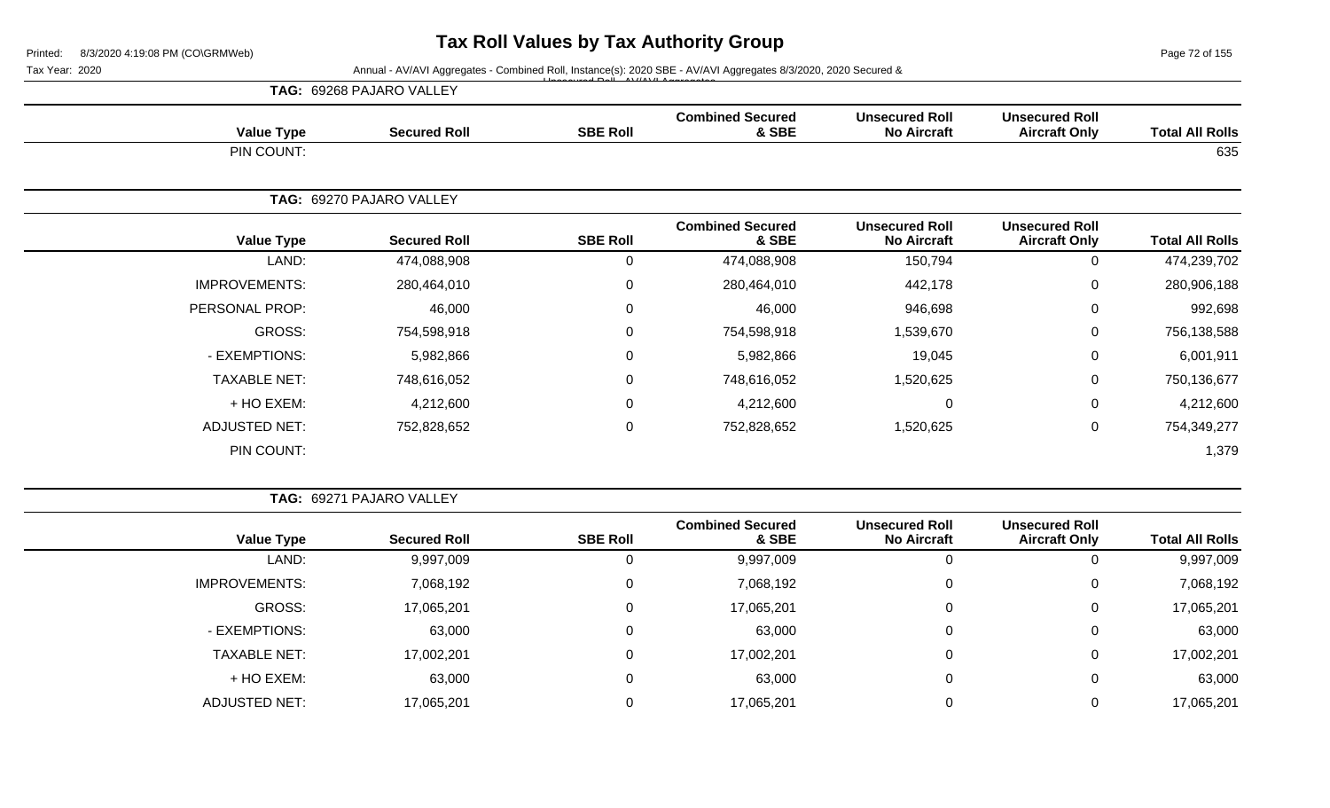Page 72 of 155

Tax Year: 2020 **Annual - AV/AVI Aggregates - Combined Roll**, Instance(s): 2020 SBE - AV/AVI Aggregates 8/3/2020, 2020 Secured &

|                      | TAG: 69268 PAJARO VALLEY | $\triangle$ D <sub>r</sub> II AV/(AV/LA |                                  |                                             |                                               |                        |
|----------------------|--------------------------|-----------------------------------------|----------------------------------|---------------------------------------------|-----------------------------------------------|------------------------|
| <b>Value Type</b>    | <b>Secured Roll</b>      | <b>SBE Roll</b>                         | <b>Combined Secured</b><br>& SBE | <b>Unsecured Roll</b><br><b>No Aircraft</b> | <b>Unsecured Roll</b><br><b>Aircraft Only</b> | <b>Total All Rolls</b> |
| PIN COUNT:           |                          |                                         |                                  |                                             |                                               | 635                    |
|                      | TAG: 69270 PAJARO VALLEY |                                         |                                  |                                             |                                               |                        |
| <b>Value Type</b>    | <b>Secured Roll</b>      | <b>SBE Roll</b>                         | <b>Combined Secured</b><br>& SBE | <b>Unsecured Roll</b><br><b>No Aircraft</b> | <b>Unsecured Roll</b><br><b>Aircraft Only</b> | <b>Total All Rolls</b> |
| LAND:                | 474,088,908              | 0                                       | 474,088,908                      | 150,794                                     | 0                                             | 474,239,702            |
| <b>IMPROVEMENTS:</b> | 280,464,010              | $\mathbf 0$                             | 280,464,010                      | 442,178                                     | 0                                             | 280,906,188            |
| PERSONAL PROP:       | 46,000                   | 0                                       | 46,000                           | 946,698                                     | 0                                             | 992,698                |
| GROSS:               | 754,598,918              | $\mathbf 0$                             | 754,598,918                      | 1,539,670                                   | 0                                             | 756,138,588            |
| - EXEMPTIONS:        | 5,982,866                | $\mathbf 0$                             | 5,982,866                        | 19,045                                      | 0                                             | 6,001,911              |
| <b>TAXABLE NET:</b>  | 748,616,052              | $\overline{0}$                          | 748,616,052                      | 1,520,625                                   | 0                                             | 750,136,677            |
| + HO EXEM:           | 4,212,600                | $\mathbf 0$                             | 4,212,600                        | $\mathbf 0$                                 | 0                                             | 4,212,600              |
| <b>ADJUSTED NET:</b> | 752,828,652              | $\pmb{0}$                               | 752,828,652                      | 1,520,625                                   | $\pmb{0}$                                     | 754,349,277            |
| PIN COUNT:           |                          |                                         |                                  |                                             |                                               | 1,379                  |

**TAG:** 69271 PAJARO VALLEY

| <b>Value Type</b>    | <b>Secured Roll</b> | <b>SBE Roll</b> | <b>Combined Secured</b><br>& SBE | <b>Unsecured Roll</b><br><b>No Aircraft</b> | <b>Unsecured Roll</b><br><b>Aircraft Only</b> | <b>Total All Rolls</b> |
|----------------------|---------------------|-----------------|----------------------------------|---------------------------------------------|-----------------------------------------------|------------------------|
| LAND:                | 9,997,009           | U               | 9,997,009                        | 0                                           | 0                                             | 9,997,009              |
| <b>IMPROVEMENTS:</b> | 7,068,192           | 0               | 7,068,192                        | $\Omega$                                    | 0                                             | 7,068,192              |
| GROSS:               | 17,065,201          |                 | 17,065,201                       | $\Omega$                                    | $\mathbf 0$                                   | 17,065,201             |
| - EXEMPTIONS:        | 63,000              | 0               | 63,000                           | 0                                           | $\mathbf 0$                                   | 63,000                 |
| <b>TAXABLE NET:</b>  | 17,002,201          | 0               | 17,002,201                       | 0                                           | 0                                             | 17,002,201             |
| + HO EXEM:           | 63,000              | 0               | 63,000                           | $\mathbf 0$                                 | $\mathbf{0}$                                  | 63,000                 |
| <b>ADJUSTED NET:</b> | 17,065,201          | 0               | 17,065,201                       |                                             | 0                                             | 17,065,201             |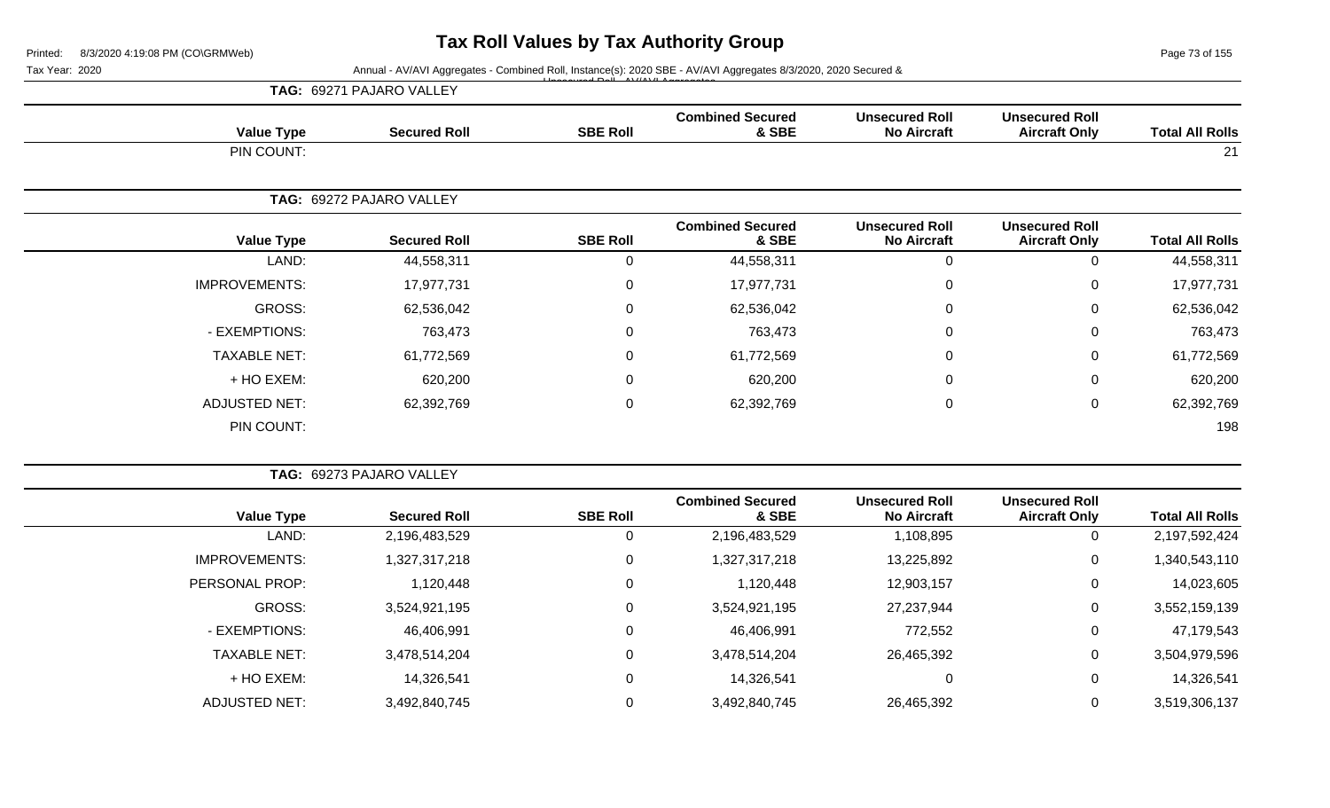Page 73 of 155

|  | <b>TAG: 69271 PAJARO VALLEY</b> |  |
|--|---------------------------------|--|
|--|---------------------------------|--|

| <b>Value Type</b>    | <b>Secured Roll</b>      | <b>SBE Roll</b> | <b>Combined Secured</b><br>& SBE | <b>Unsecured Roll</b><br><b>No Aircraft</b> | <b>Unsecured Roll</b><br><b>Aircraft Only</b> | <b>Total All Rolls</b> |
|----------------------|--------------------------|-----------------|----------------------------------|---------------------------------------------|-----------------------------------------------|------------------------|
| PIN COUNT:           |                          |                 |                                  |                                             |                                               | 21                     |
|                      | TAG: 69272 PAJARO VALLEY |                 |                                  |                                             |                                               |                        |
| <b>Value Type</b>    | <b>Secured Roll</b>      | <b>SBE Roll</b> | <b>Combined Secured</b><br>& SBE | <b>Unsecured Roll</b><br><b>No Aircraft</b> | <b>Unsecured Roll</b><br><b>Aircraft Only</b> | <b>Total All Rolls</b> |
| LAND:                | 44,558,311               | 0               | 44,558,311                       | $\overline{0}$                              | 0                                             | 44,558,311             |
| <b>IMPROVEMENTS:</b> | 17,977,731               | $\mathsf 0$     | 17,977,731                       | $\mathbf 0$                                 | $\mathbf 0$                                   | 17,977,731             |
| GROSS:               | 62,536,042               | $\mathbf 0$     | 62,536,042                       | $\mathbf 0$                                 | 0                                             | 62,536,042             |
| - EXEMPTIONS:        | 763,473                  | 0               | 763,473                          | $\mathbf 0$                                 | $\mathbf 0$                                   | 763,473                |
| <b>TAXABLE NET:</b>  | 61,772,569               | 0               | 61,772,569                       | $\mathbf 0$                                 | 0                                             | 61,772,569             |
| + HO EXEM:           | 620,200                  | 0               | 620,200                          | $\mathbf 0$                                 | $\mathbf 0$                                   | 620,200                |
| <b>ADJUSTED NET:</b> | 62,392,769               | $\mathsf 0$     | 62,392,769                       | $\mathbf 0$                                 | $\mathbf 0$                                   | 62,392,769             |
| PIN COUNT:           |                          |                 |                                  |                                             |                                               | 198                    |

|                      | TAG: 69273 PAJARO VALLEY |                 |                                  |                                             |                                               |                        |
|----------------------|--------------------------|-----------------|----------------------------------|---------------------------------------------|-----------------------------------------------|------------------------|
| <b>Value Type</b>    | <b>Secured Roll</b>      | <b>SBE Roll</b> | <b>Combined Secured</b><br>& SBE | <b>Unsecured Roll</b><br><b>No Aircraft</b> | <b>Unsecured Roll</b><br><b>Aircraft Only</b> | <b>Total All Rolls</b> |
| LAND:                | 2,196,483,529            |                 | 2,196,483,529                    | 1,108,895                                   | 0                                             | 2,197,592,424          |
| IMPROVEMENTS:        | 1,327,317,218            | 0               | 1,327,317,218                    | 13,225,892                                  | $\mathbf 0$                                   | 1,340,543,110          |
| PERSONAL PROP:       | 1,120,448                | 0               | 1,120,448                        | 12,903,157                                  | $\mathbf 0$                                   | 14,023,605             |
| <b>GROSS:</b>        | 3,524,921,195            |                 | 3,524,921,195                    | 27,237,944                                  | 0                                             | 3,552,159,139          |
| - EXEMPTIONS:        | 46,406,991               |                 | 46,406,991                       | 772,552                                     | $\mathbf 0$                                   | 47,179,543             |
| <b>TAXABLE NET:</b>  | 3,478,514,204            | 0               | 3,478,514,204                    | 26,465,392                                  | $\mathbf 0$                                   | 3,504,979,596          |
| + HO EXEM:           | 14,326,541               | 0               | 14,326,541                       |                                             | 0                                             | 14,326,541             |
| <b>ADJUSTED NET:</b> | 3,492,840,745            |                 | 3,492,840,745                    | 26,465,392                                  | $\mathbf 0$                                   | 3,519,306,137          |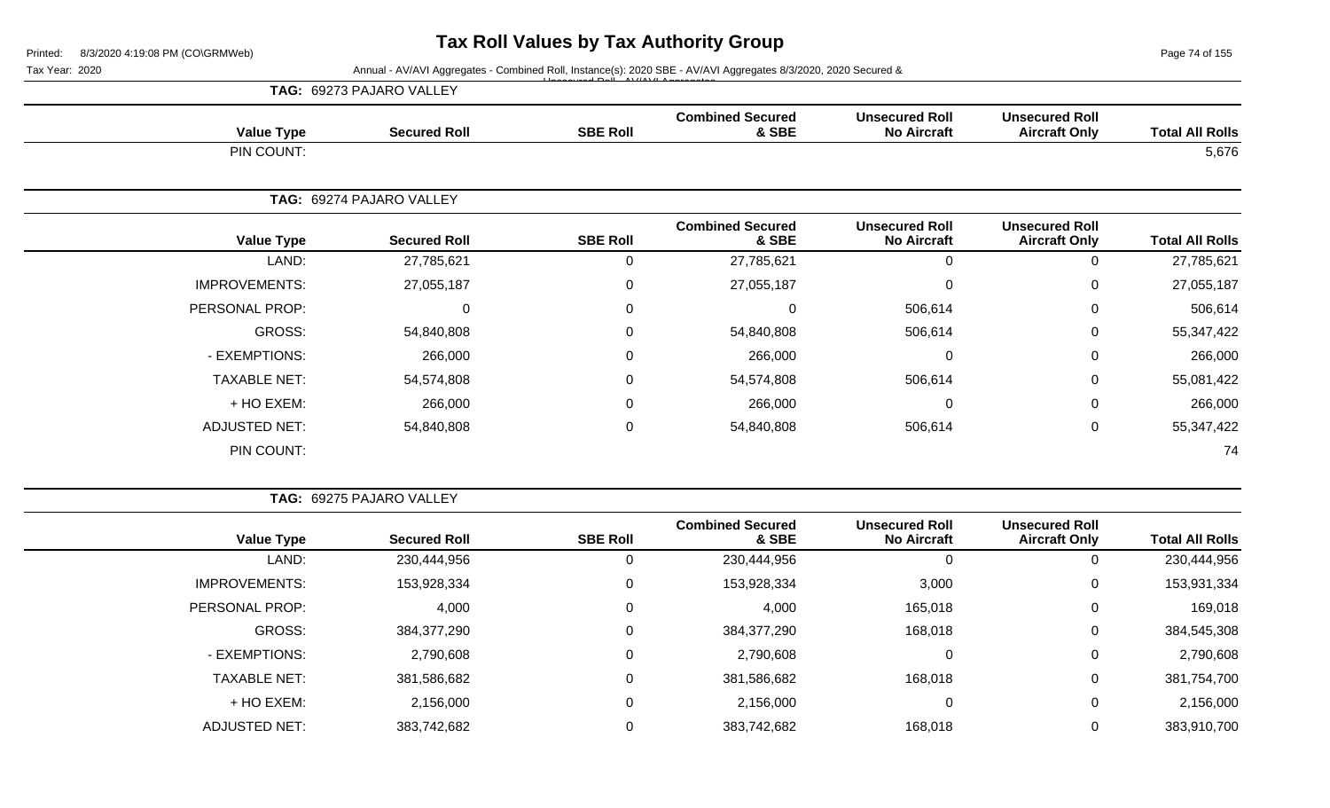Page 74 of 155

Tax Year: 2020 **Annual - AV/AVI Aggregates - Combined Roll**, Instance(s): 2020 SBE - AV/AVI Aggregates 8/3/2020, 2020 Secured &

|                      | TAG: 69273 PAJARO VALLEY |                 |                                  |                                             |                                               |                        |
|----------------------|--------------------------|-----------------|----------------------------------|---------------------------------------------|-----------------------------------------------|------------------------|
| <b>Value Type</b>    | <b>Secured Roll</b>      | <b>SBE Roll</b> | <b>Combined Secured</b><br>& SBE | <b>Unsecured Roll</b><br><b>No Aircraft</b> | <b>Unsecured Roll</b><br><b>Aircraft Only</b> | <b>Total All Rolls</b> |
| PIN COUNT:           |                          |                 |                                  |                                             |                                               | 5,676                  |
|                      | TAG: 69274 PAJARO VALLEY |                 |                                  |                                             |                                               |                        |
| <b>Value Type</b>    | <b>Secured Roll</b>      | <b>SBE Roll</b> | <b>Combined Secured</b><br>& SBE | <b>Unsecured Roll</b><br><b>No Aircraft</b> | <b>Unsecured Roll</b><br><b>Aircraft Only</b> | <b>Total All Rolls</b> |
| LAND:                | 27,785,621               | 0               | 27,785,621                       | 0                                           | 0                                             | 27,785,621             |
| <b>IMPROVEMENTS:</b> | 27,055,187               | $\mathbf 0$     | 27,055,187                       | 0                                           | 0                                             | 27,055,187             |
| PERSONAL PROP:       | $\Omega$                 | $\mathbf 0$     | 0                                | 506,614                                     | $\mathbf 0$                                   | 506,614                |
| GROSS:               | 54,840,808               | $\mathbf 0$     | 54,840,808                       | 506,614                                     | $\mathbf 0$                                   | 55,347,422             |
| - EXEMPTIONS:        | 266,000                  | $\mathbf 0$     | 266,000                          | 0                                           | 0                                             | 266,000                |
| <b>TAXABLE NET:</b>  | 54,574,808               | $\mathbf 0$     | 54,574,808                       | 506,614                                     | $\mathbf 0$                                   | 55,081,422             |
| + HO EXEM:           | 266,000                  | $\mathbf 0$     | 266,000                          | 0                                           | 0                                             | 266,000                |
| <b>ADJUSTED NET:</b> | 54,840,808               | $\mathbf 0$     | 54,840,808                       | 506,614                                     | $\mathbf 0$                                   | 55,347,422             |
| PIN COUNT:           |                          |                 |                                  |                                             |                                               | 74                     |

| <b>TAG: 69275 PAJARO VALLEY</b> |
|---------------------------------|
|                                 |

| <b>Total All Rolls</b> | <b>Unsecured Roll</b><br><b>Aircraft Only</b> | <b>Unsecured Roll</b><br><b>No Aircraft</b> | <b>Combined Secured</b><br>& SBE | <b>SBE Roll</b> | <b>Secured Roll</b> | <b>Value Type</b>    |
|------------------------|-----------------------------------------------|---------------------------------------------|----------------------------------|-----------------|---------------------|----------------------|
| 230,444,956            |                                               | 0                                           | 230,444,956                      | 0               | 230,444,956         | LAND:                |
| 153,931,334            | 0                                             | 3,000                                       | 153,928,334                      | 0               | 153,928,334         | <b>IMPROVEMENTS:</b> |
| 169,018                | 0                                             | 165,018                                     | 4,000                            | 0               | 4,000               | PERSONAL PROP:       |
| 384,545,308            | 0                                             | 168,018                                     | 384,377,290                      | 0               | 384,377,290         | GROSS:               |
| 2,790,608              | 0                                             | 0                                           | 2,790,608                        | 0               | 2,790,608           | - EXEMPTIONS:        |
| 381,754,700            | 0                                             | 168,018                                     | 381,586,682                      | 0               | 381,586,682         | <b>TAXABLE NET:</b>  |
| 2,156,000              | 0                                             | $\mathbf 0$                                 | 2,156,000                        | 0               | 2,156,000           | + HO EXEM:           |
| 383,910,700            |                                               | 168,018                                     | 383,742,682                      | 0               | 383,742,682         | ADJUSTED NET:        |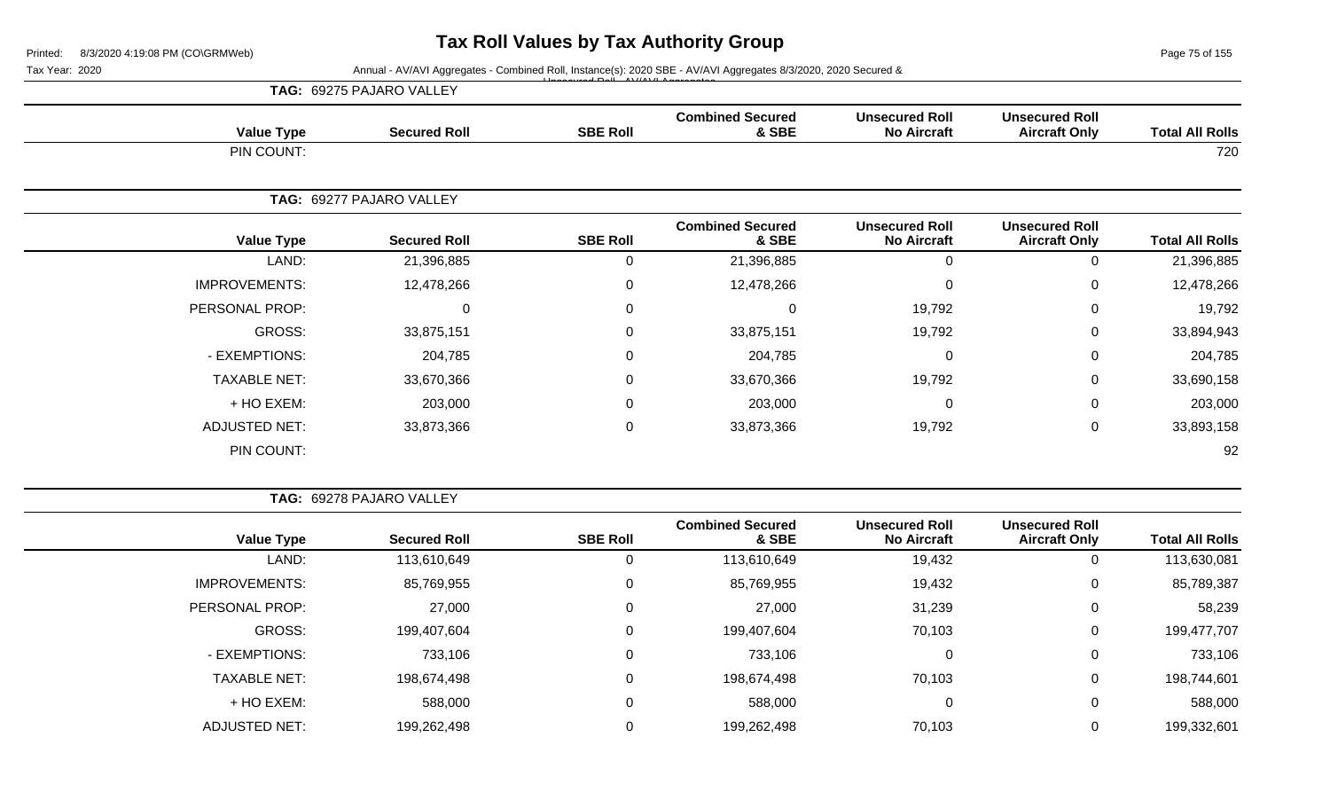Page 75 of 155

Tax Year: 2020 **Annual - AV/AVI Aggregates - Combined Roll**, Instance(s): 2020 SBE - AV/AVI Aggregates 8/3/2020, 2020 Secured &

|                      | TAG: 69275 PAJARO VALLEY |                  |                                  |                                             |                                               |                        |
|----------------------|--------------------------|------------------|----------------------------------|---------------------------------------------|-----------------------------------------------|------------------------|
| <b>Value Type</b>    | <b>Secured Roll</b>      | <b>SBE Roll</b>  | <b>Combined Secured</b><br>& SBE | <b>Unsecured Roll</b><br><b>No Aircraft</b> | <b>Unsecured Roll</b><br><b>Aircraft Only</b> | <b>Total All Rolls</b> |
| PIN COUNT:           |                          |                  |                                  |                                             |                                               | 720                    |
|                      | TAG: 69277 PAJARO VALLEY |                  |                                  |                                             |                                               |                        |
| <b>Value Type</b>    | <b>Secured Roll</b>      | <b>SBE Roll</b>  | <b>Combined Secured</b><br>& SBE | <b>Unsecured Roll</b><br><b>No Aircraft</b> | <b>Unsecured Roll</b><br><b>Aircraft Only</b> | <b>Total All Rolls</b> |
| LAND:                | 21,396,885               | $\mathbf 0$      | 21,396,885                       | $\mathbf 0$                                 | 0                                             | 21,396,885             |
| <b>IMPROVEMENTS:</b> | 12,478,266               | $\mathbf 0$      | 12,478,266                       | $\mathbf 0$                                 | 0                                             | 12,478,266             |
| PERSONAL PROP:       | $\mathbf 0$              | $\mathbf 0$      | $\Omega$                         | 19,792                                      | 0                                             | 19,792                 |
| GROSS:               | 33,875,151               | $\boldsymbol{0}$ | 33,875,151                       | 19,792                                      | $\mathbf 0$                                   | 33,894,943             |
| - EXEMPTIONS:        | 204,785                  | $\overline{0}$   | 204,785                          | $\mathbf 0$                                 | 0                                             | 204,785                |
| <b>TAXABLE NET:</b>  | 33,670,366               | $\mathbf 0$      | 33,670,366                       | 19,792                                      | 0                                             | 33,690,158             |
| + HO EXEM:           | 203,000                  | $\mathbf 0$      | 203,000                          | 0                                           | 0                                             | 203,000                |
| <b>ADJUSTED NET:</b> | 33,873,366               | $\overline{0}$   | 33,873,366                       | 19,792                                      | 0                                             | 33,893,158             |
| PIN COUNT:           |                          |                  |                                  |                                             |                                               | 92                     |

|  |  | <b>TAG: 69278 PAJARO VALLEY</b> |  |
|--|--|---------------------------------|--|
|--|--|---------------------------------|--|

| <b>Total All Rolls</b> | <b>Unsecured Roll</b><br><b>Aircraft Only</b> | <b>Unsecured Roll</b><br><b>No Aircraft</b> | <b>Combined Secured</b><br>& SBE | <b>SBE Roll</b> | <b>Secured Roll</b> | <b>Value Type</b>    |
|------------------------|-----------------------------------------------|---------------------------------------------|----------------------------------|-----------------|---------------------|----------------------|
| 113,630,081            |                                               | 19,432                                      | 113,610,649                      |                 | 113,610,649         | LAND:                |
| 85,789,387             | 0                                             | 19,432                                      | 85,769,955                       |                 | 85,769,955          | <b>IMPROVEMENTS:</b> |
| 58,239                 | 0                                             | 31,239                                      | 27,000                           |                 | 27,000              | PERSONAL PROP:       |
| 199,477,707            | 0                                             | 70,103                                      | 199,407,604                      |                 | 199,407,604         | GROSS:               |
| 733,106                | 0                                             | 0                                           | 733,106                          |                 | 733,106             | - EXEMPTIONS:        |
| 198,744,601            | 0                                             | 70,103                                      | 198,674,498                      |                 | 198,674,498         | <b>TAXABLE NET:</b>  |
| 588,000                | 0                                             | 0                                           | 588,000                          |                 | 588,000             | + HO EXEM:           |
| 199,332,601            |                                               | 70,103                                      | 199,262,498                      |                 | 199,262,498         | <b>ADJUSTED NET:</b> |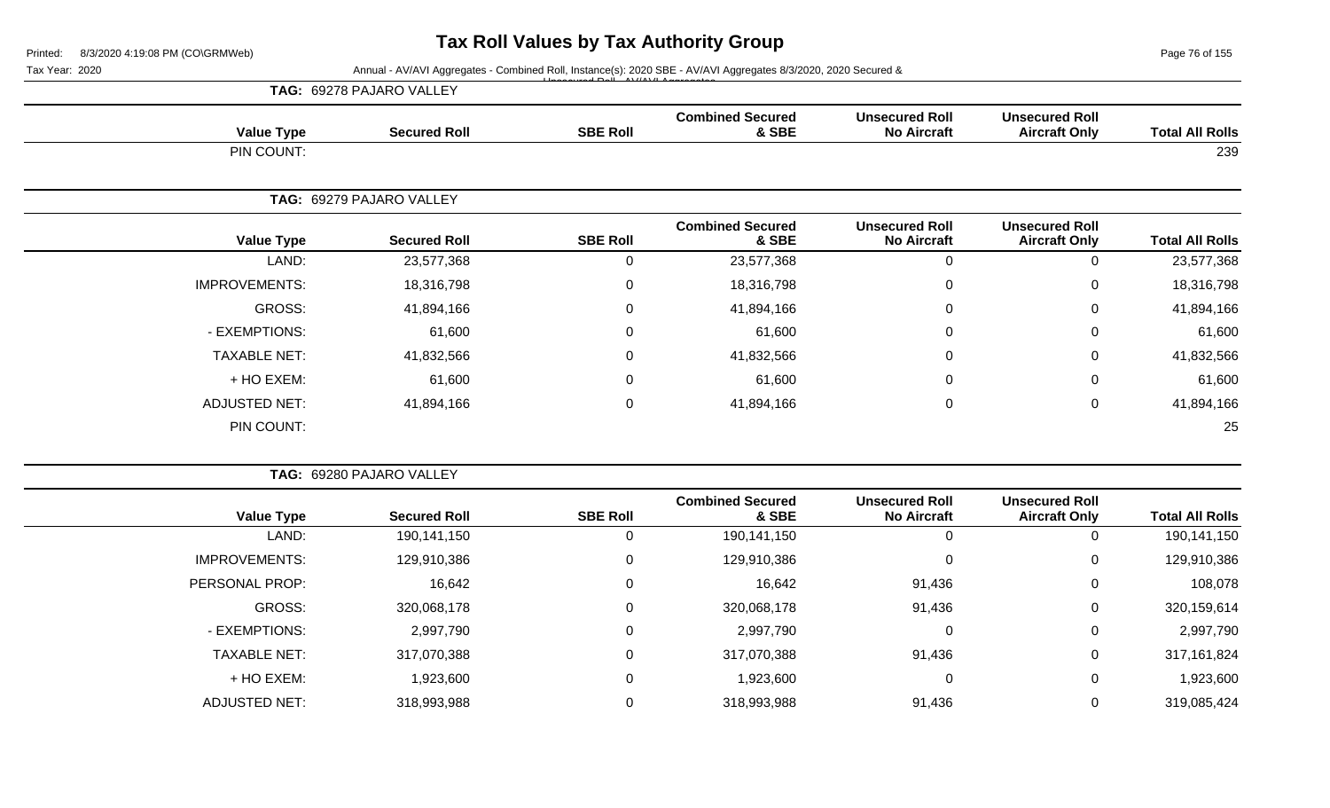Page 76 of 155

| <b>TAG: 69278 PAJARO VALLEY</b> |  |
|---------------------------------|--|
|---------------------------------|--|

| <b>Value Type</b>    | <b>Secured Roll</b>      | <b>SBE Roll</b> | <b>Combined Secured</b><br>& SBE | <b>Unsecured Roll</b><br><b>No Aircraft</b> | <b>Unsecured Roll</b><br><b>Aircraft Only</b> | <b>Total All Rolls</b> |
|----------------------|--------------------------|-----------------|----------------------------------|---------------------------------------------|-----------------------------------------------|------------------------|
| PIN COUNT:           |                          |                 |                                  |                                             |                                               | 239                    |
|                      | TAG: 69279 PAJARO VALLEY |                 |                                  |                                             |                                               |                        |
| <b>Value Type</b>    | <b>Secured Roll</b>      | <b>SBE Roll</b> | <b>Combined Secured</b><br>& SBE | <b>Unsecured Roll</b><br><b>No Aircraft</b> | <b>Unsecured Roll</b><br><b>Aircraft Only</b> | <b>Total All Rolls</b> |
| LAND:                | 23,577,368               | 0               | 23,577,368                       | $\mathbf 0$                                 | $\mathbf 0$                                   | 23,577,368             |
| <b>IMPROVEMENTS:</b> | 18,316,798               | 0               | 18,316,798                       | $\mathbf 0$                                 | $\mathbf 0$                                   | 18,316,798             |
| GROSS:               | 41,894,166               | $\mathbf 0$     | 41,894,166                       | $\mathbf 0$                                 | $\mathbf 0$                                   | 41,894,166             |
| - EXEMPTIONS:        | 61,600                   | 0               | 61,600                           | $\mathbf 0$                                 | $\mathbf 0$                                   | 61,600                 |
| <b>TAXABLE NET:</b>  | 41,832,566               | $\mathbf{0}$    | 41,832,566                       | 0                                           | $\mathbf 0$                                   | 41,832,566             |
| + HO EXEM:           | 61,600                   | $\mathbf 0$     | 61,600                           | 0                                           | $\mathbf 0$                                   | 61,600                 |
| <b>ADJUSTED NET:</b> | 41,894,166               | 0               | 41,894,166                       | $\mathbf 0$                                 | $\mathbf 0$                                   | 41,894,166             |
| PIN COUNT:           |                          |                 |                                  |                                             |                                               | 25                     |

|                        |                                               |                                             |                                  |                 |                     | <b>TAG: 69280 PAJARO VALLEY</b> |  |
|------------------------|-----------------------------------------------|---------------------------------------------|----------------------------------|-----------------|---------------------|---------------------------------|--|
| <b>Total All Rolls</b> | <b>Unsecured Roll</b><br><b>Aircraft Only</b> | <b>Unsecured Roll</b><br><b>No Aircraft</b> | <b>Combined Secured</b><br>& SBE | <b>SBE Roll</b> | <b>Secured Roll</b> | <b>Value Type</b>               |  |
| 190,141,150            | 0                                             | 0                                           | 190,141,150                      | 0               | 190,141,150         | LAND:                           |  |
| 129,910,386            | $\mathbf 0$                                   | 0                                           | 129,910,386                      | 0               | 129,910,386         | <b>IMPROVEMENTS:</b>            |  |
| 108,078                | $\overline{0}$                                | 91,436                                      | 16,642                           | 0               | 16,642              | PERSONAL PROP:                  |  |
| 320,159,614            | $\mathbf 0$                                   | 91,436                                      | 320,068,178                      | 0               | 320,068,178         | <b>GROSS:</b>                   |  |
| 2,997,790              | 0                                             | 0                                           | 2,997,790                        | 0               | 2,997,790           | - EXEMPTIONS:                   |  |
| 317,161,824            | 0                                             | 91,436                                      | 317,070,388                      | 0               | 317,070,388         | <b>TAXABLE NET:</b>             |  |
| 1,923,600              | $\mathbf 0$                                   | 0                                           | 1,923,600                        | 0               | 1,923,600           | + HO EXEM:                      |  |
| 319,085,424            | 0                                             | 91,436                                      | 318,993,988                      | 0               | 318,993,988         | <b>ADJUSTED NET:</b>            |  |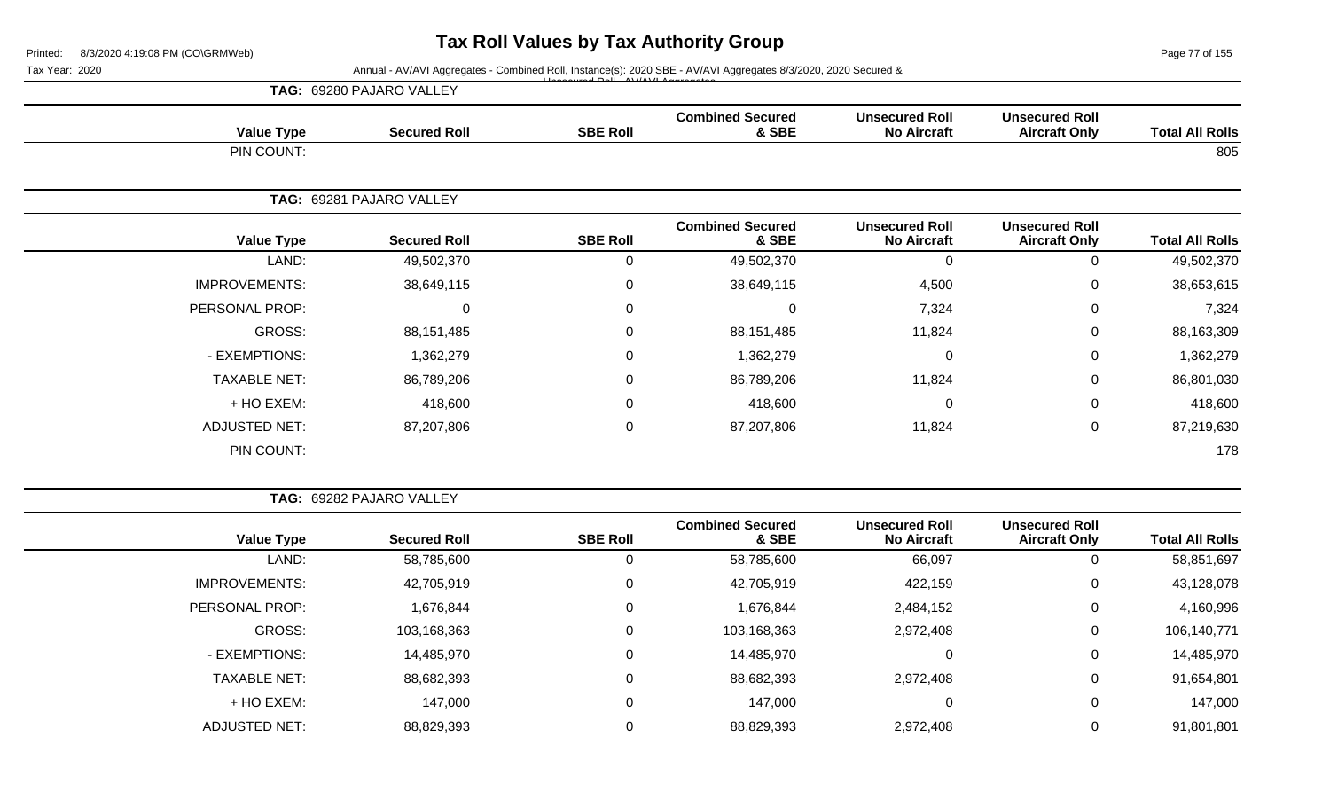Page 77 of 155

| <b>Unsecured Roll</b>                       | <b>Unsecured Roll</b>                         |                        |
|---------------------------------------------|-----------------------------------------------|------------------------|
|                                             | <b>Aircraft Only</b>                          | <b>Total All Rolls</b> |
|                                             |                                               | 805                    |
|                                             |                                               |                        |
| <b>Unsecured Roll</b><br><b>No Aircraft</b> | <b>Unsecured Roll</b><br><b>Aircraft Only</b> | <b>Total All Rolls</b> |
| $\mathbf 0$                                 | 0                                             | 49,502,370             |
| 4,500                                       | $\mathbf 0$                                   | 38,653,615             |
| 7,324                                       | $\mathbf 0$                                   | 7,324                  |
| 11,824                                      | 0                                             | 88,163,309             |
| $\mathbf 0$                                 | $\pmb{0}$                                     | 1,362,279              |
| 11,824                                      | $\mathbf 0$                                   | 86,801,030             |
| $\mathbf 0$                                 | $\mathbf 0$                                   | 418,600                |
| 11,824                                      | $\pmb{0}$                                     | 87,219,630             |
|                                             |                                               | 178                    |
|                                             | <b>No Aircraft</b>                            |                        |

| <b>TAG: 69282 PAJARO VALLEY</b> |
|---------------------------------|
|---------------------------------|

| <b>Total All Rolls</b> | <b>Unsecured Roll</b><br><b>Aircraft Only</b> | <b>Unsecured Roll</b><br><b>No Aircraft</b> | <b>Combined Secured</b><br>& SBE | <b>SBE Roll</b> | <b>Secured Roll</b> | <b>Value Type</b>    |
|------------------------|-----------------------------------------------|---------------------------------------------|----------------------------------|-----------------|---------------------|----------------------|
| 58,851,697             |                                               | 66,097                                      | 58,785,600                       | 0               | 58,785,600          | LAND:                |
| 43,128,078             | 0                                             | 422,159                                     | 42,705,919                       | 0               | 42,705,919          | <b>IMPROVEMENTS:</b> |
| 4,160,996              | 0                                             | 2,484,152                                   | 1,676,844                        | 0               | 1,676,844           | PERSONAL PROP:       |
| 106,140,771            | 0                                             | 2,972,408                                   | 103,168,363                      | 0               | 103,168,363         | GROSS:               |
| 14,485,970             | 0                                             | 0                                           | 14,485,970                       | 0               | 14,485,970          | - EXEMPTIONS:        |
| 91,654,801             | 0                                             | 2,972,408                                   | 88,682,393                       | 0               | 88,682,393          | <b>TAXABLE NET:</b>  |
| 147,000                |                                               | 0                                           | 147,000                          | 0               | 147,000             | + HO EXEM:           |
| 91,801,801             |                                               | 2,972,408                                   | 88,829,393                       | 0               | 88,829,393          | <b>ADJUSTED NET:</b> |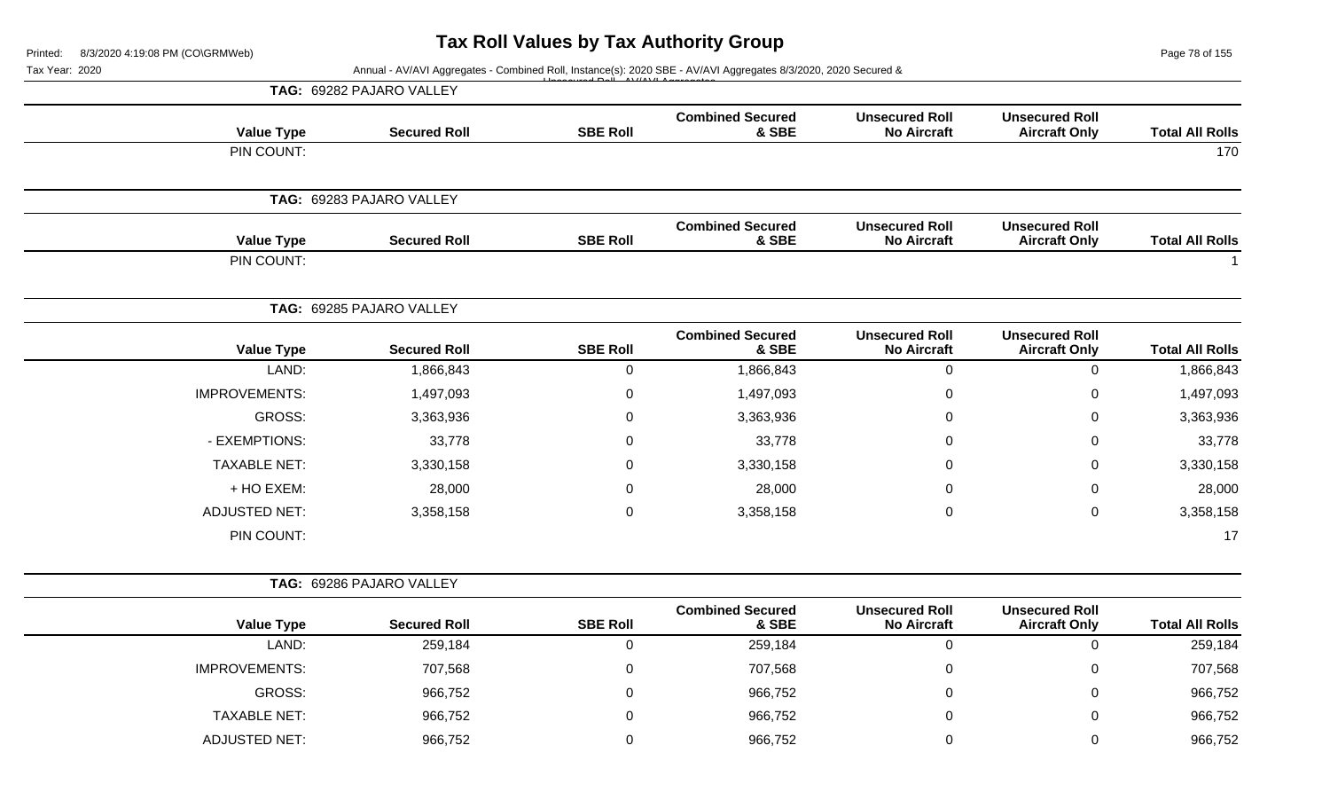Page 78 of 155

|                        |                                               |                                             |                                  |                 | Annual - AV/AVI Aggregates - Combined Roll, Instance(s): 2020 SBE - AV/AVI Aggregates 8/3/2020, 2020 Secured & | Tax Year: 2020       |
|------------------------|-----------------------------------------------|---------------------------------------------|----------------------------------|-----------------|----------------------------------------------------------------------------------------------------------------|----------------------|
|                        |                                               |                                             |                                  |                 | TAG: 69282 PAJARO VALLEY                                                                                       |                      |
| <b>Total All Rolls</b> | <b>Unsecured Roll</b><br><b>Aircraft Only</b> | <b>Unsecured Roll</b><br><b>No Aircraft</b> | <b>Combined Secured</b><br>& SBE | <b>SBE Roll</b> | <b>Secured Roll</b>                                                                                            | <b>Value Type</b>    |
| 170                    |                                               |                                             |                                  |                 |                                                                                                                | PIN COUNT:           |
|                        |                                               |                                             |                                  |                 | TAG: 69283 PAJARO VALLEY                                                                                       |                      |
| <b>Total All Rolls</b> | <b>Unsecured Roll</b><br><b>Aircraft Only</b> | <b>Unsecured Roll</b><br><b>No Aircraft</b> | <b>Combined Secured</b><br>& SBE | <b>SBE Roll</b> | <b>Secured Roll</b>                                                                                            | <b>Value Type</b>    |
|                        |                                               |                                             |                                  |                 |                                                                                                                | PIN COUNT:           |
|                        |                                               |                                             |                                  |                 | TAG: 69285 PAJARO VALLEY                                                                                       |                      |
| <b>Total All Rolls</b> | <b>Unsecured Roll</b><br><b>Aircraft Only</b> | <b>Unsecured Roll</b><br><b>No Aircraft</b> | <b>Combined Secured</b><br>& SBE | <b>SBE Roll</b> | <b>Secured Roll</b>                                                                                            | <b>Value Type</b>    |
| 1,866,843              | $\mathbf 0$                                   | $\mathbf 0$                                 | 1,866,843                        | $\mathbf 0$     | 1,866,843                                                                                                      | LAND:                |
| 1,497,093              | 0                                             | $\pmb{0}$                                   | 1,497,093                        | $\mathbf 0$     | 1,497,093                                                                                                      | <b>IMPROVEMENTS:</b> |
| 3,363,936              | 0                                             | $\pmb{0}$                                   | 3,363,936                        | $\mathbf 0$     | 3,363,936                                                                                                      | GROSS:               |
| 33,778                 | 0                                             | $\Omega$                                    | 33,778                           | $\Omega$        | 33,778                                                                                                         | - EXEMPTIONS:        |
| 3,330,158              | 0                                             | 0                                           | 3,330,158                        | 0               | 3,330,158                                                                                                      | <b>TAXABLE NET:</b>  |
| 28,000                 | 0                                             | 0                                           | 28,000                           | 0               | 28,000                                                                                                         | + HO EXEM:           |
| 3,358,158              | 0                                             | $\mathbf 0$                                 | 3,358,158                        | $\mathbf 0$     | 3,358,158                                                                                                      | <b>ADJUSTED NET:</b> |
| 17                     |                                               |                                             |                                  |                 |                                                                                                                | PIN COUNT:           |
|                        |                                               |                                             |                                  |                 | TAG: 69286 PAJARO VALLEY                                                                                       |                      |
| <b>Total All Rolls</b> | <b>Unsecured Roll</b><br><b>Aircraft Only</b> | <b>Unsecured Roll</b><br><b>No Aircraft</b> | <b>Combined Secured</b><br>& SBE | <b>SBE Roll</b> | <b>Secured Roll</b>                                                                                            | <b>Value Type</b>    |
| 259,184                | 0                                             | $\mathbf 0$                                 | 259,184                          | $\mathbf 0$     | 259,184                                                                                                        | LAND:                |
| 707,568                | 0                                             | 0                                           | 707,568                          | $\mathbf 0$     | 707,568                                                                                                        | IMPROVEMENTS:        |
| 966,752                | 0                                             | $\pmb{0}$                                   | 966,752                          | $\mathbf 0$     | 966,752                                                                                                        | <b>GROSS:</b>        |
| 966,752                | 0                                             | 0                                           | 966,752                          | $\Omega$        | 966,752                                                                                                        | <b>TAXABLE NET:</b>  |
| 966,752                | 0                                             | $\pmb{0}$                                   | 966,752                          | 0               | 966,752                                                                                                        | <b>ADJUSTED NET:</b> |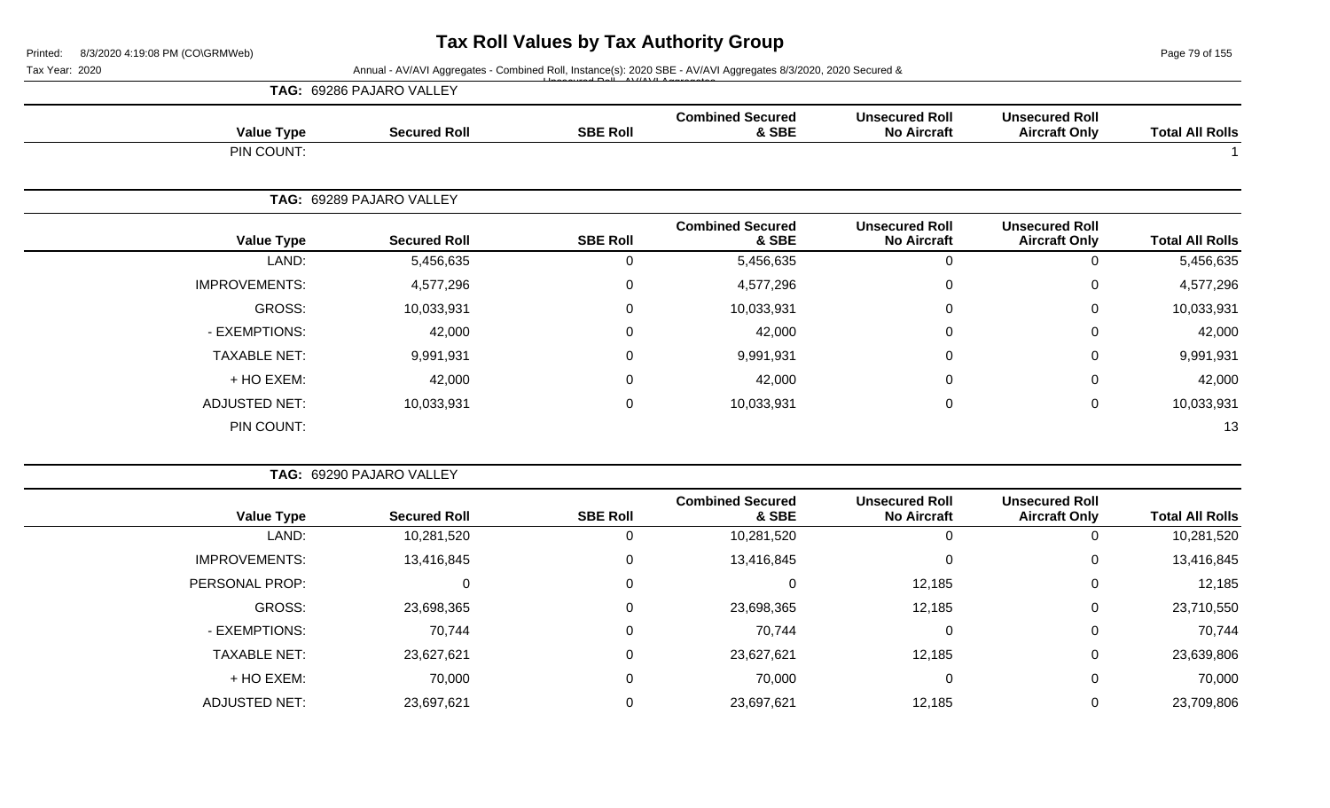Page 79 of 155

|                      | TAG: 69286 PAJARO VALLEY |                 |                                  |                                             |                                               |                        |
|----------------------|--------------------------|-----------------|----------------------------------|---------------------------------------------|-----------------------------------------------|------------------------|
| <b>Value Type</b>    | <b>Secured Roll</b>      | <b>SBE Roll</b> | <b>Combined Secured</b><br>& SBE | <b>Unsecured Roll</b><br><b>No Aircraft</b> | <b>Unsecured Roll</b><br><b>Aircraft Only</b> | <b>Total All Rolls</b> |
| PIN COUNT:           |                          |                 |                                  |                                             |                                               |                        |
|                      | TAG: 69289 PAJARO VALLEY |                 |                                  |                                             |                                               |                        |
| <b>Value Type</b>    | <b>Secured Roll</b>      | <b>SBE Roll</b> | <b>Combined Secured</b><br>& SBE | <b>Unsecured Roll</b><br><b>No Aircraft</b> | <b>Unsecured Roll</b><br><b>Aircraft Only</b> | <b>Total All Rolls</b> |
| LAND:                | 5,456,635                | 0               | 5,456,635                        | $\mathbf 0$                                 | 0                                             | 5,456,635              |
| <b>IMPROVEMENTS:</b> | 4,577,296                | 0               | 4,577,296                        | 0                                           | 0                                             | 4,577,296              |
| GROSS:               | 10,033,931               | 0               | 10,033,931                       | 0                                           | $\mathbf 0$                                   | 10,033,931             |
| - EXEMPTIONS:        | 42,000                   | 0               | 42,000                           | 0                                           | 0                                             | 42,000                 |
| <b>TAXABLE NET:</b>  | 9,991,931                | 0               | 9,991,931                        | $\mathbf 0$                                 | $\mathbf 0$                                   | 9,991,931              |
| + HO EXEM:           | 42,000                   | 0               | 42,000                           | 0                                           | 0                                             | 42,000                 |
| <b>ADJUSTED NET:</b> | 10,033,931               | 0               | 10,033,931                       | 0                                           | $\mathbf 0$                                   | 10,033,931             |
| PIN COUNT:           |                          |                 |                                  |                                             |                                               | 13                     |

|                      | TAG: 69290 PAJARO VALLEY |                 |                                  |                                             |                                               |                        |
|----------------------|--------------------------|-----------------|----------------------------------|---------------------------------------------|-----------------------------------------------|------------------------|
| <b>Value Type</b>    | <b>Secured Roll</b>      | <b>SBE Roll</b> | <b>Combined Secured</b><br>& SBE | <b>Unsecured Roll</b><br><b>No Aircraft</b> | <b>Unsecured Roll</b><br><b>Aircraft Only</b> | <b>Total All Rolls</b> |
| LAND:                | 10,281,520               |                 | 10,281,520                       |                                             | $\mathbf{0}$                                  | 10,281,520             |
| <b>IMPROVEMENTS:</b> | 13,416,845               | 0               | 13,416,845                       |                                             | 0                                             | 13,416,845             |
| PERSONAL PROP:       | U                        | 0               |                                  | 12,185                                      | $\mathbf{0}$                                  | 12,185                 |
| GROSS:               | 23,698,365               | 0               | 23,698,365                       | 12,185                                      | 0                                             | 23,710,550             |
| - EXEMPTIONS:        | 70,744                   | 0               | 70,744                           | $\Omega$                                    | $\overline{0}$                                | 70,744                 |
| <b>TAXABLE NET:</b>  | 23,627,621               | 0               | 23,627,621                       | 12,185                                      | 0                                             | 23,639,806             |
| + HO EXEM:           | 70,000                   | $\mathbf 0$     | 70,000                           |                                             | $\overline{0}$                                | 70,000                 |
| <b>ADJUSTED NET:</b> | 23,697,621               |                 | 23,697,621                       | 12,185                                      | 0                                             | 23,709,806             |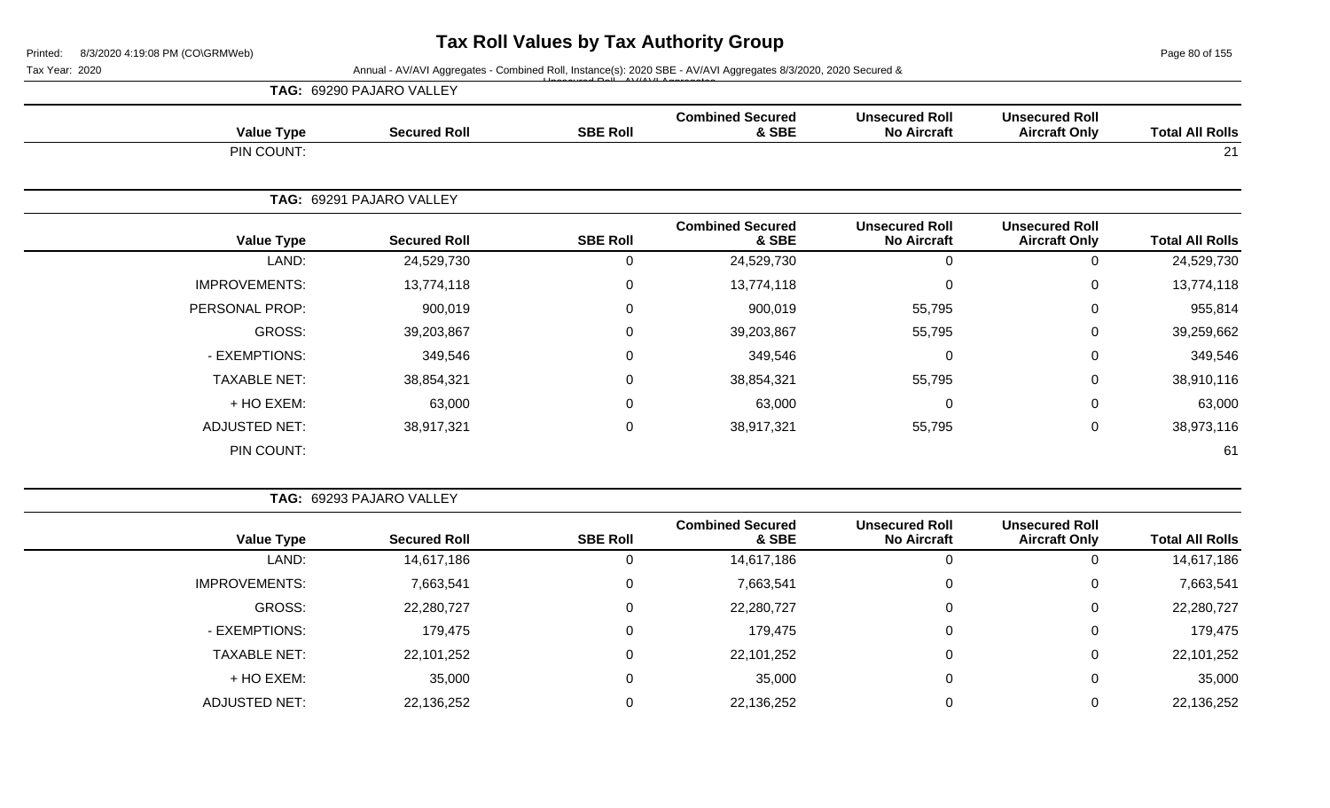Page 80 of 155

|                      | TAG: 69290 PAJARO VALLEY |                 |                                  |                                             |                                               |                        |
|----------------------|--------------------------|-----------------|----------------------------------|---------------------------------------------|-----------------------------------------------|------------------------|
| <b>Value Type</b>    | <b>Secured Roll</b>      | <b>SBE Roll</b> | <b>Combined Secured</b><br>& SBE | <b>Unsecured Roll</b><br><b>No Aircraft</b> | <b>Unsecured Roll</b><br><b>Aircraft Only</b> | <b>Total All Rolls</b> |
| PIN COUNT:           |                          |                 |                                  |                                             |                                               | 21                     |
|                      | TAG: 69291 PAJARO VALLEY |                 |                                  |                                             |                                               |                        |
| <b>Value Type</b>    | <b>Secured Roll</b>      | <b>SBE Roll</b> | <b>Combined Secured</b><br>& SBE | <b>Unsecured Roll</b><br><b>No Aircraft</b> | <b>Unsecured Roll</b><br><b>Aircraft Only</b> | <b>Total All Rolls</b> |
| LAND:                | 24,529,730               | 0               | 24,529,730                       | $\pmb{0}$                                   | 0                                             | 24,529,730             |
| <b>IMPROVEMENTS:</b> | 13,774,118               | 0               | 13,774,118                       | $\pmb{0}$                                   | 0                                             | 13,774,118             |
| PERSONAL PROP:       | 900,019                  | 0               | 900,019                          | 55,795                                      | 0                                             | 955,814                |
| GROSS:               | 39,203,867               | 0               | 39,203,867                       | 55,795                                      | 0                                             | 39,259,662             |
| - EXEMPTIONS:        | 349,546                  | 0               | 349,546                          | 0                                           | 0                                             | 349,546                |
| <b>TAXABLE NET:</b>  | 38,854,321               | $\mathbf 0$     | 38,854,321                       | 55,795                                      | 0                                             | 38,910,116             |
| + HO EXEM:           | 63,000                   | $\mathbf 0$     | 63,000                           | 0                                           | $\mathbf 0$                                   | 63,000                 |
| <b>ADJUSTED NET:</b> | 38,917,321               | $\mathbf 0$     | 38,917,321                       | 55,795                                      | 0                                             | 38,973,116             |
| PIN COUNT:           |                          |                 |                                  |                                             |                                               | 61                     |

|                        |                                               |                                             |                                  |                 | TAG: 69293 PAJARO VALLEY |                      |  |
|------------------------|-----------------------------------------------|---------------------------------------------|----------------------------------|-----------------|--------------------------|----------------------|--|
| <b>Total All Rolls</b> | <b>Unsecured Roll</b><br><b>Aircraft Only</b> | <b>Unsecured Roll</b><br><b>No Aircraft</b> | <b>Combined Secured</b><br>& SBE | <b>SBE Roll</b> | <b>Secured Roll</b>      | <b>Value Type</b>    |  |
| 14,617,186             | 0                                             | 0                                           | 14,617,186                       |                 | 14,617,186               | LAND:                |  |
| 7,663,541              | 0                                             | 0                                           | 7,663,541                        | $\Omega$        | 7,663,541                | <b>IMPROVEMENTS:</b> |  |
| 22,280,727             | 0                                             | 0                                           | 22,280,727                       |                 | 22,280,727               | GROSS:               |  |
| 179,475                | 0                                             | $\mathbf 0$                                 | 179,475                          |                 | 179,475                  | - EXEMPTIONS:        |  |
| 22,101,252             | 0                                             | $\mathbf 0$                                 | 22,101,252                       |                 | 22,101,252               | <b>TAXABLE NET:</b>  |  |
| 35,000                 | 0                                             | $\overline{0}$                              | 35,000                           |                 | 35,000                   | + HO EXEM:           |  |
| 22,136,252             | 0                                             |                                             | 22,136,252                       |                 | 22,136,252               | <b>ADJUSTED NET:</b> |  |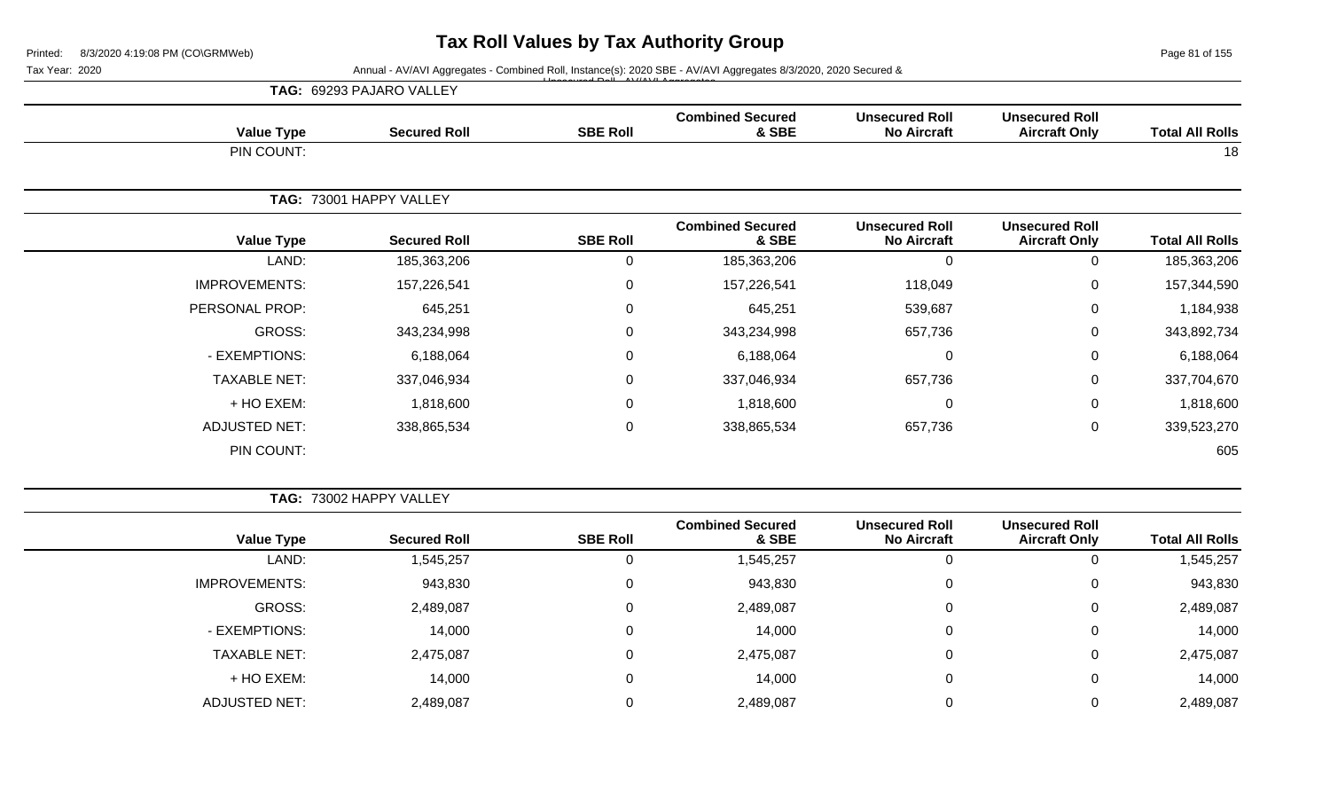Page 81 of 155

Tax Year: 2020 Annual - AV/AVI Aggregates - Combined Roll, Instance(s): 2020 SBE - AV/AVI Aggregates 8/3/2020, 2020 Secured &

|                        |                                               |                                             |                                  |                 | Territori TW//WITGgibgated Compiled Roll, motarico(o). 2020 ODE TW//WITGgibgated Oro/2020, 2020 Octared & |                      | . an Ivai. Lucu |
|------------------------|-----------------------------------------------|---------------------------------------------|----------------------------------|-----------------|-----------------------------------------------------------------------------------------------------------|----------------------|-----------------|
|                        |                                               |                                             |                                  |                 | TAG: 69293 PAJARO VALLEY                                                                                  |                      |                 |
| <b>Total All Rolls</b> | <b>Unsecured Roll</b><br><b>Aircraft Only</b> | <b>Unsecured Roll</b><br><b>No Aircraft</b> | <b>Combined Secured</b><br>& SBE | <b>SBE Roll</b> | <b>Secured Roll</b>                                                                                       | <b>Value Type</b>    |                 |
| 18                     |                                               |                                             |                                  |                 |                                                                                                           | PIN COUNT:           |                 |
|                        |                                               |                                             |                                  |                 | TAG: 73001 HAPPY VALLEY                                                                                   |                      |                 |
| <b>Total All Rolls</b> | <b>Unsecured Roll</b><br><b>Aircraft Only</b> | <b>Unsecured Roll</b><br><b>No Aircraft</b> | <b>Combined Secured</b><br>& SBE | <b>SBE Roll</b> | <b>Secured Roll</b>                                                                                       | <b>Value Type</b>    |                 |
| 185,363,206            | $\mathbf 0$                                   | $\Omega$                                    | 185,363,206                      | $\Omega$        | 185,363,206                                                                                               | LAND:                |                 |
| 157,344,590            | 0                                             | 118,049                                     | 157,226,541                      | 0               | 157,226,541                                                                                               | <b>IMPROVEMENTS:</b> |                 |
| 1,184,938              | $\mathbf 0$                                   | 539,687                                     | 645,251                          | $\Omega$        | 645,251                                                                                                   | PERSONAL PROP:       |                 |
| 343,892,734            | $\mathbf 0$                                   | 657,736                                     | 343,234,998                      | 0               | 343,234,998                                                                                               | GROSS:               |                 |
| 6,188,064              | $\mathbf 0$                                   | $\Omega$                                    | 6,188,064                        | $\Omega$        | 6,188,064                                                                                                 | - EXEMPTIONS:        |                 |
| 337,704,670            | 0                                             | 657,736                                     | 337,046,934                      | $\Omega$        | 337,046,934                                                                                               | <b>TAXABLE NET:</b>  |                 |
| 1,818,600              | $\mathbf 0$                                   | $\Omega$                                    | 1,818,600                        | $\Omega$        | 1,818,600                                                                                                 | + HO EXEM:           |                 |
| 339,523,270            | 0                                             | 657,736                                     | 338,865,534                      | $\pmb{0}$       | 338,865,534                                                                                               | ADJUSTED NET:        |                 |
| 605                    |                                               |                                             |                                  |                 |                                                                                                           | PIN COUNT:           |                 |
|                        |                                               |                                             |                                  |                 |                                                                                                           |                      |                 |

**TAG:** 73002 HAPPY VALLEY **Value Type Secured Roll SBE Roll Combined Secured & SBE Unsecured Roll No Aircraft Unsecured Roll Total All Rolls** LAND: 1,545,257 0 1,545,257 0 0 1,545,257 IMPROVEMENTS: 943,830 943,830 0 943,830 943,830 0 943,830 943,830 0 943,830 GROSS: 2,489,087 0 2,489,087 0 0 2,489,087 - EXEMPTIONS: 14,000 0 14,000 0 0 14,000 TAXABLE NET: 2,475,087 0 2,475,087 0 0 2,475,087 + HO EXEM: 14,000 0 14,000 0 0 14,000 ADJUSTED NET: 2,489,087 0 2,489,087 0 0 2,489,087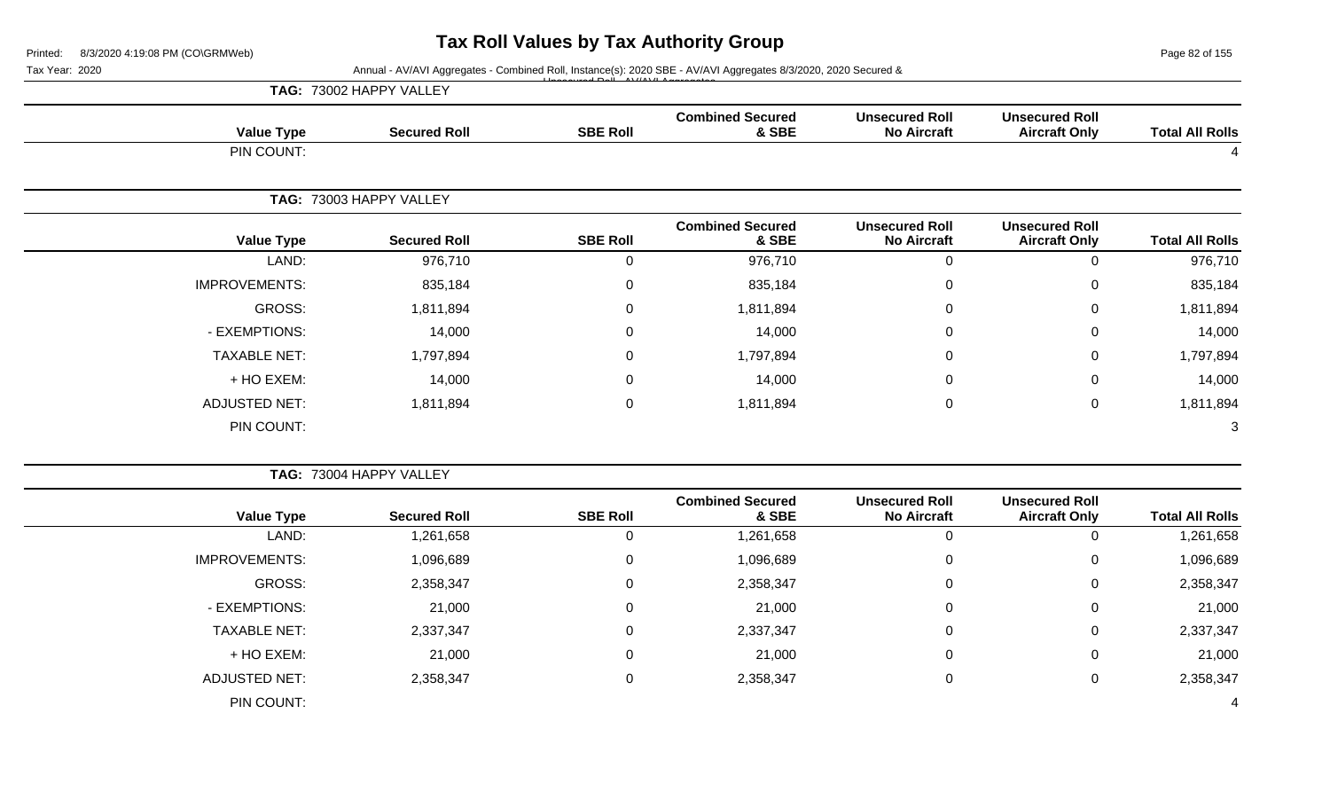Page 82 of 155

| Tax Year: 2020 |                      |                         |                 | Annual - AV/AVI Aggregates - Combined Roll, Instance(s): 2020 SBE - AV/AVI Aggregates 8/3/2020, 2020 Secured & |                                             |                                               |                        |
|----------------|----------------------|-------------------------|-----------------|----------------------------------------------------------------------------------------------------------------|---------------------------------------------|-----------------------------------------------|------------------------|
|                |                      | TAG: 73002 HAPPY VALLEY |                 |                                                                                                                |                                             |                                               |                        |
|                | <b>Value Type</b>    | <b>Secured Roll</b>     | <b>SBE Roll</b> | <b>Combined Secured</b><br>& SBE                                                                               | <b>Unsecured Roll</b><br><b>No Aircraft</b> | <b>Unsecured Roll</b><br><b>Aircraft Only</b> | <b>Total All Rolls</b> |
|                | PIN COUNT:           |                         |                 |                                                                                                                |                                             |                                               |                        |
|                |                      |                         |                 |                                                                                                                |                                             |                                               |                        |
|                |                      | TAG: 73003 HAPPY VALLEY |                 |                                                                                                                |                                             |                                               |                        |
|                | <b>Value Type</b>    | <b>Secured Roll</b>     | <b>SBE Roll</b> | <b>Combined Secured</b><br>& SBE                                                                               | <b>Unsecured Roll</b><br><b>No Aircraft</b> | <b>Unsecured Roll</b><br><b>Aircraft Only</b> | <b>Total All Rolls</b> |
|                | LAND:                | 976,710                 | $\mathbf 0$     | 976,710                                                                                                        | $\mathbf 0$                                 | $\mathbf 0$                                   | 976,710                |
|                | <b>IMPROVEMENTS:</b> | 835,184                 | 0               | 835,184                                                                                                        | $\mathbf 0$                                 | $\pmb{0}$                                     | 835,184                |
|                | <b>GROSS:</b>        | 1,811,894               | 0               | 1,811,894                                                                                                      | 0                                           | $\mathbf 0$                                   | 1,811,894              |
|                | - EXEMPTIONS:        | 14,000                  | 0               | 14,000                                                                                                         | 0                                           | 0                                             | 14,000                 |
|                | <b>TAXABLE NET:</b>  | 1,797,894               | 0               | 1,797,894                                                                                                      | 0                                           | 0                                             | 1,797,894              |
|                | + HO EXEM:           | 14,000                  | $\Omega$        | 14,000                                                                                                         | 0                                           | $\pmb{0}$                                     | 14,000                 |
|                | <b>ADJUSTED NET:</b> | 1,811,894               | 0               | 1,811,894                                                                                                      | $\mathbf 0$                                 | $\mathbf 0$                                   | 1,811,894              |
|                | PIN COUNT:           |                         |                 |                                                                                                                |                                             |                                               | 3                      |
|                |                      | TAG: 73004 HAPPY VALLEY |                 |                                                                                                                |                                             |                                               |                        |
|                | <b>Value Type</b>    | <b>Secured Roll</b>     | <b>SBE Roll</b> | <b>Combined Secured</b><br>& SBE                                                                               | <b>Unsecured Roll</b><br><b>No Aircraft</b> | <b>Unsecured Roll</b><br><b>Aircraft Only</b> | <b>Total All Rolls</b> |
|                | LAND:                | 1,261,658               | $\mathbf 0$     | 1,261,658                                                                                                      | $\mathbf 0$                                 | 0                                             | 1,261,658              |
|                | <b>IMPROVEMENTS:</b> | 1,096,689               | 0               | 1,096,689                                                                                                      | 0                                           | 0                                             | 1,096,689              |
|                | <b>GROSS:</b>        | 2,358,347               | 0               | 2,358,347                                                                                                      | 0                                           | $\pmb{0}$                                     | 2,358,347              |
|                | - EXEMPTIONS:        | 21,000                  | 0               | 21,000                                                                                                         | 0                                           | $\mathbf 0$                                   | 21,000                 |
|                | <b>TAXABLE NET:</b>  | 2,337,347               | 0               | 2,337,347                                                                                                      | 0                                           | 0                                             | 2,337,347              |
|                | + HO EXEM:           | 21,000                  | 0               | 21,000                                                                                                         | 0                                           | 0                                             | 21,000                 |
|                | <b>ADJUSTED NET:</b> | 2,358,347               | 0               | 2,358,347                                                                                                      | 0                                           | $\mathbf 0$                                   | 2,358,347              |
|                |                      |                         |                 |                                                                                                                |                                             |                                               |                        |

PIN COUNT: 4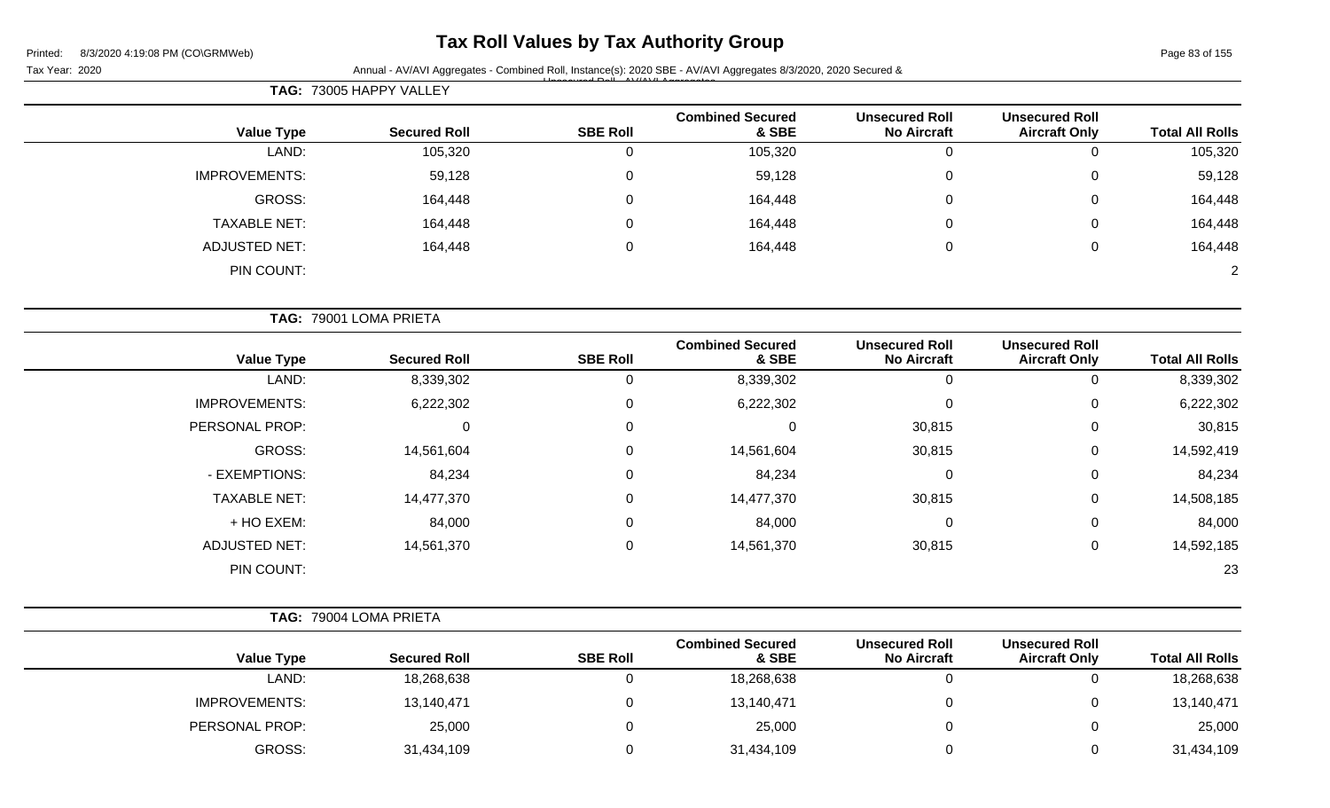### **Tax Roll Values by Tax Authority Group**

Page 83 of 155

|                      | <b>TAG: 73005 HAPPY VALLEY</b> |                 |                                  |                                             |                                               |                        |
|----------------------|--------------------------------|-----------------|----------------------------------|---------------------------------------------|-----------------------------------------------|------------------------|
| <b>Value Type</b>    | <b>Secured Roll</b>            | <b>SBE Roll</b> | <b>Combined Secured</b><br>& SBE | <b>Unsecured Roll</b><br><b>No Aircraft</b> | <b>Unsecured Roll</b><br><b>Aircraft Only</b> | <b>Total All Rolls</b> |
| LAND:                | 105,320                        | U               | 105,320                          | 0                                           |                                               | 105,320                |
| <b>IMPROVEMENTS:</b> | 59,128                         | $\overline{0}$  | 59,128                           | 0                                           | 0                                             | 59,128                 |
| GROSS:               | 164,448                        | 0               | 164,448                          | 0                                           | $\Omega$                                      | 164,448                |
| <b>TAXABLE NET:</b>  | 164,448                        | $\mathbf 0$     | 164,448                          | 0                                           | $\mathbf 0$                                   | 164,448                |
| <b>ADJUSTED NET:</b> | 164,448                        | $\mathbf 0$     | 164,448                          | 0                                           | $\overline{0}$                                | 164,448                |
| PIN COUNT:           |                                |                 |                                  |                                             |                                               | $\overline{2}$         |

|                      | TAG: 79001 LOMA PRIETA |                 |                                  |                                             |                                               |                        |
|----------------------|------------------------|-----------------|----------------------------------|---------------------------------------------|-----------------------------------------------|------------------------|
| <b>Value Type</b>    | <b>Secured Roll</b>    | <b>SBE Roll</b> | <b>Combined Secured</b><br>& SBE | <b>Unsecured Roll</b><br><b>No Aircraft</b> | <b>Unsecured Roll</b><br><b>Aircraft Only</b> | <b>Total All Rolls</b> |
| LAND:                | 8,339,302              | 0               | 8,339,302                        | 0                                           | 0                                             | 8,339,302              |
| <b>IMPROVEMENTS:</b> | 6,222,302              | 0               | 6,222,302                        | 0                                           | 0                                             | 6,222,302              |
| PERSONAL PROP:       | 0                      | $\mathbf 0$     | 0                                | 30,815                                      | 0                                             | 30,815                 |
| GROSS:               | 14,561,604             | 0               | 14,561,604                       | 30,815                                      | 0                                             | 14,592,419             |
| - EXEMPTIONS:        | 84,234                 | 0               | 84,234                           | 0                                           | 0                                             | 84,234                 |
| <b>TAXABLE NET:</b>  | 14,477,370             | 0               | 14,477,370                       | 30,815                                      | 0                                             | 14,508,185             |
| + HO EXEM:           | 84,000                 | 0               | 84,000                           | 0                                           | 0                                             | 84,000                 |
| <b>ADJUSTED NET:</b> | 14,561,370             | $\mathbf 0$     | 14,561,370                       | 30,815                                      | 0                                             | 14,592,185             |
| PIN COUNT:           |                        |                 |                                  |                                             |                                               | 23                     |

| TAG: 79004 LOMA PRIETA |
|------------------------|
|                        |

|                        | <b>Unsecured Roll</b> | <b>Unsecured Roll</b> | <b>Combined Secured</b> |                 |                     |                      |
|------------------------|-----------------------|-----------------------|-------------------------|-----------------|---------------------|----------------------|
| <b>Total All Rolls</b> | <b>Aircraft Only</b>  | <b>No Aircraft</b>    | & SBE                   | <b>SBE Roll</b> | <b>Secured Roll</b> | <b>Value Type</b>    |
| 18,268,638             |                       |                       | 18,268,638              |                 | 18,268,638          | LAND:                |
| 13,140,471             |                       |                       | 13,140,471              |                 | 13,140,471          | <b>IMPROVEMENTS:</b> |
| 25,000                 |                       |                       | 25,000                  |                 | 25,000              | PERSONAL PROP:       |
| 31,434,109             |                       |                       | 31,434,109              |                 | 31,434,109          | GROSS:               |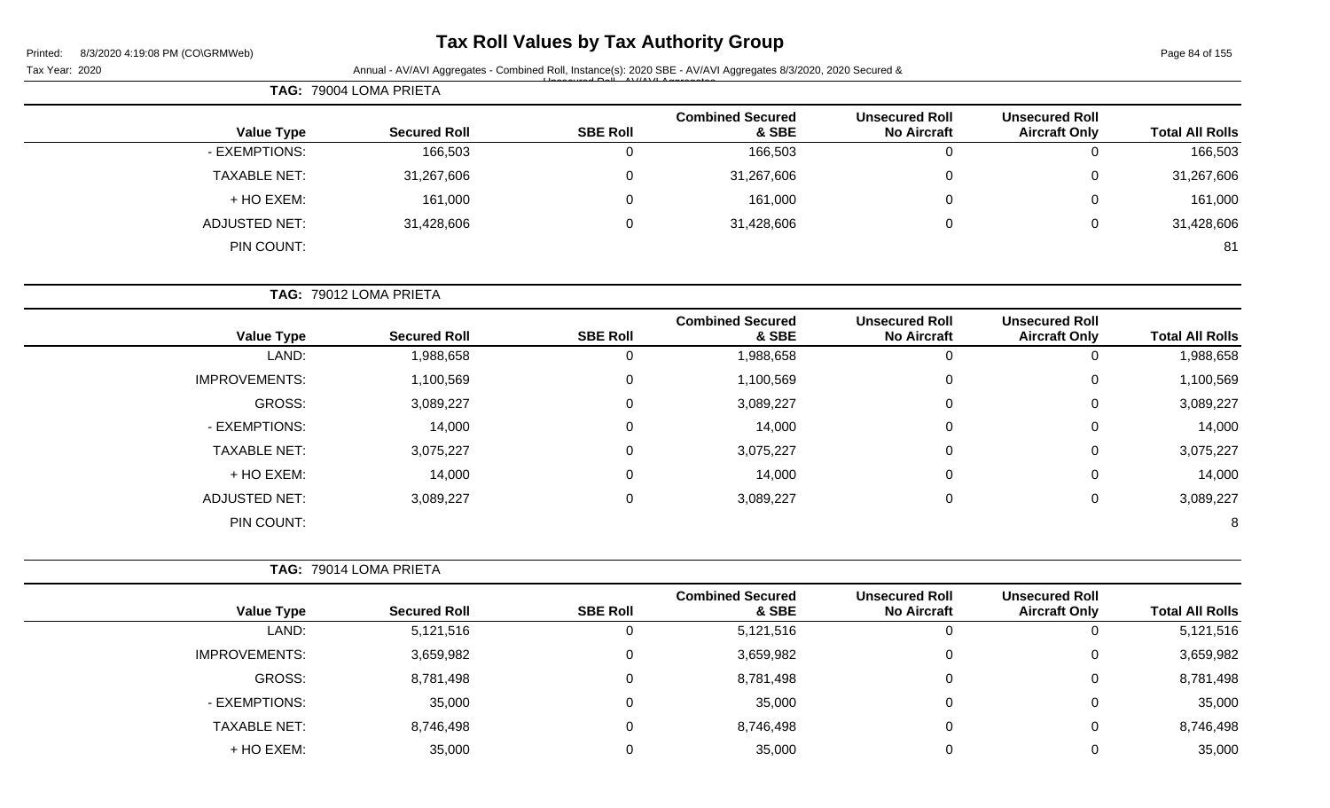| Printed: | 8/3/2020 4:19:08 PM (CO\GRMWeb) |  |
|----------|---------------------------------|--|
|          |                                 |  |

Page 84 of 155

| $1$ ago o <del>r</del> or 100 |                                               |                                             |                                  |                 | Annual - AV/AVI Aggregates - Combined Roll, Instance(s): 2020 SBE - AV/AVI Aggregates 8/3/2020, 2020 Secured & | $0.972020$ - $1.19.0011W$ (00%) $0.01W$<br>Tax Year: 2020 |
|-------------------------------|-----------------------------------------------|---------------------------------------------|----------------------------------|-----------------|----------------------------------------------------------------------------------------------------------------|-----------------------------------------------------------|
|                               |                                               |                                             |                                  |                 | TAG: 79004 LOMA PRIETA                                                                                         |                                                           |
| <b>Total All Rolls</b>        | <b>Unsecured Roll</b><br><b>Aircraft Only</b> | <b>Unsecured Roll</b><br><b>No Aircraft</b> | <b>Combined Secured</b><br>& SBE | <b>SBE Roll</b> | <b>Secured Roll</b>                                                                                            | <b>Value Type</b>                                         |
| 166,503                       | $\Omega$                                      | 0                                           | 166,503                          | $\mathbf 0$     | 166,503                                                                                                        | - EXEMPTIONS:                                             |
| 31,267,606                    | $\Omega$                                      | 0                                           | 31,267,606                       | 0               | 31,267,606                                                                                                     | <b>TAXABLE NET:</b>                                       |
| 161,000                       | $\Omega$                                      | 0                                           | 161,000                          | 0               | 161,000                                                                                                        | + HO EXEM:                                                |
| 31,428,606                    | $\Omega$                                      | $\Omega$                                    | 31,428,606                       | 0               | 31,428,606                                                                                                     | <b>ADJUSTED NET:</b>                                      |
| 81                            |                                               |                                             |                                  |                 |                                                                                                                | PIN COUNT:                                                |
|                               |                                               |                                             |                                  |                 | TAG: 79012 LOMA PRIETA                                                                                         |                                                           |
| <b>Total All Rolls</b>        | <b>Unsecured Roll</b><br><b>Aircraft Only</b> | <b>Unsecured Roll</b><br><b>No Aircraft</b> | <b>Combined Secured</b><br>& SBE | <b>SBE Roll</b> | <b>Secured Roll</b>                                                                                            | <b>Value Type</b>                                         |
| 1,988,658                     | $\mathbf 0$                                   | $\mathbf 0$                                 | 1,988,658                        | $\pmb{0}$       | 1,988,658                                                                                                      | LAND:                                                     |
| 1,100,569                     | $\Omega$                                      | $\Omega$                                    | 1,100,569                        | 0               | 1,100,569                                                                                                      | <b>IMPROVEMENTS:</b>                                      |
| 3,089,227                     | $\Omega$                                      | 0                                           | 3,089,227                        | 0               | 3,089,227                                                                                                      | <b>GROSS:</b>                                             |
| 14,000                        | $\Omega$                                      | 0                                           | 14,000                           | 0               | 14,000                                                                                                         | - EXEMPTIONS:                                             |
| 3,075,227                     | 0                                             | 0                                           | 3,075,227                        | 0               | 3,075,227                                                                                                      | <b>TAXABLE NET:</b>                                       |
| 14,000                        | $\Omega$                                      | 0                                           | 14,000                           | 0               | 14,000                                                                                                         | + HO EXEM:                                                |
| 3,089,227                     | $\mathbf 0$                                   | 0                                           | 3,089,227                        | 0               | 3,089,227                                                                                                      | <b>ADJUSTED NET:</b>                                      |
| 8                             |                                               |                                             |                                  |                 |                                                                                                                | PIN COUNT:                                                |
|                               |                                               |                                             |                                  |                 | TAG: 79014 LOMA PRIETA                                                                                         |                                                           |
| <b>Total All Rolls</b>        | <b>Unsecured Roll</b><br><b>Aircraft Only</b> | <b>Unsecured Roll</b><br><b>No Aircraft</b> | <b>Combined Secured</b><br>& SBE | <b>SBE Roll</b> | <b>Secured Roll</b>                                                                                            | <b>Value Type</b>                                         |
| 5,121,516                     | $\Omega$                                      | $\mathbf 0$                                 | 5,121,516                        | 0               | 5,121,516                                                                                                      | LAND:                                                     |
| 3,659,982                     | $\pmb{0}$                                     | 0                                           | 3,659,982                        | 0               | 3,659,982                                                                                                      | IMPROVEMENTS:                                             |
| 8,781,498                     | $\pmb{0}$                                     | 0                                           | 8,781,498                        | 0               | 8,781,498                                                                                                      | GROSS:                                                    |
| 35,000                        | $\mathbf 0$                                   | 0                                           | 35,000                           | 0               | 35,000                                                                                                         | - EXEMPTIONS:                                             |
| 8,746,498                     | $\pmb{0}$                                     | 0                                           | 8,746,498                        | 0               | 8,746,498                                                                                                      | <b>TAXABLE NET:</b>                                       |
| 35,000                        | $\mathbf 0$                                   | $\Omega$                                    | 35,000                           | 0               | 35,000                                                                                                         | + HO EXEM:                                                |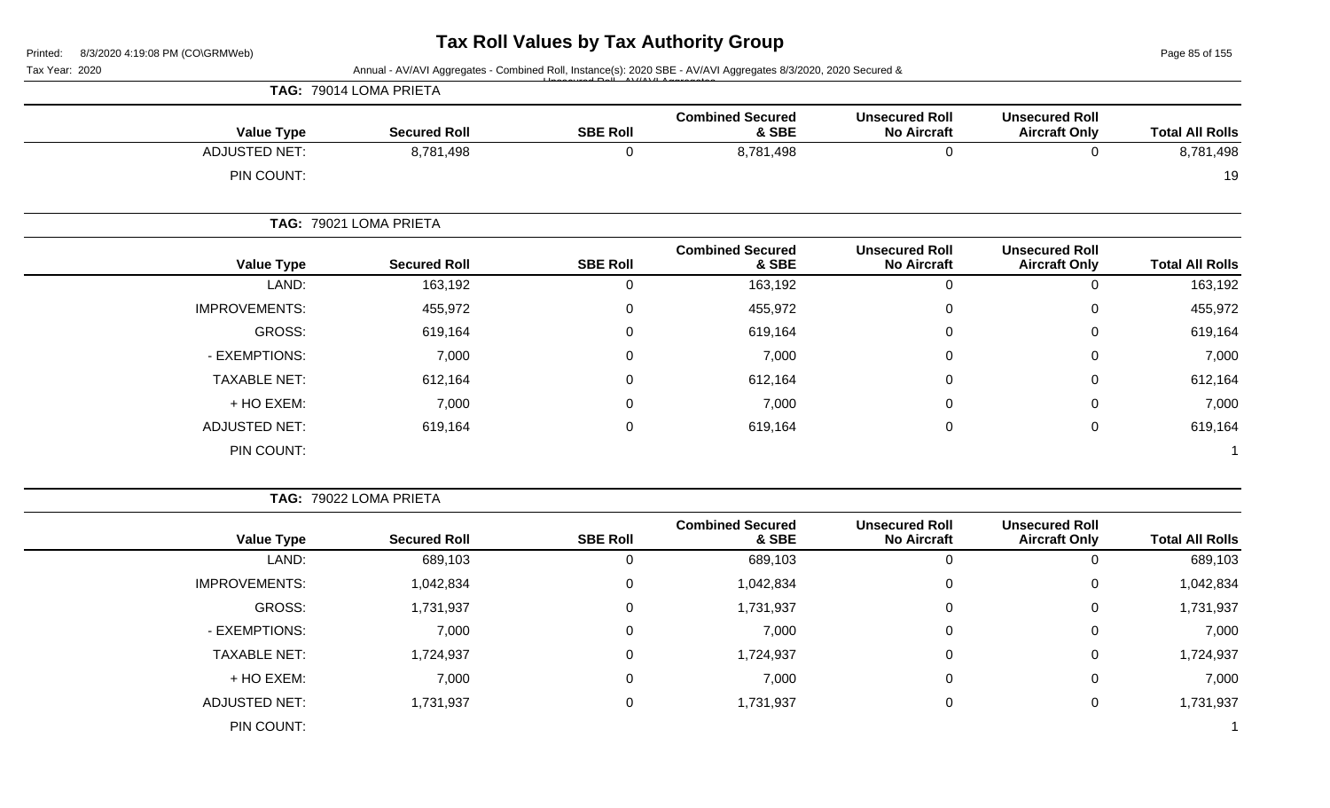Page 85 of 155

| Tax Year: 2020 |                      |                        |                 | Annual - AV/AVI Aggregates - Combined Roll, Instance(s): 2020 SBE - AV/AVI Aggregates 8/3/2020, 2020 Secured & |                                             |                                               |                        |
|----------------|----------------------|------------------------|-----------------|----------------------------------------------------------------------------------------------------------------|---------------------------------------------|-----------------------------------------------|------------------------|
|                |                      | TAG: 79014 LOMA PRIETA |                 |                                                                                                                |                                             |                                               |                        |
|                | <b>Value Type</b>    | <b>Secured Roll</b>    | <b>SBE Roll</b> | <b>Combined Secured</b><br>& SBE                                                                               | <b>Unsecured Roll</b><br><b>No Aircraft</b> | <b>Unsecured Roll</b><br><b>Aircraft Only</b> | <b>Total All Rolls</b> |
|                | <b>ADJUSTED NET:</b> | 8,781,498              | 0               | 8,781,498                                                                                                      | $\pmb{0}$                                   | 0                                             | 8,781,498              |
|                | PIN COUNT:           |                        |                 |                                                                                                                |                                             |                                               | 19                     |
|                |                      | TAG: 79021 LOMA PRIETA |                 |                                                                                                                |                                             |                                               |                        |
|                | <b>Value Type</b>    | <b>Secured Roll</b>    | <b>SBE Roll</b> | <b>Combined Secured</b><br>& SBE                                                                               | <b>Unsecured Roll</b><br><b>No Aircraft</b> | <b>Unsecured Roll</b><br><b>Aircraft Only</b> | <b>Total All Rolls</b> |
|                | LAND:                | 163,192                | 0               | 163,192                                                                                                        | $\pmb{0}$                                   | $\Omega$                                      | 163,192                |
|                | <b>IMPROVEMENTS:</b> | 455,972                | $\mathbf 0$     | 455,972                                                                                                        | 0                                           | 0                                             | 455,972                |
|                | <b>GROSS:</b>        | 619,164                | 0               | 619,164                                                                                                        | 0                                           | 0                                             | 619,164                |
|                | - EXEMPTIONS:        | 7,000                  | 0               | 7,000                                                                                                          | 0                                           | 0                                             | 7,000                  |
|                | <b>TAXABLE NET:</b>  | 612,164                | 0               | 612,164                                                                                                        | 0                                           | 0                                             | 612,164                |
|                | + HO EXEM:           | 7,000                  | 0               | 7,000                                                                                                          | 0                                           | 0                                             | 7,000                  |
|                | <b>ADJUSTED NET:</b> | 619,164                | $\mathbf 0$     | 619,164                                                                                                        | $\pmb{0}$                                   | $\mathbf 0$                                   | 619,164                |
|                | PIN COUNT:           |                        |                 |                                                                                                                |                                             |                                               |                        |
|                |                      | TAG: 79022 LOMA PRIETA |                 |                                                                                                                |                                             |                                               |                        |
|                | <b>Value Type</b>    | <b>Secured Roll</b>    | <b>SBE Roll</b> | <b>Combined Secured</b><br>& SBE                                                                               | <b>Unsecured Roll</b><br><b>No Aircraft</b> | <b>Unsecured Roll</b><br><b>Aircraft Only</b> | <b>Total All Rolls</b> |

| <b>Total All Rolls</b> | UNSecured Roll<br><b>Aircraft Only</b> | UNSecured Roll<br><b>No Aircraft</b> | Compined Secured<br>& SBE | <b>SBE Roll</b> | <b>Secured Roll</b> | <b>Value Type</b>    |
|------------------------|----------------------------------------|--------------------------------------|---------------------------|-----------------|---------------------|----------------------|
| 689,103                |                                        |                                      | 689,103                   | 0               | 689,103             | LAND:                |
| 1,042,834              | 0                                      | 0                                    | 1,042,834                 | 0               | 1,042,834           | <b>IMPROVEMENTS:</b> |
| 1,731,937              | 0                                      | $\mathbf 0$                          | 1,731,937                 | 0               | 1,731,937           | GROSS:               |
| 7,000                  | $\Omega$                               | 0                                    | 7,000                     | 0               | 7,000               | - EXEMPTIONS:        |
| 1,724,937              | 0                                      | 0                                    | 1,724,937                 | $\overline{0}$  | 1,724,937           | <b>TAXABLE NET:</b>  |
| 7,000                  | 0                                      | 0                                    | 7,000                     | $\mathbf 0$     | 7,000               | + HO EXEM:           |
| 1,731,937              |                                        | 0                                    | 1,731,937                 | $\overline{0}$  | 1,731,937           | <b>ADJUSTED NET:</b> |
|                        |                                        |                                      |                           |                 |                     | PIN COUNT:           |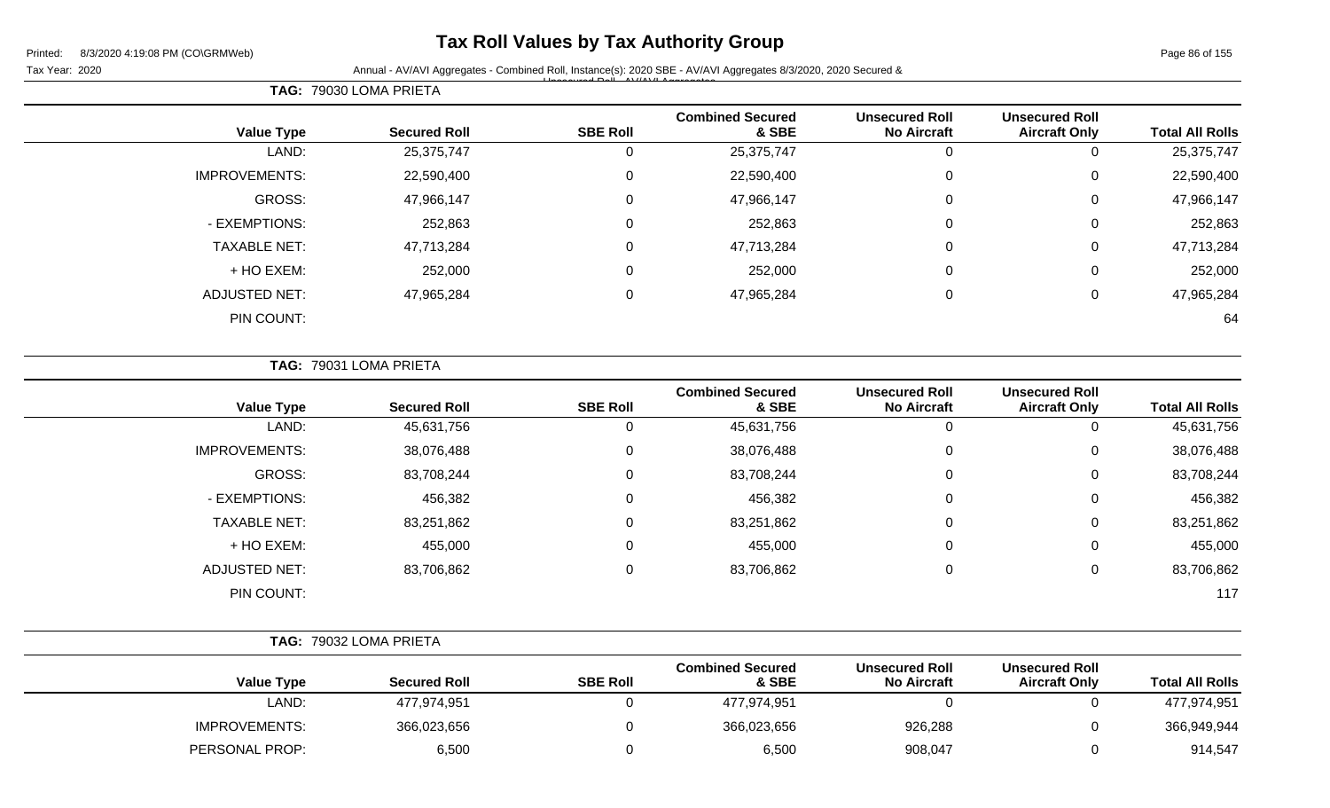### **Tax Roll Values by Tax Authority Group**

Unsecured Roll - AV/AVI Aggregates

Tax Year: 2020 **Annual - AV/AVI Aggregates - Combined Roll, Instance(s): 2020 SBE - AV/AVI Aggregates 8/3/2020, 2020 Secured &** 

**TAG:** 79030 LOMA PRIETA **Value Type Secured Roll SBE Roll Combined Secured & SBE Unsecured Roll No Aircraft Unsecured Roll Total All Rolls** LAND: 25,375,747 0 25,375,747 0 0 25,375,747 IMPROVEMENTS: 22,590,400 0 22,590,400 22,590,400 GROSS: 47,966,147 0 47,966,147 0 0 47,966,147 - EXEMPTIONS: 252,863 0 252,863 0 0 252,863 TAXABLE NET: 47,713,284 0 47,713,284 0 0 47,713,284 + HO EXEM: 252,000 0 252,000 0 0 252,000 ADJUSTED NET: 47,965,284 0 47,965,284 0 0 47,965,284 PIN COUNT: 64

**TAG:** 79031 LOMA PRIETA

| <b>Value Type</b>    | <b>Secured Roll</b> | <b>SBE Roll</b> | <b>Combined Secured</b><br>& SBE | <b>Unsecured Roll</b><br><b>No Aircraft</b> | <b>Unsecured Roll</b><br><b>Aircraft Only</b> | <b>Total All Rolls</b> |
|----------------------|---------------------|-----------------|----------------------------------|---------------------------------------------|-----------------------------------------------|------------------------|
| LAND:                | 45,631,756          |                 | 45,631,756                       | 0                                           | 0                                             | 45,631,756             |
| <b>IMPROVEMENTS:</b> | 38,076,488          |                 | 38,076,488                       | 0                                           | 0                                             | 38,076,488             |
| <b>GROSS:</b>        | 83,708,244          |                 | 83,708,244                       | 0                                           | 0                                             | 83,708,244             |
| - EXEMPTIONS:        | 456,382             |                 | 456,382                          | 0                                           | 0                                             | 456,382                |
| <b>TAXABLE NET:</b>  | 83,251,862          |                 | 83,251,862                       | 0                                           | 0                                             | 83,251,862             |
| + HO EXEM:           | 455,000             |                 | 455,000                          | 0                                           | 0                                             | 455,000                |
| <b>ADJUSTED NET:</b> | 83,706,862          | 0               | 83,706,862                       | 0                                           | 0                                             | 83,706,862             |
| PIN COUNT:           |                     |                 |                                  |                                             |                                               | 117                    |
|                      |                     |                 |                                  |                                             |                                               |                        |

|                      | <b>TAG: 79032 LOMA PRIETA</b> |                 |                                  |                                             |                                               |                        |
|----------------------|-------------------------------|-----------------|----------------------------------|---------------------------------------------|-----------------------------------------------|------------------------|
| <b>Value Type</b>    | <b>Secured Roll</b>           | <b>SBE Roll</b> | <b>Combined Secured</b><br>& SBE | <b>Unsecured Roll</b><br><b>No Aircraft</b> | <b>Unsecured Roll</b><br><b>Aircraft Only</b> | <b>Total All Rolls</b> |
| LAND:                | 477,974,951                   |                 | 477,974,951                      |                                             |                                               | 477,974,951            |
| <b>IMPROVEMENTS:</b> | 366,023,656                   |                 | 366,023,656                      | 926,288                                     |                                               | 366,949,944            |
| PERSONAL PROP:       | 6,500                         |                 | 6,500                            | 908,047                                     |                                               | 914,547                |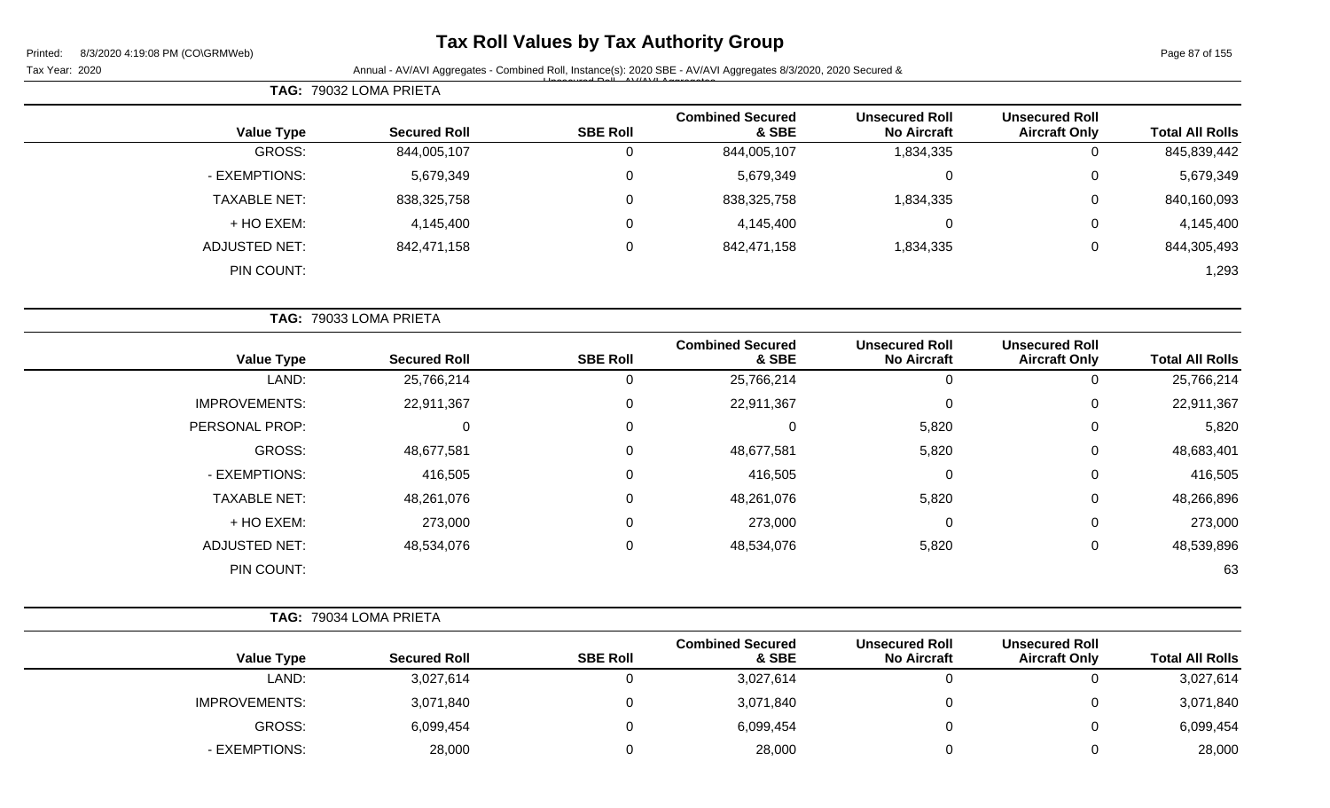# **Tax Roll Values by Tax Authority Group**

Page 87 of 155

| Printed:<br>8/3/2020 4:19:08 PM (CO\GRMWeb)<br>Tax Year: 2020 |                        |                 | Annual - AV/AVI Aggregates - Combined Roll, Instance(s): 2020 SBE - AV/AVI Aggregates 8/3/2020, 2020 Secured & |                                             |                                               | Page 87 of 155         |
|---------------------------------------------------------------|------------------------|-----------------|----------------------------------------------------------------------------------------------------------------|---------------------------------------------|-----------------------------------------------|------------------------|
|                                                               | TAG: 79032 LOMA PRIETA |                 |                                                                                                                |                                             |                                               |                        |
| <b>Value Type</b>                                             | <b>Secured Roll</b>    | <b>SBE Roll</b> | <b>Combined Secured</b><br>& SBE                                                                               | <b>Unsecured Roll</b><br><b>No Aircraft</b> | <b>Unsecured Roll</b><br><b>Aircraft Only</b> | <b>Total All Rolls</b> |
| <b>GROSS:</b>                                                 | 844,005,107            | 0               | 844,005,107                                                                                                    | 1,834,335                                   | $\mathbf 0$                                   | 845,839,442            |
| - EXEMPTIONS:                                                 | 5,679,349              | 0               | 5,679,349                                                                                                      | $\mathbf 0$                                 | 0                                             | 5,679,349              |
| <b>TAXABLE NET:</b>                                           | 838,325,758            | 0               | 838,325,758                                                                                                    | 1,834,335                                   | 0                                             | 840,160,093            |
| + HO EXEM:                                                    | 4,145,400              | 0               | 4,145,400                                                                                                      | 0                                           | 0                                             | 4,145,400              |
| <b>ADJUSTED NET:</b>                                          | 842,471,158            | 0               | 842,471,158                                                                                                    | 1,834,335                                   | 0                                             | 844,305,493            |
| PIN COUNT:                                                    |                        |                 |                                                                                                                |                                             |                                               | 1,293                  |
|                                                               | TAG: 79033 LOMA PRIETA |                 |                                                                                                                |                                             |                                               |                        |
| <b>Value Type</b>                                             | <b>Secured Roll</b>    | <b>SBE Roll</b> | <b>Combined Secured</b><br>& SBE                                                                               | <b>Unsecured Roll</b><br><b>No Aircraft</b> | <b>Unsecured Roll</b><br><b>Aircraft Only</b> | <b>Total All Rolls</b> |
| LAND:                                                         | 25,766,214             | $\mathbf 0$     | 25,766,214                                                                                                     | $\mathbf 0$                                 | $\mathbf 0$                                   | 25,766,214             |
| <b>IMPROVEMENTS:</b>                                          | 22,911,367             | 0               | 22,911,367                                                                                                     | 0                                           | 0                                             | 22,911,367             |
| PERSONAL PROP:                                                | $\Omega$               | 0               | 0                                                                                                              | 5,820                                       | 0                                             | 5,820                  |
| GROSS:                                                        | 48,677,581             | 0               | 48,677,581                                                                                                     | 5,820                                       | 0                                             | 48,683,401             |
| - EXEMPTIONS:                                                 | 416,505                | 0               | 416,505                                                                                                        | 0                                           | 0                                             | 416,505                |
| <b>TAXABLE NET:</b>                                           | 48,261,076             | 0               | 48,261,076                                                                                                     | 5,820                                       | 0                                             | 48,266,896             |
| + HO EXEM:                                                    | 273,000                | 0               | 273,000                                                                                                        | 0                                           | 0                                             | 273,000                |
| <b>ADJUSTED NET:</b>                                          | 48,534,076             | 0               | 48,534,076                                                                                                     | 5,820                                       | 0                                             | 48,539,896             |
| PIN COUNT:                                                    |                        |                 |                                                                                                                |                                             |                                               | 63                     |
|                                                               | TAG: 79034 LOMA PRIETA |                 |                                                                                                                |                                             |                                               |                        |
| <b>Value Type</b>                                             | <b>Secured Roll</b>    | <b>SBE Roll</b> | <b>Combined Secured</b><br>& SBE                                                                               | <b>Unsecured Roll</b><br><b>No Aircraft</b> | <b>Unsecured Roll</b><br><b>Aircraft Only</b> | <b>Total All Rolls</b> |
| LAND:                                                         | 3,027,614              | $\mathbf 0$     | 3,027,614                                                                                                      | 0                                           | $\mathbf 0$                                   | 3,027,614              |
| <b>IMPROVEMENTS:</b>                                          | 3,071,840              | 0               | 3,071,840                                                                                                      | 0                                           | 0                                             | 3,071,840              |
| GROSS:                                                        | 6,099,454              | 0               | 6,099,454                                                                                                      | 0                                           | 0                                             | 6,099,454              |
| - EXEMPTIONS:                                                 | 28,000                 | 0               | 28,000                                                                                                         | $\mathbf 0$                                 | 0                                             | 28,000                 |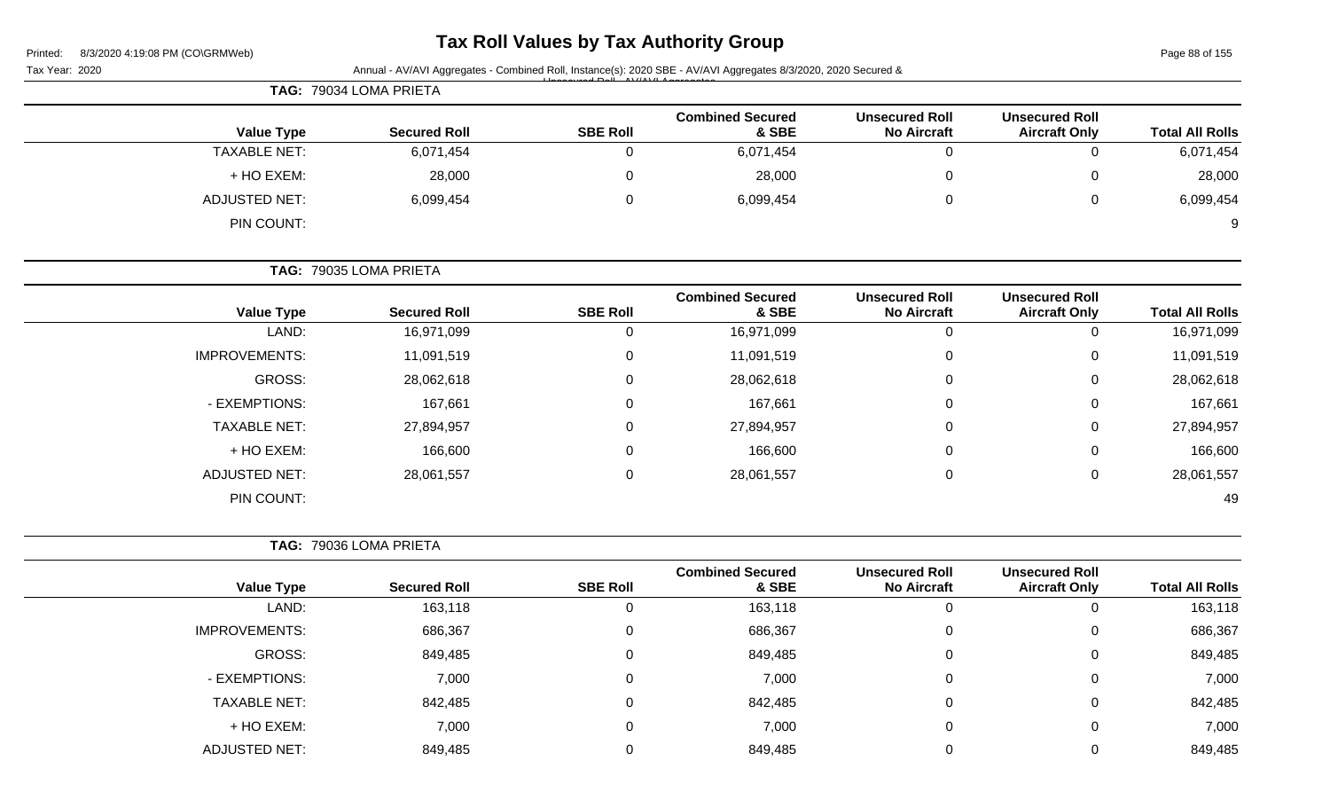| Printed: | 8/3/2020 4:19:08 PM (CO\GRMWeb) |  |
|----------|---------------------------------|--|

# **Tax Roll Values by Tax Authority Group**

Page 88 of 155

|                        |                                               |                                             | Annual - AV/AVI Aggregates - Combined Roll, Instance(s): 2020 SBE - AV/AVI Aggregates 8/3/2020, 2020 Secured & |                 |                        | Tax Year: 2020       |
|------------------------|-----------------------------------------------|---------------------------------------------|----------------------------------------------------------------------------------------------------------------|-----------------|------------------------|----------------------|
|                        |                                               |                                             |                                                                                                                |                 | TAG: 79034 LOMA PRIETA |                      |
| <b>Total All Rolls</b> | <b>Unsecured Roll</b><br><b>Aircraft Only</b> | <b>Unsecured Roll</b><br><b>No Aircraft</b> | <b>Combined Secured</b><br>& SBE                                                                               | <b>SBE Roll</b> | <b>Secured Roll</b>    | <b>Value Type</b>    |
| 6,071,454              | 0                                             | $\mathbf 0$                                 | 6,071,454                                                                                                      | 0               | 6,071,454              | <b>TAXABLE NET:</b>  |
| 28,000                 | 0                                             | 0                                           | 28,000                                                                                                         | 0               | 28,000                 | + HO EXEM:           |
| 6,099,454              | 0                                             | 0                                           | 6,099,454                                                                                                      | 0               | 6,099,454              | <b>ADJUSTED NET:</b> |
|                        |                                               |                                             |                                                                                                                |                 |                        | PIN COUNT:           |
|                        |                                               |                                             |                                                                                                                |                 | TAG: 79035 LOMA PRIETA |                      |
| <b>Total All Rolls</b> | <b>Unsecured Roll</b><br><b>Aircraft Only</b> | <b>Unsecured Roll</b><br><b>No Aircraft</b> | <b>Combined Secured</b><br>& SBE                                                                               | <b>SBE Roll</b> | <b>Secured Roll</b>    | <b>Value Type</b>    |
| 16,971,099             | 0                                             | $\mathbf 0$                                 | 16,971,099                                                                                                     | 0               | 16,971,099             | LAND:                |
| 11,091,519             | 0                                             | 0                                           | 11,091,519                                                                                                     | 0               | 11,091,519             | <b>IMPROVEMENTS:</b> |
| 28,062,618             | 0                                             | $\Omega$                                    | 28,062,618                                                                                                     | 0               | 28,062,618             | <b>GROSS:</b>        |
| 167,661                | 0                                             | 0                                           | 167,661                                                                                                        | 0               | 167,661                | - EXEMPTIONS:        |
| 27,894,957             | 0                                             | 0                                           | 27,894,957                                                                                                     | $\mathbf 0$     | 27,894,957             | <b>TAXABLE NET:</b>  |
| 166,600                | 0                                             | 0                                           | 166,600                                                                                                        | $\mathbf 0$     | 166,600                | + HO EXEM:           |
| 28,061,557             | 0                                             | 0                                           | 28,061,557                                                                                                     | $\mathbf 0$     | 28,061,557             | <b>ADJUSTED NET:</b> |
| 49                     |                                               |                                             |                                                                                                                |                 |                        | PIN COUNT:           |
|                        |                                               |                                             |                                                                                                                |                 | TAG: 79036 LOMA PRIETA |                      |
| <b>Total All Rolls</b> | <b>Unsecured Roll</b><br><b>Aircraft Only</b> | <b>Unsecured Roll</b><br><b>No Aircraft</b> | <b>Combined Secured</b><br>& SBE                                                                               | <b>SBE Roll</b> | <b>Secured Roll</b>    | <b>Value Type</b>    |
| 163,118                | 0                                             | $\mathbf 0$                                 | 163,118                                                                                                        | $\mathbf 0$     | 163,118                | LAND:                |
| 686,367                | 0                                             | 0                                           | 686,367                                                                                                        | 0               | 686,367                | <b>IMPROVEMENTS:</b> |
| 849,485                | 0                                             | $\mathbf 0$                                 | 849,485                                                                                                        | 0               | 849,485                | GROSS:               |
| 7,000                  | 0                                             | $\pmb{0}$                                   | 7,000                                                                                                          | $\mathbf 0$     | 7,000                  | - EXEMPTIONS:        |
| 842,485                | 0                                             | $\mathbf 0$                                 | 842,485                                                                                                        | 0               | 842,485                | <b>TAXABLE NET:</b>  |
| 7,000                  | 0                                             | $\mathbf 0$                                 | 7,000                                                                                                          | $\mathbf 0$     | 7,000                  | + HO EXEM:           |
|                        | 0                                             | $\mathbf 0$                                 | 849,485                                                                                                        | 0               | 849,485                | <b>ADJUSTED NET:</b> |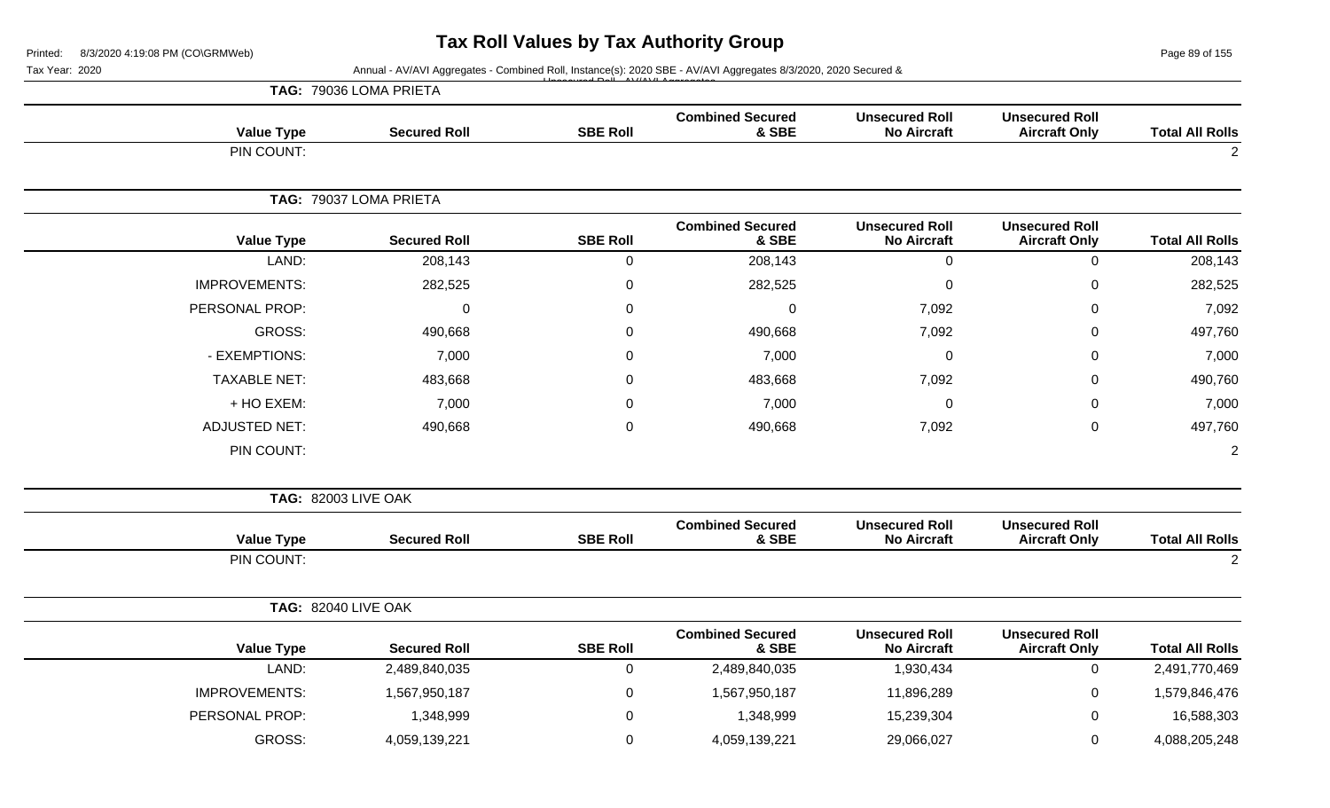Page 89 of 155

| Tax Year: 2020             | Annual - AV/AVI Aggregates - Combined Roll, Instance(s): 2020 SBE - AV/AVI Aggregates 8/3/2020, 2020 Secured & |                 |                                  |                                             |                                               |                        |
|----------------------------|----------------------------------------------------------------------------------------------------------------|-----------------|----------------------------------|---------------------------------------------|-----------------------------------------------|------------------------|
|                            | TAG: 79036 LOMA PRIETA                                                                                         |                 |                                  |                                             |                                               |                        |
| <b>Value Type</b>          | <b>Secured Roll</b>                                                                                            | <b>SBE Roll</b> | <b>Combined Secured</b><br>& SBE | <b>Unsecured Roll</b><br><b>No Aircraft</b> | <b>Unsecured Roll</b><br><b>Aircraft Only</b> | <b>Total All Rolls</b> |
| PIN COUNT:                 |                                                                                                                |                 |                                  |                                             |                                               | $\overline{2}$         |
|                            | TAG: 79037 LOMA PRIETA                                                                                         |                 |                                  |                                             |                                               |                        |
| <b>Value Type</b>          | <b>Secured Roll</b>                                                                                            | <b>SBE Roll</b> | <b>Combined Secured</b><br>& SBE | <b>Unsecured Roll</b><br><b>No Aircraft</b> | <b>Unsecured Roll</b><br><b>Aircraft Only</b> | <b>Total All Rolls</b> |
| LAND:                      | 208,143                                                                                                        | $\pmb{0}$       | 208,143                          | $\mathbf 0$                                 | $\pmb{0}$                                     | 208,143                |
| <b>IMPROVEMENTS:</b>       | 282,525                                                                                                        | $\mathbf{0}$    | 282,525                          | $\mathbf 0$                                 | $\mathbf 0$                                   | 282,525                |
| PERSONAL PROP:             | 0                                                                                                              | $\mathbf{0}$    | $\mathbf 0$                      | 7,092                                       | 0                                             | 7,092                  |
| <b>GROSS:</b>              | 490,668                                                                                                        | 0               | 490,668                          | 7,092                                       | 0                                             | 497,760                |
| - EXEMPTIONS:              | 7,000                                                                                                          | $\Omega$        | 7,000                            | $\mathbf 0$                                 | $\mathbf 0$                                   | 7,000                  |
| <b>TAXABLE NET:</b>        | 483,668                                                                                                        | $\Omega$        | 483,668                          | 7,092                                       | $\mathbf 0$                                   | 490,760                |
| + HO EXEM:                 | 7,000                                                                                                          | $\Omega$        | 7,000                            | $\mathbf 0$                                 | $\mathbf 0$                                   | 7,000                  |
| <b>ADJUSTED NET:</b>       | 490,668                                                                                                        | $\mathbf 0$     | 490,668                          | 7,092                                       | $\mathbf 0$                                   | 497,760                |
| PIN COUNT:                 |                                                                                                                |                 |                                  |                                             |                                               | $\overline{2}$         |
| <b>TAG: 82003 LIVE OAK</b> |                                                                                                                |                 |                                  |                                             |                                               |                        |
| <b>Value Type</b>          | <b>Secured Roll</b>                                                                                            | <b>SBE Roll</b> | <b>Combined Secured</b><br>& SBE | <b>Unsecured Roll</b><br><b>No Aircraft</b> | <b>Unsecured Roll</b><br><b>Aircraft Only</b> | <b>Total All Rolls</b> |
| PIN COUNT:                 |                                                                                                                |                 |                                  |                                             |                                               | 2                      |
| <b>TAG: 82040 LIVE OAK</b> |                                                                                                                |                 |                                  |                                             |                                               |                        |
| <b>Value Type</b>          | <b>Secured Roll</b>                                                                                            | <b>SBE Roll</b> | <b>Combined Secured</b><br>& SBE | <b>Unsecured Roll</b><br><b>No Aircraft</b> | <b>Unsecured Roll</b><br><b>Aircraft Only</b> | <b>Total All Rolls</b> |
| LAND:                      | 2,489,840,035                                                                                                  | $\mathbf 0$     | 2,489,840,035                    | 1,930,434                                   | $\mathbf 0$                                   | 2,491,770,469          |
| <b>IMPROVEMENTS:</b>       | 1,567,950,187                                                                                                  | $\mathbf 0$     | 1,567,950,187                    | 11,896,289                                  | $\pmb{0}$                                     | 1,579,846,476          |
| PERSONAL PROP:             | 1,348,999                                                                                                      | $\Omega$        | 1,348,999                        | 15,239,304                                  | 0                                             | 16,588,303             |
| <b>GROSS:</b>              | 4,059,139,221                                                                                                  | $\mathbf 0$     | 4,059,139,221                    | 29,066,027                                  | $\mathbf 0$                                   | 4,088,205,248          |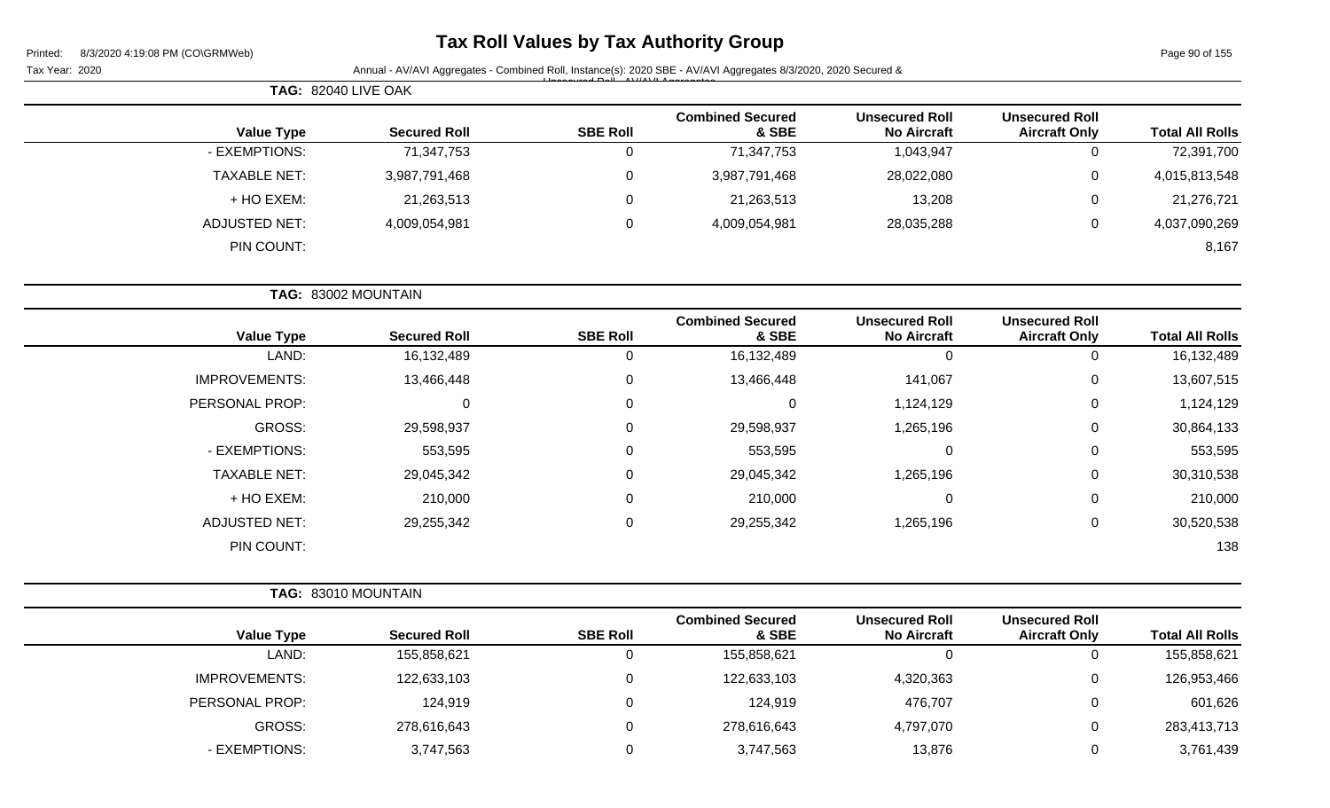| Printed: |  | 8/3/2020 4:19:08 PM (CO\GRMWeb) |  |
|----------|--|---------------------------------|--|
|          |  |                                 |  |

# **Tax Roll Values by Tax Authority Group**

Page 90 of 155

|                        |                                               |                                             |                                  |                 |                     | <b>TAG: 82040 LIVE OAK</b> |
|------------------------|-----------------------------------------------|---------------------------------------------|----------------------------------|-----------------|---------------------|----------------------------|
| <b>Total All Rolls</b> | <b>Unsecured Roll</b><br><b>Aircraft Only</b> | <b>Unsecured Roll</b><br><b>No Aircraft</b> | <b>Combined Secured</b><br>& SBE | <b>SBE Roll</b> | <b>Secured Roll</b> | <b>Value Type</b>          |
| 72,391,700             | 0                                             | 1,043,947                                   | 71,347,753                       | 0               | 71,347,753          | - EXEMPTIONS:              |
| 4,015,813,548          | 0                                             | 28,022,080                                  | 3,987,791,468                    | $\mathbf 0$     | 3,987,791,468       | <b>TAXABLE NET:</b>        |
| 21,276,721             | 0                                             | 13,208                                      | 21,263,513                       | 0               | 21,263,513          | + HO EXEM:                 |
| 4,037,090,269          | 0                                             | 28,035,288                                  | 4,009,054,981                    | $\mathbf 0$     | 4,009,054,981       | <b>ADJUSTED NET:</b>       |
| 8,167                  |                                               |                                             |                                  |                 |                     | PIN COUNT:                 |
|                        |                                               |                                             |                                  |                 |                     | TAG: 83002 MOUNTAIN        |
| <b>Total All Rolls</b> | <b>Unsecured Roll</b><br><b>Aircraft Only</b> | <b>Unsecured Roll</b><br><b>No Aircraft</b> | <b>Combined Secured</b><br>& SBE | <b>SBE Roll</b> | <b>Secured Roll</b> | <b>Value Type</b>          |
| 16,132,489             | $\mathsf 0$                                   | 0                                           | 16,132,489                       | $\mathbf 0$     | 16,132,489          | LAND:                      |
| 13,607,515             | 0                                             | 141,067                                     | 13,466,448                       | 0               | 13,466,448          | <b>IMPROVEMENTS:</b>       |
| 1,124,129              | 0                                             | 1,124,129                                   | $\mathbf 0$                      | 0               | 0                   | PERSONAL PROP:             |
| 30,864,133             | 0                                             | 1,265,196                                   | 29,598,937                       | 0               | 29,598,937          | GROSS:                     |
| 553,595                | 0                                             | 0                                           | 553,595                          | 0               | 553,595             | - EXEMPTIONS:              |
| 30,310,538             | 0                                             | 1,265,196                                   | 29,045,342                       | 0               | 29,045,342          | <b>TAXABLE NET:</b>        |
| 210,000                | 0                                             | $\Omega$                                    | 210,000                          | 0               | 210,000             | + HO EXEM:                 |
| 30,520,538             | $\mathbf 0$                                   | 1,265,196                                   | 29,255,342                       | 0               | 29,255,342          | <b>ADJUSTED NET:</b>       |
| 138                    |                                               |                                             |                                  |                 |                     | PIN COUNT:                 |
|                        |                                               |                                             |                                  |                 |                     | TAG: 83010 MOUNTAIN        |
| <b>Total All Rolls</b> | <b>Unsecured Roll</b><br><b>Aircraft Only</b> | <b>Unsecured Roll</b><br><b>No Aircraft</b> | <b>Combined Secured</b><br>& SBE | <b>SBE Roll</b> | <b>Secured Roll</b> | <b>Value Type</b>          |
| 155,858,621            | $\mathsf{O}$                                  | $\mathbf 0$                                 | 155,858,621                      | $\mathbf 0$     | 155,858,621         | LAND:                      |
| 126,953,466            | $\boldsymbol{0}$                              | 4,320,363                                   | 122,633,103                      | $\mathbf 0$     | 122,633,103         | <b>IMPROVEMENTS:</b>       |
| 601,626                | $\pmb{0}$                                     | 476,707                                     | 124,919                          | $\mathbf 0$     | 124,919             | PERSONAL PROP:             |
| 283,413,713            | $\pmb{0}$                                     | 4,797,070                                   | 278,616,643                      | $\mathbf 0$     | 278,616,643         | GROSS:                     |
| 3,761,439              | $\pmb{0}$                                     | 13,876                                      | 3,747,563                        | $\mathbf 0$     | 3,747,563           | - EXEMPTIONS:              |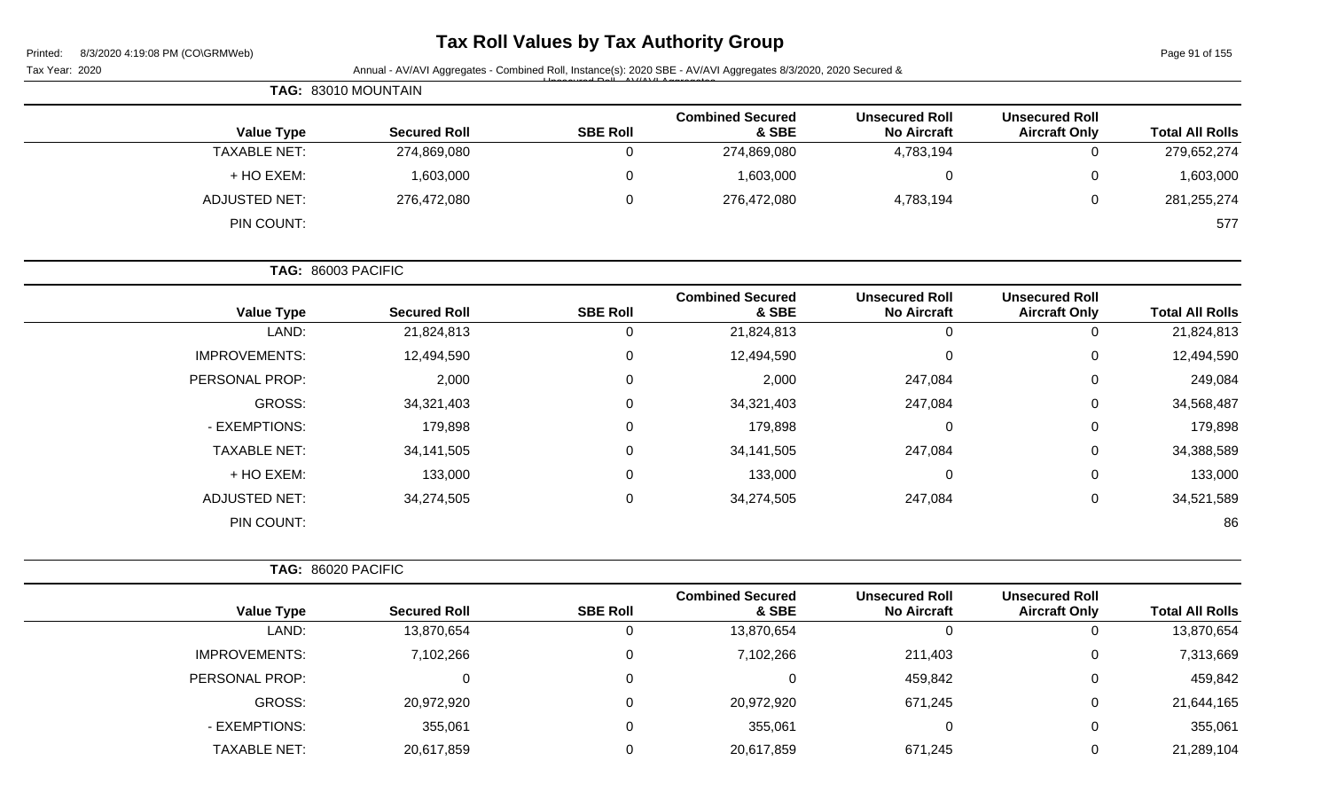| 8/3/2020 4:19:08 PM (CO\GRMWeb) |
|---------------------------------|
|                                 |

### **Tax Roll Values by Tax Authority Group**

Page 91 of 155

| Tax Year: 2020       |                     |                 | Annual - AV/AVI Aggregates - Combined Roll, Instance(s): 2020 SBE - AV/AVI Aggregates 8/3/2020, 2020 Secured & |                                             |                                               |                        |
|----------------------|---------------------|-----------------|----------------------------------------------------------------------------------------------------------------|---------------------------------------------|-----------------------------------------------|------------------------|
|                      | TAG: 83010 MOUNTAIN |                 |                                                                                                                |                                             |                                               |                        |
| <b>Value Type</b>    | <b>Secured Roll</b> | <b>SBE Roll</b> | <b>Combined Secured</b><br>& SBE                                                                               | <b>Unsecured Roll</b><br><b>No Aircraft</b> | <b>Unsecured Roll</b><br><b>Aircraft Only</b> | <b>Total All Rolls</b> |
| <b>TAXABLE NET:</b>  | 274,869,080         | 0               | 274,869,080                                                                                                    | 4,783,194                                   | $\mathbf 0$                                   | 279,652,274            |
| + HO EXEM:           | 1,603,000           | 0               | 1,603,000                                                                                                      | 0                                           | 0                                             | 1,603,000              |
| <b>ADJUSTED NET:</b> | 276,472,080         | 0               | 276,472,080                                                                                                    | 4,783,194                                   | 0                                             | 281,255,274            |
| PIN COUNT:           |                     |                 |                                                                                                                |                                             |                                               | 577                    |
| TAG: 86003 PACIFIC   |                     |                 |                                                                                                                |                                             |                                               |                        |
| <b>Value Type</b>    | <b>Secured Roll</b> | <b>SBE Roll</b> | <b>Combined Secured</b><br>& SBE                                                                               | <b>Unsecured Roll</b><br><b>No Aircraft</b> | <b>Unsecured Roll</b><br><b>Aircraft Only</b> | <b>Total All Rolls</b> |
| LAND:                | 21,824,813          | $\mathbf 0$     | 21,824,813                                                                                                     | $\mathbf 0$                                 | $\mathbf 0$                                   | 21,824,813             |
| <b>IMPROVEMENTS:</b> | 12,494,590          | 0               | 12,494,590                                                                                                     | $\pmb{0}$                                   | 0                                             | 12,494,590             |
| PERSONAL PROP:       | 2,000               | 0               | 2,000                                                                                                          | 247,084                                     | 0                                             | 249,084                |
| <b>GROSS:</b>        | 34,321,403          | 0               | 34,321,403                                                                                                     | 247,084                                     | 0                                             | 34,568,487             |
| - EXEMPTIONS:        | 179,898             | 0               | 179,898                                                                                                        | 0                                           | 0                                             | 179,898                |
| <b>TAXABLE NET:</b>  | 34, 141, 505        | 0               | 34, 141, 505                                                                                                   | 247,084                                     | 0                                             | 34,388,589             |
| + HO EXEM:           | 133,000             | 0               | 133,000                                                                                                        | 0                                           | 0                                             | 133,000                |
| <b>ADJUSTED NET:</b> | 34,274,505          | 0               | 34,274,505                                                                                                     | 247,084                                     | 0                                             | 34,521,589             |
| PIN COUNT:           |                     |                 |                                                                                                                |                                             |                                               | 86                     |
| TAG: 86020 PACIFIC   |                     |                 |                                                                                                                |                                             |                                               |                        |
| <b>Value Type</b>    | <b>Secured Roll</b> | <b>SBE Roll</b> | <b>Combined Secured</b><br>& SBE                                                                               | <b>Unsecured Roll</b><br><b>No Aircraft</b> | <b>Unsecured Roll</b><br><b>Aircraft Only</b> | <b>Total All Rolls</b> |
| LAND:                | 13,870,654          | $\mathbf 0$     | 13,870,654                                                                                                     | $\mathbf 0$                                 | 0                                             | 13,870,654             |
| <b>IMPROVEMENTS:</b> | 7,102,266           | $\mathbf 0$     | 7,102,266                                                                                                      | 211,403                                     | $\pmb{0}$                                     | 7,313,669              |
| PERSONAL PROP:       | 0                   | 0               | 0                                                                                                              | 459,842                                     | 0                                             | 459,842                |
| GROSS:               | 20,972,920          | 0               | 20,972,920                                                                                                     | 671,245                                     | 0                                             | 21,644,165             |
| - EXEMPTIONS:        | 355,061             | 0               | 355,061                                                                                                        | $\pmb{0}$                                   | 0                                             | 355,061                |
| <b>TAXABLE NET:</b>  | 20,617,859          |                 | 20,617,859                                                                                                     | 671,245                                     | 0                                             | 21,289,104             |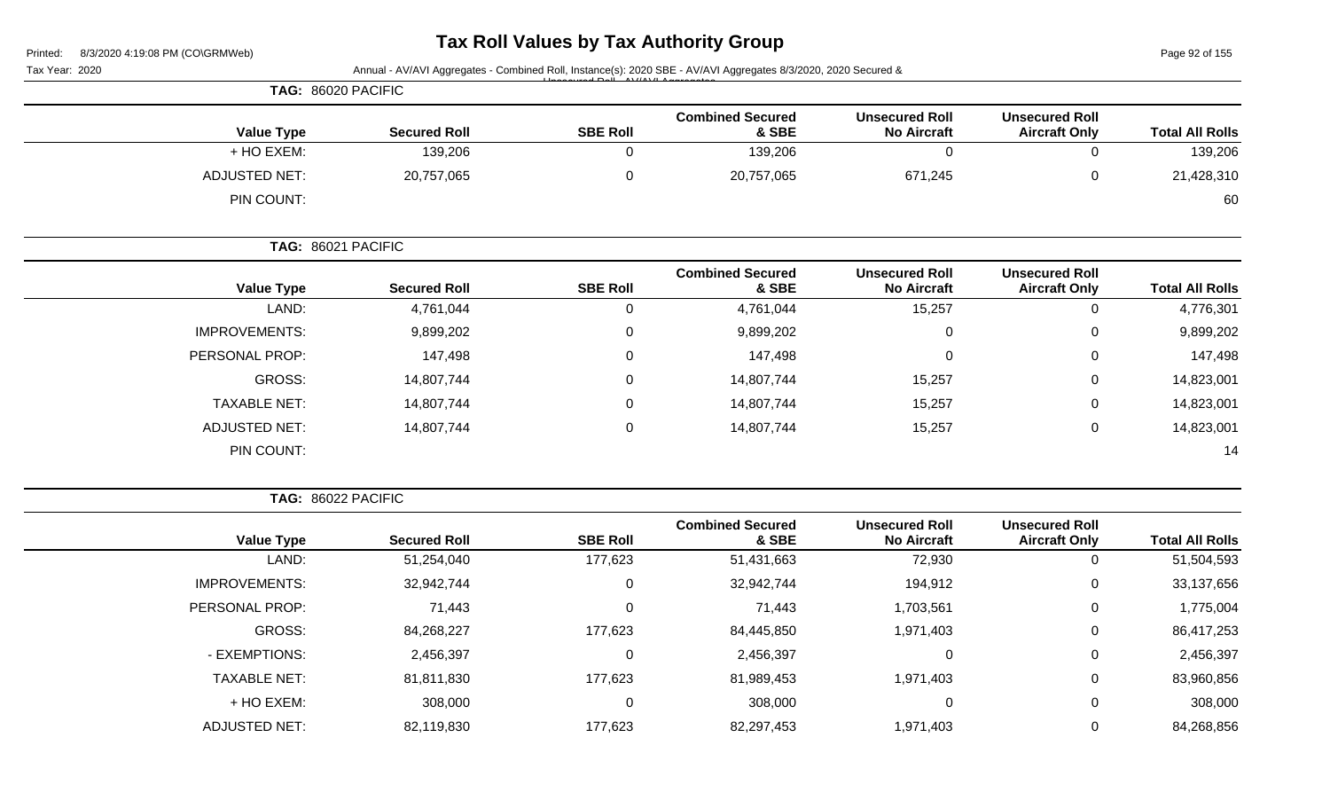# **Tax Roll Values by Tax Authority Group**

Page 92 of 155

| Tax Year: 2020 |                      | Annual - AV/AVI Aggregates - Combined Roll, Instance(s): 2020 SBE - AV/AVI Aggregates 8/3/2020, 2020 Secured & |                 |                                  |                                             |                                               |                                                                                                                                                                      |
|----------------|----------------------|----------------------------------------------------------------------------------------------------------------|-----------------|----------------------------------|---------------------------------------------|-----------------------------------------------|----------------------------------------------------------------------------------------------------------------------------------------------------------------------|
|                | TAG: 86020 PACIFIC   |                                                                                                                |                 |                                  |                                             |                                               |                                                                                                                                                                      |
|                | <b>Value Type</b>    | <b>Secured Roll</b>                                                                                            | <b>SBE Roll</b> | <b>Combined Secured</b><br>& SBE | <b>Unsecured Roll</b><br><b>No Aircraft</b> | <b>Unsecured Roll</b><br><b>Aircraft Only</b> |                                                                                                                                                                      |
|                | + HO EXEM:           | 139,206                                                                                                        | 0               | 139,206                          | $\mathbf 0$                                 | $\mathbf 0$                                   |                                                                                                                                                                      |
|                | <b>ADJUSTED NET:</b> | 20,757,065                                                                                                     | 0               | 20,757,065                       | 671,245                                     | 0                                             |                                                                                                                                                                      |
|                | PIN COUNT:           |                                                                                                                |                 |                                  |                                             |                                               |                                                                                                                                                                      |
|                | TAG: 86021 PACIFIC   |                                                                                                                |                 |                                  |                                             |                                               |                                                                                                                                                                      |
|                | <b>Value Type</b>    | <b>Secured Roll</b>                                                                                            | <b>SBE Roll</b> | <b>Combined Secured</b><br>& SBE | <b>Unsecured Roll</b><br><b>No Aircraft</b> | <b>Unsecured Roll</b><br><b>Aircraft Only</b> |                                                                                                                                                                      |
|                | LAND:                | 4,761,044                                                                                                      | 0               | 4,761,044                        | 15,257                                      | $\mathbf 0$                                   |                                                                                                                                                                      |
|                | <b>IMPROVEMENTS:</b> | 9,899,202                                                                                                      | 0               | 9,899,202                        | 0                                           | 0                                             |                                                                                                                                                                      |
|                | PERSONAL PROP:       | 147,498                                                                                                        | 0               | 147,498                          | $\mathbf 0$                                 | 0                                             |                                                                                                                                                                      |
|                | GROSS:               | 14,807,744                                                                                                     | 0               | 14,807,744                       | 15,257                                      | 0                                             |                                                                                                                                                                      |
|                | <b>TAXABLE NET:</b>  | 14,807,744                                                                                                     | 0               | 14,807,744                       | 15,257                                      | 0                                             |                                                                                                                                                                      |
|                | <b>ADJUSTED NET:</b> | 14,807,744                                                                                                     | 0               | 14,807,744                       | 15,257                                      | $\mathbf 0$                                   |                                                                                                                                                                      |
|                | PIN COUNT:           |                                                                                                                |                 |                                  |                                             |                                               |                                                                                                                                                                      |
|                | TAG: 86022 PACIFIC   |                                                                                                                |                 |                                  |                                             |                                               | <b>Total All Rolls</b><br>139,206<br>21,428,310<br>60<br><b>Total All Rolls</b><br>4,776,301<br>9,899,202<br>147,498<br>14,823,001<br>14,823,001<br>14,823,001<br>14 |
|                |                      |                                                                                                                |                 | <b>Combined Secured</b>          | <b>Unsecured Roll</b>                       | <b>Unsecured Roll</b>                         |                                                                                                                                                                      |

| <b>Total All Rolls</b> | <b>Unsecured Roll</b><br><b>Aircraft Only</b> | <b>Unsecured Roll</b><br><b>No Aircraft</b> | <b>Combined Secured</b><br>& SBE | <b>SBE Roll</b> | <b>Secured Roll</b> | <b>Value Type</b>    |
|------------------------|-----------------------------------------------|---------------------------------------------|----------------------------------|-----------------|---------------------|----------------------|
| 51,504,593             |                                               | 72,930                                      | 51,431,663                       | 177,623         | 51,254,040          | LAND:                |
| 33,137,656             | 0                                             | 194,912                                     | 32,942,744                       | 0               | 32,942,744          | <b>IMPROVEMENTS:</b> |
| 1,775,004              | 0                                             | 1,703,561                                   | 71,443                           | 0               | 71,443              | PERSONAL PROP:       |
| 86,417,253             | 0                                             | 1,971,403                                   | 84,445,850                       | 177,623         | 84,268,227          | GROSS:               |
| 2,456,397              | 0                                             | 0                                           | 2,456,397                        | 0               | 2,456,397           | - EXEMPTIONS:        |
| 83,960,856             | 0                                             | 1,971,403                                   | 81,989,453                       | 177,623         | 81,811,830          | <b>TAXABLE NET:</b>  |
| 308,000                | 0                                             | 0                                           | 308,000                          | 0               | 308,000             | + HO EXEM:           |
| 84,268,856             |                                               | 1,971,403                                   | 82,297,453                       | 177,623         | 82,119,830          | <b>ADJUSTED NET:</b> |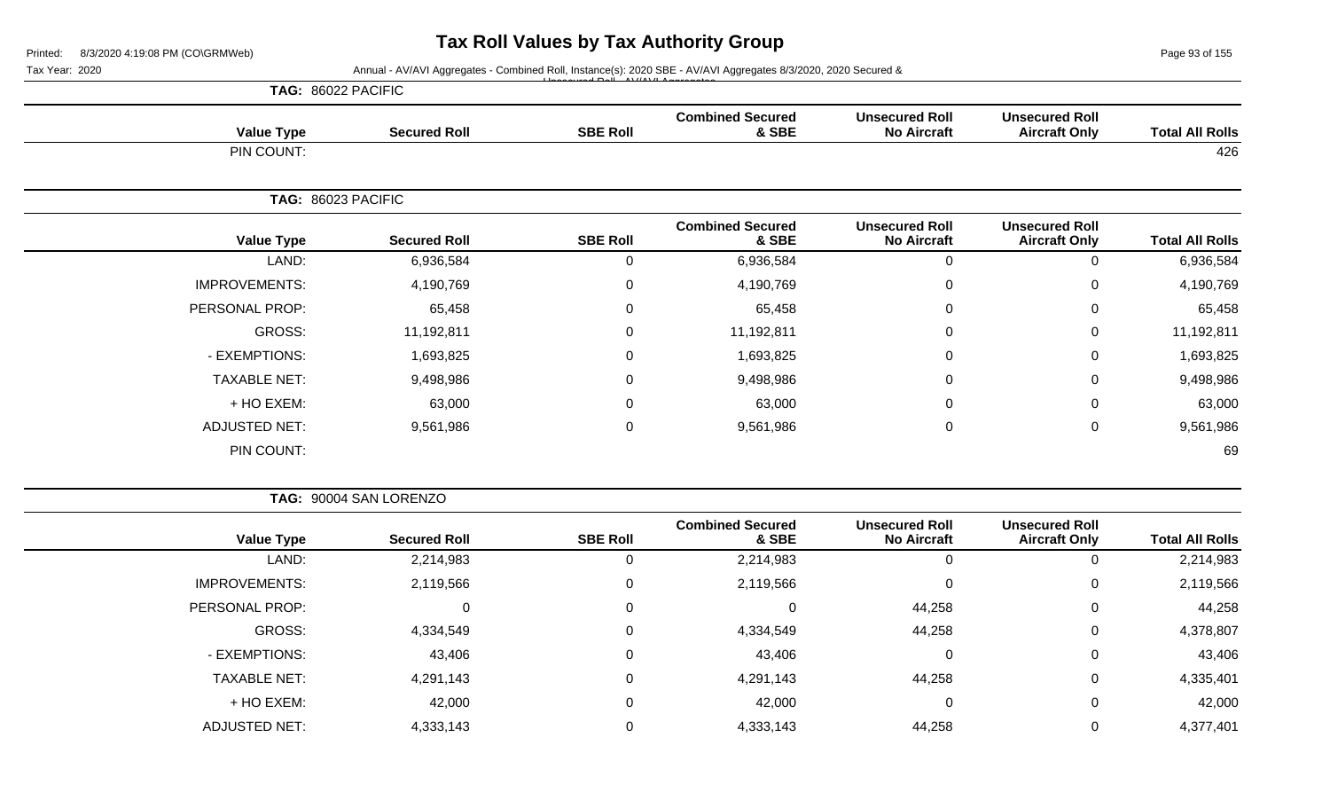Page 93 of 155

| Tax Year: 2020       |                     |                 | Annual - AV/AVI Aggregates - Combined Roll, Instance(s): 2020 SBE - AV/AVI Aggregates 8/3/2020, 2020 Secured & |                                             |                                               |                        |
|----------------------|---------------------|-----------------|----------------------------------------------------------------------------------------------------------------|---------------------------------------------|-----------------------------------------------|------------------------|
|                      | TAG: 86022 PACIFIC  |                 |                                                                                                                |                                             |                                               |                        |
| <b>Value Type</b>    | <b>Secured Roll</b> | <b>SBE Roll</b> | <b>Combined Secured</b><br>& SBE                                                                               | <b>Unsecured Roll</b><br><b>No Aircraft</b> | <b>Unsecured Roll</b><br><b>Aircraft Only</b> | <b>Total All Rolls</b> |
| PIN COUNT:           |                     |                 |                                                                                                                |                                             |                                               | 426                    |
|                      | TAG: 86023 PACIFIC  |                 |                                                                                                                |                                             |                                               |                        |
| <b>Value Type</b>    | <b>Secured Roll</b> | <b>SBE Roll</b> | <b>Combined Secured</b><br>& SBE                                                                               | <b>Unsecured Roll</b><br><b>No Aircraft</b> | <b>Unsecured Roll</b><br><b>Aircraft Only</b> | <b>Total All Rolls</b> |
| LAND:                | 6,936,584           | $\mathbf 0$     | 6,936,584                                                                                                      | $\mathbf 0$                                 | 0                                             | 6,936,584              |
| <b>IMPROVEMENTS:</b> | 4,190,769           | $\mathbf 0$     | 4,190,769                                                                                                      | 0                                           | 0                                             | 4,190,769              |
| PERSONAL PROP:       | 65,458              | $\mathbf 0$     | 65,458                                                                                                         | 0                                           | 0                                             | 65,458                 |
| <b>GROSS:</b>        | 11,192,811          | $\mathbf 0$     | 11,192,811                                                                                                     | $\mathbf 0$                                 | $\mathbf 0$                                   | 11,192,811             |
| - EXEMPTIONS:        | 1,693,825           | $\mathbf 0$     | 1,693,825                                                                                                      | $\mathbf 0$                                 | 0                                             | 1,693,825              |
| <b>TAXABLE NET:</b>  | 9,498,986           | $\mathbf 0$     | 9,498,986                                                                                                      | $\mathbf 0$                                 | 0                                             | 9,498,986              |
| + HO EXEM:           | 63,000              | $\mathbf 0$     | 63,000                                                                                                         | $\mathbf 0$                                 | 0                                             | 63,000                 |
| <b>ADJUSTED NET:</b> | 9,561,986           | $\mathbf 0$     | 9,561,986                                                                                                      | $\mathbf 0$                                 | 0                                             | 9,561,986              |
| PIN COUNT:           |                     |                 |                                                                                                                |                                             |                                               | 69                     |
|                      |                     |                 |                                                                                                                |                                             |                                               |                        |

|  |  | TAG: 90004 SAN LORENZO |  |
|--|--|------------------------|--|
|--|--|------------------------|--|

|                      |                     |                 | <b>Combined Secured</b> | <b>Unsecured Roll</b> | <b>Unsecured Roll</b> |                        |
|----------------------|---------------------|-----------------|-------------------------|-----------------------|-----------------------|------------------------|
| <b>Value Type</b>    | <b>Secured Roll</b> | <b>SBE Roll</b> | & SBE                   | <b>No Aircraft</b>    | <b>Aircraft Only</b>  | <b>Total All Rolls</b> |
| LAND:                | 2,214,983           | 0               | 2,214,983               | $\overline{0}$        |                       | 2,214,983              |
| <b>IMPROVEMENTS:</b> | 2,119,566           | 0               | 2,119,566               | $\overline{0}$        | 0                     | 2,119,566              |
| PERSONAL PROP:       |                     | 0               | 0                       | 44,258                | 0                     | 44,258                 |
| GROSS:               | 4,334,549           | 0               | 4,334,549               | 44,258                | 0                     | 4,378,807              |
| - EXEMPTIONS:        | 43,406              | 0               | 43,406                  | $\overline{0}$        |                       | 43,406                 |
| <b>TAXABLE NET:</b>  | 4,291,143           | 0               | 4,291,143               | 44,258                | 0                     | 4,335,401              |
| + HO EXEM:           | 42,000              | 0               | 42,000                  | 0                     |                       | 42,000                 |
| <b>ADJUSTED NET:</b> | 4,333,143           | 0               | 4,333,143               | 44,258                |                       | 4,377,401              |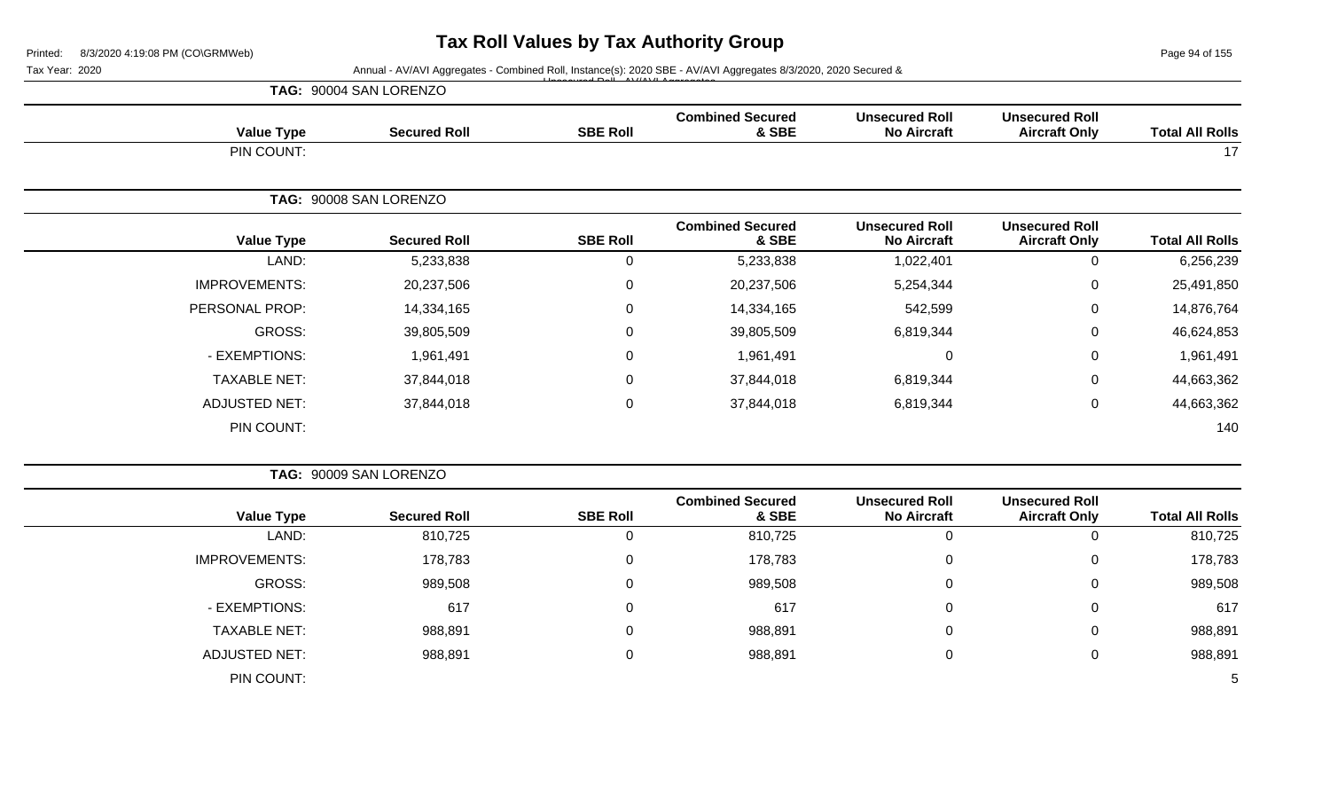Page 94 of 155

|                      | TAG: 90004 SAN LORENZO |                 |                                  |                                             |                                               |                        |  |
|----------------------|------------------------|-----------------|----------------------------------|---------------------------------------------|-----------------------------------------------|------------------------|--|
| <b>Value Type</b>    | <b>Secured Roll</b>    | <b>SBE Roll</b> | <b>Combined Secured</b><br>& SBE | <b>Unsecured Roll</b><br><b>No Aircraft</b> | <b>Unsecured Roll</b><br><b>Aircraft Only</b> | <b>Total All Rolls</b> |  |
| PIN COUNT:           |                        |                 |                                  |                                             |                                               | 17                     |  |
|                      | TAG: 90008 SAN LORENZO |                 |                                  |                                             |                                               |                        |  |
| <b>Value Type</b>    | <b>Secured Roll</b>    | <b>SBE Roll</b> | <b>Combined Secured</b><br>& SBE | <b>Unsecured Roll</b><br><b>No Aircraft</b> | <b>Unsecured Roll</b><br><b>Aircraft Only</b> | <b>Total All Rolls</b> |  |
| LAND:                | 5,233,838              | 0               | 5,233,838                        | 1,022,401                                   | 0                                             | 6,256,239              |  |
| <b>IMPROVEMENTS:</b> | 20,237,506             | 0               | 20,237,506                       | 5,254,344                                   | $\mathbf 0$                                   | 25,491,850             |  |
| PERSONAL PROP:       | 14,334,165             | 0               | 14,334,165                       | 542,599                                     | $\mathbf 0$                                   | 14,876,764             |  |
| GROSS:               | 39,805,509             | 0               | 39,805,509                       | 6,819,344                                   | $\mathbf 0$                                   | 46,624,853             |  |
| - EXEMPTIONS:        | 1,961,491              | $\mathbf 0$     | 1,961,491                        | $\mathbf 0$                                 | $\mathbf 0$                                   | 1,961,491              |  |
| <b>TAXABLE NET:</b>  | 37,844,018             | $\mathbf 0$     | 37,844,018                       | 6,819,344                                   | 0                                             | 44,663,362             |  |
| <b>ADJUSTED NET:</b> | 37,844,018             | 0               | 37,844,018                       | 6,819,344                                   | $\mathbf 0$                                   | 44,663,362             |  |
| PIN COUNT:           |                        |                 |                                  |                                             |                                               | 140                    |  |

|                        |                                               |                                             |                                  |                 | TAG: 90009 SAN LORENZO |                      |
|------------------------|-----------------------------------------------|---------------------------------------------|----------------------------------|-----------------|------------------------|----------------------|
| <b>Total All Rolls</b> | <b>Unsecured Roll</b><br><b>Aircraft Only</b> | <b>Unsecured Roll</b><br><b>No Aircraft</b> | <b>Combined Secured</b><br>& SBE | <b>SBE Roll</b> | <b>Secured Roll</b>    | <b>Value Type</b>    |
| 810,725                | Ü                                             |                                             | 810,725                          | 0               | 810,725                | LAND:                |
| 178,783                | 0                                             |                                             | 178,783                          | 0               | 178,783                | <b>IMPROVEMENTS:</b> |
| 989,508                | 0                                             |                                             | 989,508                          | 0               | 989,508                | GROSS:               |
| 617                    | $\mathbf 0$                                   |                                             | 617                              | 0               | 617                    | - EXEMPTIONS:        |
| 988,891                | $\mathbf 0$                                   |                                             | 988,891                          | 0               | 988,891                | <b>TAXABLE NET:</b>  |
| 988,891                | $\mathbf 0$                                   |                                             | 988,891                          | 0               | 988,891                | <b>ADJUSTED NET:</b> |
| . ს                    |                                               |                                             |                                  |                 |                        | PIN COUNT:           |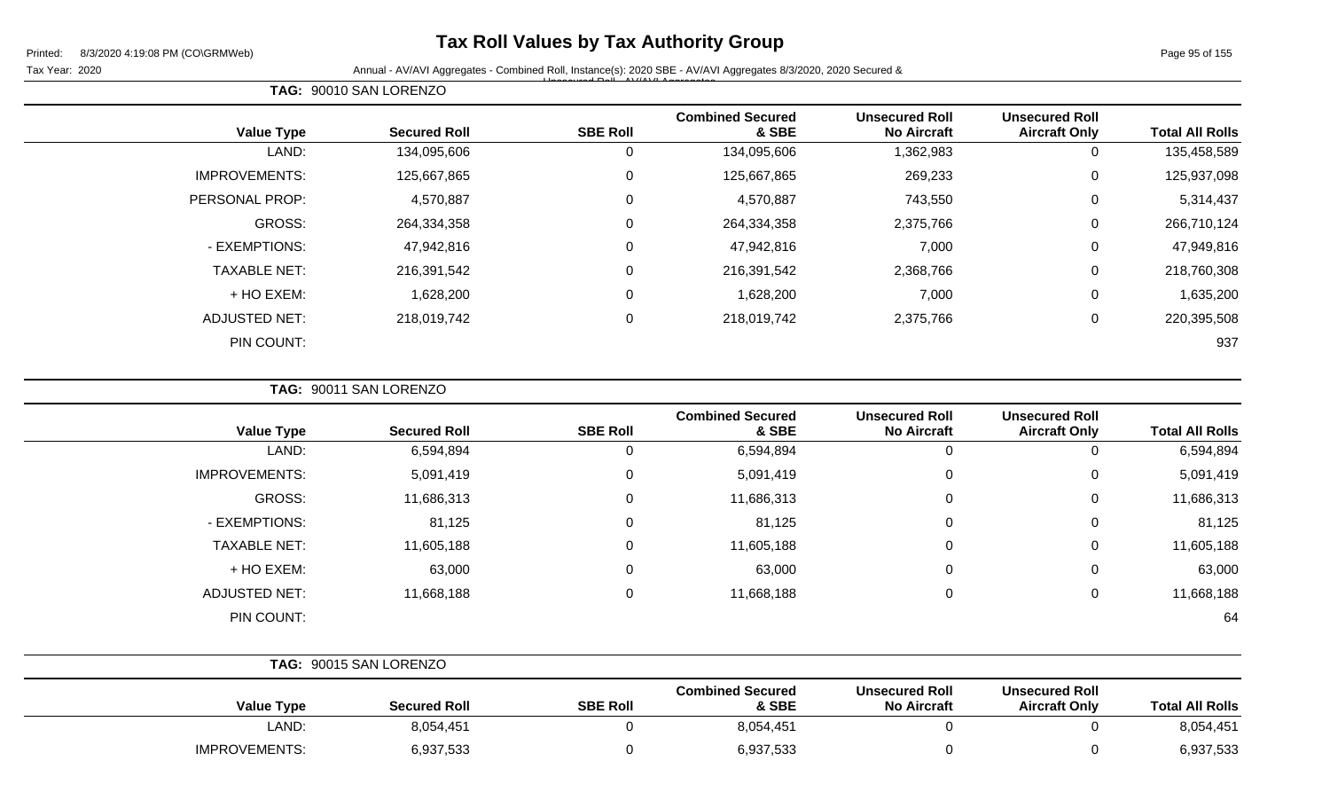### **Tax Roll Values by Tax Authority Group**

Unsecured Roll - AV/AVI Aggregates

Tax Year: 2020 **Annual - AV/AVI Aggregates - Combined Roll**, Instance(s): 2020 SBE - AV/AVI Aggregates 8/3/2020, 2020 Secured &

|                        |                                               |                                             |                                  |                 | TAG: 90010 SAN LORENZO |                       |
|------------------------|-----------------------------------------------|---------------------------------------------|----------------------------------|-----------------|------------------------|-----------------------|
| <b>Total All Rolls</b> | <b>Unsecured Roll</b><br><b>Aircraft Only</b> | <b>Unsecured Roll</b><br><b>No Aircraft</b> | <b>Combined Secured</b><br>& SBE | <b>SBE Roll</b> | <b>Secured Roll</b>    | <b>Value Type</b>     |
| 135,458,589            | $\mathbf 0$                                   | 1,362,983                                   | 134,095,606                      |                 | 134,095,606            | LAND:                 |
| 125,937,098            | $\mathbf 0$                                   | 269,233                                     | 125,667,865                      | 0               | 125,667,865            | <b>IMPROVEMENTS:</b>  |
| 5,314,437              | $\mathbf 0$                                   | 743,550                                     | 4,570,887                        | $\Omega$        | 4,570,887              | <b>PERSONAL PROP:</b> |
| 266,710,124            | 0                                             | 2,375,766                                   | 264,334,358                      | $\Omega$        | 264,334,358            | GROSS:                |
| 47,949,816             | $\mathbf 0$                                   | 7,000                                       | 47,942,816                       |                 | 47,942,816             | - EXEMPTIONS:         |
| 218,760,308            | $\mathbf 0$                                   | 2,368,766                                   | 216,391,542                      | 0               | 216,391,542            | <b>TAXABLE NET:</b>   |
| 1,635,200              | 0                                             | 7,000                                       | 1,628,200                        | $\Omega$        | 1,628,200              | + HO EXEM:            |
| 220,395,508            | $\mathbf 0$                                   | 2,375,766                                   | 218,019,742                      | $\mathbf{0}$    | 218,019,742            | <b>ADJUSTED NET:</b>  |
| 937                    |                                               |                                             |                                  |                 |                        | PIN COUNT:            |

**TAG:** 90011 SAN LORENZO

| <b>Value Type</b>    | <b>Secured Roll</b> | <b>SBE Roll</b> | <b>Combined Secured</b><br>& SBE | <b>Unsecured Roll</b><br><b>No Aircraft</b> | <b>Unsecured Roll</b><br><b>Aircraft Only</b> | <b>Total All Rolls</b> |
|----------------------|---------------------|-----------------|----------------------------------|---------------------------------------------|-----------------------------------------------|------------------------|
| LAND:                | 6,594,894           | U               | 6,594,894                        | O                                           | 0                                             | 6,594,894              |
| <b>IMPROVEMENTS:</b> | 5,091,419           | 0               | 5,091,419                        | 0                                           | 0                                             | 5,091,419              |
| GROSS:               | 11,686,313          | 0               | 11,686,313                       | 0                                           | 0                                             | 11,686,313             |
| - EXEMPTIONS:        | 81,125              | 0               | 81,125                           | $\mathbf 0$                                 | 0                                             | 81,125                 |
| <b>TAXABLE NET:</b>  | 11,605,188          | 0               | 11,605,188                       | 0                                           | 0                                             | 11,605,188             |
| + HO EXEM:           | 63,000              | 0               | 63,000                           | 0                                           | 0                                             | 63,000                 |
| <b>ADJUSTED NET:</b> | 11,668,188          | 0               | 11,668,188                       | 0                                           | 0                                             | 11,668,188             |
| PIN COUNT:           |                     |                 |                                  |                                             |                                               | 64                     |

|                      | TAG: 90015 SAN LORENZO |                 |                                  |                                             |                                               |                        |
|----------------------|------------------------|-----------------|----------------------------------|---------------------------------------------|-----------------------------------------------|------------------------|
| <b>Value Type</b>    | <b>Secured Roll</b>    | <b>SBE Roll</b> | <b>Combined Secured</b><br>& SBE | <b>Unsecured Roll</b><br><b>No Aircraft</b> | <b>Unsecured Roll</b><br><b>Aircraft Only</b> | <b>Total All Rolls</b> |
| LAND:                | 8,054,451              |                 | 8,054,451                        |                                             |                                               | 8,054,451              |
| <b>IMPROVEMENTS:</b> | 6,937,533              |                 | 6,937,533                        |                                             |                                               | 6,937,533              |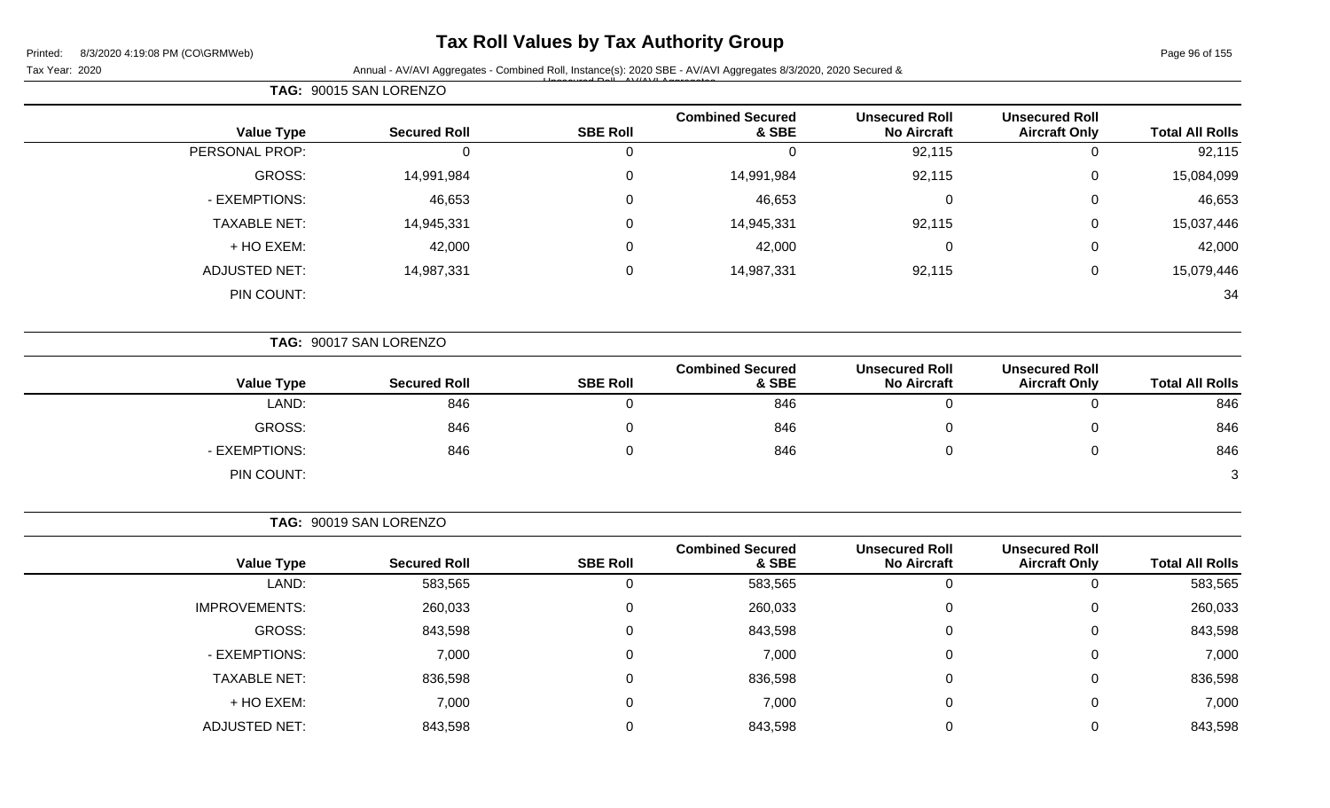**TAG:** 90015 SAN LORENZO

### **Tax Roll Values by Tax Authority Group**

Tax Year: 2020 **Annual - AV/AVI Aggregates - Combined Roll, Instance(s): 2020 SBE - AV/AVI Aggregates 8/3/2020, 2020 Secured &** Unsecured Roll - AV/AVI Aggregates

| <b>Value Type</b>    | <b>Secured Roll</b>    | <b>SBE Roll</b>  | <b>Combined Secured</b><br>& SBE | <b>Unsecured Roll</b><br><b>No Aircraft</b> | <b>Unsecured Roll</b><br><b>Aircraft Only</b> | <b>Total All Rolls</b> |
|----------------------|------------------------|------------------|----------------------------------|---------------------------------------------|-----------------------------------------------|------------------------|
| PERSONAL PROP:       | $\mathbf 0$            | $\mathbf 0$      | 0                                | 92,115                                      | $\mathbf 0$                                   | 92,115                 |
| GROSS:               | 14,991,984             | 0                | 14,991,984                       | 92,115                                      | 0                                             | 15,084,099             |
| - EXEMPTIONS:        | 46,653                 | $\Omega$         | 46,653                           | $\mathbf 0$                                 | 0                                             | 46,653                 |
| <b>TAXABLE NET:</b>  | 14,945,331             | $\Omega$         | 14,945,331                       | 92,115                                      | $\boldsymbol{0}$                              | 15,037,446             |
| + HO EXEM:           | 42,000                 | 0                | 42,000                           | 0                                           | 0                                             | 42,000                 |
| <b>ADJUSTED NET:</b> | 14,987,331             | $\boldsymbol{0}$ | 14,987,331                       | 92,115                                      | $\mathbf 0$                                   | 15,079,446             |
| PIN COUNT:           |                        |                  |                                  |                                             |                                               | 34                     |
|                      | TAG: 90017 SAN LORENZO |                  |                                  |                                             |                                               |                        |
| <b>Value Type</b>    | <b>Secured Roll</b>    | <b>SBE Roll</b>  | <b>Combined Secured</b><br>& SBE | <b>Unsecured Roll</b><br><b>No Aircraft</b> | <b>Unsecured Roll</b><br><b>Aircraft Only</b> | <b>Total All Rolls</b> |
| LAND:                | 846                    | $\Omega$         | 846                              | $\mathbf 0$                                 | $\mathbf{0}$                                  | 846                    |
| GROSS:               | 846                    | 0                | 846                              | 0                                           | 0                                             | 846                    |
| - EXEMPTIONS:        | 846                    | $\mathbf 0$      | 846                              | 0                                           | $\mathbf 0$                                   | 846                    |
| PIN COUNT:           |                        |                  |                                  |                                             |                                               | 3                      |
|                      | TAG: 90019 SAN LORENZO |                  |                                  |                                             |                                               |                        |
| <b>Value Type</b>    | <b>Secured Roll</b>    | <b>SBE Roll</b>  | <b>Combined Secured</b><br>& SBE | <b>Unsecured Roll</b><br><b>No Aircraft</b> | <b>Unsecured Roll</b><br><b>Aircraft Only</b> | <b>Total All Rolls</b> |
| LAND:                | 583,565                | 0                | 583,565                          | $\mathbf 0$                                 | 0                                             | 583,565                |
| <b>IMPROVEMENTS:</b> | 260,033                | 0                | 260,033                          | 0                                           | 0                                             | 260,033                |
| <b>GROSS:</b>        | 843,598                | $\mathbf 0$      | 843,598                          | 0                                           | $\mathbf 0$                                   | 843,598                |
| - EXEMPTIONS:        | 7,000                  | 0                | 7,000                            | 0                                           | 0                                             | 7,000                  |

TAXABLE NET: 836,598 0 836,598 0 0 836,598 + HO EXEM: 7,000 0 7,000 0 0 7,000

ADJUSTED NET: 843,598 0 843,598 0 0 843,598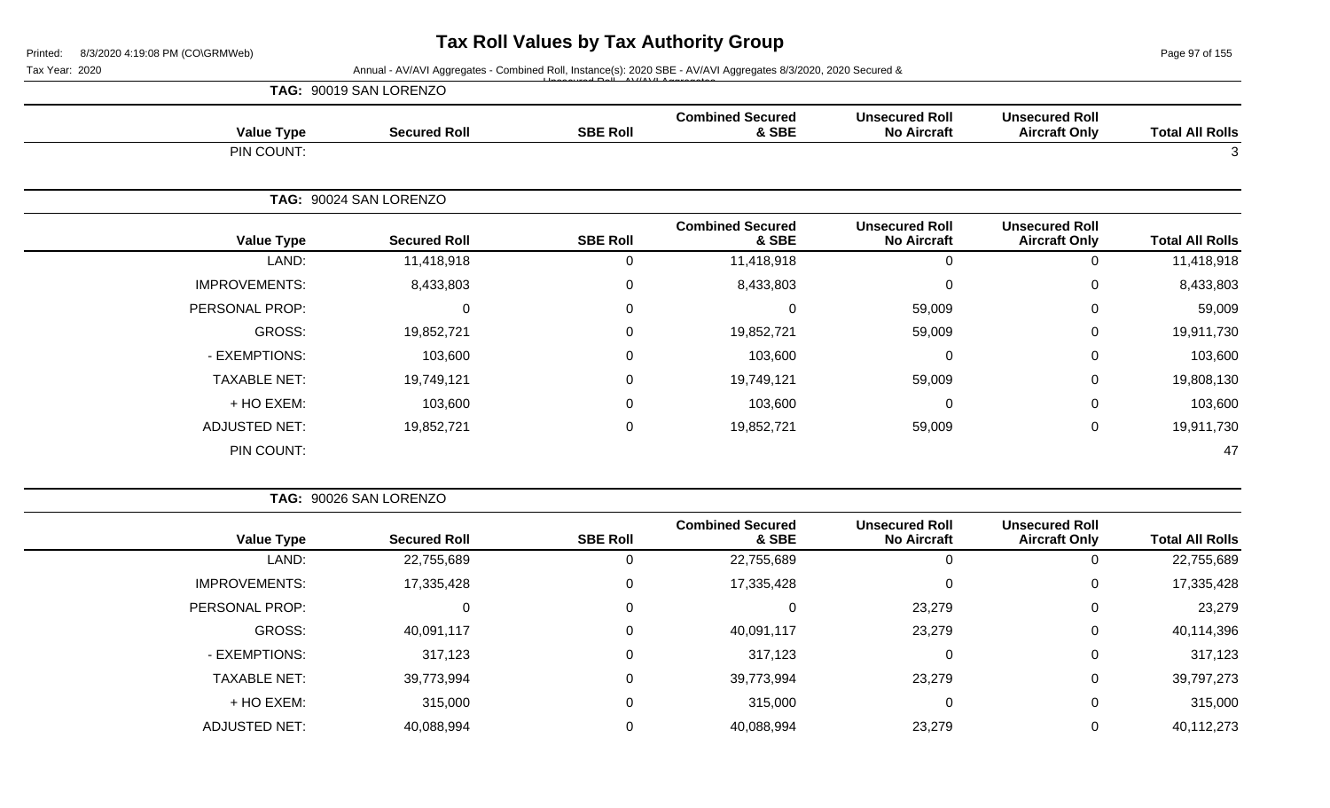Page 97 of 155

Tax Year: 2020 **Annual - AV/AVI Aggregates - Combined Roll**, Instance(s): 2020 SBE - AV/AVI Aggregates 8/3/2020, 2020 Secured &

|                        |                                               |                                             |                                  |                 | TAG: 90019 SAN LORENZO |                      |
|------------------------|-----------------------------------------------|---------------------------------------------|----------------------------------|-----------------|------------------------|----------------------|
| <b>Total All Rolls</b> | <b>Unsecured Roll</b><br><b>Aircraft Only</b> | <b>Unsecured Roll</b><br><b>No Aircraft</b> | <b>Combined Secured</b><br>& SBE | <b>SBE Roll</b> | <b>Secured Roll</b>    | <b>Value Type</b>    |
| 3                      |                                               |                                             |                                  |                 |                        | PIN COUNT:           |
|                        |                                               |                                             |                                  |                 | TAG: 90024 SAN LORENZO |                      |
| <b>Total All Rolls</b> | <b>Unsecured Roll</b><br><b>Aircraft Only</b> | <b>Unsecured Roll</b><br><b>No Aircraft</b> | <b>Combined Secured</b><br>& SBE | <b>SBE Roll</b> | <b>Secured Roll</b>    | <b>Value Type</b>    |
| 11,418,918             | 0                                             | 0                                           | 11,418,918                       | 0               | 11,418,918             | LAND:                |
| 8,433,803              | 0                                             | 0                                           | 8,433,803                        | 0               | 8,433,803              | <b>IMPROVEMENTS:</b> |
| 59,009                 | 0                                             | 59,009                                      | 0                                | 0               | $\Omega$               | PERSONAL PROP:       |
| 19,911,730             | 0                                             | 59,009                                      | 19,852,721                       | 0               | 19,852,721             | GROSS:               |
| 103,600                | 0                                             | 0                                           | 103,600                          | 0               | 103,600                | - EXEMPTIONS:        |
| 19,808,130             | 0                                             | 59,009                                      | 19,749,121                       | $\mathbf 0$     | 19,749,121             | <b>TAXABLE NET:</b>  |
| 103,600                | 0                                             | 0                                           | 103,600                          | 0               | 103,600                | + HO EXEM:           |
| 19,911,730             | 0                                             | 59,009                                      | 19,852,721                       | 0               | 19,852,721             | <b>ADJUSTED NET:</b> |
| 47                     |                                               |                                             |                                  |                 |                        | PIN COUNT:           |

| TAG: 90026 SAN LORENZO |
|------------------------|
|------------------------|

| <b>Value Type</b>    | <b>Secured Roll</b> | <b>SBE Roll</b> | <b>Combined Secured</b><br>& SBE | <b>Unsecured Roll</b><br><b>No Aircraft</b> | <b>Unsecured Roll</b><br><b>Aircraft Only</b> | <b>Total All Rolls</b> |
|----------------------|---------------------|-----------------|----------------------------------|---------------------------------------------|-----------------------------------------------|------------------------|
| LAND:                | 22,755,689          |                 | 22,755,689                       | C                                           |                                               | 22,755,689             |
| <b>IMPROVEMENTS:</b> | 17,335,428          | 0               | 17,335,428                       | 0                                           | 0                                             | 17,335,428             |
| PERSONAL PROP:       |                     | 0               |                                  | 23,279                                      | 0                                             | 23,279                 |
| GROSS:               | 40,091,117          | 0               | 40,091,117                       | 23,279                                      | 0                                             | 40,114,396             |
| - EXEMPTIONS:        | 317,123             | 0               | 317,123                          | 0                                           |                                               | 317,123                |
| <b>TAXABLE NET:</b>  | 39,773,994          | $\Omega$        | 39,773,994                       | 23,279                                      |                                               | 39,797,273             |
| + HO EXEM:           | 315,000             | 0               | 315,000                          | 0                                           |                                               | 315,000                |
| <b>ADJUSTED NET:</b> | 40,088,994          |                 | 40,088,994                       | 23,279                                      |                                               | 40,112,273             |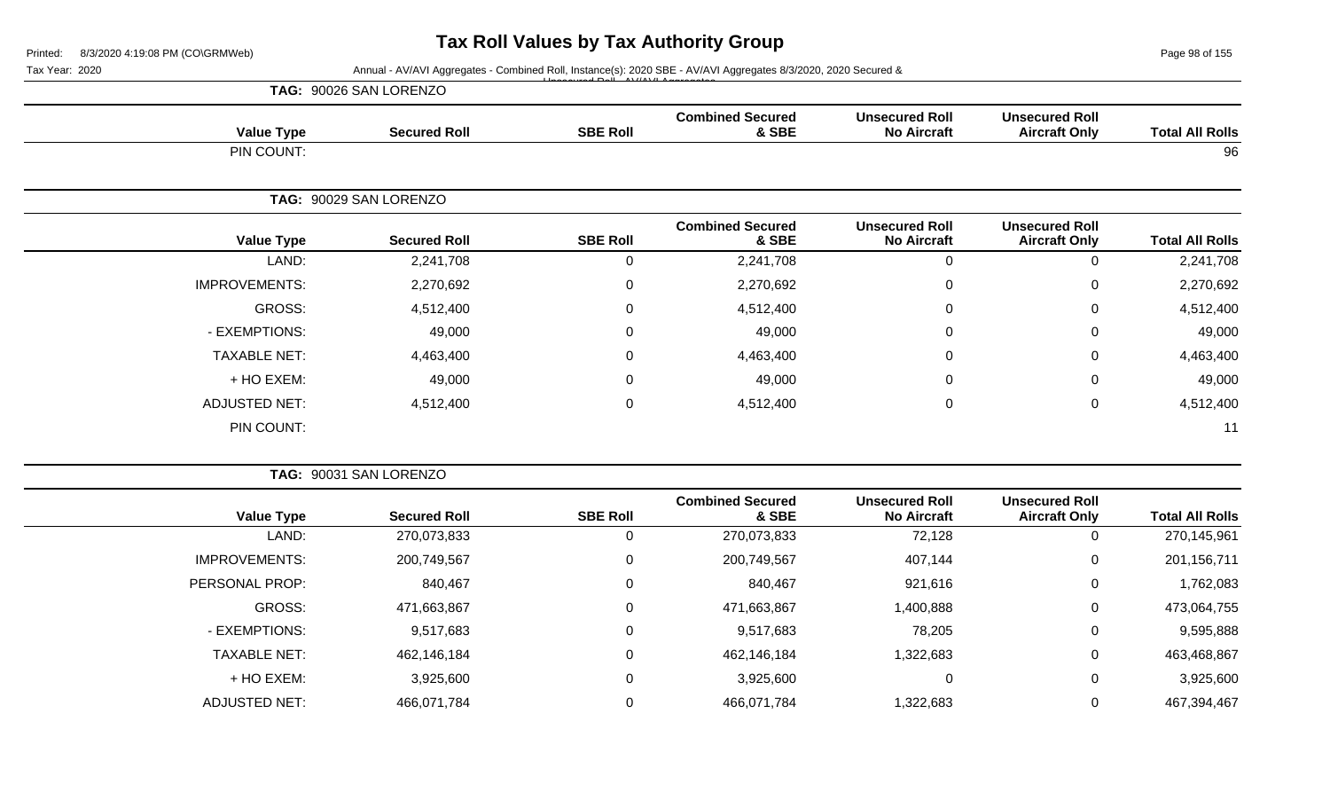Page 98 of 155

| TAG: 90026 SAN LORENZO |  |
|------------------------|--|
|------------------------|--|

| <b>Value Type</b>    | <b>Secured Roll</b>    | <b>SBE Roll</b> | <b>Combined Secured</b><br>& SBE | <b>Unsecured Roll</b><br><b>No Aircraft</b> | <b>Unsecured Roll</b><br><b>Aircraft Only</b> | <b>Total All Rolls</b> |
|----------------------|------------------------|-----------------|----------------------------------|---------------------------------------------|-----------------------------------------------|------------------------|
| PIN COUNT:           |                        |                 |                                  |                                             |                                               | 96                     |
|                      | TAG: 90029 SAN LORENZO |                 |                                  |                                             |                                               |                        |
| <b>Value Type</b>    | <b>Secured Roll</b>    | <b>SBE Roll</b> | <b>Combined Secured</b><br>& SBE | <b>Unsecured Roll</b><br><b>No Aircraft</b> | <b>Unsecured Roll</b><br><b>Aircraft Only</b> | <b>Total All Rolls</b> |
| LAND:                | 2,241,708              | $\mathbf 0$     | 2,241,708                        | $\mathbf 0$                                 | 0                                             | 2,241,708              |
| <b>IMPROVEMENTS:</b> | 2,270,692              | $\mathbf 0$     | 2,270,692                        | $\mathbf 0$                                 | $\mathbf 0$                                   | 2,270,692              |
| GROSS:               | 4,512,400              | $\mathbf 0$     | 4,512,400                        | $\mathbf 0$                                 | $\mathbf 0$                                   | 4,512,400              |
| - EXEMPTIONS:        | 49,000                 | $\mathbf 0$     | 49,000                           | $\mathbf 0$                                 | $\overline{0}$                                | 49,000                 |
| <b>TAXABLE NET:</b>  | 4,463,400              | $\mathbf 0$     | 4,463,400                        | $\mathbf 0$                                 | $\mathbf 0$                                   | 4,463,400              |
| + HO EXEM:           | 49,000                 | $\mathbf 0$     | 49,000                           | $\mathbf 0$                                 | $\overline{0}$                                | 49,000                 |
| <b>ADJUSTED NET:</b> | 4,512,400              | $\mathbf 0$     | 4,512,400                        | $\mathbf 0$                                 | $\overline{0}$                                | 4,512,400              |
| PIN COUNT:           |                        |                 |                                  |                                             |                                               | 11                     |

|                      | TAG: 90031 SAN LORENZO |                 |                                  |                                             |                                               |                        |
|----------------------|------------------------|-----------------|----------------------------------|---------------------------------------------|-----------------------------------------------|------------------------|
| <b>Value Type</b>    | <b>Secured Roll</b>    | <b>SBE Roll</b> | <b>Combined Secured</b><br>& SBE | <b>Unsecured Roll</b><br><b>No Aircraft</b> | <b>Unsecured Roll</b><br><b>Aircraft Only</b> | <b>Total All Rolls</b> |
| LAND:                | 270,073,833            | 0               | 270,073,833                      | 72,128                                      | 0                                             | 270,145,961            |
| <b>IMPROVEMENTS:</b> | 200,749,567            | 0               | 200,749,567                      | 407,144                                     | 0                                             | 201, 156, 711          |
| PERSONAL PROP:       | 840,467                | 0               | 840,467                          | 921,616                                     | $\mathbf 0$                                   | 1,762,083              |
| GROSS:               | 471,663,867            | $\mathbf 0$     | 471,663,867                      | 1,400,888                                   | 0                                             | 473,064,755            |
| - EXEMPTIONS:        | 9,517,683              | $\mathbf 0$     | 9,517,683                        | 78,205                                      | $\mathbf 0$                                   | 9,595,888              |
| <b>TAXABLE NET:</b>  | 462,146,184            | $\mathbf 0$     | 462,146,184                      | 1,322,683                                   | $\mathbf 0$                                   | 463,468,867            |
| + HO EXEM:           | 3,925,600              | $\mathbf 0$     | 3,925,600                        |                                             | $\mathbf 0$                                   | 3,925,600              |
| <b>ADJUSTED NET:</b> | 466,071,784            | 0               | 466,071,784                      | 1,322,683                                   | $\mathbf 0$                                   | 467,394,467            |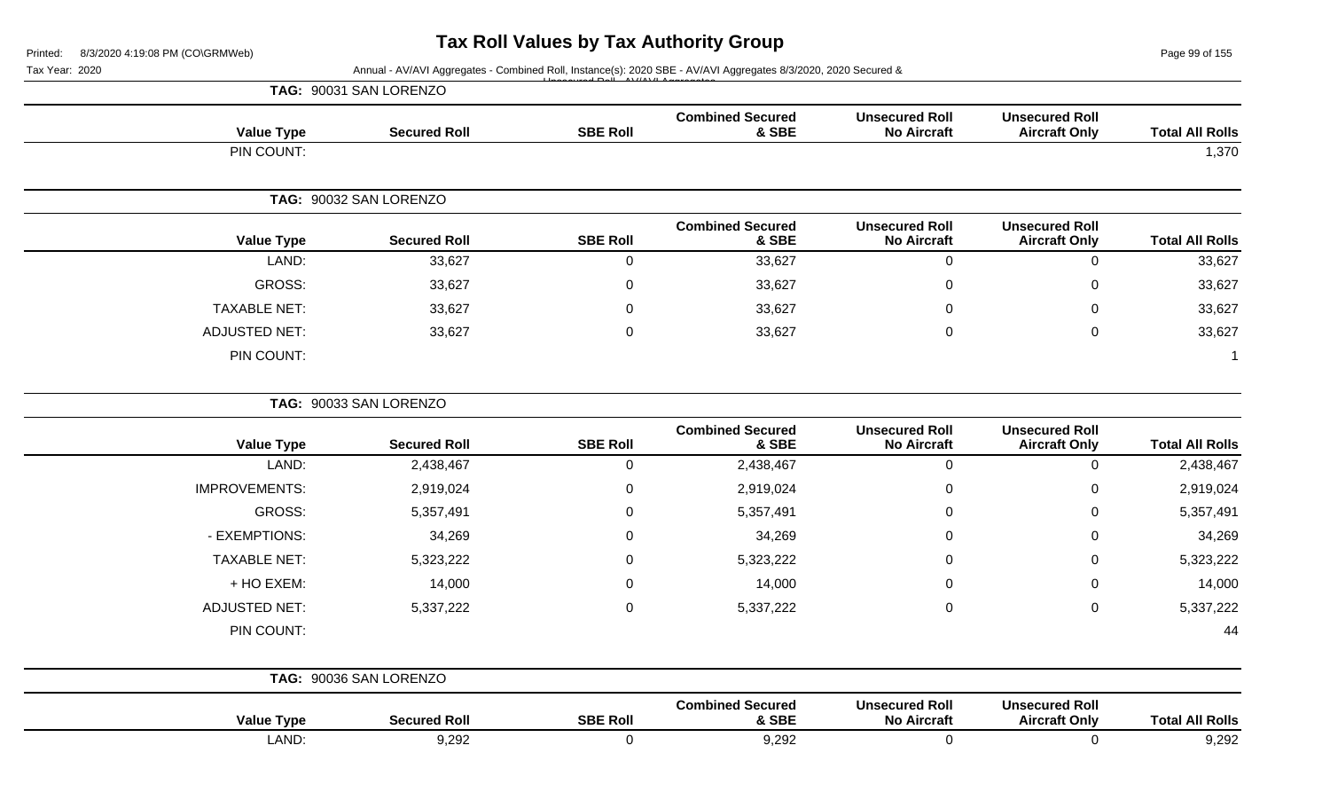$155$ 

| 8/3/2020 4:19:08 PM (CO\GRMWeb)<br>Printed:<br>Tax Year: 2020<br>Annual - AV/AVI Aggregates - Combined Roll, Instance(s): 2020 SBE - AV/AVI Aggregates 8/3/2020, 2020 Secured & |                        |                 |                                  |                                             |                                               | Page 99 of 155         |
|---------------------------------------------------------------------------------------------------------------------------------------------------------------------------------|------------------------|-----------------|----------------------------------|---------------------------------------------|-----------------------------------------------|------------------------|
|                                                                                                                                                                                 | TAG: 90031 SAN LORENZO |                 |                                  |                                             |                                               |                        |
| <b>Value Type</b>                                                                                                                                                               | <b>Secured Roll</b>    | <b>SBE Roll</b> | <b>Combined Secured</b><br>& SBE | <b>Unsecured Roll</b><br><b>No Aircraft</b> | <b>Unsecured Roll</b><br><b>Aircraft Only</b> | <b>Total All Rolls</b> |
| PIN COUNT:                                                                                                                                                                      |                        |                 |                                  |                                             |                                               | 1,370                  |
|                                                                                                                                                                                 | TAG: 90032 SAN LORENZO |                 |                                  |                                             |                                               |                        |
| <b>Value Type</b>                                                                                                                                                               | <b>Secured Roll</b>    | <b>SBE Roll</b> | <b>Combined Secured</b><br>& SBE | <b>Unsecured Roll</b><br><b>No Aircraft</b> | <b>Unsecured Roll</b><br><b>Aircraft Only</b> | <b>Total All Rolls</b> |
| LAND:                                                                                                                                                                           | 33,627                 | 0               | 33,627                           | $\overline{0}$                              | $\mathbf 0$                                   | 33,627                 |
| GROSS:                                                                                                                                                                          | 33,627                 | $\mathbf 0$     | 33,627                           | 0                                           | 0                                             | 33,627                 |
| <b>TAXABLE NET:</b>                                                                                                                                                             | 33,627                 | $\mathbf 0$     | 33,627                           | 0                                           | $\mathbf 0$                                   | 33,627                 |
| <b>ADJUSTED NET:</b>                                                                                                                                                            | 33,627                 | 0               | 33,627                           | 0                                           | $\mathbf 0$                                   | 33,627                 |
| PIN COUNT:                                                                                                                                                                      |                        |                 |                                  |                                             |                                               |                        |
|                                                                                                                                                                                 | TAG: 90033 SAN LORENZO |                 |                                  |                                             |                                               |                        |
| <b>Value Type</b>                                                                                                                                                               | <b>Secured Roll</b>    | <b>SBE Roll</b> | <b>Combined Secured</b><br>& SBE | <b>Unsecured Roll</b><br><b>No Aircraft</b> | <b>Unsecured Roll</b><br><b>Aircraft Only</b> | <b>Total All Rolls</b> |
| LAND:                                                                                                                                                                           | 2,438,467              | 0               | 2,438,467                        | $\mathbf 0$                                 | $\mathbf 0$                                   | 2,438,467              |
| <b>IMPROVEMENTS:</b>                                                                                                                                                            | 2,919,024              | 0               | 2,919,024                        | 0                                           | 0                                             | 2,919,024              |
| <b>GROSS:</b>                                                                                                                                                                   | 5,357,491              | 0               | 5,357,491                        | 0                                           | 0                                             | 5,357,491              |
| - EXEMPTIONS:                                                                                                                                                                   | 34,269                 | 0               | 34,269                           | 0                                           | 0                                             | 34,269                 |
| <b>TAXABLE NET:</b>                                                                                                                                                             | 5,323,222              | 0               | 5,323,222                        | 0                                           | 0                                             | 5,323,222              |
| + HO EXEM:                                                                                                                                                                      | 14,000                 | 0               | 14,000                           | 0                                           | 0                                             | 14,000                 |
| <b>ADJUSTED NET:</b>                                                                                                                                                            | 5,337,222              | 0               | 5,337,222                        | 0                                           | 0                                             | 5,337,222              |
| PIN COUNT:                                                                                                                                                                      |                        |                 |                                  |                                             |                                               | 44                     |
|                                                                                                                                                                                 | TAG: 90036 SAN LORENZO |                 |                                  |                                             |                                               |                        |
| <b>Value Type</b>                                                                                                                                                               | <b>Secured Roll</b>    | <b>SBE Roll</b> | <b>Combined Secured</b><br>& SBE | <b>Unsecured Roll</b><br><b>No Aircraft</b> | <b>Unsecured Roll</b><br><b>Aircraft Only</b> | <b>Total All Rolls</b> |
| LAND:                                                                                                                                                                           | 9,292                  | $\mathbf 0$     | 9,292                            | $\mathbf 0$                                 | $\mathbf 0$                                   | 9,292                  |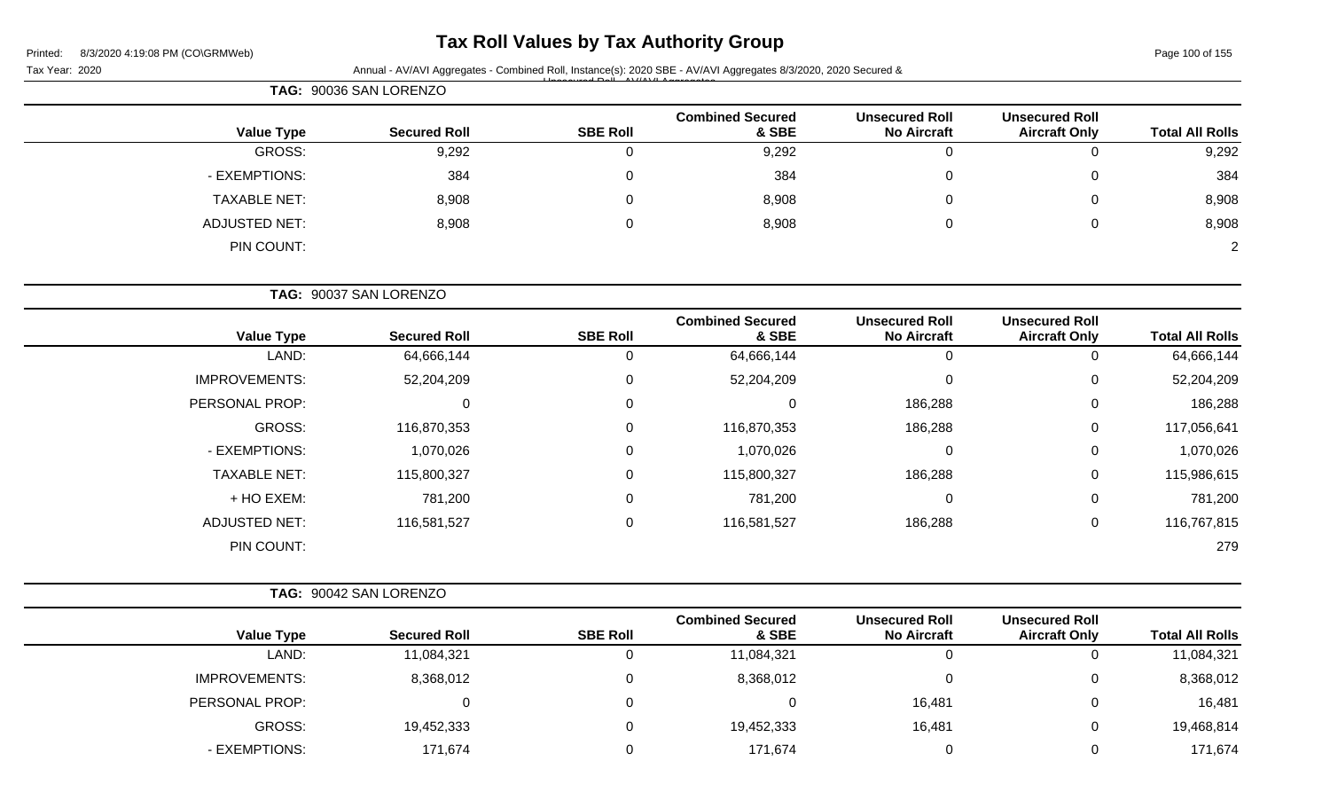| Printed: | 8/3/2020 4:19:08 PM (CO\GRMWeb) |  |
|----------|---------------------------------|--|
|          |                                 |  |

# **Tax Roll Values by Tax Authority Group**

Page 100 of 155

|                        |                                               |                                             | Annual - AV/AVI Aggregates - Combined Roll, Instance(s): 2020 SBE - AV/AVI Aggregates 8/3/2020, 2020 Secured & |                 |                        |                      |  |  |
|------------------------|-----------------------------------------------|---------------------------------------------|----------------------------------------------------------------------------------------------------------------|-----------------|------------------------|----------------------|--|--|
|                        |                                               |                                             |                                                                                                                |                 | TAG: 90036 SAN LORENZO |                      |  |  |
| <b>Total All Rolls</b> | <b>Unsecured Roll</b><br><b>Aircraft Only</b> | <b>Unsecured Roll</b><br><b>No Aircraft</b> | <b>Combined Secured</b><br>& SBE                                                                               | <b>SBE Roll</b> | <b>Secured Roll</b>    | <b>Value Type</b>    |  |  |
| 9,292                  | 0                                             | $\mathbf 0$                                 | 9,292                                                                                                          | $\mathbf 0$     | 9,292                  | <b>GROSS:</b>        |  |  |
| 384                    | 0                                             | $\Omega$                                    | 384                                                                                                            | 0               | 384                    | - EXEMPTIONS:        |  |  |
| 8,908                  | 0                                             | $\Omega$                                    | 8,908                                                                                                          | 0               | 8,908                  | <b>TAXABLE NET:</b>  |  |  |
| 8,908                  | 0                                             | 0                                           | 8,908                                                                                                          | 0               | 8,908                  | <b>ADJUSTED NET:</b> |  |  |
| $\overline{2}$         |                                               |                                             |                                                                                                                |                 |                        | PIN COUNT:           |  |  |
|                        |                                               |                                             |                                                                                                                |                 | TAG: 90037 SAN LORENZO |                      |  |  |
| <b>Total All Rolls</b> | <b>Unsecured Roll</b><br><b>Aircraft Only</b> | <b>Unsecured Roll</b><br><b>No Aircraft</b> | <b>Combined Secured</b><br>& SBE                                                                               | <b>SBE Roll</b> | <b>Secured Roll</b>    | <b>Value Type</b>    |  |  |
| 64,666,144             | 0                                             | $\mathbf 0$                                 | 64,666,144                                                                                                     | 0               | 64,666,144             | LAND:                |  |  |
| 52,204,209             | 0                                             | $\Omega$                                    | 52,204,209                                                                                                     | 0               | 52,204,209             | <b>IMPROVEMENTS:</b> |  |  |
| 186,288                | 0                                             | 186,288                                     | 0                                                                                                              | 0               | 0                      | PERSONAL PROP:       |  |  |
| 117,056,641            | 0                                             | 186,288                                     | 116,870,353                                                                                                    | 0               | 116,870,353            | <b>GROSS:</b>        |  |  |
| 1,070,026              | 0                                             | $\Omega$                                    | 1,070,026                                                                                                      | 0               | 1,070,026              | - EXEMPTIONS:        |  |  |
| 115,986,615            | 0                                             | 186,288                                     | 115,800,327                                                                                                    | 0               | 115,800,327            | <b>TAXABLE NET:</b>  |  |  |
| 781,200                | 0                                             | 0                                           | 781,200                                                                                                        | 0               | 781,200                | + HO EXEM:           |  |  |
| 116,767,815            | 0                                             | 186,288                                     | 116,581,527                                                                                                    | 0               | 116,581,527            | <b>ADJUSTED NET:</b> |  |  |
| 279                    |                                               |                                             |                                                                                                                |                 |                        | PIN COUNT:           |  |  |
|                        |                                               |                                             |                                                                                                                |                 | TAG: 90042 SAN LORENZO |                      |  |  |
| <b>Total All Rolls</b> | <b>Unsecured Roll</b><br><b>Aircraft Only</b> | <b>Unsecured Roll</b><br><b>No Aircraft</b> | <b>Combined Secured</b><br>& SBE                                                                               | <b>SBE Roll</b> | <b>Secured Roll</b>    | <b>Value Type</b>    |  |  |
| 11,084,321             | 0                                             | $\mathbf 0$                                 | 11,084,321                                                                                                     | 0               | 11,084,321             | LAND:                |  |  |
| 8,368,012              | 0                                             | 0                                           | 8,368,012                                                                                                      | 0               | 8,368,012              | <b>IMPROVEMENTS:</b> |  |  |
| 16,481                 | 0                                             | 16,481                                      | $\pmb{0}$                                                                                                      | 0               | $\mathbf 0$            | PERSONAL PROP:       |  |  |
| 19,468,814             | 0                                             | 16,481                                      | 19,452,333                                                                                                     | 0               | 19,452,333             | GROSS:               |  |  |
| 171,674                | 0                                             | $\overline{0}$                              | 171,674                                                                                                        | 0               | 171,674                | - EXEMPTIONS:        |  |  |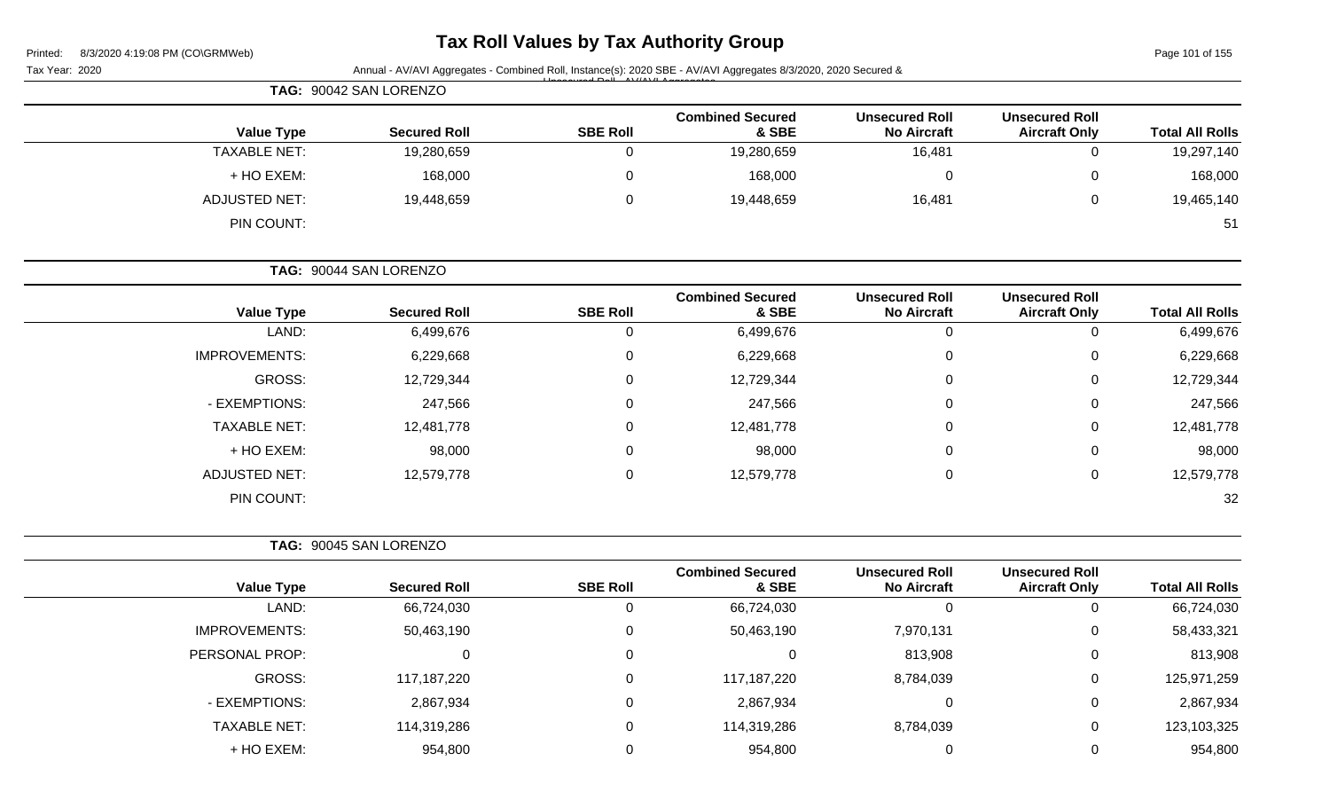| Printed: | 8/3/2020 4:19:08 PM (CO\GRMWeb) |  |
|----------|---------------------------------|--|
|          |                                 |  |

# **Tax Roll Values by Tax Authority Group**

Page 101 of 155

|                        |                                               |                                             |                                  |                 | Annual - AV/AVI Aggregates - Combined Roll, Instance(s): 2020 SBE - AV/AVI Aggregates 8/3/2020, 2020 Secured & | Tax Year: 2020       |
|------------------------|-----------------------------------------------|---------------------------------------------|----------------------------------|-----------------|----------------------------------------------------------------------------------------------------------------|----------------------|
|                        |                                               |                                             |                                  |                 | TAG: 90042 SAN LORENZO                                                                                         |                      |
| <b>Total All Rolls</b> | <b>Unsecured Roll</b><br><b>Aircraft Only</b> | <b>Unsecured Roll</b><br><b>No Aircraft</b> | <b>Combined Secured</b><br>& SBE | <b>SBE Roll</b> | <b>Secured Roll</b>                                                                                            | <b>Value Type</b>    |
| 19,297,140             | $\mathbf 0$                                   | 16,481                                      | 19,280,659                       | $\mathbf 0$     | 19,280,659                                                                                                     | <b>TAXABLE NET:</b>  |
| 168,000                | $\pmb{0}$                                     | $\pmb{0}$                                   | 168,000                          | $\pmb{0}$       | 168,000                                                                                                        | + HO EXEM:           |
| 19,465,140             | $\pmb{0}$                                     | 16,481                                      | 19,448,659                       | $\pmb{0}$       | 19,448,659                                                                                                     | <b>ADJUSTED NET:</b> |
| 51                     |                                               |                                             |                                  |                 |                                                                                                                | PIN COUNT:           |
|                        |                                               |                                             |                                  |                 | TAG: 90044 SAN LORENZO                                                                                         |                      |
| <b>Total All Rolls</b> | <b>Unsecured Roll</b><br><b>Aircraft Only</b> | <b>Unsecured Roll</b><br><b>No Aircraft</b> | <b>Combined Secured</b><br>& SBE | <b>SBE Roll</b> | <b>Secured Roll</b>                                                                                            | <b>Value Type</b>    |
| 6,499,676              | $\mathbf 0$                                   | $\mathbf 0$                                 | 6,499,676                        | $\pmb{0}$       | 6,499,676                                                                                                      | LAND:                |
| 6,229,668              | 0                                             | $\pmb{0}$                                   | 6,229,668                        | 0               | 6,229,668                                                                                                      | <b>IMPROVEMENTS:</b> |
| 12,729,344             | 0                                             | 0                                           | 12,729,344                       | 0               | 12,729,344                                                                                                     | GROSS:               |
| 247,566                | 0                                             | 0                                           | 247,566                          | 0               | 247,566                                                                                                        | - EXEMPTIONS:        |
| 12,481,778             | 0                                             | 0                                           | 12,481,778                       | 0               | 12,481,778                                                                                                     | <b>TAXABLE NET:</b>  |
| 98,000                 | 0                                             | 0                                           | 98,000                           | 0               | 98,000                                                                                                         | + HO EXEM:           |
| 12,579,778             | 0                                             | $\mathbf 0$                                 | 12,579,778                       | $\mathbf 0$     | 12,579,778                                                                                                     | <b>ADJUSTED NET:</b> |
| 32                     |                                               |                                             |                                  |                 |                                                                                                                | PIN COUNT:           |
|                        |                                               |                                             |                                  |                 | TAG: 90045 SAN LORENZO                                                                                         |                      |
| <b>Total All Rolls</b> | <b>Unsecured Roll</b><br><b>Aircraft Only</b> | <b>Unsecured Roll</b><br><b>No Aircraft</b> | <b>Combined Secured</b><br>& SBE | <b>SBE Roll</b> | <b>Secured Roll</b>                                                                                            | <b>Value Type</b>    |
| 66,724,030             | 0                                             | $\mathbf 0$                                 | 66,724,030                       | $\mathbf 0$     | 66,724,030                                                                                                     | LAND:                |
| 58,433,321             | 0                                             | 7,970,131                                   | 50,463,190                       | 0               | 50,463,190                                                                                                     | <b>IMPROVEMENTS:</b> |
| 813,908                | 0                                             | 813,908                                     | 0                                | 0               | 0                                                                                                              | PERSONAL PROP:       |
| 125,971,259            | 0                                             | 8,784,039                                   | 117,187,220                      | 0               | 117,187,220                                                                                                    | <b>GROSS:</b>        |
| 2,867,934              | 0                                             | $\overline{0}$                              | 2,867,934                        | 0               | 2,867,934                                                                                                      | - EXEMPTIONS:        |
| 123,103,325            | 0                                             | 8,784,039                                   | 114,319,286                      | 0               | 114,319,286                                                                                                    | TAXABLE NET:         |
| 954,800                | 0                                             | $\overline{0}$                              | 954,800                          | $\pmb{0}$       | 954,800                                                                                                        | + HO EXEM:           |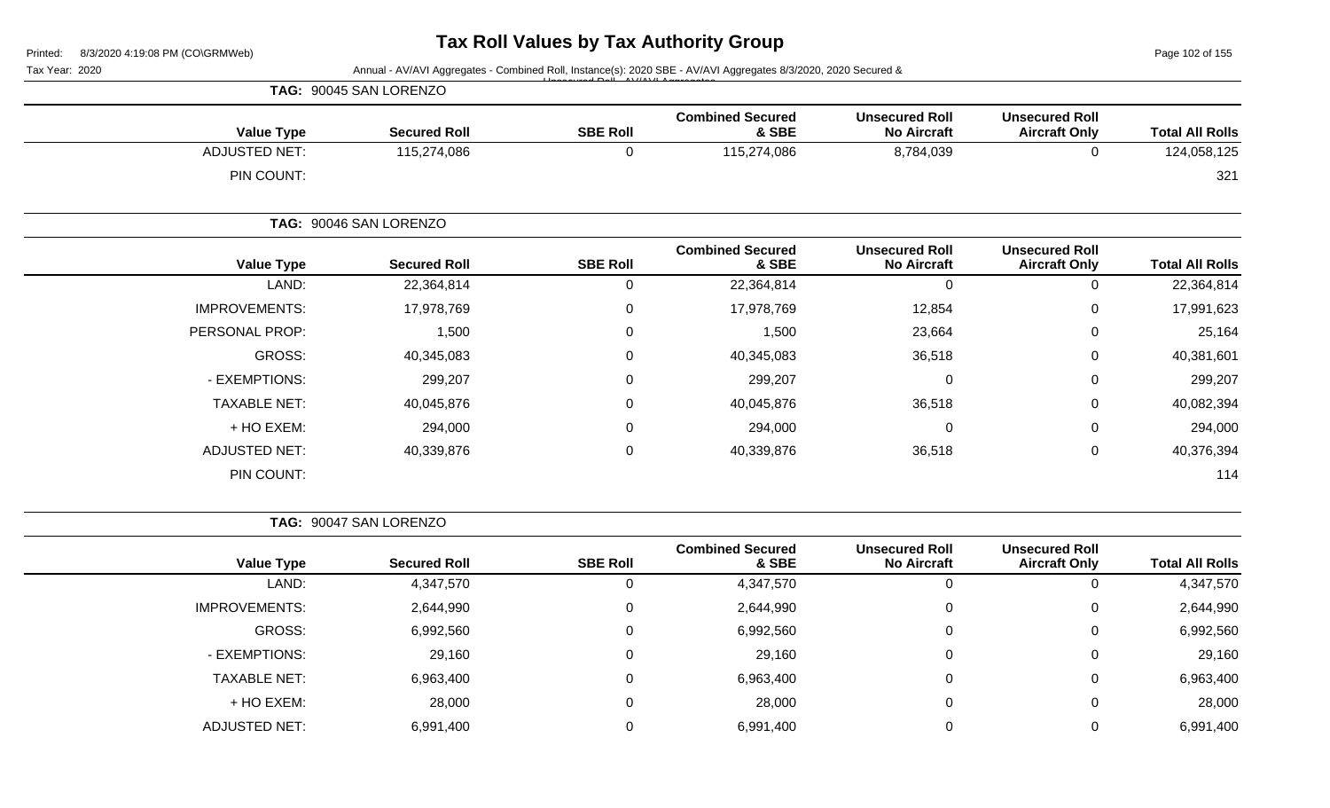Page 102 of 155

| Tax Year: 2020       |                        |                 | Annual - AV/AVI Aggregates - Combined Roll, Instance(s): 2020 SBE - AV/AVI Aggregates 8/3/2020, 2020 Secured & |                                             |                                               |                        |
|----------------------|------------------------|-----------------|----------------------------------------------------------------------------------------------------------------|---------------------------------------------|-----------------------------------------------|------------------------|
|                      | TAG: 90045 SAN LORENZO |                 |                                                                                                                |                                             |                                               |                        |
| <b>Value Type</b>    | <b>Secured Roll</b>    | <b>SBE Roll</b> | <b>Combined Secured</b><br>& SBE                                                                               | <b>Unsecured Roll</b><br><b>No Aircraft</b> | <b>Unsecured Roll</b><br><b>Aircraft Only</b> | <b>Total All Rolls</b> |
| <b>ADJUSTED NET:</b> | 115,274,086            | 0               | 115,274,086                                                                                                    | 8,784,039                                   | 0                                             | 124,058,125            |
| PIN COUNT:           |                        |                 |                                                                                                                |                                             |                                               | 321                    |
|                      | TAG: 90046 SAN LORENZO |                 |                                                                                                                |                                             |                                               |                        |
| <b>Value Type</b>    | <b>Secured Roll</b>    | <b>SBE Roll</b> | <b>Combined Secured</b><br>& SBE                                                                               | <b>Unsecured Roll</b><br><b>No Aircraft</b> | <b>Unsecured Roll</b><br><b>Aircraft Only</b> | <b>Total All Rolls</b> |
| LAND:                | 22,364,814             | 0               | 22,364,814                                                                                                     | $\mathbf 0$                                 | 0                                             | 22,364,814             |
| <b>IMPROVEMENTS:</b> | 17,978,769             | $\Omega$        | 17,978,769                                                                                                     | 12,854                                      | 0                                             | 17,991,623             |
| PERSONAL PROP:       | 1,500                  | ∩               | 1,500                                                                                                          | 23,664                                      | 0                                             | 25,164                 |
| <b>GROSS:</b>        | 40,345,083             |                 | 40,345,083                                                                                                     | 36,518                                      | 0                                             | 40,381,601             |
| - EXEMPTIONS:        | 299,207                | ∩               | 299,207                                                                                                        | $\mathbf 0$                                 | 0                                             | 299,207                |
| <b>TAXABLE NET:</b>  | 40,045,876             |                 | 40,045,876                                                                                                     | 36,518                                      | 0                                             | 40,082,394             |
| + HO EXEM:           | 294,000                |                 | 294,000                                                                                                        | $\mathbf 0$                                 | 0                                             | 294,000                |
| <b>ADJUSTED NET:</b> | 40,339,876             | $\Omega$        | 40,339,876                                                                                                     | 36,518                                      | 0                                             | 40,376,394             |
| PIN COUNT:           |                        |                 |                                                                                                                |                                             |                                               | 114                    |
|                      | TAG: 90047 SAN LORENZO |                 |                                                                                                                |                                             |                                               |                        |
| <b>Value Type</b>    | <b>Secured Roll</b>    | <b>SBE Roll</b> | <b>Combined Secured</b><br>& SBE                                                                               | <b>Unsecured Roll</b><br><b>No Aircraft</b> | <b>Unsecured Roll</b><br><b>Aircraft Only</b> | <b>Total All Rolls</b> |
| LAND:                | 4,347,570              | 0               | 4,347,570                                                                                                      | $\mathbf 0$                                 | 0                                             | 4,347,570              |
| <b>IMPROVEMENTS:</b> | 2,644,990              | 0               | 2,644,990                                                                                                      | $\pmb{0}$                                   | 0                                             | 2,644,990              |
| <b>GROSS:</b>        | 6,992,560              | 0               | 6,992,560                                                                                                      | $\pmb{0}$                                   | 0                                             | 6,992,560              |

- EXEMPTIONS: 29,160 0 29,160 0 0 29,160 TAXABLE NET: 6,963,400 0 6,963,400 0 0 6,963,400 + HO EXEM: 28,000 0 28,000 0 0 28,000 ADJUSTED NET: 6,991,400 6,991,400 0 6,991,400 6,991,400 0 6,991,400 0 6,991,400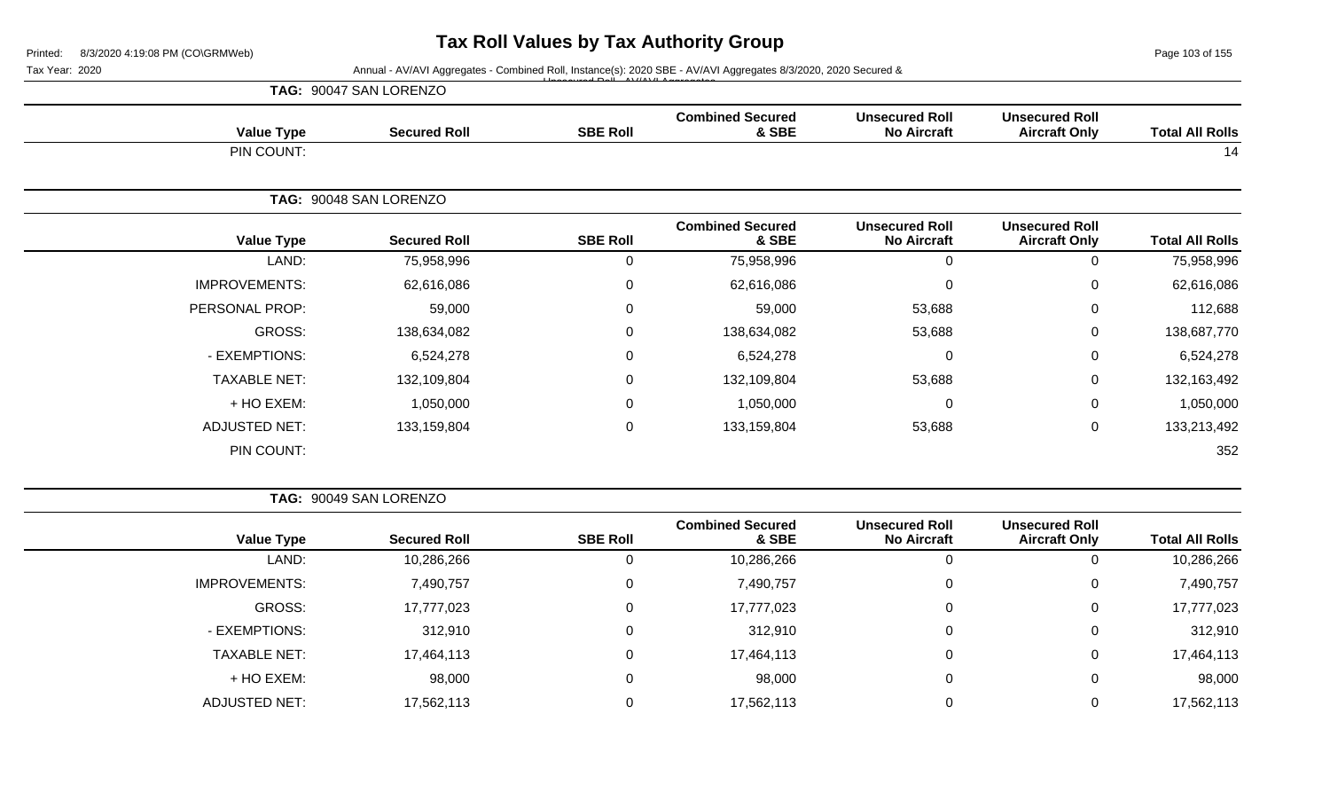Page 103 of 155

|                      | TAG: 90047 SAN LORENZO |                  |                                  |                                             | <b>Unsecured Roll</b><br><b>Aircraft Only</b> |                        |
|----------------------|------------------------|------------------|----------------------------------|---------------------------------------------|-----------------------------------------------|------------------------|
| <b>Value Type</b>    | <b>Secured Roll</b>    | <b>SBE Roll</b>  | <b>Combined Secured</b><br>& SBE | <b>Unsecured Roll</b><br><b>No Aircraft</b> |                                               | <b>Total All Rolls</b> |
| PIN COUNT:           |                        |                  |                                  |                                             |                                               | 14                     |
|                      | TAG: 90048 SAN LORENZO |                  |                                  |                                             |                                               |                        |
| <b>Value Type</b>    | <b>Secured Roll</b>    | <b>SBE Roll</b>  | <b>Combined Secured</b><br>& SBE | <b>Unsecured Roll</b><br><b>No Aircraft</b> | <b>Unsecured Roll</b><br><b>Aircraft Only</b> | <b>Total All Rolls</b> |
| LAND:                | 75,958,996             | 0                | 75,958,996                       | 0                                           | 0                                             | 75,958,996             |
| <b>IMPROVEMENTS:</b> | 62,616,086             | $\mathbf 0$      | 62,616,086                       | 0                                           | 0                                             | 62,616,086             |
| PERSONAL PROP:       | 59,000                 | $\mathbf 0$      | 59,000                           | 53,688                                      | 0                                             | 112,688                |
| GROSS:               | 138,634,082            | $\mathbf 0$      | 138,634,082                      | 53,688                                      | 0                                             | 138,687,770            |
| - EXEMPTIONS:        | 6,524,278              | $\mathbf 0$      | 6,524,278                        | 0                                           | $\mathbf 0$                                   | 6,524,278              |
| <b>TAXABLE NET:</b>  | 132,109,804            | $\mathbf 0$      | 132,109,804                      | 53,688                                      | $\pmb{0}$                                     | 132,163,492            |
| + HO EXEM:           | 1,050,000              | $\mathbf 0$      | 1,050,000                        | 0                                           | 0                                             | 1,050,000              |
| <b>ADJUSTED NET:</b> | 133,159,804            | $\boldsymbol{0}$ | 133,159,804                      | 53,688                                      | 0                                             | 133,213,492            |
| PIN COUNT:           |                        |                  |                                  |                                             |                                               | 352                    |

|                        |                                               |                                             |                                  |                 | TAG: 90049 SAN LORENZO |                      |
|------------------------|-----------------------------------------------|---------------------------------------------|----------------------------------|-----------------|------------------------|----------------------|
| <b>Total All Rolls</b> | <b>Unsecured Roll</b><br><b>Aircraft Only</b> | <b>Unsecured Roll</b><br><b>No Aircraft</b> | <b>Combined Secured</b><br>& SBE | <b>SBE Roll</b> | <b>Secured Roll</b>    | <b>Value Type</b>    |
| 10,286,266             | 0                                             | 0                                           | 10,286,266                       |                 | 10,286,266             | LAND:                |
| 7,490,757              | 0                                             | 0                                           | 7,490,757                        | 0               | 7,490,757              | <b>IMPROVEMENTS:</b> |
| 17,777,023             | 0                                             | $\mathbf 0$                                 | 17,777,023                       |                 | 17,777,023             | GROSS:               |
| 312,910                | 0                                             | $\mathbf 0$                                 | 312,910                          | 0               | 312,910                | - EXEMPTIONS:        |
| 17,464,113             | $\mathbf 0$                                   | $\mathbf 0$                                 | 17,464,113                       |                 | 17,464,113             | <b>TAXABLE NET:</b>  |
| 98,000                 | 0                                             | 0                                           | 98,000                           |                 | 98,000                 | + HO EXEM:           |
| 17,562,113             | 0                                             | $\Omega$                                    | 17,562,113                       |                 | 17,562,113             | <b>ADJUSTED NET:</b> |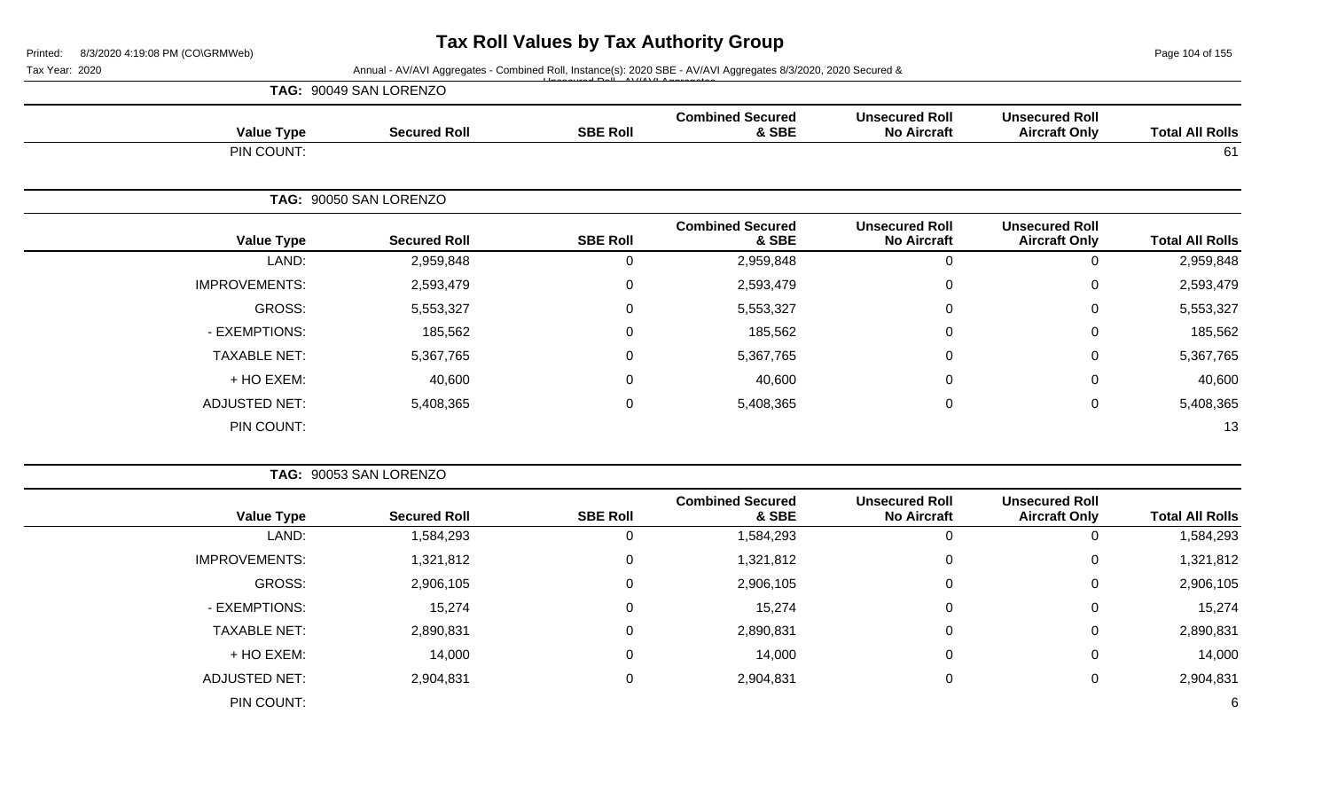Page 104 of 155

| Tax Year: 2020 |                      |                        |                 | Annual - AV/AVI Aggregates - Combined Roll, Instance(s): 2020 SBE - AV/AVI Aggregates 8/3/2020, 2020 Secured & |                                             |                                               |                        |
|----------------|----------------------|------------------------|-----------------|----------------------------------------------------------------------------------------------------------------|---------------------------------------------|-----------------------------------------------|------------------------|
|                |                      | TAG: 90049 SAN LORENZO |                 |                                                                                                                |                                             |                                               |                        |
|                | <b>Value Type</b>    | <b>Secured Roll</b>    | <b>SBE Roll</b> | <b>Combined Secured</b><br>& SBE                                                                               | <b>Unsecured Roll</b><br><b>No Aircraft</b> | <b>Unsecured Roll</b><br><b>Aircraft Only</b> | <b>Total All Rolls</b> |
|                | PIN COUNT:           |                        |                 |                                                                                                                |                                             |                                               | 61                     |
|                |                      | TAG: 90050 SAN LORENZO |                 |                                                                                                                |                                             |                                               |                        |
|                | <b>Value Type</b>    | <b>Secured Roll</b>    | <b>SBE Roll</b> | <b>Combined Secured</b><br>& SBE                                                                               | <b>Unsecured Roll</b><br><b>No Aircraft</b> | <b>Unsecured Roll</b><br><b>Aircraft Only</b> | <b>Total All Rolls</b> |
|                | LAND:                | 2,959,848              | 0               | 2,959,848                                                                                                      | 0                                           | $\Omega$                                      | 2,959,848              |
|                | <b>IMPROVEMENTS:</b> | 2,593,479              | 0               | 2,593,479                                                                                                      | 0                                           | 0                                             | 2,593,479              |
|                | <b>GROSS:</b>        | 5,553,327              | 0               | 5,553,327                                                                                                      | 0                                           | $\Omega$                                      | 5,553,327              |
|                | - EXEMPTIONS:        | 185,562                | 0               | 185,562                                                                                                        | 0                                           | 0                                             | 185,562                |
|                | <b>TAXABLE NET:</b>  | 5,367,765              | $\mathbf 0$     | 5,367,765                                                                                                      | 0                                           | 0                                             | 5,367,765              |
|                | + HO EXEM:           | 40,600                 | $\Omega$        | 40,600                                                                                                         | 0                                           | $\Omega$                                      | 40,600                 |
|                | <b>ADJUSTED NET:</b> | 5,408,365              | $\mathbf 0$     | 5,408,365                                                                                                      | 0                                           | 0                                             | 5,408,365              |
|                | PIN COUNT:           |                        |                 |                                                                                                                |                                             |                                               | 13                     |
|                |                      | TAG: 90053 SAN LORENZO |                 |                                                                                                                |                                             |                                               |                        |
|                | <b>Value Type</b>    | <b>Secured Roll</b>    | <b>SBE Roll</b> | <b>Combined Secured</b><br>& SBE                                                                               | <b>Unsecured Roll</b><br><b>No Aircraft</b> | <b>Unsecured Roll</b><br><b>Aircraft Only</b> | <b>Total All Rolls</b> |
|                | LAND:                | 1,584,293              | 0               | 1,584,293                                                                                                      | 0                                           | $\Omega$                                      | 1,584,293              |
|                | <b>IMPROVEMENTS:</b> | 1,321,812              | 0               | 1,321,812                                                                                                      | 0                                           | $\Omega$                                      | 1,321,812              |
|                | <b>GROSS:</b>        | 2,906,105              | 0               | 2,906,105                                                                                                      | 0                                           | 0                                             | 2,906,105              |

- EXEMPTIONS: 15,274 0 15,274 0 0 15,274 TAXABLE NET: 2,890,831 0 2,890,831 0 0 2,890,831 + HO EXEM: 14,000 0 14,000 0 0 14,000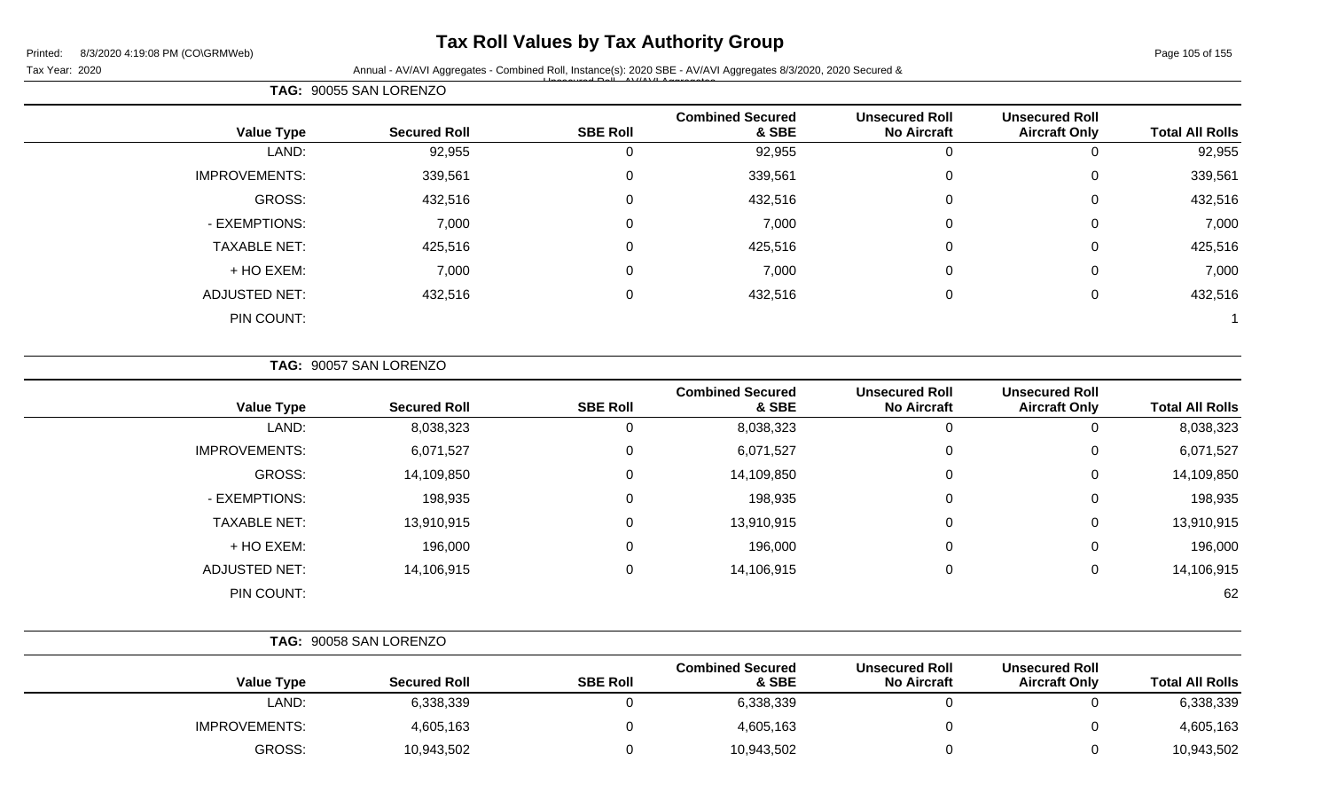### **Tax Roll Values by Tax Authority Group**

Page 105 of 155

Tax Year: 2020 **Annual - AV/AVI Aggregates - Combined Roll, Instance(s): 2020 SBE - AV/AVI Aggregates 8/3/2020, 2020 Secured &** Unsecured Roll - AV/AVI Aggregates

|                      | TAG: 90055 SAN LORENZO |                 |                                  |                                             |                                               |                        |
|----------------------|------------------------|-----------------|----------------------------------|---------------------------------------------|-----------------------------------------------|------------------------|
| <b>Value Type</b>    | <b>Secured Roll</b>    | <b>SBE Roll</b> | <b>Combined Secured</b><br>& SBE | <b>Unsecured Roll</b><br><b>No Aircraft</b> | <b>Unsecured Roll</b><br><b>Aircraft Only</b> | <b>Total All Rolls</b> |
| LAND:                | 92,955                 | 0               | 92,955                           |                                             | 0                                             | 92,955                 |
| <b>IMPROVEMENTS:</b> | 339,561                | $\mathbf 0$     | 339,561                          | 0                                           | 0                                             | 339,561                |
| GROSS:               | 432,516                | $\mathbf 0$     | 432,516                          | 0                                           | 0                                             | 432,516                |
| - EXEMPTIONS:        | 7,000                  | 0               | 7,000                            | 0                                           | 0                                             | 7,000                  |
| <b>TAXABLE NET:</b>  | 425,516                | $\mathbf 0$     | 425,516                          | 0                                           | 0                                             | 425,516                |
| + HO EXEM:           | 7,000                  | $\mathbf 0$     | 7,000                            | 0                                           | 0                                             | 7,000                  |
| <b>ADJUSTED NET:</b> | 432,516                | $\mathbf 0$     | 432,516                          | 0                                           | 0                                             | 432,516                |
| PIN COUNT:           |                        |                 |                                  |                                             |                                               |                        |

**TAG:** 90057 SAN LORENZO

| <b>Value Type</b>    | <b>Secured Roll</b> | <b>SBE Roll</b> | <b>Combined Secured</b><br>& SBE | <b>Unsecured Roll</b><br><b>No Aircraft</b> | <b>Unsecured Roll</b><br><b>Aircraft Only</b> | <b>Total All Rolls</b> |
|----------------------|---------------------|-----------------|----------------------------------|---------------------------------------------|-----------------------------------------------|------------------------|
| LAND:                | 8,038,323           |                 | 8,038,323                        | 0                                           | 0                                             | 8,038,323              |
| <b>IMPROVEMENTS:</b> | 6,071,527           | 0               | 6,071,527                        | 0                                           | 0                                             | 6,071,527              |
| GROSS:               | 14,109,850          | 0               | 14,109,850                       | 0                                           | 0                                             | 14,109,850             |
| - EXEMPTIONS:        | 198,935             | 0               | 198,935                          | 0                                           | 0                                             | 198,935                |
| <b>TAXABLE NET:</b>  | 13,910,915          | $\Omega$        | 13,910,915                       | 0                                           | 0                                             | 13,910,915             |
| + HO EXEM:           | 196,000             | $\Omega$        | 196,000                          | 0                                           | 0                                             | 196,000                |
| <b>ADJUSTED NET:</b> | 14,106,915          | 0               | 14,106,915                       | 0                                           | 0                                             | 14,106,915             |
| PIN COUNT:           |                     |                 |                                  |                                             |                                               | 62                     |

|                      | TAG: 90058 SAN LORENZO |                 |                                  |                                             |                                               |                        |
|----------------------|------------------------|-----------------|----------------------------------|---------------------------------------------|-----------------------------------------------|------------------------|
| <b>Value Type</b>    | <b>Secured Roll</b>    | <b>SBE Roll</b> | <b>Combined Secured</b><br>& SBE | <b>Unsecured Roll</b><br><b>No Aircraft</b> | <b>Unsecured Roll</b><br><b>Aircraft Only</b> | <b>Total All Rolls</b> |
| LAND:                | 6,338,339              |                 | 6,338,339                        |                                             |                                               | 6,338,339              |
| <b>IMPROVEMENTS:</b> | 4,605,163              |                 | 4,605,163                        |                                             |                                               | 4,605,163              |
| GROSS:               | 10,943,502             |                 | 10,943,502                       |                                             |                                               | 10,943,502             |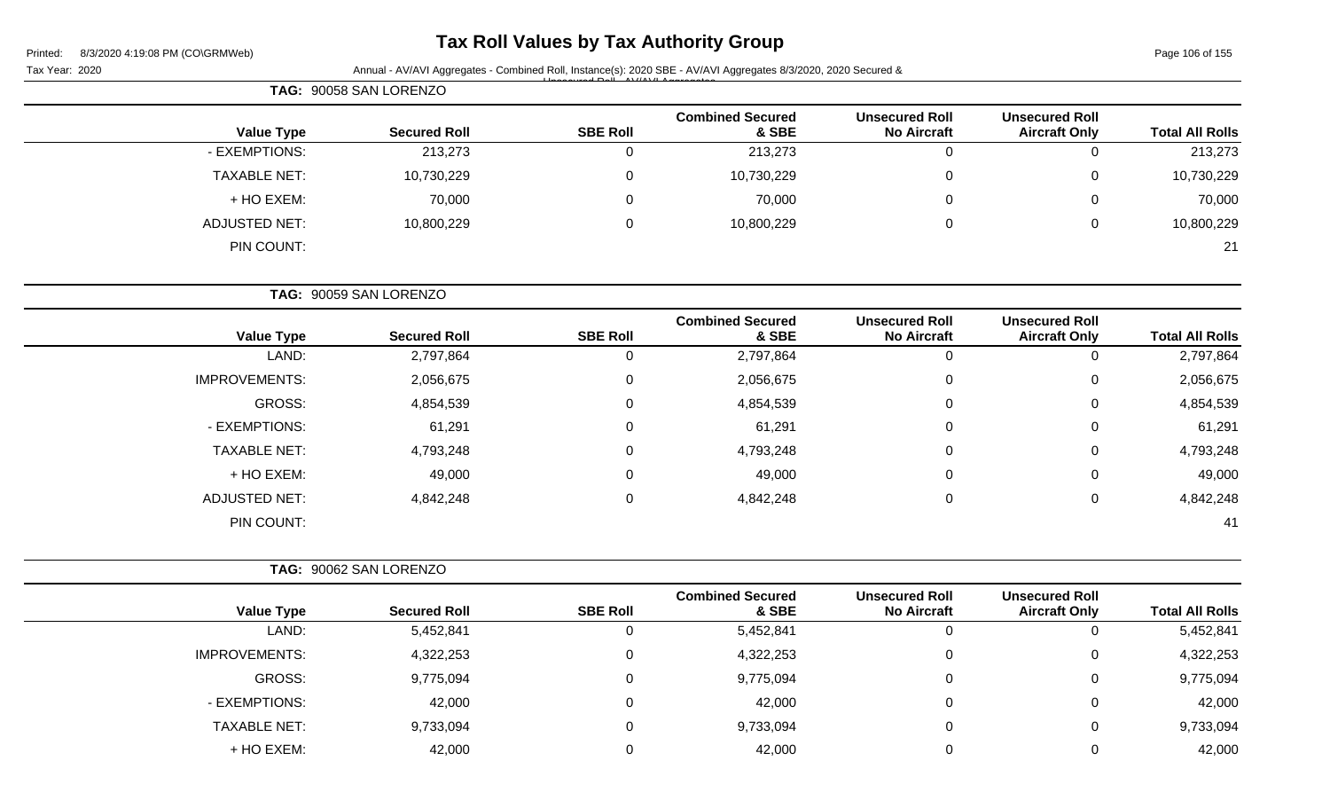# **Tax Roll Values by Tax Authority Group**

Page 106 of 155

| Tax Year: 2020       |                        |                 | Annual - AV/AVI Aggregates - Combined Roll, Instance(s): 2020 SBE - AV/AVI Aggregates 8/3/2020, 2020 Secured & |                                             |                                               |                        |  |
|----------------------|------------------------|-----------------|----------------------------------------------------------------------------------------------------------------|---------------------------------------------|-----------------------------------------------|------------------------|--|
|                      | TAG: 90058 SAN LORENZO |                 |                                                                                                                |                                             |                                               |                        |  |
| <b>Value Type</b>    | <b>Secured Roll</b>    | <b>SBE Roll</b> | <b>Combined Secured</b><br>& SBE                                                                               | <b>Unsecured Roll</b><br><b>No Aircraft</b> | <b>Unsecured Roll</b><br><b>Aircraft Only</b> | <b>Total All Rolls</b> |  |
| - EXEMPTIONS:        | 213,273                | $\mathbf 0$     | 213,273                                                                                                        | 0                                           | 0                                             | 213,273                |  |
| <b>TAXABLE NET:</b>  | 10,730,229             | 0               | 10,730,229                                                                                                     | 0                                           | 0                                             | 10,730,229             |  |
| + HO EXEM:           | 70,000                 | 0               | 70,000                                                                                                         | 0                                           | 0                                             | 70,000                 |  |
| <b>ADJUSTED NET:</b> | 10,800,229             | 0               | 10,800,229                                                                                                     | 0                                           | 0                                             | 10,800,229             |  |
| PIN COUNT:           |                        |                 |                                                                                                                |                                             |                                               | 21                     |  |
|                      | TAG: 90059 SAN LORENZO |                 |                                                                                                                |                                             |                                               |                        |  |
| <b>Value Type</b>    | <b>Secured Roll</b>    | <b>SBE Roll</b> | <b>Combined Secured</b><br>& SBE                                                                               | <b>Unsecured Roll</b><br><b>No Aircraft</b> | <b>Unsecured Roll</b><br><b>Aircraft Only</b> | <b>Total All Rolls</b> |  |
| LAND:                | 2,797,864              | $\mathbf 0$     | 2,797,864                                                                                                      | $\mathbf 0$                                 | $\mathbf 0$                                   | 2,797,864              |  |
| <b>IMPROVEMENTS:</b> | 2,056,675              | 0               | 2,056,675                                                                                                      | 0                                           | 0                                             | 2,056,675              |  |
| GROSS:               | 4,854,539              | 0               | 4,854,539                                                                                                      | 0                                           | 0                                             | 4,854,539              |  |
| - EXEMPTIONS:        | 61,291                 | 0               | 61,291                                                                                                         | $\Omega$                                    | 0                                             | 61,291                 |  |
| <b>TAXABLE NET:</b>  | 4,793,248              | 0               | 4,793,248                                                                                                      | 0                                           | 0                                             | 4,793,248              |  |
| + HO EXEM:           | 49,000                 | 0               | 49,000                                                                                                         | 0                                           | 0                                             | 49,000                 |  |
| <b>ADJUSTED NET:</b> | 4,842,248              | $\mathbf 0$     | 4,842,248                                                                                                      | 0                                           | 0                                             | 4,842,248              |  |
| PIN COUNT:           |                        |                 |                                                                                                                |                                             |                                               | 41                     |  |
|                      | TAG: 90062 SAN LORENZO |                 |                                                                                                                |                                             |                                               |                        |  |
| <b>Value Type</b>    | <b>Secured Roll</b>    | <b>SBE Roll</b> | <b>Combined Secured</b><br>& SBE                                                                               | <b>Unsecured Roll</b><br><b>No Aircraft</b> | <b>Unsecured Roll</b><br><b>Aircraft Only</b> | <b>Total All Rolls</b> |  |
| LAND:                | 5,452,841              | $\mathbf 0$     | 5,452,841                                                                                                      | 0                                           | 0                                             | 5,452,841              |  |
| IMPROVEMENTS:        | 4,322,253              | 0               | 4,322,253                                                                                                      | $\mathbf 0$                                 | 0                                             | 4,322,253              |  |
| GROSS:               | 9,775,094              | $\mathbf 0$     | 9,775,094                                                                                                      | 0                                           | $\mathbf 0$                                   | 9,775,094              |  |
| - EXEMPTIONS:        | 42,000                 | $\mathbf 0$     | 42,000                                                                                                         | $\mathbf 0$                                 | $\mathbf 0$                                   | 42,000                 |  |
| <b>TAXABLE NET:</b>  | 9,733,094              | $\mathbf 0$     | 9,733,094                                                                                                      | 0                                           | $\mathbf 0$                                   | 9,733,094              |  |
| + HO EXEM:           | 42,000                 | 0               | 42,000                                                                                                         | 0                                           | $\pmb{0}$                                     | 42,000                 |  |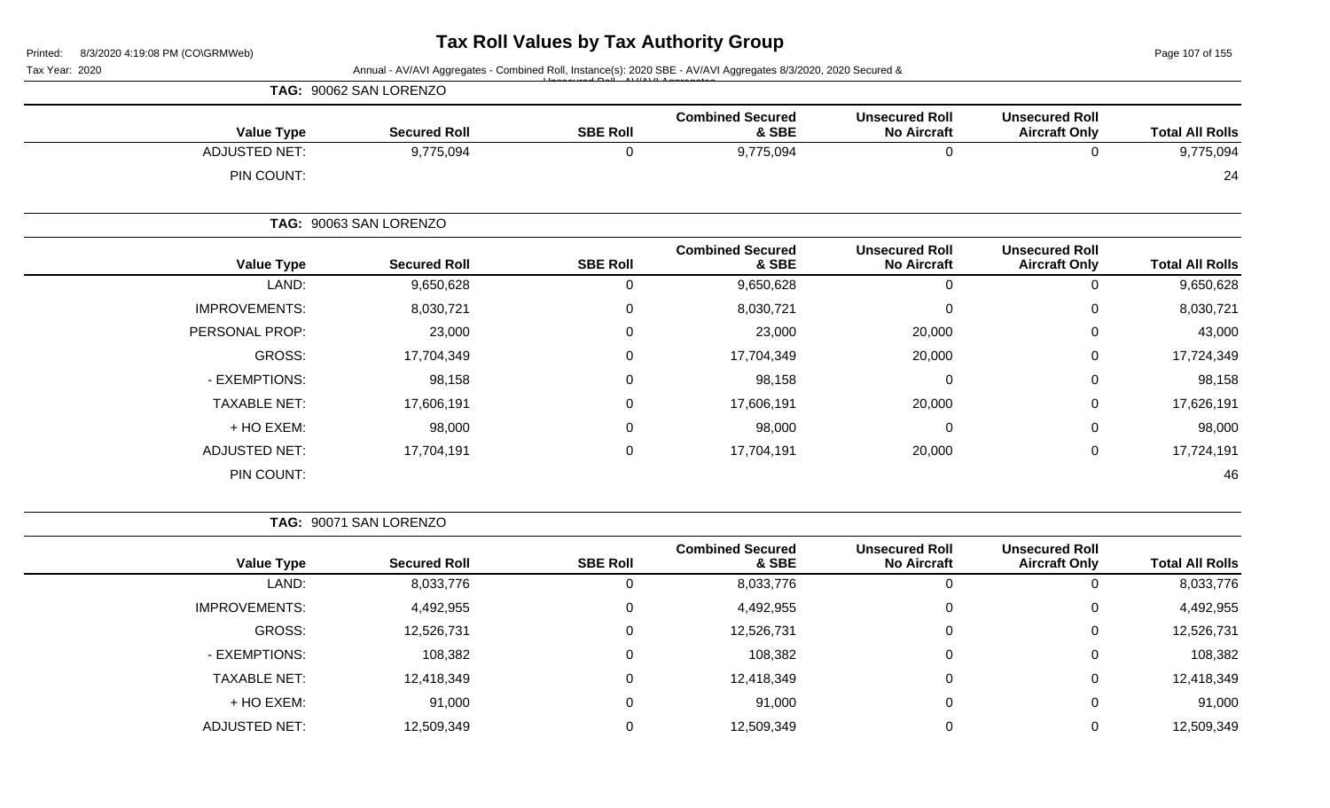Page 107 of 155

| Tax Year: 2020 |                      |                        |                 | Annual - AV/AVI Aggregates - Combined Roll, Instance(s): 2020 SBE - AV/AVI Aggregates 8/3/2020, 2020 Secured & |                                             |                                               |                        |
|----------------|----------------------|------------------------|-----------------|----------------------------------------------------------------------------------------------------------------|---------------------------------------------|-----------------------------------------------|------------------------|
|                |                      | TAG: 90062 SAN LORENZO |                 |                                                                                                                |                                             |                                               |                        |
|                | <b>Value Type</b>    | <b>Secured Roll</b>    | <b>SBE Roll</b> | <b>Combined Secured</b><br>& SBE                                                                               | <b>Unsecured Roll</b><br><b>No Aircraft</b> | <b>Unsecured Roll</b><br><b>Aircraft Only</b> | <b>Total All Rolls</b> |
|                | <b>ADJUSTED NET:</b> | 9,775,094              | $\mathbf 0$     | 9,775,094                                                                                                      | $\mathbf 0$                                 | $\mathbf 0$                                   | 9,775,094              |
|                | PIN COUNT:           |                        |                 |                                                                                                                |                                             |                                               | 24                     |
|                |                      | TAG: 90063 SAN LORENZO |                 |                                                                                                                |                                             |                                               |                        |
|                | <b>Value Type</b>    | <b>Secured Roll</b>    | <b>SBE Roll</b> | <b>Combined Secured</b><br>& SBE                                                                               | <b>Unsecured Roll</b><br><b>No Aircraft</b> | <b>Unsecured Roll</b><br><b>Aircraft Only</b> | <b>Total All Rolls</b> |
|                | LAND:                | 9,650,628              | 0               | 9,650,628                                                                                                      | $\mathbf 0$                                 | 0                                             | 9,650,628              |
|                | <b>IMPROVEMENTS:</b> | 8,030,721              | 0               | 8,030,721                                                                                                      | $\mathbf 0$                                 | 0                                             | 8,030,721              |
|                | PERSONAL PROP:       | 23,000                 | 0               | 23,000                                                                                                         | 20,000                                      | 0                                             | 43,000                 |
|                | <b>GROSS:</b>        | 17,704,349             | 0               | 17,704,349                                                                                                     | 20,000                                      | 0                                             | 17,724,349             |
|                | - EXEMPTIONS:        | 98,158                 | 0               | 98,158                                                                                                         | $\mathbf 0$                                 | 0                                             | 98,158                 |
|                | <b>TAXABLE NET:</b>  | 17,606,191             | 0               | 17,606,191                                                                                                     | 20,000                                      | 0                                             | 17,626,191             |
|                | + HO EXEM:           | 98,000                 | 0               | 98,000                                                                                                         | $\mathbf 0$                                 | 0                                             | 98,000                 |
|                | <b>ADJUSTED NET:</b> | 17,704,191             | 0               | 17,704,191                                                                                                     | 20,000                                      | 0                                             | 17,724,191             |
|                | PIN COUNT:           |                        |                 |                                                                                                                |                                             |                                               | 46                     |
|                |                      | TAG: 90071 SAN LORENZO |                 |                                                                                                                |                                             |                                               |                        |
|                | <b>Value Type</b>    | <b>Secured Roll</b>    | <b>SBE Roll</b> | <b>Combined Secured</b><br>& SBE                                                                               | <b>Unsecured Roll</b><br><b>No Aircraft</b> | <b>Unsecured Roll</b><br><b>Aircraft Only</b> | <b>Total All Rolls</b> |

|            | . <b> </b> | . <i>.</i> | ----       | ------- |            | $14140 + 1700$       |
|------------|------------|------------|------------|---------|------------|----------------------|
| 8,033,776  |            | 0          | 8,033,776  | U       | 8,033,776  | LAND:                |
| 4,492,955  |            | 0          | 4,492,955  |         | 4,492,955  | <b>IMPROVEMENTS:</b> |
| 12,526,731 |            | 0          | 12,526,731 | 0       | 12,526,731 | GROSS:               |
| 108,382    |            | 0          | 108,382    | U       | 108,382    | - EXEMPTIONS:        |
| 12,418,349 |            | 0          | 12,418,349 |         | 12,418,349 | <b>TAXABLE NET:</b>  |
| 91,000     |            | 0          | 91,000     | 0       | 91,000     | + HO EXEM:           |
| 12,509,349 |            | 0          | 12,509,349 |         | 12,509,349 | <b>ADJUSTED NET:</b> |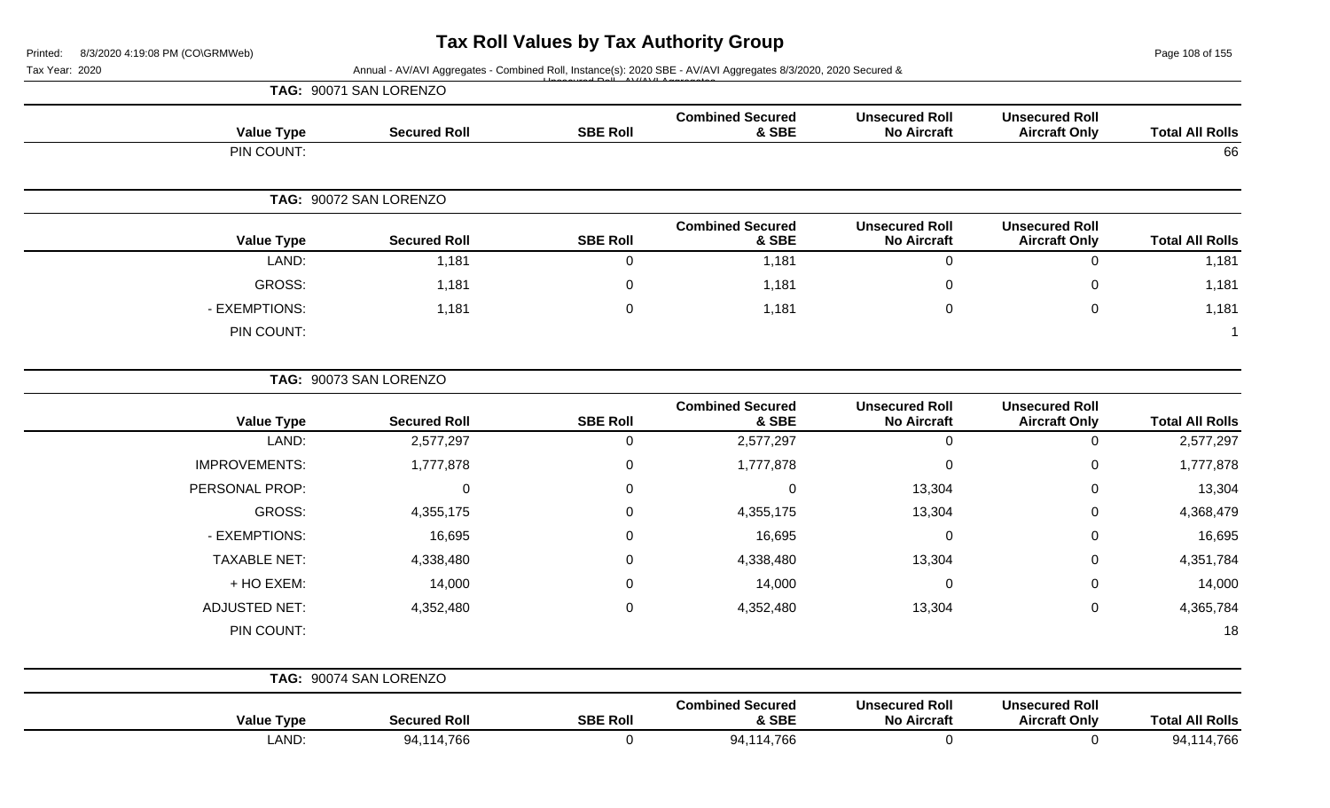Page 108 of 155

#### Tax Year: 2020 **Annual - AV/AVI Aggregates - Combined Roll**, Instance(s): 2020 SBE - AV/AVI Aggregates 8/3/2020, 2020 Secured & Unsecured Roll - AV/AVI Aggregates

| TAG: 90071 SAN LORENZO |                        |                 |                                  |                                             |                                               |                        |
|------------------------|------------------------|-----------------|----------------------------------|---------------------------------------------|-----------------------------------------------|------------------------|
| <b>Value Type</b>      | <b>Secured Roll</b>    | <b>SBE Roll</b> | <b>Combined Secured</b><br>& SBE | <b>Unsecured Roll</b><br><b>No Aircraft</b> | <b>Unsecured Roll</b><br><b>Aircraft Only</b> | <b>Total All Rolls</b> |
| PIN COUNT:             |                        |                 |                                  |                                             |                                               | 66                     |
|                        | TAG: 90072 SAN LORENZO |                 |                                  |                                             |                                               |                        |
|                        |                        |                 |                                  |                                             |                                               |                        |
| <b>Value Type</b>      | <b>Secured Roll</b>    | <b>SBE Roll</b> | <b>Combined Secured</b><br>& SBE | <b>Unsecured Roll</b><br><b>No Aircraft</b> | <b>Unsecured Roll</b><br><b>Aircraft Only</b> | <b>Total All Rolls</b> |
| LAND:                  | 1,181                  | U               | 1,181                            | 0                                           | O                                             | 1,181                  |
| <b>GROSS:</b>          | 1,181                  | 0               | 1,181                            | $\mathbf 0$                                 | 0                                             | 1,181                  |
| - EXEMPTIONS:          | 1,181                  | 0               | 1,181                            | $\mathbf 0$                                 | 0                                             | 1,181                  |

| TAG: 90073 SAN LORENZO |                        |                 |                                  |                                             |                                               |                        |
|------------------------|------------------------|-----------------|----------------------------------|---------------------------------------------|-----------------------------------------------|------------------------|
| <b>Value Type</b>      | <b>Secured Roll</b>    | <b>SBE Roll</b> | <b>Combined Secured</b><br>& SBE | <b>Unsecured Roll</b><br><b>No Aircraft</b> | <b>Unsecured Roll</b><br><b>Aircraft Only</b> | <b>Total All Rolls</b> |
| LAND:                  | 2,577,297              | 0               | 2,577,297                        | 0                                           | 0                                             | 2,577,297              |
| <b>IMPROVEMENTS:</b>   | 1,777,878              | 0               | 1,777,878                        | 0                                           | $\mathbf 0$                                   | 1,777,878              |
| PERSONAL PROP:         | $\Omega$               | 0               | 0                                | 13,304                                      | 0                                             | 13,304                 |
| GROSS:                 | 4,355,175              | 0               | 4,355,175                        | 13,304                                      | $\mathbf 0$                                   | 4,368,479              |
| - EXEMPTIONS:          | 16,695                 | 0               | 16,695                           | 0                                           | 0                                             | 16,695                 |
| <b>TAXABLE NET:</b>    | 4,338,480              | 0               | 4,338,480                        | 13,304                                      | $\mathbf 0$                                   | 4,351,784              |
| + HO EXEM:             | 14,000                 | 0               | 14,000                           | 0                                           | $\mathbf 0$                                   | 14,000                 |
| <b>ADJUSTED NET:</b>   | 4,352,480              | $\mathbf 0$     | 4,352,480                        | 13,304                                      | $\mathbf 0$                                   | 4,365,784              |
| PIN COUNT:             |                        |                 |                                  |                                             |                                               | 18                     |
|                        | TAG: 90074 SAN LORENZO |                 |                                  |                                             |                                               |                        |
| <b>Value Type</b>      | <b>Secured Roll</b>    | <b>SBE Roll</b> | <b>Combined Secured</b><br>& SBE | <b>Unsecured Roll</b><br><b>No Aircraft</b> | <b>Unsecured Roll</b><br><b>Aircraft Only</b> | <b>Total All Rolls</b> |

LAND: 94,114,766 0 94,114,766 0 0 94,114,766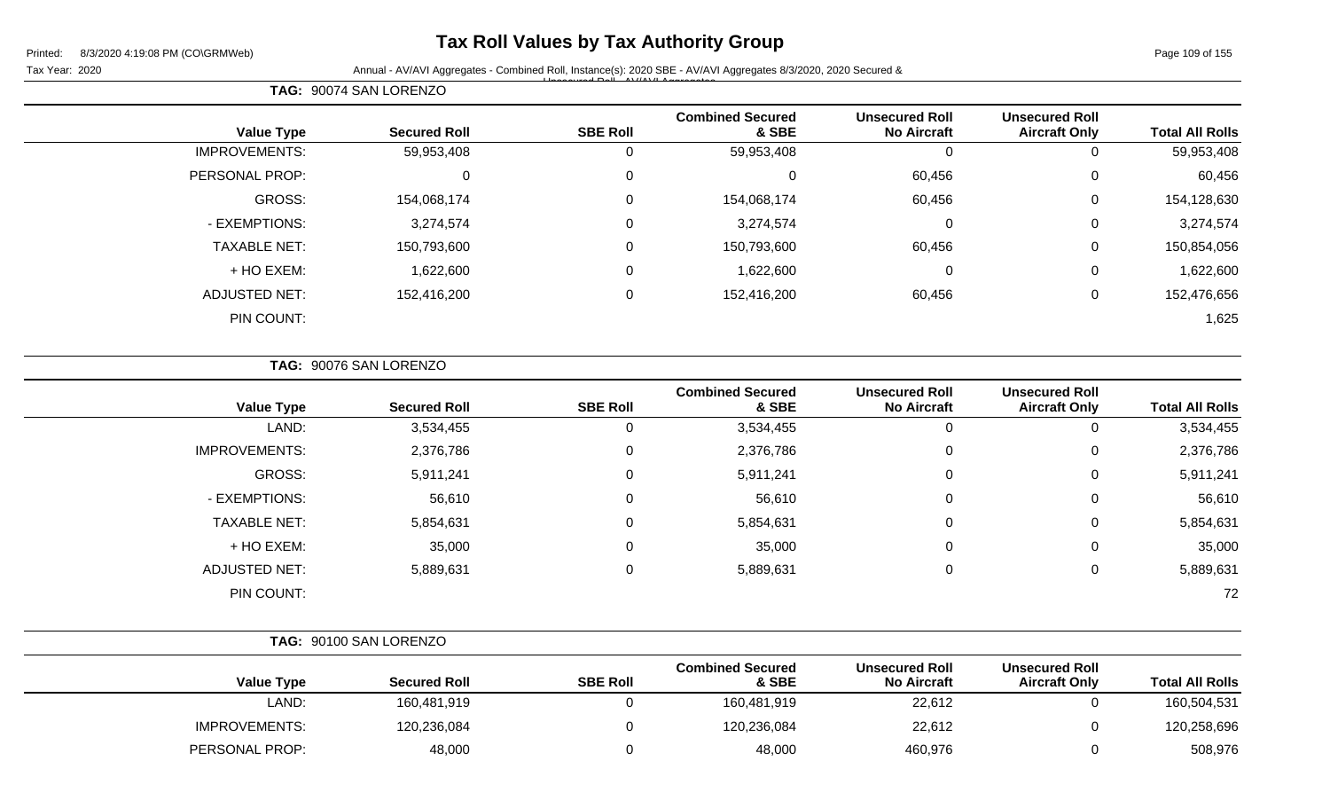## **Tax Roll Values by Tax Authority Group**

Page 109 of 155

Tax Year: 2020 **Annual - AV/AVI Aggregates - Combined Roll**, Instance(s): 2020 SBE - AV/AVI Aggregates 8/3/2020, 2020 Secured & Unsecured Roll - AV/AVI Aggregates

| <b>Total All Rolls</b> | <b>Unsecured Roll</b><br><b>Aircraft Only</b> | <b>Unsecured Roll</b><br><b>No Aircraft</b> | <b>Combined Secured</b><br>& SBE | <b>SBE Roll</b> | <b>Secured Roll</b> | <b>Value Type</b>    |
|------------------------|-----------------------------------------------|---------------------------------------------|----------------------------------|-----------------|---------------------|----------------------|
| 59,953,408             | 0                                             | 0                                           | 59,953,408                       |                 | 59,953,408          | <b>IMPROVEMENTS:</b> |
| 60,456                 | 0                                             | 60,456                                      |                                  | 0               |                     | PERSONAL PROP:       |
| 154,128,630            | 0                                             | 60,456                                      | 154,068,174                      | $\Omega$        | 154,068,174         | <b>GROSS:</b>        |
| 3,274,574              | 0                                             | 0                                           | 3,274,574                        | 0               | 3,274,574           | - EXEMPTIONS:        |
| 150,854,056            | 0                                             | 60,456                                      | 150,793,600                      | $\Omega$        | 150,793,600         | <b>TAXABLE NET:</b>  |
| 1,622,600              | 0                                             | 0                                           | 1,622,600                        | $\Omega$        | 1,622,600           | + HO EXEM:           |
| 152,476,656            | $\mathbf 0$                                   | 60,456                                      | 152,416,200                      | 0               | 152,416,200         | <b>ADJUSTED NET:</b> |
| 1,625                  |                                               |                                             |                                  |                 |                     | PIN COUNT:           |

| <b>TAG: 90076 SAN LORENZO</b> |  |
|-------------------------------|--|
|                               |  |

**TAG:** 90074 SAN LORENZO

| <b>Value Type</b>    | <b>Secured Roll</b> | <b>SBE Roll</b> | <b>Combined Secured</b><br>& SBE | <b>Unsecured Roll</b><br><b>No Aircraft</b> | <b>Unsecured Roll</b><br><b>Aircraft Only</b> | <b>Total All Rolls</b> |
|----------------------|---------------------|-----------------|----------------------------------|---------------------------------------------|-----------------------------------------------|------------------------|
| LAND:                | 3,534,455           | 0               | 3,534,455                        | 0                                           | 0                                             | 3,534,455              |
| <b>IMPROVEMENTS:</b> | 2,376,786           | 0               | 2,376,786                        | 0                                           | 0                                             | 2,376,786              |
| GROSS:               | 5,911,241           | 0               | 5,911,241                        | 0                                           | 0                                             | 5,911,241              |
| - EXEMPTIONS:        | 56,610              | 0               | 56,610                           | 0                                           | 0                                             | 56,610                 |
| <b>TAXABLE NET:</b>  | 5,854,631           | 0               | 5,854,631                        | $\mathbf 0$                                 | 0                                             | 5,854,631              |
| + HO EXEM:           | 35,000              | 0               | 35,000                           | $\mathbf 0$                                 | 0                                             | 35,000                 |
| <b>ADJUSTED NET:</b> | 5,889,631           | 0               | 5,889,631                        | 0                                           | 0                                             | 5,889,631              |
| PIN COUNT:           |                     |                 |                                  |                                             |                                               | 72                     |

|                      | TAG: 90100 SAN LORENZO |                 |                                  |                                             |                                               |                        |
|----------------------|------------------------|-----------------|----------------------------------|---------------------------------------------|-----------------------------------------------|------------------------|
| Value Type           | <b>Secured Roll</b>    | <b>SBE Roll</b> | <b>Combined Secured</b><br>& SBE | <b>Unsecured Roll</b><br><b>No Aircraft</b> | <b>Unsecured Roll</b><br><b>Aircraft Only</b> | <b>Total All Rolls</b> |
| LAND:                | 160,481,919            |                 | 160,481,919                      | 22,612                                      |                                               | 160,504,531            |
| <b>IMPROVEMENTS:</b> | 120,236,084            |                 | 120,236,084                      | 22,612                                      | $\Omega$                                      | 120,258,696            |
| PERSONAL PROP:       | 48,000                 |                 | 48,000                           | 460,976                                     |                                               | 508,976                |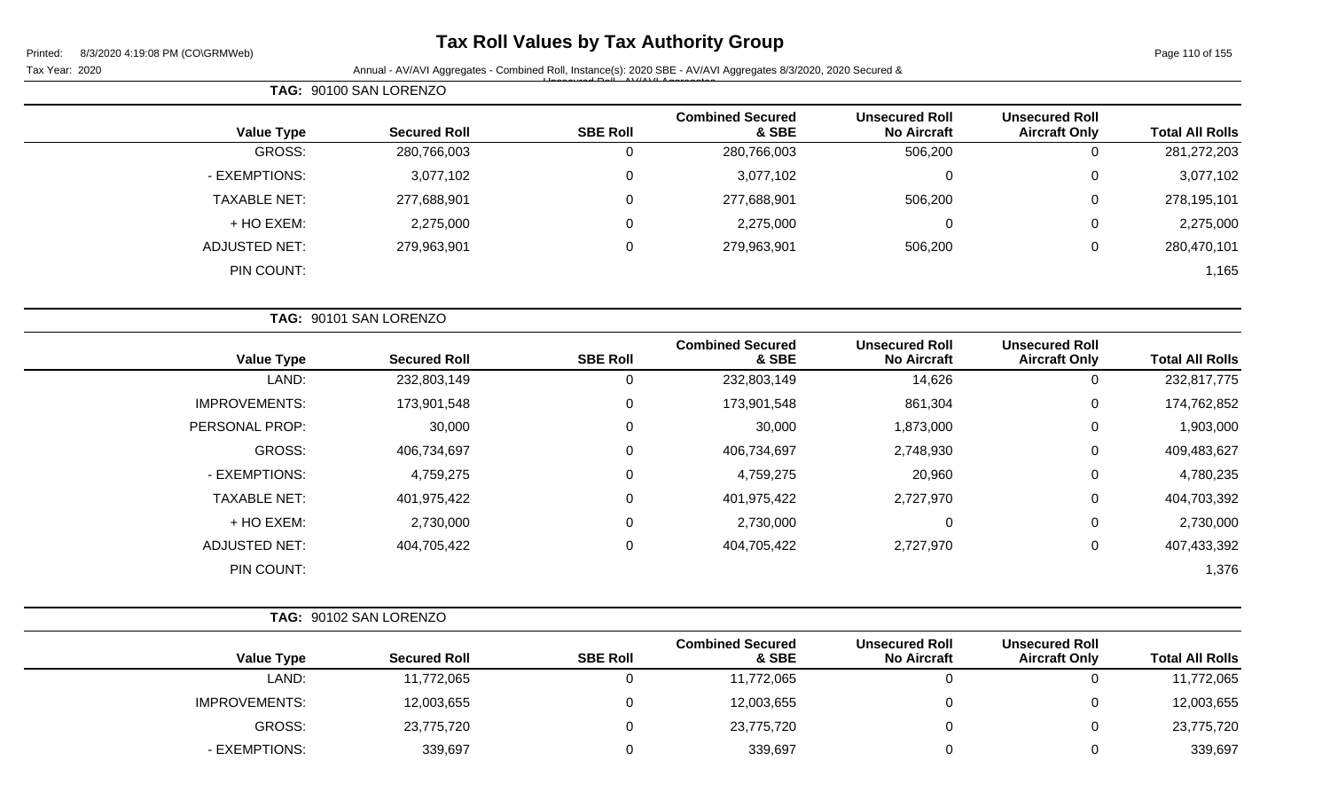# **Tax Roll Values by Tax Authority Group**

Page 110 of 155

| Annual - AV/AVI Aggregates - Combined Roll, Instance(s): 2020 SBE - AV/AVI Aggregates 8/3/2020, 2020 Secured &<br>Tax Year: 2020 |                                  |                                             |                                               |                        |
|----------------------------------------------------------------------------------------------------------------------------------|----------------------------------|---------------------------------------------|-----------------------------------------------|------------------------|
| TAG: 90100 SAN LORENZO                                                                                                           |                                  |                                             |                                               |                        |
| <b>SBE Roll</b><br><b>Value Type</b><br><b>Secured Roll</b>                                                                      | <b>Combined Secured</b><br>& SBE | <b>Unsecured Roll</b><br><b>No Aircraft</b> | <b>Unsecured Roll</b><br><b>Aircraft Only</b> | <b>Total All Rolls</b> |
| GROSS:<br>280,766,003<br>0                                                                                                       | 280,766,003                      | 506,200                                     | $\mathbf 0$                                   | 281,272,203            |
| - EXEMPTIONS:<br>3,077,102<br>0                                                                                                  | 3,077,102                        | $\Omega$                                    | $\Omega$                                      | 3,077,102              |
| <b>TAXABLE NET:</b><br>277,688,901<br>0                                                                                          | 277,688,901                      | 506,200                                     | 0                                             | 278,195,101            |
| + HO EXEM:<br>2,275,000<br>0                                                                                                     | 2,275,000                        | $\Omega$                                    | 0                                             | 2,275,000              |
| <b>ADJUSTED NET:</b><br>0<br>279,963,901                                                                                         | 279,963,901                      | 506,200                                     | $\mathbf 0$                                   | 280,470,101            |
| PIN COUNT:                                                                                                                       |                                  |                                             |                                               | 1,165                  |
| TAG: 90101 SAN LORENZO                                                                                                           |                                  |                                             |                                               |                        |
| <b>SBE Roll</b><br><b>Value Type</b><br><b>Secured Roll</b>                                                                      | <b>Combined Secured</b><br>& SBE | <b>Unsecured Roll</b><br><b>No Aircraft</b> | <b>Unsecured Roll</b><br><b>Aircraft Only</b> | <b>Total All Rolls</b> |
| LAND:<br>232,803,149<br>0                                                                                                        | 232,803,149                      | 14,626                                      | 0                                             | 232,817,775            |
| <b>IMPROVEMENTS:</b><br>0<br>173,901,548                                                                                         | 173,901,548                      | 861,304                                     | $\mathbf 0$                                   | 174,762,852            |
| PERSONAL PROP:<br>30,000<br>0                                                                                                    | 30,000                           | 1,873,000                                   | 0                                             | 1,903,000              |
| GROSS:<br>0<br>406,734,697                                                                                                       | 406,734,697                      | 2,748,930                                   | 0                                             | 409,483,627            |
| - EXEMPTIONS:<br>4,759,275<br>0                                                                                                  | 4,759,275                        | 20,960                                      | 0                                             | 4,780,235              |
| <b>TAXABLE NET:</b><br>0<br>401,975,422                                                                                          | 401,975,422                      | 2,727,970                                   | 0                                             | 404,703,392            |
| + HO EXEM:<br>2,730,000<br>0                                                                                                     | 2,730,000                        | 0                                           | 0                                             | 2,730,000              |
| <b>ADJUSTED NET:</b><br>0<br>404,705,422                                                                                         | 404,705,422                      | 2,727,970                                   | $\pmb{0}$                                     | 407,433,392            |
| PIN COUNT:                                                                                                                       |                                  |                                             |                                               | 1,376                  |
| TAG: 90102 SAN LORENZO                                                                                                           |                                  |                                             |                                               |                        |
| <b>SBE Roll</b><br><b>Value Type</b><br><b>Secured Roll</b>                                                                      | <b>Combined Secured</b><br>& SBE | <b>Unsecured Roll</b><br><b>No Aircraft</b> | <b>Unsecured Roll</b><br><b>Aircraft Only</b> | <b>Total All Rolls</b> |
| LAND:<br>11,772,065<br>0                                                                                                         | 11,772,065                       | 0                                           | $\pmb{0}$                                     | 11,772,065             |
| <b>IMPROVEMENTS:</b><br>12,003,655<br>0                                                                                          | 12,003,655                       | 0                                           | $\pmb{0}$                                     | 12,003,655             |
| <b>GROSS:</b><br>23,775,720<br>0                                                                                                 | 23,775,720                       | 0                                           | $\boldsymbol{0}$                              | 23,775,720             |
| - EXEMPTIONS:<br>339,697<br>0                                                                                                    | 339,697                          | 0                                           | $\pmb{0}$                                     | 339,697                |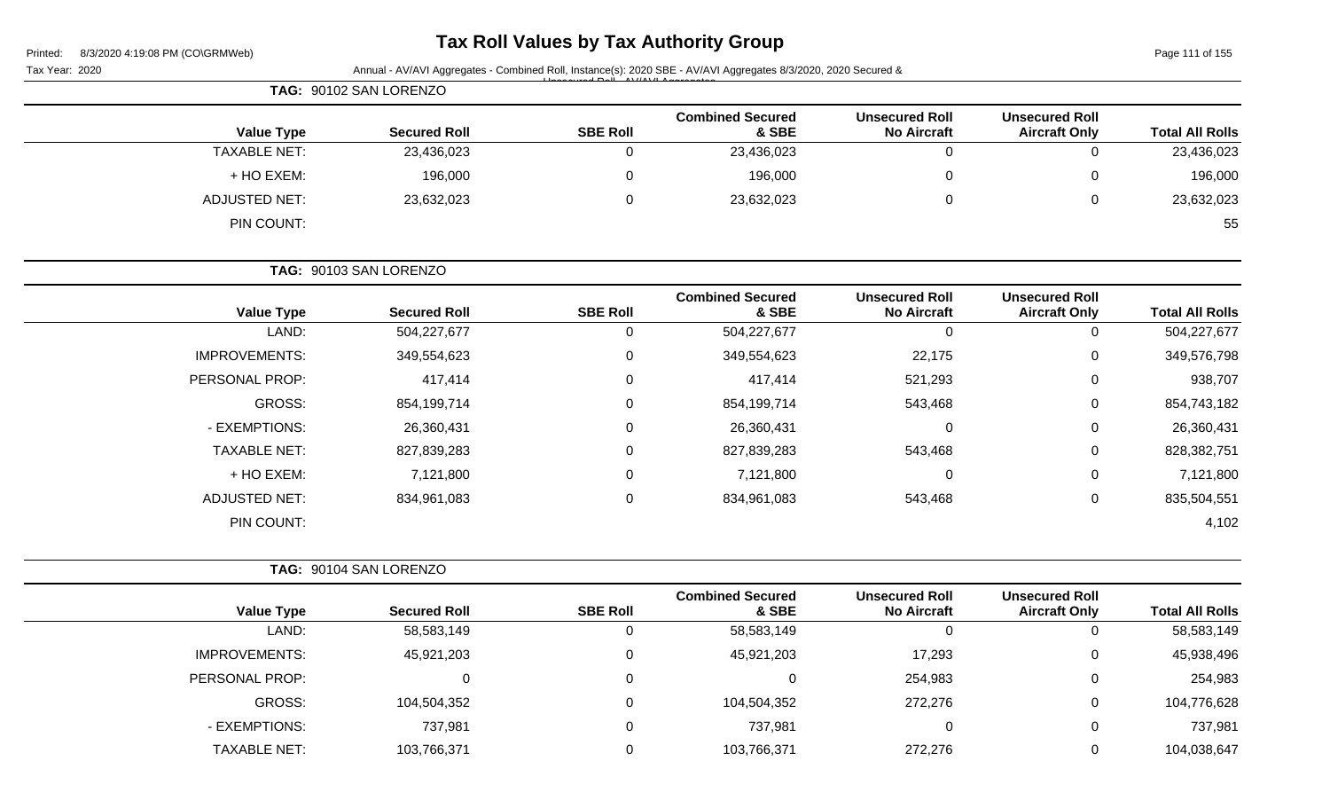| Printed: | 8/3/2020 4:19:08 PM (CO\GRMWeb) |  |
|----------|---------------------------------|--|

# **Tax Roll Values by Tax Authority Group**

Page 111 of 155

| Tax Year: 2020       |                        |                 | Annual - AV/AVI Aggregates - Combined Roll, Instance(s): 2020 SBE - AV/AVI Aggregates 8/3/2020, 2020 Secured & |                                             |                                               |                        |
|----------------------|------------------------|-----------------|----------------------------------------------------------------------------------------------------------------|---------------------------------------------|-----------------------------------------------|------------------------|
|                      | TAG: 90102 SAN LORENZO |                 |                                                                                                                |                                             |                                               |                        |
| <b>Value Type</b>    | <b>Secured Roll</b>    | <b>SBE Roll</b> | <b>Combined Secured</b><br>& SBE                                                                               | <b>Unsecured Roll</b><br><b>No Aircraft</b> | <b>Unsecured Roll</b><br><b>Aircraft Only</b> | <b>Total All Rolls</b> |
| <b>TAXABLE NET:</b>  | 23,436,023             | $\mathbf 0$     | 23,436,023                                                                                                     | $\mathbf 0$                                 | $\mathbf 0$                                   | 23,436,023             |
| + HO EXEM:           | 196,000                | $\mathbf 0$     | 196,000                                                                                                        | $\mathbf 0$                                 | 0                                             | 196,000                |
| <b>ADJUSTED NET:</b> | 23,632,023             | $\mathbf 0$     | 23,632,023                                                                                                     | $\mathbf 0$                                 | 0                                             | 23,632,023             |
| PIN COUNT:           |                        |                 |                                                                                                                |                                             |                                               | 55                     |
|                      | TAG: 90103 SAN LORENZO |                 |                                                                                                                |                                             |                                               |                        |
| <b>Value Type</b>    | <b>Secured Roll</b>    | <b>SBE Roll</b> | <b>Combined Secured</b><br>& SBE                                                                               | <b>Unsecured Roll</b><br><b>No Aircraft</b> | <b>Unsecured Roll</b><br><b>Aircraft Only</b> | <b>Total All Rolls</b> |
| LAND:                | 504,227,677            | $\mathbf 0$     | 504,227,677                                                                                                    | $\mathbf 0$                                 | $\mathbf 0$                                   | 504,227,677            |
| <b>IMPROVEMENTS:</b> | 349,554,623            | $\mathbf 0$     | 349,554,623                                                                                                    | 22,175                                      | 0                                             | 349,576,798            |
| PERSONAL PROP:       | 417,414                | $\mathbf 0$     | 417,414                                                                                                        | 521,293                                     | 0                                             | 938,707                |
| GROSS:               | 854,199,714            | $\mathbf 0$     | 854,199,714                                                                                                    | 543,468                                     | 0                                             | 854,743,182            |
| - EXEMPTIONS:        | 26,360,431             | $\mathbf 0$     | 26,360,431                                                                                                     | $\mathbf 0$                                 | 0                                             | 26,360,431             |
| <b>TAXABLE NET:</b>  | 827,839,283            | $\mathbf 0$     | 827,839,283                                                                                                    | 543,468                                     | 0                                             | 828,382,751            |
| + HO EXEM:           | 7,121,800              | $\mathbf 0$     | 7,121,800                                                                                                      | $\mathbf 0$                                 | 0                                             | 7,121,800              |
| <b>ADJUSTED NET:</b> | 834,961,083            | $\mathbf 0$     | 834,961,083                                                                                                    | 543,468                                     | $\mathbf 0$                                   | 835,504,551            |
| PIN COUNT:           |                        |                 |                                                                                                                |                                             |                                               | 4,102                  |
|                      | TAG: 90104 SAN LORENZO |                 |                                                                                                                |                                             |                                               |                        |
| <b>Value Type</b>    | <b>Secured Roll</b>    | <b>SBE Roll</b> | <b>Combined Secured</b><br>& SBE                                                                               | <b>Unsecured Roll</b><br><b>No Aircraft</b> | <b>Unsecured Roll</b><br><b>Aircraft Only</b> | <b>Total All Rolls</b> |
| LAND:                | 58,583,149             | $\mathsf 0$     | 58,583,149                                                                                                     | $\mathbf 0$                                 | $\mathbf 0$                                   | 58,583,149             |
| <b>IMPROVEMENTS:</b> | 45,921,203             | $\mathbf 0$     | 45,921,203                                                                                                     | 17,293                                      | 0                                             | 45,938,496             |
| PERSONAL PROP:       | 0                      | $\mathbf 0$     | 0                                                                                                              | 254,983                                     | 0                                             | 254,983                |
| <b>GROSS:</b>        | 104,504,352            | $\mathbf 0$     | 104,504,352                                                                                                    | 272,276                                     | 0                                             | 104,776,628            |
| - EXEMPTIONS:        | 737,981                | $\mathbf 0$     | 737,981                                                                                                        | $\boldsymbol{0}$                            | $\mathbf 0$                                   | 737,981                |

TAXABLE NET: 103,766,371 0 103,766,371 272,276 0 104,038,647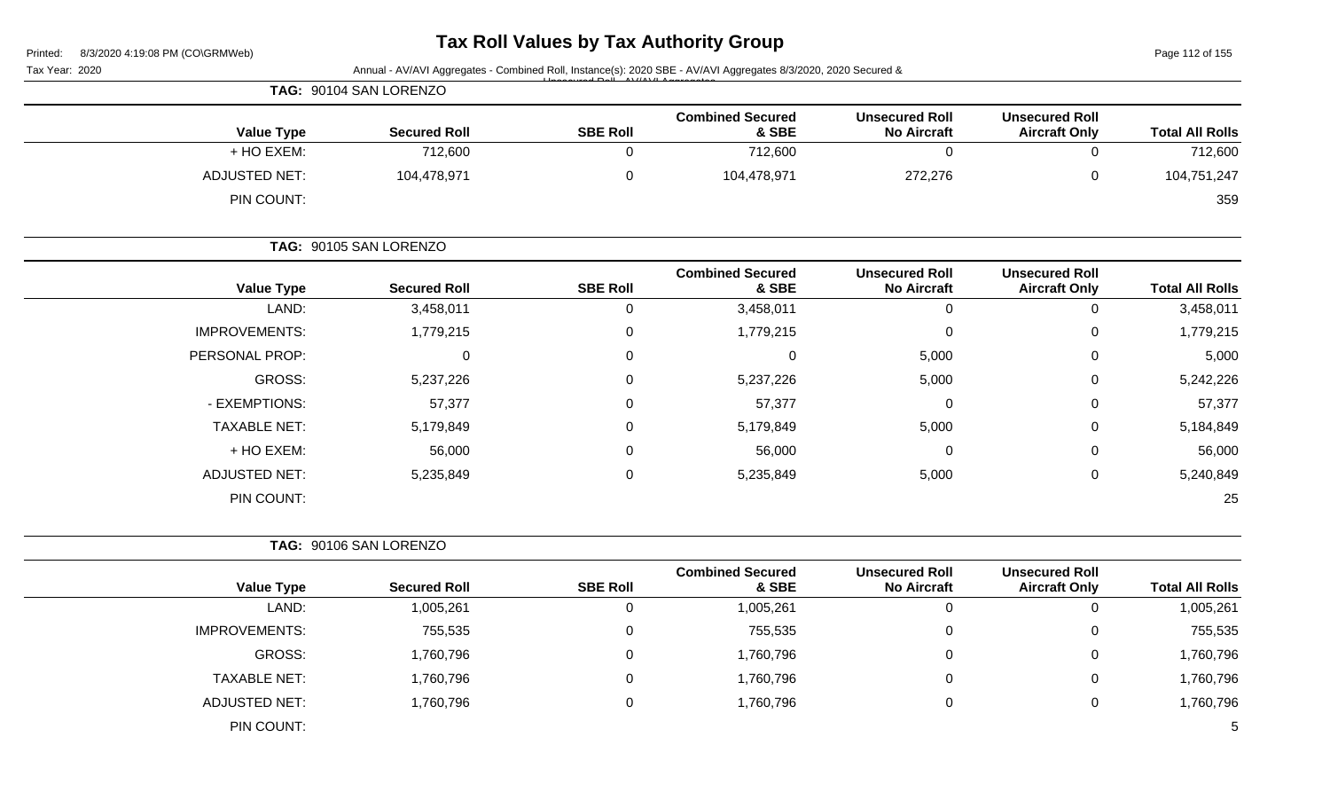# **Tax Roll Values by Tax Authority Group**

Page 112 of 155

|                        |                                               |                                             |                                  |                  | Annual - AV/AVI Aggregates - Combined Roll, Instance(s): 2020 SBE - AV/AVI Aggregates 8/3/2020, 2020 Secured & | Tax Year: 2020       |
|------------------------|-----------------------------------------------|---------------------------------------------|----------------------------------|------------------|----------------------------------------------------------------------------------------------------------------|----------------------|
|                        |                                               |                                             |                                  |                  | TAG: 90104 SAN LORENZO                                                                                         |                      |
| <b>Total All Rolls</b> | <b>Unsecured Roll</b><br><b>Aircraft Only</b> | <b>Unsecured Roll</b><br><b>No Aircraft</b> | <b>Combined Secured</b><br>& SBE | <b>SBE Roll</b>  | <b>Secured Roll</b>                                                                                            | <b>Value Type</b>    |
| 712,600                | $\mathbf 0$                                   | $\mathbf 0$                                 | 712,600                          | $\overline{0}$   | 712,600                                                                                                        | + HO EXEM:           |
| 104,751,247            | $\pmb{0}$                                     | 272,276                                     | 104,478,971                      | $\mathsf 0$      | 104,478,971                                                                                                    | <b>ADJUSTED NET:</b> |
| 359                    |                                               |                                             |                                  |                  |                                                                                                                | PIN COUNT:           |
|                        |                                               |                                             |                                  |                  | TAG: 90105 SAN LORENZO                                                                                         |                      |
| <b>Total All Rolls</b> | <b>Unsecured Roll</b><br><b>Aircraft Only</b> | <b>Unsecured Roll</b><br><b>No Aircraft</b> | <b>Combined Secured</b><br>& SBE | <b>SBE Roll</b>  | <b>Secured Roll</b>                                                                                            | <b>Value Type</b>    |
| 3,458,011              | $\pmb{0}$                                     | $\mathbf 0$                                 | 3,458,011                        | $\mathbf 0$      | 3,458,011                                                                                                      | LAND:                |
| 1,779,215              | $\pmb{0}$                                     | $\mathbf 0$                                 | 1,779,215                        | $\pmb{0}$        | 1,779,215                                                                                                      | <b>IMPROVEMENTS:</b> |
| 5,000                  | 0                                             | 5,000                                       | 0                                | $\mathbf 0$      | $\pmb{0}$                                                                                                      | PERSONAL PROP:       |
| 5,242,226              | $\mathbf 0$                                   | 5,000                                       | 5,237,226                        | 0                | 5,237,226                                                                                                      | <b>GROSS:</b>        |
| 57,377                 | $\mathbf 0$                                   | $\mathbf 0$                                 | 57,377                           | $\mathbf 0$      | 57,377                                                                                                         | - EXEMPTIONS:        |
| 5,184,849              | 0                                             | 5,000                                       | 5,179,849                        | $\mathbf 0$      | 5,179,849                                                                                                      | <b>TAXABLE NET:</b>  |
| 56,000                 | $\pmb{0}$                                     | $\mathbf 0$                                 | 56,000                           | $\boldsymbol{0}$ | 56,000                                                                                                         | + HO EXEM:           |
| 5,240,849              | $\mathbf 0$                                   | 5,000                                       | 5,235,849                        | $\boldsymbol{0}$ | 5,235,849                                                                                                      | <b>ADJUSTED NET:</b> |
| 25                     |                                               |                                             |                                  |                  |                                                                                                                | PIN COUNT:           |
|                        |                                               |                                             |                                  |                  | TAG: 90106 SAN LORENZO                                                                                         |                      |
| <b>Total All Rolls</b> | <b>Unsecured Roll</b><br><b>Aircraft Only</b> | <b>Unsecured Roll</b><br><b>No Aircraft</b> | <b>Combined Secured</b><br>& SBE | <b>SBE Roll</b>  | <b>Secured Roll</b>                                                                                            | <b>Value Type</b>    |
| 1,005,261              | $\mathbf 0$                                   | $\overline{0}$                              | 1,005,261                        | $\mathbf 0$      | 1,005,261                                                                                                      | LAND:                |
| 755,535                | 0                                             | $\mathbf 0$                                 | 755,535                          | 0                | 755,535                                                                                                        | <b>IMPROVEMENTS:</b> |
| 1,760,796              | $\mathbf 0$                                   | 0                                           | 1,760,796                        | $\mathbf 0$      | 1,760,796                                                                                                      | <b>GROSS:</b>        |
| 1,760,796              | $\mathbf 0$                                   | $\mathbf 0$                                 | 1,760,796                        | $\mathbf 0$      | 1,760,796                                                                                                      | <b>TAXABLE NET:</b>  |
| 1,760,796              | $\mathbf 0$                                   | $\mathbf 0$                                 | 1,760,796                        | $\mathbf 0$      | 1,760,796                                                                                                      | <b>ADJUSTED NET:</b> |
|                        |                                               |                                             |                                  |                  |                                                                                                                | PIN COUNT:           |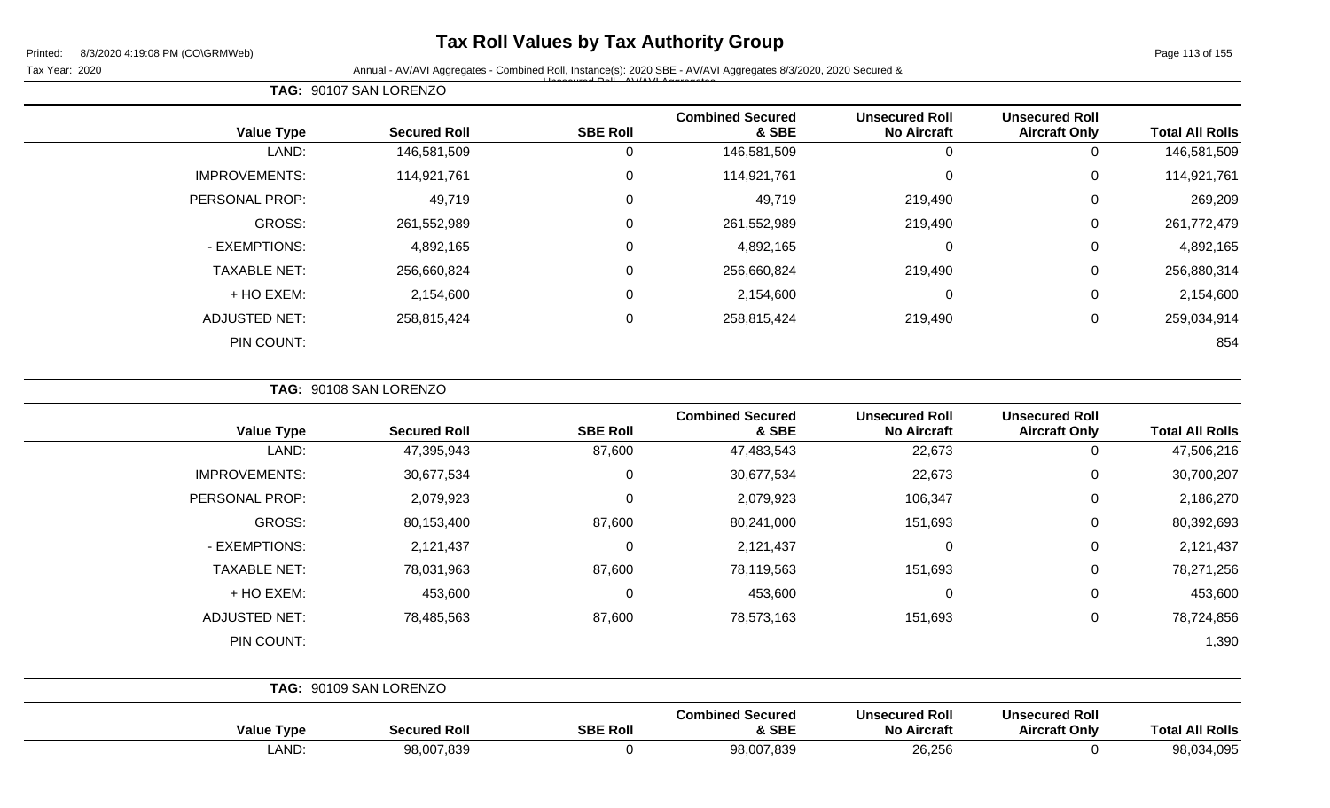## **Tax Roll Values by Tax Authority Group**

#### Tax Year: 2020 **Annual - AV/AVI Aggregates - Combined Roll**, Instance(s): 2020 SBE - AV/AVI Aggregates 8/3/2020, 2020 Secured & Unsecured Roll - AV/AVI Aggregates

Page 113 of 155

| <b>Value Type</b>    | <b>Secured Roll</b> | <b>SBE Roll</b> | <b>Combined Secured</b><br>& SBE | <b>Unsecured Roll</b><br><b>No Aircraft</b> | <b>Unsecured Roll</b><br><b>Aircraft Only</b> | <b>Total All Rolls</b> |
|----------------------|---------------------|-----------------|----------------------------------|---------------------------------------------|-----------------------------------------------|------------------------|
| LAND:                | 146,581,509         | 0               | 146,581,509                      | 0                                           | $\overline{0}$                                | 146,581,509            |
| <b>IMPROVEMENTS:</b> | 114,921,761         | 0               | 114,921,761                      | $\mathbf 0$                                 | 0                                             | 114,921,761            |
| PERSONAL PROP:       | 49,719              | 0               | 49,719                           | 219,490                                     | 0                                             | 269,209                |
| GROSS:               | 261,552,989         | 0               | 261,552,989                      | 219,490                                     | 0                                             | 261,772,479            |
| - EXEMPTIONS:        | 4,892,165           | 0               | 4,892,165                        | $\mathbf 0$                                 | 0                                             | 4,892,165              |
| <b>TAXABLE NET:</b>  | 256,660,824         | 0               | 256,660,824                      | 219,490                                     | $\mathbf 0$                                   | 256,880,314            |
| + HO EXEM:           | 2,154,600           | 0               | 2,154,600                        | 0                                           | $\mathbf 0$                                   | 2,154,600              |
| <b>ADJUSTED NET:</b> | 258,815,424         | 0               | 258,815,424                      | 219,490                                     | $\mathbf 0$                                   | 259,034,914            |
| PIN COUNT:           |                     |                 |                                  |                                             |                                               | 854                    |

**TAG:** 90108 SAN LORENZO

**TAG:** 90107 SAN LORENZO

| <b>Value Type</b>    | <b>Secured Roll</b>    | <b>SBE Roll</b> | <b>Combined Secured</b><br>& SBE | <b>Unsecured Roll</b><br><b>No Aircraft</b> | <b>Unsecured Roll</b><br><b>Aircraft Only</b> | <b>Total All Rolls</b> |
|----------------------|------------------------|-----------------|----------------------------------|---------------------------------------------|-----------------------------------------------|------------------------|
| LAND:                | 47,395,943             | 87,600          | 47,483,543                       | 22,673                                      | 0                                             | 47,506,216             |
| <b>IMPROVEMENTS:</b> | 30,677,534             | $\mathbf 0$     | 30,677,534                       | 22,673                                      | $\mathbf 0$                                   | 30,700,207             |
| PERSONAL PROP:       | 2,079,923              | $\mathbf 0$     | 2,079,923                        | 106,347                                     | $\overline{0}$                                | 2,186,270              |
| GROSS:               | 80,153,400             | 87,600          | 80,241,000                       | 151,693                                     | 0                                             | 80,392,693             |
| - EXEMPTIONS:        | 2,121,437              | $\mathbf 0$     | 2,121,437                        | $\mathbf 0$                                 | $\mathbf 0$                                   | 2,121,437              |
| <b>TAXABLE NET:</b>  | 78,031,963             | 87,600          | 78,119,563                       | 151,693                                     | 0                                             | 78,271,256             |
| + HO EXEM:           | 453,600                | $\mathbf 0$     | 453,600                          | 0                                           | 0                                             | 453,600                |
| <b>ADJUSTED NET:</b> | 78,485,563             | 87,600          | 78,573,163                       | 151,693                                     | $\mathbf 0$                                   | 78,724,856             |
| PIN COUNT:           |                        |                 |                                  |                                             |                                               | 1,390                  |
|                      |                        |                 |                                  |                                             |                                               |                        |
|                      | TAG: 90109 SAN LORENZO |                 |                                  |                                             |                                               |                        |

| <b>Value Type</b> | <b>Secured Roll</b> | <b>SBE Roll</b> | <b>Combined Secured</b><br>& SBE | <b>Unsecured Roll</b><br><b>No Aircraft</b> | <b>Unsecured Roll</b><br><b>Aircraft Only</b> | <b>Total All Rolls</b> |
|-------------------|---------------------|-----------------|----------------------------------|---------------------------------------------|-----------------------------------------------|------------------------|
| LAND              | 98,007,839          |                 | 98,007,839                       | 26,256                                      |                                               | 98,034,095             |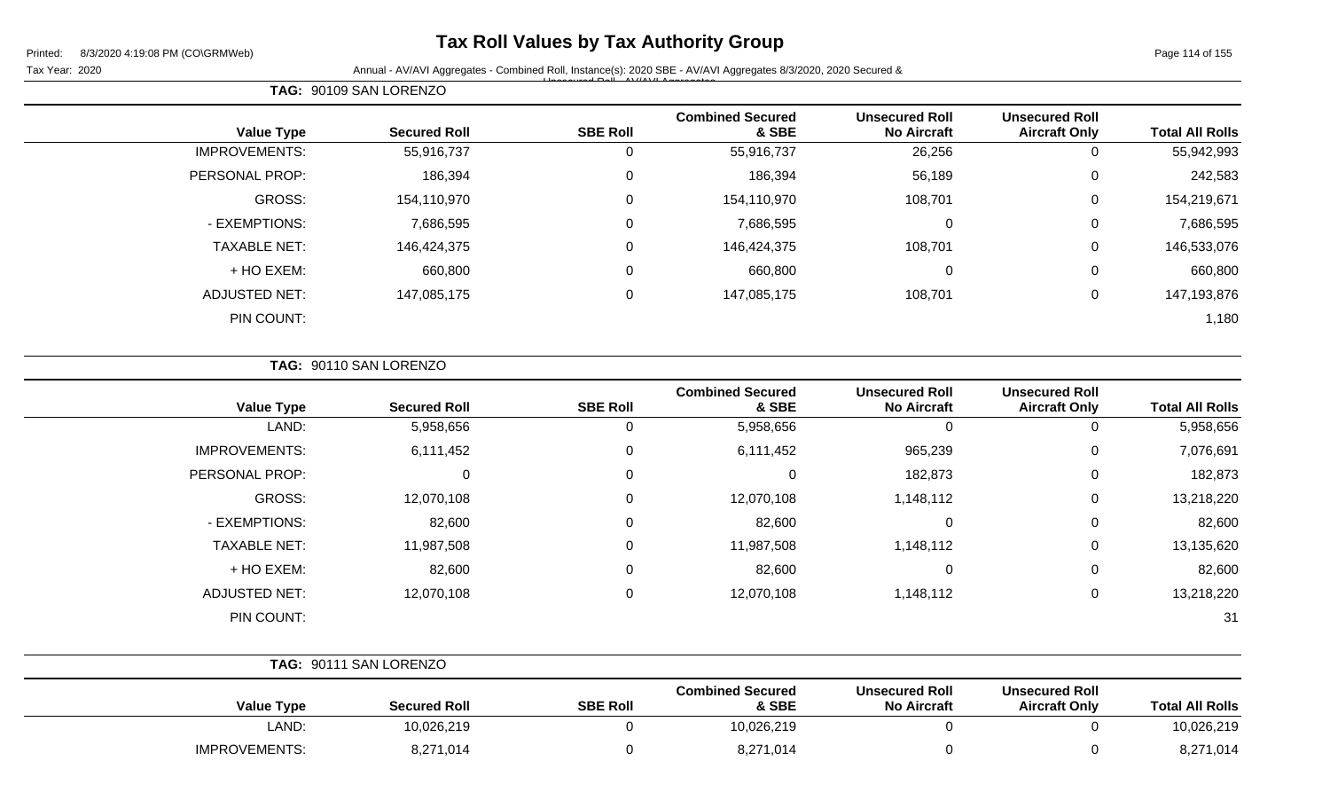## **Tax Roll Values by Tax Authority Group**

Page 114 of 155

Tax Year: 2020 **Annual - AV/AVI Aggregates - Combined Roll**, Instance(s): 2020 SBE - AV/AVI Aggregates 8/3/2020, 2020 Secured & Unsecured Roll - AV/AVI Aggregates

| <b>Total All Rolls</b> | <b>Unsecured Roll</b><br><b>Aircraft Only</b> | <b>Unsecured Roll</b><br><b>No Aircraft</b> | <b>Combined Secured</b><br>& SBE | <b>SBE Roll</b> | <b>Secured Roll</b> | <b>Value Type</b>    |
|------------------------|-----------------------------------------------|---------------------------------------------|----------------------------------|-----------------|---------------------|----------------------|
| 55,942,993             | 0                                             | 26,256                                      | 55,916,737                       | 0               | 55,916,737          | <b>IMPROVEMENTS:</b> |
| 242,583                | 0                                             | 56,189                                      | 186,394                          | 0               | 186,394             | PERSONAL PROP:       |
| 154,219,671            | 0                                             | 108,701                                     | 154,110,970                      | $\mathbf 0$     | 154,110,970         | <b>GROSS:</b>        |
| 7,686,595              | 0                                             | 0                                           | 7,686,595                        | 0               | 7,686,595           | - EXEMPTIONS:        |
| 146,533,076            | 0                                             | 108,701                                     | 146,424,375                      | $\mathbf 0$     | 146,424,375         | <b>TAXABLE NET:</b>  |
| 660,800                | 0                                             | 0                                           | 660,800                          | $\mathbf 0$     | 660,800             | + HO EXEM:           |
| 147,193,876            | 0                                             | 108,701                                     | 147,085,175                      | 0               | 147,085,175         | <b>ADJUSTED NET:</b> |
| 1,180                  |                                               |                                             |                                  |                 |                     | PIN COUNT:           |
|                        |                                               |                                             |                                  |                 |                     |                      |

| <b>TAG: 90110 SAN LORENZO</b> |
|-------------------------------|
|-------------------------------|

**TAG:** 90109 SAN LORENZO

| <b>Value Type</b>    | <b>Secured Roll</b> | <b>SBE Roll</b> | <b>Combined Secured</b><br>& SBE | <b>Unsecured Roll</b><br><b>No Aircraft</b> | <b>Unsecured Roll</b><br><b>Aircraft Only</b> | <b>Total All Rolls</b> |
|----------------------|---------------------|-----------------|----------------------------------|---------------------------------------------|-----------------------------------------------|------------------------|
| LAND:                | 5,958,656           | 0               | 5,958,656                        | 0                                           | U                                             | 5,958,656              |
| <b>IMPROVEMENTS:</b> | 6,111,452           | 0               | 6,111,452                        | 965,239                                     | 0                                             | 7,076,691              |
| PERSONAL PROP:       | 0                   | 0               | 0                                | 182,873                                     | 0                                             | 182,873                |
| GROSS:               | 12,070,108          | 0               | 12,070,108                       | 1,148,112                                   | 0                                             | 13,218,220             |
| - EXEMPTIONS:        | 82,600              | 0               | 82,600                           | 0                                           | 0                                             | 82,600                 |
| <b>TAXABLE NET:</b>  | 11,987,508          | 0               | 11,987,508                       | 1,148,112                                   | 0                                             | 13,135,620             |
| + HO EXEM:           | 82,600              | 0               | 82,600                           | 0                                           | 0                                             | 82,600                 |
| <b>ADJUSTED NET:</b> | 12,070,108          | 0               | 12,070,108                       | 1,148,112                                   | 0                                             | 13,218,220             |
| PIN COUNT:           |                     |                 |                                  |                                             |                                               | 31                     |

|                      | TAG: 90111 SAN LORENZO |                 |                                  |                                             |                                               |                        |
|----------------------|------------------------|-----------------|----------------------------------|---------------------------------------------|-----------------------------------------------|------------------------|
| <b>Value Type</b>    | <b>Secured Roll</b>    | <b>SBE Roll</b> | <b>Combined Secured</b><br>& SBE | <b>Unsecured Roll</b><br><b>No Aircraft</b> | <b>Unsecured Roll</b><br><b>Aircraft Only</b> | <b>Total All Rolls</b> |
| LAND:                | 10,026,219             |                 | 10,026,219                       |                                             |                                               | 10,026,219             |
| <b>IMPROVEMENTS:</b> | 8,271,014              |                 | 8,271,014                        |                                             |                                               | 8,271,014              |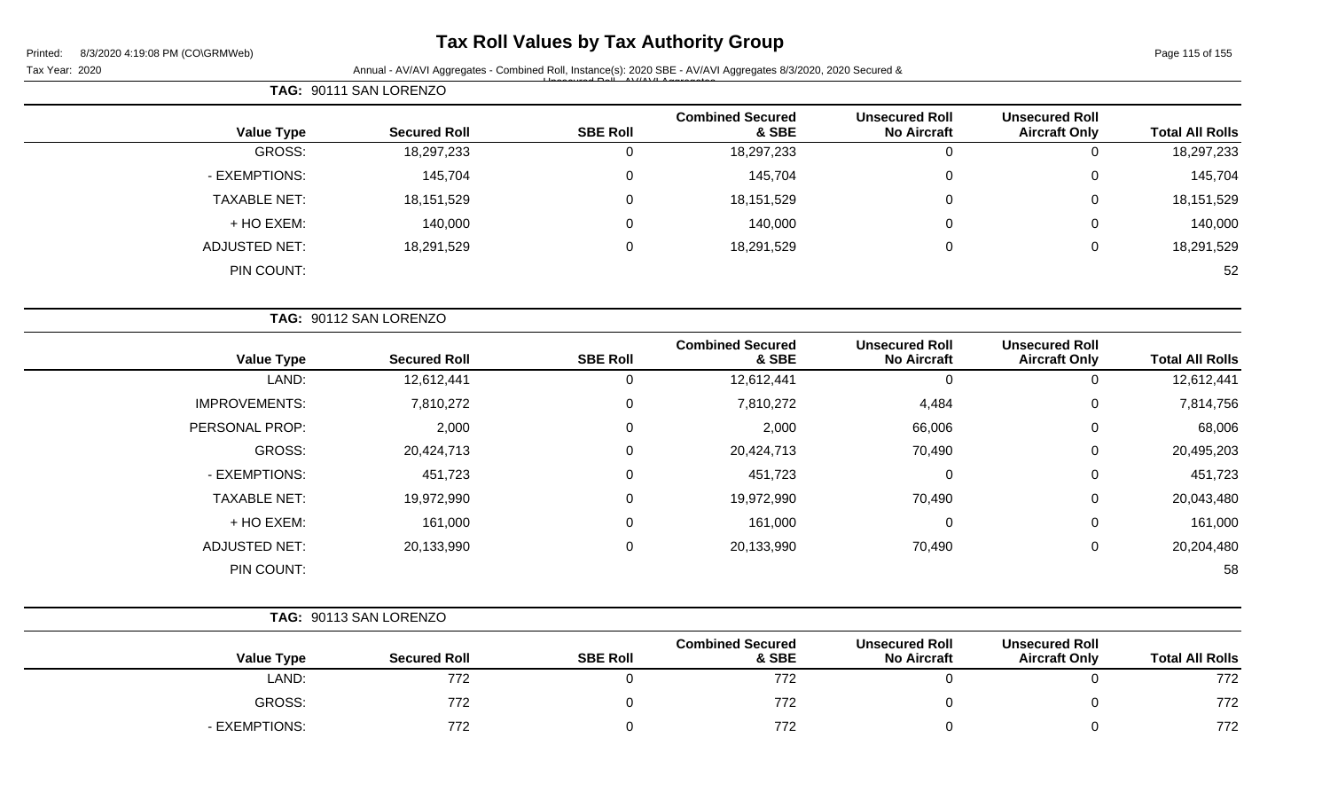## **Tax Roll Values by Tax Authority Group**

Tax Year: 2020 **Annual - AV/AVI Aggregates - Combined Roll, Instance(s): 2020 SBE - AV/AVI Aggregates 8/3/2020, 2020 Secured &** Unsecured Roll - AV/AVI Aggregates

**Unsecured Roll**

|                      | TAG: 90111 SAN LORENZO |                 |                                  |                                             |                                               |                        |
|----------------------|------------------------|-----------------|----------------------------------|---------------------------------------------|-----------------------------------------------|------------------------|
| <b>Value Type</b>    | <b>Secured Roll</b>    | <b>SBE Roll</b> | <b>Combined Secured</b><br>& SBE | <b>Unsecured Roll</b><br><b>No Aircraft</b> | <b>Unsecured Roll</b><br><b>Aircraft Only</b> | <b>Total All Rolls</b> |
| GROSS:               | 18,297,233             |                 | 18,297,233                       | 0                                           |                                               | 18,297,233             |
| - EXEMPTIONS:        | 145,704                | 0               | 145,704                          | 0                                           | 0                                             | 145,704                |
| <b>TAXABLE NET:</b>  | 18,151,529             | 0               | 18,151,529                       | 0                                           | 0                                             | 18,151,529             |
| + HO EXEM:           | 140,000                | 0               | 140,000                          | $\overline{0}$                              | 0                                             | 140,000                |
| <b>ADJUSTED NET:</b> | 18,291,529             | 0               | 18,291,529                       | 0                                           | 0                                             | 18,291,529             |
| PIN COUNT:           |                        |                 |                                  |                                             |                                               | 52                     |

|                        |                                               |                                             |                                  |                 | TAG: 90112 SAN LORENZO |                      |  |
|------------------------|-----------------------------------------------|---------------------------------------------|----------------------------------|-----------------|------------------------|----------------------|--|
| <b>Total All Rolls</b> | <b>Unsecured Roll</b><br><b>Aircraft Only</b> | <b>Unsecured Roll</b><br><b>No Aircraft</b> | <b>Combined Secured</b><br>& SBE | <b>SBE Roll</b> | <b>Secured Roll</b>    | <b>Value Type</b>    |  |
| 12,612,441             | 0                                             |                                             | 12,612,441                       | 0               | 12,612,441             | LAND:                |  |
| 7,814,756              | $\mathbf 0$                                   | 4,484                                       | 7,810,272                        | 0               | 7,810,272              | <b>IMPROVEMENTS:</b> |  |
| 68,006                 | 0                                             | 66,006                                      | 2,000                            | 0               | 2,000                  | PERSONAL PROP:       |  |
| 20,495,203             | $\mathbf 0$                                   | 70,490                                      | 20,424,713                       | 0               | 20,424,713             | GROSS:               |  |
| 451,723                | 0                                             | $\mathbf 0$                                 | 451,723                          | 0               | 451,723                | - EXEMPTIONS:        |  |
| 20,043,480             | 0                                             | 70,490                                      | 19,972,990                       | 0               | 19,972,990             | <b>TAXABLE NET:</b>  |  |
| 161,000                | 0                                             | $\mathbf 0$                                 | 161,000                          | 0               | 161,000                | + HO EXEM:           |  |
| 20,204,480             | $\mathbf 0$                                   | 70,490                                      | 20,133,990                       | 0               | 20,133,990             | <b>ADJUSTED NET:</b> |  |
| 58                     |                                               |                                             |                                  |                 |                        | PIN COUNT:           |  |

|                                             |                                  |                 | 90113 SAN LORENZO   | TAG:                             |
|---------------------------------------------|----------------------------------|-----------------|---------------------|----------------------------------|
| <b>Unsecured Roll</b><br><b>No Aircraft</b> | <b>Combined Secured</b><br>& SBE | <b>SBE Roll</b> | <b>Secured Roll</b> | <b>Value Type</b>                |
| $\sim$                                      | 770                              |                 | フフハ                 | $\Lambda$ $\Lambda$ I $\Gamma$ . |

| <b>Value Type</b> | <b>Secured Roll</b> | <b>SBE Roll</b> | & SBE             | <b>No Aircraft</b> | <b>Aircraft Only</b> | <b>Total All Rolls</b> |
|-------------------|---------------------|-----------------|-------------------|--------------------|----------------------|------------------------|
| LAND:             | 772                 |                 | 772               |                    |                      | 772                    |
| <b>GROSS:</b>     | 772                 |                 | 772               |                    |                      | 772                    |
| - EXEMPTIONS:     | 772                 |                 | 772<br>$\epsilon$ |                    |                      | 772                    |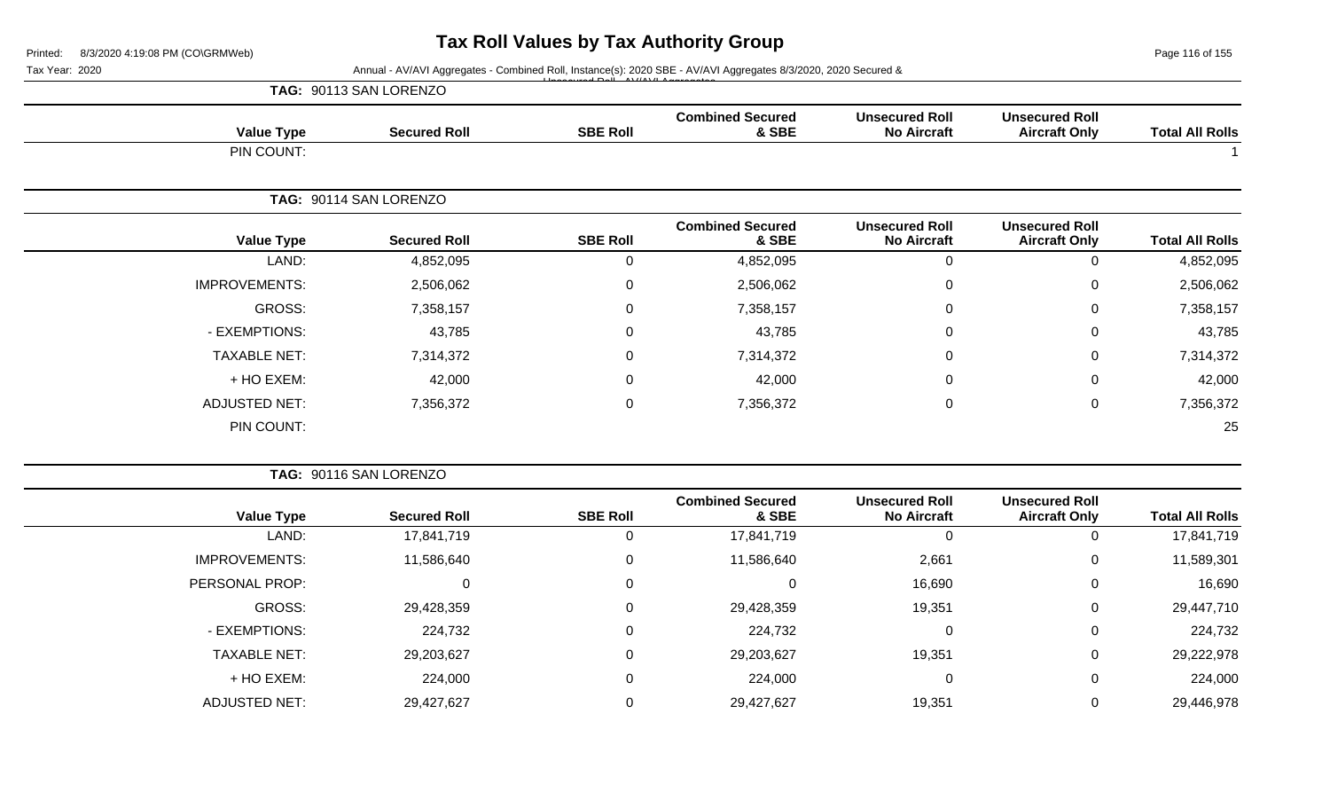Page 116 of 155

#### Tax Year: 2020 **Annual - AV/AVI Aggregates - Combined Roll**, Instance(s): 2020 SBE - AV/AVI Aggregates 8/3/2020, 2020 Secured & Unsecured Roll - AV/AVI Aggregates

|                      | TAG: 90113 SAN LORENZO |                 |                                  |                                             |                                               |                        |
|----------------------|------------------------|-----------------|----------------------------------|---------------------------------------------|-----------------------------------------------|------------------------|
| <b>Value Type</b>    | <b>Secured Roll</b>    | <b>SBE Roll</b> | <b>Combined Secured</b><br>& SBE | <b>Unsecured Roll</b><br><b>No Aircraft</b> | <b>Unsecured Roll</b><br><b>Aircraft Only</b> | <b>Total All Rolls</b> |
| PIN COUNT:           |                        |                 |                                  |                                             |                                               |                        |
|                      | TAG: 90114 SAN LORENZO |                 |                                  |                                             |                                               |                        |
| <b>Value Type</b>    | <b>Secured Roll</b>    | <b>SBE Roll</b> | <b>Combined Secured</b><br>& SBE | <b>Unsecured Roll</b><br><b>No Aircraft</b> | <b>Unsecured Roll</b><br><b>Aircraft Only</b> | <b>Total All Rolls</b> |
| LAND:                | 4,852,095              | 0               | 4,852,095                        | $\mathbf 0$                                 | 0                                             | 4,852,095              |
| <b>IMPROVEMENTS:</b> | 2,506,062              | 0               | 2,506,062                        | 0                                           | 0                                             | 2,506,062              |
| GROSS:               | 7,358,157              | 0               | 7,358,157                        | 0                                           | 0                                             | 7,358,157              |
| - EXEMPTIONS:        | 43,785                 | 0               | 43,785                           | 0                                           | 0                                             | 43,785                 |
| <b>TAXABLE NET:</b>  | 7,314,372              | $\mathbf 0$     | 7,314,372                        | 0                                           | 0                                             | 7,314,372              |
| + HO EXEM:           | 42,000                 | $\pmb{0}$       | 42,000                           | $\mathbf 0$                                 | 0                                             | 42,000                 |
| <b>ADJUSTED NET:</b> | 7,356,372              | $\pmb{0}$       | 7,356,372                        | $\mathbf 0$                                 | 0                                             | 7,356,372              |
| PIN COUNT:           |                        |                 |                                  |                                             |                                               | 25                     |

|                      | TAG: 90116 SAN LORENZO |                 |                                  |                                             |                                               |                        |
|----------------------|------------------------|-----------------|----------------------------------|---------------------------------------------|-----------------------------------------------|------------------------|
| <b>Value Type</b>    | <b>Secured Roll</b>    | <b>SBE Roll</b> | <b>Combined Secured</b><br>& SBE | <b>Unsecured Roll</b><br><b>No Aircraft</b> | <b>Unsecured Roll</b><br><b>Aircraft Only</b> | <b>Total All Rolls</b> |
| LAND:                | 17,841,719             | 0               | 17,841,719                       |                                             | 0                                             | 17,841,719             |
| <b>IMPROVEMENTS:</b> | 11,586,640             | 0               | 11,586,640                       | 2,661                                       | 0                                             | 11,589,301             |
| PERSONAL PROP:       |                        | 0               | 0                                | 16,690                                      | 0                                             | 16,690                 |
| GROSS:               | 29,428,359             | 0               | 29,428,359                       | 19,351                                      | 0                                             | 29,447,710             |
| - EXEMPTIONS:        | 224,732                | $\mathbf 0$     | 224,732                          | $\Omega$                                    | 0                                             | 224,732                |
| <b>TAXABLE NET:</b>  | 29,203,627             | 0               | 29,203,627                       | 19,351                                      | 0                                             | 29,222,978             |
| + HO EXEM:           | 224,000                | 0               | 224,000                          | 0                                           | 0                                             | 224,000                |
| <b>ADJUSTED NET:</b> | 29,427,627             | 0               | 29,427,627                       | 19,351                                      | 0                                             | 29,446,978             |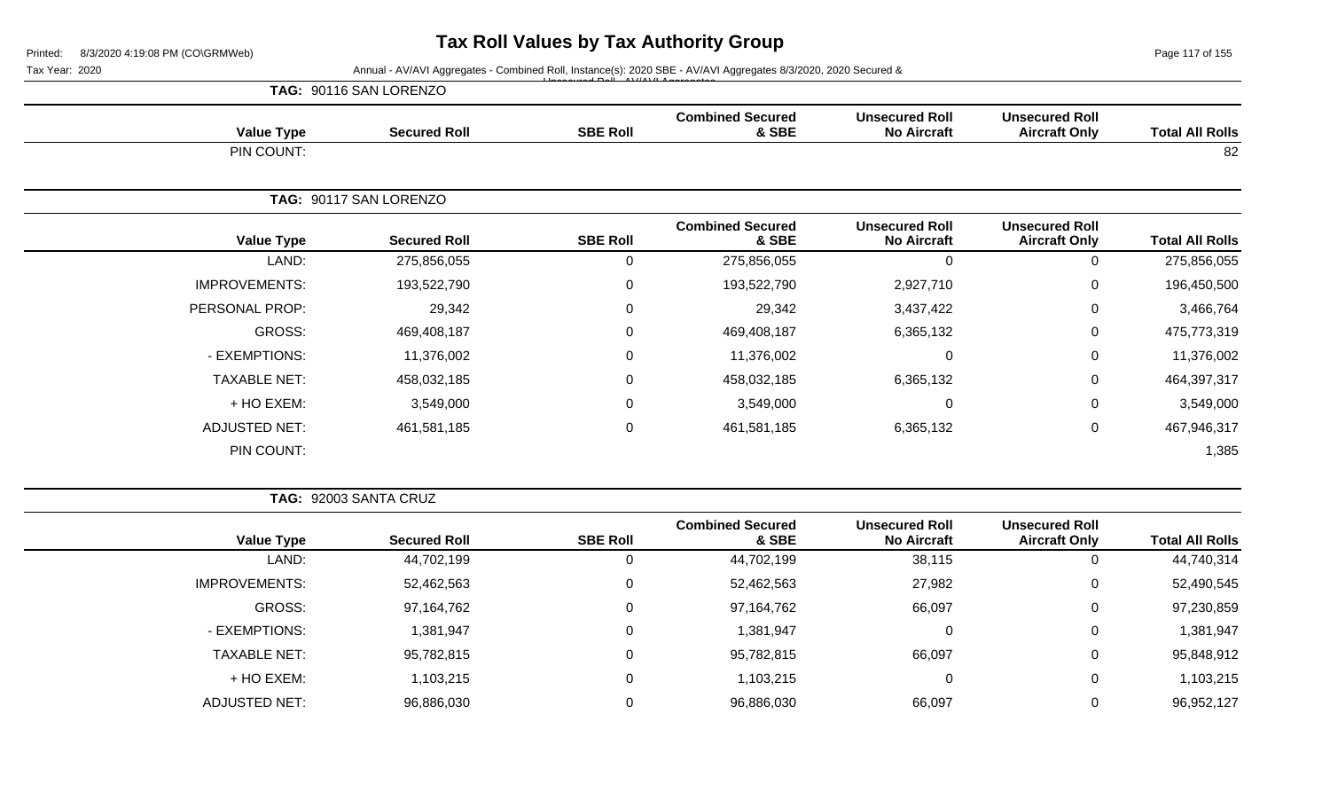Page 117 of 155

Tax Year: 2020 **Annual - AV/AVI Aggregates - Combined Roll, Instance(s): 2020 SBE - AV/AVI Aggregates 8/3/2020, 2020 Secured &** 

|                        |                                               |                                             | <u>Expression of the same district of the same district of the same district of the same district of the same district of the same district of the same district of the same district of the same district of the same district </u> |                  |                        |                      |
|------------------------|-----------------------------------------------|---------------------------------------------|--------------------------------------------------------------------------------------------------------------------------------------------------------------------------------------------------------------------------------------|------------------|------------------------|----------------------|
|                        |                                               |                                             |                                                                                                                                                                                                                                      |                  | TAG: 90116 SAN LORENZO |                      |
| <b>Total All Rolls</b> | <b>Unsecured Roll</b><br><b>Aircraft Only</b> | <b>Unsecured Roll</b><br><b>No Aircraft</b> | <b>Combined Secured</b><br>& SBE                                                                                                                                                                                                     | <b>SBE Roll</b>  | <b>Secured Roll</b>    | <b>Value Type</b>    |
| 82                     |                                               |                                             |                                                                                                                                                                                                                                      |                  |                        | PIN COUNT:           |
|                        |                                               |                                             |                                                                                                                                                                                                                                      |                  | TAG: 90117 SAN LORENZO |                      |
| <b>Total All Rolls</b> | <b>Unsecured Roll</b><br><b>Aircraft Only</b> | <b>Unsecured Roll</b><br><b>No Aircraft</b> | <b>Combined Secured</b><br>& SBE                                                                                                                                                                                                     | <b>SBE Roll</b>  | <b>Secured Roll</b>    | <b>Value Type</b>    |
| 275,856,055            | 0                                             | $\Omega$                                    | 275,856,055                                                                                                                                                                                                                          | 0                | 275,856,055            | LAND:                |
| 196,450,500            | 0                                             | 2,927,710                                   | 193,522,790                                                                                                                                                                                                                          | 0                | 193,522,790            | <b>IMPROVEMENTS:</b> |
| 3,466,764              | 0                                             | 3,437,422                                   | 29,342                                                                                                                                                                                                                               | 0                | 29,342                 | PERSONAL PROP:       |
| 475,773,319            | 0                                             | 6,365,132                                   | 469,408,187                                                                                                                                                                                                                          | $\Omega$         | 469,408,187            | GROSS:               |
| 11,376,002             | 0                                             | $\Omega$                                    | 11,376,002                                                                                                                                                                                                                           | 0                | 11,376,002             | - EXEMPTIONS:        |
| 464,397,317            | 0                                             | 6,365,132                                   | 458,032,185                                                                                                                                                                                                                          | 0                | 458,032,185            | <b>TAXABLE NET:</b>  |
| 3,549,000              | 0                                             | $\Omega$                                    | 3,549,000                                                                                                                                                                                                                            | $\Omega$         | 3,549,000              | + HO EXEM:           |
| 467,946,317            | 0                                             | 6,365,132                                   | 461,581,185                                                                                                                                                                                                                          | $\boldsymbol{0}$ | 461,581,185            | <b>ADJUSTED NET:</b> |
| 1,385                  |                                               |                                             |                                                                                                                                                                                                                                      |                  |                        | PIN COUNT:           |

**TAG:** 92003 SANTA CRUZ

|                      |                     |                 | <b>Combined Secured</b> | <b>Unsecured Roll</b> | <b>Unsecured Roll</b> |                        |
|----------------------|---------------------|-----------------|-------------------------|-----------------------|-----------------------|------------------------|
| <b>Value Type</b>    | <b>Secured Roll</b> | <b>SBE Roll</b> | & SBE                   | <b>No Aircraft</b>    | <b>Aircraft Only</b>  | <b>Total All Rolls</b> |
| LAND:                | 44,702,199          | 0               | 44,702,199              | 38,115                | 0                     | 44,740,314             |
| <b>IMPROVEMENTS:</b> | 52,462,563          | 0               | 52,462,563              | 27,982                | $\overline{0}$        | 52,490,545             |
| GROSS:               | 97,164,762          | 0               | 97,164,762              | 66,097                | 0                     | 97,230,859             |
| - EXEMPTIONS:        | ,381,947            | 0               | 1,381,947               |                       | $\mathbf 0$           | 1,381,947              |
| <b>TAXABLE NET:</b>  | 95,782,815          | 0               | 95,782,815              | 66,097                | $\overline{0}$        | 95,848,912             |
| + HO EXEM:           | 1,103,215           | 0               | 103,215                 |                       | 0                     | 1,103,215              |
| ADJUSTED NET:        | 96,886,030          | 0               | 96,886,030              | 66,097                | 0                     | 96,952,127             |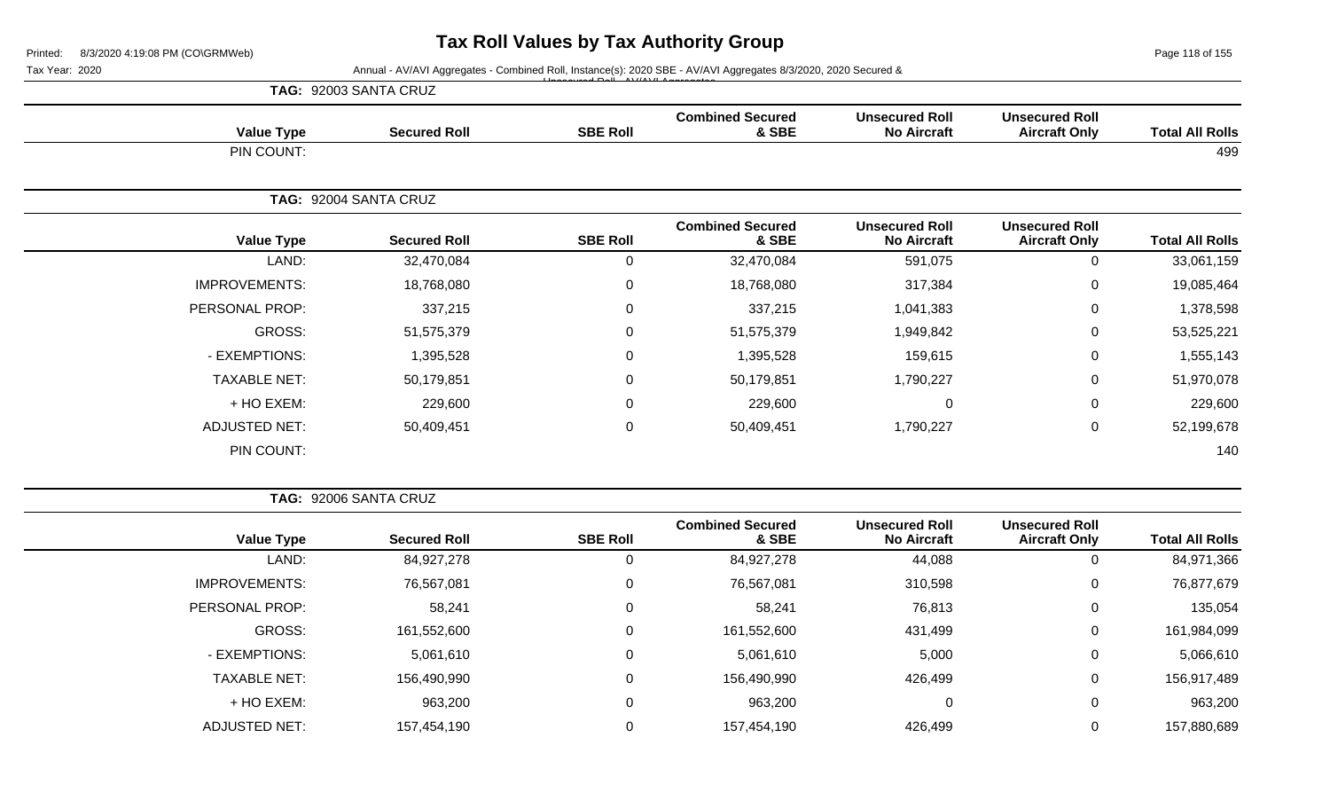Page 118 of 155

|                        |                                               |                                             |                                  |                 | Annual - AV/AVI Aggregates - Combined Roll, Instance(s): 2020 SBE - AV/AVI Aggregates 8/3/2020, 2020 Secured & | Tax Year: 2020       |
|------------------------|-----------------------------------------------|---------------------------------------------|----------------------------------|-----------------|----------------------------------------------------------------------------------------------------------------|----------------------|
|                        |                                               |                                             |                                  |                 | TAG: 92003 SANTA CRUZ                                                                                          |                      |
| <b>Total All Rolls</b> | <b>Unsecured Roll</b><br><b>Aircraft Only</b> | <b>Unsecured Roll</b><br><b>No Aircraft</b> | <b>Combined Secured</b><br>& SBE | <b>SBE Roll</b> | <b>Secured Roll</b>                                                                                            | <b>Value Type</b>    |
| 499                    |                                               |                                             |                                  |                 |                                                                                                                | PIN COUNT:           |
|                        |                                               |                                             |                                  |                 | TAG: 92004 SANTA CRUZ                                                                                          |                      |
| <b>Total All Rolls</b> | <b>Unsecured Roll</b><br><b>Aircraft Only</b> | <b>Unsecured Roll</b><br><b>No Aircraft</b> | <b>Combined Secured</b><br>& SBE | <b>SBE Roll</b> | <b>Secured Roll</b>                                                                                            | <b>Value Type</b>    |
| 33,061,159             | 0                                             | 591,075                                     | 32,470,084                       | 0               | 32,470,084                                                                                                     | LAND:                |
| 19,085,464             | 0                                             | 317,384                                     | 18,768,080                       | 0               | 18,768,080                                                                                                     | <b>IMPROVEMENTS:</b> |
| 1,378,598              | 0                                             | 1,041,383                                   | 337,215                          | 0               | 337,215                                                                                                        | PERSONAL PROP:       |
| 53,525,221             | 0                                             | 1,949,842                                   | 51,575,379                       | $\mathbf 0$     | 51,575,379                                                                                                     | GROSS:               |
| 1,555,143              | 0                                             | 159,615                                     | 1,395,528                        | 0               | 1,395,528                                                                                                      | - EXEMPTIONS:        |
| 51,970,078             | 0                                             | 1,790,227                                   | 50,179,851                       | 0               | 50,179,851                                                                                                     | <b>TAXABLE NET:</b>  |
| 229,600                | 0                                             | $\mathbf 0$                                 | 229,600                          | $\mathbf 0$     | 229,600                                                                                                        | + HO EXEM:           |
| 52,199,678             | 0                                             | 1,790,227                                   | 50,409,451                       | 0               | 50,409,451                                                                                                     | <b>ADJUSTED NET:</b> |
| 140                    |                                               |                                             |                                  |                 |                                                                                                                | PIN COUNT:           |

| <b>Total All Rolls</b> | <b>Unsecured Roll</b><br><b>Aircraft Only</b> | <b>Unsecured Roll</b><br><b>No Aircraft</b> | <b>Combined Secured</b><br>& SBE | <b>SBE Roll</b> | <b>Secured Roll</b> | <b>Value Type</b>    |
|------------------------|-----------------------------------------------|---------------------------------------------|----------------------------------|-----------------|---------------------|----------------------|
| 84,971,366             | 0                                             | 44,088                                      | 84,927,278                       |                 | 84,927,278          | LAND:                |
| 76,877,679             | 0                                             | 310,598                                     | 76,567,081                       | $\Omega$        | 76,567,081          | <b>IMPROVEMENTS:</b> |
| 135,054                | 0                                             | 76,813                                      | 58,241                           | υ               | 58,241              | PERSONAL PROP:       |
| 161,984,099            | 0                                             | 431,499                                     | 161,552,600                      |                 | 161,552,600         | GROSS:               |
| 5,066,610              | 0                                             | 5,000                                       | 5,061,610                        |                 | 5,061,610           | - EXEMPTIONS:        |
| 156,917,489            | 0                                             | 426,499                                     | 156,490,990                      | 0               | 156,490,990         | <b>TAXABLE NET:</b>  |
| 963,200                | 0                                             | 0                                           | 963,200                          |                 | 963,200             | + HO EXEM:           |
| 157,880,689            | 0                                             | 426,499                                     | 157,454,190                      |                 | 157,454,190         | <b>ADJUSTED NET:</b> |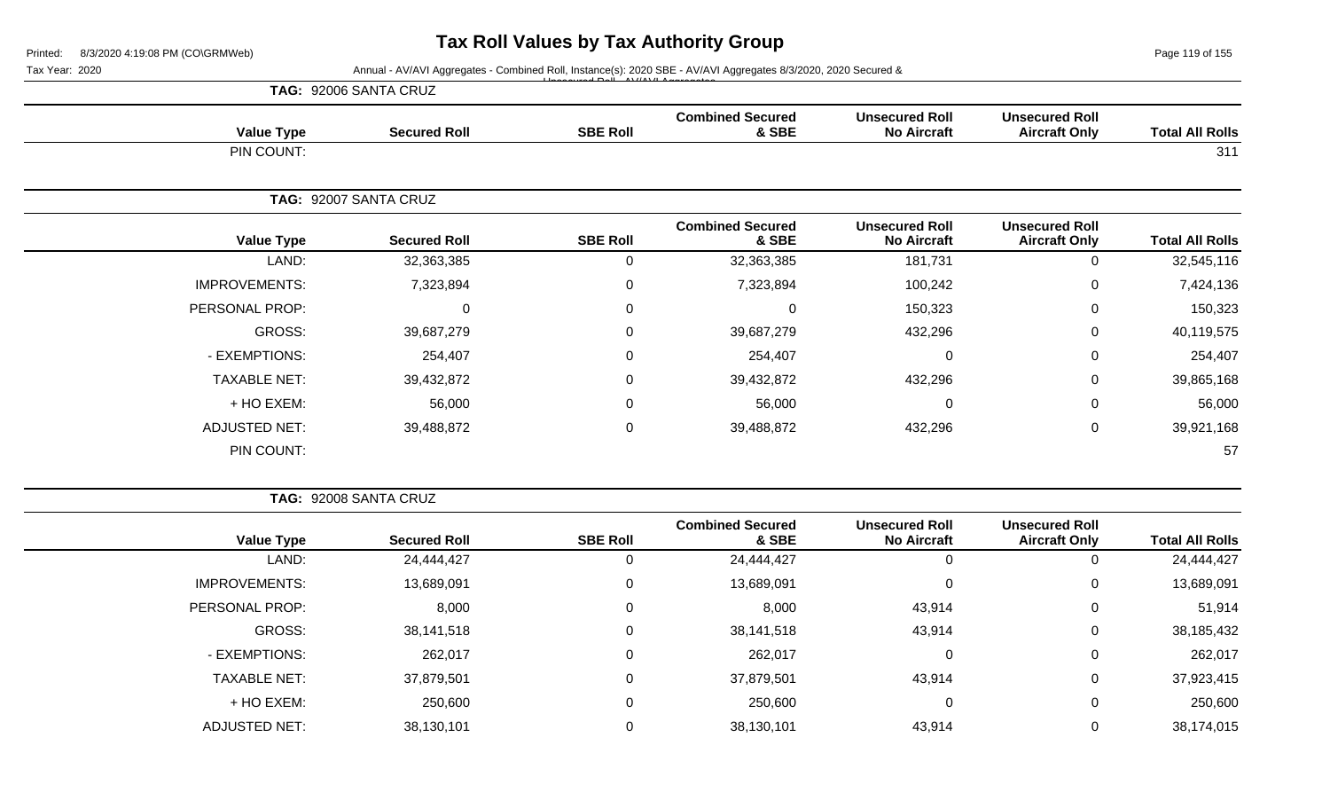Page 119 of 155

|                        |                                               | Tax Year: 2020<br>Annual - AV/AVI Aggregates - Combined Roll, Instance(s): 2020 SBE - AV/AVI Aggregates 8/3/2020, 2020 Secured & |                                  |                 |                       |                      |  |  |
|------------------------|-----------------------------------------------|----------------------------------------------------------------------------------------------------------------------------------|----------------------------------|-----------------|-----------------------|----------------------|--|--|
|                        |                                               |                                                                                                                                  |                                  |                 | TAG: 92006 SANTA CRUZ |                      |  |  |
| <b>Total All Rolls</b> | <b>Unsecured Roll</b><br><b>Aircraft Only</b> | <b>Unsecured Roll</b><br><b>No Aircraft</b>                                                                                      | <b>Combined Secured</b><br>& SBE | <b>SBE Roll</b> | <b>Secured Roll</b>   | <b>Value Type</b>    |  |  |
| 311                    |                                               |                                                                                                                                  |                                  |                 |                       | PIN COUNT:           |  |  |
|                        | TAG: 92007 SANTA CRUZ                         |                                                                                                                                  |                                  |                 |                       |                      |  |  |
| <b>Total All Rolls</b> | <b>Unsecured Roll</b><br><b>Aircraft Only</b> | <b>Unsecured Roll</b><br><b>No Aircraft</b>                                                                                      | <b>Combined Secured</b><br>& SBE | <b>SBE Roll</b> | <b>Secured Roll</b>   | <b>Value Type</b>    |  |  |
| 32,545,116             | $\Omega$                                      | 181,731                                                                                                                          | 32,363,385                       | $\mathbf 0$     | 32,363,385            | LAND:                |  |  |
| 7,424,136              | 0                                             | 100,242                                                                                                                          | 7,323,894                        | $\mathbf 0$     | 7,323,894             | <b>IMPROVEMENTS:</b> |  |  |
| 150,323                | $\Omega$                                      | 150,323                                                                                                                          | 0                                | $\mathbf 0$     | 0                     | PERSONAL PROP:       |  |  |
| 40,119,575             | $\Omega$                                      | 432,296                                                                                                                          | 39,687,279                       | $\mathbf 0$     | 39,687,279            | GROSS:               |  |  |
| 254,407                | $\Omega$                                      | 0                                                                                                                                | 254,407                          | $\mathbf 0$     | 254,407               | - EXEMPTIONS:        |  |  |
| 39,865,168             | 0                                             | 432,296                                                                                                                          | 39,432,872                       | $\mathbf 0$     | 39,432,872            | <b>TAXABLE NET:</b>  |  |  |
| 56,000                 | 0                                             | $\mathbf 0$                                                                                                                      | 56,000                           | $\mathbf 0$     | 56,000                | + HO EXEM:           |  |  |
| 39,921,168             | 0                                             | 432,296                                                                                                                          | 39,488,872                       | $\mathbf 0$     | 39,488,872            | <b>ADJUSTED NET:</b> |  |  |
| 57                     |                                               |                                                                                                                                  |                                  |                 |                       | PIN COUNT:           |  |  |

| <b>Total All Rolls</b> | <b>Unsecured Roll</b><br><b>Aircraft Only</b> | <b>Unsecured Roll</b><br><b>No Aircraft</b> | <b>Combined Secured</b><br>& SBE | <b>SBE Roll</b> | <b>Secured Roll</b> | <b>Value Type</b>    |
|------------------------|-----------------------------------------------|---------------------------------------------|----------------------------------|-----------------|---------------------|----------------------|
| 24,444,427             | U                                             | U                                           | 24,444,427                       |                 | 24,444,427          | LAND:                |
| 13,689,091             | 0                                             | 0                                           | 13,689,091                       | 0               | 13,689,091          | <b>IMPROVEMENTS:</b> |
| 51,914                 | 0                                             | 43,914                                      | 8,000                            |                 | 8,000               | PERSONAL PROP:       |
| 38,185,432             | 0                                             | 43,914                                      | 38,141,518                       | 0               | 38,141,518          | GROSS:               |
| 262,017                | 0                                             | 0                                           | 262,017                          | 0               | 262,017             | - EXEMPTIONS:        |
| 37,923,415             | 0                                             | 43,914                                      | 37,879,501                       | 0               | 37,879,501          | <b>TAXABLE NET:</b>  |
| 250,600                | 0                                             | 0                                           | 250,600                          | $\Omega$        | 250,600             | + HO EXEM:           |
| 38,174,015             | 0                                             | 43,914                                      | 38,130,101                       |                 | 38,130,101          | <b>ADJUSTED NET:</b> |
|                        |                                               |                                             |                                  |                 |                     |                      |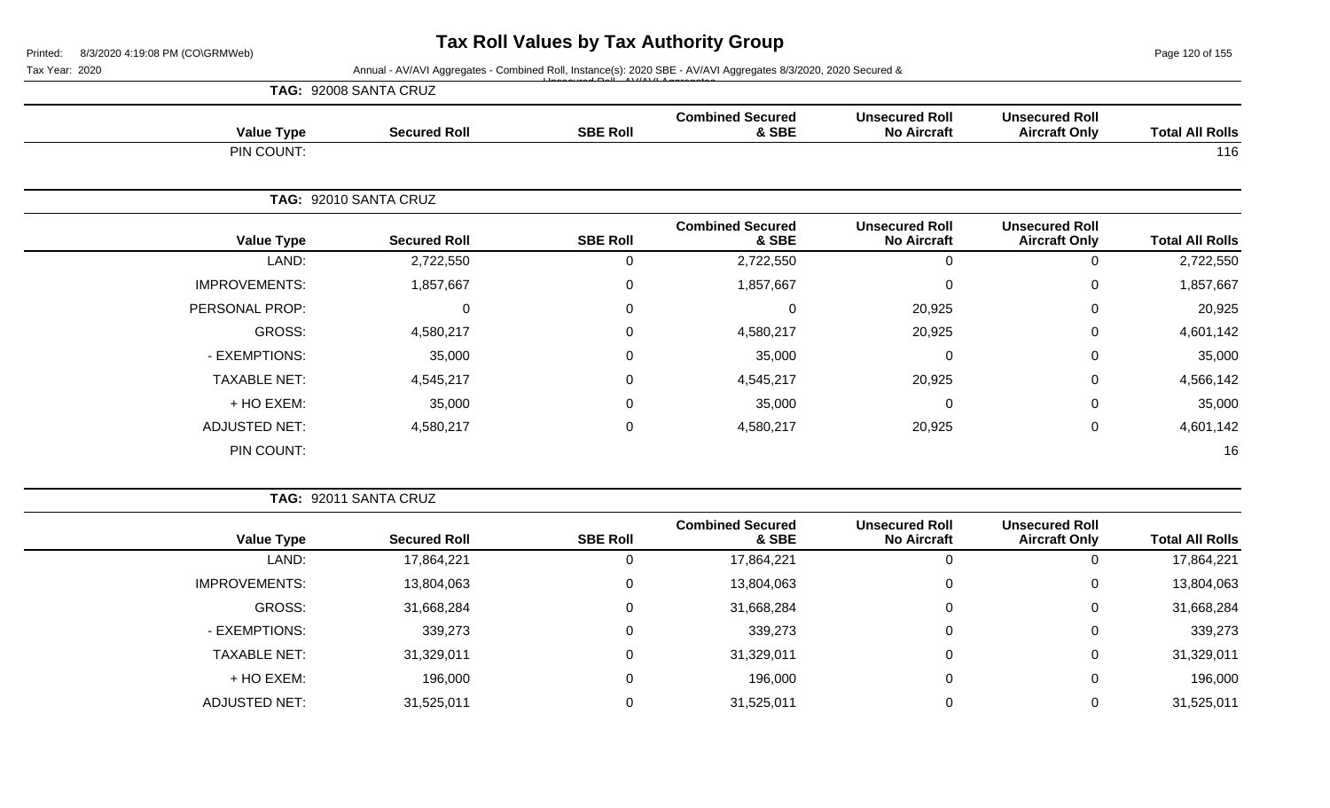Page 120 of 155

|                        |                                               |                                             |                                  |                 | Annual - AV/AVI Aggregates - Combined Roll, Instance(s): 2020 SBE - AV/AVI Aggregates 8/3/2020, 2020 Secured & | Tax Year: 2020       |  |
|------------------------|-----------------------------------------------|---------------------------------------------|----------------------------------|-----------------|----------------------------------------------------------------------------------------------------------------|----------------------|--|
|                        |                                               |                                             |                                  |                 | TAG: 92008 SANTA CRUZ                                                                                          |                      |  |
| <b>Total All Rolls</b> | <b>Unsecured Roll</b><br><b>Aircraft Only</b> | <b>Unsecured Roll</b><br><b>No Aircraft</b> | <b>Combined Secured</b><br>& SBE | <b>SBE Roll</b> | <b>Secured Roll</b>                                                                                            | <b>Value Type</b>    |  |
| 116                    |                                               |                                             |                                  |                 |                                                                                                                | PIN COUNT:           |  |
|                        | TAG: 92010 SANTA CRUZ                         |                                             |                                  |                 |                                                                                                                |                      |  |
| <b>Total All Rolls</b> | <b>Unsecured Roll</b><br><b>Aircraft Only</b> | <b>Unsecured Roll</b><br><b>No Aircraft</b> | <b>Combined Secured</b><br>& SBE | <b>SBE Roll</b> | <b>Secured Roll</b>                                                                                            | <b>Value Type</b>    |  |
| 2,722,550              | 0                                             | 0                                           | 2,722,550                        | 0               | 2,722,550                                                                                                      | LAND:                |  |
| 1,857,667              | 0                                             | $\mathbf{0}$                                | 1,857,667                        | 0               | 1,857,667                                                                                                      | <b>IMPROVEMENTS:</b> |  |
| 20,925                 | $\Omega$                                      | 20,925                                      | 0                                | 0               | $\mathbf 0$                                                                                                    | PERSONAL PROP:       |  |
| 4,601,142              | $\Omega$                                      | 20,925                                      | 4,580,217                        | 0               | 4,580,217                                                                                                      | GROSS:               |  |
| 35,000                 | $\Omega$                                      | 0                                           | 35,000                           | 0               | 35,000                                                                                                         | - EXEMPTIONS:        |  |
| 4,566,142              | 0                                             | 20,925                                      | 4,545,217                        | 0               | 4,545,217                                                                                                      | <b>TAXABLE NET:</b>  |  |
| 35,000                 | 0                                             | 0                                           | 35,000                           | 0               | 35,000                                                                                                         | + HO EXEM:           |  |
| 4,601,142              | 0                                             | 20,925                                      | 4,580,217                        | $\pmb{0}$       | 4,580,217                                                                                                      | <b>ADJUSTED NET:</b> |  |
| 16                     |                                               |                                             |                                  |                 |                                                                                                                | PIN COUNT:           |  |

|                      |                     |                 | <b>Combined Secured</b> | <b>Unsecured Roll</b> | <b>Unsecured Roll</b> |                        |
|----------------------|---------------------|-----------------|-------------------------|-----------------------|-----------------------|------------------------|
| <b>Value Type</b>    | <b>Secured Roll</b> | <b>SBE Roll</b> | & SBE                   | <b>No Aircraft</b>    | <b>Aircraft Only</b>  | <b>Total All Rolls</b> |
| LAND:                | 17,864,221          | O               | 17,864,221              | 0                     | ν                     | 17,864,221             |
| <b>IMPROVEMENTS:</b> | 13,804,063          | 0               | 13,804,063              | 0                     | U                     | 13,804,063             |
| GROSS:               | 31,668,284          | 0               | 31,668,284              | 0                     | U                     | 31,668,284             |
| - EXEMPTIONS:        | 339,273             | 0               | 339,273                 | 0                     | U                     | 339,273                |
| <b>TAXABLE NET:</b>  | 31,329,011          | 0               | 31,329,011              | 0                     | U                     | 31,329,011             |
| + HO EXEM:           | 196,000             | 0               | 196,000                 | 0                     | υ                     | 196,000                |
| ADJUSTED NET:        | 31,525,011          |                 | 31,525,011              | 0                     | υ                     | 31,525,011             |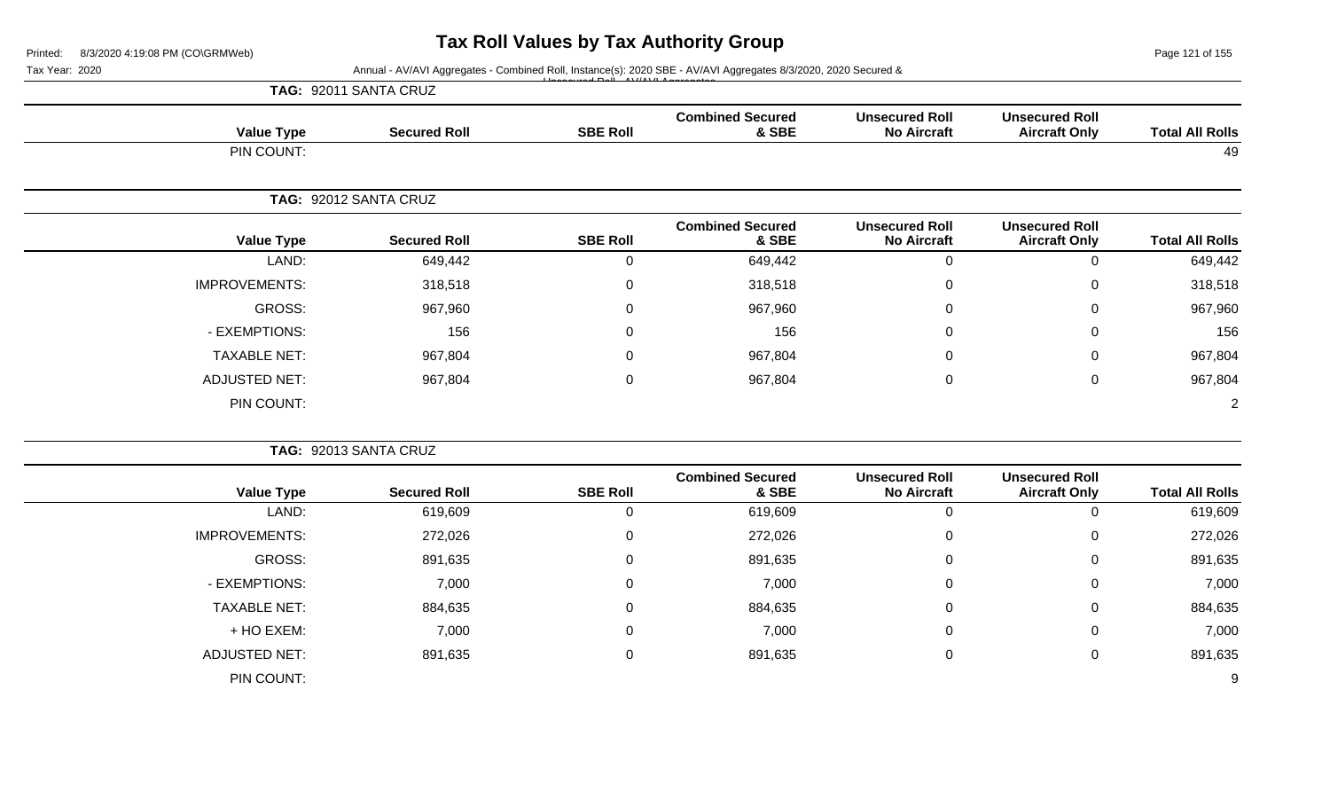Page 121 of 155

| Annual - AV/AVI Aggregates - Combined Roll, Instance(s): 2020 SBE - AV/AVI Aggregates 8/3/2020, 2020 Secured &<br>Tax Year: 2020<br>TAG: 92011 SANTA CRUZ |                       |                 |                                  |                                             |                                               |                        |
|-----------------------------------------------------------------------------------------------------------------------------------------------------------|-----------------------|-----------------|----------------------------------|---------------------------------------------|-----------------------------------------------|------------------------|
|                                                                                                                                                           |                       |                 |                                  |                                             |                                               |                        |
| <b>Value Type</b>                                                                                                                                         | <b>Secured Roll</b>   | <b>SBE Roll</b> | <b>Combined Secured</b><br>& SBE | <b>Unsecured Roll</b><br><b>No Aircraft</b> | <b>Unsecured Roll</b><br><b>Aircraft Only</b> | <b>Total All Rolls</b> |
| PIN COUNT:                                                                                                                                                |                       |                 |                                  |                                             |                                               | 49                     |
|                                                                                                                                                           | TAG: 92012 SANTA CRUZ |                 |                                  |                                             |                                               |                        |
| <b>Value Type</b>                                                                                                                                         | <b>Secured Roll</b>   | <b>SBE Roll</b> | <b>Combined Secured</b><br>& SBE | <b>Unsecured Roll</b><br><b>No Aircraft</b> | <b>Unsecured Roll</b><br><b>Aircraft Only</b> | <b>Total All Rolls</b> |
| LAND:                                                                                                                                                     | 649,442               | $\overline{0}$  | 649,442                          | $\mathbf 0$                                 | $\mathbf 0$                                   | 649,442                |
| <b>IMPROVEMENTS:</b>                                                                                                                                      | 318,518               | $\mathsf 0$     | 318,518                          | $\pmb{0}$                                   | 0                                             | 318,518                |
| <b>GROSS:</b>                                                                                                                                             | 967,960               | $\overline{0}$  | 967,960                          | $\pmb{0}$                                   | $\mathbf 0$                                   | 967,960                |
| - EXEMPTIONS:                                                                                                                                             | 156                   | $\Omega$        | 156                              | $\Omega$                                    | 0                                             | 156                    |
| <b>TAXABLE NET:</b>                                                                                                                                       | 967,804               | 0               | 967,804                          | 0                                           | 0                                             | 967,804                |
| <b>ADJUSTED NET:</b>                                                                                                                                      | 967,804               | $\overline{0}$  | 967,804                          | $\mathbf 0$                                 | $\mathbf 0$                                   | 967,804                |
| PIN COUNT:                                                                                                                                                |                       |                 |                                  |                                             |                                               | $\overline{2}$         |
|                                                                                                                                                           | TAG: 92013 SANTA CRUZ |                 |                                  |                                             |                                               |                        |
| <b>Value Type</b>                                                                                                                                         | <b>Secured Roll</b>   | <b>SBE Roll</b> | <b>Combined Secured</b><br>& SBE | <b>Unsecured Roll</b><br><b>No Aircraft</b> | <b>Unsecured Roll</b><br><b>Aircraft Only</b> | <b>Total All Rolls</b> |
| LAND:                                                                                                                                                     | 619,609               | $\overline{0}$  | 619,609                          | $\mathbf 0$                                 | $\mathbf 0$                                   | 619,609                |
| IMPROVEMENTS:                                                                                                                                             | 272,026               | $\pmb{0}$       | 272,026                          | $\pmb{0}$                                   | 0                                             | 272,026                |
| <b>GROSS:</b>                                                                                                                                             | 891,635               | $\overline{0}$  | 891,635                          | $\pmb{0}$                                   | 0                                             | 891,635                |
| - EXEMPTIONS:                                                                                                                                             | 7,000                 | $\mathbf 0$     | 7,000                            | $\Omega$                                    | 0                                             | 7,000                  |
| <b>TAXABLE NET:</b>                                                                                                                                       | 884,635               | $\mathbf 0$     | 884,635                          | 0                                           | 0                                             | 884,635                |
| + HO EXEM:                                                                                                                                                | 7,000                 | 0               | 7,000                            | 0                                           | 0                                             | 7,000                  |
| <b>ADJUSTED NET:</b>                                                                                                                                      | 891,635               | $\mathbf 0$     | 891,635                          | 0                                           | 0                                             | 891,635                |
| PIN COUNT:                                                                                                                                                |                       |                 |                                  |                                             |                                               | 9                      |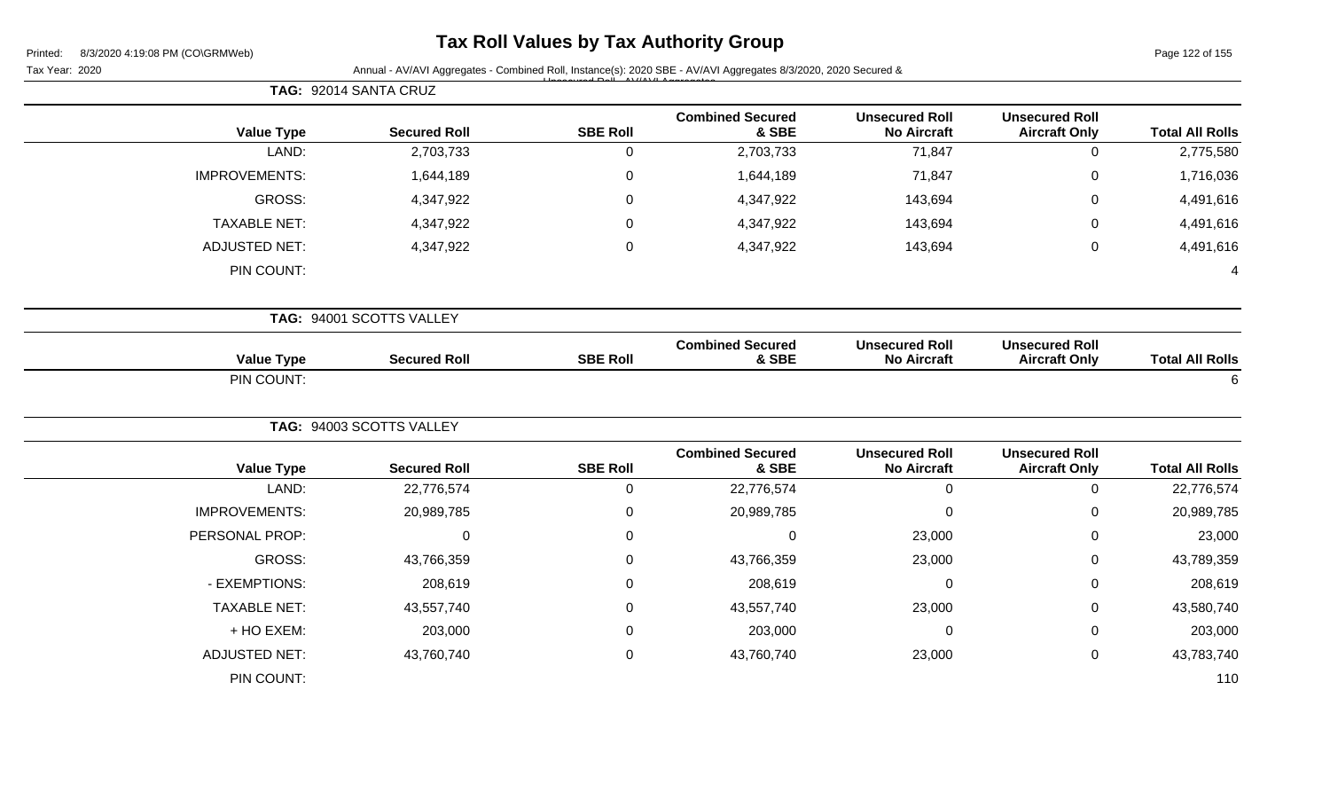# **Tax Roll Values by Tax Authority Group**

Page 122 of 155

|                        | TAG: 92014 SANTA CRUZ                         |                                             |                                  |                 |                          |                      |  |
|------------------------|-----------------------------------------------|---------------------------------------------|----------------------------------|-----------------|--------------------------|----------------------|--|
| <b>Total All Rolls</b> | <b>Unsecured Roll</b><br><b>Aircraft Only</b> | <b>Unsecured Roll</b><br><b>No Aircraft</b> | <b>Combined Secured</b><br>& SBE | <b>SBE Roll</b> | <b>Secured Roll</b>      | <b>Value Type</b>    |  |
| 2,775,580              | $\mathbf 0$                                   | 71,847                                      | 2,703,733                        | $\mathbf 0$     | 2,703,733                | LAND:                |  |
| 1,716,036              | $\pmb{0}$                                     | 71,847                                      | 1,644,189                        | $\mathbf 0$     | 1,644,189                | <b>IMPROVEMENTS:</b> |  |
| 4,491,616              | $\mathbf 0$                                   | 143,694                                     | 4,347,922                        | $\mathbf 0$     | 4,347,922                | GROSS:               |  |
| 4,491,616              | $\mathbf 0$                                   | 143,694                                     | 4,347,922                        | $\mathbf 0$     | 4,347,922                | <b>TAXABLE NET:</b>  |  |
| 4,491,616              | $\mathbf 0$                                   | 143,694                                     | 4,347,922                        | $\pmb{0}$       | 4,347,922                | <b>ADJUSTED NET:</b> |  |
|                        |                                               |                                             |                                  |                 |                          | PIN COUNT:           |  |
|                        | TAG: 94001 SCOTTS VALLEY                      |                                             |                                  |                 |                          |                      |  |
| <b>Total All Rolls</b> | <b>Unsecured Roll</b><br><b>Aircraft Only</b> | <b>Unsecured Roll</b><br><b>No Aircraft</b> | <b>Combined Secured</b><br>& SBE | <b>SBE Roll</b> | <b>Secured Roll</b>      | <b>Value Type</b>    |  |
| 6                      |                                               |                                             |                                  |                 |                          | PIN COUNT:           |  |
|                        |                                               |                                             |                                  |                 | TAG: 94003 SCOTTS VALLEY |                      |  |
| <b>Total All Rolls</b> | <b>Unsecured Roll</b><br><b>Aircraft Only</b> | <b>Unsecured Roll</b><br><b>No Aircraft</b> | <b>Combined Secured</b><br>& SBE | <b>SBE Roll</b> | <b>Secured Roll</b>      | <b>Value Type</b>    |  |
| 22,776,574             | $\mathbf 0$                                   | $\mathbf 0$                                 | 22,776,574                       | 0               | 22,776,574               | LAND:                |  |
| 20,989,785             | $\boldsymbol{0}$                              | $\mathbf 0$                                 | 20,989,785                       | $\pmb{0}$       | 20,989,785               | <b>IMPROVEMENTS:</b> |  |
| 23,000                 | $\mathbf 0$                                   | 23,000                                      | 0                                | $\overline{0}$  | $\mathbf 0$              | PERSONAL PROP:       |  |
| 43,789,359             | $\mathbf 0$                                   | 23,000                                      | 43,766,359                       | $\mathbf 0$     | 43,766,359               | GROSS:               |  |
| 208,619                | $\mathbf 0$                                   | 0                                           | 208,619                          | $\mathbf 0$     | 208,619                  | - EXEMPTIONS:        |  |
| 43,580,740             | $\mathbf 0$                                   | 23,000                                      | 43,557,740                       | $\mathbf 0$     | 43,557,740               | <b>TAXABLE NET:</b>  |  |
| 203,000                | $\mathbf 0$                                   | 0                                           | 203,000                          | 0               | 203,000                  | + HO EXEM:           |  |
|                        |                                               | 23,000                                      | 43,760,740                       | $\overline{0}$  | 43,760,740               | <b>ADJUSTED NET:</b> |  |
| 43,783,740             | $\mathbf 0$                                   |                                             |                                  |                 |                          |                      |  |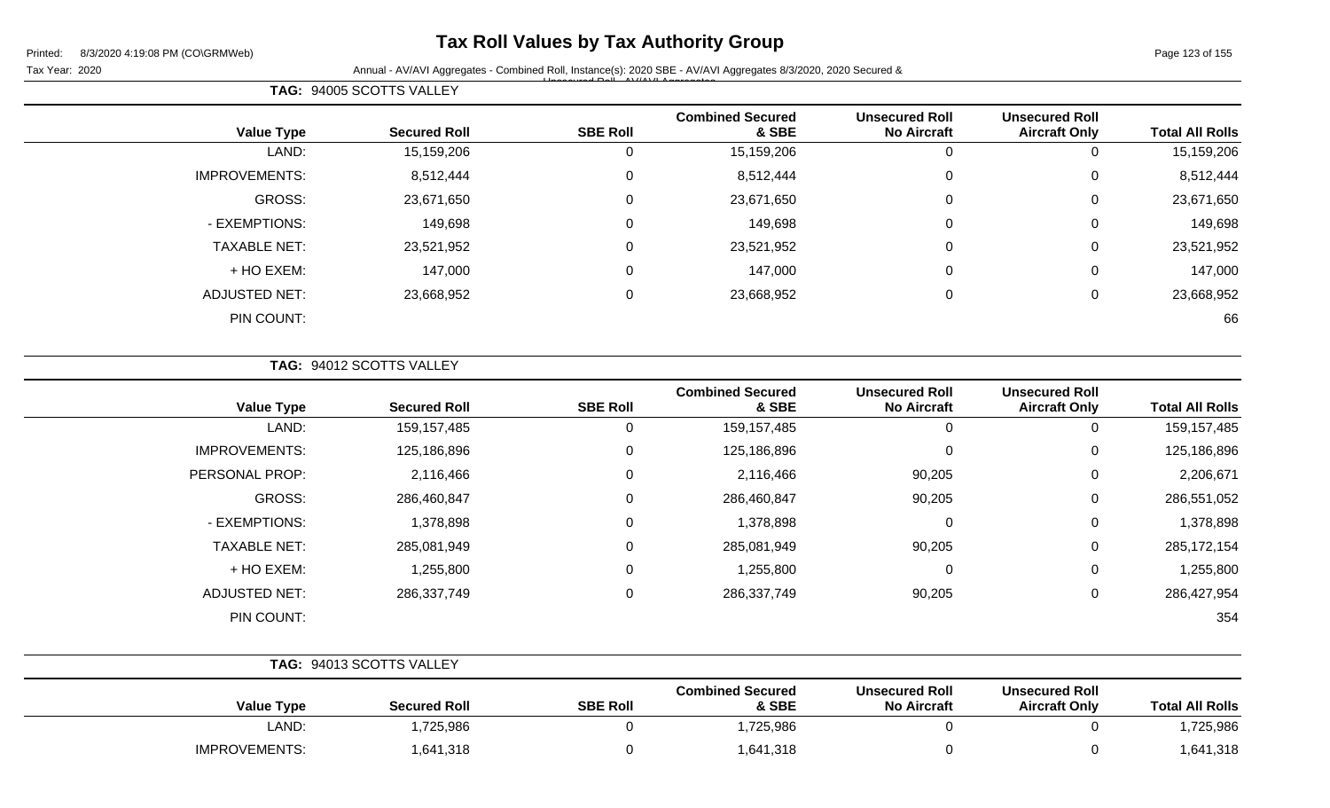### **Tax Roll Values by Tax Authority Group**

Tax Year: 2020 **Annual - AV/AVI Aggregates - Combined Roll, Instance(s): 2020 SBE - AV/AVI Aggregates 8/3/2020, 2020 Secured &** Unsecured Roll - AV/AVI Aggregates

**Value Type Secured Roll SBE Roll Combined Secured & SBE Unsecured Roll No Aircraft Unsecured Roll Total All Rolls** LAND: 15,159,206 0 15,159,206 0 0 15,159,206 IMPROVEMENTS: 8,512,444 0 8,512,444 0 8,512,444 GROSS: 23,671,650 0 23,671,650 0 0 23,671,650 - EXEMPTIONS: 149,698 0 149,698 0 0 149,698 TAXABLE NET: 23,521,952 0 23,521,952 0 0 23,521,952 + HO EXEM: 147,000 0 147,000 0 0 147,000 ADJUSTED NET: 23,668,952 0 23,668,952 0 0 23,668,952 PIN COUNT: 66

**TAG:** 94012 SCOTTS VALLEY

**TAG:** 94005 SCOTTS VALLEY

| <b>Value Type</b>    | <b>Secured Roll</b> | <b>SBE Roll</b> | <b>Combined Secured</b><br>& SBE | <b>Unsecured Roll</b><br><b>No Aircraft</b> | <b>Unsecured Roll</b><br><b>Aircraft Only</b> | <b>Total All Rolls</b> |
|----------------------|---------------------|-----------------|----------------------------------|---------------------------------------------|-----------------------------------------------|------------------------|
| LAND:                | 159, 157, 485       | 0               | 159,157,485                      | 0                                           | 0                                             | 159, 157, 485          |
| <b>IMPROVEMENTS:</b> | 125,186,896         | 0               | 125,186,896                      | $\mathbf 0$                                 | 0                                             | 125,186,896            |
| PERSONAL PROP:       | 2,116,466           | 0               | 2,116,466                        | 90,205                                      | 0                                             | 2,206,671              |
| GROSS:               | 286,460,847         | 0               | 286,460,847                      | 90,205                                      | 0                                             | 286,551,052            |
| - EXEMPTIONS:        | 1,378,898           | 0               | 1,378,898                        | 0                                           | 0                                             | 1,378,898              |
| <b>TAXABLE NET:</b>  | 285,081,949         | 0               | 285,081,949                      | 90,205                                      | 0                                             | 285,172,154            |
| + HO EXEM:           | 1,255,800           | 0               | 1,255,800                        | 0                                           | 0                                             | 1,255,800              |
| ADJUSTED NET:        | 286,337,749         | 0               | 286,337,749                      | 90,205                                      | 0                                             | 286,427,954            |
| PIN COUNT:           |                     |                 |                                  |                                             |                                               | 354                    |

|                   | TAG: 94013 SCOTTS VALLEY |                 |                                  |                                             |                                               |                        |
|-------------------|--------------------------|-----------------|----------------------------------|---------------------------------------------|-----------------------------------------------|------------------------|
| <b>Value Type</b> | <b>Secured Roll</b>      | <b>SBE Roll</b> | <b>Combined Secured</b><br>& SBE | <b>Unsecured Roll</b><br><b>No Aircraft</b> | <b>Unsecured Roll</b><br><b>Aircraft Only</b> | <b>Total All Rolls</b> |
| LAND:             | ,725,986                 |                 | ,725,986                         |                                             |                                               | 1,725,986              |
| IMPROVEMENTS:     | 1,641,318                |                 | 1,641,318                        |                                             |                                               | 1,641,318              |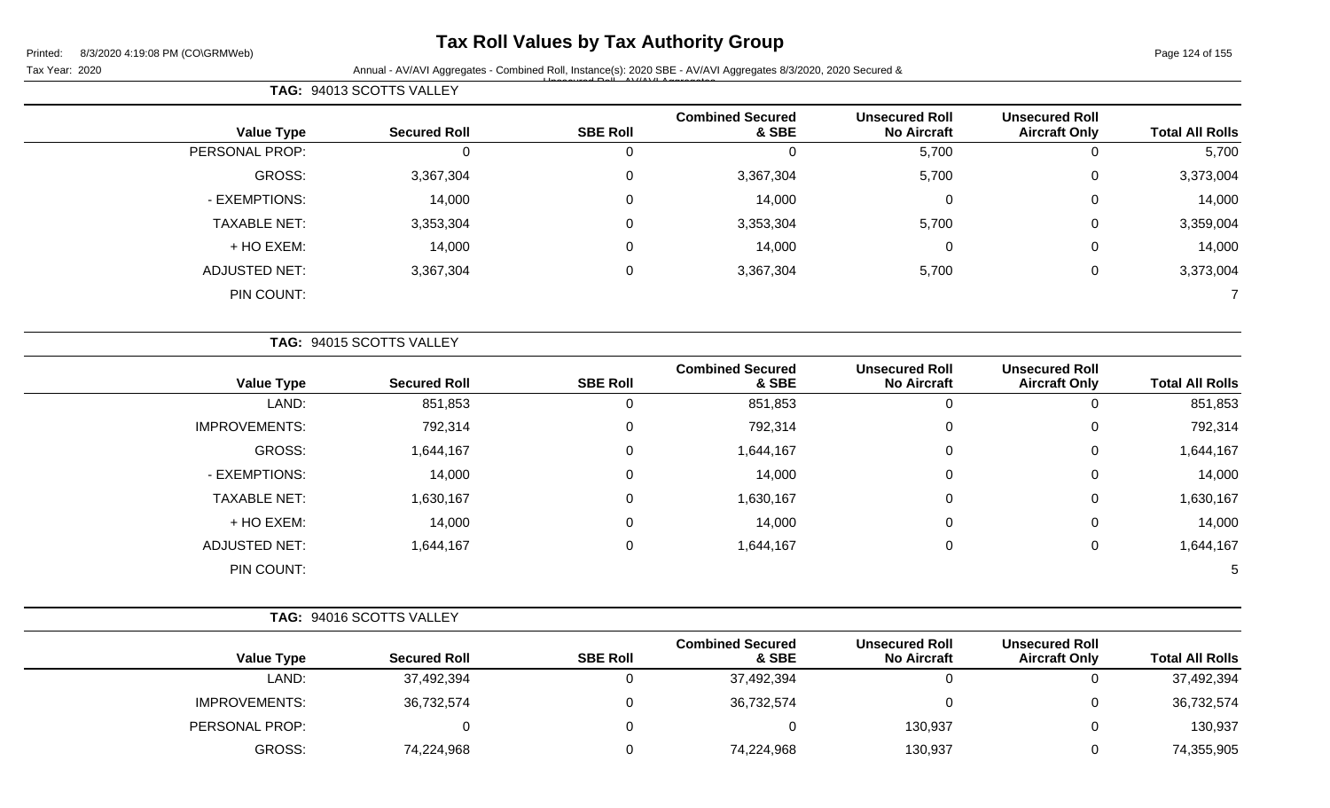**TAG:** 94013 SCOTTS VALLEY

## **Tax Roll Values by Tax Authority Group**

Tax Year: 2020 **Annual - AV/AVI Aggregates - Combined Roll**, Instance(s): 2020 SBE - AV/AVI Aggregates 8/3/2020, 2020 Secured & Unsecured Roll - AV/AVI Aggregates

|                        | <b>Unsecured Roll</b>                         | <b>Unsecured Roll</b>                       | <b>Combined Secured</b>          |                 |                          |                      |
|------------------------|-----------------------------------------------|---------------------------------------------|----------------------------------|-----------------|--------------------------|----------------------|
| <b>Total All Rolls</b> | <b>Aircraft Only</b>                          | <b>No Aircraft</b>                          | & SBE                            | <b>SBE Roll</b> | <b>Secured Roll</b>      | <b>Value Type</b>    |
| 5,700                  | 0                                             | 5,700                                       | 0                                | 0               |                          | PERSONAL PROP:       |
| 3,373,004              | $\pmb{0}$                                     | 5,700                                       | 3,367,304                        | $\mathbf 0$     | 3,367,304                | GROSS:               |
| 14,000                 | $\mathbf 0$                                   | 0                                           | 14,000                           | $\mathbf 0$     | 14,000                   | - EXEMPTIONS:        |
| 3,359,004              | $\mathbf 0$                                   | 5,700                                       | 3,353,304                        | $\mathbf 0$     | 3,353,304                | <b>TAXABLE NET:</b>  |
| 14,000                 | $\mathbf 0$                                   | 0                                           | 14,000                           | 0               | 14,000                   | + HO EXEM:           |
| 3,373,004              | 0                                             | 5,700                                       | 3,367,304                        | $\pmb{0}$       | 3,367,304                | <b>ADJUSTED NET:</b> |
|                        |                                               |                                             |                                  |                 |                          | PIN COUNT:           |
|                        |                                               |                                             |                                  |                 | TAG: 94015 SCOTTS VALLEY |                      |
| <b>Total All Rolls</b> | <b>Unsecured Roll</b><br><b>Aircraft Only</b> | <b>Unsecured Roll</b><br><b>No Aircraft</b> | <b>Combined Secured</b><br>& SBE | <b>SBE Roll</b> | <b>Secured Roll</b>      | <b>Value Type</b>    |
| 851,853                | 0                                             | 0                                           | 851,853                          | 0               | 851,853                  | LAND:                |
| 702 31A                | $\cap$                                        | $\cap$                                      | 702 314                          | $\cap$          | 702.314                  | IMPROVIENENTS·       |

| 851,853   | v | 0 | 851,853   | 0 | 851,853   | LAND:                |
|-----------|---|---|-----------|---|-----------|----------------------|
| 792,314   | U | 0 | 792,314   | 0 | 792,314   | <b>IMPROVEMENTS:</b> |
| 1,644,167 | U | 0 | 1,644,167 | 0 | 1,644,167 | GROSS:               |
| 14,000    | 0 | 0 | 14,000    | 0 | 14,000    | - EXEMPTIONS:        |
| 1,630,167 | U | 0 | 1,630,167 | 0 | 1,630,167 | <b>TAXABLE NET:</b>  |
| 14,000    | 0 | 0 | 14,000    | 0 | 14,000    | + HO EXEM:           |
| 1,644,167 | U | 0 | 1,644,167 | 0 | 1,644,167 | <b>ADJUSTED NET:</b> |
| 5         |   |   |           |   |           | PIN COUNT:           |
|           |   |   |           |   |           |                      |

|                        |                                               |                                             |                                  | TAG: 94016 SCOTTS VALLEY |                     |                      |  |  |
|------------------------|-----------------------------------------------|---------------------------------------------|----------------------------------|--------------------------|---------------------|----------------------|--|--|
| <b>Total All Rolls</b> | <b>Unsecured Roll</b><br><b>Aircraft Only</b> | <b>Unsecured Roll</b><br><b>No Aircraft</b> | <b>Combined Secured</b><br>& SBE | <b>SBE Roll</b>          | <b>Secured Roll</b> | <b>Value Type</b>    |  |  |
| 37,492,394             | $\Omega$                                      |                                             | 37,492,394                       |                          | 37,492,394          | LAND:                |  |  |
| 36,732,574             | $\Omega$                                      |                                             | 36,732,574                       |                          | 36,732,574          | <b>IMPROVEMENTS:</b> |  |  |
| 130,937                | $\overline{0}$                                | 130,937                                     |                                  |                          |                     | PERSONAL PROP:       |  |  |
| 74,355,905             | 0                                             | 130,937                                     | 74,224,968                       |                          | 74,224,968          | <b>GROSS:</b>        |  |  |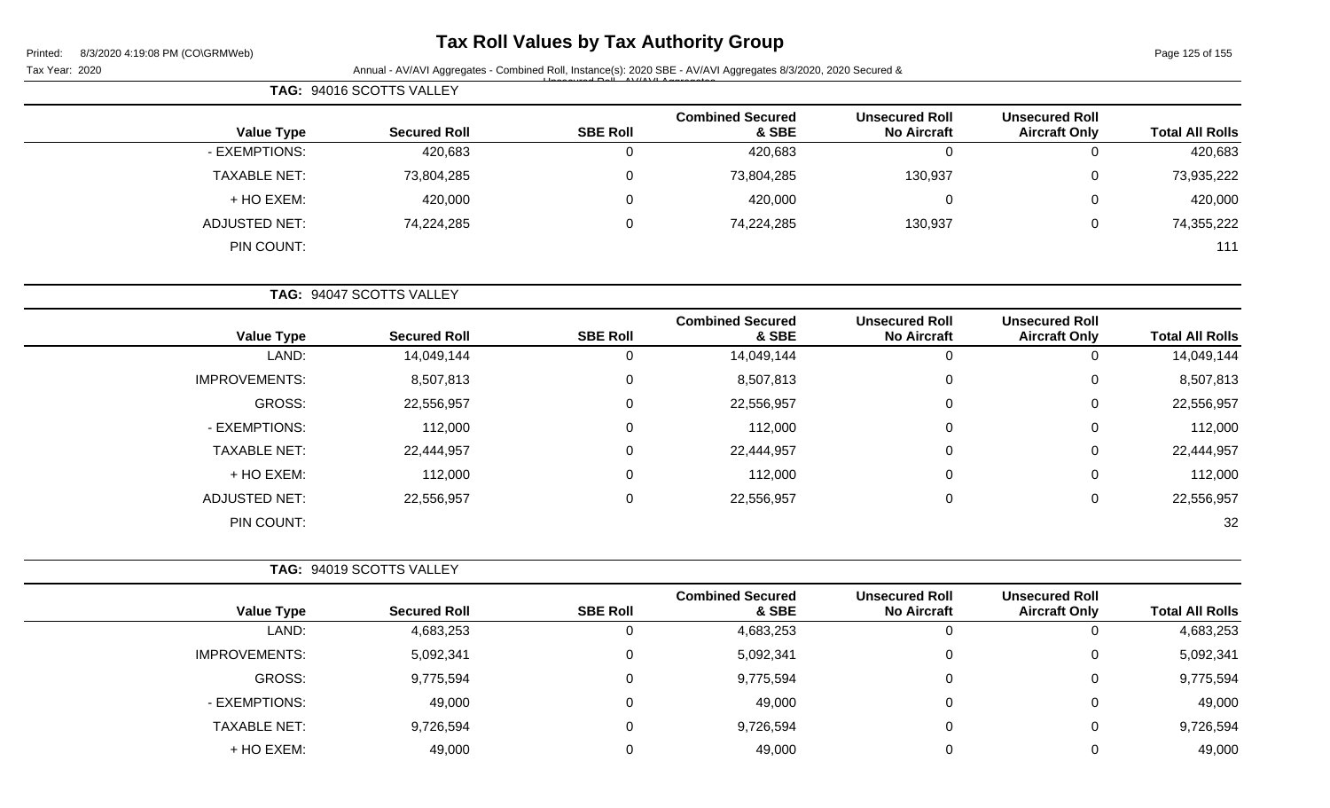# **Tax Roll Values by Tax Authority Group**

Page 125 of 155

| Tax Year: 2020 |                      |                          |                 | Annual - AV/AVI Aggregates - Combined Roll, Instance(s): 2020 SBE - AV/AVI Aggregates 8/3/2020, 2020 Secured & |                                             |                                               |                        |
|----------------|----------------------|--------------------------|-----------------|----------------------------------------------------------------------------------------------------------------|---------------------------------------------|-----------------------------------------------|------------------------|
|                |                      | TAG: 94016 SCOTTS VALLEY |                 |                                                                                                                |                                             |                                               |                        |
|                | <b>Value Type</b>    | <b>Secured Roll</b>      | <b>SBE Roll</b> | <b>Combined Secured</b><br>& SBE                                                                               | <b>Unsecured Roll</b><br><b>No Aircraft</b> | <b>Unsecured Roll</b><br><b>Aircraft Only</b> | <b>Total All Rolls</b> |
|                | - EXEMPTIONS:        | 420,683                  | 0               | 420,683                                                                                                        | $\mathbf 0$                                 | $\overline{0}$                                | 420,683                |
|                | <b>TAXABLE NET:</b>  | 73,804,285               | 0               | 73,804,285                                                                                                     | 130,937                                     | $\mathbf 0$                                   | 73,935,222             |
|                | + HO EXEM:           | 420,000                  | 0               | 420,000                                                                                                        | $\pmb{0}$                                   | 0                                             | 420,000                |
|                | <b>ADJUSTED NET:</b> | 74,224,285               | 0               | 74,224,285                                                                                                     | 130,937                                     | $\mathbf 0$                                   | 74,355,222             |
|                | PIN COUNT:           |                          |                 |                                                                                                                |                                             |                                               | 111                    |
|                |                      | TAG: 94047 SCOTTS VALLEY |                 |                                                                                                                |                                             |                                               |                        |
|                | <b>Value Type</b>    | <b>Secured Roll</b>      | <b>SBE Roll</b> | <b>Combined Secured</b><br>& SBE                                                                               | <b>Unsecured Roll</b><br><b>No Aircraft</b> | <b>Unsecured Roll</b><br><b>Aircraft Only</b> | <b>Total All Rolls</b> |
|                | LAND:                | 14,049,144               | 0               | 14,049,144                                                                                                     | $\mathbf 0$                                 | $\mathbf 0$                                   | 14,049,144             |
|                | <b>IMPROVEMENTS:</b> | 8,507,813                | 0               | 8,507,813                                                                                                      | $\pmb{0}$                                   | $\mathbf 0$                                   | 8,507,813              |
|                | GROSS:               | 22,556,957               | 0               | 22,556,957                                                                                                     | $\pmb{0}$                                   | 0                                             | 22,556,957             |
|                | - EXEMPTIONS:        | 112,000                  | 0               | 112,000                                                                                                        | 0                                           | 0                                             | 112,000                |
|                | <b>TAXABLE NET:</b>  | 22,444,957               | 0               | 22,444,957                                                                                                     | $\mathbf 0$                                 | $\Omega$                                      | 22,444,957             |
|                | + HO EXEM:           | 112,000                  | 0               | 112,000                                                                                                        | $\pmb{0}$                                   | $\mathbf 0$                                   | 112,000                |
|                | <b>ADJUSTED NET:</b> | 22,556,957               | 0               | 22,556,957                                                                                                     | 0                                           | 0                                             | 22,556,957             |
|                | PIN COUNT:           |                          |                 |                                                                                                                |                                             |                                               | 32                     |
|                |                      | TAG: 94019 SCOTTS VALLEY |                 |                                                                                                                |                                             |                                               |                        |
|                | <b>Value Type</b>    | <b>Secured Roll</b>      | <b>SBE Roll</b> | <b>Combined Secured</b><br>& SBE                                                                               | <b>Unsecured Roll</b><br><b>No Aircraft</b> | <b>Unsecured Roll</b><br><b>Aircraft Only</b> | <b>Total All Rolls</b> |
|                | LAND:                | 4,683,253                | 0               | 4,683,253                                                                                                      | $\pmb{0}$                                   | $\mathbf 0$                                   | 4,683,253              |
|                | <b>IMPROVEMENTS:</b> | 5,092,341                | 0               | 5,092,341                                                                                                      | 0                                           | 0                                             | 5,092,341              |
|                | <b>GROSS:</b>        | 9,775,594                | 0               | 9,775,594                                                                                                      | $\pmb{0}$                                   | $\mathbf 0$                                   | 9,775,594              |
|                | - EXEMPTIONS:        | 49,000                   | 0               | 49,000                                                                                                         | $\pmb{0}$                                   | $\Omega$                                      | 49,000                 |
|                | <b>TAXABLE NET:</b>  | 9,726,594                | 0               | 9,726,594                                                                                                      | $\pmb{0}$                                   | 0                                             | 9,726,594              |

+ HO EXEM: 49,000 0 49,000 0 0 49,000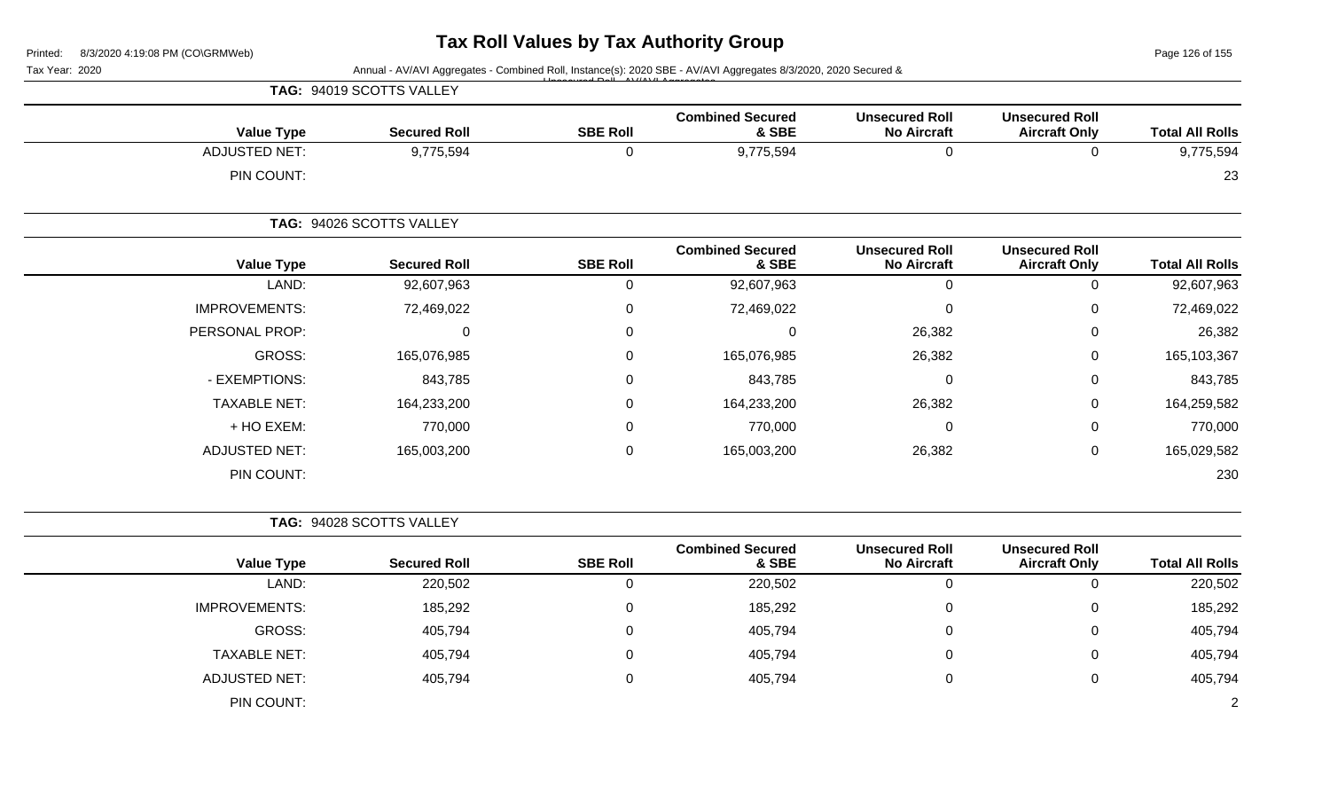Page 126 of 155

| Tax Year: 2020 |                      |                          |                 | Annual - AV/AVI Aggregates - Combined Roll, Instance(s): 2020 SBE - AV/AVI Aggregates 8/3/2020, 2020 Secured & |                                             |                                               |                        |
|----------------|----------------------|--------------------------|-----------------|----------------------------------------------------------------------------------------------------------------|---------------------------------------------|-----------------------------------------------|------------------------|
|                |                      | TAG: 94019 SCOTTS VALLEY |                 |                                                                                                                |                                             |                                               |                        |
|                | <b>Value Type</b>    | <b>Secured Roll</b>      | <b>SBE Roll</b> | <b>Combined Secured</b><br>& SBE                                                                               | <b>Unsecured Roll</b><br><b>No Aircraft</b> | <b>Unsecured Roll</b><br><b>Aircraft Only</b> | <b>Total All Rolls</b> |
|                | <b>ADJUSTED NET:</b> | 9,775,594                | $\mathbf 0$     | 9,775,594                                                                                                      | $\mathbf 0$                                 | $\overline{0}$                                | 9,775,594              |
|                | PIN COUNT:           |                          |                 |                                                                                                                |                                             |                                               | 23                     |
|                |                      | TAG: 94026 SCOTTS VALLEY |                 |                                                                                                                |                                             |                                               |                        |
|                | <b>Value Type</b>    | <b>Secured Roll</b>      | <b>SBE Roll</b> | <b>Combined Secured</b><br>& SBE                                                                               | <b>Unsecured Roll</b><br><b>No Aircraft</b> | <b>Unsecured Roll</b><br><b>Aircraft Only</b> | <b>Total All Rolls</b> |
|                | LAND:                | 92,607,963               | $\mathbf 0$     | 92,607,963                                                                                                     | $\pmb{0}$                                   | $\mathbf 0$                                   | 92,607,963             |
|                | <b>IMPROVEMENTS:</b> | 72,469,022               | $\mathbf 0$     | 72,469,022                                                                                                     | 0                                           | $\Omega$                                      | 72,469,022             |
|                | PERSONAL PROP:       | 0                        | 0               | $\Omega$                                                                                                       | 26,382                                      | $\Omega$                                      | 26,382                 |
|                | <b>GROSS:</b>        | 165,076,985              | $\mathbf 0$     | 165,076,985                                                                                                    | 26,382                                      | $\Omega$                                      | 165,103,367            |
|                | - EXEMPTIONS:        | 843,785                  | 0               | 843,785                                                                                                        | $\mathbf 0$                                 | $\Omega$                                      | 843,785                |
|                | <b>TAXABLE NET:</b>  | 164,233,200              | 0               | 164,233,200                                                                                                    | 26,382                                      | 0                                             | 164,259,582            |
|                | + HO EXEM:           | 770,000                  | $\Omega$        | 770,000                                                                                                        | 0                                           | 0                                             | 770,000                |
|                | <b>ADJUSTED NET:</b> | 165,003,200              | 0               | 165,003,200                                                                                                    | 26,382                                      | $\Omega$                                      | 165,029,582            |
|                | PIN COUNT:           |                          |                 |                                                                                                                |                                             |                                               | 230                    |
|                |                      | TAG: 94028 SCOTTS VALLEY |                 |                                                                                                                |                                             |                                               |                        |
|                | <b>Value Type</b>    | <b>Secured Roll</b>      | <b>SBE Roll</b> | <b>Combined Secured</b><br>& SBE                                                                               | <b>Unsecured Roll</b><br><b>No Aircraft</b> | <b>Unsecured Roll</b><br><b>Aircraft Only</b> | <b>Total All Rolls</b> |
|                | LAND:                | 220,502                  | $\mathsf 0$     | 220,502                                                                                                        | $\boldsymbol{0}$                            | $\Omega$                                      | 220,502                |
|                | <b>IMPROVEMENTS:</b> | 185,292                  | $\mathbf 0$     | 185,292                                                                                                        | 0                                           | $\Omega$                                      | 185,292                |
|                | <b>GROSS:</b>        | 405,794                  | $\mathbf 0$     | 405,794                                                                                                        | 0                                           | 0                                             | 405,794                |
|                | <b>TAXABLE NET:</b>  | 405,794                  | 0               | 405,794                                                                                                        | 0                                           | $\Omega$                                      | 405,794                |
|                | <b>ADJUSTED NET:</b> | 405,794                  | 0               | 405,794                                                                                                        | 0                                           | $\Omega$                                      | 405,794                |
|                | PIN COUNT:           |                          |                 |                                                                                                                |                                             |                                               | 2                      |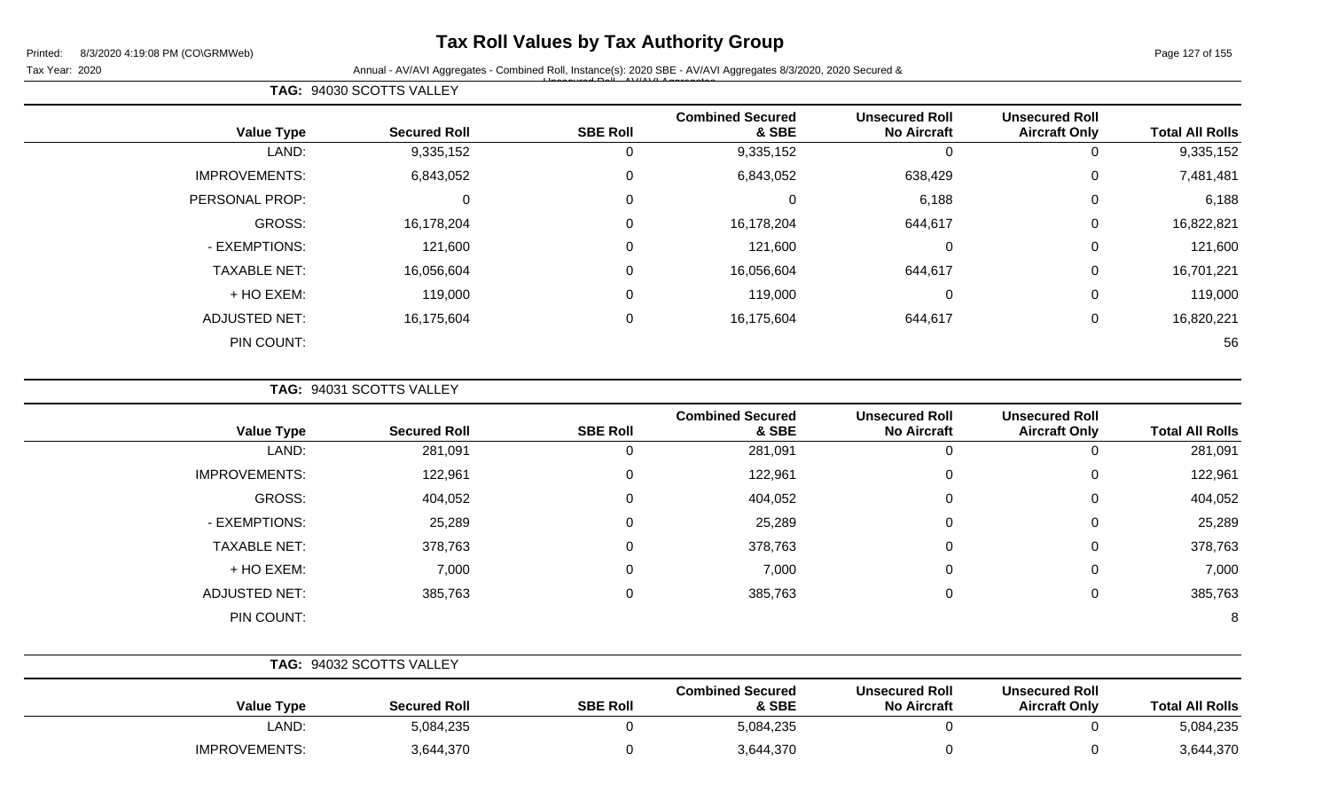## **Tax Roll Values by Tax Authority Group**

Page 127 of 155

Tax Year: 2020 **Annual - AV/AVI Aggregates - Combined Roll**, Instance(s): 2020 SBE - AV/AVI Aggregates 8/3/2020, 2020 Secured & Unsecured Roll - AV/AVI Aggregates

|                        | <b>Unsecured Roll</b> | <b>Unsecured Roll</b> | <b>Combined Secured</b> |                 |                     |                      |
|------------------------|-----------------------|-----------------------|-------------------------|-----------------|---------------------|----------------------|
| <b>Total All Rolls</b> | <b>Aircraft Only</b>  | <b>No Aircraft</b>    | & SBE                   | <b>SBE Roll</b> | <b>Secured Roll</b> | <b>Value Type</b>    |
| 9,335,152              | 0                     | 0                     | 9,335,152               | 0               | 9,335,152           | LAND:                |
| 7,481,481              | $\mathbf 0$           | 638,429               | 6,843,052               | $\mathbf 0$     | 6,843,052           | <b>IMPROVEMENTS:</b> |
| 6,188                  | $\mathbf 0$           | 6,188                 | 0                       | 0               | 0                   | PERSONAL PROP:       |
| 16,822,821             | $\mathbf 0$           | 644,617               | 16,178,204              | $\mathbf 0$     | 16,178,204          | GROSS:               |
| 121,600                | $\mathbf 0$           | $\overline{0}$        | 121,600                 | $\mathbf 0$     | 121,600             | - EXEMPTIONS:        |
| 16,701,221             | $\mathbf 0$           | 644,617               | 16,056,604              | $\mathbf 0$     | 16,056,604          | <b>TAXABLE NET:</b>  |
| 119,000                | $\mathbf 0$           | $\overline{0}$        | 119,000                 | 0               | 119,000             | + HO EXEM:           |
| 16,820,221             | $\mathbf 0$           | 644,617               | 16,175,604              | $\mathbf 0$     | 16,175,604          | <b>ADJUSTED NET:</b> |
| 56                     |                       |                       |                         |                 |                     | PIN COUNT:           |

**TAG:** 94031 SCOTTS VALLEY

**TAG:** 94030 SCOTTS VALLEY

| <b>Value Type</b>    | <b>Secured Roll</b> | <b>SBE Roll</b> | <b>Combined Secured</b><br>& SBE | <b>Unsecured Roll</b><br><b>No Aircraft</b> | <b>Unsecured Roll</b><br><b>Aircraft Only</b> | <b>Total All Rolls</b> |
|----------------------|---------------------|-----------------|----------------------------------|---------------------------------------------|-----------------------------------------------|------------------------|
| LAND:                | 281,091             | 0               | 281,091                          | 0                                           | 0                                             | 281,091                |
| <b>IMPROVEMENTS:</b> | 122,961             | 0               | 122,961                          | $\Omega$                                    | 0                                             | 122,961                |
| GROSS:               | 404,052             | 0               | 404,052                          | $\overline{0}$                              | 0                                             | 404,052                |
| - EXEMPTIONS:        | 25,289              | 0               | 25,289                           | 0                                           | 0                                             | 25,289                 |
| <b>TAXABLE NET:</b>  | 378,763             | 0               | 378,763                          | $\Omega$                                    | 0                                             | 378,763                |
| + HO EXEM:           | 7,000               | 0               | 7,000                            | $\mathbf{0}$                                | 0                                             | 7,000                  |
| <b>ADJUSTED NET:</b> | 385,763             | 0               | 385,763                          | $\Omega$                                    | 0                                             | 385,763                |
| PIN COUNT:           |                     |                 |                                  |                                             |                                               | 8                      |

|                      | <b>TAG: 94032 SCOTTS VALLEY</b> |                 |                                  |                                             |                                               |                        |
|----------------------|---------------------------------|-----------------|----------------------------------|---------------------------------------------|-----------------------------------------------|------------------------|
| <b>Value Type</b>    | <b>Secured Roll</b>             | <b>SBE Roll</b> | <b>Combined Secured</b><br>& SBE | <b>Unsecured Roll</b><br><b>No Aircraft</b> | <b>Unsecured Roll</b><br><b>Aircraft Only</b> | <b>Total All Rolls</b> |
| LAND:                | 5,084,235                       |                 | 5,084,235                        |                                             |                                               | 5,084,235              |
| <b>IMPROVEMENTS:</b> | 3,644,370                       |                 | 3,644,370                        |                                             |                                               | 3,644,370              |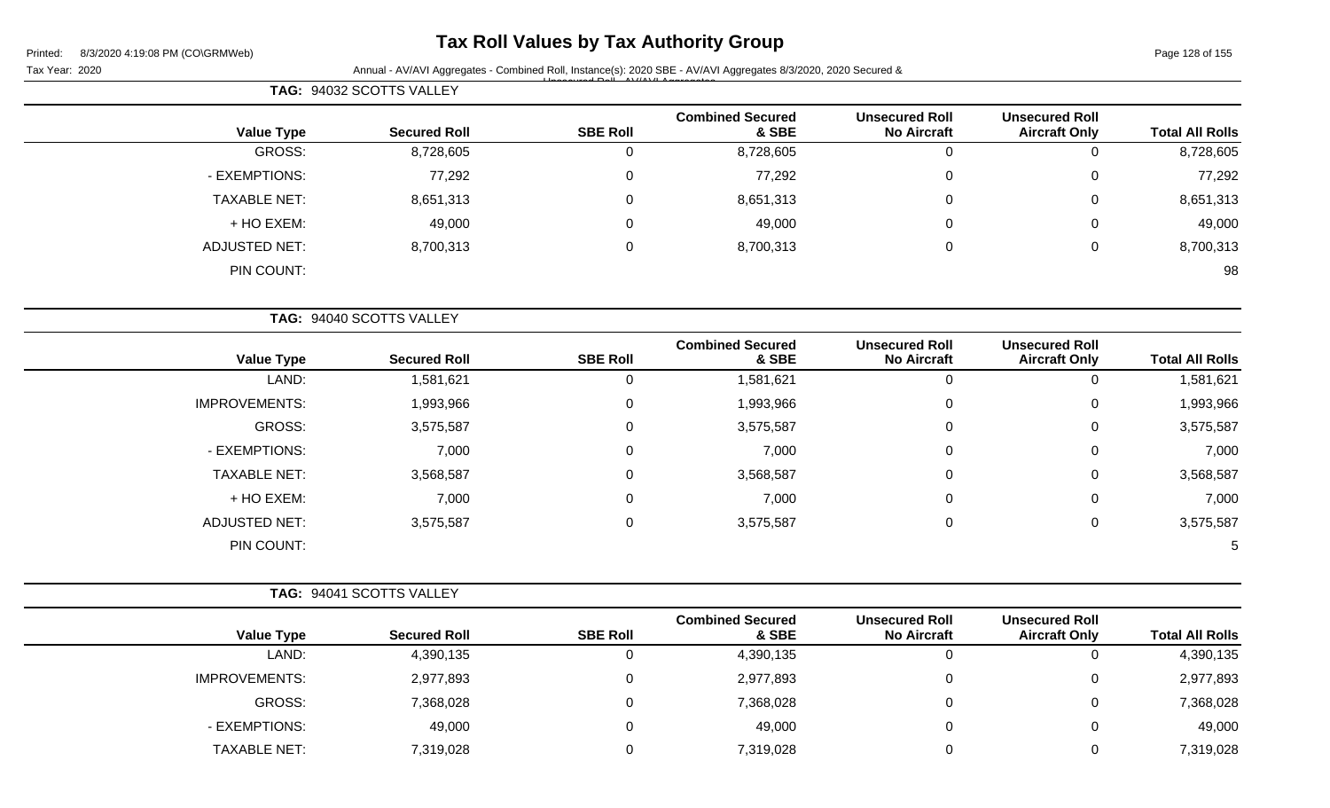## **Tax Roll Values by Tax Authority Group**

Tax Year: 2020 **Annual - AV/AVI Aggregates - Combined Roll**, Instance(s): 2020 SBE - AV/AVI Aggregates 8/3/2020, 2020 Secured & Unsecured Roll - AV/AVI Aggregates

|                      | TAG: 94032 SCOTTS VALLEY |                 |                                  |                                             |                                               |                        |
|----------------------|--------------------------|-----------------|----------------------------------|---------------------------------------------|-----------------------------------------------|------------------------|
| <b>Value Type</b>    | <b>Secured Roll</b>      | <b>SBE Roll</b> | <b>Combined Secured</b><br>& SBE | <b>Unsecured Roll</b><br><b>No Aircraft</b> | <b>Unsecured Roll</b><br><b>Aircraft Only</b> | <b>Total All Rolls</b> |
| <b>GROSS:</b>        | 8,728,605                | 0               | 8,728,605                        | 0                                           | 0                                             | 8,728,605              |
| - EXEMPTIONS:        | 77,292                   | $\mathbf 0$     | 77,292                           | 0                                           | 0                                             | 77,292                 |
| <b>TAXABLE NET:</b>  | 8,651,313                | $\mathbf 0$     | 8,651,313                        | 0                                           | 0                                             | 8,651,313              |
| + HO EXEM:           | 49,000                   | 0               | 49,000                           | 0                                           | 0                                             | 49,000                 |
| <b>ADJUSTED NET:</b> | 8,700,313                | $\mathbf 0$     | 8,700,313                        | $\mathbf 0$                                 | 0                                             | 8,700,313              |
| PIN COUNT:           |                          |                 |                                  |                                             |                                               | 98                     |
|                      | TAG: 94040 SCOTTS VALLEY |                 |                                  |                                             |                                               |                        |
| <b>Value Type</b>    | <b>Secured Roll</b>      | <b>SBE Roll</b> | <b>Combined Secured</b><br>& SBE | <b>Unsecured Roll</b><br><b>No Aircraft</b> | <b>Unsecured Roll</b><br><b>Aircraft Only</b> | <b>Total All Rolls</b> |

| טווטזו וורו ווענו | All viult VIIIy | $110$ All Vitall | ०० जन्म   | יוטיי בשט | <b>OCCULCU INDII</b> | value Type           |
|-------------------|-----------------|------------------|-----------|-----------|----------------------|----------------------|
| 1,581,621         | 0               | 0                | 1,581,621 |           | 1,581,621            | LAND:                |
| 1,993,966         | 0               | 0                | 1,993,966 | U         | 1,993,966            | <b>IMPROVEMENTS:</b> |
| 3,575,587         | 0               | 0                | 3,575,587 | U         | 3,575,587            | GROSS:               |
| 7,000             | 0               | 0                | 7,000     | U         | 7,000                | - EXEMPTIONS:        |
| 3,568,587         | 0               | 0                | 3,568,587 | U         | 3,568,587            | <b>TAXABLE NET:</b>  |
| 7,000             | 0               | 0                | 7,000     | U         | 7,000                | + HO EXEM:           |
| 3,575,587         | 0               | 0                | 3,575,587 | 0         | 3,575,587            | <b>ADJUSTED NET:</b> |
| $\mathcal{D}$     |                 |                  |           |           |                      | PIN COUNT:           |

|                      | TAG: 94041 SCOTTS VALLEY |                 |                                  |                                             |                                               |                        |
|----------------------|--------------------------|-----------------|----------------------------------|---------------------------------------------|-----------------------------------------------|------------------------|
| <b>Value Type</b>    | <b>Secured Roll</b>      | <b>SBE Roll</b> | <b>Combined Secured</b><br>& SBE | <b>Unsecured Roll</b><br><b>No Aircraft</b> | <b>Unsecured Roll</b><br><b>Aircraft Only</b> | <b>Total All Rolls</b> |
| LAND:                | 4,390,135                |                 | 4,390,135                        | 0                                           |                                               | 4,390,135              |
| <b>IMPROVEMENTS:</b> | 2,977,893                |                 | 2,977,893                        | 0                                           | 0                                             | 2,977,893              |
| GROSS:               | 7,368,028                |                 | 7,368,028                        | 0                                           | 0                                             | 7,368,028              |
| - EXEMPTIONS:        | 49,000                   |                 | 49,000                           | 0                                           | 0                                             | 49,000                 |
| <b>TAXABLE NET:</b>  | 7,319,028                |                 | 7,319,028                        |                                             | 0                                             | 7,319,028              |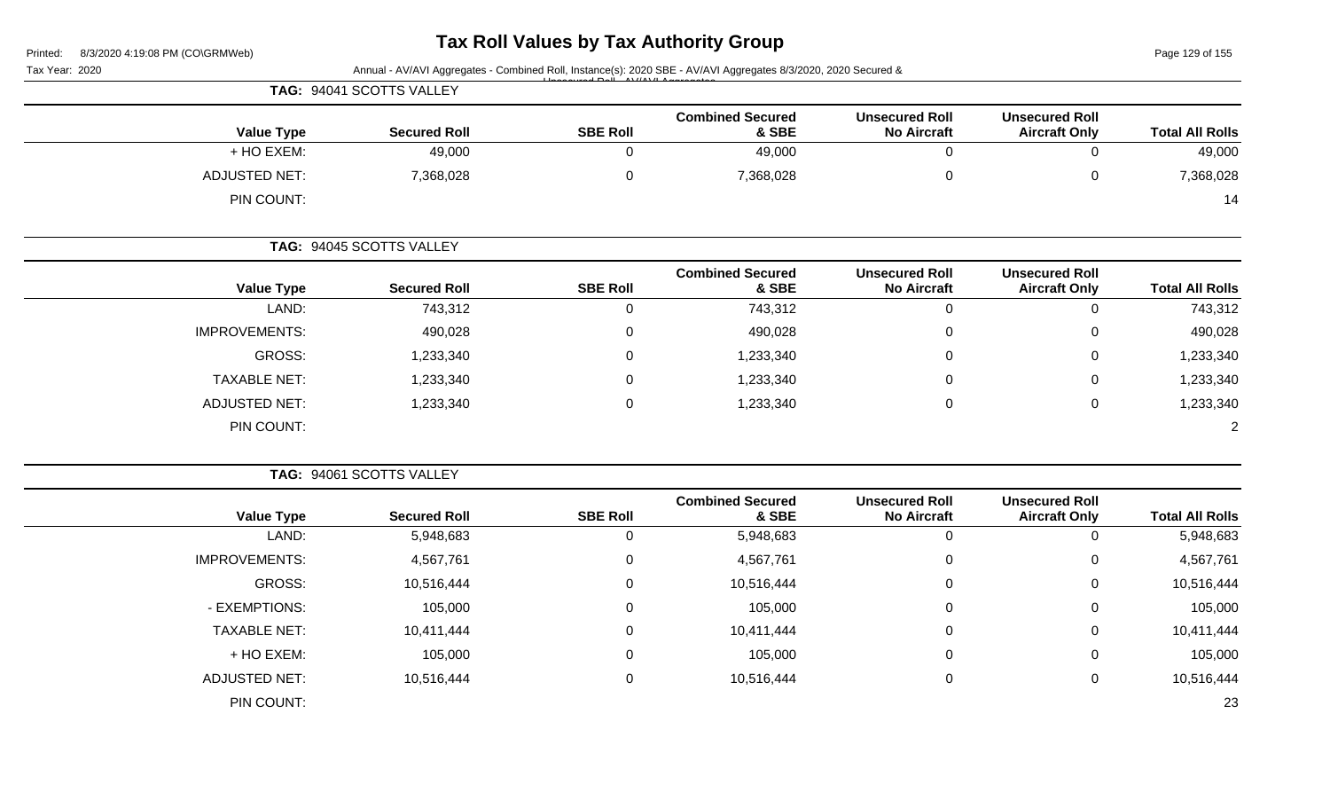### **Tax Roll Values by Tax Authority Group**

Page 129 of 155

| 8/3/2020 4:19:08 PM (CO\GRMWeb)<br>Printed: |                          |                 |                                                                                                                |                                             |                                               | Page 129 of 155        |
|---------------------------------------------|--------------------------|-----------------|----------------------------------------------------------------------------------------------------------------|---------------------------------------------|-----------------------------------------------|------------------------|
| Tax Year: 2020                              | TAG: 94041 SCOTTS VALLEY |                 | Annual - AV/AVI Aggregates - Combined Roll, Instance(s): 2020 SBE - AV/AVI Aggregates 8/3/2020, 2020 Secured & |                                             |                                               |                        |
|                                             |                          |                 |                                                                                                                |                                             |                                               |                        |
| <b>Value Type</b>                           | <b>Secured Roll</b>      | <b>SBE Roll</b> | <b>Combined Secured</b><br>& SBE                                                                               | <b>Unsecured Roll</b><br><b>No Aircraft</b> | <b>Unsecured Roll</b><br><b>Aircraft Only</b> | <b>Total All Rolls</b> |
| + HO EXEM:                                  | 49,000                   | 0               | 49,000                                                                                                         | $\overline{0}$                              | $\mathbf 0$                                   | 49,000                 |
| <b>ADJUSTED NET:</b>                        | 7,368,028                | 0               | 7,368,028                                                                                                      | $\mathbf 0$                                 | $\mathbf 0$                                   | 7,368,028              |
| PIN COUNT:                                  |                          |                 |                                                                                                                |                                             |                                               | 14                     |
|                                             | TAG: 94045 SCOTTS VALLEY |                 |                                                                                                                |                                             |                                               |                        |
| <b>Value Type</b>                           | <b>Secured Roll</b>      | <b>SBE Roll</b> | <b>Combined Secured</b><br>& SBE                                                                               | <b>Unsecured Roll</b><br><b>No Aircraft</b> | <b>Unsecured Roll</b><br><b>Aircraft Only</b> | <b>Total All Rolls</b> |
| LAND:                                       | 743,312                  | 0               | 743,312                                                                                                        | $\mathbf 0$                                 | $\mathsf{O}\xspace$                           | 743,312                |
| IMPROVEMENTS:                               | 490,028                  | 0               | 490,028                                                                                                        | 0                                           | $\mathbf 0$                                   | 490,028                |
| <b>GROSS:</b>                               | 1,233,340                | 0               | 1,233,340                                                                                                      | $\Omega$                                    | 0                                             | 1,233,340              |
| <b>TAXABLE NET:</b>                         | 1,233,340                | $\Omega$        | 1,233,340                                                                                                      | $\Omega$                                    | 0                                             | 1,233,340              |
| <b>ADJUSTED NET:</b>                        | 1,233,340                | 0               | 1,233,340                                                                                                      | $\mathbf 0$                                 | $\mathbf 0$                                   | 1,233,340              |
| PIN COUNT:                                  |                          |                 |                                                                                                                |                                             |                                               | $\overline{2}$         |
|                                             | TAG: 94061 SCOTTS VALLEY |                 |                                                                                                                |                                             |                                               |                        |
| <b>Value Type</b>                           | <b>Secured Roll</b>      | <b>SBE Roll</b> | <b>Combined Secured</b><br>& SBE                                                                               | <b>Unsecured Roll</b><br><b>No Aircraft</b> | <b>Unsecured Roll</b><br><b>Aircraft Only</b> | <b>Total All Rolls</b> |
| LAND:                                       | 5,948,683                | 0               | 5,948,683                                                                                                      | $\pmb{0}$                                   | $\mathbf 0$                                   | 5,948,683              |
| IMPROVEMENTS:                               | 4,567,761                | 0               | 4,567,761                                                                                                      | $\mathbf 0$                                 | $\pmb{0}$                                     | 4,567,761              |
| <b>GROSS:</b>                               | 10,516,444               | 0               | 10,516,444                                                                                                     | $\Omega$                                    | $\Omega$                                      | 10,516,444             |
| - EXEMPTIONS:                               | 105,000                  | $\Omega$        | 105,000                                                                                                        | $\Omega$                                    | 0                                             | 105,000                |
| <b>TAXABLE NET:</b>                         | 10,411,444               | 0               | 10,411,444                                                                                                     | 0                                           | $\mathbf 0$                                   | 10,411,444             |
| + HO EXEM:                                  | 105,000                  | 0               | 105,000                                                                                                        | $\mathbf 0$                                 | 0                                             | 105,000                |
| <b>ADJUSTED NET:</b>                        | 10,516,444               | 0               | 10,516,444                                                                                                     | $\mathbf 0$                                 | $\mathbf 0$                                   | 10,516,444             |
| PIN COUNT:                                  |                          |                 |                                                                                                                |                                             |                                               | 23                     |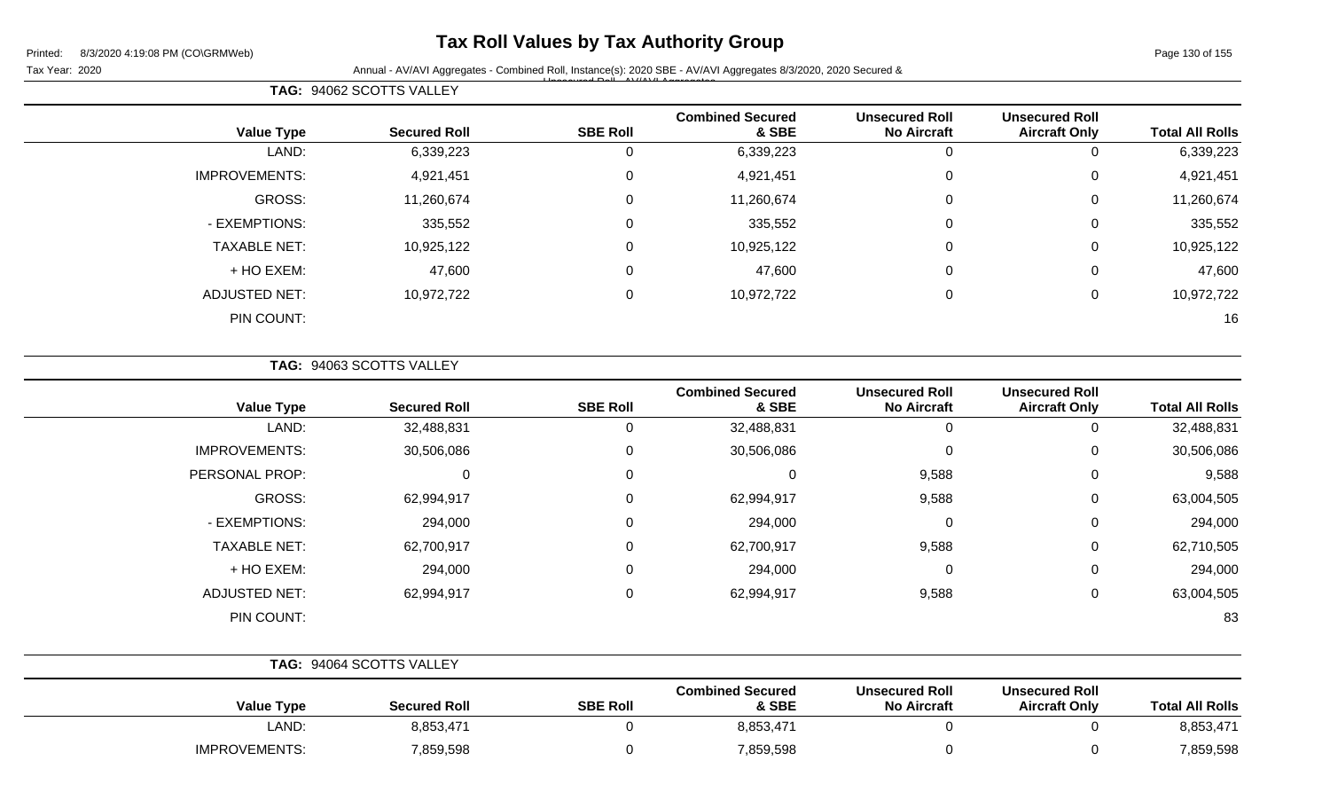## **Tax Roll Values by Tax Authority Group**

Page 130 of 155

Tax Year: 2020 **Annual - AV/AVI Aggregates - Combined Roll**, Instance(s): 2020 SBE - AV/AVI Aggregates 8/3/2020, 2020 Secured & Unsecured Roll - AV/AVI Aggregates

| <b>Total All Rolls</b> | <b>Unsecured Roll</b><br><b>Aircraft Only</b> | <b>Unsecured Roll</b><br><b>No Aircraft</b> | <b>Combined Secured</b><br>& SBE | <b>SBE Roll</b> | <b>Secured Roll</b> | <b>Value Type</b>    |
|------------------------|-----------------------------------------------|---------------------------------------------|----------------------------------|-----------------|---------------------|----------------------|
| 6,339,223              |                                               | 0                                           | 6,339,223                        | 0               | 6,339,223           | LAND:                |
| 4,921,451              | 0                                             | 0                                           | 4,921,451                        | 0               | 4,921,451           | <b>IMPROVEMENTS:</b> |
| 11,260,674             | 0                                             | $\mathbf 0$                                 | 11,260,674                       | 0               | 11,260,674          | GROSS:               |
| 335,552                | $\mathbf 0$                                   | $\mathbf 0$                                 | 335,552                          | $\overline{0}$  | 335,552             | - EXEMPTIONS:        |
| 10,925,122             | 0                                             | $\mathbf 0$                                 | 10,925,122                       | $\mathbf 0$     | 10,925,122          | <b>TAXABLE NET:</b>  |
| 47,600                 | 0                                             | $\mathbf 0$                                 | 47,600                           | 0               | 47,600              | + HO EXEM:           |
| 10,972,722             | 0                                             | $\mathbf 0$                                 | 10,972,722                       | 0               | 10,972,722          | <b>ADJUSTED NET:</b> |
| 16                     |                                               |                                             |                                  |                 |                     | PIN COUNT:           |
|                        |                                               |                                             |                                  |                 |                     |                      |

**TAG:** 94063 SCOTTS VALLEY

**TAG:** 94062 SCOTTS VALLEY

| <b>Value Type</b>    | <b>Secured Roll</b> | <b>SBE Roll</b> | <b>Combined Secured</b><br>& SBE | <b>Unsecured Roll</b><br><b>No Aircraft</b> | <b>Unsecured Roll</b><br><b>Aircraft Only</b> | <b>Total All Rolls</b> |
|----------------------|---------------------|-----------------|----------------------------------|---------------------------------------------|-----------------------------------------------|------------------------|
| LAND:                | 32,488,831          |                 | 32,488,831                       | 0                                           | U                                             | 32,488,831             |
| <b>IMPROVEMENTS:</b> | 30,506,086          | 0               | 30,506,086                       | 0                                           | 0                                             | 30,506,086             |
| PERSONAL PROP:       | 0                   |                 | $\Omega$                         | 9,588                                       | 0                                             | 9,588                  |
| <b>GROSS:</b>        | 62,994,917          |                 | 62,994,917                       | 9,588                                       | 0                                             | 63,004,505             |
| - EXEMPTIONS:        | 294,000             | 0               | 294,000                          | 0                                           | 0                                             | 294,000                |
| <b>TAXABLE NET:</b>  | 62,700,917          |                 | 62,700,917                       | 9,588                                       | 0                                             | 62,710,505             |
| + HO EXEM:           | 294,000             | 0               | 294,000                          | 0                                           | 0                                             | 294,000                |
| <b>ADJUSTED NET:</b> | 62,994,917          | 0               | 62,994,917                       | 9,588                                       | 0                                             | 63,004,505             |
| PIN COUNT:           |                     |                 |                                  |                                             |                                               | 83                     |

|                      | TAG: 94064 SCOTTS VALLEY |                 |                                  |                                             |                                               |                        |
|----------------------|--------------------------|-----------------|----------------------------------|---------------------------------------------|-----------------------------------------------|------------------------|
| <b>Value Type</b>    | <b>Secured Roll</b>      | <b>SBE Roll</b> | <b>Combined Secured</b><br>& SBE | <b>Unsecured Roll</b><br><b>No Aircraft</b> | <b>Unsecured Roll</b><br><b>Aircraft Only</b> | <b>Total All Rolls</b> |
| LAND:                | 8,853,471                |                 | 8,853,471                        |                                             |                                               | 8,853,471              |
| <b>IMPROVEMENTS:</b> | 7,859,598                |                 | 7,859,598                        |                                             |                                               | 7,859,598              |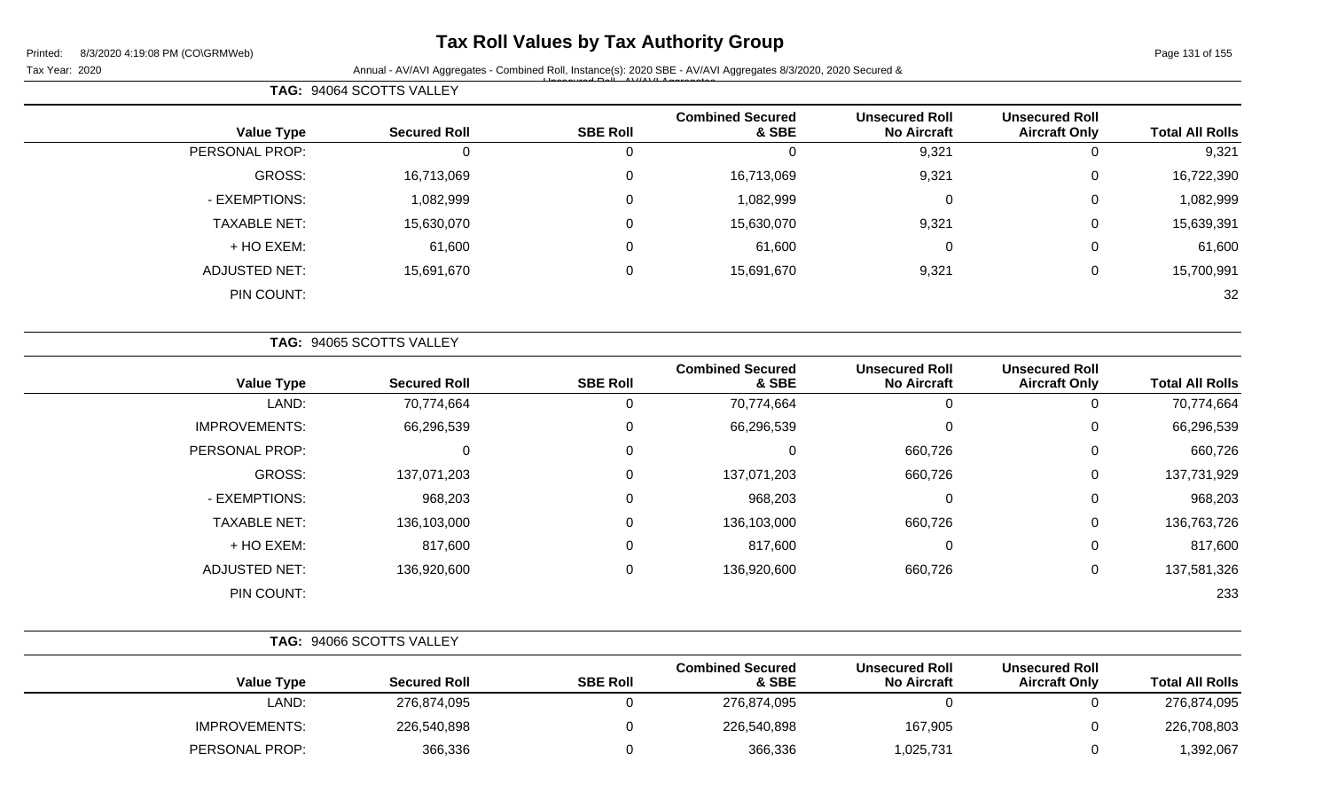**TAG:** 94064 SCOTTS VALLEY

## **Tax Roll Values by Tax Authority Group**

 $\overline{\phantom{0}}$ 

Tax Year: 2020 **Annual - AV/AVI Aggregates - Combined Roll, Instance(s): 2020 SBE - AV/AVI Aggregates 8/3/2020, 2020 Secured &** Unsecured Roll - AV/AVI Aggregates

| <b>Total All Rolls</b> | <b>Unsecured Roll</b><br><b>Aircraft Only</b> | <b>Unsecured Roll</b><br><b>No Aircraft</b> | <b>Combined Secured</b><br>& SBE | <b>SBE Roll</b> | <b>Secured Roll</b>      | <b>Value Type</b>    |
|------------------------|-----------------------------------------------|---------------------------------------------|----------------------------------|-----------------|--------------------------|----------------------|
| 9,321                  | $\mathbf 0$                                   | 9,321                                       | $\Omega$                         | 0               | 0                        | PERSONAL PROP:       |
| 16,722,390             | $\mathbf 0$                                   | 9,321                                       | 16,713,069                       | $\mathbf 0$     | 16,713,069               | GROSS:               |
| 1,082,999              | 0                                             | $\overline{0}$                              | 1,082,999                        | 0               | 1,082,999                | - EXEMPTIONS:        |
| 15,639,391             | 0                                             | 9,321                                       | 15,630,070                       | $\mathbf 0$     | 15,630,070               | <b>TAXABLE NET:</b>  |
| 61,600                 | $\mathbf 0$                                   | $\overline{0}$                              | 61,600                           | $\mathbf 0$     | 61,600                   | + HO EXEM:           |
| 15,700,991             | $\mathbf 0$                                   | 9,321                                       | 15,691,670                       | 0               | 15,691,670               | <b>ADJUSTED NET:</b> |
| 32                     |                                               |                                             |                                  |                 |                          | PIN COUNT:           |
|                        |                                               |                                             |                                  |                 | TAG: 94065 SCOTTS VALLEY |                      |
| <b>Total All Rolls</b> | <b>Unsecured Roll</b><br><b>Aircraft Only</b> | <b>Unsecured Roll</b><br><b>No Aircraft</b> | <b>Combined Secured</b><br>& SBE | <b>SBE Roll</b> | <b>Secured Roll</b>      | <b>Value Type</b>    |
| 70,774,664             | 0                                             | $\Omega$                                    | 70,774,664                       | 0               | 70,774,664               | LAND:                |
| 66,296,539             | $\Omega$                                      | $\Omega$                                    | 66,296,539                       | 0               | 66,296,539               | <b>IMPROVEMENTS:</b> |
| 660,726                | $\mathbf 0$                                   | 660,726                                     | $\Omega$                         | $\mathbf 0$     | $\Omega$                 | PERSONAL PROP:       |
| 137,731,929            | 0                                             | 660,726                                     | 137,071,203                      | 0               | 137,071,203              | GROSS:               |

| .                    | $\mathbf{a} = \mathbf{a} \cdot \mathbf{a} = \mathbf{a} \cdot \mathbf{a} = \mathbf{a}$ | $\sim$          | $\mathbf{a} = \mathbf{a} \cdot \mathbf{a} = \mathbf{a} \cdot \mathbf{a} = \mathbf{a}$ | $\sim$                                      | $\sim$                                        | $\mathbf{a} = \mathbf{a} \cdot \mathbf{a} = \mathbf{a} \cdot \mathbf{a} = \mathbf{a}$ |
|----------------------|---------------------------------------------------------------------------------------|-----------------|---------------------------------------------------------------------------------------|---------------------------------------------|-----------------------------------------------|---------------------------------------------------------------------------------------|
| <b>Value Type</b>    | <b>Secured Roll</b>                                                                   | <b>SBE Roll</b> | <b>Combined Secured</b><br>& SBE                                                      | <b>Unsecured Roll</b><br><b>No Aircraft</b> | <b>Unsecured Roll</b><br><b>Aircraft Only</b> | <b>Total All Rolls</b>                                                                |
|                      | TAG: 94066 SCOTTS VALLEY                                                              |                 |                                                                                       |                                             |                                               |                                                                                       |
| PIN COUNT:           |                                                                                       |                 |                                                                                       |                                             |                                               | 233                                                                                   |
| <b>ADJUSTED NET:</b> | 136,920,600                                                                           | 0               | 136,920,600                                                                           | 660,726                                     | 0                                             | 137,581,326                                                                           |
|                      | 817,600                                                                               |                 |                                                                                       | U                                           | 0                                             |                                                                                       |
| + HO EXEM:           |                                                                                       |                 | 817,600                                                                               |                                             |                                               | 817,600                                                                               |
| <b>TAXABLE NET:</b>  | 136,103,000                                                                           |                 | 136,103,000                                                                           | 660,726                                     | 0                                             | 136,763,726                                                                           |
|                      |                                                                                       |                 |                                                                                       |                                             |                                               |                                                                                       |

| _AND:                 | 276,874,095 | 276,874,095 |          | 276,874,095 |
|-----------------------|-------------|-------------|----------|-------------|
| <b>IMPROVEMENTS:</b>  | 226,540,898 | 226,540,898 | 167,905  | 226,708,803 |
| <b>PERSONAL PROP:</b> | 366,336     | 366,336     | ,025,731 | ,392,067    |

- EXEMPTIONS: 968,203 0 968,203 0 0 968,203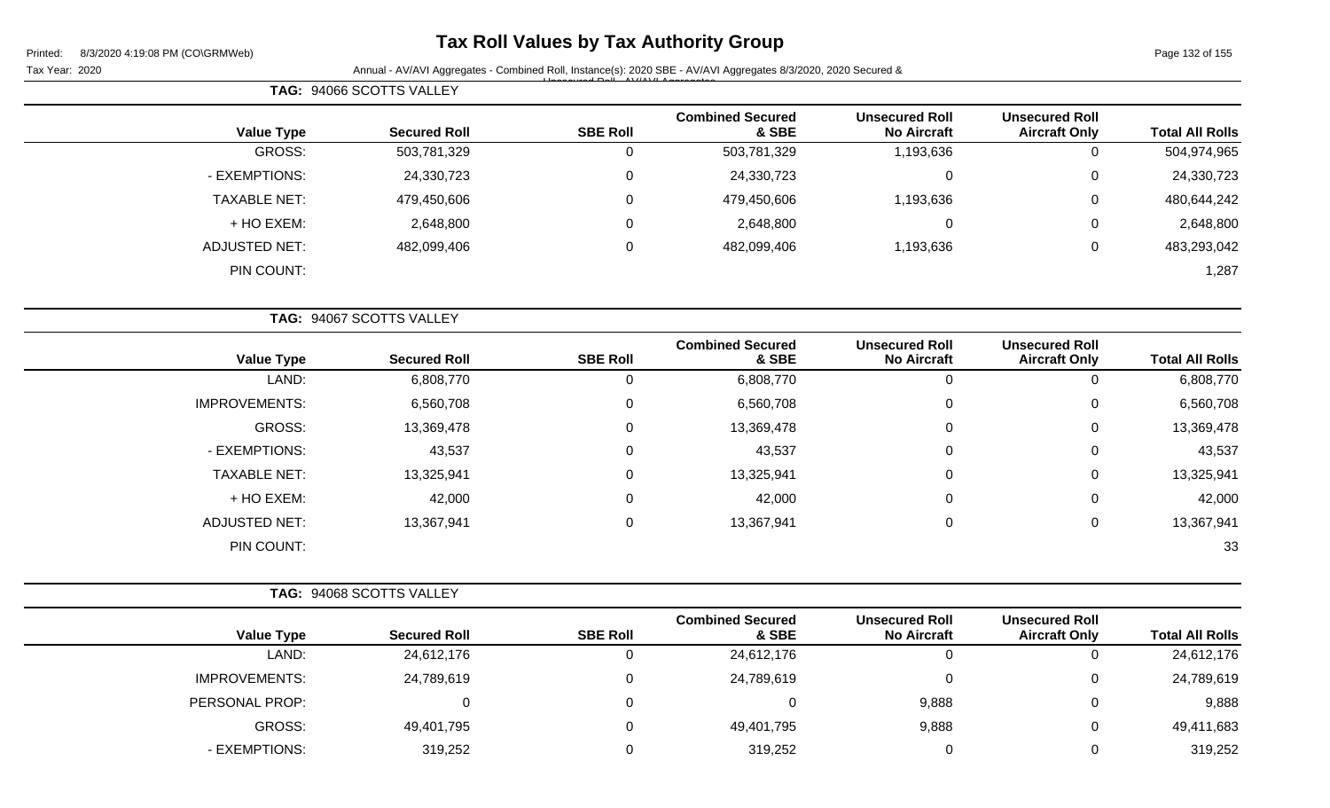# **Tax Roll Values by Tax Authority Group**

Page 132 of 155

| Paye TO Z UT TOO       |                                               |                                             |                                  |                 | Annual - AV/AVI Aggregates - Combined Roll, Instance(s): 2020 SBE - AV/AVI Aggregates 8/3/2020, 2020 Secured & | r i liteu.<br>$0/3/2020$ 4.19.00 F IVI (CONGINIVITY)<br>Tax Year: 2020 |
|------------------------|-----------------------------------------------|---------------------------------------------|----------------------------------|-----------------|----------------------------------------------------------------------------------------------------------------|------------------------------------------------------------------------|
|                        |                                               |                                             |                                  |                 | TAG: 94066 SCOTTS VALLEY                                                                                       |                                                                        |
| <b>Total All Rolls</b> | <b>Unsecured Roll</b><br><b>Aircraft Only</b> | <b>Unsecured Roll</b><br><b>No Aircraft</b> | <b>Combined Secured</b><br>& SBE | <b>SBE Roll</b> | <b>Secured Roll</b>                                                                                            | <b>Value Type</b>                                                      |
| 504,974,965            | $\mathbf 0$                                   | 1,193,636                                   | 503,781,329                      | 0               | 503,781,329                                                                                                    | <b>GROSS:</b>                                                          |
| 24,330,723             | 0                                             | 0                                           | 24,330,723                       | 0               | 24,330,723                                                                                                     | - EXEMPTIONS:                                                          |
| 480,644,242            | 0                                             | 1,193,636                                   | 479,450,606                      | 0               | 479,450,606                                                                                                    | <b>TAXABLE NET:</b>                                                    |
| 2,648,800              | 0                                             | $\Omega$                                    | 2,648,800                        | 0               | 2,648,800                                                                                                      | + HO EXEM:                                                             |
| 483,293,042            | $\mathbf 0$                                   | 1,193,636                                   | 482,099,406                      | 0               | 482,099,406                                                                                                    | <b>ADJUSTED NET:</b>                                                   |
| 1,287                  |                                               |                                             |                                  |                 |                                                                                                                | PIN COUNT:                                                             |
|                        |                                               |                                             |                                  |                 | TAG: 94067 SCOTTS VALLEY                                                                                       |                                                                        |
| <b>Total All Rolls</b> | <b>Unsecured Roll</b><br><b>Aircraft Only</b> | <b>Unsecured Roll</b><br><b>No Aircraft</b> | <b>Combined Secured</b><br>& SBE | <b>SBE Roll</b> | <b>Secured Roll</b>                                                                                            | <b>Value Type</b>                                                      |
| 6,808,770              | $\mathbf 0$                                   | 0                                           | 6,808,770                        | 0               | 6,808,770                                                                                                      | LAND:                                                                  |
| 6,560,708              | 0                                             | $\Omega$                                    | 6,560,708                        | 0               | 6,560,708                                                                                                      | <b>IMPROVEMENTS:</b>                                                   |
| 13,369,478             | 0                                             | 0                                           | 13,369,478                       | 0               | 13,369,478                                                                                                     | <b>GROSS:</b>                                                          |
| 43,537                 | 0                                             | 0                                           | 43,537                           | 0               | 43,537                                                                                                         | - EXEMPTIONS:                                                          |
| 13,325,941             | 0                                             | $\Omega$                                    | 13,325,941                       | 0               | 13,325,941                                                                                                     | <b>TAXABLE NET:</b>                                                    |
| 42,000                 | 0                                             | 0                                           | 42,000                           | 0               | 42,000                                                                                                         | + HO EXEM:                                                             |
| 13,367,941             | 0                                             | 0                                           | 13,367,941                       | 0               | 13,367,941                                                                                                     | <b>ADJUSTED NET:</b>                                                   |
| 33                     |                                               |                                             |                                  |                 |                                                                                                                | PIN COUNT:                                                             |
|                        |                                               |                                             |                                  |                 | TAG: 94068 SCOTTS VALLEY                                                                                       |                                                                        |
| <b>Total All Rolls</b> | <b>Unsecured Roll</b><br><b>Aircraft Only</b> | <b>Unsecured Roll</b><br><b>No Aircraft</b> | <b>Combined Secured</b><br>& SBE | <b>SBE Roll</b> | <b>Secured Roll</b>                                                                                            | <b>Value Type</b>                                                      |
| 24,612,176             | $\mathbf 0$                                   | $\pmb{0}$                                   | 24,612,176                       | 0               | 24,612,176                                                                                                     | LAND:                                                                  |
| 24,789,619             | 0                                             | $\pmb{0}$                                   | 24,789,619                       | 0               | 24,789,619                                                                                                     | <b>IMPROVEMENTS:</b>                                                   |
| 9,888                  | 0                                             | 9,888                                       | $\mathbf 0$                      | 0               | 0                                                                                                              | PERSONAL PROP:                                                         |
| 49,411,683             | 0                                             | 9,888                                       | 49,401,795                       | 0               | 49,401,795                                                                                                     | <b>GROSS:</b>                                                          |
| 319,252                | $\mathbf 0$                                   | $\mathbf 0$                                 | 319,252                          | 0               | 319,252                                                                                                        | - EXEMPTIONS:                                                          |
|                        |                                               |                                             |                                  |                 |                                                                                                                |                                                                        |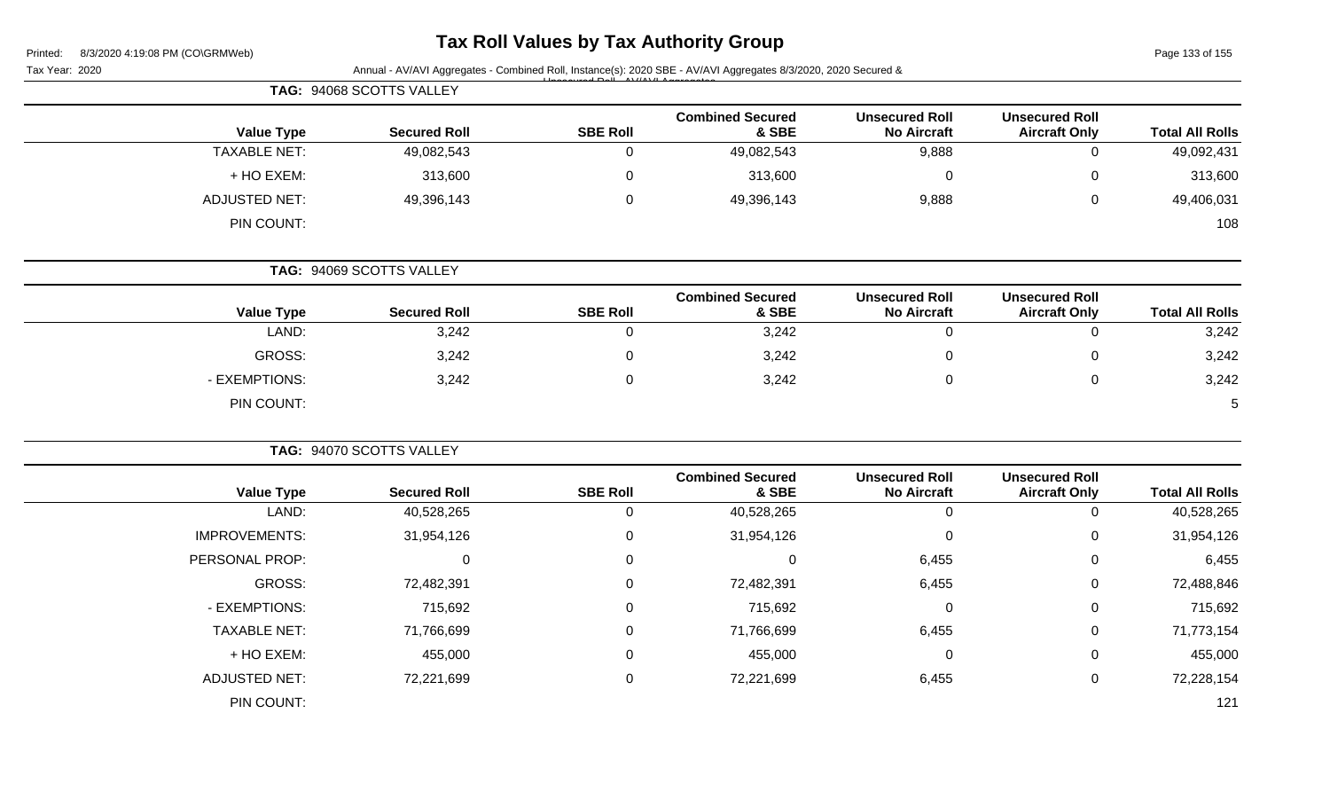| Printed: | 8/3/2020 4:19:08 PM (CO\GRMWeb) |  |
|----------|---------------------------------|--|

# **Tax Roll Values by Tax Authority Group**

Page 133 of 155

|                        |                                               |                                             |                                  |                 | Annual - AV/AVI Aggregates - Combined Roll, Instance(s): 2020 SBE - AV/AVI Aggregates 8/3/2020, 2020 Secured & | Tax Year: 2020       |
|------------------------|-----------------------------------------------|---------------------------------------------|----------------------------------|-----------------|----------------------------------------------------------------------------------------------------------------|----------------------|
|                        |                                               |                                             |                                  |                 | TAG: 94068 SCOTTS VALLEY                                                                                       |                      |
| <b>Total All Rolls</b> | <b>Unsecured Roll</b><br><b>Aircraft Only</b> | <b>Unsecured Roll</b><br><b>No Aircraft</b> | <b>Combined Secured</b><br>& SBE | <b>SBE Roll</b> | <b>Secured Roll</b>                                                                                            | <b>Value Type</b>    |
| 49,092,431             | $\mathbf 0$                                   | 9,888                                       | 49,082,543                       | $\mathbf 0$     | 49,082,543                                                                                                     | <b>TAXABLE NET:</b>  |
| 313,600                | 0                                             | $\mathbf 0$                                 | 313,600                          | $\Omega$        | 313,600                                                                                                        | + HO EXEM:           |
| 49,406,031             | 0                                             | 9,888                                       | 49,396,143                       | $\mathbf 0$     | 49,396,143                                                                                                     | <b>ADJUSTED NET:</b> |
| 108                    |                                               |                                             |                                  |                 |                                                                                                                | PIN COUNT:           |
|                        |                                               |                                             |                                  |                 | TAG: 94069 SCOTTS VALLEY                                                                                       |                      |
| <b>Total All Rolls</b> | <b>Unsecured Roll</b><br><b>Aircraft Only</b> | <b>Unsecured Roll</b><br><b>No Aircraft</b> | <b>Combined Secured</b><br>& SBE | <b>SBE Roll</b> | <b>Secured Roll</b>                                                                                            | <b>Value Type</b>    |
| 3,242                  | 0                                             | $\mathbf 0$                                 | 3,242                            | 0               | 3,242                                                                                                          | LAND:                |
| 3,242                  | 0                                             | $\mathbf 0$                                 | 3,242                            | 0               | 3,242                                                                                                          | <b>GROSS:</b>        |
| 3,242                  | $\mathbf 0$                                   | $\mathbf 0$                                 | 3,242                            | $\Omega$        | 3,242                                                                                                          | - EXEMPTIONS:        |
| 5                      |                                               |                                             |                                  |                 |                                                                                                                | PIN COUNT:           |
|                        |                                               |                                             |                                  |                 | TAG: 94070 SCOTTS VALLEY                                                                                       |                      |
| <b>Total All Rolls</b> | <b>Unsecured Roll</b><br><b>Aircraft Only</b> | <b>Unsecured Roll</b><br><b>No Aircraft</b> | <b>Combined Secured</b><br>& SBE | <b>SBE Roll</b> | <b>Secured Roll</b>                                                                                            | <b>Value Type</b>    |
| 40,528,265             | $\mathbf 0$                                   | $\mathbf 0$                                 | 40,528,265                       | $\mathbf 0$     | 40,528,265                                                                                                     | LAND:                |
| 31,954,126             | 0                                             | $\pmb{0}$                                   | 31,954,126                       | 0               | 31,954,126                                                                                                     | <b>IMPROVEMENTS:</b> |
| 6,455                  | 0                                             | 6,455                                       | $\mathbf 0$                      | $\mathbf 0$     | $\mathbf 0$                                                                                                    | PERSONAL PROP:       |
| 72,488,846             | 0                                             | 6,455                                       | 72,482,391                       | $\Omega$        | 72,482,391                                                                                                     | <b>GROSS:</b>        |
| 715,692                | 0                                             | $\mathbf 0$                                 | 715,692                          | 0               | 715,692                                                                                                        | - EXEMPTIONS:        |
| 71,773,154             | 0                                             | 6,455                                       | 71,766,699                       | 0               | 71,766,699                                                                                                     | <b>TAXABLE NET:</b>  |
| 455,000                | 0                                             | $\pmb{0}$                                   | 455,000                          | $\Omega$        | 455,000                                                                                                        | + HO EXEM:           |
| 72,228,154             | $\mathbf 0$                                   | 6,455                                       | 72,221,699                       | 0               | 72,221,699                                                                                                     | <b>ADJUSTED NET:</b> |
| 121                    |                                               |                                             |                                  |                 |                                                                                                                | PIN COUNT:           |
|                        |                                               |                                             |                                  |                 |                                                                                                                |                      |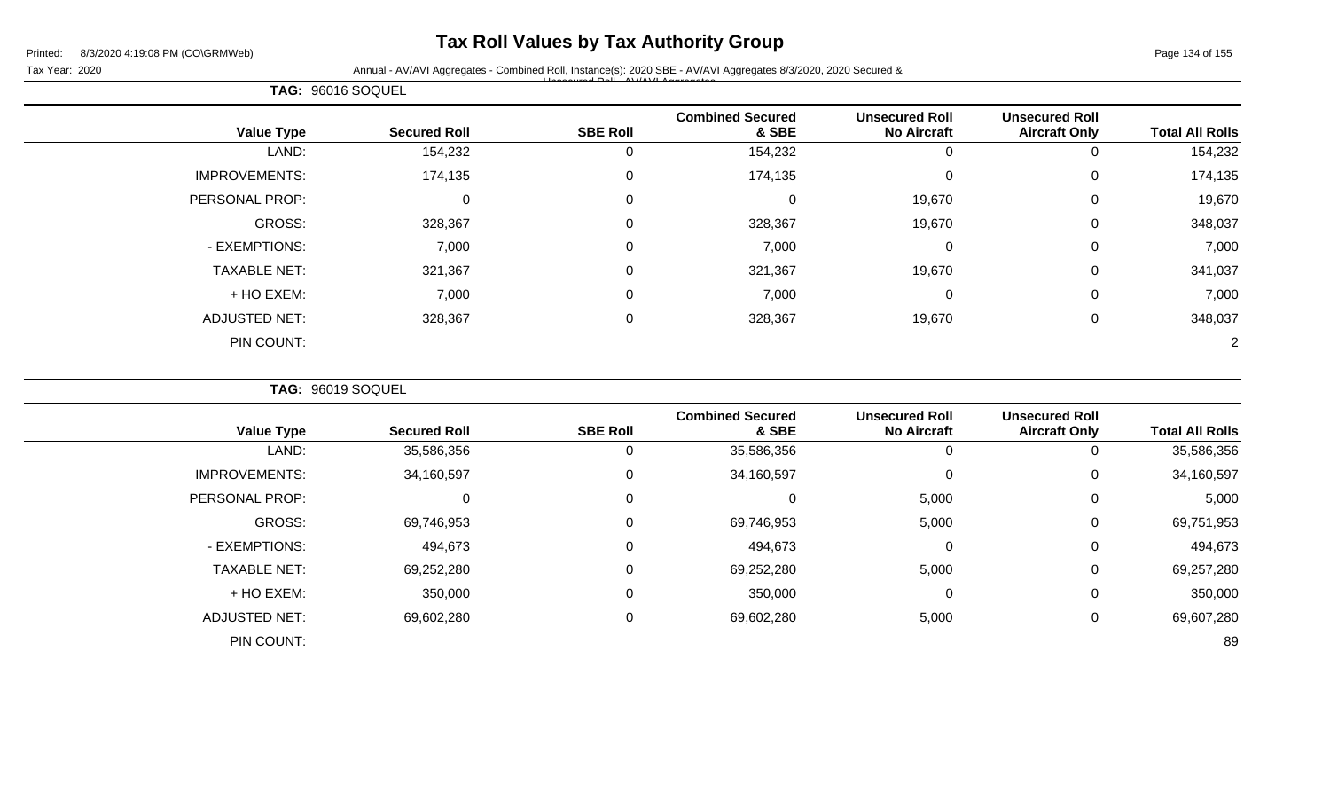## **Tax Roll Values by Tax Authority Group**

#### Tax Year: 2020 **Annual - AV/AVI Aggregates - Combined Roll**, Instance(s): 2020 SBE - AV/AVI Aggregates 8/3/2020, 2020 Secured & Unsecured Roll - AV/AVI Aggregates

| TAG: 96016 SOQUEL    |                     |                 |                                  |                                             |                                               |                        |
|----------------------|---------------------|-----------------|----------------------------------|---------------------------------------------|-----------------------------------------------|------------------------|
| <b>Value Type</b>    | <b>Secured Roll</b> | <b>SBE Roll</b> | <b>Combined Secured</b><br>& SBE | <b>Unsecured Roll</b><br><b>No Aircraft</b> | <b>Unsecured Roll</b><br><b>Aircraft Only</b> | <b>Total All Rolls</b> |
| LAND:                | 154,232             | 0               | 154,232                          | <u></u>                                     | 0                                             | 154,232                |
| <b>IMPROVEMENTS:</b> | 174,135             | 0               | 174,135                          | $\mathbf{0}$                                | 0                                             | 174,135                |
| PERSONAL PROP:       | 0                   | 0               | 0                                | 19,670                                      | 0                                             | 19,670                 |
| GROSS:               | 328,367             | 0               | 328,367                          | 19,670                                      | 0                                             | 348,037                |
| - EXEMPTIONS:        | 7,000               | 0               | 7,000                            | $\Omega$                                    | 0                                             | 7,000                  |
| <b>TAXABLE NET:</b>  | 321,367             | 0               | 321,367                          | 19,670                                      | 0                                             | 341,037                |
| + HO EXEM:           | 7,000               | $\overline{0}$  | 7,000                            | 0                                           | $\mathbf 0$                                   | 7,000                  |
| <b>ADJUSTED NET:</b> | 328,367             | 0               | 328,367                          | 19,670                                      | 0                                             | 348,037                |
| PIN COUNT:           |                     |                 |                                  |                                             |                                               |                        |

**TAG:** 96019 SOQUEL

| <b>Value Type</b>    | <b>Secured Roll</b> | <b>SBE Roll</b> | <b>Combined Secured</b><br>& SBE | <b>Unsecured Roll</b><br><b>No Aircraft</b> | <b>Unsecured Roll</b><br><b>Aircraft Only</b> | <b>Total All Rolls</b> |
|----------------------|---------------------|-----------------|----------------------------------|---------------------------------------------|-----------------------------------------------|------------------------|
| LAND:                | 35,586,356          | 0               | 35,586,356                       | 0                                           |                                               | 35,586,356             |
| <b>IMPROVEMENTS:</b> | 34,160,597          | 0               | 34,160,597                       | $\mathbf 0$                                 | 0                                             | 34,160,597             |
| PERSONAL PROP:       | 0                   | $\mathbf 0$     | 0                                | 5,000                                       | 0                                             | 5,000                  |
| GROSS:               | 69,746,953          | $\mathbf 0$     | 69,746,953                       | 5,000                                       | 0                                             | 69,751,953             |
| - EXEMPTIONS:        | 494,673             | $\mathbf 0$     | 494,673                          | $\mathbf 0$                                 | $\overline{0}$                                | 494,673                |
| <b>TAXABLE NET:</b>  | 69,252,280          | $\mathbf 0$     | 69,252,280                       | 5,000                                       | 0                                             | 69,257,280             |
| + HO EXEM:           | 350,000             | $\mathbf 0$     | 350,000                          | $\mathbf 0$                                 | 0                                             | 350,000                |
| <b>ADJUSTED NET:</b> | 69,602,280          | 0               | 69,602,280                       | 5,000                                       | 0                                             | 69,607,280             |
| PIN COUNT:           |                     |                 |                                  |                                             |                                               | 89                     |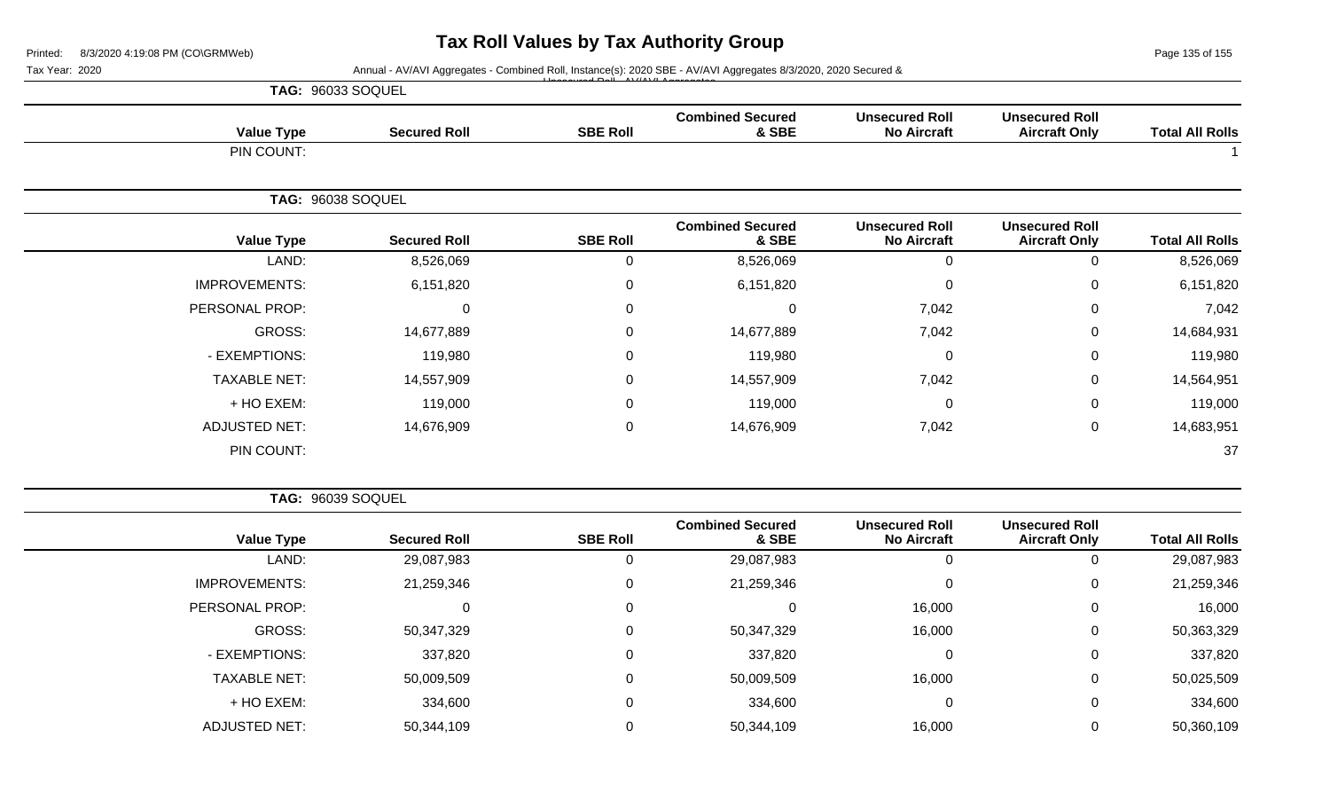Page 135 of 155

 $\overline{\phantom{a}}$ 

Tax Year: 2020 **Annual - AV/AVI Aggregates - Combined Roll**, Instance(s): 2020 SBE - AV/AVI Aggregates 8/3/2020, 2020 Secured & Unsecured Roll - AV/AVI Aggregates

|                      | TAG: 96033 SOQUEL   |                  |                                  |                                             |                                               |                        |
|----------------------|---------------------|------------------|----------------------------------|---------------------------------------------|-----------------------------------------------|------------------------|
| <b>Value Type</b>    | <b>Secured Roll</b> | <b>SBE Roll</b>  | <b>Combined Secured</b><br>& SBE | <b>Unsecured Roll</b><br><b>No Aircraft</b> | <b>Unsecured Roll</b><br><b>Aircraft Only</b> | <b>Total All Rolls</b> |
| PIN COUNT:           |                     |                  |                                  |                                             |                                               |                        |
|                      | TAG: 96038 SOQUEL   |                  |                                  |                                             |                                               |                        |
| <b>Value Type</b>    | <b>Secured Roll</b> | <b>SBE Roll</b>  | <b>Combined Secured</b><br>& SBE | <b>Unsecured Roll</b><br><b>No Aircraft</b> | <b>Unsecured Roll</b><br><b>Aircraft Only</b> | <b>Total All Rolls</b> |
| LAND:                | 8,526,069           | 0                | 8,526,069                        | 0                                           | 0                                             | 8,526,069              |
| <b>IMPROVEMENTS:</b> | 6,151,820           | $\boldsymbol{0}$ | 6,151,820                        | $\mathbf 0$                                 | $\mathbf 0$                                   | 6,151,820              |
| PERSONAL PROP:       | $\Omega$            | $\mathbf 0$      | $\Omega$                         | 7,042                                       | $\mathbf 0$                                   | 7,042                  |
| GROSS:               | 14,677,889          | $\mathbf 0$      | 14,677,889                       | 7,042                                       | $\mathbf 0$                                   | 14,684,931             |
| - EXEMPTIONS:        | 119,980             | $\mathbf 0$      | 119,980                          | 0                                           | $\mathbf 0$                                   | 119,980                |
| <b>TAXABLE NET:</b>  | 14,557,909          | $\mathbf 0$      | 14,557,909                       | 7,042                                       | $\boldsymbol{0}$                              | 14,564,951             |
| + HO EXEM:           | 119,000             | $\mathbf 0$      | 119,000                          | 0                                           | $\mathbf 0$                                   | 119,000                |
| <b>ADJUSTED NET:</b> | 14,676,909          | $\boldsymbol{0}$ | 14,676,909                       | 7,042                                       | $\mathbf 0$                                   | 14,683,951             |
| PIN COUNT:           |                     |                  |                                  |                                             |                                               | 37                     |

**TAG:** 96039 SOQUEL

| <b>Total All Rolls</b> | <b>Unsecured Roll</b><br><b>Aircraft Only</b> | <b>Unsecured Roll</b><br><b>No Aircraft</b> | <b>Combined Secured</b><br>& SBE | <b>SBE Roll</b> | <b>Secured Roll</b> | <b>Value Type</b>    |
|------------------------|-----------------------------------------------|---------------------------------------------|----------------------------------|-----------------|---------------------|----------------------|
| 29,087,983             |                                               |                                             | 29,087,983                       |                 | 29,087,983          | LAND:                |
| 21,259,346             | 0                                             |                                             | 21,259,346                       | 0               | 21,259,346          | <b>IMPROVEMENTS:</b> |
| 16,000                 |                                               | 16,000                                      | 0                                | 0               |                     | PERSONAL PROP:       |
| 50,363,329             | 0                                             | 16,000                                      | 50,347,329                       | 0               | 50,347,329          | GROSS:               |
| 337,820                | 0                                             |                                             | 337,820                          | 0               | 337,820             | - EXEMPTIONS:        |
| 50,025,509             | 0                                             | 16,000                                      | 50,009,509                       | 0               | 50,009,509          | <b>TAXABLE NET:</b>  |
| 334,600                | 0                                             |                                             | 334,600                          | 0               | 334,600             | + HO EXEM:           |
| 50,360,109             |                                               | 16,000                                      | 50,344,109                       |                 | 50,344,109          | <b>ADJUSTED NET:</b> |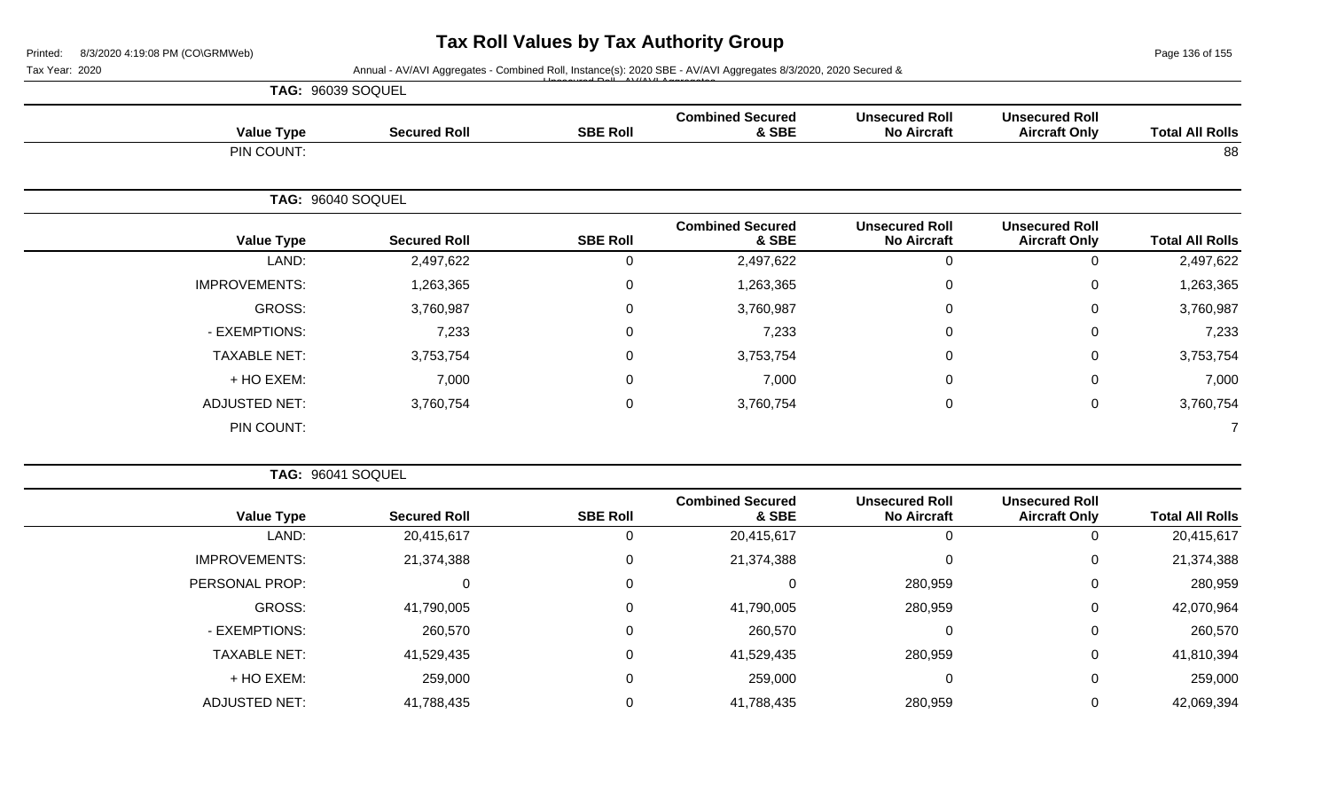Page 136 of 155

| Tax Year: 2020 |                      |                     |                 | Annual - AV/AVI Aggregates - Combined Roll, Instance(s): 2020 SBE - AV/AVI Aggregates 8/3/2020, 2020 Secured & |                                             |                                               |                        |
|----------------|----------------------|---------------------|-----------------|----------------------------------------------------------------------------------------------------------------|---------------------------------------------|-----------------------------------------------|------------------------|
|                | TAG: 96039 SOQUEL    |                     |                 |                                                                                                                |                                             |                                               |                        |
|                | <b>Value Type</b>    | <b>Secured Roll</b> | <b>SBE Roll</b> | <b>Combined Secured</b><br>& SBE                                                                               | <b>Unsecured Roll</b><br><b>No Aircraft</b> | <b>Unsecured Roll</b><br><b>Aircraft Only</b> | <b>Total All Rolls</b> |
|                | PIN COUNT:           |                     |                 |                                                                                                                |                                             |                                               | 88                     |
|                | TAG: 96040 SOQUEL    |                     |                 |                                                                                                                |                                             |                                               |                        |
|                | <b>Value Type</b>    | <b>Secured Roll</b> | <b>SBE Roll</b> | <b>Combined Secured</b><br>& SBE                                                                               | <b>Unsecured Roll</b><br><b>No Aircraft</b> | <b>Unsecured Roll</b><br><b>Aircraft Only</b> | <b>Total All Rolls</b> |
|                | LAND:                | 2,497,622           | $\mathbf 0$     | 2,497,622                                                                                                      | $\mathbf 0$                                 | $\Omega$                                      | 2,497,622              |
|                | <b>IMPROVEMENTS:</b> | 1,263,365           | $\Omega$        | 1,263,365                                                                                                      | $\mathbf 0$                                 |                                               | 1,263,365              |
|                | <b>GROSS:</b>        | 3,760,987           | 0               | 3,760,987                                                                                                      | $\mathbf 0$                                 |                                               | 3,760,987              |
|                | - EXEMPTIONS:        | 7,233               | 0               | 7,233                                                                                                          | $\overline{0}$                              | 0                                             | 7,233                  |
|                | <b>TAXABLE NET:</b>  | 3,753,754           | $\Omega$        | 3,753,754                                                                                                      | $\mathbf 0$                                 | 0                                             | 3,753,754              |
|                | + HO EXEM:           | 7,000               | $\Omega$        | 7,000                                                                                                          | $\mathbf 0$                                 | $\Omega$                                      | 7,000                  |
|                | <b>ADJUSTED NET:</b> | 3,760,754           | 0               | 3,760,754                                                                                                      | $\overline{0}$                              | $\mathbf{0}$                                  | 3,760,754              |
|                | PIN COUNT:           |                     |                 |                                                                                                                |                                             |                                               |                        |
|                | TAG: 96041 SOQUEL    |                     |                 |                                                                                                                |                                             |                                               |                        |
|                | <b>Value Type</b>    | <b>Secured Roll</b> | <b>SBE Roll</b> | <b>Combined Secured</b><br>& SBE                                                                               | <b>Unsecured Roll</b><br><b>No Aircraft</b> | <b>Unsecured Roll</b><br><b>Aircraft Only</b> | <b>Total All Rolls</b> |
|                | LAND:                | 20,415,617          | $\mathbf 0$     | 20,415,617                                                                                                     | $\pmb{0}$                                   | $\Omega$                                      | 20,415,617             |
|                | <b>IMPROVEMENTS:</b> | 21,374,388          | $\Omega$        | 21,374,388                                                                                                     | 0                                           |                                               | 21,374,388             |
|                | PERSONAL PROP:       | 0                   | 0               | 0                                                                                                              | 280,959                                     | 0                                             | 280,959                |

GROSS: 41,790,005 0 41,790,005 280,959 0 42,070,964

- EXEMPTIONS: 260,570 0 260,570 0 0 260,570 TAXABLE NET: 41,529,435 0 41,529,435 280,959 0 41,810,394 + HO EXEM: 259,000 0 259,000 0 0 259,000

ADJUSTED NET: 41,788,435 0 41,788,435 280,959 0 42,069,394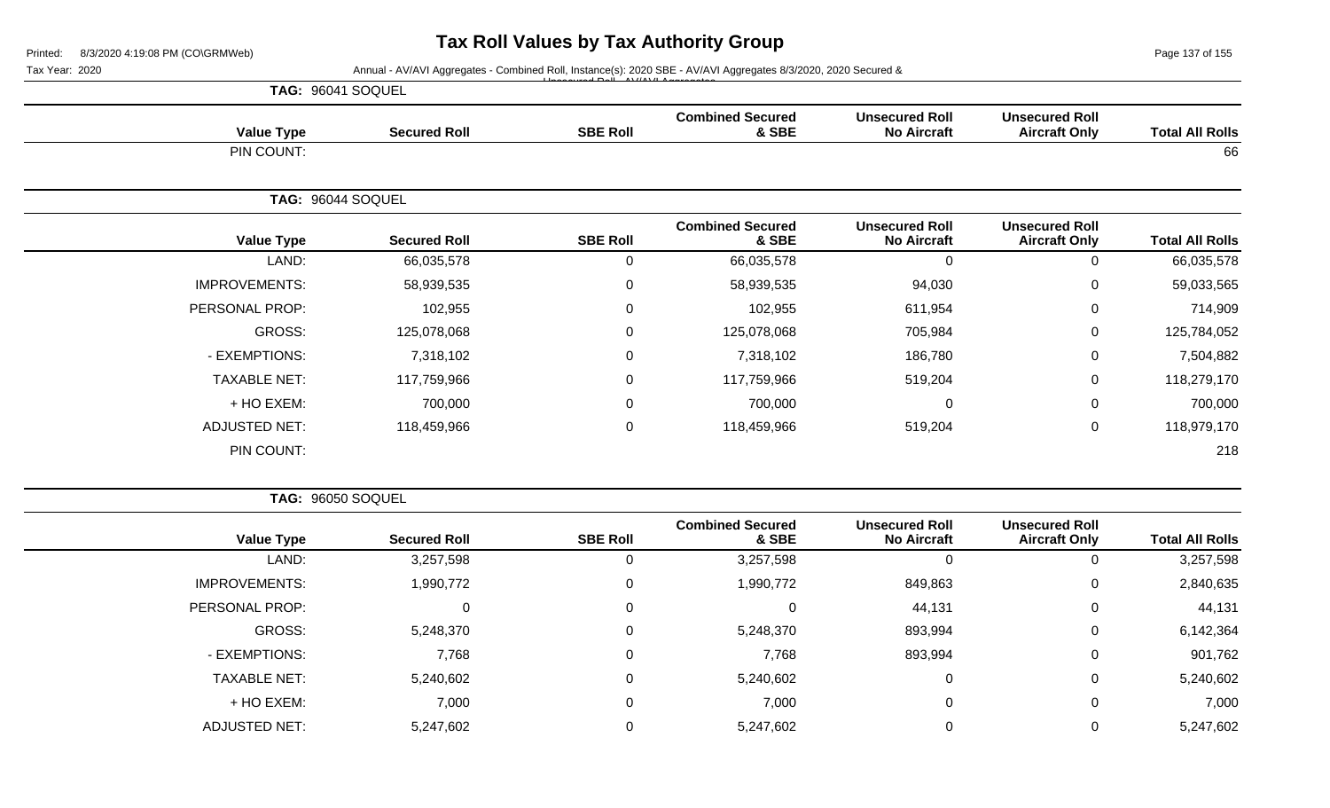Page 137 of 155

|                        |                                               |                                             | Tax Year: 2020<br>Annual - AV/AVI Aggregates - Combined Roll, Instance(s): 2020 SBE - AV/AVI Aggregates 8/3/2020, 2020 Secured &<br>TAG: 96041 SOQUEL<br><b>Combined Secured</b><br><b>SBE Roll</b><br><b>Value Type</b><br><b>Secured Roll</b><br>& SBE<br>PIN COUNT:<br>TAG: 96044 SOQUEL<br><b>Combined Secured</b><br><b>Value Type</b><br><b>Secured Roll</b><br><b>SBE Roll</b><br>& SBE<br>LAND:<br>$\mathbf 0$<br>66,035,578<br>66,035,578<br><b>IMPROVEMENTS:</b><br>58,939,535<br>58,939,535<br>0<br>PERSONAL PROP:<br>102,955<br>102,955<br>0<br>GROSS:<br>125,078,068<br>125,078,068<br>0 |                  |             |                      |
|------------------------|-----------------------------------------------|---------------------------------------------|-------------------------------------------------------------------------------------------------------------------------------------------------------------------------------------------------------------------------------------------------------------------------------------------------------------------------------------------------------------------------------------------------------------------------------------------------------------------------------------------------------------------------------------------------------------------------------------------------------|------------------|-------------|----------------------|
| <b>Total All Rolls</b> | <b>Unsecured Roll</b><br><b>Aircraft Only</b> | <b>Unsecured Roll</b><br><b>No Aircraft</b> |                                                                                                                                                                                                                                                                                                                                                                                                                                                                                                                                                                                                       |                  |             |                      |
| 66                     |                                               |                                             |                                                                                                                                                                                                                                                                                                                                                                                                                                                                                                                                                                                                       |                  |             |                      |
|                        |                                               |                                             |                                                                                                                                                                                                                                                                                                                                                                                                                                                                                                                                                                                                       |                  |             |                      |
| <b>Total All Rolls</b> | <b>Unsecured Roll</b><br><b>Aircraft Only</b> | <b>Unsecured Roll</b><br><b>No Aircraft</b> |                                                                                                                                                                                                                                                                                                                                                                                                                                                                                                                                                                                                       |                  |             |                      |
| 66,035,578             | 0                                             | $\mathbf 0$                                 |                                                                                                                                                                                                                                                                                                                                                                                                                                                                                                                                                                                                       |                  |             |                      |
| 59,033,565             | 0                                             | 94,030                                      |                                                                                                                                                                                                                                                                                                                                                                                                                                                                                                                                                                                                       |                  |             |                      |
| 714,909                | 0                                             | 611,954                                     |                                                                                                                                                                                                                                                                                                                                                                                                                                                                                                                                                                                                       |                  |             |                      |
| 125,784,052            | 0                                             | 705,984                                     |                                                                                                                                                                                                                                                                                                                                                                                                                                                                                                                                                                                                       |                  |             |                      |
| 7,504,882              | 0                                             | 186,780                                     | 7,318,102                                                                                                                                                                                                                                                                                                                                                                                                                                                                                                                                                                                             | $\mathbf 0$      | 7,318,102   | - EXEMPTIONS:        |
| 118,279,170            | 0                                             | 519,204                                     | 117,759,966                                                                                                                                                                                                                                                                                                                                                                                                                                                                                                                                                                                           | $\mathbf 0$      | 117,759,966 | <b>TAXABLE NET:</b>  |
| 700,000                | 0                                             | $\mathbf 0$                                 | 700,000                                                                                                                                                                                                                                                                                                                                                                                                                                                                                                                                                                                               | $\mathbf 0$      | 700,000     | + HO EXEM:           |
| 118,979,170            | 0                                             | 519,204                                     | 118,459,966                                                                                                                                                                                                                                                                                                                                                                                                                                                                                                                                                                                           | $\boldsymbol{0}$ | 118,459,966 | <b>ADJUSTED NET:</b> |
| 218                    |                                               |                                             |                                                                                                                                                                                                                                                                                                                                                                                                                                                                                                                                                                                                       |                  |             | PIN COUNT:           |

| <b>Value Type</b>    | <b>Secured Roll</b> | <b>SBE Roll</b> | <b>Combined Secured</b><br>& SBE | <b>Unsecured Roll</b><br><b>No Aircraft</b> | <b>Unsecured Roll</b><br><b>Aircraft Only</b> | <b>Total All Rolls</b> |
|----------------------|---------------------|-----------------|----------------------------------|---------------------------------------------|-----------------------------------------------|------------------------|
|                      |                     |                 |                                  |                                             |                                               |                        |
| LAND:                | 3,257,598           | 0               | 3,257,598                        | υ                                           | O                                             | 3,257,598              |
| <b>IMPROVEMENTS:</b> | 1,990,772           | 0               | 1,990,772                        | 849,863                                     | 0                                             | 2,840,635              |
| PERSONAL PROP:       | 0                   | 0               | 0                                | 44,131                                      | 0                                             | 44,131                 |
| GROSS:               | 5,248,370           | 0               | 5,248,370                        | 893,994                                     | 0                                             | 6,142,364              |
| - EXEMPTIONS:        | 7,768               | 0               | 7,768                            | 893,994                                     | 0                                             | 901,762                |
| <b>TAXABLE NET:</b>  | 5,240,602           | 0               | 5,240,602                        | υ                                           | 0                                             | 5,240,602              |
| + HO EXEM:           | 7,000               | 0               | 7,000                            | U                                           | 0                                             | 7,000                  |
| <b>ADJUSTED NET:</b> | 5,247,602           |                 | 5,247,602                        |                                             | 0                                             | 5,247,602              |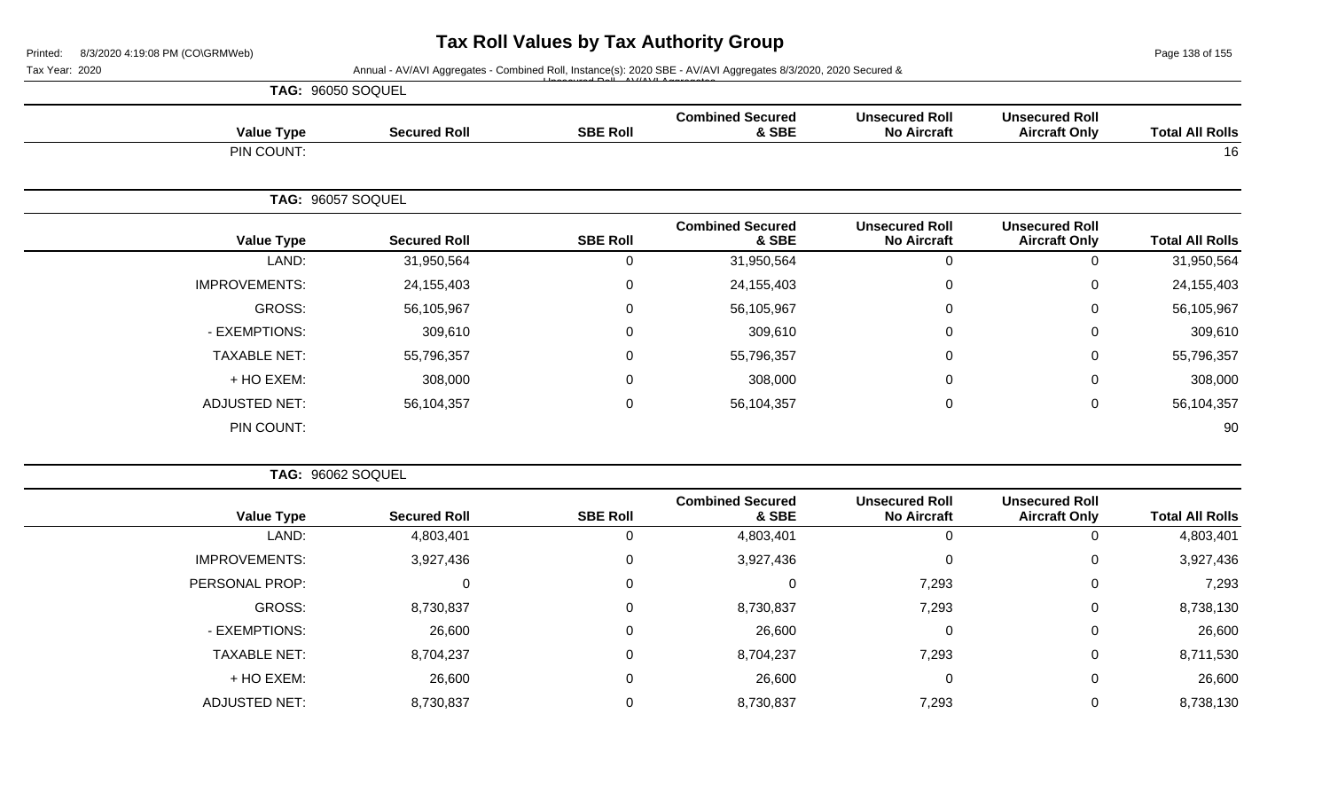Page 138 of 155

| Tax Year: 2020 |                          |                     |                 | Annual - AV/AVI Aggregates - Combined Roll, Instance(s): 2020 SBE - AV/AVI Aggregates 8/3/2020, 2020 Secured & |                                             |                                               |                        |
|----------------|--------------------------|---------------------|-----------------|----------------------------------------------------------------------------------------------------------------|---------------------------------------------|-----------------------------------------------|------------------------|
|                | TAG: 96050 SOQUEL        |                     |                 |                                                                                                                |                                             |                                               |                        |
|                | <b>Value Type</b>        | <b>Secured Roll</b> | <b>SBE Roll</b> | <b>Combined Secured</b><br>& SBE                                                                               | <b>Unsecured Roll</b><br><b>No Aircraft</b> | <b>Unsecured Roll</b><br><b>Aircraft Only</b> | <b>Total All Rolls</b> |
|                | PIN COUNT:               |                     |                 |                                                                                                                |                                             |                                               | 16                     |
|                | TAG: 96057 SOQUEL        |                     |                 |                                                                                                                |                                             |                                               |                        |
|                | <b>Value Type</b>        | <b>Secured Roll</b> | <b>SBE Roll</b> | <b>Combined Secured</b><br>& SBE                                                                               | <b>Unsecured Roll</b><br><b>No Aircraft</b> | <b>Unsecured Roll</b><br><b>Aircraft Only</b> | <b>Total All Rolls</b> |
|                | LAND:                    | 31,950,564          | $\Omega$        | 31,950,564                                                                                                     | 0                                           | $\Omega$                                      | 31,950,564             |
|                | <b>IMPROVEMENTS:</b>     | 24, 155, 403        | 0               | 24, 155, 403                                                                                                   | 0                                           | $\Omega$                                      | 24,155,403             |
|                | GROSS:                   | 56,105,967          | $\Omega$        | 56,105,967                                                                                                     | 0                                           | $\Omega$                                      | 56,105,967             |
|                | - EXEMPTIONS:            | 309,610             | $\Omega$        | 309,610                                                                                                        | 0                                           | $\Omega$                                      | 309,610                |
|                | <b>TAXABLE NET:</b>      | 55,796,357          | $\Omega$        | 55,796,357                                                                                                     | 0                                           | $\Omega$                                      | 55,796,357             |
|                | + HO EXEM:               | 308,000             | $\Omega$        | 308,000                                                                                                        | 0                                           | $\Omega$                                      | 308,000                |
|                | <b>ADJUSTED NET:</b>     | 56,104,357          | 0               | 56,104,357                                                                                                     | 0                                           | 0                                             | 56,104,357             |
|                | PIN COUNT:               |                     |                 |                                                                                                                |                                             |                                               | 90                     |
|                | <b>TAG: 96062 SOQUEL</b> |                     |                 |                                                                                                                |                                             |                                               |                        |
|                | <b>Value Type</b>        | <b>Secured Roll</b> | <b>SBE Roll</b> | <b>Combined Secured</b><br>& SBE                                                                               | <b>Unsecured Roll</b><br><b>No Aircraft</b> | <b>Unsecured Roll</b><br><b>Aircraft Only</b> | <b>Total All Rolls</b> |

| <b>Total All Rolls</b> | <u> 8188888888</u><br><b>Aircraft Only</b> | <u> 818888888888</u><br><b>No Aircraft</b> | oompniva ocoarea<br>& SBE | <b>SBE Roll</b> | <b>Secured Roll</b> | <b>Value Type</b>    |
|------------------------|--------------------------------------------|--------------------------------------------|---------------------------|-----------------|---------------------|----------------------|
| 4,803,401              |                                            | U                                          | 4,803,401                 | u               | 4,803,401           | LAND:                |
| 3,927,436              |                                            | 0                                          | 3,927,436                 | υ               | 3,927,436           | <b>IMPROVEMENTS:</b> |
| 7,293                  |                                            | 7,293                                      |                           |                 |                     | PERSONAL PROP:       |
| 8,738,130              | $\Omega$                                   | 7,293                                      | 8,730,837                 | 0               | 8,730,837           | GROSS:               |
| 26,600                 |                                            | 0                                          | 26,600                    | υ               | 26,600              | - EXEMPTIONS:        |
| 8,711,530              | $\Omega$                                   | 7,293                                      | 8,704,237                 | 0               | 8,704,237           | <b>TAXABLE NET:</b>  |
| 26,600                 |                                            | 0                                          | 26,600                    |                 | 26,600              | + HO EXEM:           |
| 8,738,130              |                                            | 7,293                                      | 8,730,837                 |                 | 8,730,837           | <b>ADJUSTED NET:</b> |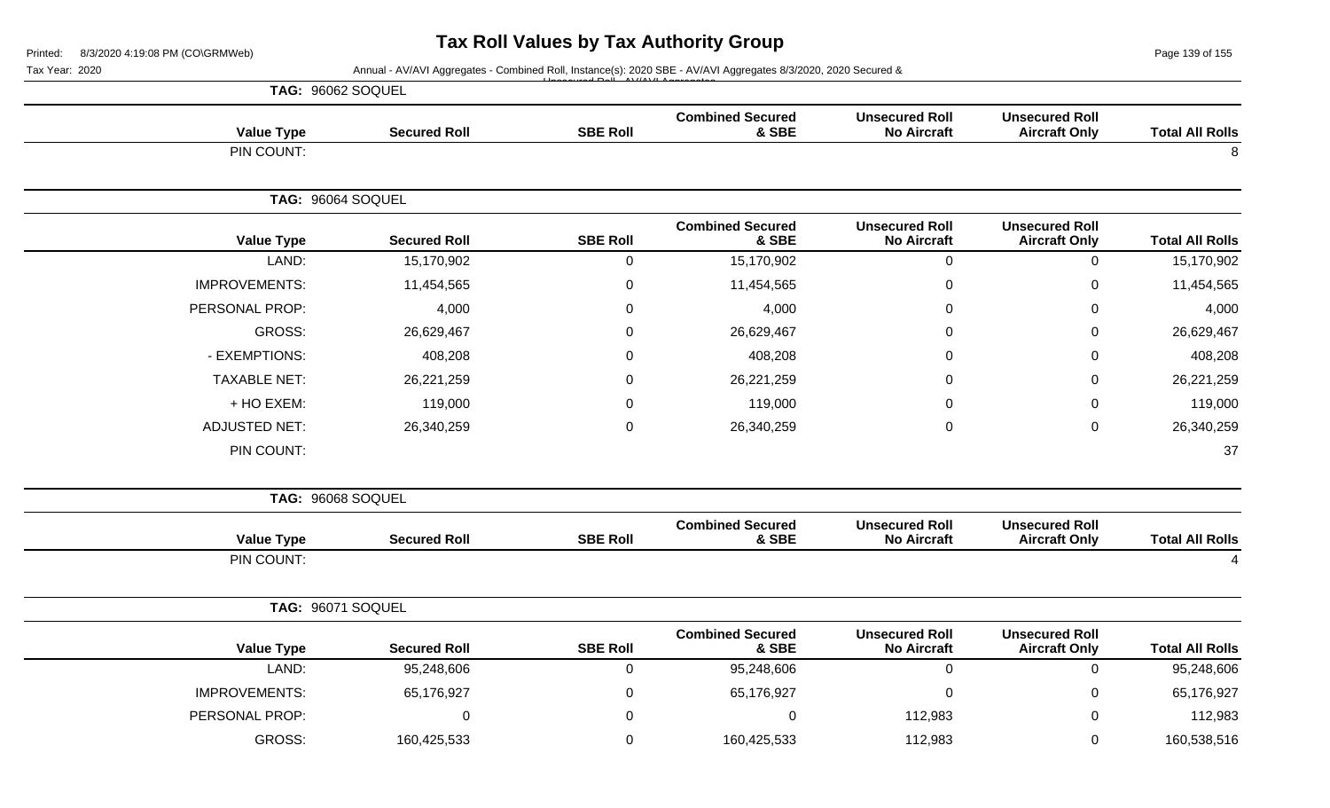Page 139 of 155

| Tax Year: 2020           |                     |                 | Annual - AV/AVI Aggregates - Combined Roll, Instance(s): 2020 SBE - AV/AVI Aggregates 8/3/2020, 2020 Secured & |                                             |                                               |                        |
|--------------------------|---------------------|-----------------|----------------------------------------------------------------------------------------------------------------|---------------------------------------------|-----------------------------------------------|------------------------|
| <b>TAG: 96062 SOQUEL</b> |                     |                 |                                                                                                                |                                             |                                               |                        |
| <b>Value Type</b>        | <b>Secured Roll</b> | <b>SBE Roll</b> | <b>Combined Secured</b><br>& SBE                                                                               | <b>Unsecured Roll</b><br><b>No Aircraft</b> | <b>Unsecured Roll</b><br><b>Aircraft Only</b> | <b>Total All Rolls</b> |
| PIN COUNT:               |                     |                 |                                                                                                                |                                             |                                               | 8                      |
| TAG: 96064 SOQUEL        |                     |                 |                                                                                                                |                                             |                                               |                        |
| <b>Value Type</b>        | <b>Secured Roll</b> | <b>SBE Roll</b> | <b>Combined Secured</b><br>& SBE                                                                               | <b>Unsecured Roll</b><br><b>No Aircraft</b> | <b>Unsecured Roll</b><br><b>Aircraft Only</b> | <b>Total All Rolls</b> |
| LAND:                    | 15,170,902          | $\mathbf 0$     | 15,170,902                                                                                                     | $\boldsymbol{0}$                            | $\mathsf 0$                                   | 15,170,902             |
| <b>IMPROVEMENTS:</b>     | 11,454,565          | 0               | 11,454,565                                                                                                     | $\mathbf 0$                                 | 0                                             | 11,454,565             |
| PERSONAL PROP:           | 4,000               | $\mathbf 0$     | 4,000                                                                                                          | $\mathbf 0$                                 | 0                                             | 4,000                  |
| <b>GROSS:</b>            | 26,629,467          | 0               | 26,629,467                                                                                                     | $\Omega$                                    | $\mathbf{0}$                                  | 26,629,467             |
| - EXEMPTIONS:            | 408,208             | 0               | 408,208                                                                                                        | 0                                           | $\mathbf 0$                                   | 408,208                |
| <b>TAXABLE NET:</b>      | 26,221,259          | 0               | 26,221,259                                                                                                     | $\Omega$                                    | 0                                             | 26,221,259             |
| + HO EXEM:               | 119,000             | $\Omega$        | 119,000                                                                                                        | $\Omega$                                    | 0                                             | 119,000                |
| <b>ADJUSTED NET:</b>     | 26,340,259          | $\mathbf 0$     | 26,340,259                                                                                                     | $\mathbf 0$                                 | $\pmb{0}$                                     | 26,340,259             |
| PIN COUNT:               |                     |                 |                                                                                                                |                                             |                                               | 37                     |
| TAG: 96068 SOQUEL        |                     |                 |                                                                                                                |                                             |                                               |                        |
| <b>Value Type</b>        | <b>Secured Roll</b> | <b>SBE Roll</b> | <b>Combined Secured</b><br>& SBE                                                                               | <b>Unsecured Roll</b><br><b>No Aircraft</b> | <b>Unsecured Roll</b><br><b>Aircraft Only</b> | <b>Total All Rolls</b> |
| PIN COUNT:               |                     |                 |                                                                                                                |                                             |                                               | $\boldsymbol{\Delta}$  |
| TAG: 96071 SOQUEL        |                     |                 |                                                                                                                |                                             |                                               |                        |
| <b>Value Type</b>        | <b>Secured Roll</b> | <b>SBE Roll</b> | <b>Combined Secured</b><br>& SBE                                                                               | <b>Unsecured Roll</b><br><b>No Aircraft</b> | <b>Unsecured Roll</b><br><b>Aircraft Only</b> | <b>Total All Rolls</b> |
| LAND:                    | 95,248,606          | 0               | 95,248,606                                                                                                     | $\mathbf 0$                                 | 0                                             | 95,248,606             |
| <b>IMPROVEMENTS:</b>     | 65,176,927          | $\mathbf 0$     | 65,176,927                                                                                                     | $\mathbf 0$                                 | 0                                             | 65,176,927             |
| PERSONAL PROP:           | $\Omega$            | $\Omega$        | 0                                                                                                              | 112,983                                     | $\Omega$                                      | 112,983                |
| <b>GROSS:</b>            | 160,425,533         | $\Omega$        | 160,425,533                                                                                                    | 112,983                                     | 0                                             | 160,538,516            |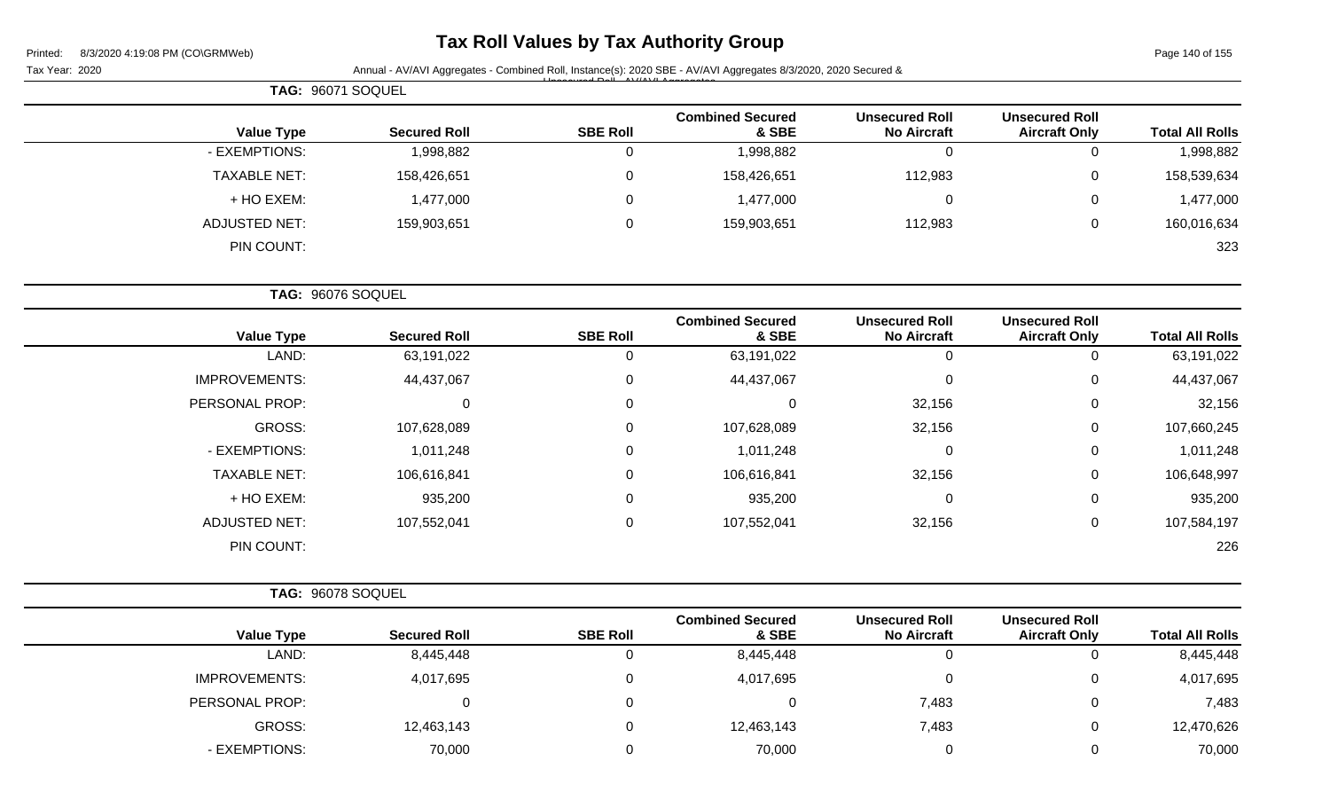| 8/3/2020 4:19:08 PM (CO\GRMWeb)<br>Printed: |                     |                 | Tax Roll Values by Tax Authority Group                                                                         |                                             |                                               | Page 140 of 155        |
|---------------------------------------------|---------------------|-----------------|----------------------------------------------------------------------------------------------------------------|---------------------------------------------|-----------------------------------------------|------------------------|
| Tax Year: 2020                              |                     |                 | Annual - AV/AVI Aggregates - Combined Roll, Instance(s): 2020 SBE - AV/AVI Aggregates 8/3/2020, 2020 Secured & |                                             |                                               |                        |
| TAG: 96071 SOQUEL                           |                     |                 |                                                                                                                |                                             |                                               |                        |
| <b>Value Type</b>                           | <b>Secured Roll</b> | <b>SBE Roll</b> | <b>Combined Secured</b><br>& SBE                                                                               | <b>Unsecured Roll</b><br><b>No Aircraft</b> | <b>Unsecured Roll</b><br><b>Aircraft Only</b> | <b>Total All Rolls</b> |
| - EXEMPTIONS:                               | 1,998,882           | $\mathbf 0$     | 1,998,882                                                                                                      | 0                                           | $\mathbf 0$                                   | 1,998,882              |
| <b>TAXABLE NET:</b>                         | 158,426,651         | 0               | 158,426,651                                                                                                    | 112,983                                     | 0                                             | 158,539,634            |
| + HO EXEM:                                  | 1,477,000           | 0               | 1,477,000                                                                                                      | 0                                           | 0                                             | 1,477,000              |
| ADJUSTED NET:                               | 159,903,651         | 0               | 159,903,651                                                                                                    | 112,983                                     | 0                                             | 160,016,634            |
| PIN COUNT:                                  |                     |                 |                                                                                                                |                                             |                                               | 323                    |
| TAG: 96076 SOQUEL                           |                     |                 |                                                                                                                |                                             |                                               |                        |
| <b>Value Type</b>                           | <b>Secured Roll</b> | <b>SBE Roll</b> | <b>Combined Secured</b><br>& SBE                                                                               | <b>Unsecured Roll</b><br><b>No Aircraft</b> | <b>Unsecured Roll</b><br><b>Aircraft Only</b> | <b>Total All Rolls</b> |
| LAND:                                       | 63,191,022          | 0               | 63,191,022                                                                                                     | 0                                           | $\overline{0}$                                | 63,191,022             |
| <b>IMPROVEMENTS:</b>                        | 44,437,067          | 0               | 44,437,067                                                                                                     | 0                                           | 0                                             | 44,437,067             |
| PERSONAL PROP:                              | 0                   | 0               | $\mathbf 0$                                                                                                    | 32,156                                      | $\Omega$                                      | 32,156                 |
| <b>GROSS:</b>                               | 107,628,089         | 0               | 107,628,089                                                                                                    | 32,156                                      | 0                                             | 107,660,245            |
| - EXEMPTIONS:                               | 1,011,248           | 0               | 1,011,248                                                                                                      | 0                                           | 0                                             | 1,011,248              |
| <b>TAXABLE NET:</b>                         | 106,616,841         | 0               | 106,616,841                                                                                                    | 32,156                                      | 0                                             | 106,648,997            |
| + HO EXEM:                                  | 935,200             | 0               | 935,200                                                                                                        | 0                                           | 0                                             | 935,200                |
| <b>ADJUSTED NET:</b>                        | 107,552,041         | 0               | 107,552,041                                                                                                    | 32,156                                      | 0                                             | 107,584,197            |
| PIN COUNT:                                  |                     |                 |                                                                                                                |                                             |                                               | 226                    |
| TAG: 96078 SOQUEL                           |                     |                 |                                                                                                                |                                             |                                               |                        |
| <b>Value Type</b>                           | <b>Secured Roll</b> | <b>SBE Roll</b> | <b>Combined Secured</b><br>& SBE                                                                               | <b>Unsecured Roll</b><br><b>No Aircraft</b> | <b>Unsecured Roll</b><br><b>Aircraft Only</b> | <b>Total All Rolls</b> |
| LAND:                                       | 8,445,448           | $\mathbf 0$     | 8,445,448                                                                                                      | 0                                           | $\mathbf{0}$                                  | 8,445,448              |
| <b>IMPROVEMENTS:</b>                        | 4,017,695           | 0               | 4,017,695                                                                                                      | $\pmb{0}$                                   | 0                                             | 4,017,695              |
| PERSONAL PROP:                              | $\mathbf 0$         | 0               | $\mathbf 0$                                                                                                    | 7,483                                       | 0                                             | 7,483                  |
| GROSS:                                      | 12,463,143          | 0               | 12,463,143                                                                                                     | 7,483                                       | 0                                             | 12,470,626             |

- EXEMPTIONS: 70,000 0 70,000 0 0 70,000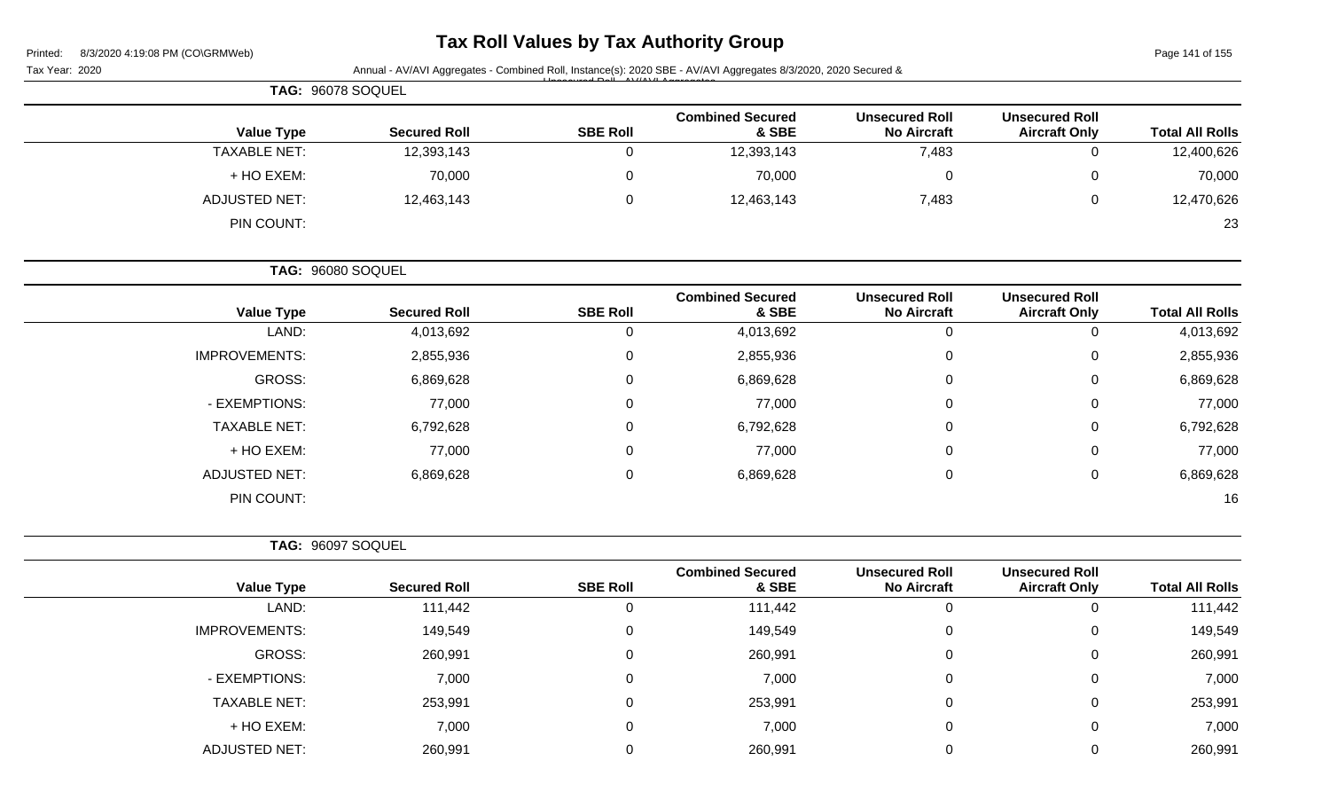| Printed: | 8/3/2020 4:19:08 PM (CO\GRMWeb) |
|----------|---------------------------------|

# **Tax Roll Values by Tax Authority Group**

Page 141 of 155

|                        |                                               |                                             |                                  |                 | Annual - AV/AVI Aggregates - Combined Roll, Instance(s): 2020 SBE - AV/AVI Aggregates 8/3/2020, 2020 Secured & | Tax Year: 2020       |
|------------------------|-----------------------------------------------|---------------------------------------------|----------------------------------|-----------------|----------------------------------------------------------------------------------------------------------------|----------------------|
|                        |                                               |                                             |                                  |                 |                                                                                                                | TAG: 96078 SOQUEL    |
| <b>Total All Rolls</b> | <b>Unsecured Roll</b><br><b>Aircraft Only</b> | <b>Unsecured Roll</b><br><b>No Aircraft</b> | <b>Combined Secured</b><br>& SBE | <b>SBE Roll</b> | <b>Secured Roll</b>                                                                                            | <b>Value Type</b>    |
| 12,400,626             | $\mathsf 0$                                   | 7,483                                       | 12,393,143                       | $\mathbf 0$     | 12,393,143                                                                                                     | <b>TAXABLE NET:</b>  |
| 70,000                 | 0                                             | $\pmb{0}$                                   | 70,000                           | 0               | 70,000                                                                                                         | + HO EXEM:           |
| 12,470,626             | 0                                             | 7,483                                       | 12,463,143                       | $\mathbf 0$     | 12,463,143                                                                                                     | <b>ADJUSTED NET:</b> |
| 23                     |                                               |                                             |                                  |                 |                                                                                                                | PIN COUNT:           |
|                        |                                               |                                             |                                  |                 |                                                                                                                | TAG: 96080 SOQUEL    |
| <b>Total All Rolls</b> | <b>Unsecured Roll</b><br><b>Aircraft Only</b> | <b>Unsecured Roll</b><br><b>No Aircraft</b> | <b>Combined Secured</b><br>& SBE | <b>SBE Roll</b> | <b>Secured Roll</b>                                                                                            | <b>Value Type</b>    |
| 4,013,692              | 0                                             | $\mathbf 0$                                 | 4,013,692                        | $\mathbf 0$     | 4,013,692                                                                                                      | LAND:                |
| 2,855,936              | 0                                             | 0                                           | 2,855,936                        | 0               | 2,855,936                                                                                                      | <b>IMPROVEMENTS:</b> |
| 6,869,628              | 0                                             | 0                                           | 6,869,628                        | 0               | 6,869,628                                                                                                      | <b>GROSS:</b>        |
| 77,000                 | 0                                             | 0                                           | 77,000                           | 0               | 77,000                                                                                                         | - EXEMPTIONS:        |
| 6,792,628              | 0                                             | 0                                           | 6,792,628                        | 0               | 6,792,628                                                                                                      | <b>TAXABLE NET:</b>  |
| 77,000                 | 0                                             | 0                                           | 77,000                           | 0               | 77,000                                                                                                         | + HO EXEM:           |
| 6,869,628              | $\pmb{0}$                                     | 0                                           | 6,869,628                        | 0               | 6,869,628                                                                                                      | <b>ADJUSTED NET:</b> |
| 16                     |                                               |                                             |                                  |                 |                                                                                                                | PIN COUNT:           |
|                        |                                               |                                             |                                  |                 |                                                                                                                | TAG: 96097 SOQUEL    |
| <b>Total All Rolls</b> | <b>Unsecured Roll</b><br><b>Aircraft Only</b> | <b>Unsecured Roll</b><br><b>No Aircraft</b> | <b>Combined Secured</b><br>& SBE | <b>SBE Roll</b> | <b>Secured Roll</b>                                                                                            | <b>Value Type</b>    |
| 111,442                | 0                                             | $\mathbf 0$                                 | 111,442                          | $\mathbf 0$     | 111,442                                                                                                        | LAND:                |
| 149,549                | 0                                             | 0                                           | 149,549                          | 0               | 149,549                                                                                                        | <b>IMPROVEMENTS:</b> |
| 260,991                | 0                                             | $\mathbf 0$                                 | 260,991                          | $\pmb{0}$       | 260,991                                                                                                        | GROSS:               |
| 7,000                  | 0                                             | $\pmb{0}$                                   | 7,000                            | 0               | 7,000                                                                                                          | - EXEMPTIONS:        |
| 253,991                | 0                                             | $\pmb{0}$                                   | 253,991                          | 0               | 253,991                                                                                                        | <b>TAXABLE NET:</b>  |
| 7,000                  | 0                                             | $\pmb{0}$                                   | 7,000                            | 0               | 7,000                                                                                                          | + HO EXEM:           |
| 260,991                | 0                                             | $\mathbf 0$                                 | 260,991                          | $\mathbf 0$     | 260,991                                                                                                        | <b>ADJUSTED NET:</b> |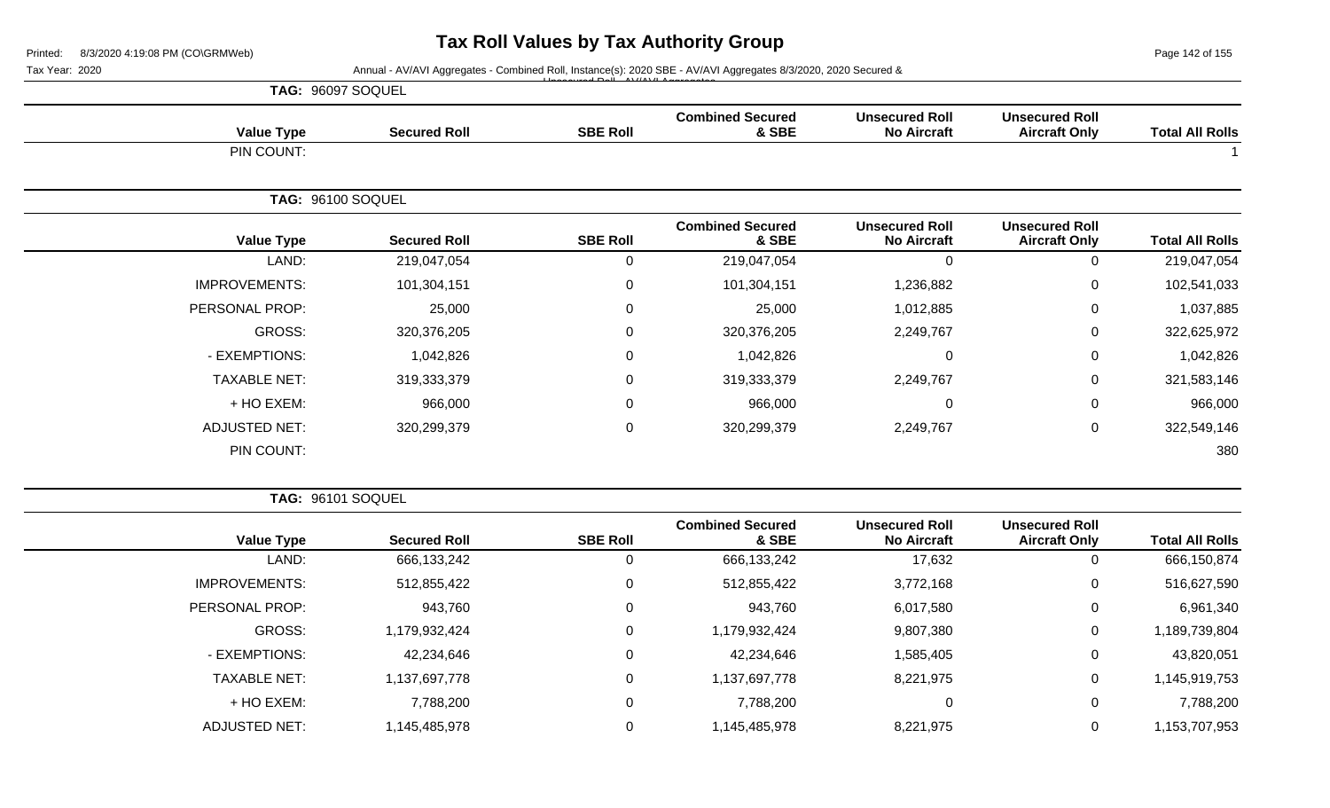Page 142 of 155

#### Tax Year: 2020 **Annual - AV/AVI Aggregates - Combined Roll**, Instance(s): 2020 SBE - AV/AVI Aggregates 8/3/2020, 2020 Secured & Unsecured Roll - AV/AVI Aggregates

|                      | TAG: 96097 SOQUEL   |                 |                                  |                                             |                                               |                        |
|----------------------|---------------------|-----------------|----------------------------------|---------------------------------------------|-----------------------------------------------|------------------------|
| <b>Value Type</b>    | <b>Secured Roll</b> | <b>SBE Roll</b> | <b>Combined Secured</b><br>& SBE | <b>Unsecured Roll</b><br><b>No Aircraft</b> | <b>Unsecured Roll</b><br><b>Aircraft Only</b> | <b>Total All Rolls</b> |
| PIN COUNT:           |                     |                 |                                  |                                             |                                               |                        |
|                      | TAG: 96100 SOQUEL   |                 |                                  |                                             |                                               |                        |
| <b>Value Type</b>    | <b>Secured Roll</b> | <b>SBE Roll</b> | <b>Combined Secured</b><br>& SBE | <b>Unsecured Roll</b><br><b>No Aircraft</b> | <b>Unsecured Roll</b><br><b>Aircraft Only</b> | <b>Total All Rolls</b> |
| LAND:                | 219,047,054         | 0               | 219,047,054                      | $\mathbf 0$                                 | 0                                             | 219,047,054            |
| <b>IMPROVEMENTS:</b> | 101,304,151         | 0               | 101,304,151                      | 1,236,882                                   | 0                                             | 102,541,033            |
| PERSONAL PROP:       | 25,000              | 0               | 25,000                           | 1,012,885                                   | 0                                             | 1,037,885              |
| GROSS:               | 320,376,205         | 0               | 320,376,205                      | 2,249,767                                   | 0                                             | 322,625,972            |
| - EXEMPTIONS:        | 1,042,826           | $\mathbf 0$     | 1,042,826                        | $\mathbf 0$                                 | 0                                             | 1,042,826              |
| <b>TAXABLE NET:</b>  | 319,333,379         | 0               | 319,333,379                      | 2,249,767                                   | 0                                             | 321,583,146            |
| + HO EXEM:           | 966,000             | 0               | 966,000                          | $\mathbf 0$                                 | 0                                             | 966,000                |
| <b>ADJUSTED NET:</b> | 320,299,379         | 0               | 320,299,379                      | 2,249,767                                   | $\mathbf 0$                                   | 322,549,146            |
| PIN COUNT:           |                     |                 |                                  |                                             |                                               | 380                    |

**TAG:** 96101 SOQUEL

| <b>Total All Rolls</b> | <b>Unsecured Roll</b><br><b>Aircraft Only</b> | <b>Unsecured Roll</b><br><b>No Aircraft</b> | <b>Combined Secured</b><br>& SBE | <b>SBE Roll</b> | <b>Secured Roll</b> | <b>Value Type</b>    |
|------------------------|-----------------------------------------------|---------------------------------------------|----------------------------------|-----------------|---------------------|----------------------|
| 666,150,874            |                                               | 17,632                                      | 666,133,242                      | U               | 666,133,242         | LAND:                |
| 516,627,590            |                                               | 3,772,168                                   | 512,855,422                      | 0               | 512,855,422         | <b>IMPROVEMENTS:</b> |
| 6,961,340              | 0                                             | 6,017,580                                   | 943,760                          | 0               | 943,760             | PERSONAL PROP:       |
| 1,189,739,804          | 0                                             | 9,807,380                                   | 1,179,932,424                    | $\Omega$        | 1,179,932,424       | GROSS:               |
| 43,820,051             | 0                                             | 1,585,405                                   | 42,234,646                       | 0               | 42,234,646          | - EXEMPTIONS:        |
| 1,145,919,753          | 0                                             | 8,221,975                                   | 1,137,697,778                    | 0               | 1,137,697,778       | <b>TAXABLE NET:</b>  |
| 7,788,200              | 0                                             | 0                                           | 7,788,200                        | 0               | 7,788,200           | + HO EXEM:           |
| 1,153,707,953          |                                               | 8,221,975                                   | 1,145,485,978                    | 0               | 145,485,978         | <b>ADJUSTED NET:</b> |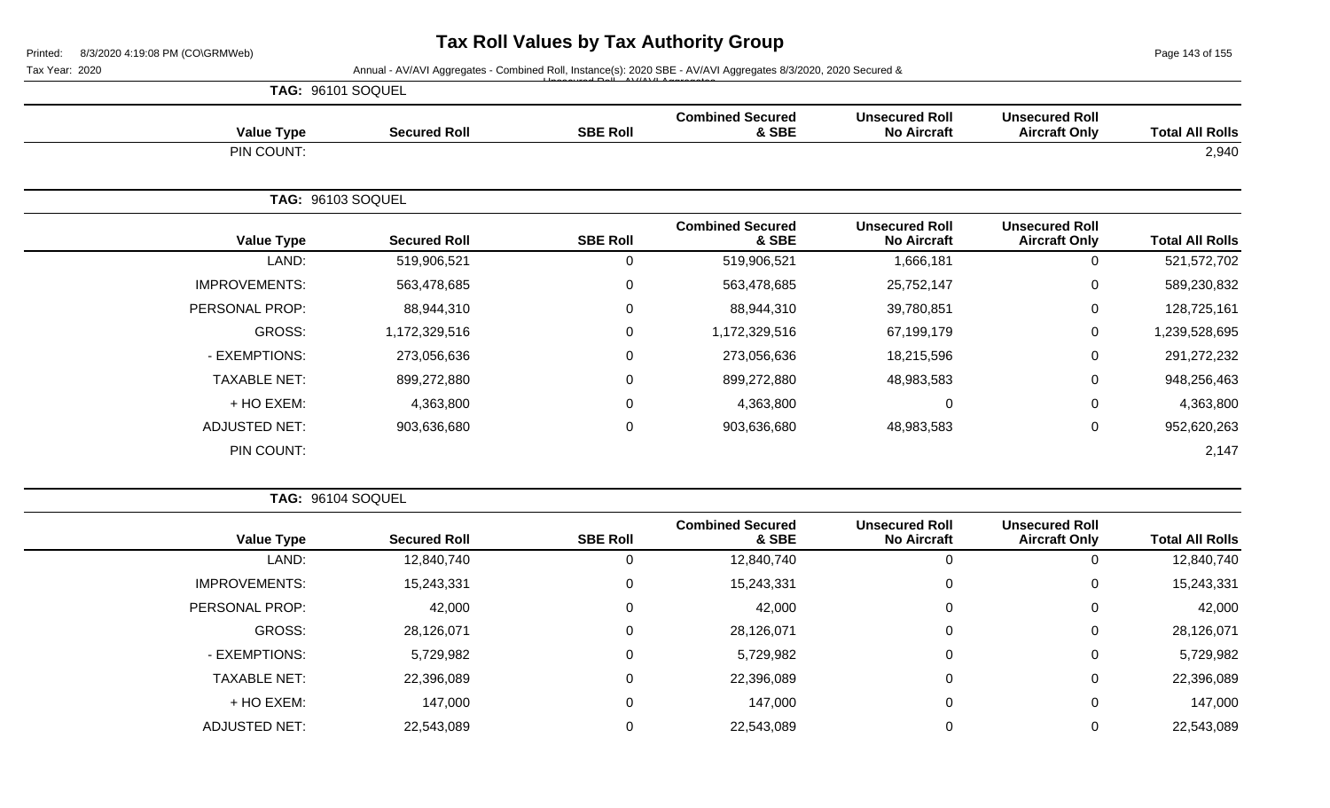Page 143 of 155

#### Tax Year: 2020 **Annual - AV/AVI Aggregates - Combined Roll**, Instance(s): 2020 SBE - AV/AVI Aggregates 8/3/2020, 2020 Secured & Unsecured Roll - AV/AVI Aggregates

|                      | TAG: 96101 SOQUEL        |                 |                                  |                                             |                                               |                        |
|----------------------|--------------------------|-----------------|----------------------------------|---------------------------------------------|-----------------------------------------------|------------------------|
| <b>Value Type</b>    | <b>Secured Roll</b>      | <b>SBE Roll</b> | <b>Combined Secured</b><br>& SBE | <b>Unsecured Roll</b><br><b>No Aircraft</b> | <b>Unsecured Roll</b><br><b>Aircraft Only</b> | <b>Total All Rolls</b> |
| PIN COUNT:           |                          |                 |                                  |                                             |                                               | 2,940                  |
|                      | <b>TAG: 96103 SOQUEL</b> |                 |                                  |                                             |                                               |                        |
| <b>Value Type</b>    | <b>Secured Roll</b>      | <b>SBE Roll</b> | <b>Combined Secured</b><br>& SBE | <b>Unsecured Roll</b><br><b>No Aircraft</b> | <b>Unsecured Roll</b><br><b>Aircraft Only</b> | <b>Total All Rolls</b> |
| LAND:                | 519,906,521              | $\mathbf 0$     | 519,906,521                      | 1,666,181                                   | $\mathbf 0$                                   | 521,572,702            |
| <b>IMPROVEMENTS:</b> | 563,478,685              | $\mathbf 0$     | 563,478,685                      | 25,752,147                                  | 0                                             | 589,230,832            |
| PERSONAL PROP:       | 88,944,310               | $\mathbf 0$     | 88,944,310                       | 39,780,851                                  | 0                                             | 128,725,161            |
| GROSS:               | 1,172,329,516            | $\mathbf 0$     | 1,172,329,516                    | 67,199,179                                  | $\mathsf{O}$                                  | 1,239,528,695          |
| - EXEMPTIONS:        | 273,056,636              | $\mathbf 0$     | 273,056,636                      | 18,215,596                                  | $\mathbf 0$                                   | 291,272,232            |
| <b>TAXABLE NET:</b>  | 899,272,880              | $\mathbf 0$     | 899,272,880                      | 48,983,583                                  | 0                                             | 948,256,463            |
| + HO EXEM:           | 4,363,800                | $\mathbf 0$     | 4,363,800                        | 0                                           | $\pmb{0}$                                     | 4,363,800              |
| <b>ADJUSTED NET:</b> | 903,636,680              | $\mathbf 0$     | 903,636,680                      | 48,983,583                                  | $\mathbf 0$                                   | 952,620,263            |
| PIN COUNT:           |                          |                 |                                  |                                             |                                               | 2,147                  |

**TAG:** 96104 SOQUEL

| <b>Total All Rolls</b> | <b>Unsecured Roll</b><br><b>Aircraft Only</b> | <b>Unsecured Roll</b><br><b>No Aircraft</b> | <b>Combined Secured</b><br>& SBE | <b>SBE Roll</b> | <b>Secured Roll</b> | <b>Value Type</b>    |
|------------------------|-----------------------------------------------|---------------------------------------------|----------------------------------|-----------------|---------------------|----------------------|
| 12,840,740             | 0                                             |                                             | 12,840,740                       | 0               | 12,840,740          | LAND:                |
| 15,243,331             | 0                                             | $\Omega$                                    | 15,243,331                       | 0               | 15,243,331          | <b>IMPROVEMENTS:</b> |
| 42,000                 | 0                                             | 0                                           | 42,000                           | 0               | 42,000              | PERSONAL PROP:       |
| 28,126,071             | 0                                             | $\Omega$                                    | 28,126,071                       | 0               | 28,126,071          | GROSS:               |
| 5,729,982              | 0                                             | $\Omega$                                    | 5,729,982                        | 0               | 5,729,982           | - EXEMPTIONS:        |
| 22,396,089             | 0                                             | $\Omega$                                    | 22,396,089                       | 0               | 22,396,089          | <b>TAXABLE NET:</b>  |
| 147,000                | 0                                             | $\Omega$                                    | 147,000                          | 0               | 147,000             | + HO EXEM:           |
| 22,543,089             | 0                                             |                                             | 22,543,089                       |                 | 22,543,089          | <b>ADJUSTED NET:</b> |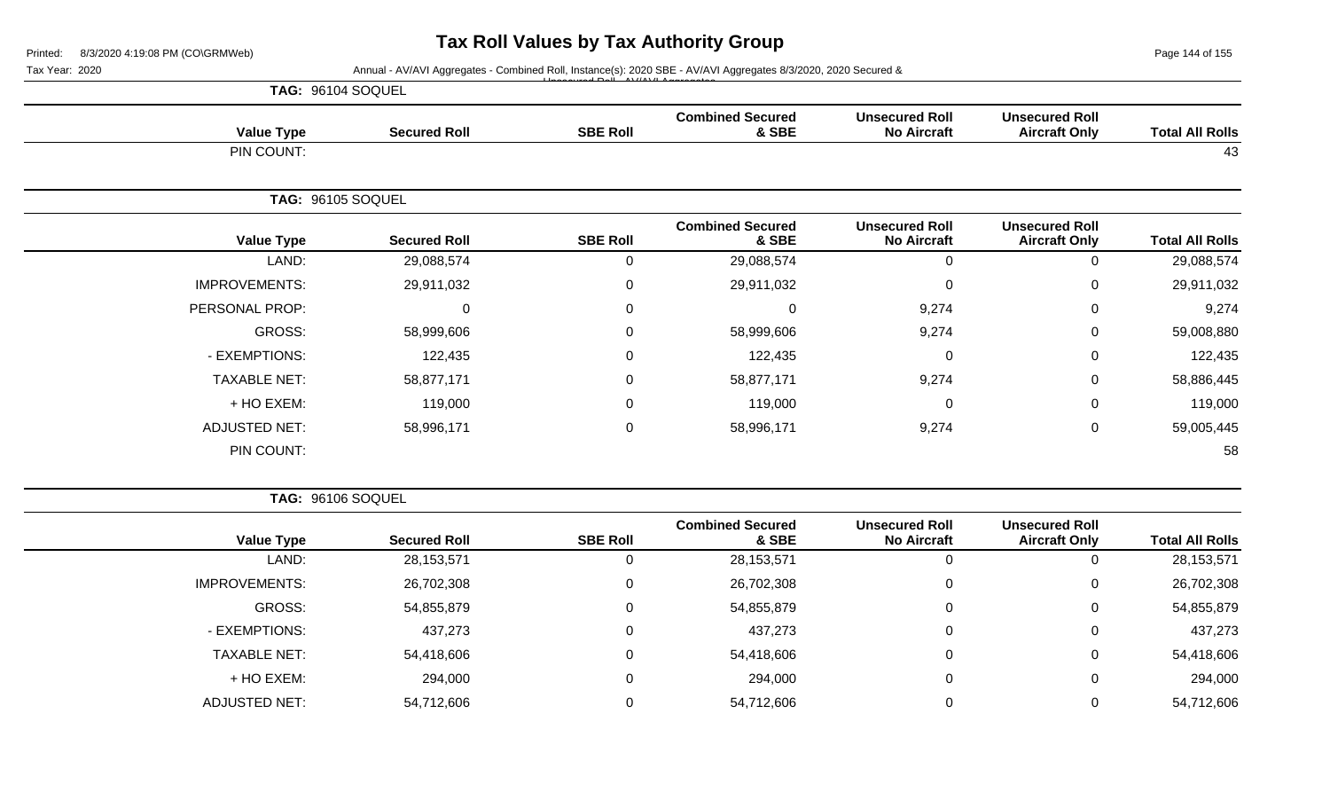Page 144 of 155

|                                                                                                                      | Annual - AV/AVI Aggregates - Combined Roll, Instance(s): 2020 SBE - AV/AVI Aggregates 8/3/2020, 2020 Secured & |                                             |                                  |                 |                     |                          |  |
|----------------------------------------------------------------------------------------------------------------------|----------------------------------------------------------------------------------------------------------------|---------------------------------------------|----------------------------------|-----------------|---------------------|--------------------------|--|
|                                                                                                                      |                                                                                                                |                                             |                                  |                 |                     | TAG: 96104 SOQUEL        |  |
|                                                                                                                      | <b>Unsecured Roll</b><br><b>Aircraft Only</b>                                                                  | <b>Unsecured Roll</b><br><b>No Aircraft</b> | <b>Combined Secured</b><br>& SBE | <b>SBE Roll</b> | <b>Secured Roll</b> | <b>Value Type</b>        |  |
| <b>Total All Rolls</b><br>43<br><b>Total All Rolls</b><br>29,088,574<br>29,911,032<br>9,274<br>59,008,880<br>122,435 |                                                                                                                |                                             |                                  |                 |                     | PIN COUNT:               |  |
|                                                                                                                      |                                                                                                                |                                             |                                  |                 |                     | <b>TAG: 96105 SOQUEL</b> |  |
|                                                                                                                      | <b>Unsecured Roll</b><br><b>Aircraft Only</b>                                                                  | <b>Unsecured Roll</b><br><b>No Aircraft</b> | <b>Combined Secured</b><br>& SBE | <b>SBE Roll</b> | <b>Secured Roll</b> | <b>Value Type</b>        |  |
|                                                                                                                      | $\Omega$                                                                                                       | 0                                           | 29,088,574                       | 0               | 29,088,574          | LAND:                    |  |
|                                                                                                                      | $\Omega$                                                                                                       | $\mathbf 0$                                 | 29,911,032                       | 0               | 29,911,032          | <b>IMPROVEMENTS:</b>     |  |
|                                                                                                                      | 0                                                                                                              | 9,274                                       | $\Omega$                         | $\Omega$        | $\mathbf 0$         | PERSONAL PROP:           |  |
|                                                                                                                      | 0                                                                                                              | 9,274                                       | 58,999,606                       | 0               | 58,999,606          | GROSS:                   |  |
|                                                                                                                      | 0                                                                                                              | $\mathbf 0$                                 | 122,435                          | 0               | 122,435             | - EXEMPTIONS:            |  |
| 58,886,445                                                                                                           | 0                                                                                                              | 9,274                                       | 58,877,171                       | 0               | 58,877,171          | <b>TAXABLE NET:</b>      |  |
| 119,000                                                                                                              | 0                                                                                                              | $\mathbf 0$                                 | 119,000                          | 0               | 119,000             | + HO EXEM:               |  |
| 59,005,445                                                                                                           | $\mathbf 0$                                                                                                    | 9,274                                       | 58,996,171                       | $\mathbf 0$     | 58,996,171          | <b>ADJUSTED NET:</b>     |  |
| 58                                                                                                                   |                                                                                                                |                                             |                                  |                 |                     | PIN COUNT:               |  |

| <b>Value Type</b>    | <b>Secured Roll</b> | <b>SBE Roll</b> | <b>Combined Secured</b><br>& SBE | <b>Unsecured Roll</b><br><b>No Aircraft</b> | <b>Unsecured Roll</b><br><b>Aircraft Only</b> | <b>Total All Rolls</b> |
|----------------------|---------------------|-----------------|----------------------------------|---------------------------------------------|-----------------------------------------------|------------------------|
| LAND:                | 28,153,571          | 0               | 28, 153, 571                     | 0                                           | U                                             | 28,153,571             |
| <b>IMPROVEMENTS:</b> | 26,702,308          | 0               | 26,702,308                       | 0                                           | 0                                             | 26,702,308             |
| GROSS:               | 54,855,879          | 0               | 54,855,879                       | 0                                           | 0                                             | 54,855,879             |
| - EXEMPTIONS:        | 437,273             | 0               | 437,273                          | 0                                           | 0                                             | 437,273                |
| <b>TAXABLE NET:</b>  | 54,418,606          | 0               | 54,418,606                       | 0                                           | 0                                             | 54,418,606             |
| + HO EXEM:           | 294,000             |                 | 294,000                          | 0                                           | 0                                             | 294,000                |
| <b>ADJUSTED NET:</b> | 54,712,606          |                 | 54,712,606                       | 0                                           | U                                             | 54,712,606             |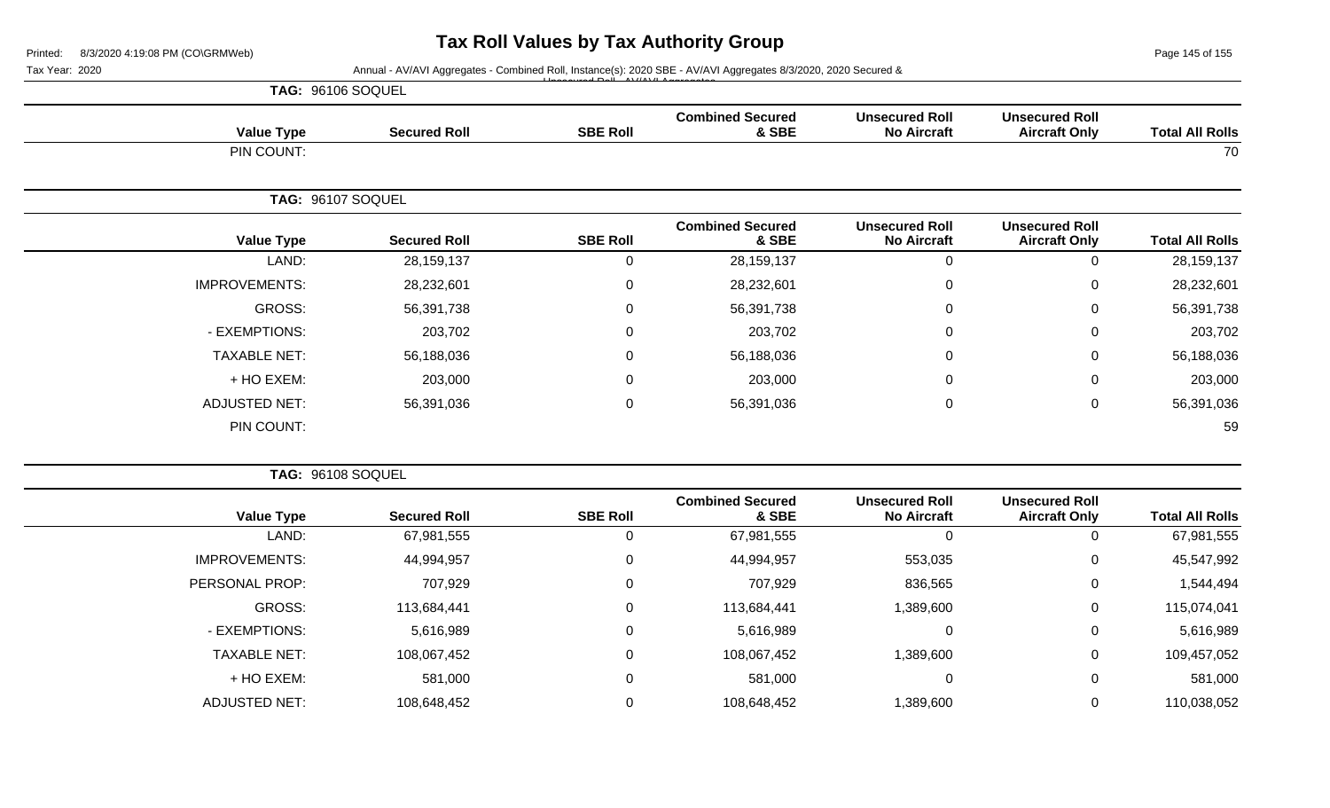Page 145 of 155

| rillited.      | $0/3$ /2020 4.19.00 FM (CONGRIVIVED) |                     |                 |                                                                                                                |                                             |                                               | <b>Faye 140 01 100</b> |
|----------------|--------------------------------------|---------------------|-----------------|----------------------------------------------------------------------------------------------------------------|---------------------------------------------|-----------------------------------------------|------------------------|
| Tax Year: 2020 |                                      |                     |                 | Annual - AV/AVI Aggregates - Combined Roll, Instance(s): 2020 SBE - AV/AVI Aggregates 8/3/2020, 2020 Secured & |                                             |                                               |                        |
|                | TAG: 96106 SOQUEL                    |                     |                 |                                                                                                                |                                             |                                               |                        |
|                | <b>Value Type</b>                    | <b>Secured Roll</b> | <b>SBE Roll</b> | <b>Combined Secured</b><br>& SBE                                                                               | <b>Unsecured Roll</b><br><b>No Aircraft</b> | <b>Unsecured Roll</b><br><b>Aircraft Only</b> | <b>Total All Rolls</b> |
|                | PIN COUNT:                           |                     |                 |                                                                                                                |                                             |                                               | 70                     |
|                | TAG: 96107 SOQUEL                    |                     |                 |                                                                                                                |                                             |                                               |                        |
|                | <b>Value Type</b>                    | <b>Secured Roll</b> | <b>SBE Roll</b> | <b>Combined Secured</b><br>& SBE                                                                               | <b>Unsecured Roll</b><br><b>No Aircraft</b> | <b>Unsecured Roll</b><br><b>Aircraft Only</b> | <b>Total All Rolls</b> |
|                | LAND:                                | 28, 159, 137        | 0               | 28, 159, 137                                                                                                   | $\pmb{0}$                                   | 0                                             | 28,159,137             |
|                | <b>IMPROVEMENTS:</b>                 | 28,232,601          | 0               | 28,232,601                                                                                                     | 0                                           | 0                                             | 28,232,601             |
|                | <b>GROSS:</b>                        | 56,391,738          | 0               | 56,391,738                                                                                                     | 0                                           | 0                                             | 56,391,738             |
|                | - EXEMPTIONS:                        | 203,702             | 0               | 203,702                                                                                                        | $\overline{0}$                              | 0                                             | 203,702                |
|                | <b>TAXABLE NET:</b>                  | 56,188,036          | 0               | 56,188,036                                                                                                     | 0                                           | 0                                             | 56,188,036             |
|                | + HO EXEM:                           | 203,000             | 0               | 203,000                                                                                                        | 0                                           | 0                                             | 203,000                |
|                | <b>ADJUSTED NET:</b>                 | 56,391,036          | 0               | 56,391,036                                                                                                     | $\mathbf 0$                                 | 0                                             | 56,391,036             |
|                | PIN COUNT:                           |                     |                 |                                                                                                                |                                             |                                               | 59                     |
|                | TAG: 96108 SOQUEL                    |                     |                 |                                                                                                                |                                             |                                               |                        |
|                | <b>Value Type</b>                    | <b>Secured Roll</b> | <b>SBE Roll</b> | <b>Combined Secured</b><br>& SBE                                                                               | <b>Unsecured Roll</b><br><b>No Aircraft</b> | <b>Unsecured Roll</b><br><b>Aircraft Only</b> | <b>Total All Rolls</b> |
|                | LAND:                                | 67,981,555          | 0               | 67,981,555                                                                                                     | 0                                           | 0                                             | 67,981,555             |
|                | <b>IMPROVEMENTS:</b>                 | 44,994,957          | 0               | 44,994,957                                                                                                     | 553,035                                     | 0                                             | 45,547,992             |
|                | PERSONAL PROP:                       | 707,929             | 0               | 707,929                                                                                                        | 836,565                                     | 0                                             | 1,544,494              |

GROSS: 113,684,441 0 113,684,441 1,389,600 0 115,074,041

- EXEMPTIONS: 5,616,989 0 5,616,989 5,616,989 TAXABLE NET: 108,067,452 0 108,067,452 1,389,600 0 109,457,052 + HO EXEM: 581,000 0 581,000 0 0 581,000

ADJUSTED NET: 108,648,452 0 108,648,452 1,389,600 0 110,038,052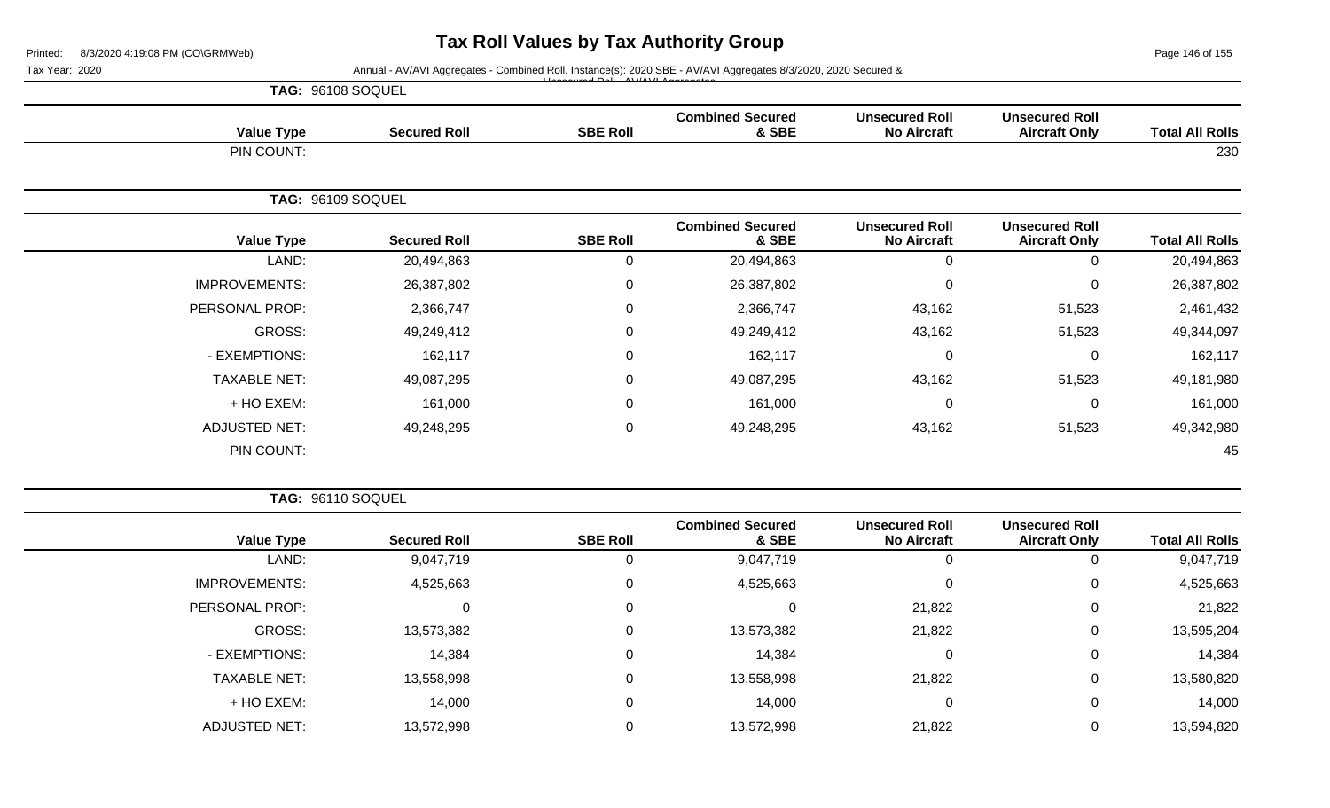Page 146 of 155

|                      |                     |                                        | Annual - AV/AVI Aggregates - Combined Roll, Instance(s): 2020 SBE - AV/AVI Aggregates 8/3/2020, 2020 Secured & |                                             |                                               |                        |
|----------------------|---------------------|----------------------------------------|----------------------------------------------------------------------------------------------------------------|---------------------------------------------|-----------------------------------------------|------------------------|
|                      |                     |                                        |                                                                                                                |                                             |                                               |                        |
| <b>Value Type</b>    | <b>Secured Roll</b> | <b>SBE Roll</b>                        | <b>Combined Secured</b><br>& SBE                                                                               | <b>Unsecured Roll</b><br><b>No Aircraft</b> | <b>Unsecured Roll</b><br><b>Aircraft Only</b> | <b>Total All Rolls</b> |
| PIN COUNT:           |                     |                                        |                                                                                                                |                                             |                                               | 230                    |
|                      |                     |                                        |                                                                                                                |                                             |                                               |                        |
| <b>Value Type</b>    | <b>Secured Roll</b> | <b>SBE Roll</b>                        | <b>Combined Secured</b><br>& SBE                                                                               | <b>Unsecured Roll</b><br><b>No Aircraft</b> | <b>Unsecured Roll</b><br><b>Aircraft Only</b> | <b>Total All Rolls</b> |
| LAND:                | 20,494,863          | 0                                      | 20,494,863                                                                                                     | $\mathbf 0$                                 | $\Omega$                                      | 20,494,863             |
| <b>IMPROVEMENTS:</b> | 26,387,802          | 0                                      | 26,387,802                                                                                                     | $\mathbf 0$                                 | $\overline{0}$                                | 26,387,802             |
| PERSONAL PROP:       | 2,366,747           | 0                                      | 2,366,747                                                                                                      | 43,162                                      | 51,523                                        | 2,461,432              |
| GROSS:               | 49,249,412          | 0                                      | 49,249,412                                                                                                     | 43,162                                      | 51,523                                        | 49,344,097             |
| - EXEMPTIONS:        | 162,117             | 0                                      | 162,117                                                                                                        | $\mathbf 0$                                 | 0                                             | 162,117                |
| <b>TAXABLE NET:</b>  | 49,087,295          | 0                                      | 49,087,295                                                                                                     | 43,162                                      | 51,523                                        | 49,181,980             |
| + HO EXEM:           | 161,000             | 0                                      | 161,000                                                                                                        | $\mathbf 0$                                 | 0                                             | 161,000                |
| <b>ADJUSTED NET:</b> | 49,248,295          | 0                                      | 49,248,295                                                                                                     | 43,162                                      | 51,523                                        | 49,342,980             |
| PIN COUNT:           |                     |                                        |                                                                                                                |                                             |                                               | 45                     |
|                      |                     | TAG: 96108 SOQUEL<br>TAG: 96109 SOQUEL |                                                                                                                |                                             |                                               |                        |

| <b>Total All Rolls</b> | <b>Unsecured Roll</b><br><b>Aircraft Only</b> | <b>Unsecured Roll</b><br><b>No Aircraft</b> | <b>Combined Secured</b><br>& SBE | <b>SBE Roll</b> | <b>Secured Roll</b> | <b>Value Type</b>    |
|------------------------|-----------------------------------------------|---------------------------------------------|----------------------------------|-----------------|---------------------|----------------------|
| 9,047,719              | 0                                             | 0                                           | 9,047,719                        | υ               | 9,047,719           | LAND:                |
| 4,525,663              | 0                                             | $\mathbf 0$                                 | 4,525,663                        | 0               | 4,525,663           | <b>IMPROVEMENTS:</b> |
| 21,822                 | 0                                             | 21,822                                      |                                  | $\mathbf 0$     | 0                   | PERSONAL PROP:       |
| 13,595,204             | 0                                             | 21,822                                      | 13,573,382                       | $\mathbf 0$     | 13,573,382          | GROSS:               |
| 14,384                 | 0                                             | 0                                           | 14,384                           | $\Omega$        | 14,384              | - EXEMPTIONS:        |
| 13,580,820             | 0                                             | 21,822                                      | 13,558,998                       | 0               | 13,558,998          | <b>TAXABLE NET:</b>  |
| 14,000                 | 0                                             | $\mathbf 0$                                 | 14,000                           | 0               | 14,000              | + HO EXEM:           |
| 13,594,820             | 0                                             | 21,822                                      | 13,572,998                       | $\mathbf 0$     | 13,572,998          | ADJUSTED NET:        |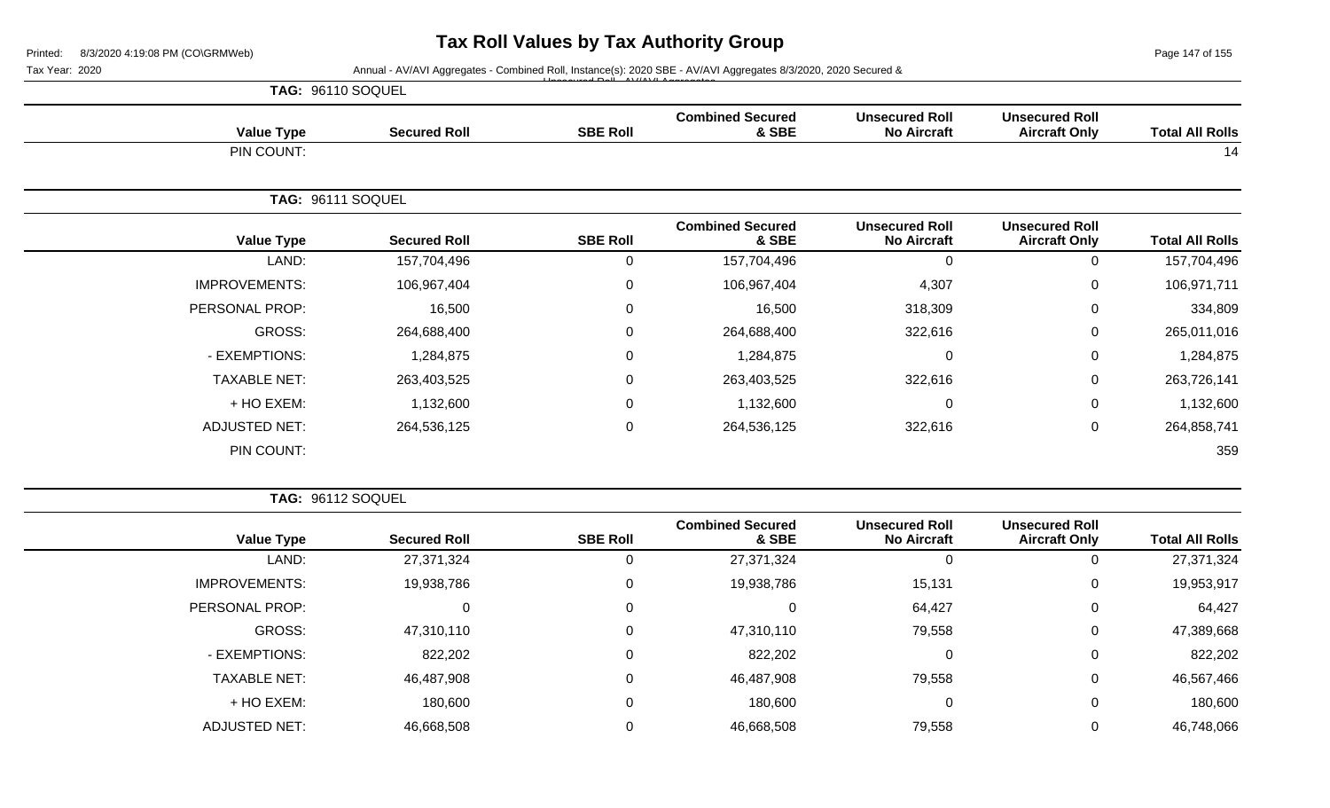Page 147 of 155

**TAG:** 96110 SOQUEL **Value Type Secured Roll SBE Roll Combined Secured & SBE Unsecured Roll No Aircraft Unsecured Roll Total All Rolls** PIN COUNT: 14 **TAG:** 96111 SOQUEL **Value Type Secured Roll SBE Roll Combined Secured & SBE Unsecured Roll No Aircraft Unsecured Roll Aircraft Only Total All Rolls** LAND: 157,704,496 0 157,704,496 0 0 157,704,496 IMPROVEMENTS: 106,967,404 0 106,967,404 4,307 0 106,971,711 PERSONAL PROP: 16,500 0 16,500 318,309 0 334,809 GROSS: 264,688,400 0 264,688,400 322,616 0 265,011,016 - EXEMPTIONS: 1,284,875 0 1,284,875 1,284,875 TAXABLE NET: 263,403,525 0 263,403,525 322,616 0 263,726,141 + HO EXEM: 1,132,600 0 1,132,600 0 0 1,132,600 ADJUSTED NET: 264,536,125 0 264,536,125 322,616 0 264,858,741 PIN COUNT: 359 **TAG:** 96112 SOQUEL **Combined Secured Unsecured Roll Unsecured Roll** Tax Year: 2020 **Annual - AV/AVI Aggregates - Combined Roll, Instance(s): 2020 SBE - AV/AVI Aggregates 8/3/2020, 2020 Secured &** Unsecured Roll - AV/AVI Aggregates

| <b>Total All Rolls</b> | <b>Unsecured Roll</b><br><b>Aircraft Only</b> | <b>Unsecured Roll</b><br><b>No Aircraft</b> | <b>Combined Secured</b><br>& SBE | <b>SBE Roll</b> | <b>Secured Roll</b> | <b>Value Type</b>    |
|------------------------|-----------------------------------------------|---------------------------------------------|----------------------------------|-----------------|---------------------|----------------------|
| 27,371,324             | 0                                             | 0                                           | 27,371,324                       |                 | 27,371,324          | LAND:                |
| 19,953,917             | 0                                             | 15,131                                      | 19,938,786                       | 0               | 19,938,786          | <b>IMPROVEMENTS:</b> |
| 64,427                 | 0                                             | 64,427                                      |                                  | 0               | C                   | PERSONAL PROP:       |
| 47,389,668             | 0                                             | 79,558                                      | 47,310,110                       | 0               | 47,310,110          | GROSS:               |
| 822,202                | 0                                             | 0                                           | 822,202                          | 0               | 822,202             | - EXEMPTIONS:        |
| 46,567,466             | 0                                             | 79,558                                      | 46,487,908                       | 0               | 46,487,908          | <b>TAXABLE NET:</b>  |
| 180,600                | 0                                             | 0                                           | 180,600                          | 0               | 180,600             | + HO EXEM:           |
| 46,748,066             | 0                                             | 79,558                                      | 46,668,508                       |                 | 46,668,508          | <b>ADJUSTED NET:</b> |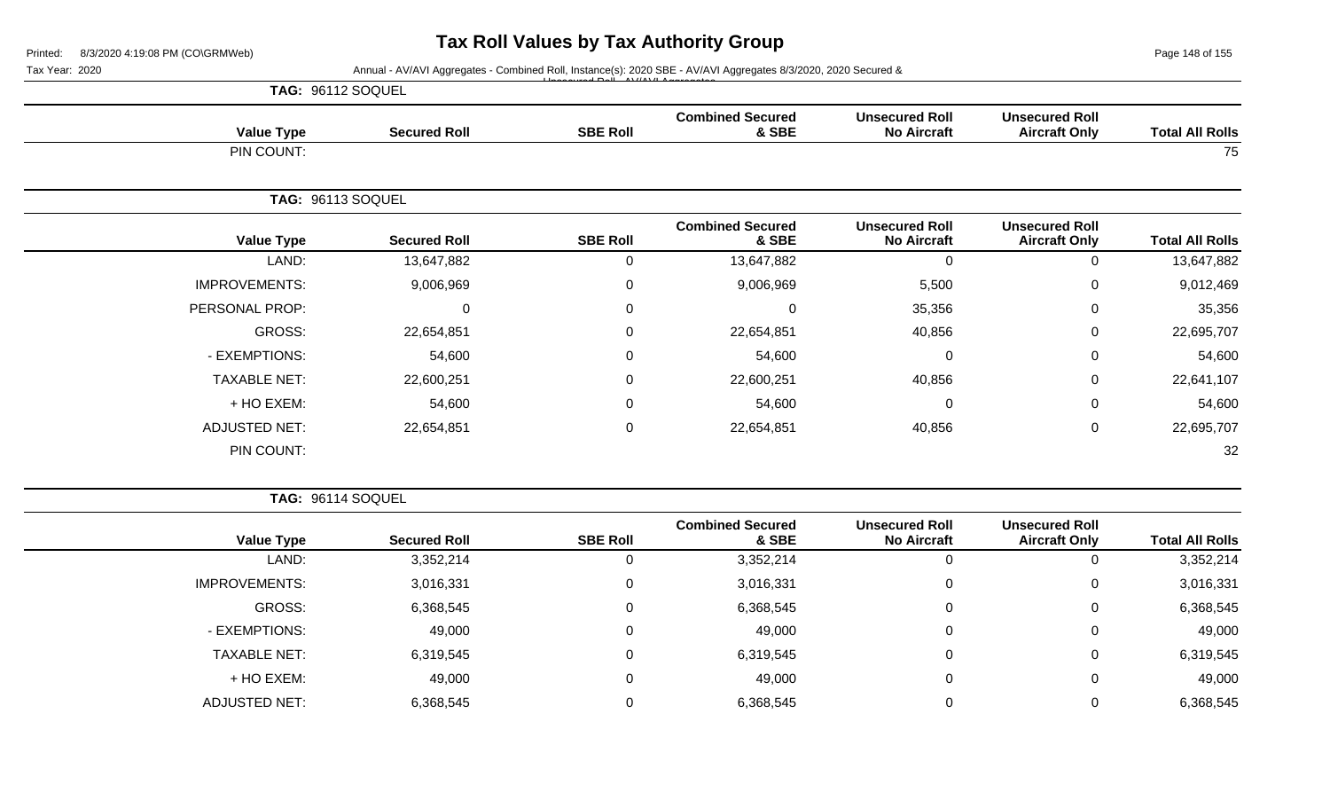Page 148 of 155

| Annual - AV/AVI Aggregates - Combined Roll, Instance(s): 2020 SBE - AV/AVI Aggregates 8/3/2020, 2020 Secured & |                                               |                                             |                                  |                 |                     |                          |  |  |  |
|----------------------------------------------------------------------------------------------------------------|-----------------------------------------------|---------------------------------------------|----------------------------------|-----------------|---------------------|--------------------------|--|--|--|
|                                                                                                                |                                               |                                             |                                  |                 | TAG: 96112 SOQUEL   |                          |  |  |  |
| <b>Total All Rolls</b>                                                                                         | <b>Unsecured Roll</b><br><b>Aircraft Only</b> | <b>Unsecured Roll</b><br><b>No Aircraft</b> | <b>Combined Secured</b><br>& SBE | <b>SBE Roll</b> | <b>Secured Roll</b> | <b>Value Type</b>        |  |  |  |
| 75                                                                                                             |                                               |                                             |                                  |                 |                     | PIN COUNT:               |  |  |  |
|                                                                                                                |                                               |                                             |                                  |                 |                     | <b>TAG: 96113 SOQUEL</b> |  |  |  |
| <b>Total All Rolls</b>                                                                                         | <b>Unsecured Roll</b><br><b>Aircraft Only</b> | <b>Unsecured Roll</b><br><b>No Aircraft</b> | <b>Combined Secured</b><br>& SBE | <b>SBE Roll</b> | <b>Secured Roll</b> | <b>Value Type</b>        |  |  |  |
| 13,647,882                                                                                                     | $\Omega$                                      | $\pmb{0}$                                   | 13,647,882                       | 0               | 13,647,882          | LAND:                    |  |  |  |
| 9,012,469                                                                                                      | 0                                             | 5,500                                       | 9,006,969                        | $\mathbf 0$     | 9,006,969           | <b>IMPROVEMENTS:</b>     |  |  |  |
| 35,356                                                                                                         | 0                                             | 35,356                                      | 0                                | 0               | $\mathbf 0$         | PERSONAL PROP:           |  |  |  |
| 22,695,707                                                                                                     | 0                                             | 40,856                                      | 22,654,851                       | $\mathbf 0$     | 22,654,851          | <b>GROSS:</b>            |  |  |  |
| 54,600                                                                                                         | 0                                             | $\mathbf 0$                                 | 54,600                           | $\mathbf 0$     | 54,600              | - EXEMPTIONS:            |  |  |  |
| 22,641,107                                                                                                     | 0                                             | 40,856                                      | 22,600,251                       | $\mathbf 0$     | 22,600,251          | <b>TAXABLE NET:</b>      |  |  |  |
| 54,600                                                                                                         | 0                                             | 0                                           | 54,600                           | $\mathbf 0$     | 54,600              | + HO EXEM:               |  |  |  |
| 22,695,707                                                                                                     | 0                                             | 40,856                                      | 22,654,851                       | $\mathbf 0$     | 22,654,851          | <b>ADJUSTED NET:</b>     |  |  |  |
| 32                                                                                                             |                                               |                                             |                                  |                 |                     | PIN COUNT:               |  |  |  |

| <b>Value Type</b>    | <b>Secured Roll</b> | <b>SBE Roll</b> | <b>Combined Secured</b><br>& SBE | <b>Unsecured Roll</b><br><b>No Aircraft</b> | <b>Unsecured Roll</b><br><b>Aircraft Only</b> | <b>Total All Rolls</b> |
|----------------------|---------------------|-----------------|----------------------------------|---------------------------------------------|-----------------------------------------------|------------------------|
| LAND:                | 3,352,214           |                 | 3,352,214                        |                                             | O                                             | 3,352,214              |
| <b>IMPROVEMENTS:</b> | 3,016,331           |                 | 3,016,331                        | 0                                           | 0                                             | 3,016,331              |
| GROSS:               | 6,368,545           |                 | 6,368,545                        | 0                                           | 0                                             | 6,368,545              |
| - EXEMPTIONS:        | 49,000              |                 | 49,000                           | 0                                           | 0                                             | 49,000                 |
| <b>TAXABLE NET:</b>  | 6,319,545           |                 | 6,319,545                        | 0                                           | 0                                             | 6,319,545              |
| + HO EXEM:           | 49,000              |                 | 49,000                           | 0                                           | 0                                             | 49,000                 |
| ADJUSTED NET:        | 6,368,545           |                 | 6,368,545                        |                                             | 0                                             | 6,368,545              |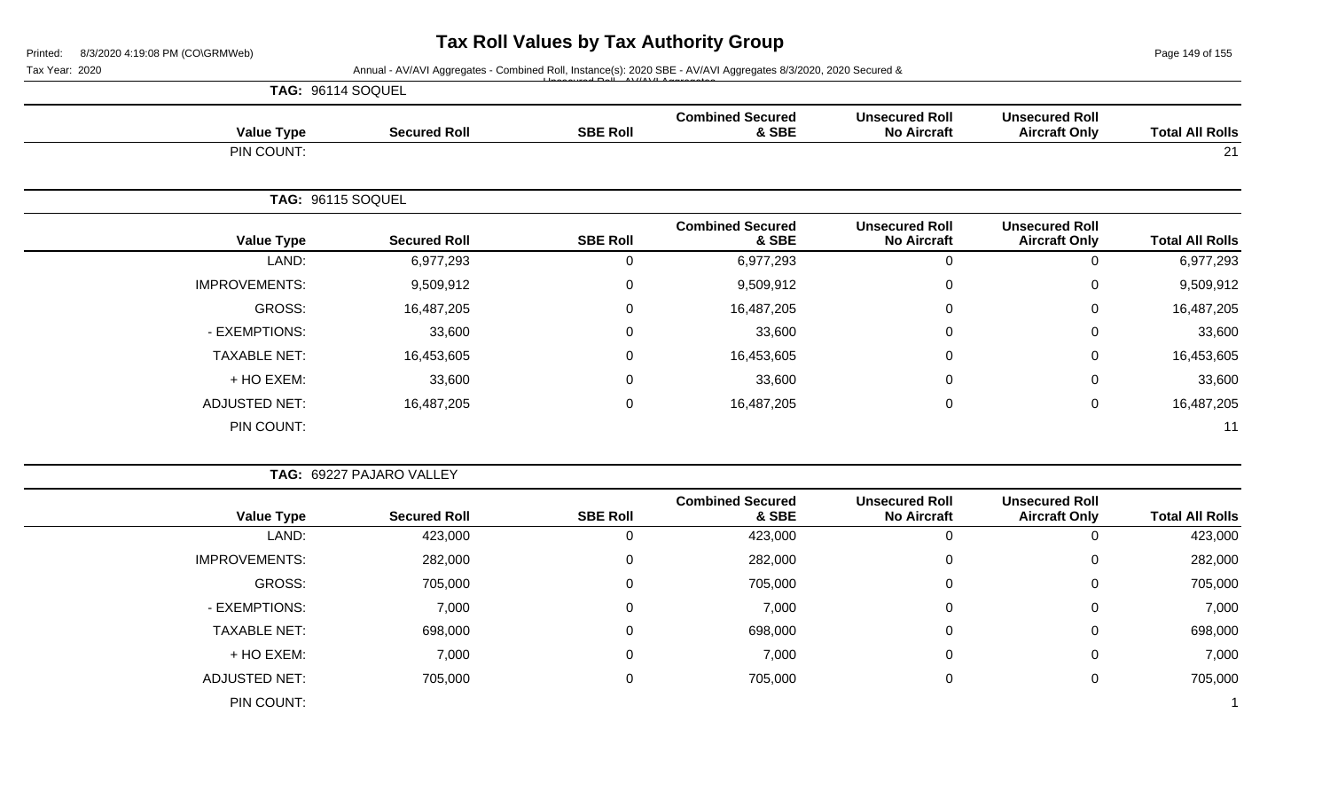Page 149 of 155

| Printed:<br>Tax Year: 2020 |                          |                  | Annual - AV/AVI Aggregates - Combined Roll, Instance(s): 2020 SBE - AV/AVI Aggregates 8/3/2020, 2020 Secured & |                                             |                                               | Page 149 of 155        |
|----------------------------|--------------------------|------------------|----------------------------------------------------------------------------------------------------------------|---------------------------------------------|-----------------------------------------------|------------------------|
| TAG: 96114 SOQUEL          |                          |                  |                                                                                                                |                                             |                                               |                        |
| <b>Value Type</b>          | <b>Secured Roll</b>      | <b>SBE Roll</b>  | <b>Combined Secured</b><br>& SBE                                                                               | <b>Unsecured Roll</b><br><b>No Aircraft</b> | <b>Unsecured Roll</b><br><b>Aircraft Only</b> | <b>Total All Rolls</b> |
| PIN COUNT:                 |                          |                  |                                                                                                                |                                             |                                               | 21                     |
| TAG: 96115 SOQUEL          |                          |                  |                                                                                                                |                                             |                                               |                        |
| <b>Value Type</b>          | <b>Secured Roll</b>      | <b>SBE Roll</b>  | <b>Combined Secured</b><br>& SBE                                                                               | <b>Unsecured Roll</b><br><b>No Aircraft</b> | <b>Unsecured Roll</b><br><b>Aircraft Only</b> | <b>Total All Rolls</b> |
| LAND:                      | 6,977,293                | $\mathbf 0$      | 6,977,293                                                                                                      | $\mathbf 0$                                 | 0                                             | 6,977,293              |
| <b>IMPROVEMENTS:</b>       | 9,509,912                | 0                | 9,509,912                                                                                                      | $\Omega$                                    | $\mathbf 0$                                   | 9,509,912              |
| <b>GROSS:</b>              | 16,487,205               | 0                | 16,487,205                                                                                                     | $\Omega$                                    | 0                                             | 16,487,205             |
| - EXEMPTIONS:              | 33,600                   | 0                | 33,600                                                                                                         | 0                                           | 0                                             | 33,600                 |
| <b>TAXABLE NET:</b>        | 16,453,605               | 0                | 16,453,605                                                                                                     | $\Omega$                                    | 0                                             | 16,453,605             |
| + HO EXEM:                 | 33,600                   | 0                | 33,600                                                                                                         | $\Omega$                                    | 0                                             | 33,600                 |
| <b>ADJUSTED NET:</b>       | 16,487,205               | $\mathbf 0$      | 16,487,205                                                                                                     | $\pmb{0}$                                   | $\mathbf 0$                                   | 16,487,205             |
| PIN COUNT:                 |                          |                  |                                                                                                                |                                             |                                               | 11                     |
|                            | TAG: 69227 PAJARO VALLEY |                  |                                                                                                                |                                             |                                               |                        |
| <b>Value Type</b>          | <b>Secured Roll</b>      | <b>SBE Roll</b>  | <b>Combined Secured</b><br>& SBE                                                                               | <b>Unsecured Roll</b><br><b>No Aircraft</b> | <b>Unsecured Roll</b><br><b>Aircraft Only</b> | <b>Total All Rolls</b> |
| LAND:                      | 423,000                  | $\mathbf 0$      | 423,000                                                                                                        | $\mathbf 0$                                 | 0                                             | 423,000                |
| <b>IMPROVEMENTS:</b>       | 282,000                  | $\boldsymbol{0}$ | 282,000                                                                                                        | $\boldsymbol{0}$                            | 0                                             | 282,000                |
| <b>GROSS:</b>              | 705,000                  | $\Omega$         | 705,000                                                                                                        | $\Omega$                                    | 0                                             | 705,000                |
| - EXEMPTIONS:              | 7,000                    | $\Omega$         | 7,000                                                                                                          | 0                                           | 0                                             | 7,000                  |
| <b>TAXABLE NET:</b>        | 698,000                  | 0                | 698,000                                                                                                        | 0                                           | 0                                             | 698,000                |
| + HO EXEM:                 | 7,000                    | $\mathbf{0}$     | 7,000                                                                                                          | $\Omega$                                    | $\mathbf 0$                                   | 7,000                  |
| <b>ADJUSTED NET:</b>       | 705,000                  | 0                | 705,000                                                                                                        | 0                                           | $\mathbf 0$                                   | 705,000                |
| PIN COUNT:                 |                          |                  |                                                                                                                |                                             |                                               | $\mathbf{1}$           |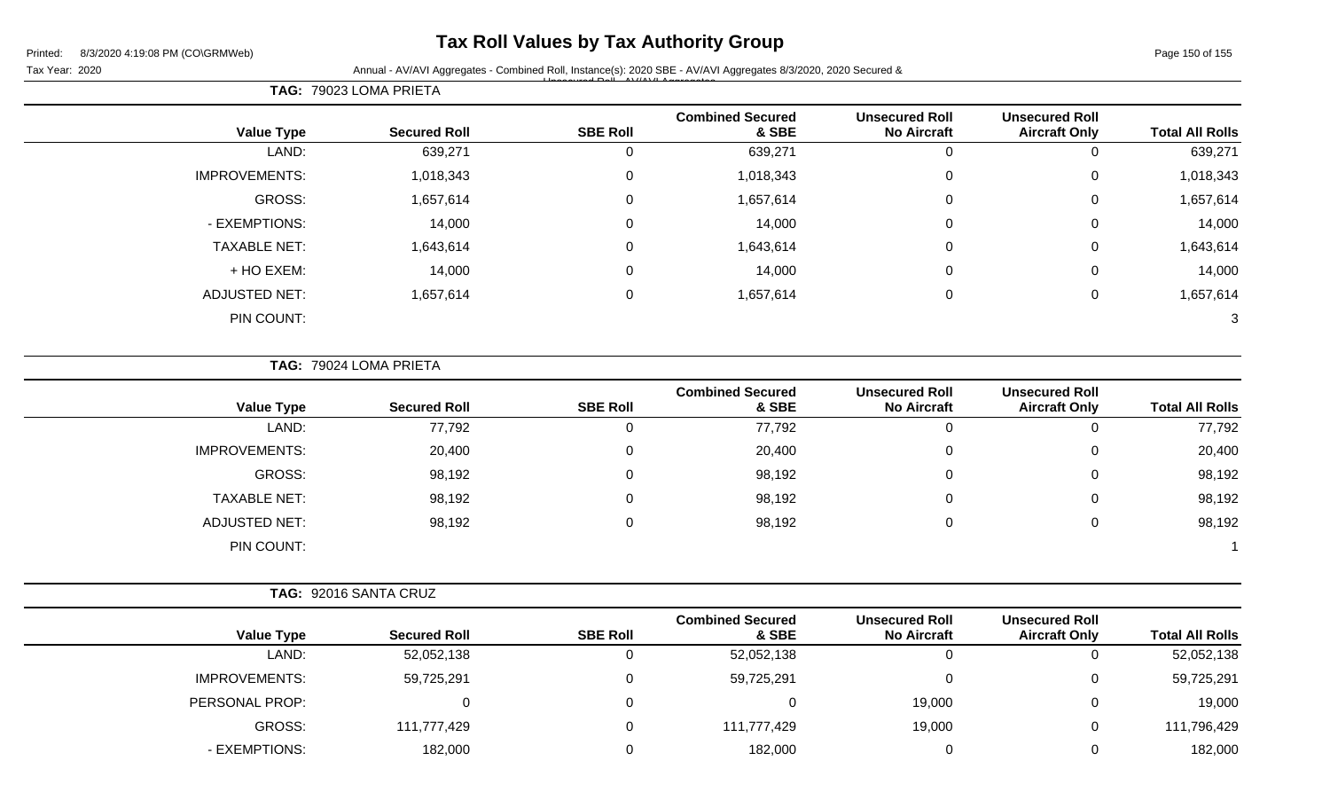## **Tax Roll Values by Tax Authority Group**

Page 150 of 155

Tax Year: 2020 **Annual - AV/AVI Aggregates - Combined Roll**, Instance(s): 2020 SBE - AV/AVI Aggregates 8/3/2020, 2020 Secured & Unsecured Roll - AV/AVI Aggregates

|                      | TAG: 79023 LOMA PRIETA |                 |                                  |                                             |                                               |                        |
|----------------------|------------------------|-----------------|----------------------------------|---------------------------------------------|-----------------------------------------------|------------------------|
| <b>Value Type</b>    | <b>Secured Roll</b>    | <b>SBE Roll</b> | <b>Combined Secured</b><br>& SBE | <b>Unsecured Roll</b><br><b>No Aircraft</b> | <b>Unsecured Roll</b><br><b>Aircraft Only</b> | <b>Total All Rolls</b> |
| LAND:                | 639,271                |                 | 639,271                          | $\Omega$                                    | 0                                             | 639,271                |
| <b>IMPROVEMENTS:</b> | 1,018,343              | 0               | 1,018,343                        | 0                                           | $\mathbf 0$                                   | 1,018,343              |
| GROSS:               | 1,657,614              | 0               | 1,657,614                        | $\mathbf 0$                                 | $\mathbf 0$                                   | 1,657,614              |
| - EXEMPTIONS:        | 14,000                 | $\Omega$        | 14,000                           | 0                                           | $\mathbf 0$                                   | 14,000                 |
| <b>TAXABLE NET:</b>  | 1,643,614              | $\Omega$        | 1,643,614                        | 0                                           | $\mathbf 0$                                   | 1,643,614              |
| + HO EXEM:           | 14,000                 | 0               | 14,000                           | $\mathbf 0$                                 | $\mathbf 0$                                   | 14,000                 |
| <b>ADJUSTED NET:</b> | 1,657,614              | $\Omega$        | 1,657,614                        | 0                                           | $\mathbf 0$                                   | 1,657,614              |
| PIN COUNT:           |                        |                 |                                  |                                             |                                               | 3                      |

**TAG:** 79024 LOMA PRIETA

| <b>Value Type</b>    | <b>Secured Roll</b> | <b>SBE Roll</b> | <b>Combined Secured</b><br>& SBE | <b>Unsecured Roll</b><br><b>No Aircraft</b> | <b>Unsecured Roll</b><br><b>Aircraft Only</b> | <b>Total All Rolls</b> |
|----------------------|---------------------|-----------------|----------------------------------|---------------------------------------------|-----------------------------------------------|------------------------|
| LAND:                | 77,792              |                 | 77,792                           | v                                           | 0                                             | 77,792                 |
| <b>IMPROVEMENTS:</b> | 20,400              |                 | 20,400                           | υ                                           | 0                                             | 20,400                 |
| GROSS:               | 98,192              |                 | 98,192                           | v                                           | 0                                             | 98,192                 |
| <b>TAXABLE NET:</b>  | 98,192              |                 | 98,192                           | υ                                           | 0                                             | 98,192                 |
| ADJUSTED NET:        | 98,192              |                 | 98,192                           | U                                           | 0                                             | 98,192                 |
| PIN COUNT:           |                     |                 |                                  |                                             |                                               |                        |

|                      |                     |                 | <b>Combined Secured</b> | <b>Unsecured Roll</b> | <b>Unsecured Roll</b> |                        |
|----------------------|---------------------|-----------------|-------------------------|-----------------------|-----------------------|------------------------|
| <b>Value Type</b>    | <b>Secured Roll</b> | <b>SBE Roll</b> | & SBE                   | <b>No Aircraft</b>    | <b>Aircraft Only</b>  | <b>Total All Rolls</b> |
| LAND:                | 52,052,138          |                 | 52,052,138              | 0                     | υ                     | 52,052,138             |
| <b>IMPROVEMENTS:</b> | 59,725,291          |                 | 59,725,291              |                       | 0                     | 59,725,291             |
| PERSONAL PROP:       |                     |                 |                         | 19,000                | 0                     | 19,000                 |
| <b>GROSS:</b>        | 111,777,429         |                 | 111,777,429             | 19,000                | 0                     | 111,796,429            |
| - EXEMPTIONS:        | 182,000             |                 | 182,000                 |                       | 0                     | 182,000                |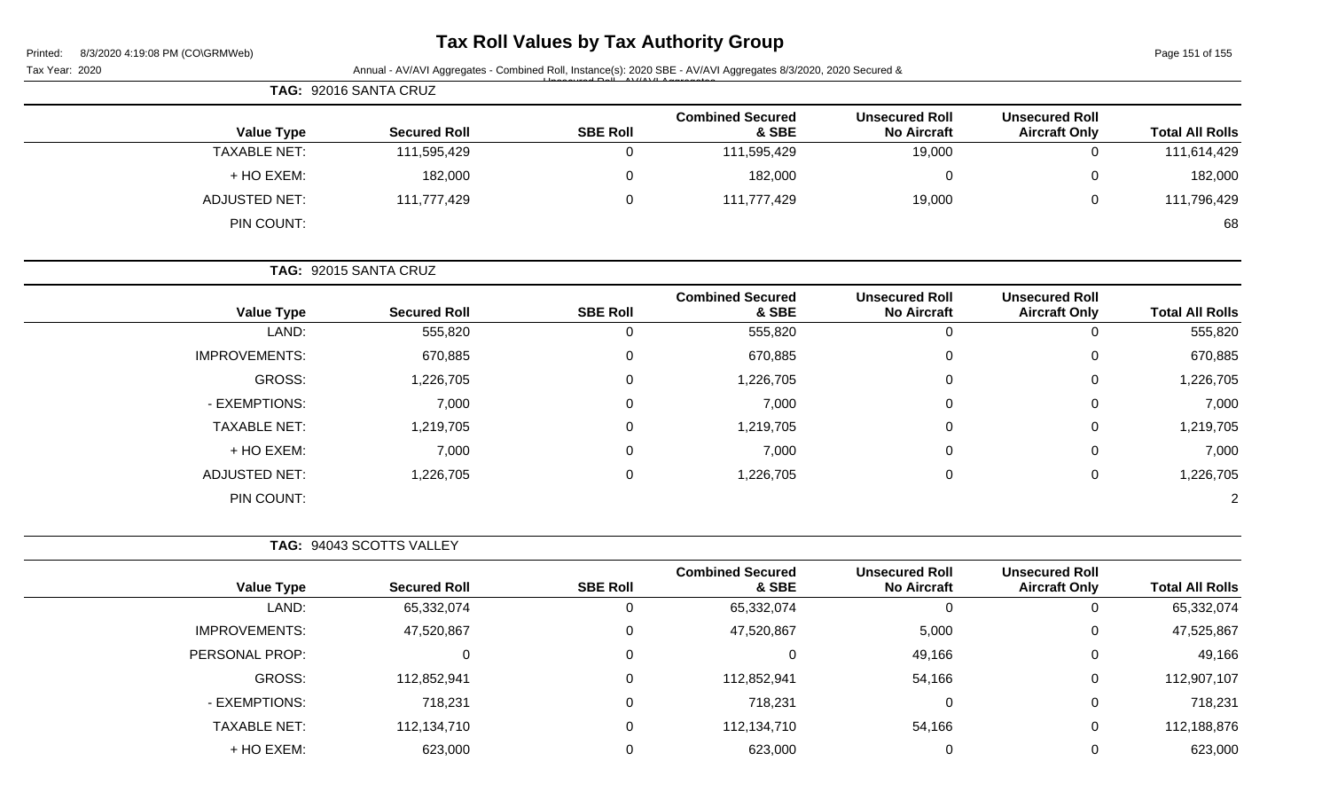| Printed: | 8/3/2020 4:19:08 PM (CO\GRMWeb) |  |
|----------|---------------------------------|--|

# **Tax Roll Values by Tax Authority Group**

Page 151 of 155

|                        |                                               |                                             | Annual - AV/AVI Aggregates - Combined Roll, Instance(s): 2020 SBE - AV/AVI Aggregates 8/3/2020, 2020 Secured & |                 |                          | Tax Year: 2020       |
|------------------------|-----------------------------------------------|---------------------------------------------|----------------------------------------------------------------------------------------------------------------|-----------------|--------------------------|----------------------|
|                        |                                               |                                             |                                                                                                                |                 | TAG: 92016 SANTA CRUZ    |                      |
| <b>Total All Rolls</b> | <b>Unsecured Roll</b><br><b>Aircraft Only</b> | <b>Unsecured Roll</b><br><b>No Aircraft</b> | <b>Combined Secured</b><br>& SBE                                                                               | <b>SBE Roll</b> | <b>Secured Roll</b>      | <b>Value Type</b>    |
| 111,614,429            | $\mathbf 0$                                   | 19,000                                      | 111,595,429                                                                                                    | $\mathbf 0$     | 111,595,429              | <b>TAXABLE NET:</b>  |
| 182,000                | 0                                             | $\mathbf 0$                                 | 182,000                                                                                                        | $\mathbf 0$     | 182,000                  | + HO EXEM:           |
| 111,796,429            | 0                                             | 19,000                                      | 111,777,429                                                                                                    | $\mathbf 0$     | 111,777,429              | <b>ADJUSTED NET:</b> |
| 68                     |                                               |                                             |                                                                                                                |                 |                          | PIN COUNT:           |
|                        |                                               |                                             |                                                                                                                |                 | TAG: 92015 SANTA CRUZ    |                      |
| <b>Total All Rolls</b> | <b>Unsecured Roll</b><br><b>Aircraft Only</b> | <b>Unsecured Roll</b><br><b>No Aircraft</b> | <b>Combined Secured</b><br>& SBE                                                                               | <b>SBE Roll</b> | <b>Secured Roll</b>      | <b>Value Type</b>    |
| 555,820                | $\mathbf 0$                                   | $\mathbf 0$                                 | 555,820                                                                                                        | $\mathbf 0$     | 555,820                  | LAND:                |
| 670,885                | 0                                             | 0                                           | 670,885                                                                                                        | 0               | 670,885                  | <b>IMPROVEMENTS:</b> |
| 1,226,705              | 0                                             | 0                                           | 1,226,705                                                                                                      | 0               | 1,226,705                | <b>GROSS:</b>        |
| 7,000                  | 0                                             | 0                                           | 7,000                                                                                                          | 0               | 7,000                    | - EXEMPTIONS:        |
| 1,219,705              | 0                                             | 0                                           | 1,219,705                                                                                                      | 0               | 1,219,705                | <b>TAXABLE NET:</b>  |
| 7,000                  | 0                                             | 0                                           | 7,000                                                                                                          | 0               | 7,000                    | + HO EXEM:           |
| 1,226,705              | $\mathbf 0$                                   | 0                                           | 1,226,705                                                                                                      | 0               | 1,226,705                | <b>ADJUSTED NET:</b> |
|                        |                                               |                                             |                                                                                                                |                 |                          | PIN COUNT:           |
|                        |                                               |                                             |                                                                                                                |                 | TAG: 94043 SCOTTS VALLEY |                      |
| <b>Total All Rolls</b> | <b>Unsecured Roll</b><br><b>Aircraft Only</b> | <b>Unsecured Roll</b><br><b>No Aircraft</b> | <b>Combined Secured</b><br>& SBE                                                                               | <b>SBE Roll</b> | <b>Secured Roll</b>      | <b>Value Type</b>    |
| 65,332,074             | $\overline{0}$                                | 0                                           | 65,332,074                                                                                                     | 0               | 65,332,074               | LAND:                |
| 47,525,867             | 0                                             | 5,000                                       | 47,520,867                                                                                                     | 0               | 47,520,867               | <b>IMPROVEMENTS:</b> |
| 49,166                 | 0                                             | 49,166                                      | 0                                                                                                              | 0               | 0                        | PERSONAL PROP:       |
| 112,907,107            | 0                                             | 54,166                                      | 112,852,941                                                                                                    | 0               | 112,852,941              | <b>GROSS:</b>        |
| 718,231                | 0                                             | $\mathbf 0$                                 | 718,231                                                                                                        | 0               | 718,231                  | - EXEMPTIONS:        |
| 112,188,876            | 0                                             | 54,166                                      | 112,134,710                                                                                                    | 0               | 112,134,710              | <b>TAXABLE NET:</b>  |
| 623,000                | 0                                             | $\mathbf 0$                                 | 623,000                                                                                                        | 0               | 623,000                  | + HO EXEM:           |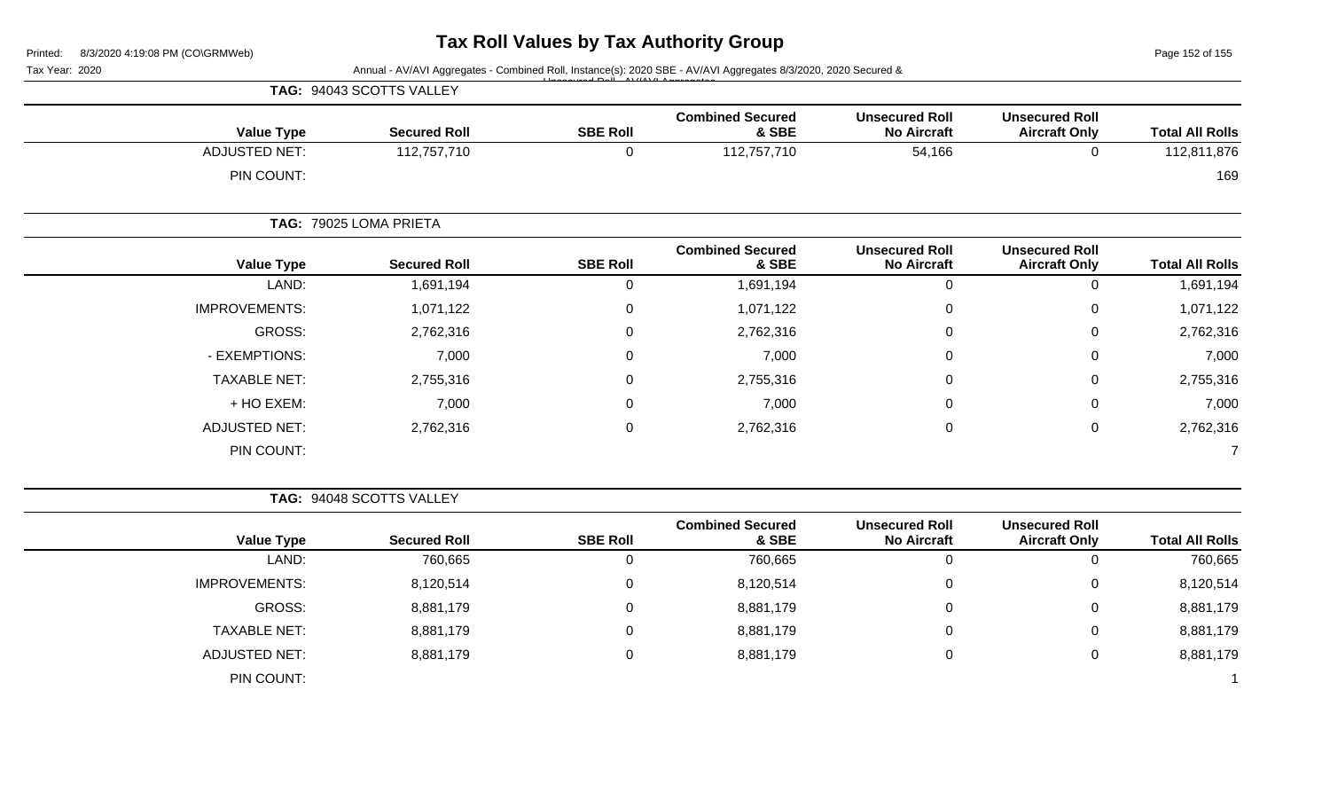Page 152 of 155

| <b>SBE Roll</b>                                                                                                                                                                                                                                                                                                                                                                     | <b>Combined Secured</b><br>& SBE                                                                                                                                                                         | <b>Unsecured Roll</b><br><b>No Aircraft</b> | <b>Unsecured Roll</b><br><b>Aircraft Only</b>                                                                  | <b>Total All Rolls</b> |
|-------------------------------------------------------------------------------------------------------------------------------------------------------------------------------------------------------------------------------------------------------------------------------------------------------------------------------------------------------------------------------------|----------------------------------------------------------------------------------------------------------------------------------------------------------------------------------------------------------|---------------------------------------------|----------------------------------------------------------------------------------------------------------------|------------------------|
| 0                                                                                                                                                                                                                                                                                                                                                                                   | 112,757,710                                                                                                                                                                                              | 54,166                                      | $\mathbf{0}$                                                                                                   | 112,811,876            |
|                                                                                                                                                                                                                                                                                                                                                                                     |                                                                                                                                                                                                          |                                             |                                                                                                                | 169                    |
|                                                                                                                                                                                                                                                                                                                                                                                     |                                                                                                                                                                                                          |                                             |                                                                                                                |                        |
| <b>SBE Roll</b>                                                                                                                                                                                                                                                                                                                                                                     | <b>Combined Secured</b><br>& SBE                                                                                                                                                                         | <b>Unsecured Roll</b><br><b>No Aircraft</b> | <b>Unsecured Roll</b><br><b>Aircraft Only</b>                                                                  | <b>Total All Rolls</b> |
| 0                                                                                                                                                                                                                                                                                                                                                                                   | 1,691,194                                                                                                                                                                                                | $\pmb{0}$                                   | $\mathbf 0$                                                                                                    | 1,691,194              |
| $\Omega$                                                                                                                                                                                                                                                                                                                                                                            | 1,071,122                                                                                                                                                                                                | $\mathbf{0}$                                | ∩                                                                                                              | 1,071,122              |
| $\Omega$                                                                                                                                                                                                                                                                                                                                                                            | 2,762,316                                                                                                                                                                                                | $\mathbf 0$                                 | 0                                                                                                              | 2,762,316              |
| 0                                                                                                                                                                                                                                                                                                                                                                                   | 7,000                                                                                                                                                                                                    | 0                                           | 0                                                                                                              | 7,000                  |
| 0                                                                                                                                                                                                                                                                                                                                                                                   | 2,755,316                                                                                                                                                                                                | 0                                           | $\Omega$                                                                                                       | 2,755,316              |
| 0                                                                                                                                                                                                                                                                                                                                                                                   | 7,000                                                                                                                                                                                                    | $\pmb{0}$                                   | 0                                                                                                              | 7,000                  |
| $\Omega$                                                                                                                                                                                                                                                                                                                                                                            | 2,762,316                                                                                                                                                                                                | 0                                           | 0                                                                                                              | 2,762,316              |
|                                                                                                                                                                                                                                                                                                                                                                                     |                                                                                                                                                                                                          |                                             |                                                                                                                |                        |
|                                                                                                                                                                                                                                                                                                                                                                                     |                                                                                                                                                                                                          |                                             |                                                                                                                |                        |
| <b>SBE Roll</b>                                                                                                                                                                                                                                                                                                                                                                     | <b>Combined Secured</b><br>& SBE                                                                                                                                                                         | <b>Unsecured Roll</b><br><b>No Aircraft</b> | <b>Unsecured Roll</b><br><b>Aircraft Only</b>                                                                  | <b>Total All Rolls</b> |
| 0                                                                                                                                                                                                                                                                                                                                                                                   | 760,665                                                                                                                                                                                                  | $\mathbf 0$                                 | $\mathbf 0$                                                                                                    | 760,665                |
| $\mathbf 0$                                                                                                                                                                                                                                                                                                                                                                         | 8,120,514                                                                                                                                                                                                | $\pmb{0}$                                   | 0                                                                                                              | 8,120,514              |
| 0                                                                                                                                                                                                                                                                                                                                                                                   | 8,881,179                                                                                                                                                                                                | 0                                           | 0                                                                                                              | 8,881,179              |
| TAG: 94043 SCOTTS VALLEY<br><b>Value Type</b><br><b>ADJUSTED NET:</b><br>PIN COUNT:<br>TAG: 79025 LOMA PRIETA<br><b>Value Type</b><br>LAND:<br><b>IMPROVEMENTS:</b><br><b>GROSS:</b><br>- EXEMPTIONS:<br><b>TAXABLE NET:</b><br>+ HO EXEM:<br><b>ADJUSTED NET:</b><br>PIN COUNT:<br>TAG: 94048 SCOTTS VALLEY<br><b>Value Type</b><br>LAND:<br><b>IMPROVEMENTS:</b><br><b>GROSS:</b> | <b>Secured Roll</b><br>112,757,710<br><b>Secured Roll</b><br>1,691,194<br>1,071,122<br>2,762,316<br>7,000<br>2,755,316<br>7,000<br>2,762,316<br><b>Secured Roll</b><br>760,665<br>8,120,514<br>8,881,179 |                                             | Annual - AV/AVI Aggregates - Combined Roll, Instance(s): 2020 SBE - AV/AVI Aggregates 8/3/2020, 2020 Secured & |                        |

TAXABLE NET: 8,881,179 0 8,881,179 0 0 8,881,179 ADJUSTED NET: 8,881,179 0 8,881,179 0 8,881,179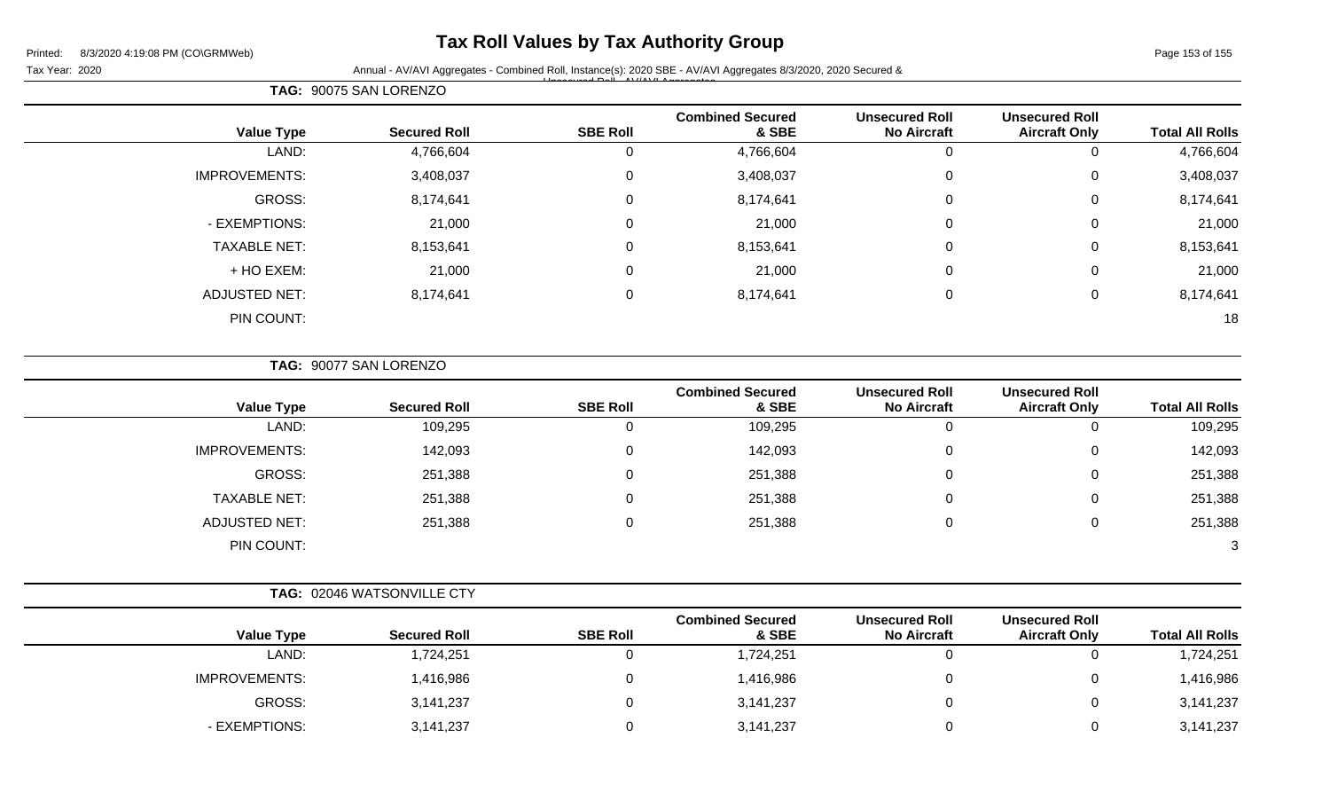## **Tax Roll Values by Tax Authority Group**

Unsecured Roll - AV/AVI Aggregates

Tax Year: 2020 **Annual - AV/AVI Aggregates - Combined Roll**, Instance(s): 2020 SBE - AV/AVI Aggregates 8/3/2020, 2020 Secured &

Page 153 of 155

| <b>Total All Rolls</b> | <b>Unsecured Roll</b><br><b>Aircraft Only</b> | <b>Unsecured Roll</b><br><b>No Aircraft</b> | <b>Combined Secured</b><br>& SBE | <b>SBE Roll</b> | <b>Secured Roll</b> | <b>Value Type</b>    |
|------------------------|-----------------------------------------------|---------------------------------------------|----------------------------------|-----------------|---------------------|----------------------|
| 4,766,604              | 0                                             | 0                                           | 4,766,604                        |                 | 4,766,604           | LAND:                |
| 3,408,037              | 0                                             | 0                                           | 3,408,037                        | 0               | 3,408,037           | <b>IMPROVEMENTS:</b> |
| 8,174,641              | $\mathbf 0$                                   | $\pmb{0}$                                   | 8,174,641                        | $\Omega$        | 8,174,641           | GROSS:               |
| 21,000                 | $\mathbf 0$                                   | 0                                           | 21,000                           | $\Omega$        | 21,000              | - EXEMPTIONS:        |
| 8,153,641              | $\mathbf 0$                                   | 0                                           | 8,153,641                        | $\Omega$        | 8,153,641           | <b>TAXABLE NET:</b>  |
| 21,000                 | $\mathbf 0$                                   | 0                                           | 21,000                           | $\Omega$        | 21,000              | + HO EXEM:           |
| 8,174,641              | $\mathbf 0$                                   | 0                                           | 8,174,641                        | $\Omega$        | 8,174,641           | <b>ADJUSTED NET:</b> |
| 18                     |                                               |                                             |                                  |                 |                     | PIN COUNT:           |

**TAG:** 90077 SAN LORENZO

**TAG:** 90075 SAN LORENZO

|                      |                     | <b>SBE Roll</b> | <b>Combined Secured</b><br>& SBE | <b>Unsecured Roll</b><br><b>No Aircraft</b> | <b>Unsecured Roll</b><br><b>Aircraft Only</b> | <b>Total All Rolls</b> |
|----------------------|---------------------|-----------------|----------------------------------|---------------------------------------------|-----------------------------------------------|------------------------|
| <b>Value Type</b>    | <b>Secured Roll</b> |                 |                                  |                                             |                                               |                        |
| LAND:                | 109,295             | 0               | 109,295                          | υ                                           |                                               | 109,295                |
| <b>IMPROVEMENTS:</b> | 142,093             | 0               | 142,093                          | 0                                           |                                               | 142,093                |
| GROSS:               | 251,388             | 0               | 251,388                          | 0                                           | 0                                             | 251,388                |
| <b>TAXABLE NET:</b>  | 251,388             | $\Omega$        | 251,388                          | 0                                           |                                               | 251,388                |
| ADJUSTED NET:        | 251,388             | 0               | 251,388                          | 0                                           |                                               | 251,388                |
| PIN COUNT:           |                     |                 |                                  |                                             |                                               | 3 <sup>1</sup>         |

| <b>TAG: 02046 WATSONVILLE CTY</b> |
|-----------------------------------|
|                                   |

| <b>Value Type</b>    | <b>Secured Roll</b> | <b>SBE Roll</b> | <b>Combined Secured</b><br>& SBE | <b>Unsecured Roll</b><br><b>No Aircraft</b> | <b>Unsecured Roll</b><br><b>Aircraft Only</b> | <b>Total All Rolls</b> |
|----------------------|---------------------|-----------------|----------------------------------|---------------------------------------------|-----------------------------------------------|------------------------|
| LAND:                | 1,724,251           |                 | 1,724,251                        |                                             |                                               | 1,724,251              |
| <b>IMPROVEMENTS:</b> | ,416,986            |                 | 1,416,986                        |                                             |                                               | 1,416,986              |
| GROSS:               | 3,141,237           |                 | 3,141,237                        |                                             | ັ                                             | 3,141,237              |
| - EXEMPTIONS:        | 3,141,237           |                 | 3,141,237                        |                                             |                                               | 3,141,237              |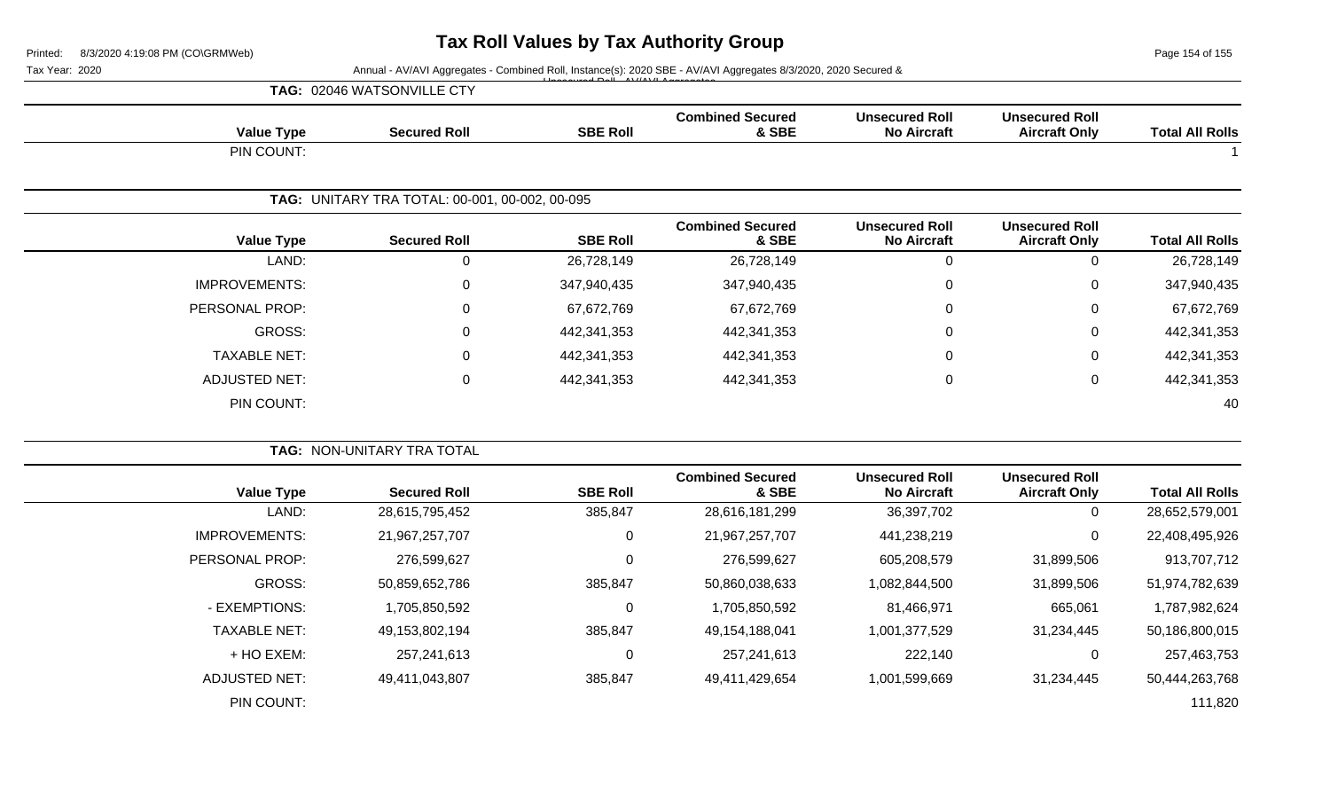Page 154 of 155

Tax Year: 2020 **Annual - AV/AVI Aggregates - Combined Roll**, Instance(s): 2020 SBE - AV/AVI Aggregates 8/3/2020, 2020 Secured & Unsecured Roll - AV/AVI Aggregates

| <b>TAG: 02046 WATSONVILLE CTY</b> |  |
|-----------------------------------|--|
|-----------------------------------|--|

| <b>Value Type</b>    | <b>Secured Roll</b>                            | <b>SBE Roll</b> | <b>Combined Secured</b><br>& SBE | <b>Unsecured Roll</b><br><b>No Aircraft</b> | <b>Unsecured Roll</b><br><b>Aircraft Only</b> | <b>Total All Rolls</b> |
|----------------------|------------------------------------------------|-----------------|----------------------------------|---------------------------------------------|-----------------------------------------------|------------------------|
| PIN COUNT:           |                                                |                 |                                  |                                             |                                               |                        |
|                      |                                                |                 |                                  |                                             |                                               |                        |
|                      | TAG: UNITARY TRA TOTAL: 00-001, 00-002, 00-095 |                 |                                  |                                             |                                               |                        |
| <b>Value Type</b>    | <b>Secured Roll</b>                            | <b>SBE Roll</b> | <b>Combined Secured</b><br>& SBE | <b>Unsecured Roll</b><br><b>No Aircraft</b> | <b>Unsecured Roll</b><br><b>Aircraft Only</b> | <b>Total All Rolls</b> |
| LAND:                | 0                                              | 26,728,149      | 26,728,149                       | 0                                           | 0                                             | 26,728,149             |
| <b>IMPROVEMENTS:</b> | 0                                              | 347,940,435     | 347,940,435                      | $\mathbf 0$                                 | 0                                             | 347,940,435            |
| PERSONAL PROP:       | 0                                              | 67,672,769      | 67,672,769                       | 0                                           | 0                                             | 67,672,769             |
| <b>GROSS:</b>        | 0                                              | 442,341,353     | 442,341,353                      | $\mathbf 0$                                 | $\mathbf 0$                                   | 442,341,353            |
| <b>TAXABLE NET:</b>  | 0                                              | 442,341,353     | 442,341,353                      | 0                                           | $\mathbf 0$                                   | 442,341,353            |
| <b>ADJUSTED NET:</b> | 0                                              | 442,341,353     | 442,341,353                      | 0                                           | $\mathbf 0$                                   | 442,341,353            |
| PIN COUNT:           |                                                |                 |                                  |                                             |                                               | 40                     |

|                      | <b>TAG: NON-UNITARY TRA TOTAL</b> |                 |                                  |                                             |                                               |                        |
|----------------------|-----------------------------------|-----------------|----------------------------------|---------------------------------------------|-----------------------------------------------|------------------------|
| <b>Value Type</b>    | <b>Secured Roll</b>               | <b>SBE Roll</b> | <b>Combined Secured</b><br>& SBE | <b>Unsecured Roll</b><br><b>No Aircraft</b> | <b>Unsecured Roll</b><br><b>Aircraft Only</b> | <b>Total All Rolls</b> |
| LAND:                | 28,615,795,452                    | 385,847         | 28,616,181,299                   | 36,397,702                                  | 0                                             | 28,652,579,001         |
| <b>IMPROVEMENTS:</b> | 21,967,257,707                    | 0               | 21,967,257,707                   | 441,238,219                                 | 0                                             | 22,408,495,926         |
| PERSONAL PROP:       | 276,599,627                       | 0               | 276,599,627                      | 605,208,579                                 | 31,899,506                                    | 913,707,712            |
| GROSS:               | 50,859,652,786                    | 385,847         | 50,860,038,633                   | 1,082,844,500                               | 31,899,506                                    | 51,974,782,639         |
| - EXEMPTIONS:        | 1,705,850,592                     | 0               | 1,705,850,592                    | 81,466,971                                  | 665,061                                       | 1,787,982,624          |
| <b>TAXABLE NET:</b>  | 49,153,802,194                    | 385,847         | 49,154,188,041                   | 1,001,377,529                               | 31,234,445                                    | 50,186,800,015         |
| + HO EXEM:           | 257,241,613                       | 0               | 257,241,613                      | 222,140                                     | $\mathbf 0$                                   | 257,463,753            |
| <b>ADJUSTED NET:</b> | 49,411,043,807                    | 385,847         | 49,411,429,654                   | 1,001,599,669                               | 31,234,445                                    | 50,444,263,768         |
| PIN COUNT:           |                                   |                 |                                  |                                             |                                               | 111,820                |